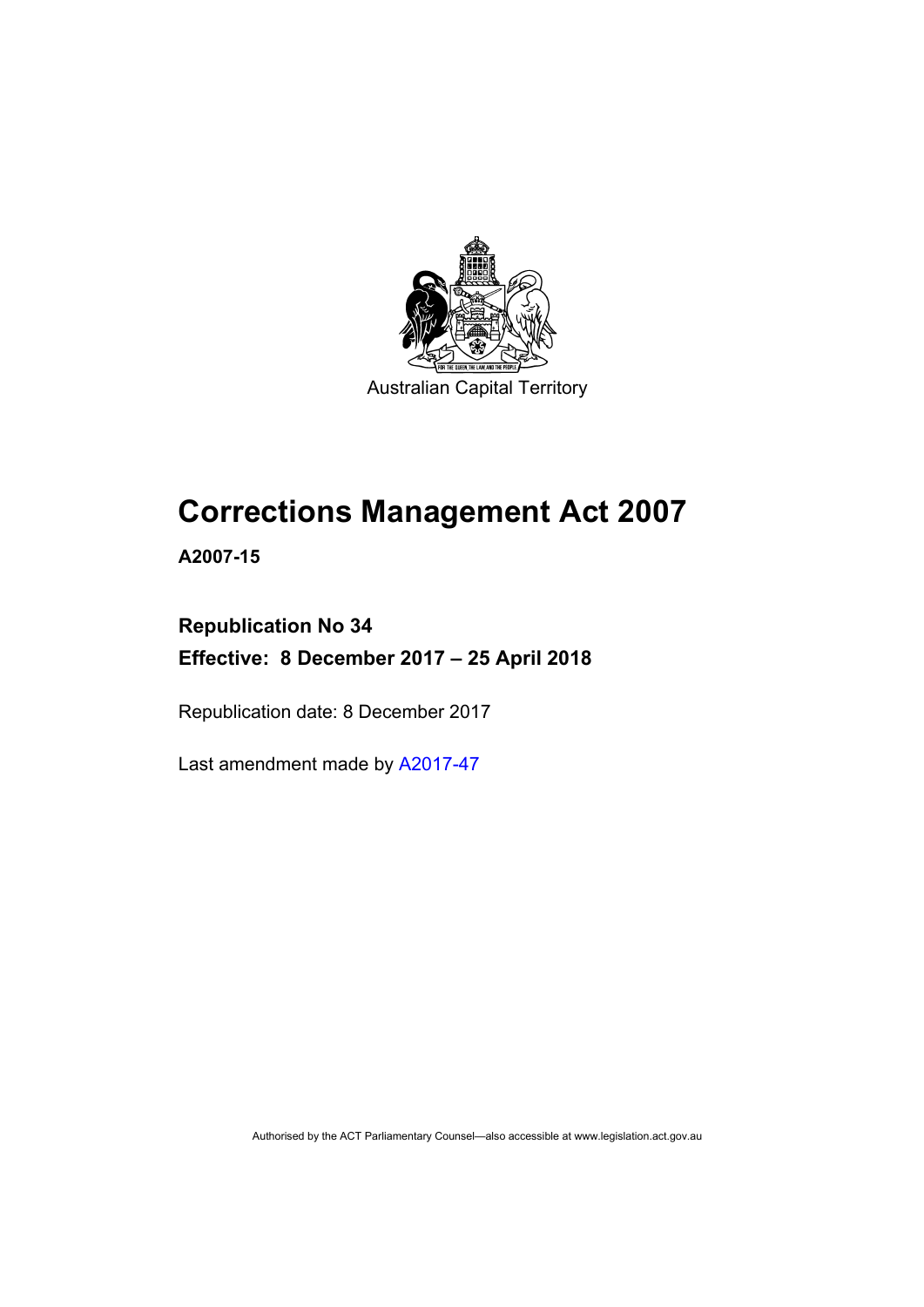

Australian Capital Territory

# **Corrections Management Act 2007**

**A2007-15** 

## **Republication No 34 Effective: 8 December 2017 – 25 April 2018**

Republication date: 8 December 2017

Last amendment made by [A2017-47](http://www.legislation.act.gov.au/a/2017-47/default.asp)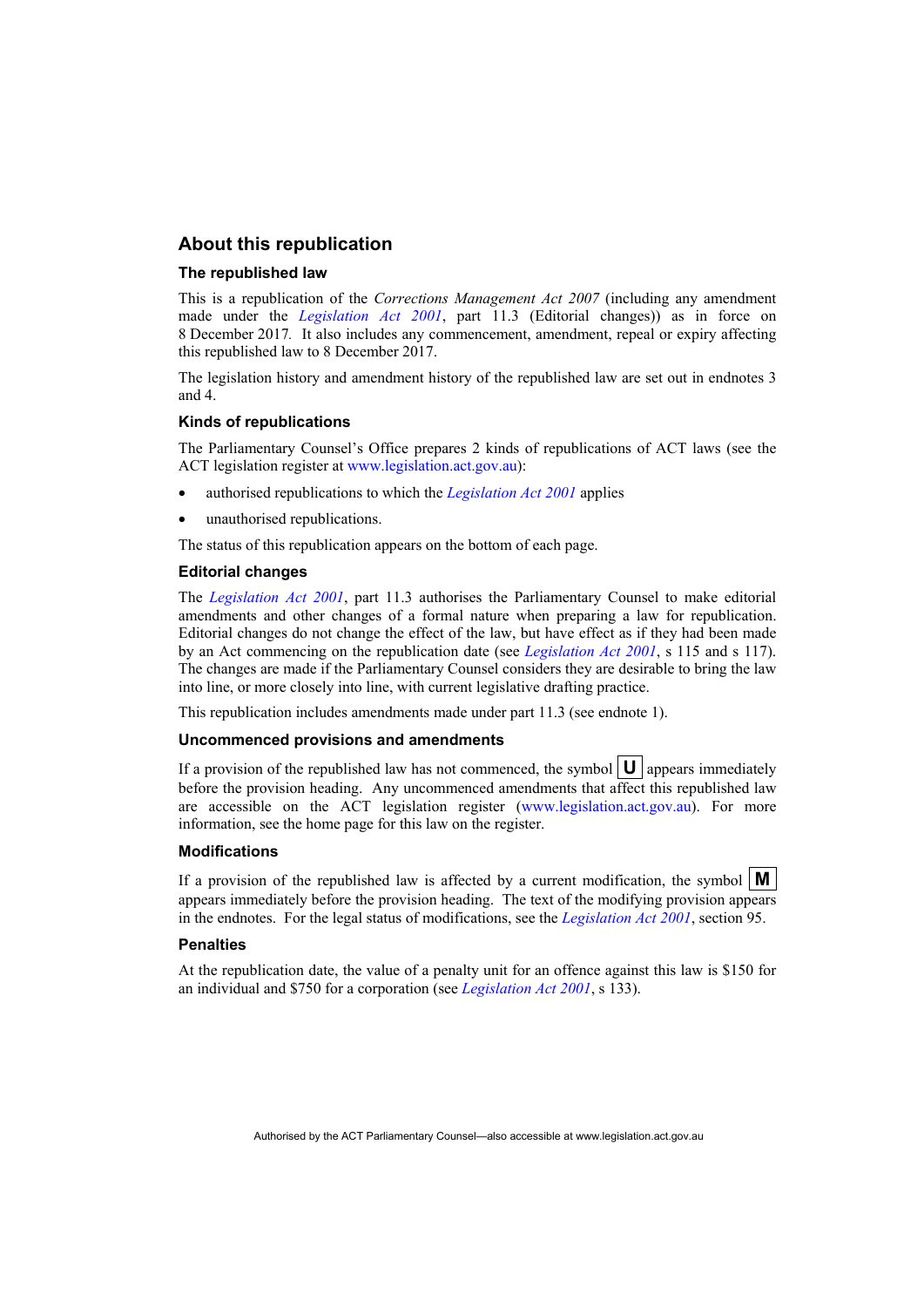### **About this republication**

#### **The republished law**

This is a republication of the *Corrections Management Act 2007* (including any amendment made under the *[Legislation Act 2001](http://www.legislation.act.gov.au/a/2001-14)*, part 11.3 (Editorial changes)) as in force on 8 December 2017*.* It also includes any commencement, amendment, repeal or expiry affecting this republished law to 8 December 2017.

The legislation history and amendment history of the republished law are set out in endnotes 3 and 4.

#### **Kinds of republications**

The Parliamentary Counsel's Office prepares 2 kinds of republications of ACT laws (see the ACT legislation register at [www.legislation.act.gov.au](http://www.legislation.act.gov.au/)):

- authorised republications to which the *[Legislation Act 2001](http://www.legislation.act.gov.au/a/2001-14)* applies
- unauthorised republications.

The status of this republication appears on the bottom of each page.

#### **Editorial changes**

The *[Legislation Act 2001](http://www.legislation.act.gov.au/a/2001-14)*, part 11.3 authorises the Parliamentary Counsel to make editorial amendments and other changes of a formal nature when preparing a law for republication. Editorial changes do not change the effect of the law, but have effect as if they had been made by an Act commencing on the republication date (see *[Legislation Act 2001](http://www.legislation.act.gov.au/a/2001-14)*, s 115 and s 117). The changes are made if the Parliamentary Counsel considers they are desirable to bring the law into line, or more closely into line, with current legislative drafting practice.

This republication includes amendments made under part 11.3 (see endnote 1).

#### **Uncommenced provisions and amendments**

If a provision of the republished law has not commenced, the symbol  $\mathbf{U}$  appears immediately before the provision heading. Any uncommenced amendments that affect this republished law are accessible on the ACT legislation register [\(www.legislation.act.gov.au\)](http://www.legislation.act.gov.au/). For more information, see the home page for this law on the register.

#### **Modifications**

If a provision of the republished law is affected by a current modification, the symbol  $\mathbf{M}$ appears immediately before the provision heading. The text of the modifying provision appears in the endnotes. For the legal status of modifications, see the *[Legislation Act 2001](http://www.legislation.act.gov.au/a/2001-14)*, section 95.

#### **Penalties**

At the republication date, the value of a penalty unit for an offence against this law is \$150 for an individual and \$750 for a corporation (see *[Legislation Act 2001](http://www.legislation.act.gov.au/a/2001-14)*, s 133).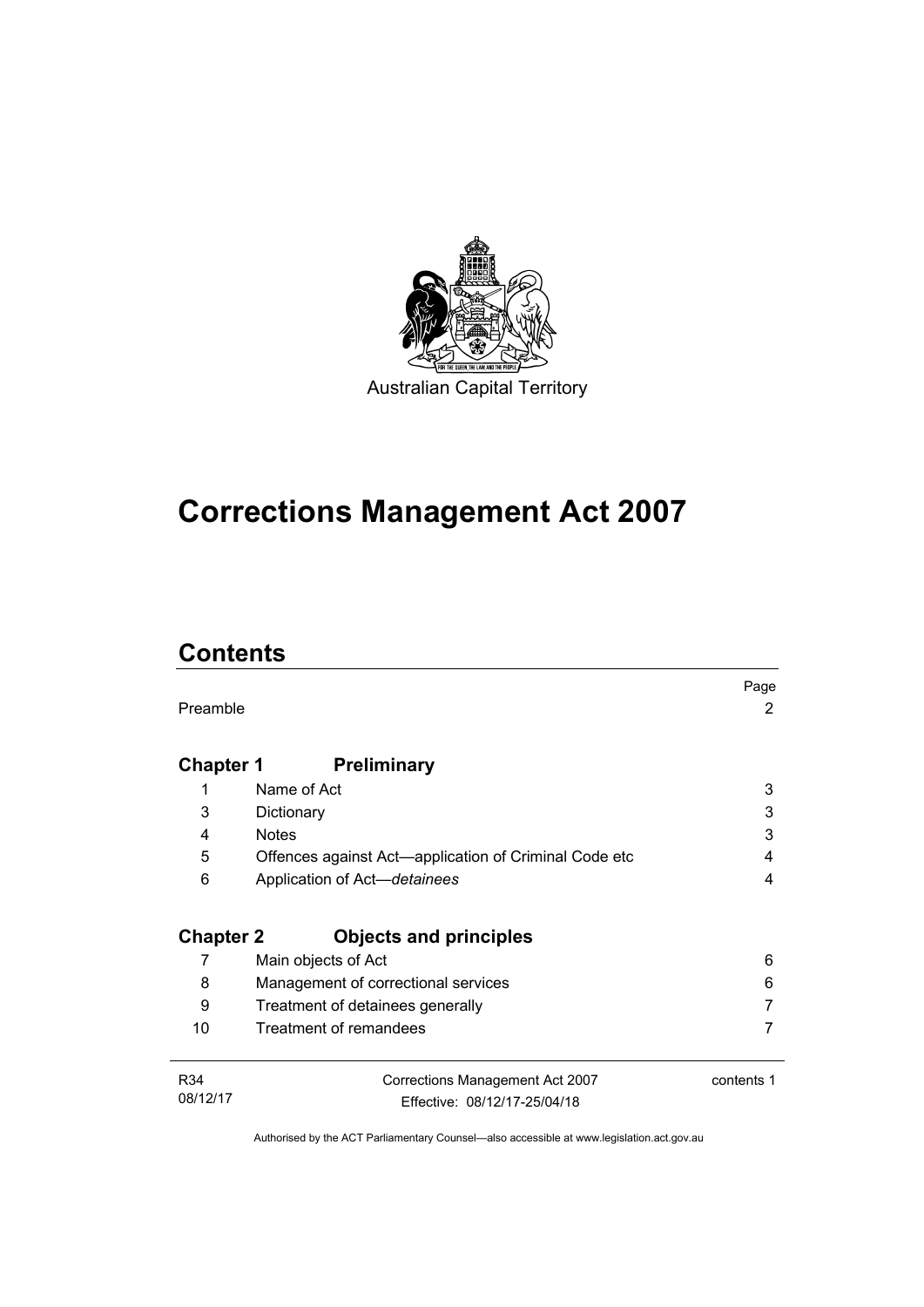

# **Corrections Management Act 2007**

# **Contents**

|                  |                                                       | Page       |
|------------------|-------------------------------------------------------|------------|
| Preamble         |                                                       | 2          |
|                  |                                                       |            |
| <b>Chapter 1</b> | <b>Preliminary</b>                                    |            |
| 1                | Name of Act                                           | 3          |
|                  |                                                       |            |
| 3                | Dictionary                                            | 3          |
| 4                | <b>Notes</b>                                          | 3          |
| 5                | Offences against Act—application of Criminal Code etc | 4          |
| 6                | Application of Act-detainees                          | 4          |
|                  |                                                       |            |
|                  |                                                       |            |
| <b>Chapter 2</b> | <b>Objects and principles</b>                         |            |
| 7                | Main objects of Act                                   | 6          |
| 8                | Management of correctional services                   | 6          |
| 9                | Treatment of detainees generally                      |            |
| 10               | Treatment of remandees                                |            |
|                  |                                                       |            |
| R34              | Corrections Management Act 2007                       | contents 1 |
| 08/12/17         | Effective: 08/12/17-25/04/18                          |            |
|                  |                                                       |            |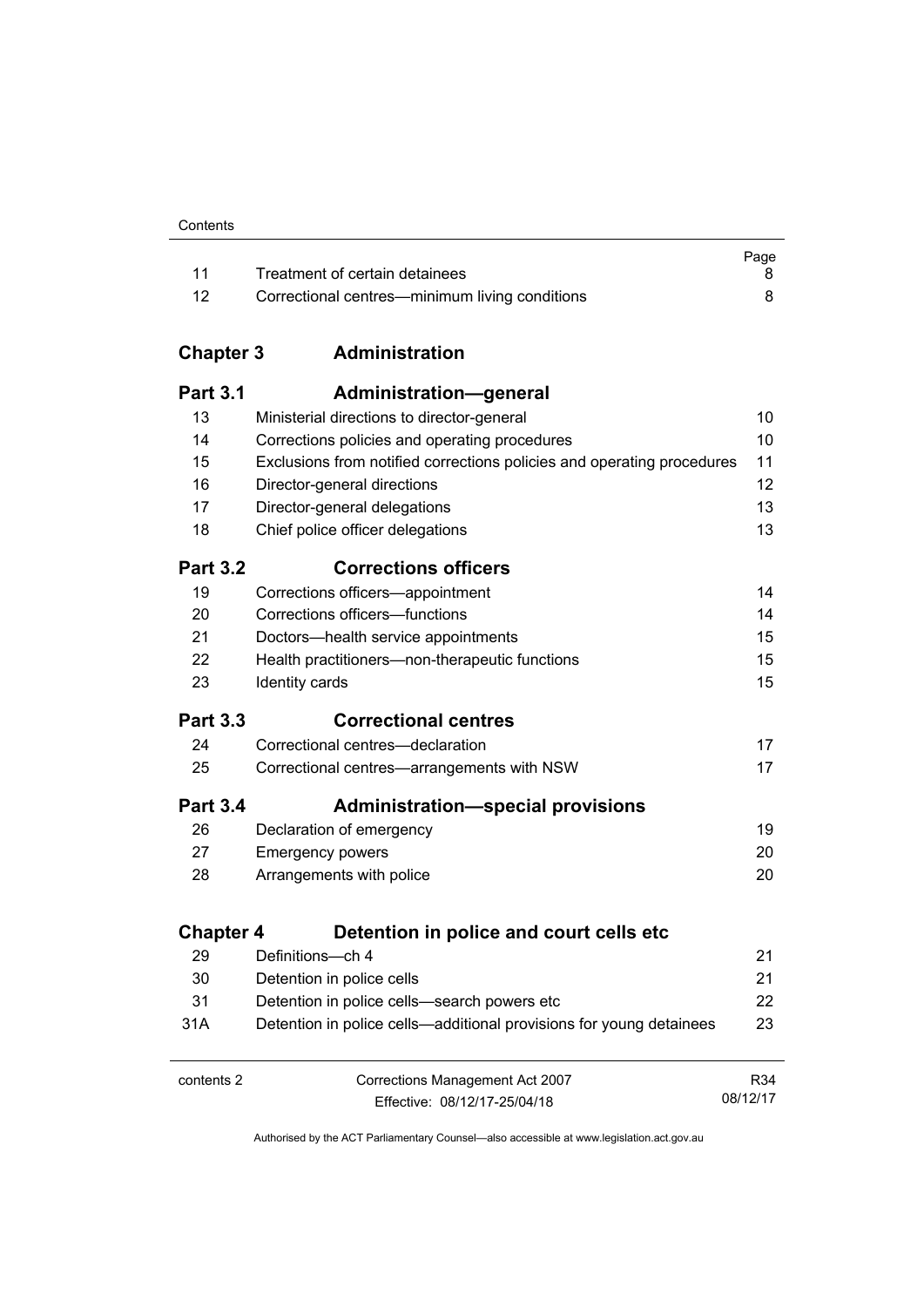|     |                                                | Page |
|-----|------------------------------------------------|------|
| -11 | Treatment of certain detainees                 |      |
| -12 | Correctional centres—minimum living conditions |      |

## **Chapter 3 [Administration](#page-23-0)**

| <b>Part 3.1</b>  | <b>Administration-general</b>                                          |          |
|------------------|------------------------------------------------------------------------|----------|
| 13               | Ministerial directions to director-general                             | 10       |
| 14               | Corrections policies and operating procedures                          | 10       |
| 15               | Exclusions from notified corrections policies and operating procedures | 11       |
| 16               | Director-general directions                                            | 12       |
| 17               | Director-general delegations                                           | 13       |
| 18               | Chief police officer delegations                                       | 13       |
| <b>Part 3.2</b>  | <b>Corrections officers</b>                                            |          |
| 19               | Corrections officers-appointment                                       | 14       |
| 20               | Corrections officers—functions                                         | 14       |
| 21               | Doctors-health service appointments                                    | 15       |
| 22               | Health practitioners-non-therapeutic functions                         | 15       |
| 23               | Identity cards                                                         | 15       |
| <b>Part 3.3</b>  | <b>Correctional centres</b>                                            |          |
| 24               | Correctional centres-declaration                                       | 17       |
| 25               | Correctional centres-arrangements with NSW                             | 17       |
| <b>Part 3.4</b>  | <b>Administration-special provisions</b>                               |          |
| 26               | Declaration of emergency                                               | 19       |
| 27               | <b>Emergency powers</b>                                                | 20       |
| 28               | Arrangements with police                                               | 20       |
| <b>Chapter 4</b> | Detention in police and court cells etc                                |          |
| 29               | Definitions-ch 4                                                       | 21       |
| 30               | Detention in police cells                                              | 21       |
| 31               | Detention in police cells-search powers etc                            | 22       |
| 31A              | Detention in police cells—additional provisions for young detainees    | 23       |
| contents 2       | Corrections Management Act 2007                                        | R34      |
|                  | Effective: 08/12/17-25/04/18                                           | 08/12/17 |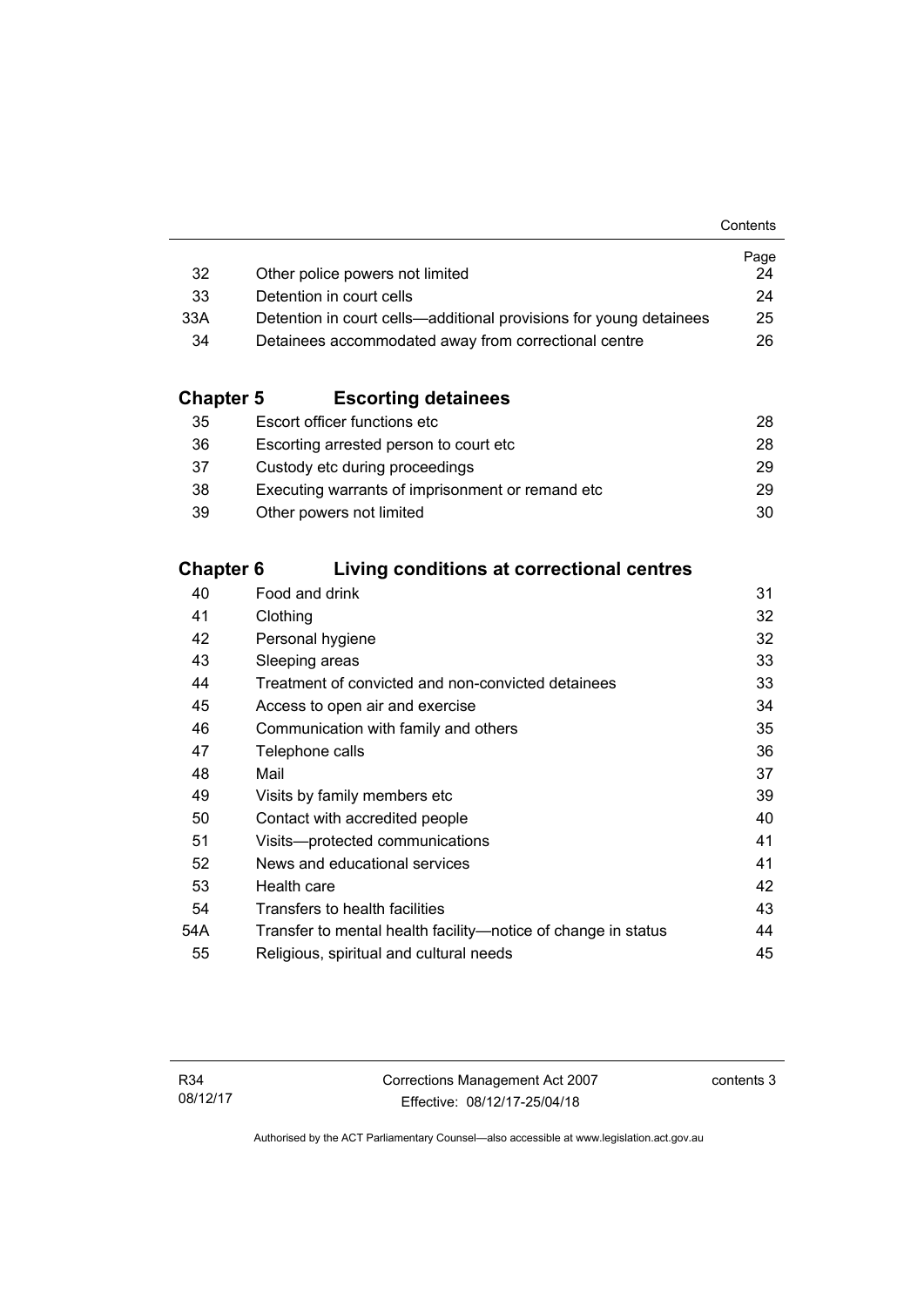|                                                                    | Page |
|--------------------------------------------------------------------|------|
| Other police powers not limited                                    | 24   |
| Detention in court cells                                           | 24   |
| Detention in court cells—additional provisions for young detainees | 25   |
| Detainees accommodated away from correctional centre               | 26   |
|                                                                    |      |

### **Chapter 5 [Escorting detainees](#page-41-0)**

| 35 | Escort officer functions etc                      | 28. |
|----|---------------------------------------------------|-----|
| 36 | Escorting arrested person to court etc.           | 28  |
| 37 | Custody etc during proceedings                    | 29  |
| 38 | Executing warrants of imprisonment or remand etc. | 29  |
| 39 | Other powers not limited                          | 30  |

### **Chapter 6 [Living conditions at correctional centres](#page-44-0)**

| 40  | Food and drink                                                | 31 |
|-----|---------------------------------------------------------------|----|
| 41  | Clothing                                                      | 32 |
| 42  | Personal hygiene                                              | 32 |
| 43  | Sleeping areas                                                | 33 |
| 44  | Treatment of convicted and non-convicted detainees            | 33 |
| 45  | Access to open air and exercise                               | 34 |
| 46  | Communication with family and others                          | 35 |
| 47  | Telephone calls                                               | 36 |
| 48  | Mail                                                          | 37 |
| 49  | Visits by family members etc                                  | 39 |
| 50  | Contact with accredited people                                | 40 |
| 51  | Visits--protected communications                              | 41 |
| 52  | News and educational services                                 | 41 |
| 53  | Health care                                                   | 42 |
| 54  | Transfers to health facilities                                | 43 |
| 54A | Transfer to mental health facility—notice of change in status | 44 |
| 55  | Religious, spiritual and cultural needs                       | 45 |
|     |                                                               |    |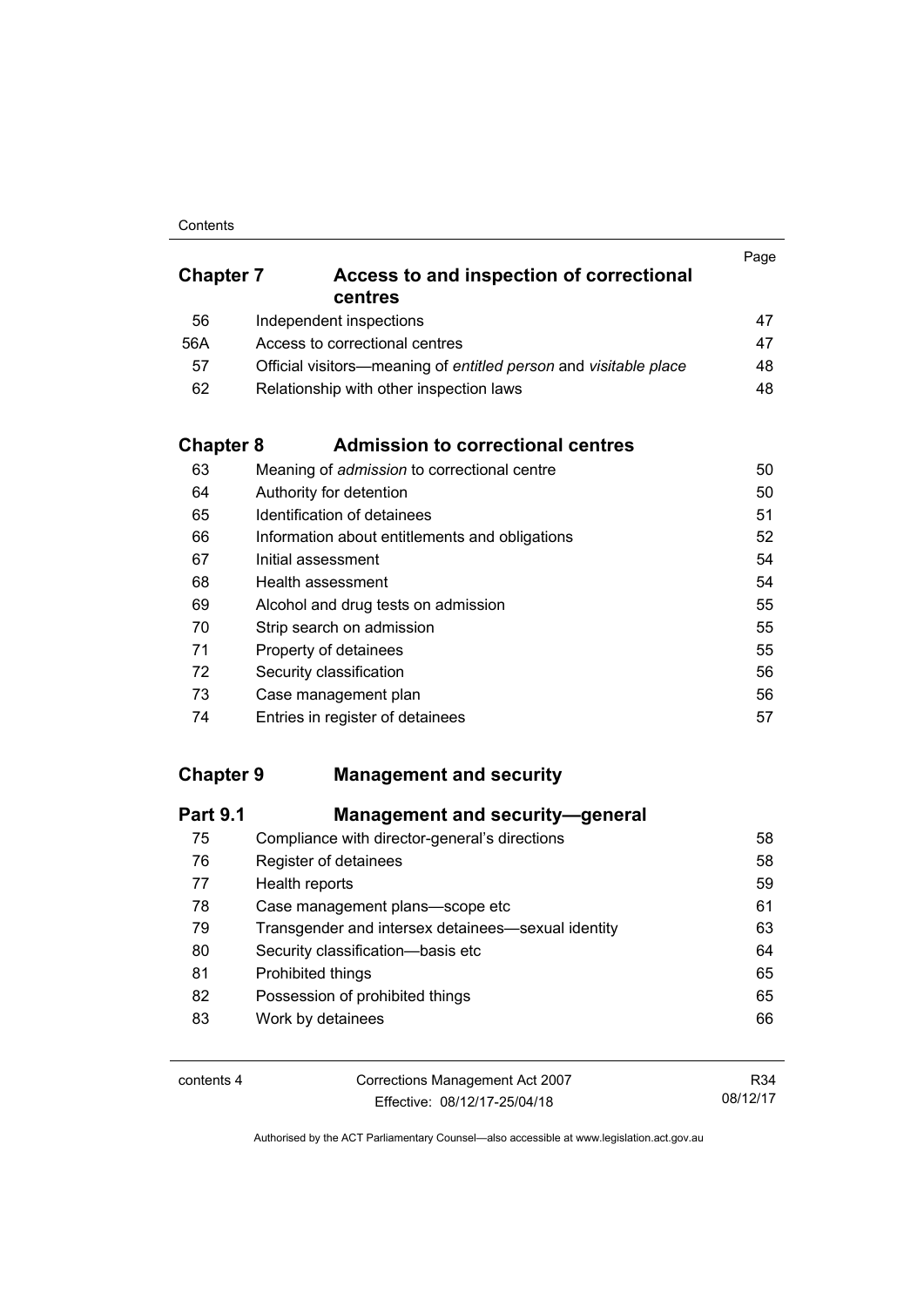#### **Contents**

| <b>Chapter 7</b> | Access to and inspection of correctional<br>centres              | Page |
|------------------|------------------------------------------------------------------|------|
| 56               | Independent inspections                                          | 47   |
| 56A              | Access to correctional centres                                   | 47   |
| 57               | Official visitors—meaning of entitled person and visitable place | 48   |
| 62               | Relationship with other inspection laws                          | 48   |

## **Chapter 8 [Admission to correctional centres](#page-63-0)**

| 63 | Meaning of admission to correctional centre    | 50 |
|----|------------------------------------------------|----|
| 64 | Authority for detention                        | 50 |
| 65 | Identification of detainees                    | 51 |
| 66 | Information about entitlements and obligations | 52 |
| 67 | Initial assessment                             | 54 |
| 68 | Health assessment                              | 54 |
| 69 | Alcohol and drug tests on admission            | 55 |
| 70 | Strip search on admission                      | 55 |
| 71 | Property of detainees                          | 55 |
| 72 | Security classification                        | 56 |
| 73 | Case management plan                           | 56 |
| 74 | Entries in register of detainees               | 57 |

### **Chapter 9 [Management and security](#page-71-0)**

| <b>Part 9.1</b> | <b>Management and security-general</b>             |    |
|-----------------|----------------------------------------------------|----|
| 75              | Compliance with director-general's directions      | 58 |
| 76              | Register of detainees                              | 58 |
| 77              | Health reports                                     | 59 |
| 78              | Case management plans-scope etc                    | 61 |
| 79              | Transgender and intersex detainees—sexual identity | 63 |
| 80              | Security classification-basis etc                  | 64 |
| 81              | Prohibited things                                  | 65 |
| 82              | Possession of prohibited things                    | 65 |
| 83              | Work by detainees                                  | 66 |

| contents 4 | Corrections Management Act 2007 | R34      |
|------------|---------------------------------|----------|
|            | Effective: 08/12/17-25/04/18    | 08/12/17 |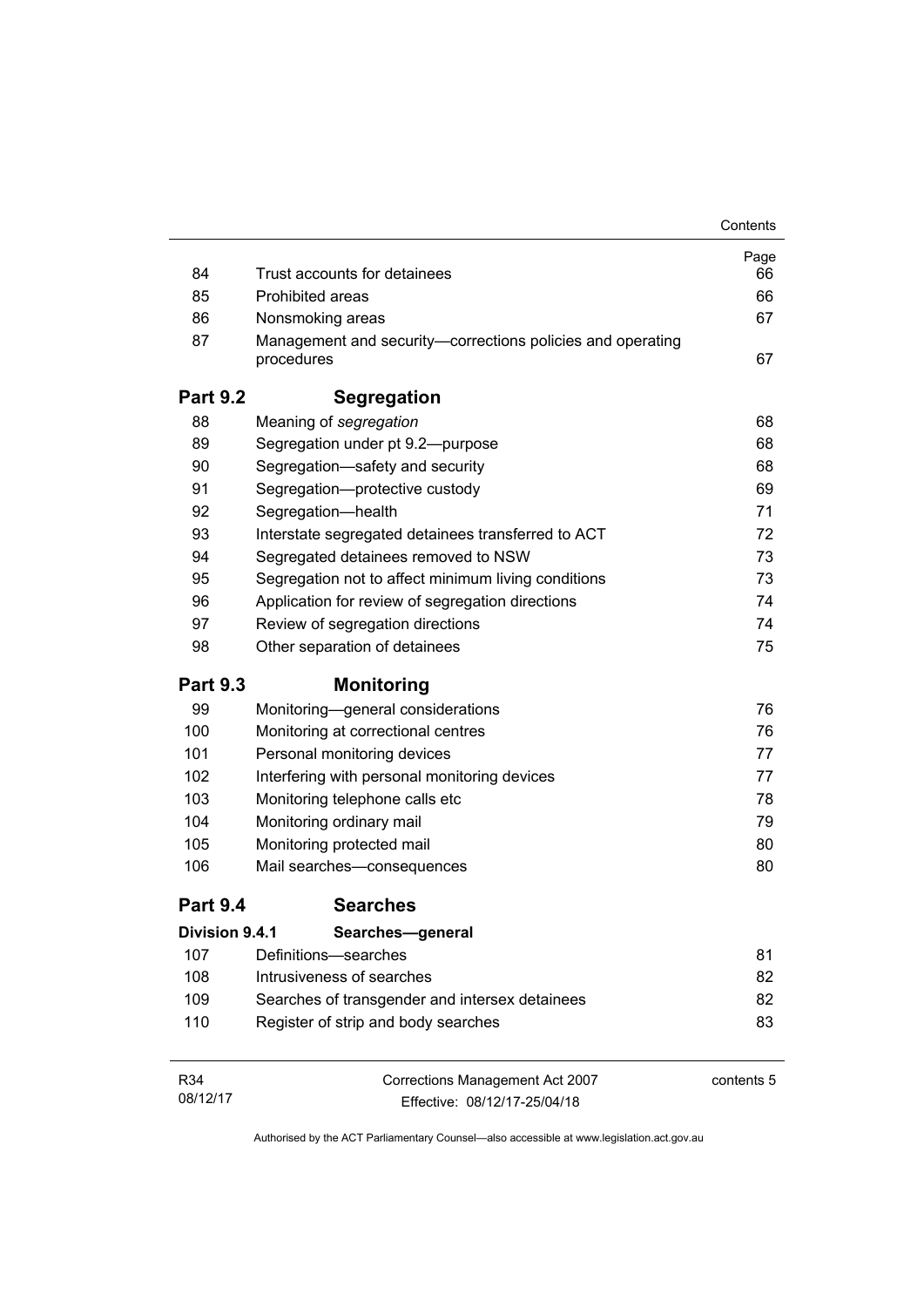|                 |                                                                          | Contents   |
|-----------------|--------------------------------------------------------------------------|------------|
|                 |                                                                          | Page       |
| 84              | Trust accounts for detainees                                             | 66         |
| 85              | <b>Prohibited areas</b>                                                  | 66         |
| 86              | Nonsmoking areas                                                         | 67         |
| 87              | Management and security—corrections policies and operating<br>procedures | 67         |
| <b>Part 9.2</b> | <b>Segregation</b>                                                       |            |
| 88              | Meaning of segregation                                                   | 68         |
| 89              | Segregation under pt 9.2-purpose                                         | 68         |
| 90              | Segregation-safety and security                                          | 68         |
| 91              | Segregation-protective custody                                           | 69         |
| 92              | Segregation-health                                                       | 71         |
| 93              | Interstate segregated detainees transferred to ACT                       | 72         |
| 94              | Segregated detainees removed to NSW                                      | 73         |
| 95              | Segregation not to affect minimum living conditions                      | 73         |
| 96              | Application for review of segregation directions                         | 74         |
| 97              | Review of segregation directions                                         | 74         |
| 98              | Other separation of detainees                                            | 75         |
| <b>Part 9.3</b> | <b>Monitoring</b>                                                        |            |
| 99              | Monitoring-general considerations                                        | 76         |
| 100             | Monitoring at correctional centres                                       | 76         |
| 101             | Personal monitoring devices                                              | 77         |
| 102             | Interfering with personal monitoring devices                             | 77         |
| 103             | Monitoring telephone calls etc                                           | 78         |
| 104             | Monitoring ordinary mail                                                 | 79         |
| 105             | Monitoring protected mail                                                | 80         |
| 106             | Mail searches-consequences                                               | 80         |
| <b>Part 9.4</b> | <b>Searches</b>                                                          |            |
| Division 9.4.1  | Searches-general                                                         |            |
| 107             | Definitions-searches                                                     | 81         |
| 108             | Intrusiveness of searches                                                | 82         |
| 109             | Searches of transgender and intersex detainees                           | 82         |
| 110             | Register of strip and body searches                                      | 83         |
| R34             | Corrections Management Act 2007                                          | contents 5 |
| 08/12/17        | Effective: 08/12/17-25/04/18                                             |            |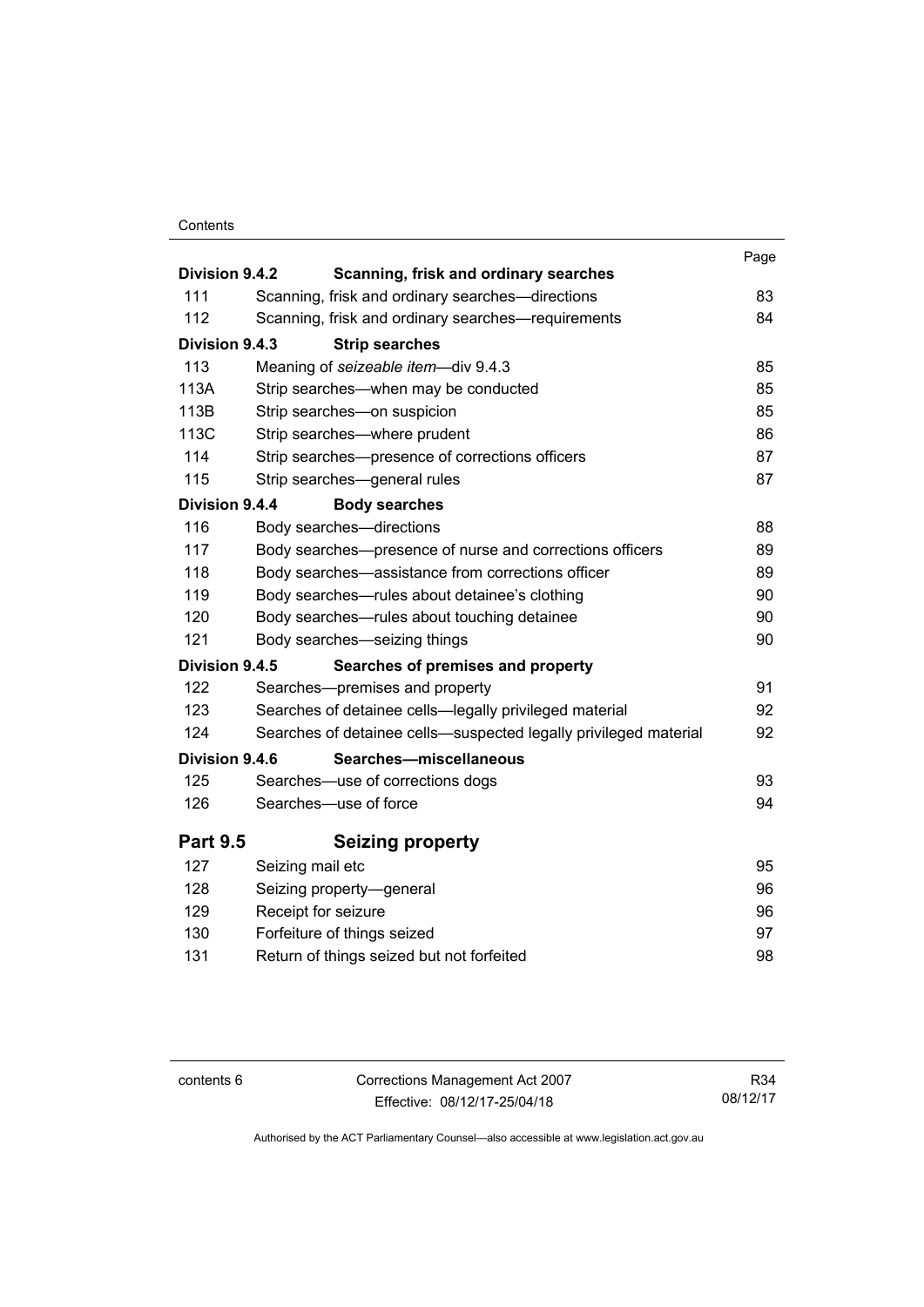### **Contents**

| Division 9.4.2  | Scanning, frisk and ordinary searches                            | Page |
|-----------------|------------------------------------------------------------------|------|
| 111             | Scanning, frisk and ordinary searches-directions                 | 83   |
| 112             | Scanning, frisk and ordinary searches-requirements               | 84   |
|                 |                                                                  |      |
| Division 9.4.3  | <b>Strip searches</b>                                            |      |
| 113             | Meaning of seizeable item-div 9.4.3                              | 85   |
| 113A            | Strip searches—when may be conducted                             | 85   |
| 113B            | Strip searches-on suspicion                                      | 85   |
| 113C            | Strip searches—where prudent                                     | 86   |
| 114             | Strip searches—presence of corrections officers                  | 87   |
| 115             | Strip searches-general rules                                     | 87   |
| Division 9.4.4  | <b>Body searches</b>                                             |      |
| 116             | Body searches-directions                                         | 88   |
| 117             | Body searches—presence of nurse and corrections officers         | 89   |
| 118             | Body searches-assistance from corrections officer                | 89   |
| 119             | Body searches—rules about detainee's clothing                    | 90   |
| 120             | Body searches—rules about touching detainee                      | 90   |
| 121             | Body searches—seizing things                                     | 90   |
| Division 9.4.5  | Searches of premises and property                                |      |
| 122             | Searches-premises and property                                   | 91   |
| 123             | Searches of detainee cells-legally privileged material           | 92   |
| 124             | Searches of detainee cells-suspected legally privileged material | 92   |
| Division 9.4.6  | Searches-miscellaneous                                           |      |
| 125             | Searches—use of corrections dogs                                 | 93   |
| 126             | Searches-use of force                                            | 94   |
| <b>Part 9.5</b> | <b>Seizing property</b>                                          |      |
| 127             | Seizing mail etc                                                 | 95   |
| 128             | Seizing property-general                                         | 96   |
| 129             | Receipt for seizure                                              | 96   |
| 130             | Forfeiture of things seized                                      | 97   |
| 131             | Return of things seized but not forfeited                        | 98   |

contents 6 Corrections Management Act 2007 Effective: 08/12/17-25/04/18

R34 08/12/17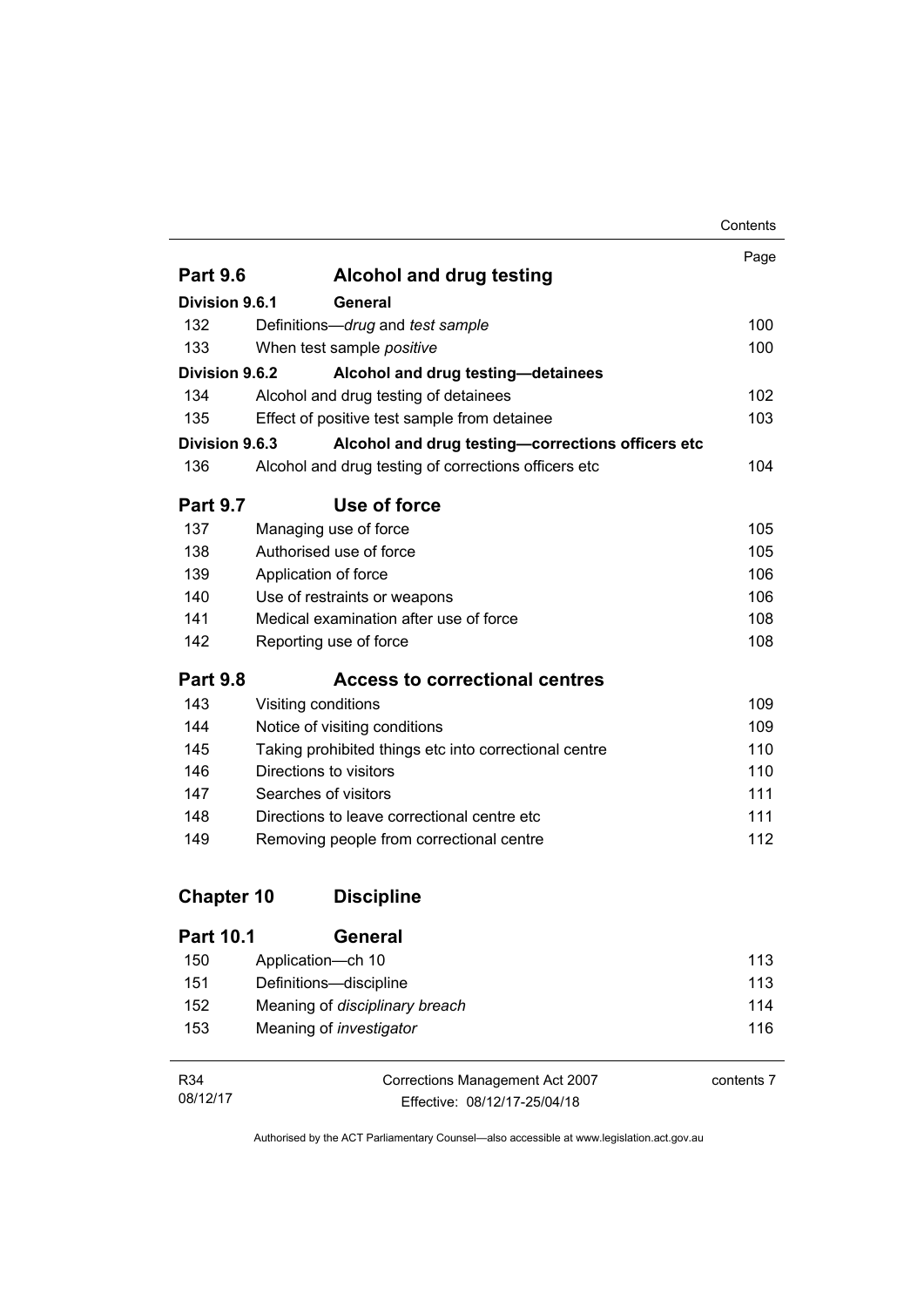|                       |                                                       | Contents |
|-----------------------|-------------------------------------------------------|----------|
|                       |                                                       | Page     |
| <b>Part 9.6</b>       | <b>Alcohol and drug testing</b>                       |          |
| Division 9.6.1        | General                                               |          |
| 132                   | Definitions-drug and test sample                      | 100      |
| 133                   | When test sample positive                             | 100      |
| Division 9.6.2        | Alcohol and drug testing-detainees                    |          |
| 134                   | Alcohol and drug testing of detainees                 | 102      |
| 135                   | Effect of positive test sample from detainee          | 103      |
| <b>Division 9.6.3</b> | Alcohol and drug testing-corrections officers etc     |          |
| 136                   | Alcohol and drug testing of corrections officers etc  | 104      |
| <b>Part 9.7</b>       | Use of force                                          |          |
| 137                   | Managing use of force                                 | 105      |
| 138                   | Authorised use of force                               | 105      |
| 139                   | Application of force                                  | 106      |
| 140                   | Use of restraints or weapons                          | 106      |
| 141                   | Medical examination after use of force                | 108      |
| 142                   | Reporting use of force                                | 108      |
| <b>Part 9.8</b>       | <b>Access to correctional centres</b>                 |          |
| 143                   | Visiting conditions                                   | 109      |
| 144                   | Notice of visiting conditions                         | 109      |
| 145                   | Taking prohibited things etc into correctional centre | 110      |
| 146                   | Directions to visitors                                | 110      |
| 147                   | Searches of visitors                                  | 111      |
| 148                   | Directions to leave correctional centre etc           | 111      |
| 149                   | Removing people from correctional centre              | 112      |
| <b>Chapter 10</b>     | <b>Discipline</b>                                     |          |
| <b>Part 10.1</b>      | General                                               |          |
| 150                   | Application-ch 10                                     | 113      |
| 151                   | Definitions-discipline                                | 113      |
| 152                   | Meaning of disciplinary breach                        | 114      |

| R <sub>34</sub> | Corrections Management Act 2007 | contents 7 |
|-----------------|---------------------------------|------------|
| 08/12/17        | Effective: 08/12/17-25/04/18    |            |

153 Meaning of *investigator* [116](#page-129-0)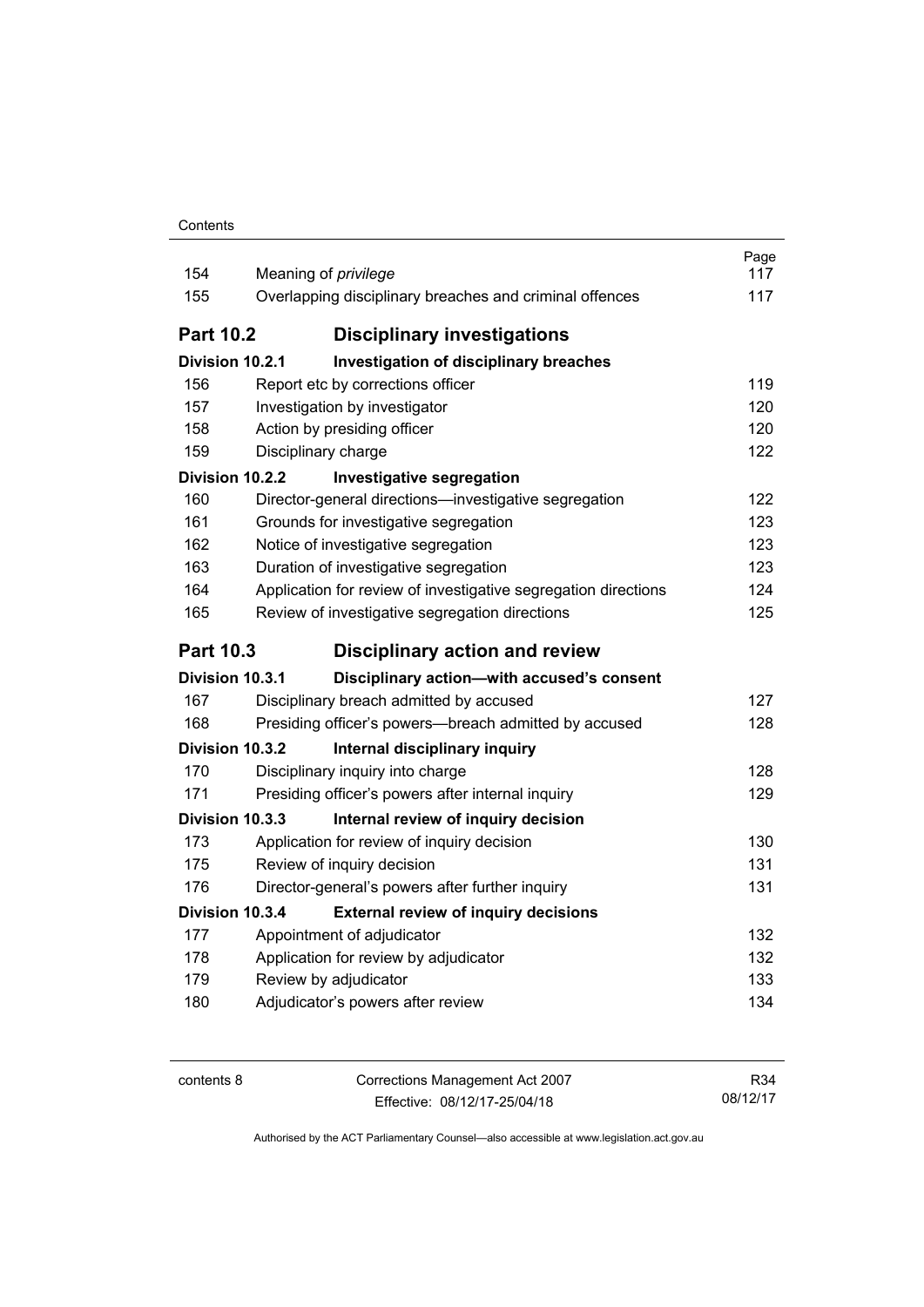| 154              | Meaning of privilege                                           | Page<br>117 |
|------------------|----------------------------------------------------------------|-------------|
| 155              | Overlapping disciplinary breaches and criminal offences        | 117         |
|                  |                                                                |             |
| <b>Part 10.2</b> | <b>Disciplinary investigations</b>                             |             |
| Division 10.2.1  | Investigation of disciplinary breaches                         |             |
| 156              | Report etc by corrections officer                              | 119         |
| 157              | Investigation by investigator                                  | $120 -$     |
| 158              | Action by presiding officer                                    | 120         |
| 159              | Disciplinary charge                                            | 122         |
| Division 10.2.2  | Investigative segregation                                      |             |
| 160              | Director-general directions-investigative segregation          | 122         |
| 161              | Grounds for investigative segregation                          | 123         |
| 162              | Notice of investigative segregation                            | 123         |
| 163              | Duration of investigative segregation                          | 123         |
| 164              | Application for review of investigative segregation directions | 124         |
| 165              | Review of investigative segregation directions                 | 125         |
|                  |                                                                |             |
| <b>Part 10.3</b> | <b>Disciplinary action and review</b>                          |             |
| Division 10.3.1  | Disciplinary action-with accused's consent                     |             |
| 167              | Disciplinary breach admitted by accused                        | 127         |
| 168              | Presiding officer's powers--breach admitted by accused         | 128         |
| Division 10.3.2  | Internal disciplinary inquiry                                  |             |
| 170              | Disciplinary inquiry into charge                               | 128         |
| 171              | Presiding officer's powers after internal inquiry              | 129         |
| Division 10.3.3  | Internal review of inquiry decision                            |             |
| 173              | Application for review of inquiry decision                     | 130         |
| 175              | Review of inquiry decision                                     | 131         |
| 176              | Director-general's powers after further inquiry                | 131         |
| Division 10.3.4  | <b>External review of inquiry decisions</b>                    |             |
| 177              | Appointment of adjudicator                                     | 132         |
| 178              | Application for review by adjudicator                          | 132         |
| 179              | Review by adjudicator                                          | 133         |
| 180              | Adjudicator's powers after review                              | 134         |

| contents 8 | Corrections Management Act 2007 | R34      |
|------------|---------------------------------|----------|
|            | Effective: 08/12/17-25/04/18    | 08/12/17 |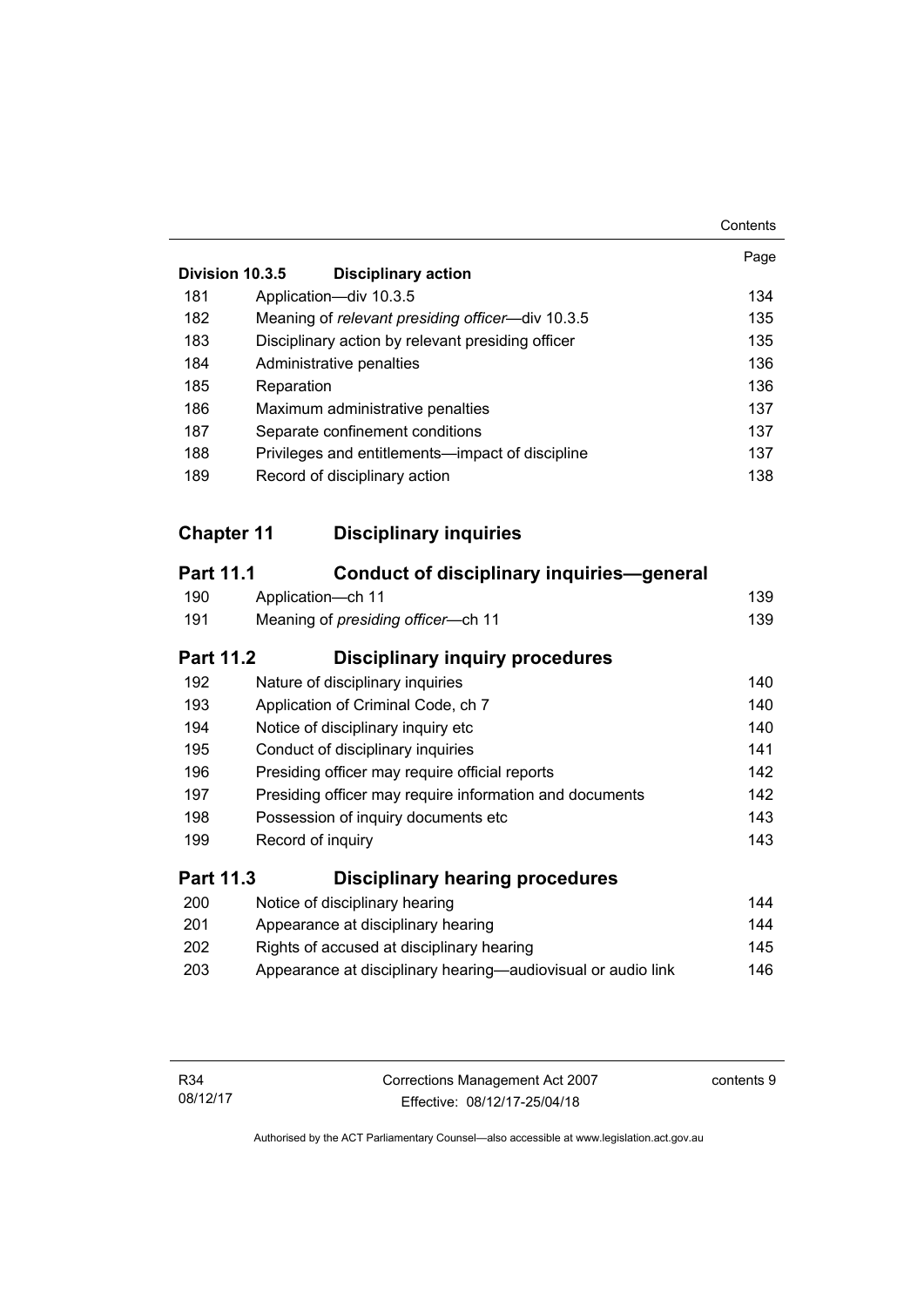|                   |                                                              | Contents |
|-------------------|--------------------------------------------------------------|----------|
|                   |                                                              | Page     |
| Division 10.3.5   | <b>Disciplinary action</b>                                   |          |
| 181               | Application-div 10.3.5                                       | 134      |
| 182               | Meaning of relevant presiding officer-div 10.3.5             | 135      |
| 183               | Disciplinary action by relevant presiding officer            | 135      |
| 184               | Administrative penalties                                     | 136      |
| 185               | Reparation                                                   | 136      |
| 186               | Maximum administrative penalties                             | 137      |
| 187               | Separate confinement conditions                              | 137      |
| 188               | Privileges and entitlements-impact of discipline             | 137      |
| 189               | Record of disciplinary action                                | 138      |
|                   |                                                              |          |
| <b>Chapter 11</b> | <b>Disciplinary inquiries</b>                                |          |
|                   |                                                              |          |
| Part 11.1         | <b>Conduct of disciplinary inquiries-general</b>             |          |
| 190               | Application-ch 11                                            | 139      |
| 191               | Meaning of presiding officer-ch 11                           | 139      |
| <b>Part 11.2</b>  | <b>Disciplinary inquiry procedures</b>                       |          |
| 192               | Nature of disciplinary inquiries                             | 140      |
| 193               | Application of Criminal Code, ch 7                           | 140      |
| 194               | Notice of disciplinary inquiry etc                           | 140      |
| 195               | Conduct of disciplinary inquiries                            | 141      |
| 196               | Presiding officer may require official reports               | 142      |
| 197               | Presiding officer may require information and documents      | 142      |
| 198               | Possession of inquiry documents etc                          | 143      |
| 199               | Record of inquiry                                            | 143      |
| Part 11.3         | <b>Disciplinary hearing procedures</b>                       |          |
| 200               | Notice of disciplinary hearing                               | 144      |
| 201               | Appearance at disciplinary hearing                           | 144      |
| 202               | Rights of accused at disciplinary hearing                    | 145      |
| 203               | Appearance at disciplinary hearing—audiovisual or audio link | 146      |
|                   |                                                              |          |
|                   |                                                              |          |

contents 9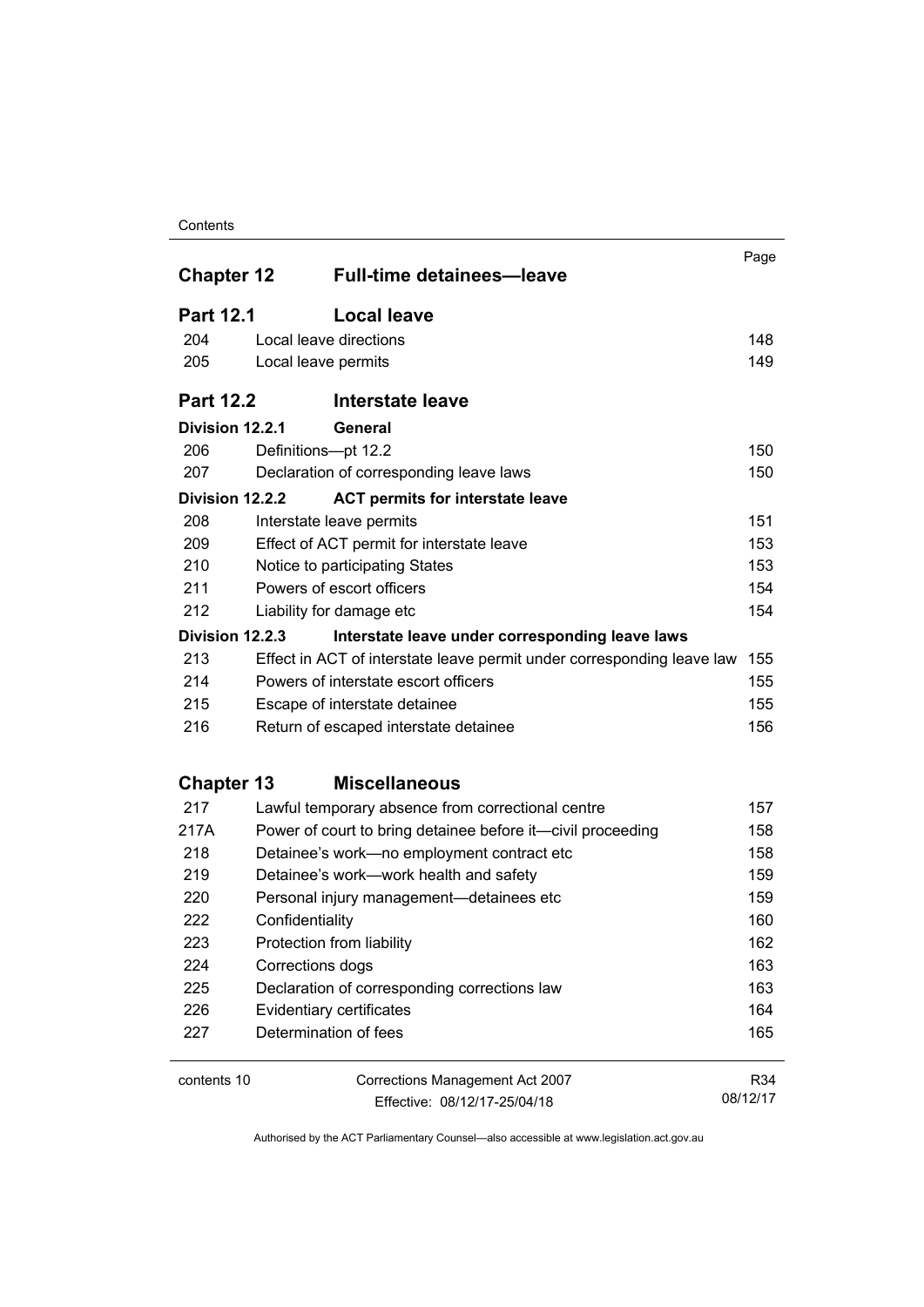#### Contents

| <b>Chapter 12</b> | <b>Full-time detainees-leave</b>                                       | Page     |
|-------------------|------------------------------------------------------------------------|----------|
|                   |                                                                        |          |
| <b>Part 12.1</b>  | <b>Local leave</b>                                                     |          |
| 204               | Local leave directions                                                 | 148      |
| 205               | Local leave permits                                                    | 149      |
| <b>Part 12.2</b>  | <b>Interstate leave</b>                                                |          |
| Division 12.2.1   | General                                                                |          |
| 206               | Definitions-pt 12.2                                                    | 150      |
| 207               | Declaration of corresponding leave laws                                | 150      |
| Division 12.2.2   | <b>ACT permits for interstate leave</b>                                |          |
| 208               | Interstate leave permits                                               | 151      |
| 209               | Effect of ACT permit for interstate leave                              | 153      |
| 210               | Notice to participating States                                         | 153      |
| 211               | Powers of escort officers                                              | 154      |
| 212               | Liability for damage etc                                               | 154      |
| Division 12.2.3   | Interstate leave under corresponding leave laws                        |          |
| 213               | Effect in ACT of interstate leave permit under corresponding leave law | 155      |
| 214               | Powers of interstate escort officers                                   | 155      |
| 215               | Escape of interstate detainee                                          | 155      |
| 216               | Return of escaped interstate detainee                                  | 156      |
| <b>Chapter 13</b> | <b>Miscellaneous</b>                                                   |          |
| 217               | Lawful temporary absence from correctional centre                      | 157      |
| 217A              | Power of court to bring detainee before it-civil proceeding            | 158      |
| 218               | Detainee's work-no employment contract etc                             | 158      |
| 219               | Detainee's work-work health and safety                                 | 159      |
| 220               | Personal injury management-detainees etc                               | 159      |
| 222               | Confidentiality                                                        | 160      |
| 223               | Protection from liability                                              | 162      |
| 224               | Corrections dogs                                                       | 163      |
| 225               | Declaration of corresponding corrections law                           | 163      |
| 226               | Evidentiary certificates                                               | 164      |
| 227               | Determination of fees                                                  | 165      |
| contents 10       | Corrections Management Act 2007                                        | R34      |
|                   | Effective: 08/12/17-25/04/18                                           | 08/12/17 |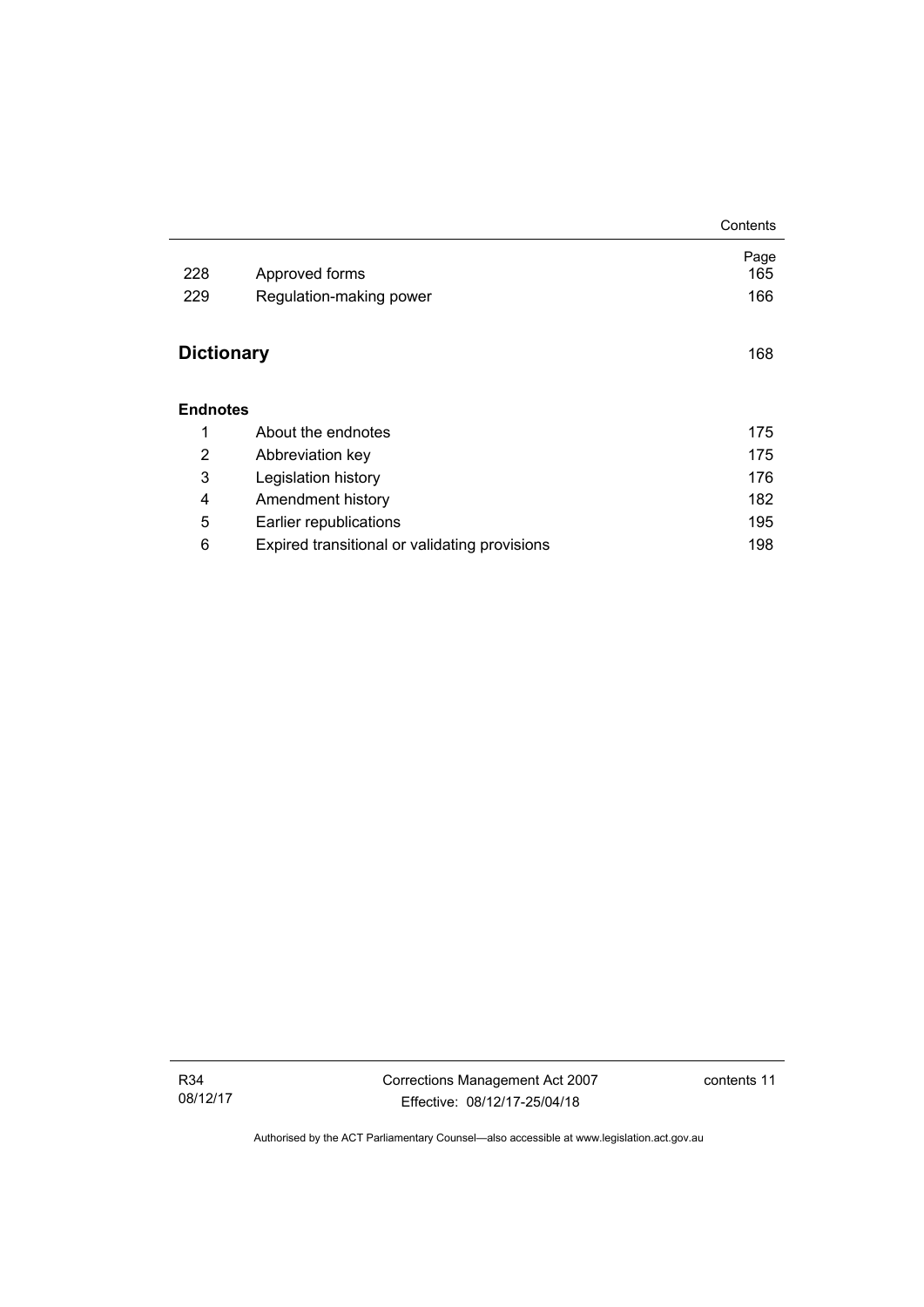|                          |                                               | Contents    |
|--------------------------|-----------------------------------------------|-------------|
| 228                      | Approved forms                                | Page<br>165 |
| 229                      | Regulation-making power                       | 166         |
|                          |                                               |             |
| <b>Dictionary</b><br>168 |                                               |             |
|                          |                                               |             |
| <b>Endnotes</b>          |                                               |             |
| 1                        | About the endnotes                            | 175         |
| 2                        | Abbreviation key                              | 175         |
| 3                        | Legislation history                           | 176         |
| 4                        | Amendment history                             | 182         |
| 5                        | Earlier republications                        | 195         |
| 6                        | Expired transitional or validating provisions | 198         |

R34 08/12/17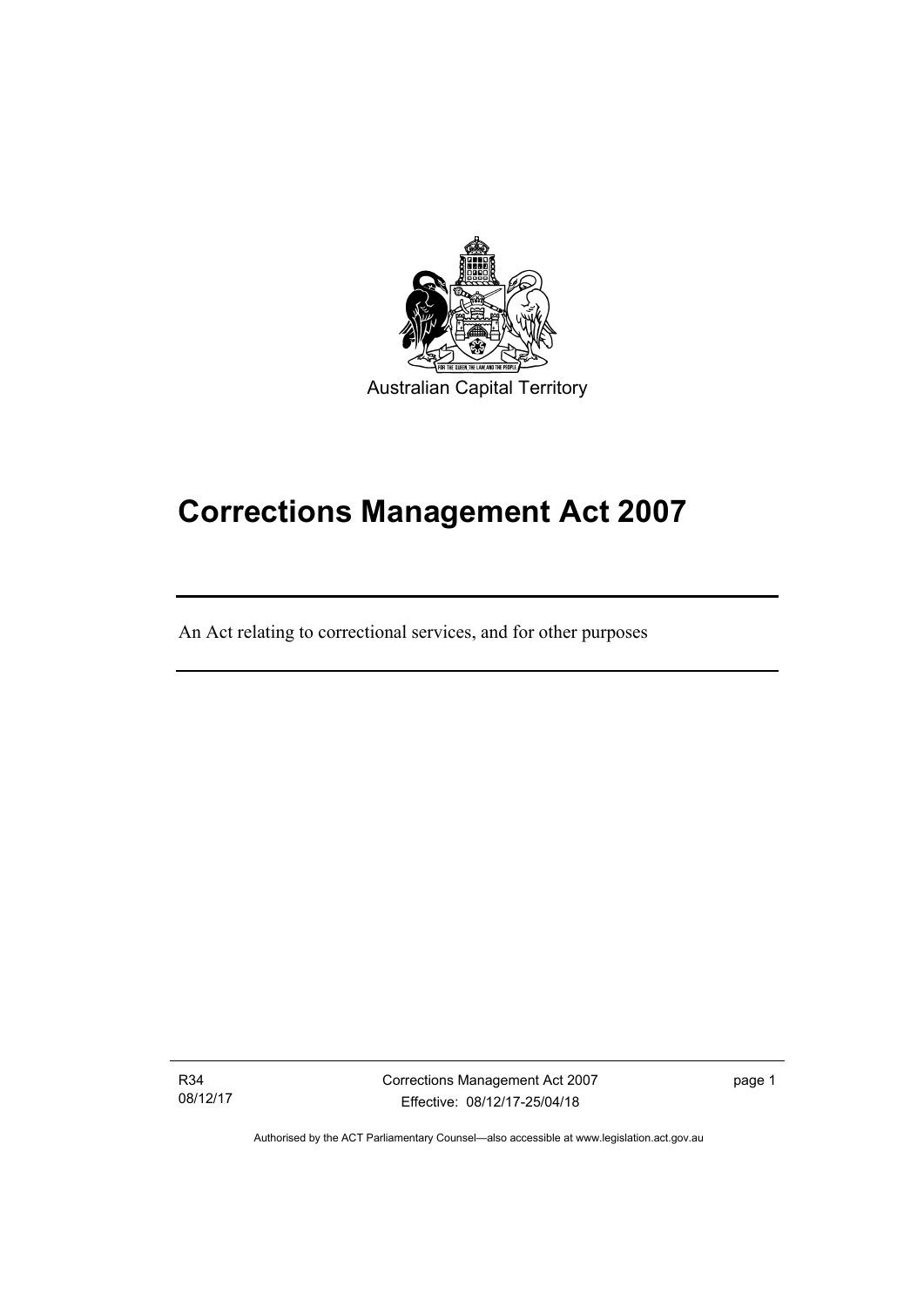

# **Corrections Management Act 2007**

An Act relating to correctional services, and for other purposes

R34 08/12/17

ׅ֚֡֡֡֡֬֝

Corrections Management Act 2007 Effective: 08/12/17-25/04/18

page 1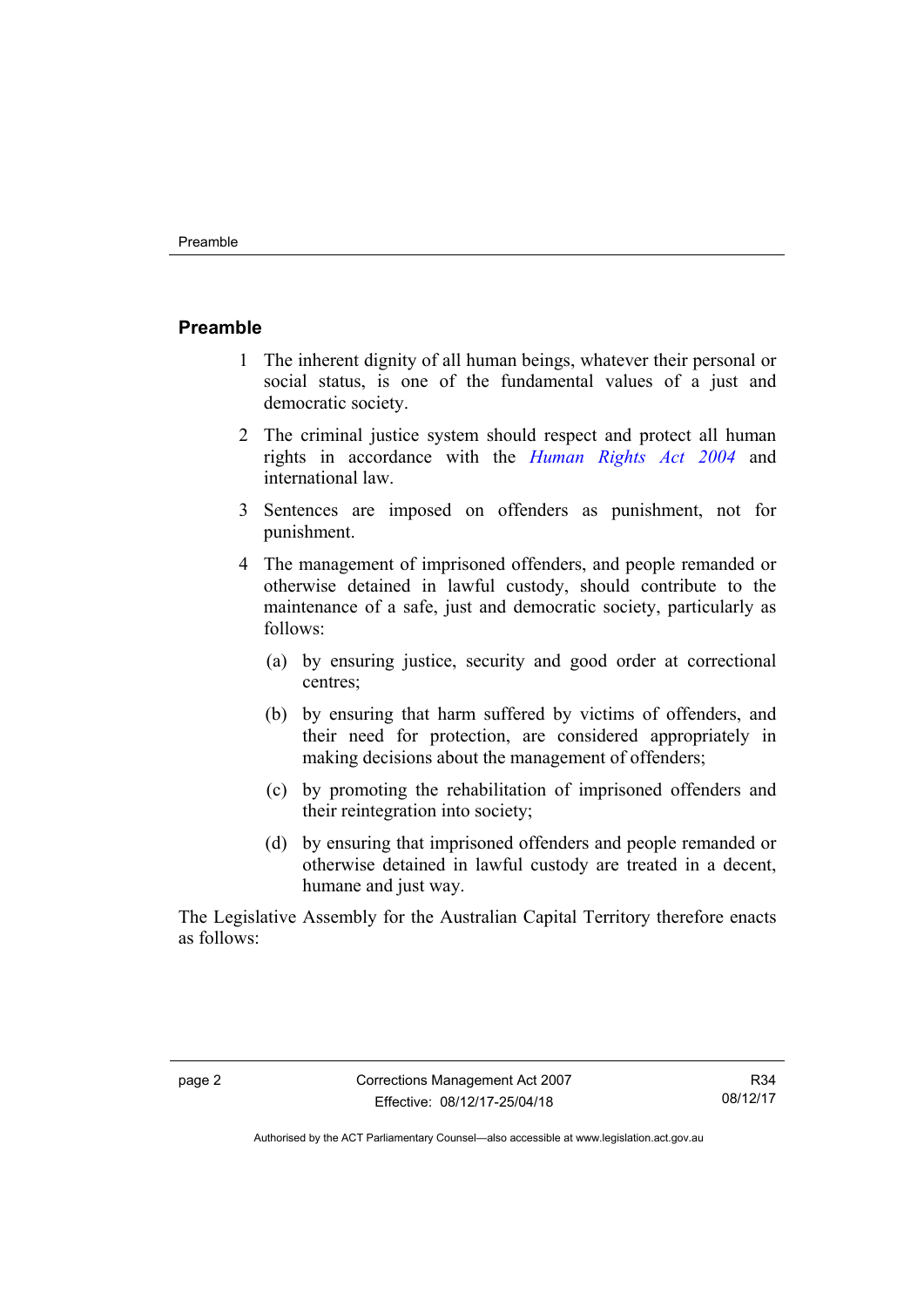### <span id="page-15-0"></span>**Preamble**

- 1 The inherent dignity of all human beings, whatever their personal or social status, is one of the fundamental values of a just and democratic society.
- 2 The criminal justice system should respect and protect all human rights in accordance with the *[Human Rights Act 2004](http://www.legislation.act.gov.au/a/2004-5)* and international law.
- 3 Sentences are imposed on offenders as punishment, not for punishment.
- 4 The management of imprisoned offenders, and people remanded or otherwise detained in lawful custody, should contribute to the maintenance of a safe, just and democratic society, particularly as follows:
	- (a) by ensuring justice, security and good order at correctional centres;
	- (b) by ensuring that harm suffered by victims of offenders, and their need for protection, are considered appropriately in making decisions about the management of offenders;
	- (c) by promoting the rehabilitation of imprisoned offenders and their reintegration into society;
	- (d) by ensuring that imprisoned offenders and people remanded or otherwise detained in lawful custody are treated in a decent, humane and just way.

The Legislative Assembly for the Australian Capital Territory therefore enacts as follows: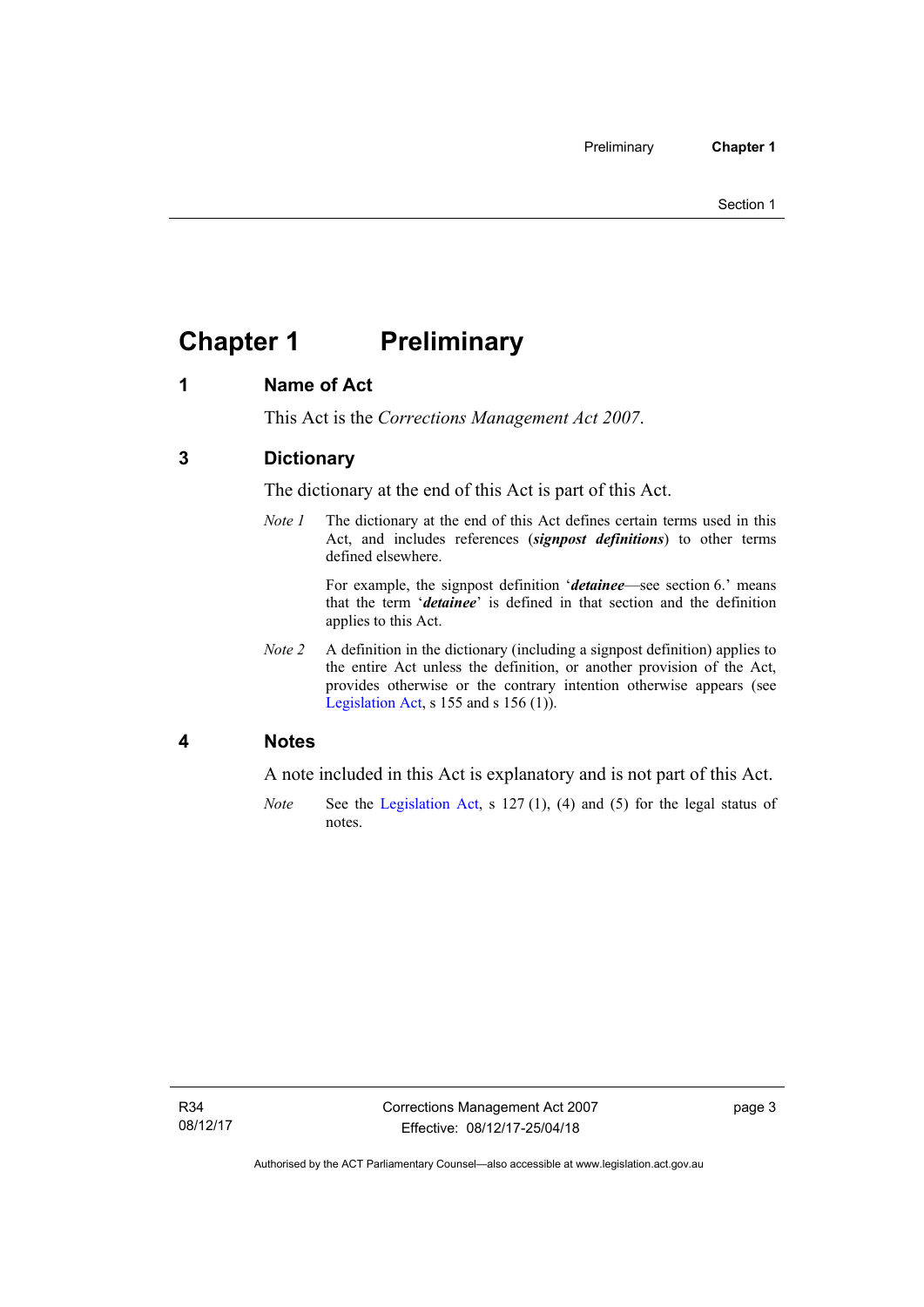# <span id="page-16-0"></span>**Chapter 1 Preliminary**

### <span id="page-16-1"></span>**1 Name of Act**

This Act is the *Corrections Management Act 2007*.

### <span id="page-16-2"></span>**3 Dictionary**

The dictionary at the end of this Act is part of this Act.

*Note 1* The dictionary at the end of this Act defines certain terms used in this Act, and includes references (*signpost definitions*) to other terms defined elsewhere.

> For example, the signpost definition '*detainee*—see section 6.' means that the term '*detainee*' is defined in that section and the definition applies to this Act.

*Note 2* A definition in the dictionary (including a signpost definition) applies to the entire Act unless the definition, or another provision of the Act, provides otherwise or the contrary intention otherwise appears (see [Legislation Act,](http://www.legislation.act.gov.au/a/2001-14) s 155 and s 156 (1)).

### <span id="page-16-3"></span>**4 Notes**

A note included in this Act is explanatory and is not part of this Act.

*Note* See the [Legislation Act,](http://www.legislation.act.gov.au/a/2001-14) s 127 (1), (4) and (5) for the legal status of notes.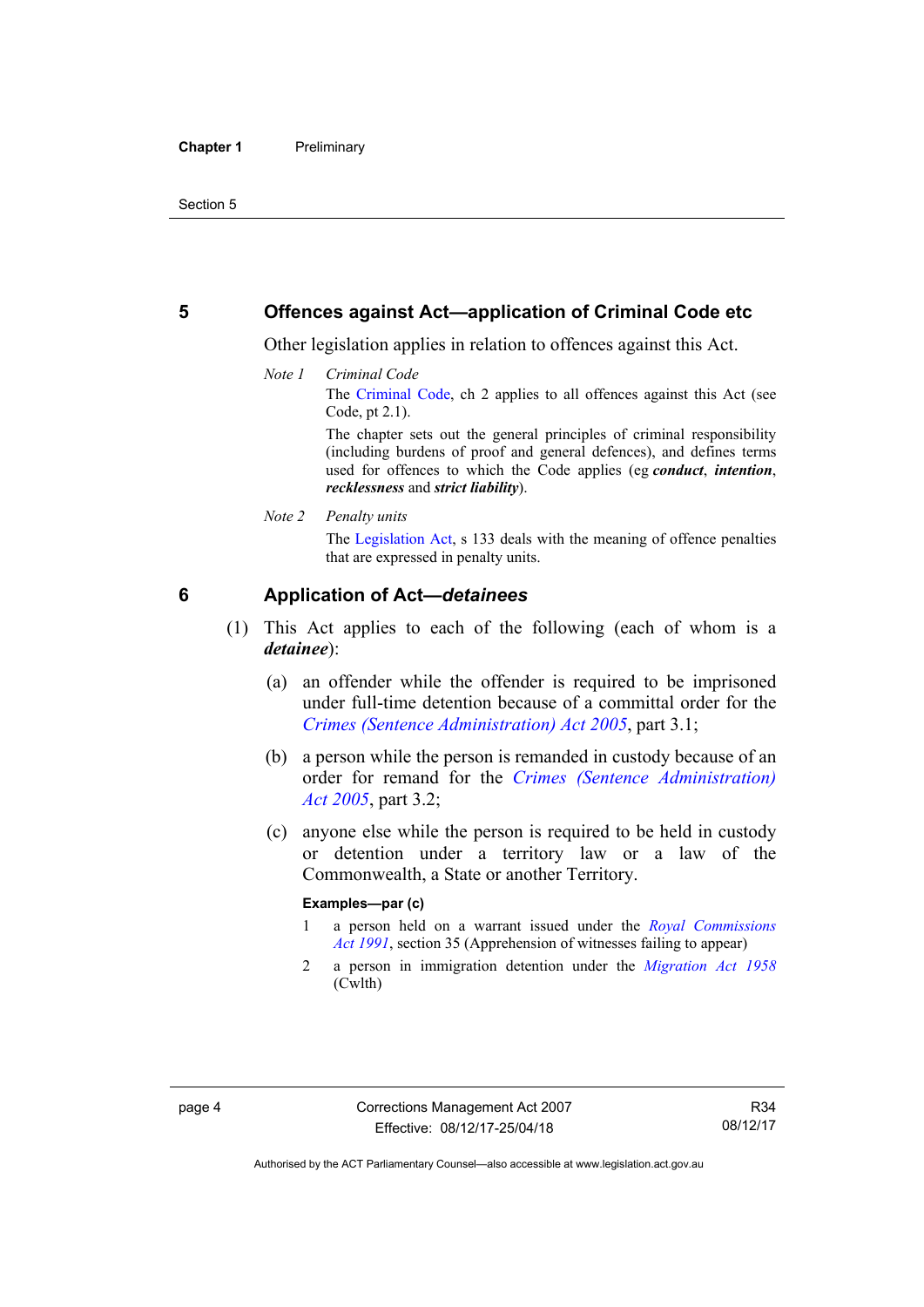### <span id="page-17-0"></span>**5 Offences against Act—application of Criminal Code etc**

Other legislation applies in relation to offences against this Act.

*Note 1 Criminal Code* The [Criminal Code](http://www.legislation.act.gov.au/a/2002-51), ch 2 applies to all offences against this Act (see Code, pt 2.1).

> The chapter sets out the general principles of criminal responsibility (including burdens of proof and general defences), and defines terms used for offences to which the Code applies (eg *conduct*, *intention*, *recklessness* and *strict liability*).

*Note 2 Penalty units* 

The [Legislation Act,](http://www.legislation.act.gov.au/a/2001-14) s 133 deals with the meaning of offence penalties that are expressed in penalty units.

### <span id="page-17-1"></span>**6 Application of Act—***detainees*

- (1) This Act applies to each of the following (each of whom is a *detainee*):
	- (a) an offender while the offender is required to be imprisoned under full-time detention because of a committal order for the *[Crimes \(Sentence Administration\) Act 2005](http://www.legislation.act.gov.au/a/2005-59)*, part 3.1;
	- (b) a person while the person is remanded in custody because of an order for remand for the *[Crimes \(Sentence Administration\)](http://www.legislation.act.gov.au/a/2005-59)  [Act 2005](http://www.legislation.act.gov.au/a/2005-59)*, part 3.2;
	- (c) anyone else while the person is required to be held in custody or detention under a territory law or a law of the Commonwealth, a State or another Territory.

### **Examples—par (c)**

- 1 a person held on a warrant issued under the *[Royal Commissions](http://www.legislation.act.gov.au/a/1991-1)  [Act 1991](http://www.legislation.act.gov.au/a/1991-1)*, section 35 (Apprehension of witnesses failing to appear)
- 2 a person in immigration detention under the *[Migration Act 1958](http://www.comlaw.gov.au/Series/C2004A07412)* (Cwlth)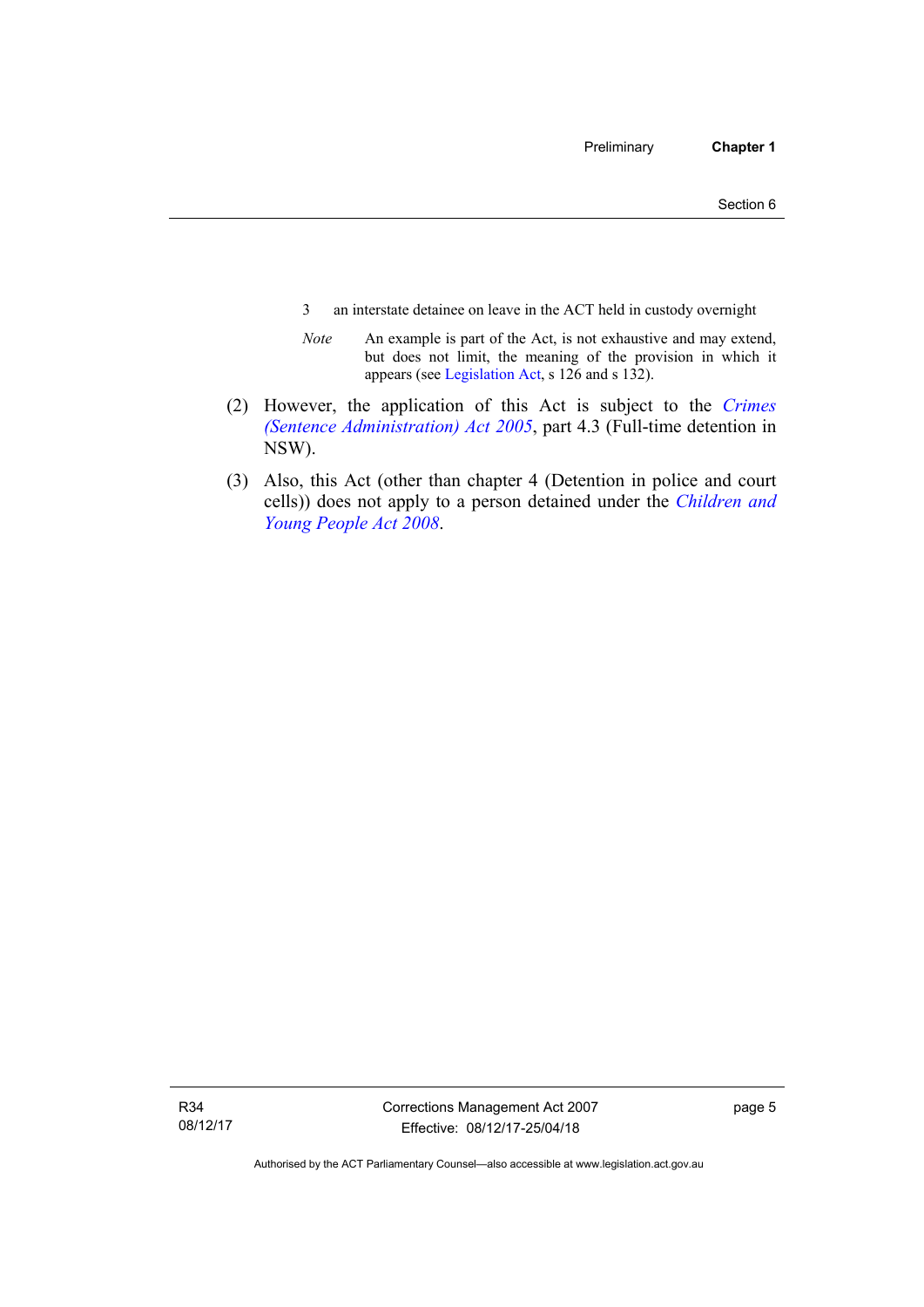- 3 an interstate detainee on leave in the ACT held in custody overnight
- *Note* An example is part of the Act, is not exhaustive and may extend, but does not limit, the meaning of the provision in which it appears (see [Legislation Act,](http://www.legislation.act.gov.au/a/2001-14) s 126 and s 132).
- (2) However, the application of this Act is subject to the *[Crimes](http://www.legislation.act.gov.au/a/2005-59)  [\(Sentence Administration\) Act 2005](http://www.legislation.act.gov.au/a/2005-59)*, part 4.3 (Full-time detention in NSW).
- (3) Also, this Act (other than chapter 4 (Detention in police and court cells)) does not apply to a person detained under the *[Children and](http://www.legislation.act.gov.au/a/2008-19)  [Young People Act 2008](http://www.legislation.act.gov.au/a/2008-19)*.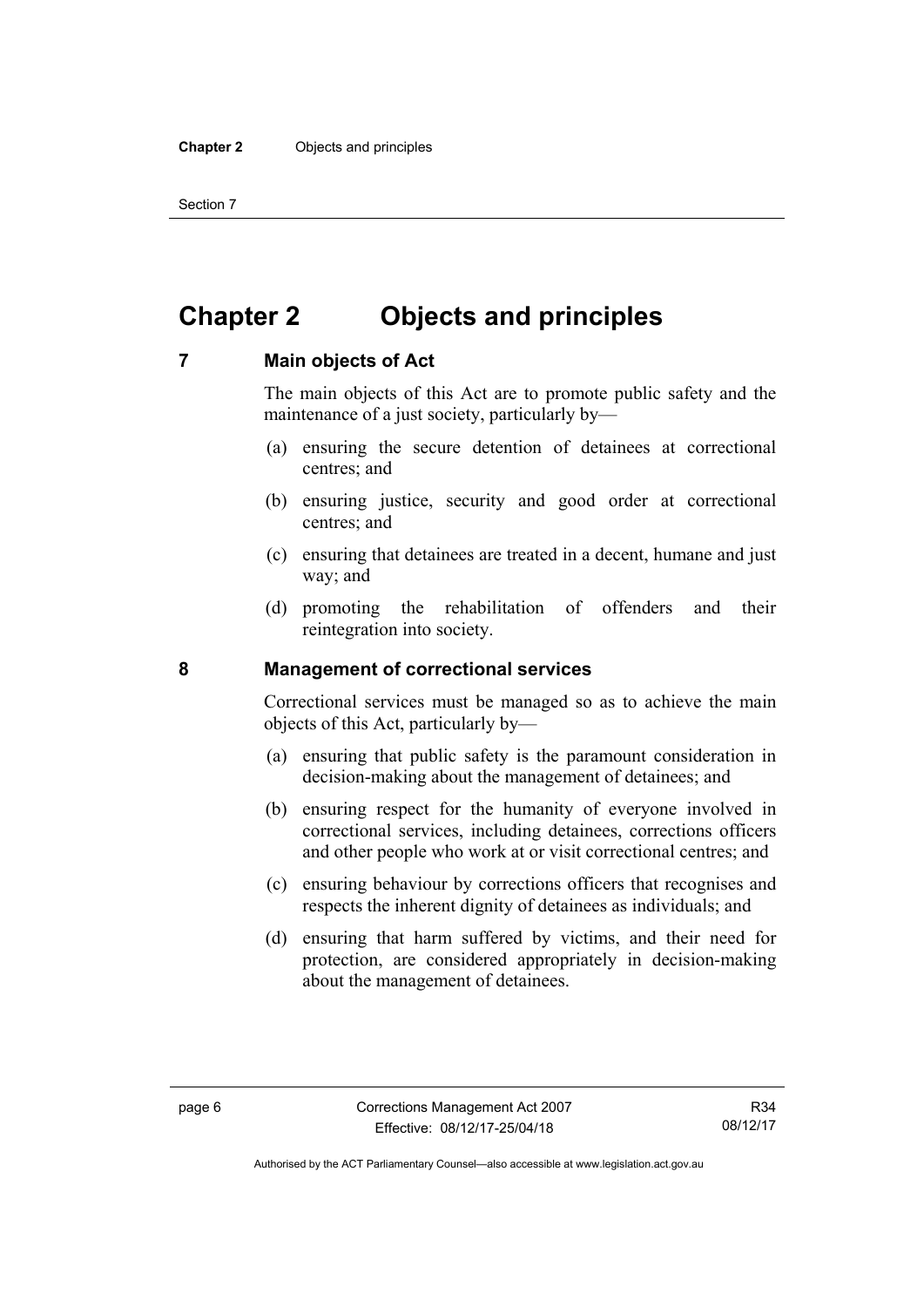Section 7

# <span id="page-19-0"></span>**Chapter 2 Objects and principles**

### <span id="page-19-1"></span>**7 Main objects of Act**

The main objects of this Act are to promote public safety and the maintenance of a just society, particularly by—

- (a) ensuring the secure detention of detainees at correctional centres; and
- (b) ensuring justice, security and good order at correctional centres; and
- (c) ensuring that detainees are treated in a decent, humane and just way; and
- (d) promoting the rehabilitation of offenders and their reintegration into society.

### <span id="page-19-2"></span>**8 Management of correctional services**

Correctional services must be managed so as to achieve the main objects of this Act, particularly by—

- (a) ensuring that public safety is the paramount consideration in decision-making about the management of detainees; and
- (b) ensuring respect for the humanity of everyone involved in correctional services, including detainees, corrections officers and other people who work at or visit correctional centres; and
- (c) ensuring behaviour by corrections officers that recognises and respects the inherent dignity of detainees as individuals; and
- (d) ensuring that harm suffered by victims, and their need for protection, are considered appropriately in decision-making about the management of detainees.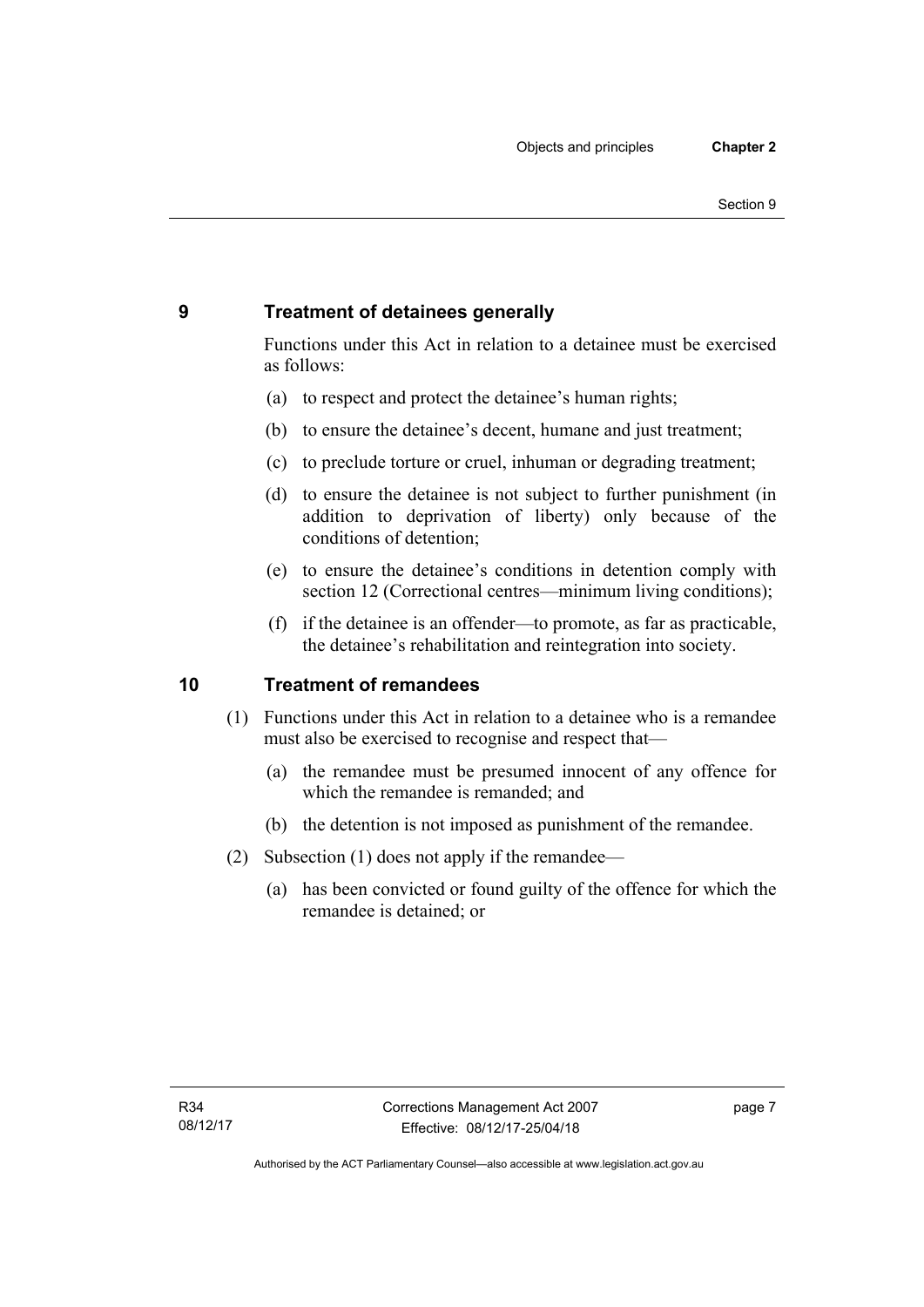### <span id="page-20-0"></span>**9 Treatment of detainees generally**

Functions under this Act in relation to a detainee must be exercised as follows:

- (a) to respect and protect the detainee's human rights;
- (b) to ensure the detainee's decent, humane and just treatment;
- (c) to preclude torture or cruel, inhuman or degrading treatment;
- (d) to ensure the detainee is not subject to further punishment (in addition to deprivation of liberty) only because of the conditions of detention;
- (e) to ensure the detainee's conditions in detention comply with section 12 (Correctional centres—minimum living conditions);
- (f) if the detainee is an offender—to promote, as far as practicable, the detainee's rehabilitation and reintegration into society.

### <span id="page-20-1"></span>**10 Treatment of remandees**

- (1) Functions under this Act in relation to a detainee who is a remandee must also be exercised to recognise and respect that—
	- (a) the remandee must be presumed innocent of any offence for which the remandee is remanded; and
	- (b) the detention is not imposed as punishment of the remandee.
- (2) Subsection (1) does not apply if the remandee—
	- (a) has been convicted or found guilty of the offence for which the remandee is detained; or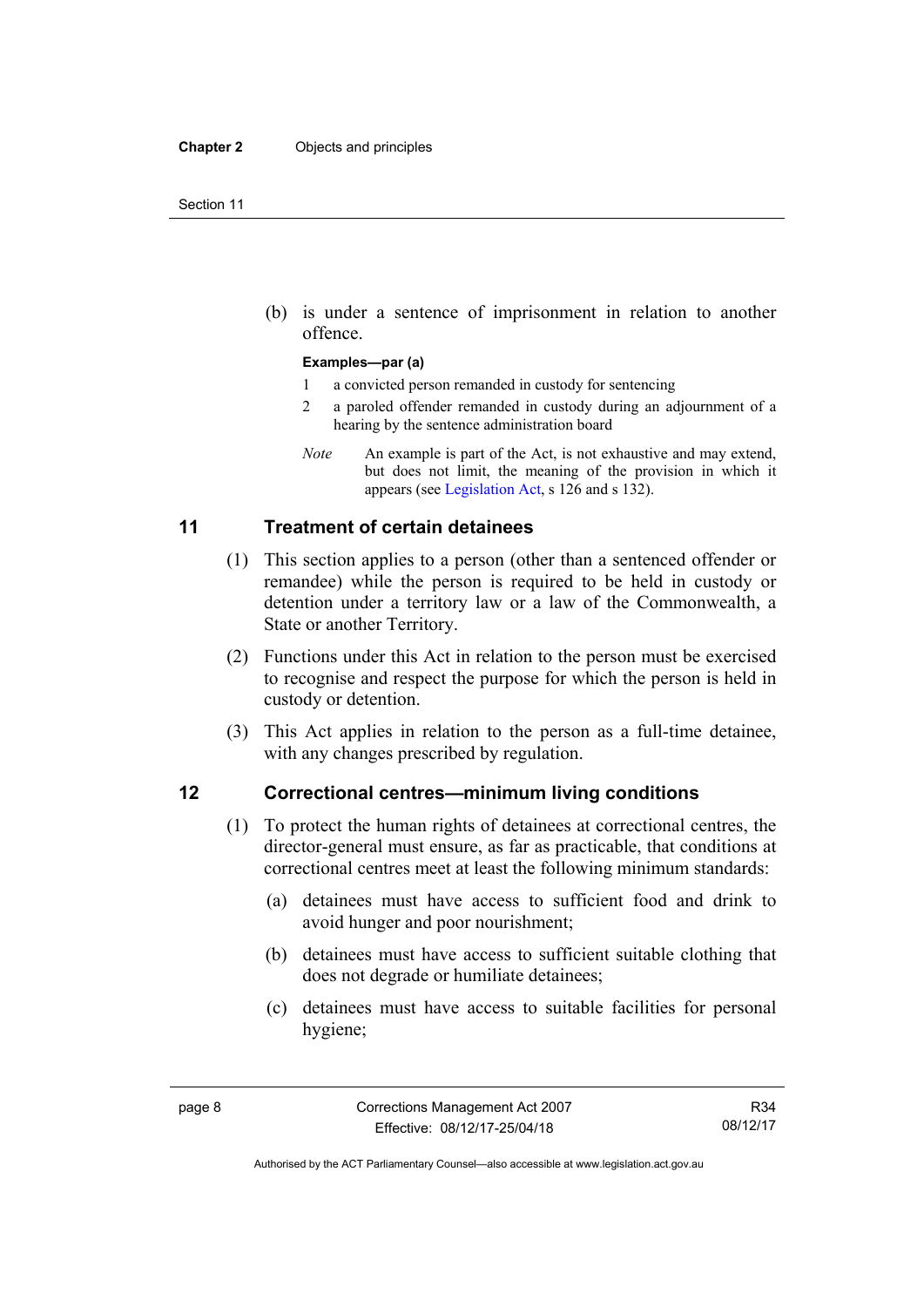(b) is under a sentence of imprisonment in relation to another offence.

#### **Examples—par (a)**

- 1 a convicted person remanded in custody for sentencing
- 2 a paroled offender remanded in custody during an adjournment of a hearing by the sentence administration board
- *Note* An example is part of the Act, is not exhaustive and may extend, but does not limit, the meaning of the provision in which it appears (see [Legislation Act,](http://www.legislation.act.gov.au/a/2001-14) s 126 and s 132).

### <span id="page-21-0"></span>**11 Treatment of certain detainees**

- (1) This section applies to a person (other than a sentenced offender or remandee) while the person is required to be held in custody or detention under a territory law or a law of the Commonwealth, a State or another Territory.
- (2) Functions under this Act in relation to the person must be exercised to recognise and respect the purpose for which the person is held in custody or detention.
- (3) This Act applies in relation to the person as a full-time detainee, with any changes prescribed by regulation.

### <span id="page-21-1"></span>**12 Correctional centres—minimum living conditions**

- (1) To protect the human rights of detainees at correctional centres, the director-general must ensure, as far as practicable, that conditions at correctional centres meet at least the following minimum standards:
	- (a) detainees must have access to sufficient food and drink to avoid hunger and poor nourishment;
	- (b) detainees must have access to sufficient suitable clothing that does not degrade or humiliate detainees;
	- (c) detainees must have access to suitable facilities for personal hygiene;

Authorised by the ACT Parliamentary Counsel—also accessible at www.legislation.act.gov.au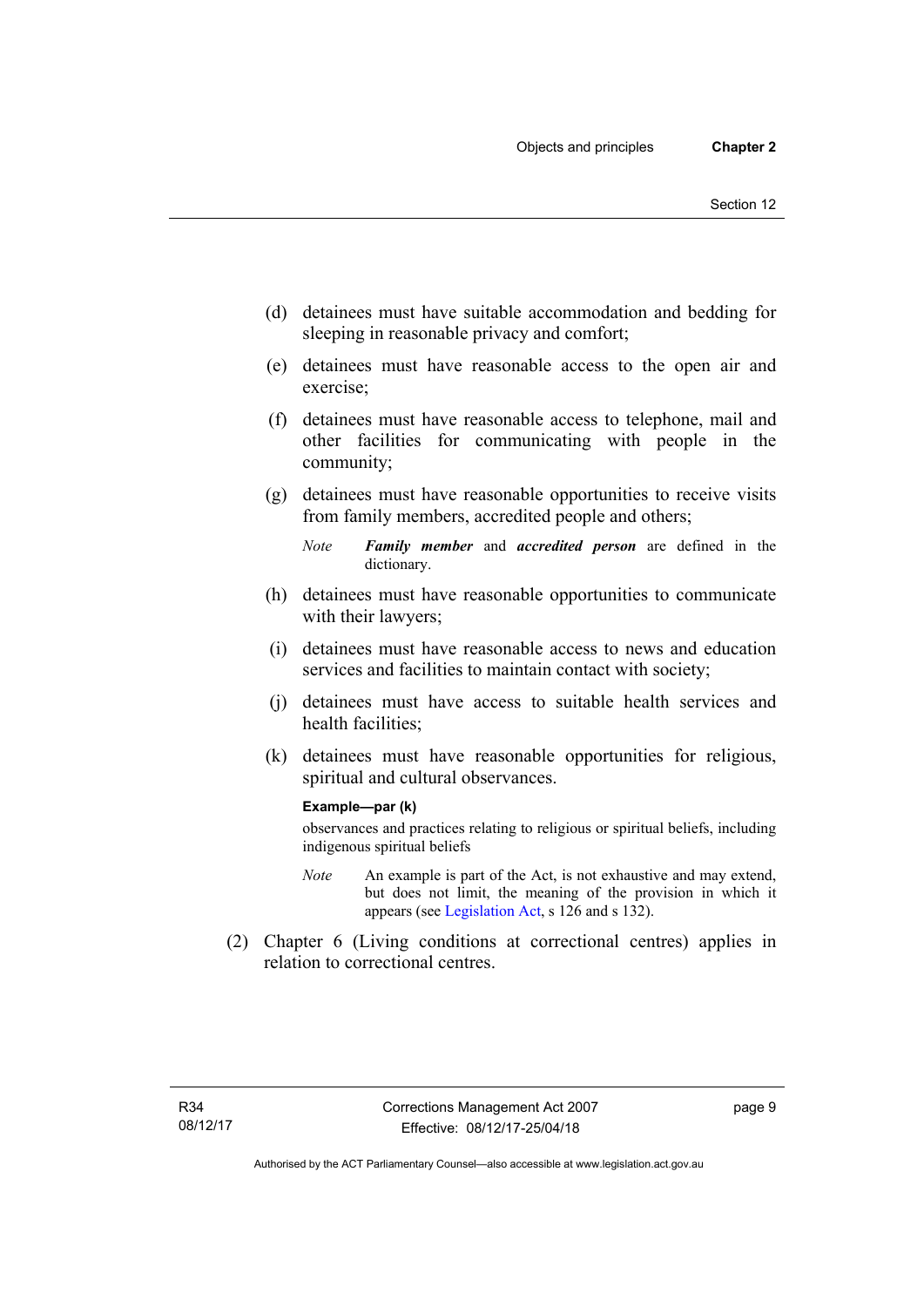- (d) detainees must have suitable accommodation and bedding for sleeping in reasonable privacy and comfort;
- (e) detainees must have reasonable access to the open air and exercise;
- (f) detainees must have reasonable access to telephone, mail and other facilities for communicating with people in the community;
- (g) detainees must have reasonable opportunities to receive visits from family members, accredited people and others;
	- *Note Family member* and *accredited person* are defined in the dictionary.
- (h) detainees must have reasonable opportunities to communicate with their lawyers;
- (i) detainees must have reasonable access to news and education services and facilities to maintain contact with society;
- (j) detainees must have access to suitable health services and health facilities;
- (k) detainees must have reasonable opportunities for religious, spiritual and cultural observances.

### **Example—par (k)**

observances and practices relating to religious or spiritual beliefs, including indigenous spiritual beliefs

- *Note* An example is part of the Act, is not exhaustive and may extend, but does not limit, the meaning of the provision in which it appears (see [Legislation Act,](http://www.legislation.act.gov.au/a/2001-14) s 126 and s 132).
- (2) Chapter 6 (Living conditions at correctional centres) applies in relation to correctional centres.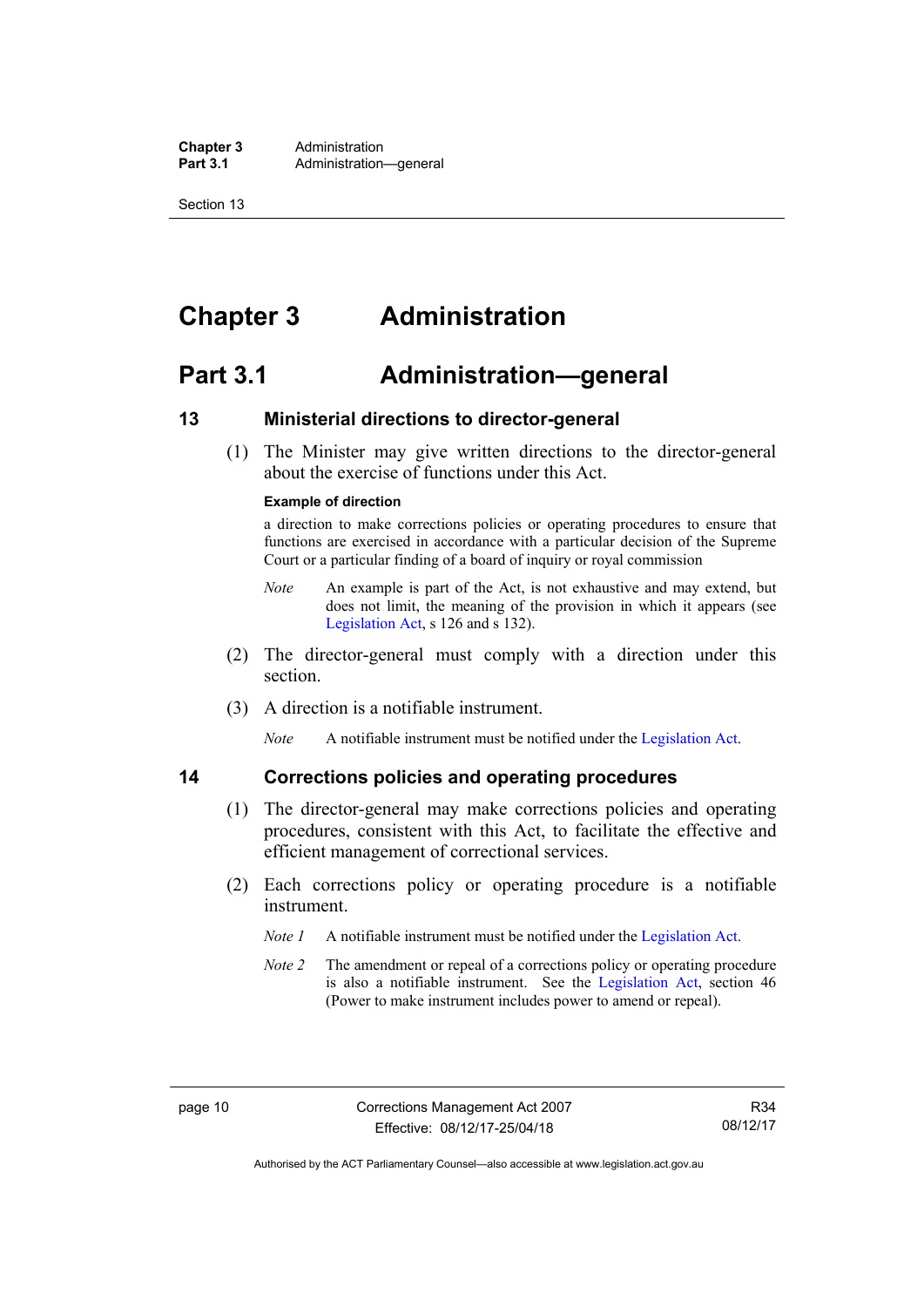**Chapter 3** Administration<br> **Part 3.1** Administration Administration—general

Section 13

# <span id="page-23-0"></span>**Chapter 3 Administration**

### <span id="page-23-1"></span>**Part 3.1 Administration—general**

### <span id="page-23-2"></span>**13 Ministerial directions to director-general**

 (1) The Minister may give written directions to the director-general about the exercise of functions under this Act.

#### **Example of direction**

a direction to make corrections policies or operating procedures to ensure that functions are exercised in accordance with a particular decision of the Supreme Court or a particular finding of a board of inquiry or royal commission

- *Note* An example is part of the Act, is not exhaustive and may extend, but does not limit, the meaning of the provision in which it appears (see [Legislation Act,](http://www.legislation.act.gov.au/a/2001-14) s 126 and s 132).
- (2) The director-general must comply with a direction under this section.
- (3) A direction is a notifiable instrument.

*Note* A notifiable instrument must be notified under the [Legislation Act](http://www.legislation.act.gov.au/a/2001-14).

### <span id="page-23-3"></span>**14 Corrections policies and operating procedures**

- (1) The director-general may make corrections policies and operating procedures, consistent with this Act, to facilitate the effective and efficient management of correctional services.
- (2) Each corrections policy or operating procedure is a notifiable instrument.
	- *Note 1* A notifiable instrument must be notified under the [Legislation Act](http://www.legislation.act.gov.au/a/2001-14).
	- *Note 2* The amendment or repeal of a corrections policy or operating procedure is also a notifiable instrument. See the [Legislation Act,](http://www.legislation.act.gov.au/a/2001-14) section 46 (Power to make instrument includes power to amend or repeal).

Authorised by the ACT Parliamentary Counsel—also accessible at www.legislation.act.gov.au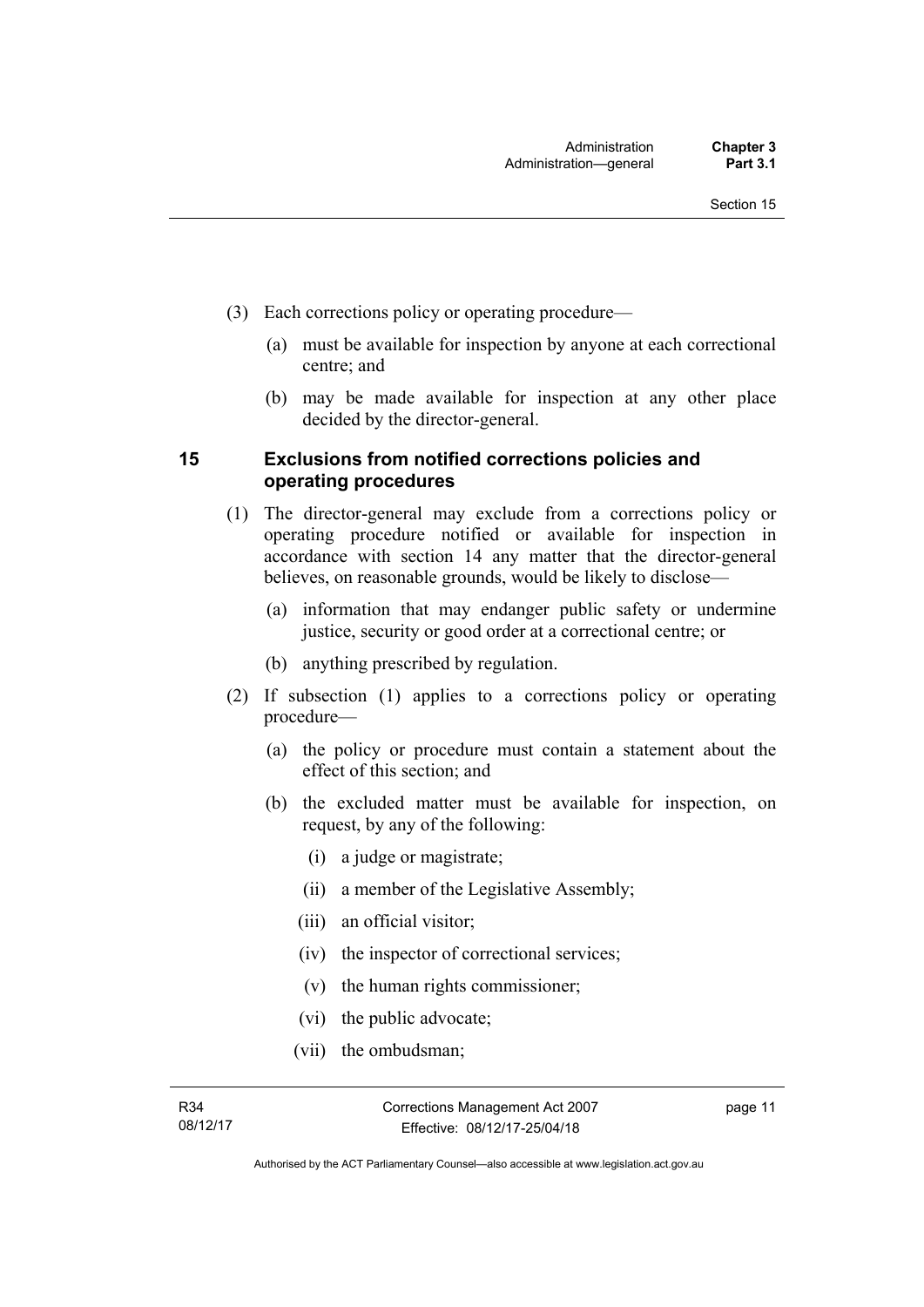- (3) Each corrections policy or operating procedure—
	- (a) must be available for inspection by anyone at each correctional centre; and
	- (b) may be made available for inspection at any other place decided by the director-general.

### <span id="page-24-0"></span>**15 Exclusions from notified corrections policies and operating procedures**

- (1) The director-general may exclude from a corrections policy or operating procedure notified or available for inspection in accordance with section 14 any matter that the director-general believes, on reasonable grounds, would be likely to disclose—
	- (a) information that may endanger public safety or undermine justice, security or good order at a correctional centre; or
	- (b) anything prescribed by regulation.
- (2) If subsection (1) applies to a corrections policy or operating procedure—
	- (a) the policy or procedure must contain a statement about the effect of this section; and
	- (b) the excluded matter must be available for inspection, on request, by any of the following:
		- (i) a judge or magistrate;
		- (ii) a member of the Legislative Assembly;
		- (iii) an official visitor;
		- (iv) the inspector of correctional services;
		- (v) the human rights commissioner;
		- (vi) the public advocate;
		- (vii) the ombudsman;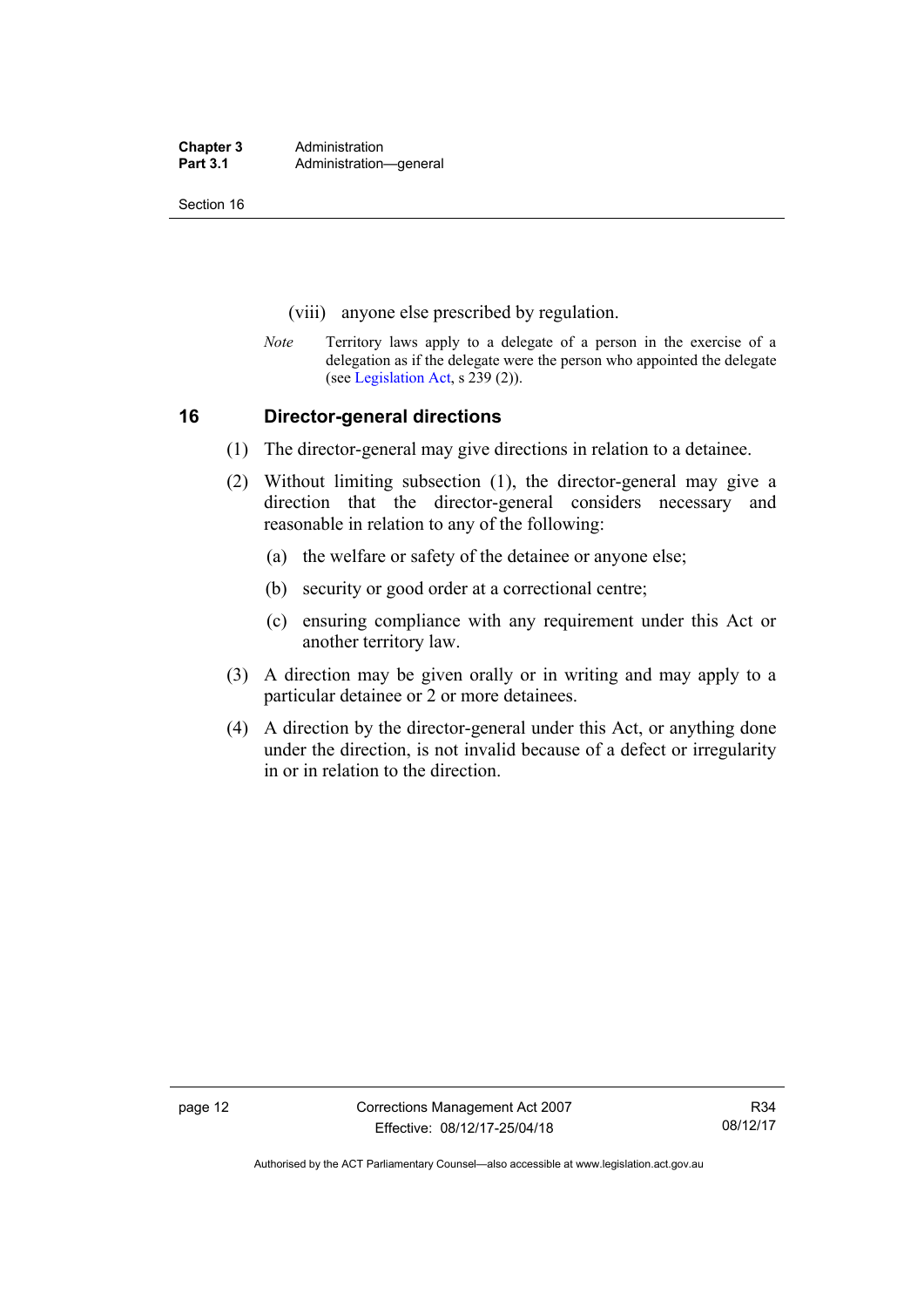**Chapter 3** Administration<br>**Part 3.1** Administration Administration—general

Section 16

- (viii) anyone else prescribed by regulation.
- *Note* Territory laws apply to a delegate of a person in the exercise of a delegation as if the delegate were the person who appointed the delegate (see [Legislation Act,](http://www.legislation.act.gov.au/a/2001-14) s 239 (2)).

### <span id="page-25-0"></span>**16 Director-general directions**

- (1) The director-general may give directions in relation to a detainee.
- (2) Without limiting subsection (1), the director-general may give a direction that the director-general considers necessary and reasonable in relation to any of the following:
	- (a) the welfare or safety of the detainee or anyone else;
	- (b) security or good order at a correctional centre;
	- (c) ensuring compliance with any requirement under this Act or another territory law.
- (3) A direction may be given orally or in writing and may apply to a particular detainee or 2 or more detainees.
- (4) A direction by the director-general under this Act, or anything done under the direction, is not invalid because of a defect or irregularity in or in relation to the direction.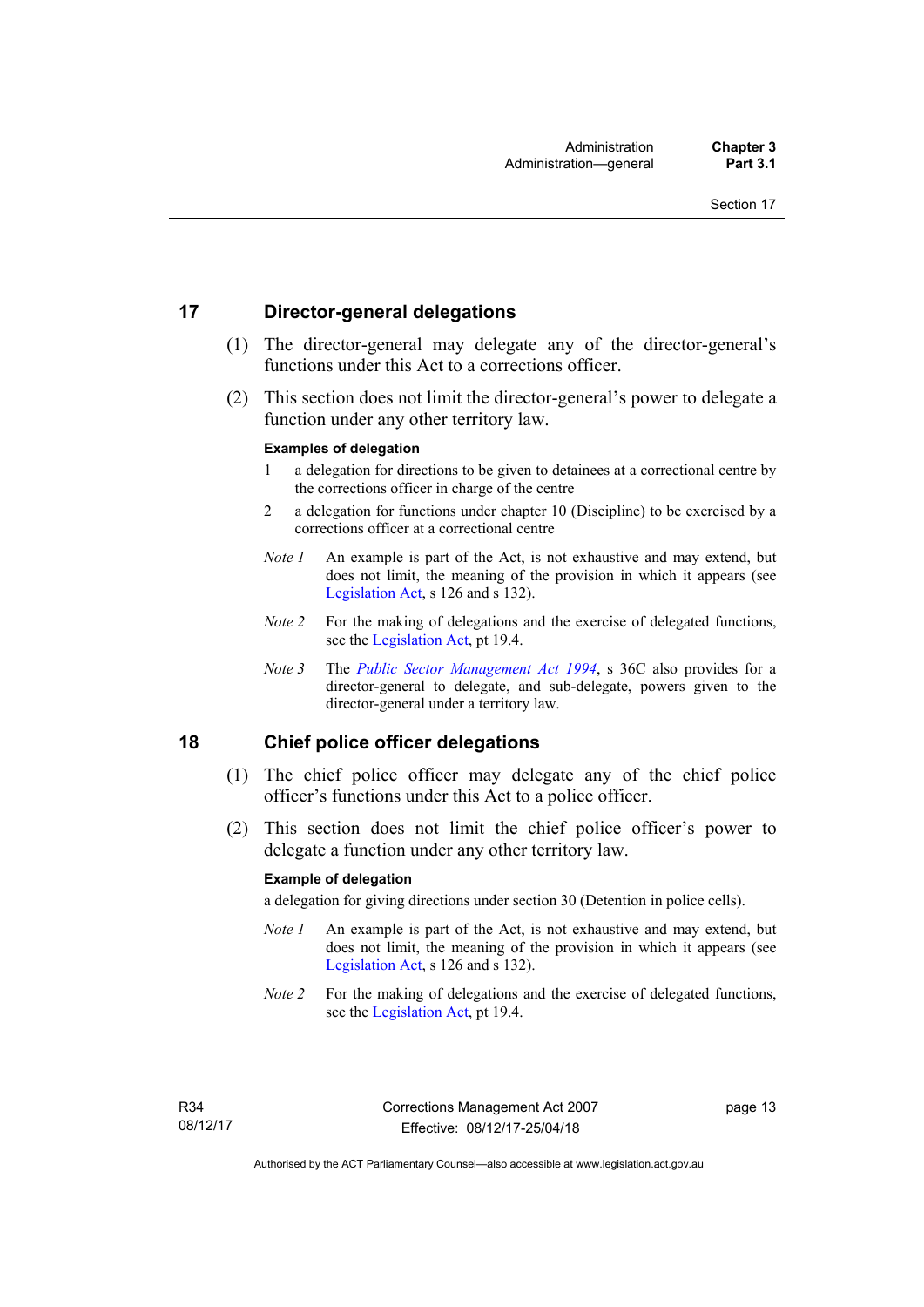### <span id="page-26-0"></span>**17 Director-general delegations**

- (1) The director-general may delegate any of the director-general's functions under this Act to a corrections officer.
- (2) This section does not limit the director-general's power to delegate a function under any other territory law.

### **Examples of delegation**

- 1 a delegation for directions to be given to detainees at a correctional centre by the corrections officer in charge of the centre
- 2 a delegation for functions under chapter 10 (Discipline) to be exercised by a corrections officer at a correctional centre
- *Note 1* An example is part of the Act, is not exhaustive and may extend, but does not limit, the meaning of the provision in which it appears (see [Legislation Act,](http://www.legislation.act.gov.au/a/2001-14) s 126 and s 132).
- *Note 2* For the making of delegations and the exercise of delegated functions, see the [Legislation Act,](http://www.legislation.act.gov.au/a/2001-14) pt 19.4.
- *Note 3* The *[Public Sector Management Act 1994](http://www.legislation.act.gov.au/a/1994-37)*, s 36C also provides for a director-general to delegate, and sub-delegate, powers given to the director-general under a territory law.

### <span id="page-26-1"></span>**18 Chief police officer delegations**

- (1) The chief police officer may delegate any of the chief police officer's functions under this Act to a police officer.
- (2) This section does not limit the chief police officer's power to delegate a function under any other territory law.

### **Example of delegation**

a delegation for giving directions under section 30 (Detention in police cells).

- *Note 1* An example is part of the Act, is not exhaustive and may extend, but does not limit, the meaning of the provision in which it appears (see [Legislation Act,](http://www.legislation.act.gov.au/a/2001-14) s 126 and s 132).
- *Note 2* For the making of delegations and the exercise of delegated functions, see the [Legislation Act,](http://www.legislation.act.gov.au/a/2001-14) pt 19.4.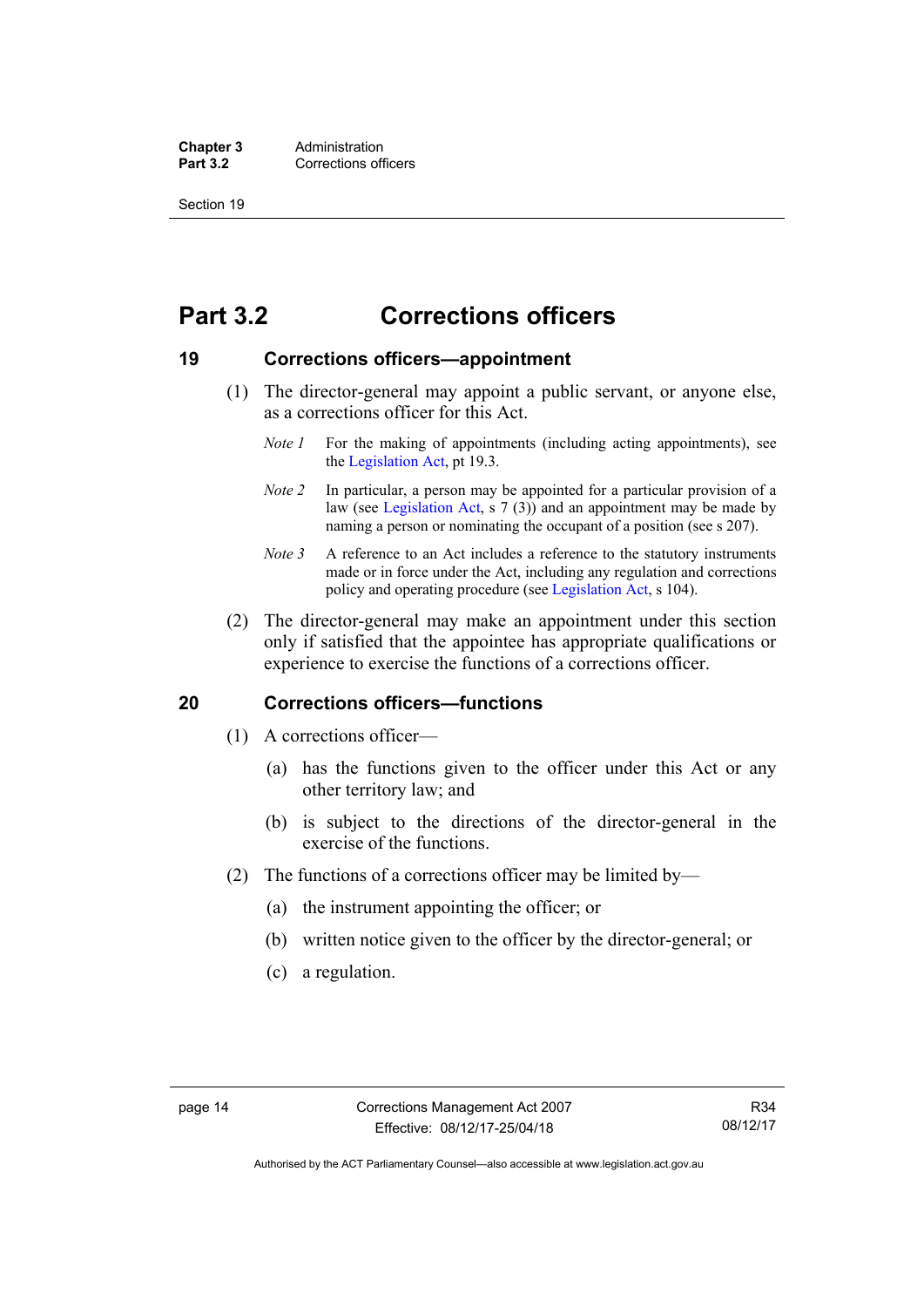**Chapter 3** Administration<br> **Part 3.2** Corrections off **Corrections officers** 

Section 19

### <span id="page-27-0"></span>**Part 3.2 Corrections officers**

### <span id="page-27-1"></span>**19 Corrections officers—appointment**

- (1) The director-general may appoint a public servant, or anyone else, as a corrections officer for this Act.
	- *Note 1* For the making of appointments (including acting appointments), see the [Legislation Act,](http://www.legislation.act.gov.au/a/2001-14) pt 19.3.
	- *Note 2* In particular, a person may be appointed for a particular provision of a law (see [Legislation Act,](http://www.legislation.act.gov.au/a/2001-14) s 7 (3)) and an appointment may be made by naming a person or nominating the occupant of a position (see s 207).
	- *Note 3* A reference to an Act includes a reference to the statutory instruments made or in force under the Act, including any regulation and corrections policy and operating procedure (see [Legislation Act,](http://www.legislation.act.gov.au/a/2001-14) s 104).
- (2) The director-general may make an appointment under this section only if satisfied that the appointee has appropriate qualifications or experience to exercise the functions of a corrections officer.

### <span id="page-27-2"></span>**20 Corrections officers—functions**

- (1) A corrections officer—
	- (a) has the functions given to the officer under this Act or any other territory law; and
	- (b) is subject to the directions of the director-general in the exercise of the functions.
- (2) The functions of a corrections officer may be limited by—
	- (a) the instrument appointing the officer; or
	- (b) written notice given to the officer by the director-general; or
	- (c) a regulation.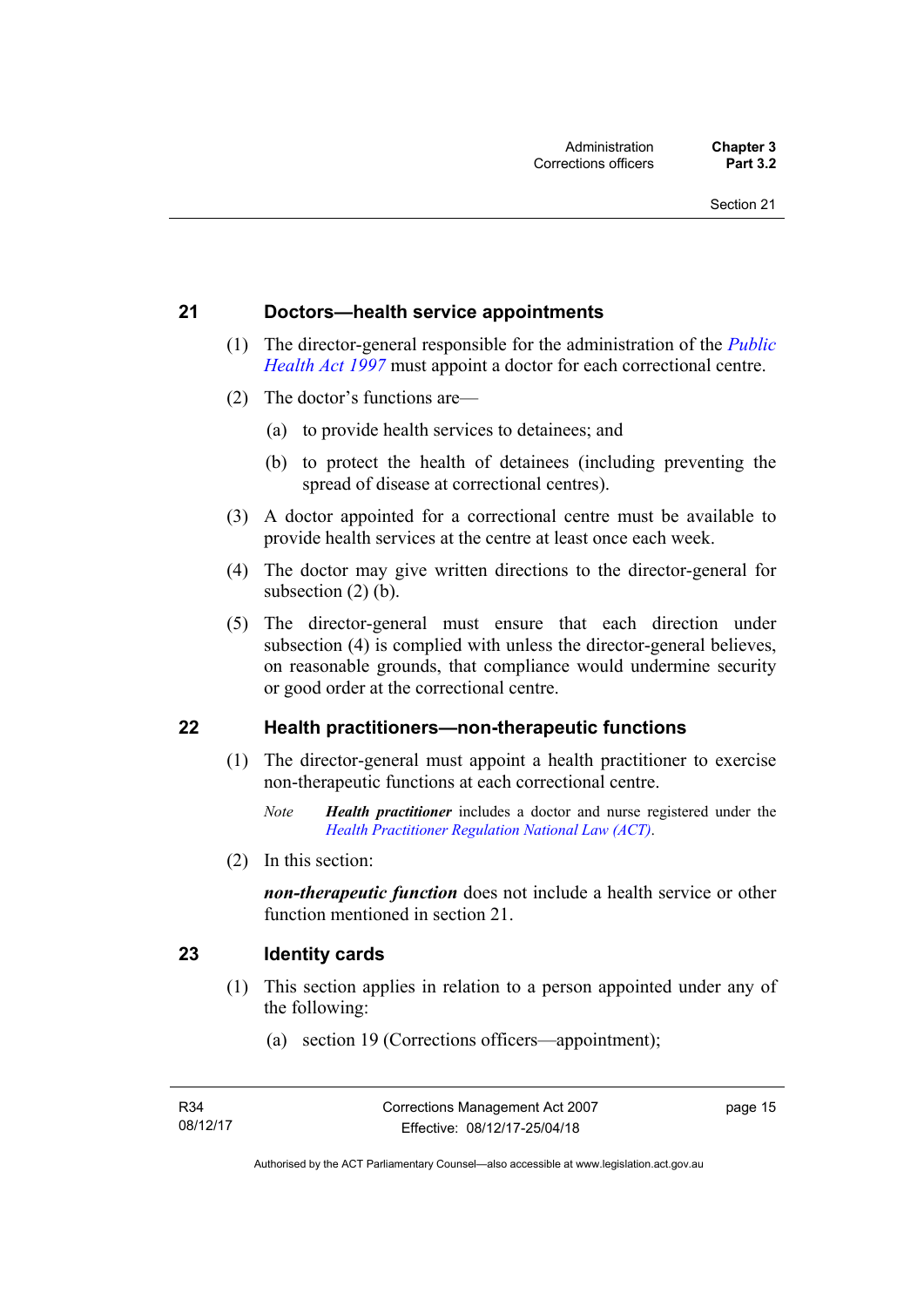### <span id="page-28-0"></span>**21 Doctors—health service appointments**

- (1) The director-general responsible for the administration of the *[Public](http://www.legislation.act.gov.au/a/1997-69)  [Health Act 1997](http://www.legislation.act.gov.au/a/1997-69)* must appoint a doctor for each correctional centre.
- (2) The doctor's functions are—
	- (a) to provide health services to detainees; and
	- (b) to protect the health of detainees (including preventing the spread of disease at correctional centres).
- (3) A doctor appointed for a correctional centre must be available to provide health services at the centre at least once each week.
- (4) The doctor may give written directions to the director-general for subsection (2) (b).
- (5) The director-general must ensure that each direction under subsection (4) is complied with unless the director-general believes, on reasonable grounds, that compliance would undermine security or good order at the correctional centre.

### <span id="page-28-1"></span>**22 Health practitioners—non-therapeutic functions**

- (1) The director-general must appoint a health practitioner to exercise non-therapeutic functions at each correctional centre.
	- *Note Health practitioner* includes a doctor and nurse registered under the *[Health Practitioner Regulation National Law \(ACT\)](http://www.legislation.act.gov.au/a/db_39269/default.asp)*.
- (2) In this section:

*non-therapeutic function* does not include a health service or other function mentioned in section 21.

### <span id="page-28-2"></span>**23 Identity cards**

- (1) This section applies in relation to a person appointed under any of the following:
	- (a) section 19 (Corrections officers—appointment);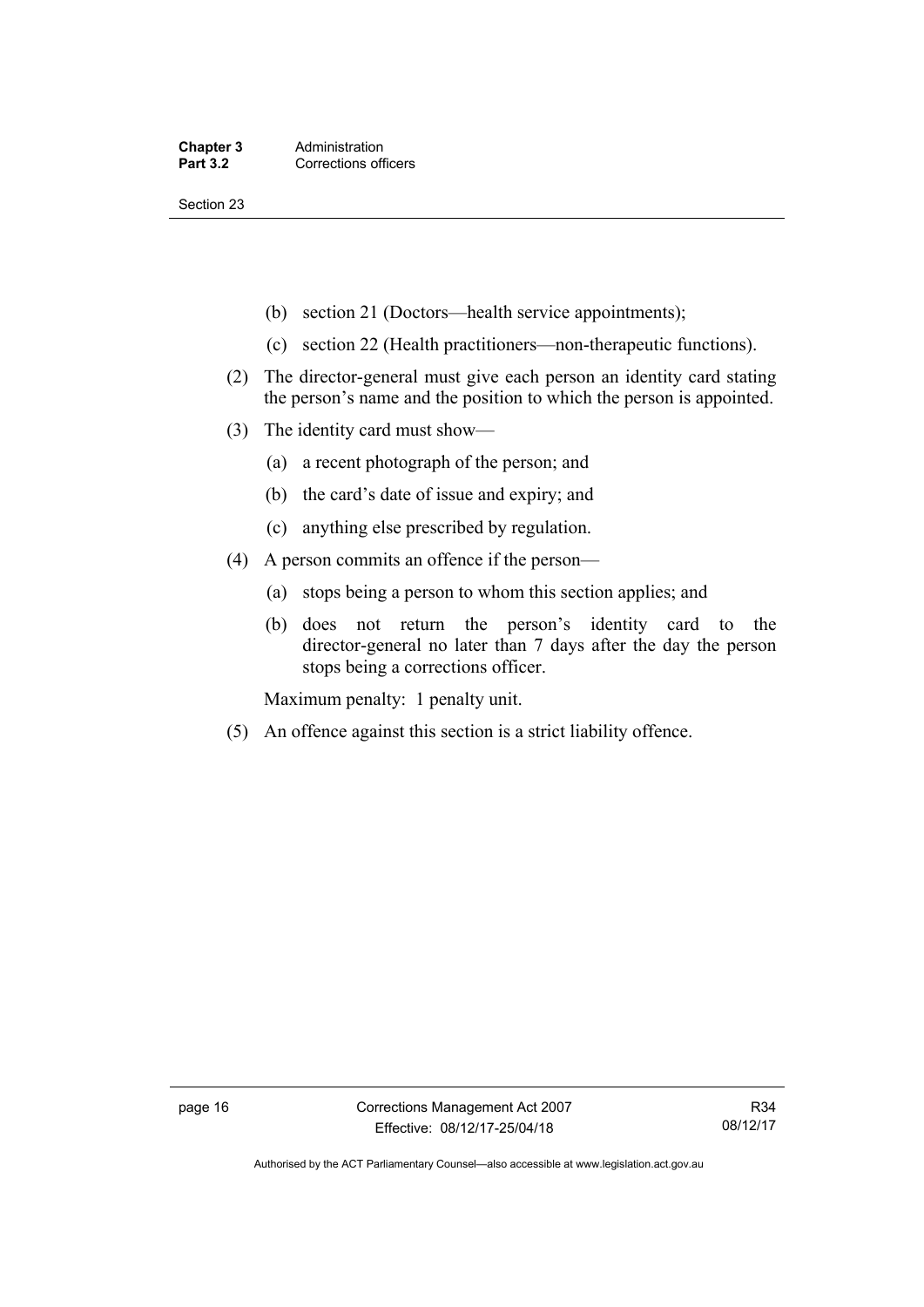Section 23

- (b) section 21 (Doctors—health service appointments);
- (c) section 22 (Health practitioners—non-therapeutic functions).
- (2) The director-general must give each person an identity card stating the person's name and the position to which the person is appointed.
- (3) The identity card must show—
	- (a) a recent photograph of the person; and
	- (b) the card's date of issue and expiry; and
	- (c) anything else prescribed by regulation.
- (4) A person commits an offence if the person—
	- (a) stops being a person to whom this section applies; and
	- (b) does not return the person's identity card to the director-general no later than 7 days after the day the person stops being a corrections officer.

Maximum penalty: 1 penalty unit.

(5) An offence against this section is a strict liability offence.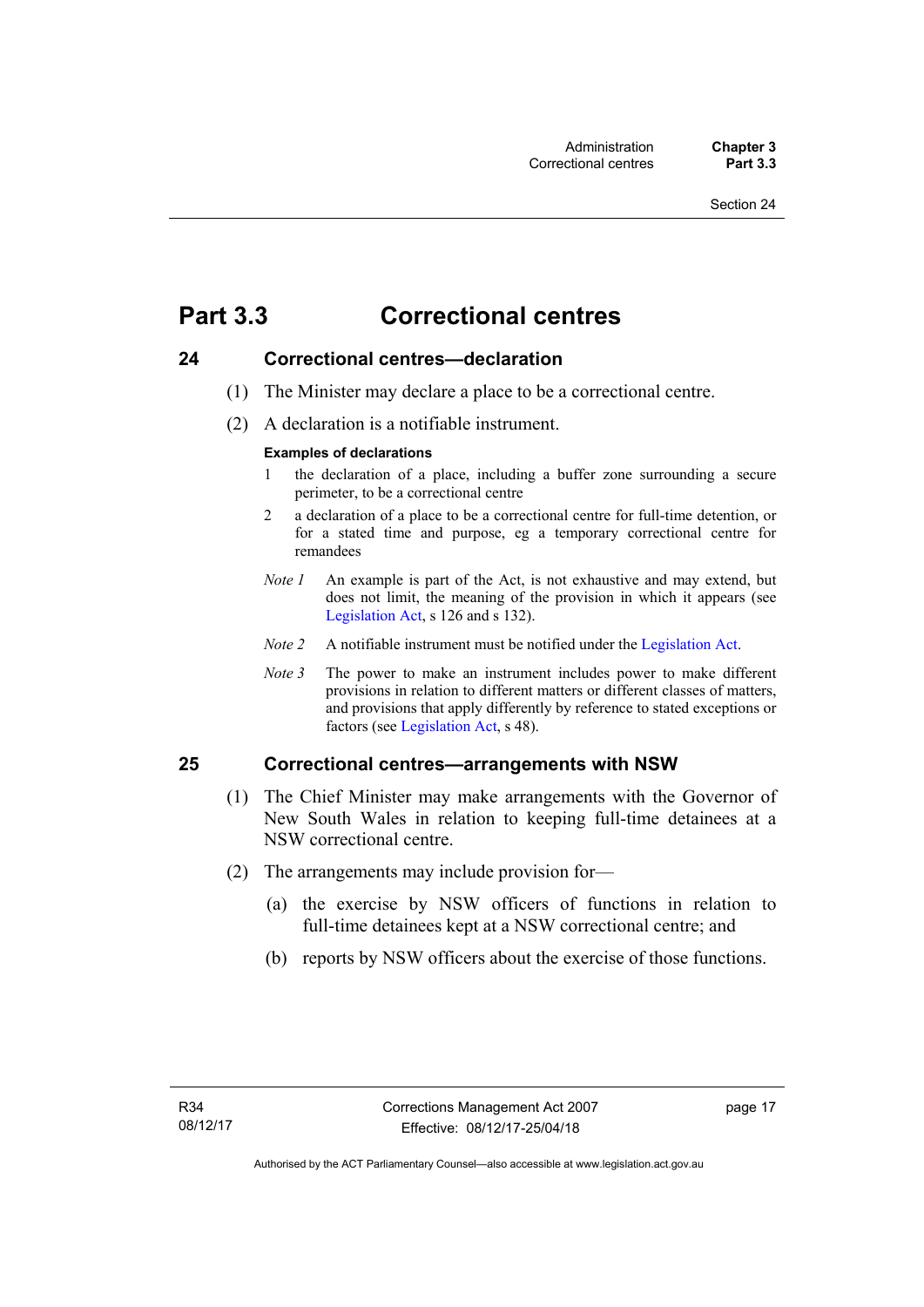# <span id="page-30-0"></span>**Part 3.3 Correctional centres**

### <span id="page-30-1"></span>**24 Correctional centres—declaration**

- (1) The Minister may declare a place to be a correctional centre.
- (2) A declaration is a notifiable instrument.

### **Examples of declarations**

- 1 the declaration of a place, including a buffer zone surrounding a secure perimeter, to be a correctional centre
- 2 a declaration of a place to be a correctional centre for full-time detention, or for a stated time and purpose, eg a temporary correctional centre for remandees
- *Note 1* An example is part of the Act, is not exhaustive and may extend, but does not limit, the meaning of the provision in which it appears (see [Legislation Act,](http://www.legislation.act.gov.au/a/2001-14) s 126 and s 132).
- *Note 2* A notifiable instrument must be notified under the [Legislation Act](http://www.legislation.act.gov.au/a/2001-14).
- *Note* 3 The power to make an instrument includes power to make different provisions in relation to different matters or different classes of matters, and provisions that apply differently by reference to stated exceptions or factors (see [Legislation Act](http://www.legislation.act.gov.au/a/2001-14), s 48).

### <span id="page-30-2"></span>**25 Correctional centres—arrangements with NSW**  (1) The Chief Minister may make arrangements with the Governor of

- New South Wales in relation to keeping full-time detainees at a NSW correctional centre.
- (2) The arrangements may include provision for—
	- (a) the exercise by NSW officers of functions in relation to full-time detainees kept at a NSW correctional centre; and
	- (b) reports by NSW officers about the exercise of those functions.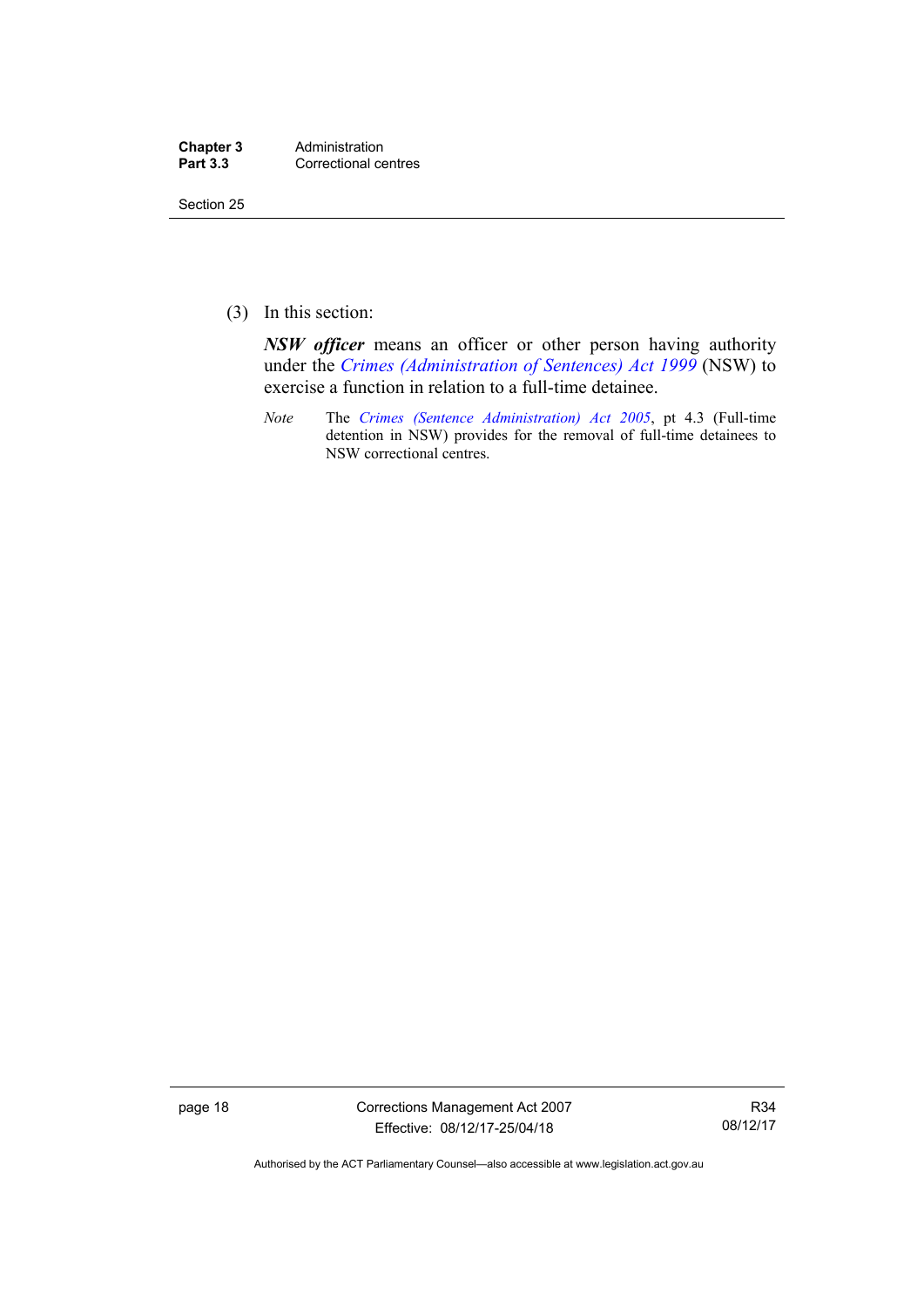| Chapter 3       | Administration       |
|-----------------|----------------------|
| <b>Part 3.3</b> | Correctional centres |

Section 25

(3) In this section:

*NSW officer* means an officer or other person having authority under the *[Crimes \(Administration of Sentences\) Act 1999](http://www.legislation.nsw.gov.au/maintop/view/inforce/act+93+1999+cd+0+N)* (NSW) to exercise a function in relation to a full-time detainee.

*Note* The *[Crimes \(Sentence Administration\) Act 2005](http://www.legislation.act.gov.au/a/2005-59)*, pt 4.3 (Full-time detention in NSW) provides for the removal of full-time detainees to NSW correctional centres.

page 18 Corrections Management Act 2007 Effective: 08/12/17-25/04/18

R34 08/12/17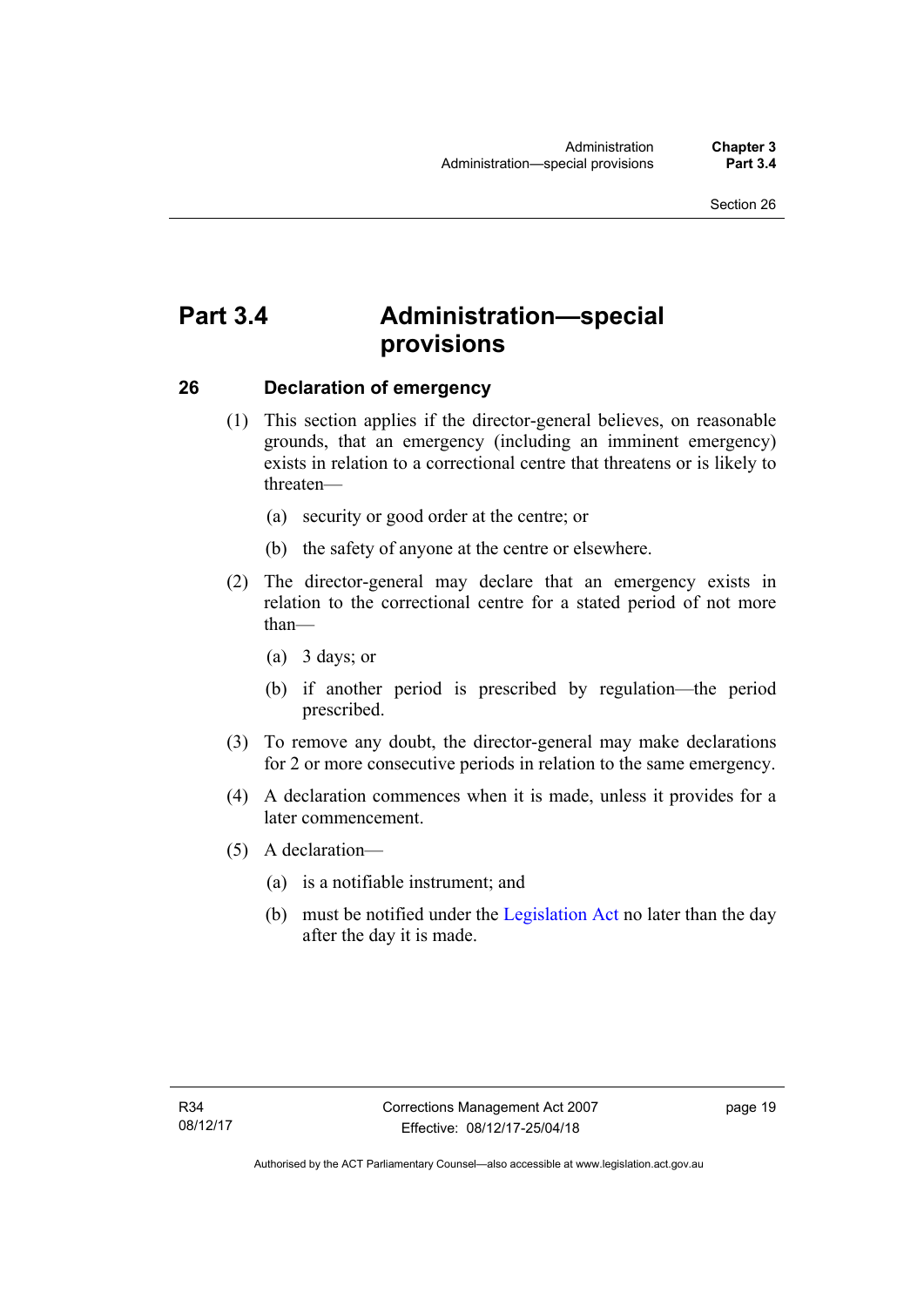# <span id="page-32-0"></span>**Part 3.4 Administration—special provisions**

### <span id="page-32-1"></span>**26 Declaration of emergency**

- (1) This section applies if the director-general believes, on reasonable grounds, that an emergency (including an imminent emergency) exists in relation to a correctional centre that threatens or is likely to threaten—
	- (a) security or good order at the centre; or
	- (b) the safety of anyone at the centre or elsewhere.
- (2) The director-general may declare that an emergency exists in relation to the correctional centre for a stated period of not more than—
	- (a) 3 days; or
	- (b) if another period is prescribed by regulation—the period prescribed.
- (3) To remove any doubt, the director-general may make declarations for 2 or more consecutive periods in relation to the same emergency.
- (4) A declaration commences when it is made, unless it provides for a later commencement.
- (5) A declaration—
	- (a) is a notifiable instrument; and
	- (b) must be notified under the [Legislation Act](http://www.legislation.act.gov.au/a/2001-14) no later than the day after the day it is made.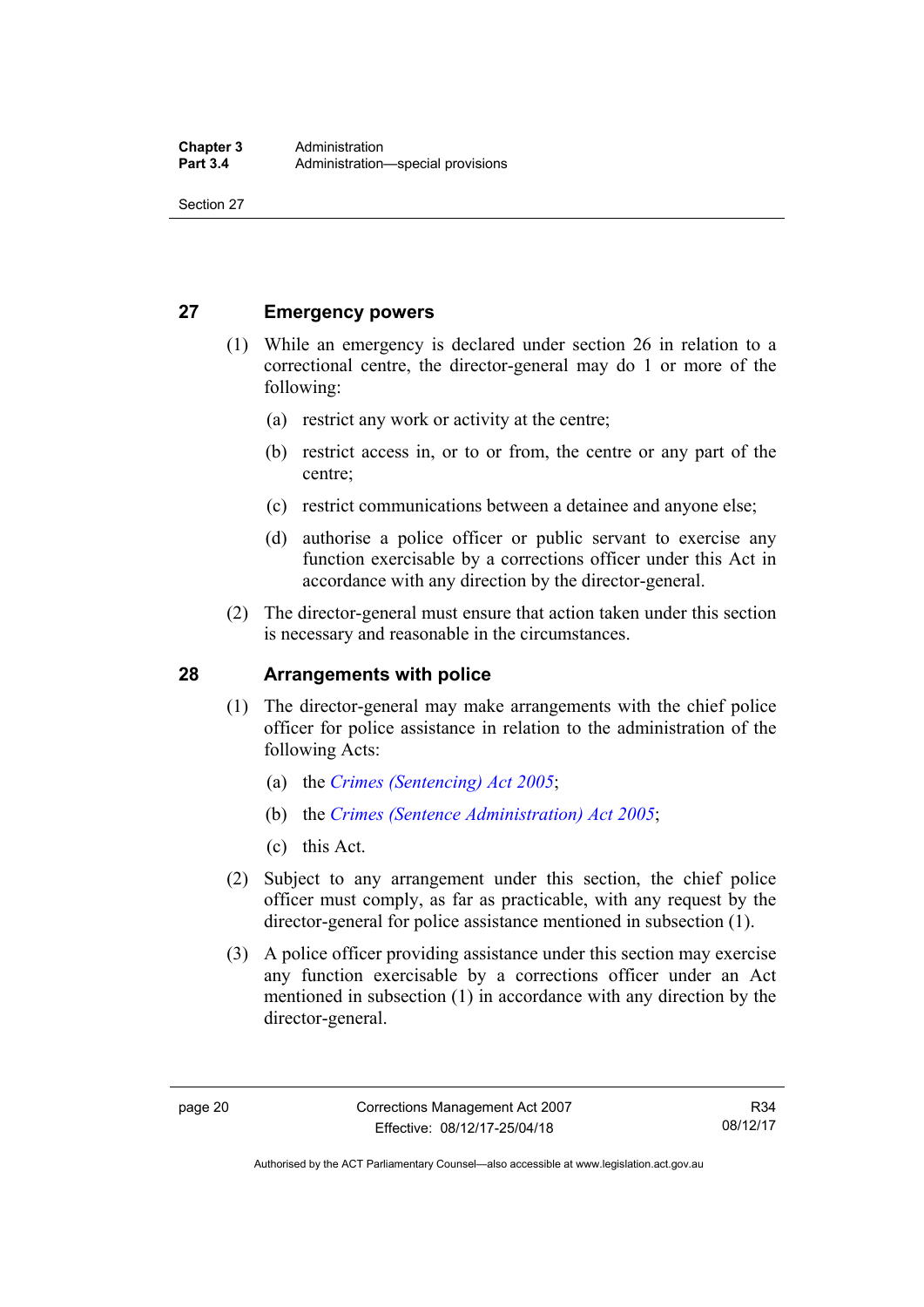Section 27

### <span id="page-33-0"></span>**27 Emergency powers**

- (1) While an emergency is declared under section 26 in relation to a correctional centre, the director-general may do 1 or more of the following:
	- (a) restrict any work or activity at the centre;
	- (b) restrict access in, or to or from, the centre or any part of the centre;
	- (c) restrict communications between a detainee and anyone else;
	- (d) authorise a police officer or public servant to exercise any function exercisable by a corrections officer under this Act in accordance with any direction by the director-general.
- (2) The director-general must ensure that action taken under this section is necessary and reasonable in the circumstances.

### <span id="page-33-1"></span>**28 Arrangements with police**

- (1) The director-general may make arrangements with the chief police officer for police assistance in relation to the administration of the following Acts:
	- (a) the *[Crimes \(Sentencing\) Act 2005](http://www.legislation.act.gov.au/a/2005-58)*;
	- (b) the *[Crimes \(Sentence Administration\) Act 2005](http://www.legislation.act.gov.au/a/2005-59)*;
	- (c) this Act.
- (2) Subject to any arrangement under this section, the chief police officer must comply, as far as practicable, with any request by the director-general for police assistance mentioned in subsection (1).
- (3) A police officer providing assistance under this section may exercise any function exercisable by a corrections officer under an Act mentioned in subsection (1) in accordance with any direction by the director-general.

Authorised by the ACT Parliamentary Counsel—also accessible at www.legislation.act.gov.au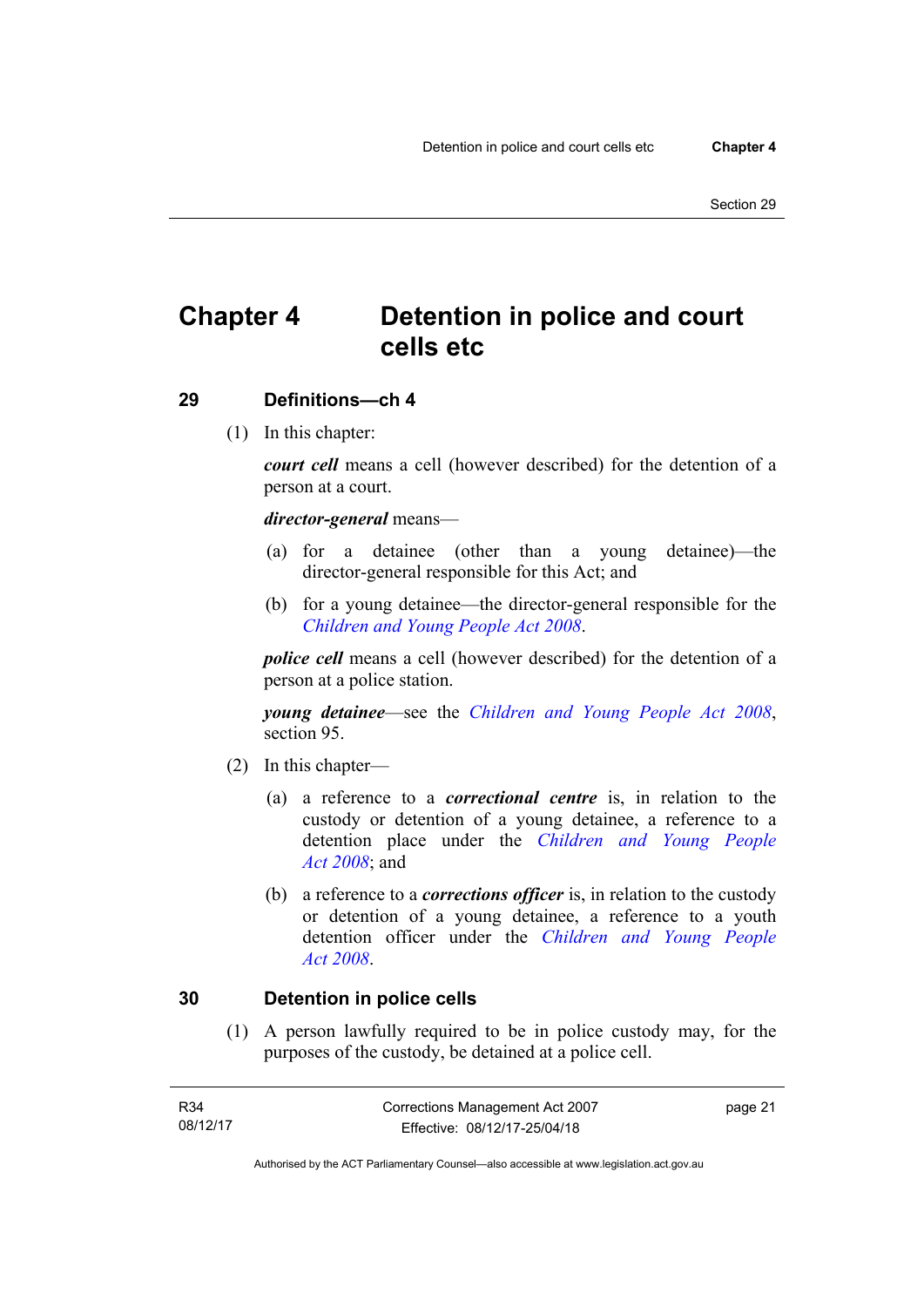# <span id="page-34-0"></span>**Chapter 4 Detention in police and court cells etc**

### <span id="page-34-1"></span>**29 Definitions—ch 4**

(1) In this chapter:

*court cell* means a cell (however described) for the detention of a person at a court.

### *director-general* means—

- (a) for a detainee (other than a young detainee)—the director-general responsible for this Act; and
- (b) for a young detainee—the director-general responsible for the *[Children and Young People Act 2008](http://www.legislation.act.gov.au/a/2008-19)*.

*police cell* means a cell (however described) for the detention of a person at a police station.

*young detainee*—see the *[Children and Young People Act 2008](http://www.legislation.act.gov.au/a/2008-19)*, section 95.

- (2) In this chapter—
	- (a) a reference to a *correctional centre* is, in relation to the custody or detention of a young detainee, a reference to a detention place under the *[Children and Young People](http://www.legislation.act.gov.au/a/2008-19)  [Act 2008](http://www.legislation.act.gov.au/a/2008-19)*; and
	- (b) a reference to a *corrections officer* is, in relation to the custody or detention of a young detainee, a reference to a youth detention officer under the *[Children and Young People](http://www.legislation.act.gov.au/a/2008-19)  [Act 2008](http://www.legislation.act.gov.au/a/2008-19)*.

### <span id="page-34-2"></span>**30 Detention in police cells**

 (1) A person lawfully required to be in police custody may, for the purposes of the custody, be detained at a police cell.

| R34      | Corrections Management Act 2007 | page 21 |
|----------|---------------------------------|---------|
| 08/12/17 | Effective: 08/12/17-25/04/18    |         |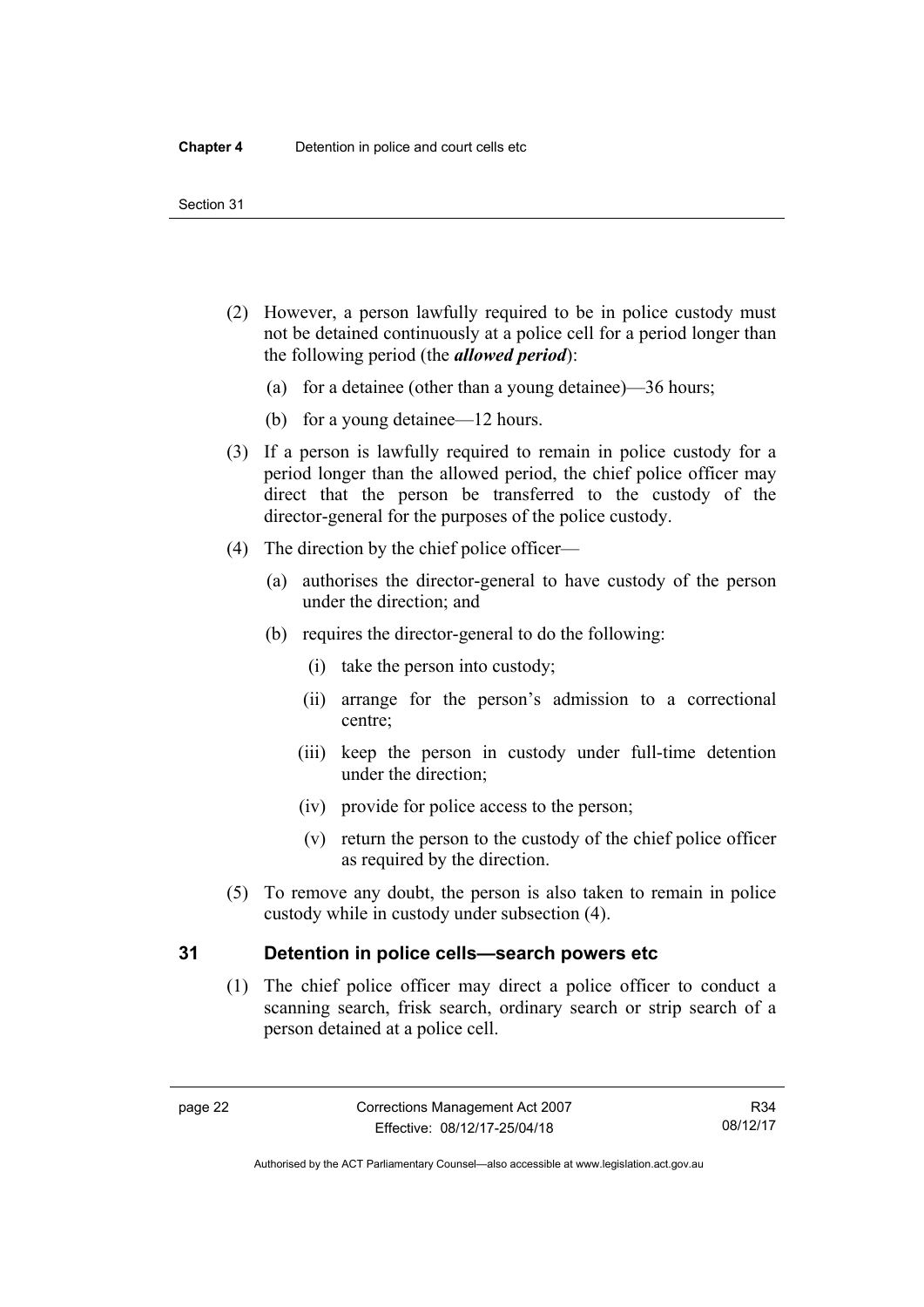- (2) However, a person lawfully required to be in police custody must not be detained continuously at a police cell for a period longer than the following period (the *allowed period*):
	- (a) for a detainee (other than a young detainee)—36 hours;
	- (b) for a young detainee—12 hours.
- (3) If a person is lawfully required to remain in police custody for a period longer than the allowed period, the chief police officer may direct that the person be transferred to the custody of the director-general for the purposes of the police custody.
- (4) The direction by the chief police officer—
	- (a) authorises the director-general to have custody of the person under the direction; and
	- (b) requires the director-general to do the following:
		- (i) take the person into custody;
		- (ii) arrange for the person's admission to a correctional centre;
		- (iii) keep the person in custody under full-time detention under the direction;
		- (iv) provide for police access to the person;
		- (v) return the person to the custody of the chief police officer as required by the direction.
- (5) To remove any doubt, the person is also taken to remain in police custody while in custody under subsection (4).

### <span id="page-35-0"></span>**31 Detention in police cells—search powers etc**

 (1) The chief police officer may direct a police officer to conduct a scanning search, frisk search, ordinary search or strip search of a person detained at a police cell.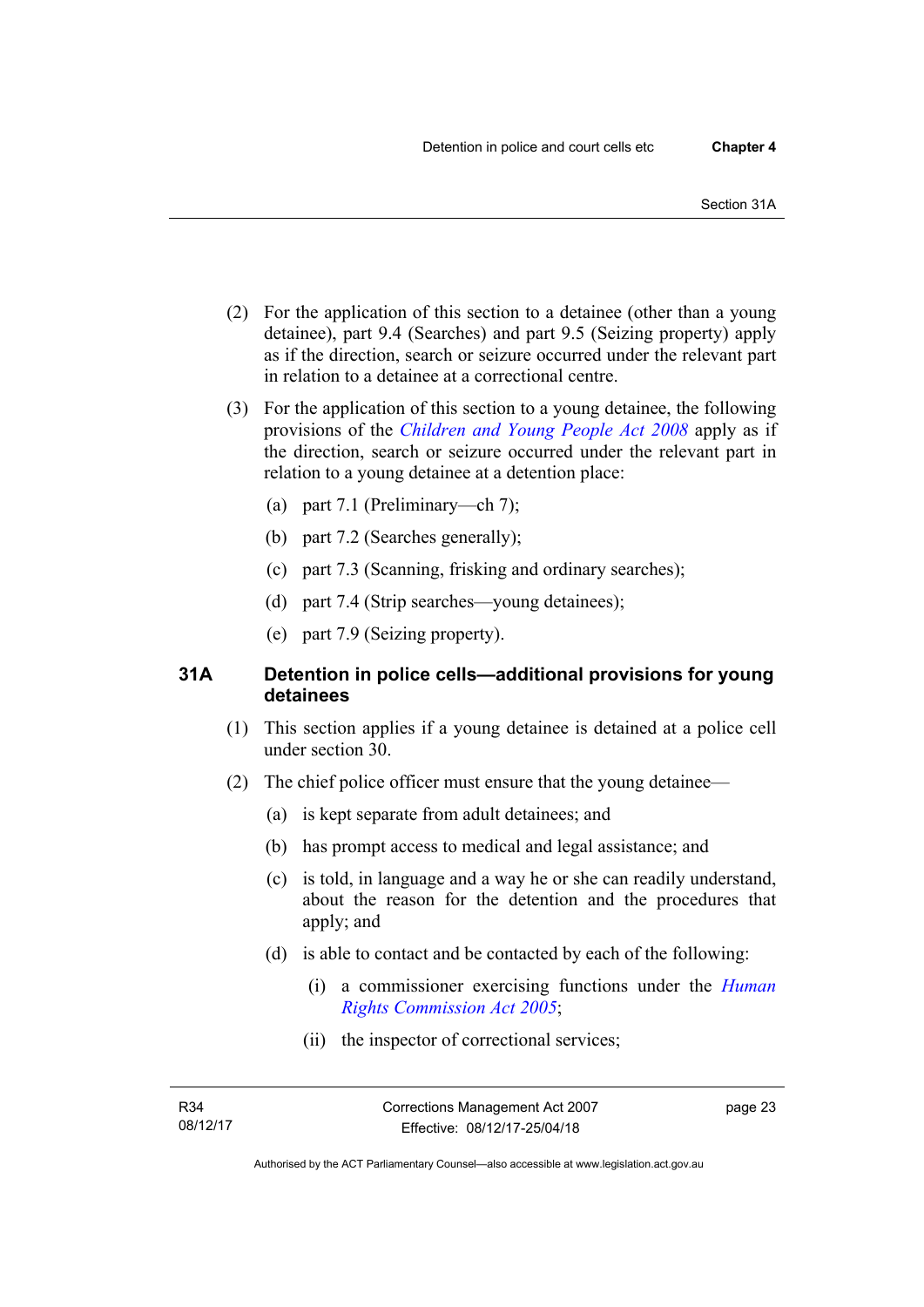- (2) For the application of this section to a detainee (other than a young detainee), part 9.4 (Searches) and part 9.5 (Seizing property) apply as if the direction, search or seizure occurred under the relevant part in relation to a detainee at a correctional centre.
- (3) For the application of this section to a young detainee, the following provisions of the *[Children and Young People Act 2008](http://www.legislation.act.gov.au/a/2008-19)* apply as if the direction, search or seizure occurred under the relevant part in relation to a young detainee at a detention place:
	- (a) part 7.1 (Preliminary—ch 7);
	- (b) part 7.2 (Searches generally);
	- (c) part 7.3 (Scanning, frisking and ordinary searches);
	- (d) part 7.4 (Strip searches—young detainees);
	- (e) part 7.9 (Seizing property).

## **31A Detention in police cells—additional provisions for young detainees**

- (1) This section applies if a young detainee is detained at a police cell under section 30.
- (2) The chief police officer must ensure that the young detainee—
	- (a) is kept separate from adult detainees; and
	- (b) has prompt access to medical and legal assistance; and
	- (c) is told, in language and a way he or she can readily understand, about the reason for the detention and the procedures that apply; and
	- (d) is able to contact and be contacted by each of the following:
		- (i) a commissioner exercising functions under the *[Human](http://www.legislation.act.gov.au/a/2005-40)  [Rights Commission Act 2005](http://www.legislation.act.gov.au/a/2005-40)*;
		- (ii) the inspector of correctional services;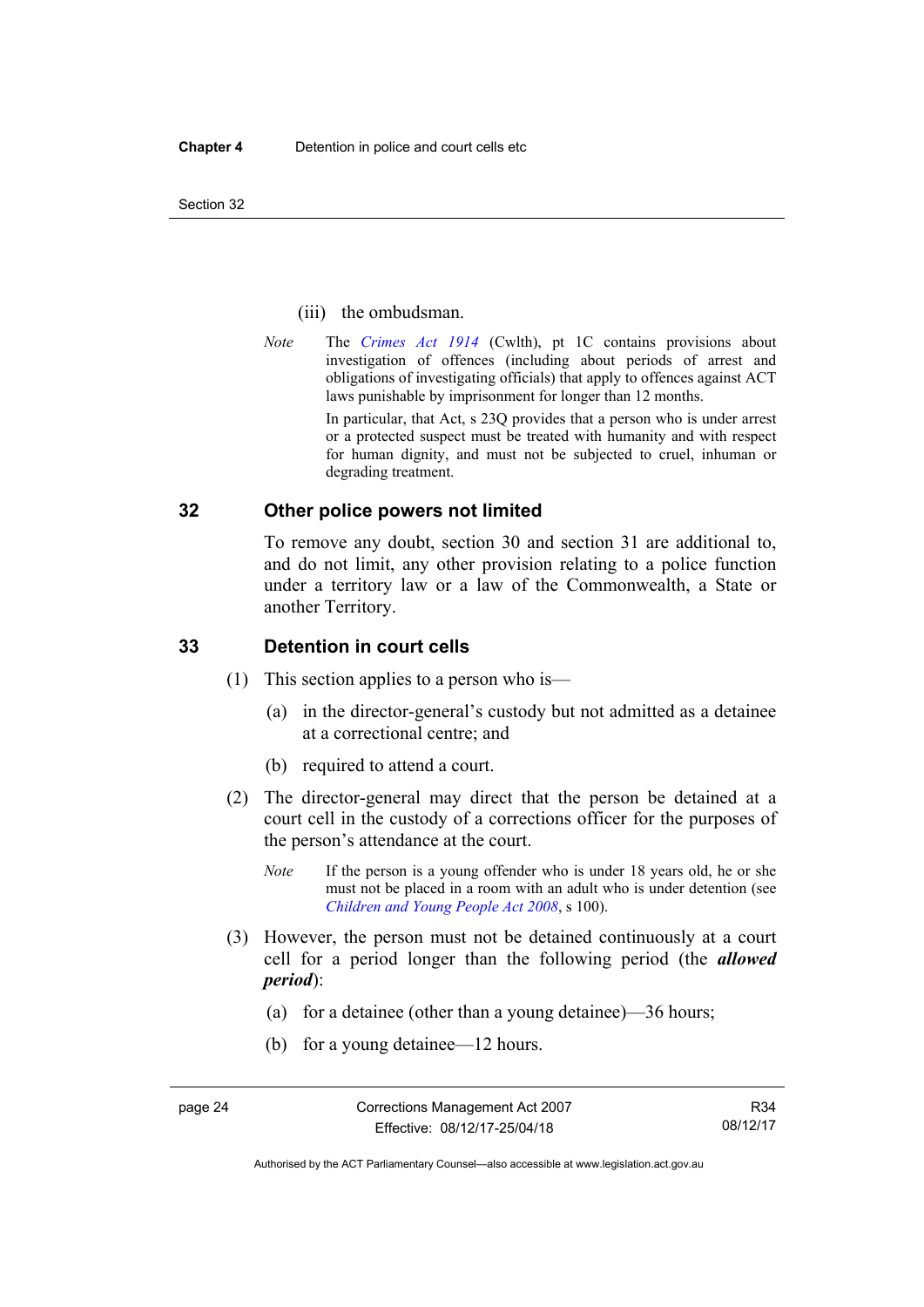Section 32

### (iii) the ombudsman.

*Note* The *[Crimes Act 1914](http://www.comlaw.gov.au/Series/C2004A07391)* (Cwlth), pt 1C contains provisions about investigation of offences (including about periods of arrest and obligations of investigating officials) that apply to offences against ACT laws punishable by imprisonment for longer than 12 months.

In particular, that Act, s 23Q provides that a person who is under arrest or a protected suspect must be treated with humanity and with respect for human dignity, and must not be subjected to cruel, inhuman or degrading treatment.

## **32 Other police powers not limited**

To remove any doubt, section 30 and section 31 are additional to, and do not limit, any other provision relating to a police function under a territory law or a law of the Commonwealth, a State or another Territory.

## **33 Detention in court cells**

- (1) This section applies to a person who is—
	- (a) in the director-general's custody but not admitted as a detainee at a correctional centre; and
	- (b) required to attend a court.
- (2) The director-general may direct that the person be detained at a court cell in the custody of a corrections officer for the purposes of the person's attendance at the court.
	- *Note* If the person is a young offender who is under 18 years old, he or she must not be placed in a room with an adult who is under detention (see *[Children and Young People Act 2008](http://www.legislation.act.gov.au/a/2008-19)*, s 100).
- (3) However, the person must not be detained continuously at a court cell for a period longer than the following period (the *allowed period*):
	- (a) for a detainee (other than a young detainee)—36 hours;
	- (b) for a young detainee—12 hours.

Authorised by the ACT Parliamentary Counsel—also accessible at www.legislation.act.gov.au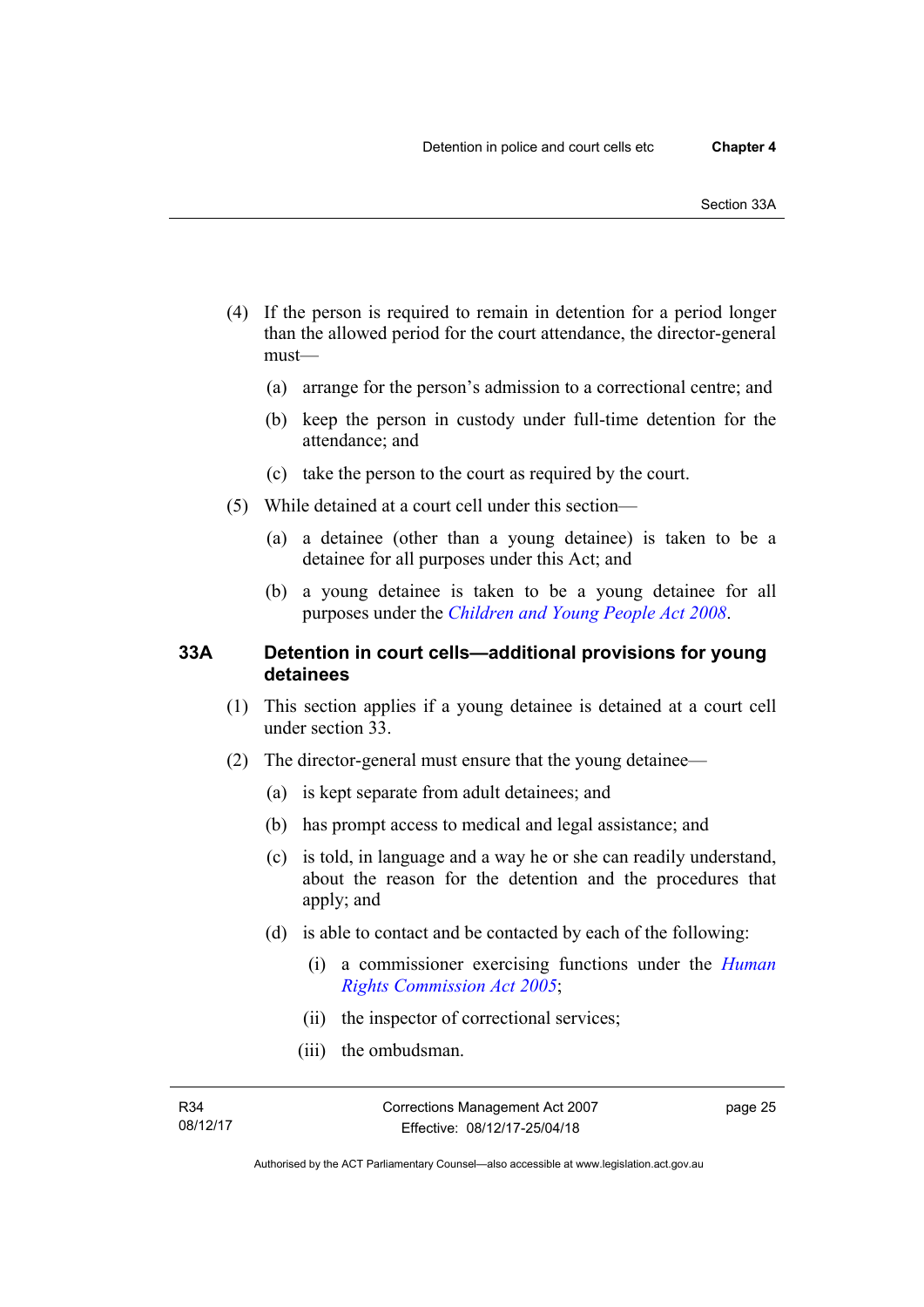- (4) If the person is required to remain in detention for a period longer than the allowed period for the court attendance, the director-general must—
	- (a) arrange for the person's admission to a correctional centre; and
	- (b) keep the person in custody under full-time detention for the attendance; and
	- (c) take the person to the court as required by the court.
- (5) While detained at a court cell under this section—
	- (a) a detainee (other than a young detainee) is taken to be a detainee for all purposes under this Act; and
	- (b) a young detainee is taken to be a young detainee for all purposes under the *[Children and Young People Act 2008](http://www.legislation.act.gov.au/a/2008-19)*.

## **33A Detention in court cells—additional provisions for young detainees**

- (1) This section applies if a young detainee is detained at a court cell under section 33.
- (2) The director-general must ensure that the young detainee—
	- (a) is kept separate from adult detainees; and
	- (b) has prompt access to medical and legal assistance; and
	- (c) is told, in language and a way he or she can readily understand, about the reason for the detention and the procedures that apply; and
	- (d) is able to contact and be contacted by each of the following:
		- (i) a commissioner exercising functions under the *[Human](http://www.legislation.act.gov.au/a/2005-40)  [Rights Commission Act 2005](http://www.legislation.act.gov.au/a/2005-40)*;
		- (ii) the inspector of correctional services;
		- (iii) the ombudsman.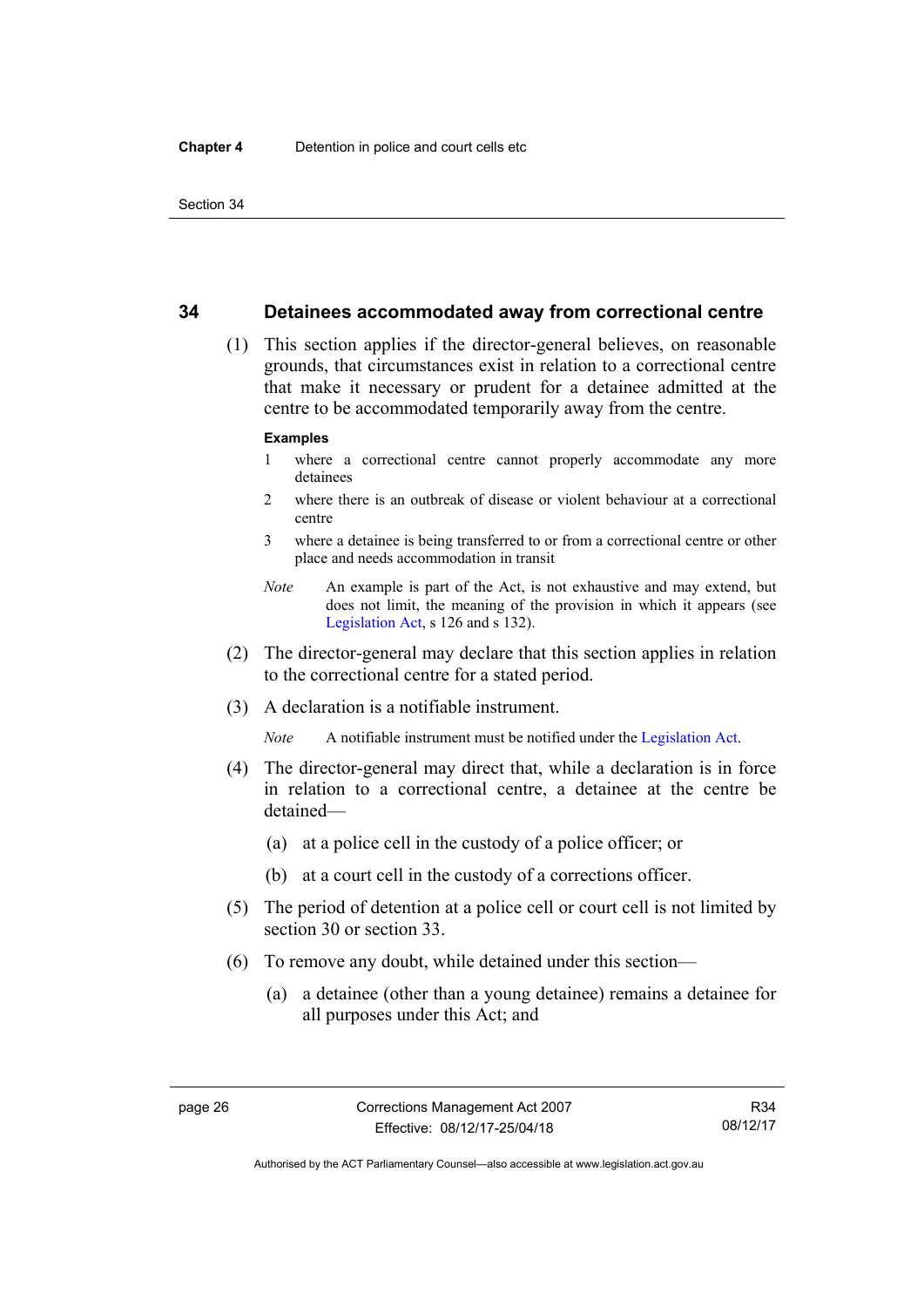### **34 Detainees accommodated away from correctional centre**

 (1) This section applies if the director-general believes, on reasonable grounds, that circumstances exist in relation to a correctional centre that make it necessary or prudent for a detainee admitted at the centre to be accommodated temporarily away from the centre.

#### **Examples**

- 1 where a correctional centre cannot properly accommodate any more detainees
- 2 where there is an outbreak of disease or violent behaviour at a correctional centre
- 3 where a detainee is being transferred to or from a correctional centre or other place and needs accommodation in transit
- *Note* An example is part of the Act, is not exhaustive and may extend, but does not limit, the meaning of the provision in which it appears (see [Legislation Act,](http://www.legislation.act.gov.au/a/2001-14) s 126 and s 132).
- (2) The director-general may declare that this section applies in relation to the correctional centre for a stated period.
- (3) A declaration is a notifiable instrument.

*Note* A notifiable instrument must be notified under the [Legislation Act](http://www.legislation.act.gov.au/a/2001-14).

- (4) The director-general may direct that, while a declaration is in force in relation to a correctional centre, a detainee at the centre be detained—
	- (a) at a police cell in the custody of a police officer; or
	- (b) at a court cell in the custody of a corrections officer.
- (5) The period of detention at a police cell or court cell is not limited by section 30 or section 33.
- (6) To remove any doubt, while detained under this section—
	- (a) a detainee (other than a young detainee) remains a detainee for all purposes under this Act; and

Authorised by the ACT Parliamentary Counsel—also accessible at www.legislation.act.gov.au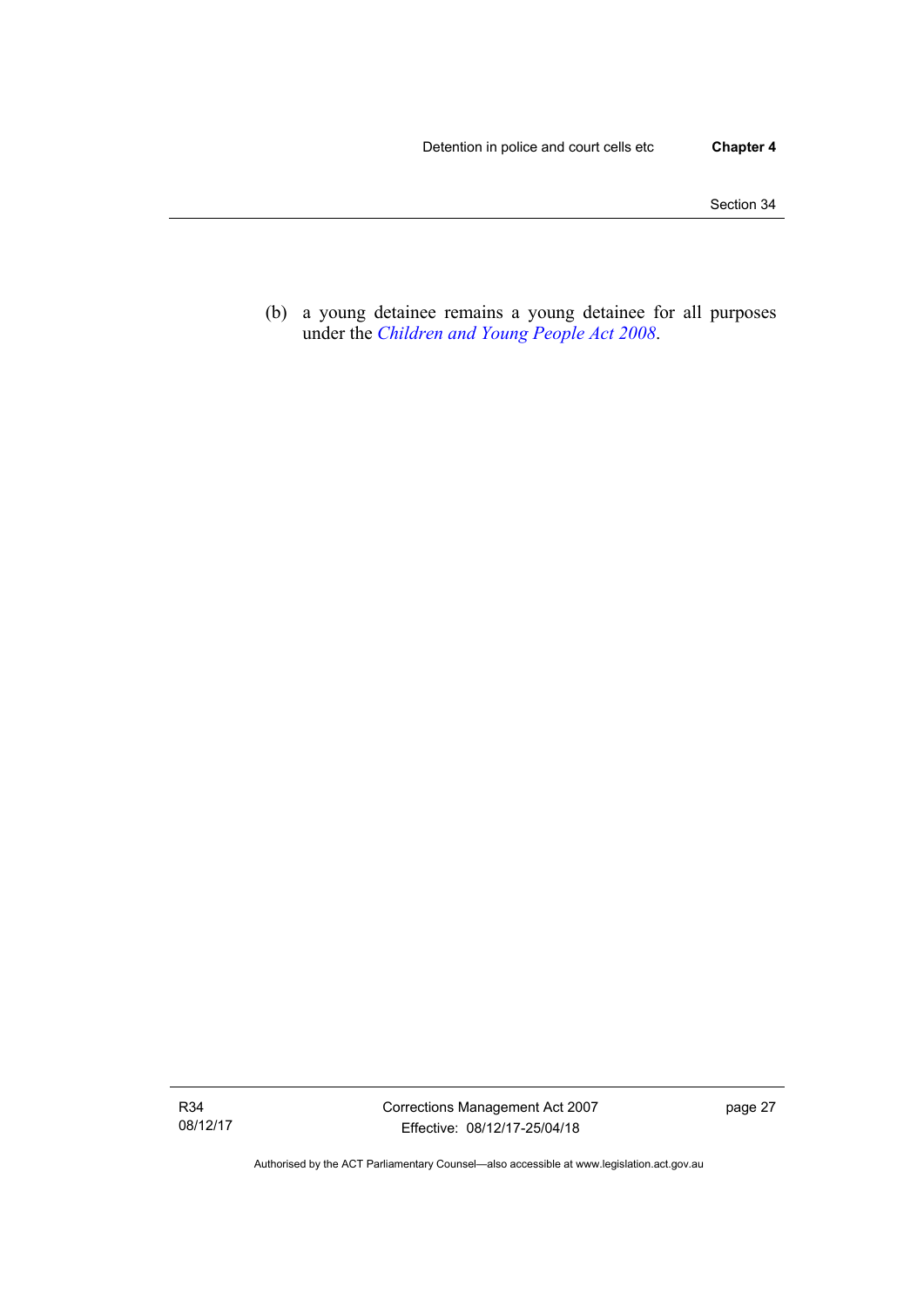(b) a young detainee remains a young detainee for all purposes under the *[Children and Young People Act 2008](http://www.legislation.act.gov.au/a/2008-19)*.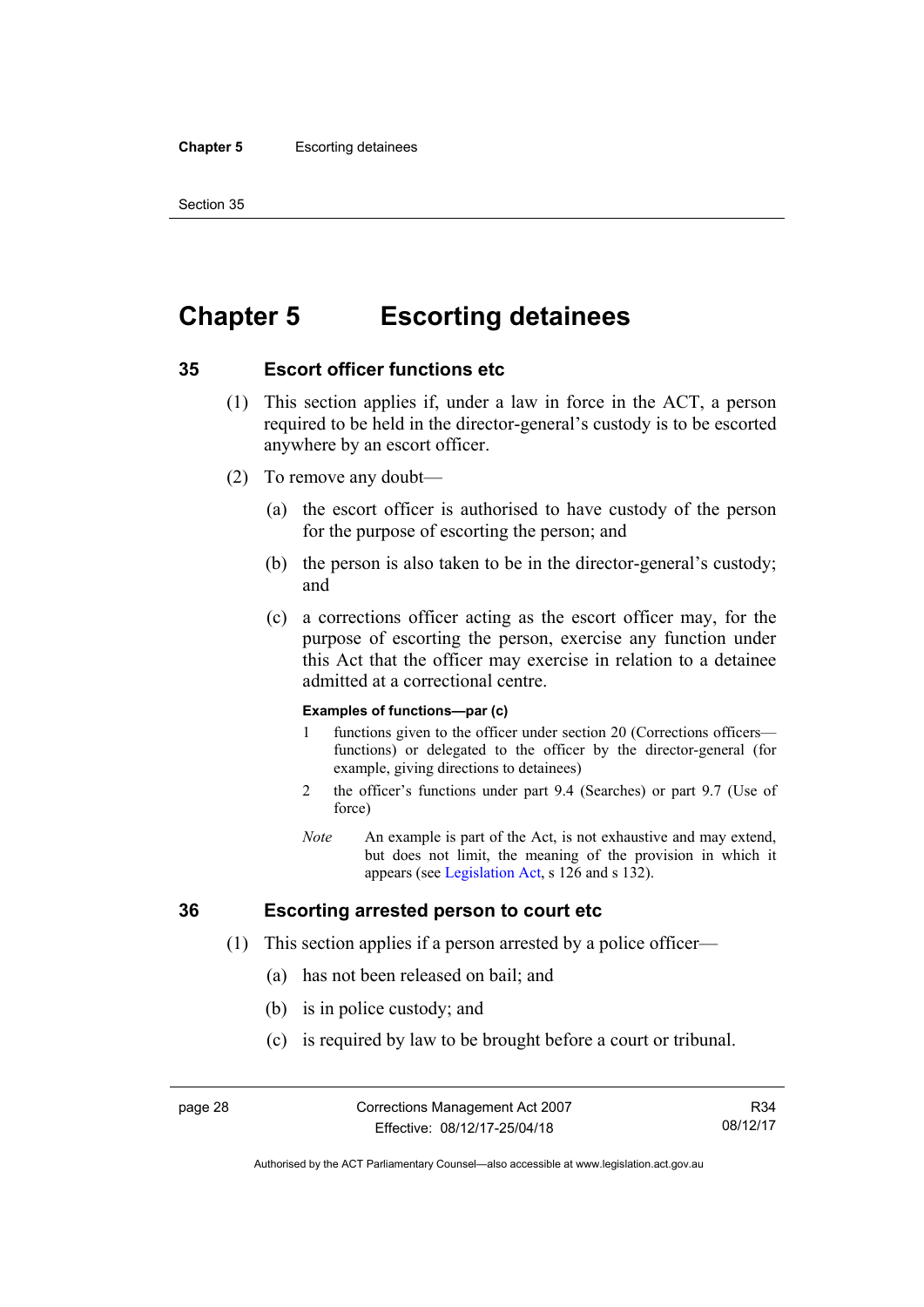#### **Chapter 5** Escorting detainees

Section 35

# **Chapter 5 Escorting detainees**

## **35 Escort officer functions etc**

- (1) This section applies if, under a law in force in the ACT, a person required to be held in the director-general's custody is to be escorted anywhere by an escort officer.
- (2) To remove any doubt—
	- (a) the escort officer is authorised to have custody of the person for the purpose of escorting the person; and
	- (b) the person is also taken to be in the director-general's custody; and
	- (c) a corrections officer acting as the escort officer may, for the purpose of escorting the person, exercise any function under this Act that the officer may exercise in relation to a detainee admitted at a correctional centre.

### **Examples of functions—par (c)**

- 1 functions given to the officer under section 20 (Corrections officers functions) or delegated to the officer by the director-general (for example, giving directions to detainees)
- 2 the officer's functions under part 9.4 (Searches) or part 9.7 (Use of force)
- *Note* An example is part of the Act, is not exhaustive and may extend, but does not limit, the meaning of the provision in which it appears (see [Legislation Act,](http://www.legislation.act.gov.au/a/2001-14) s 126 and s 132).

## **36 Escorting arrested person to court etc**

- (1) This section applies if a person arrested by a police officer—
	- (a) has not been released on bail; and
	- (b) is in police custody; and
	- (c) is required by law to be brought before a court or tribunal.

R34 08/12/17

Authorised by the ACT Parliamentary Counsel—also accessible at www.legislation.act.gov.au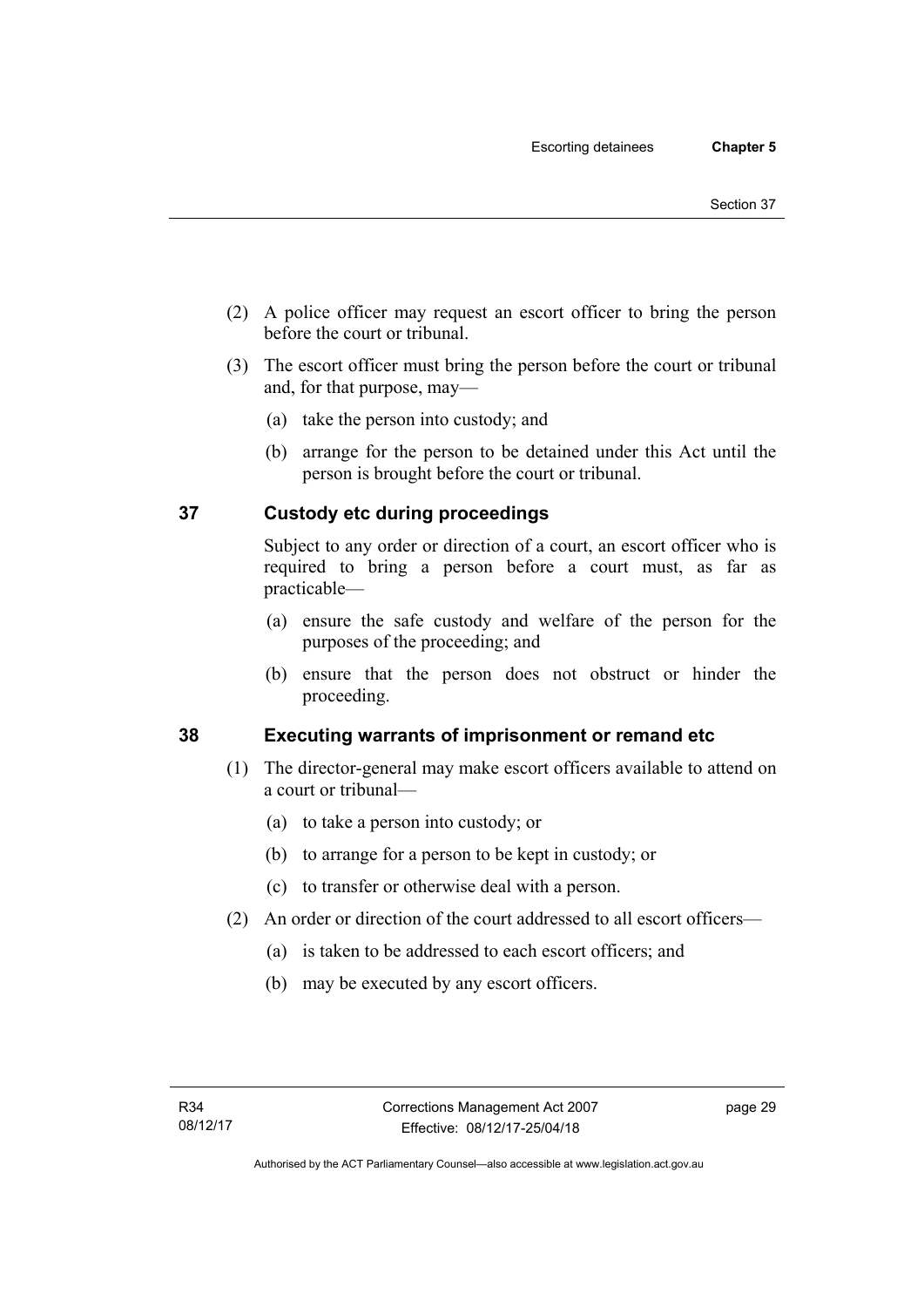- (2) A police officer may request an escort officer to bring the person before the court or tribunal.
- (3) The escort officer must bring the person before the court or tribunal and, for that purpose, may—
	- (a) take the person into custody; and
	- (b) arrange for the person to be detained under this Act until the person is brought before the court or tribunal.

## **37 Custody etc during proceedings**

Subject to any order or direction of a court, an escort officer who is required to bring a person before a court must, as far as practicable—

- (a) ensure the safe custody and welfare of the person for the purposes of the proceeding; and
- (b) ensure that the person does not obstruct or hinder the proceeding.

## **38 Executing warrants of imprisonment or remand etc**

- (1) The director-general may make escort officers available to attend on a court or tribunal—
	- (a) to take a person into custody; or
	- (b) to arrange for a person to be kept in custody; or
	- (c) to transfer or otherwise deal with a person.
- (2) An order or direction of the court addressed to all escort officers—
	- (a) is taken to be addressed to each escort officers; and
	- (b) may be executed by any escort officers.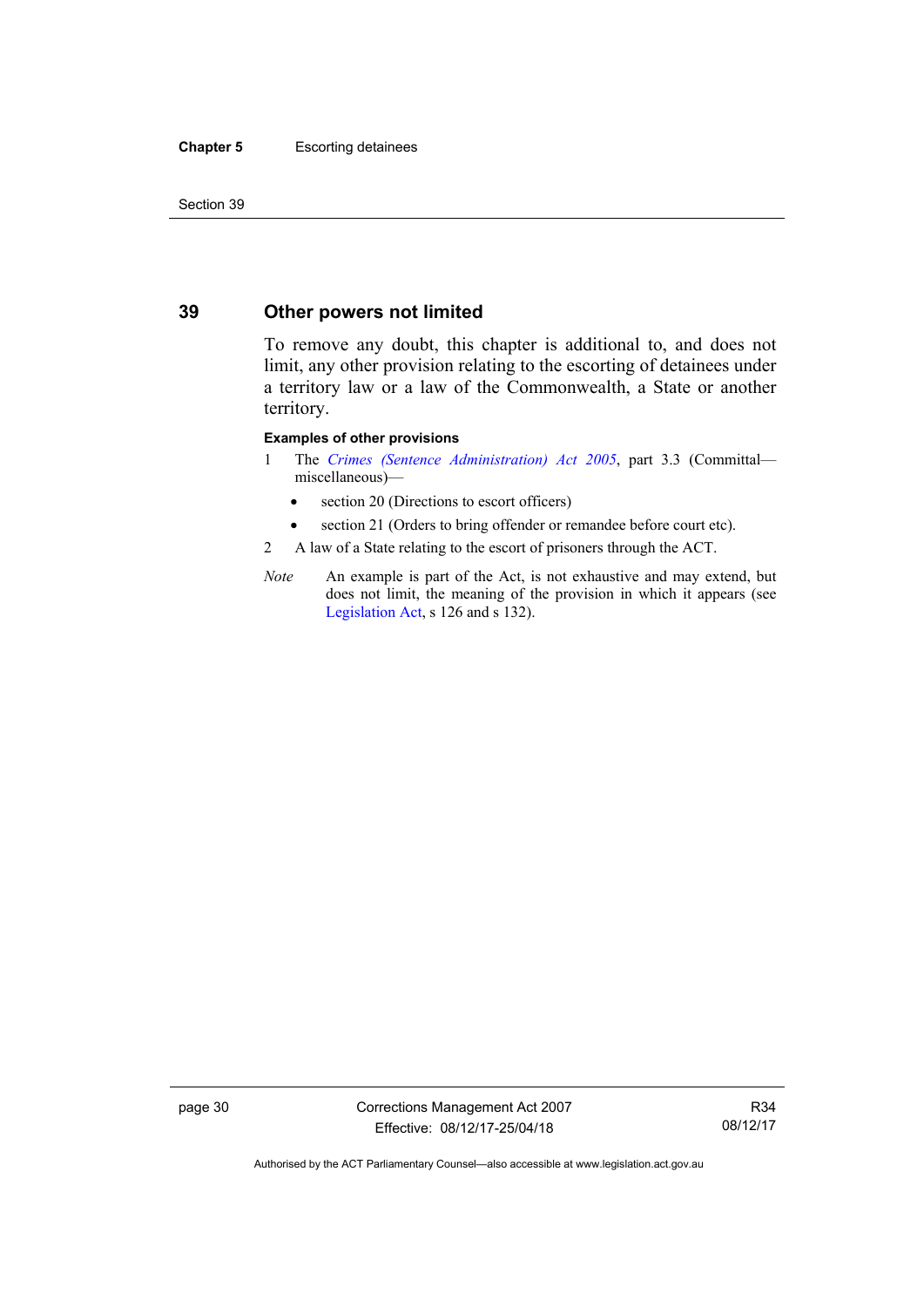#### **Chapter 5** Escorting detainees

Section 39

## **39 Other powers not limited**

To remove any doubt, this chapter is additional to, and does not limit, any other provision relating to the escorting of detainees under a territory law or a law of the Commonwealth, a State or another territory.

#### **Examples of other provisions**

- 1 The *[Crimes \(Sentence Administration\) Act 2005](http://www.legislation.act.gov.au/a/2005-59)*, part 3.3 (Committal miscellaneous)—
	- section 20 (Directions to escort officers)
	- section 21 (Orders to bring offender or remandee before court etc).
- 2 A law of a State relating to the escort of prisoners through the ACT.
- *Note* An example is part of the Act, is not exhaustive and may extend, but does not limit, the meaning of the provision in which it appears (see [Legislation Act,](http://www.legislation.act.gov.au/a/2001-14) s 126 and s 132).

page 30 Corrections Management Act 2007 Effective: 08/12/17-25/04/18

R34 08/12/17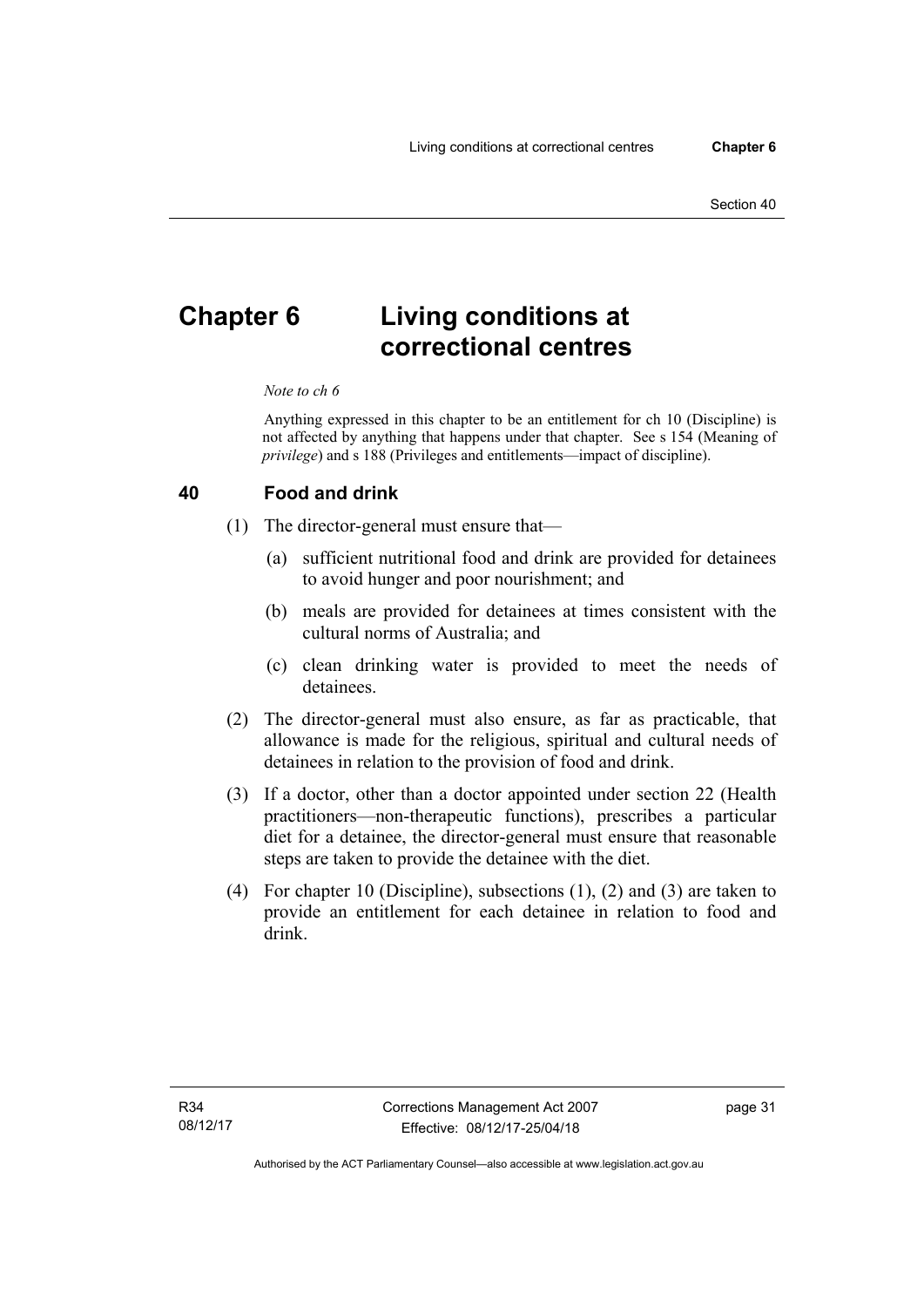# **Chapter 6 Living conditions at correctional centres**

#### *Note to ch 6*

Anything expressed in this chapter to be an entitlement for ch 10 (Discipline) is not affected by anything that happens under that chapter. See s 154 (Meaning of *privilege*) and s 188 (Privileges and entitlements—impact of discipline).

### **40 Food and drink**

- (1) The director-general must ensure that—
	- (a) sufficient nutritional food and drink are provided for detainees to avoid hunger and poor nourishment; and
	- (b) meals are provided for detainees at times consistent with the cultural norms of Australia; and
	- (c) clean drinking water is provided to meet the needs of detainees.
- (2) The director-general must also ensure, as far as practicable, that allowance is made for the religious, spiritual and cultural needs of detainees in relation to the provision of food and drink.
- (3) If a doctor, other than a doctor appointed under section 22 (Health practitioners—non-therapeutic functions), prescribes a particular diet for a detainee, the director-general must ensure that reasonable steps are taken to provide the detainee with the diet.
- (4) For chapter 10 (Discipline), subsections (1), (2) and (3) are taken to provide an entitlement for each detainee in relation to food and drink.

page 31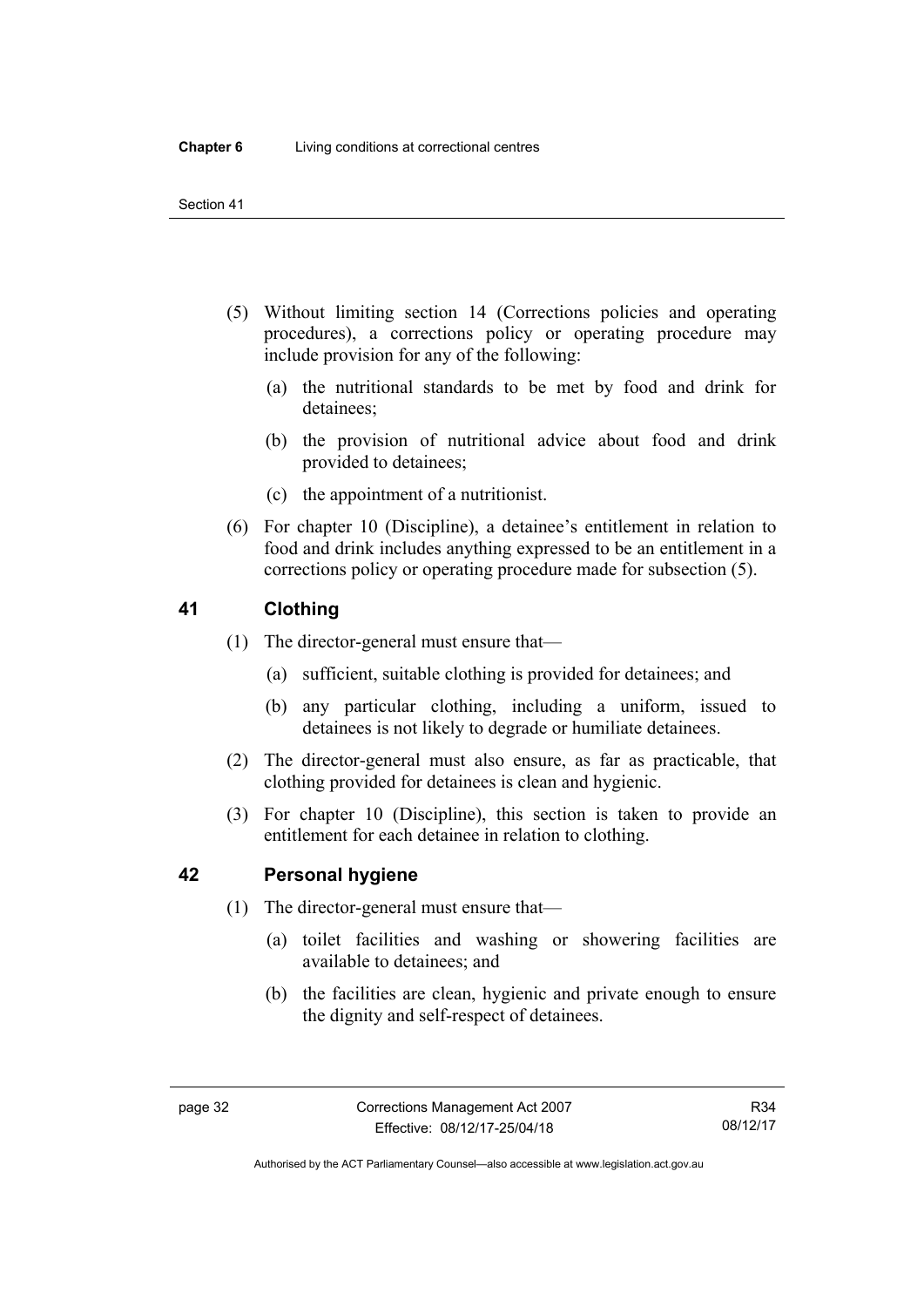- (5) Without limiting section 14 (Corrections policies and operating procedures), a corrections policy or operating procedure may include provision for any of the following:
	- (a) the nutritional standards to be met by food and drink for detainees;
	- (b) the provision of nutritional advice about food and drink provided to detainees;
	- (c) the appointment of a nutritionist.
- (6) For chapter 10 (Discipline), a detainee's entitlement in relation to food and drink includes anything expressed to be an entitlement in a corrections policy or operating procedure made for subsection (5).

## **41 Clothing**

- (1) The director-general must ensure that—
	- (a) sufficient, suitable clothing is provided for detainees; and
	- (b) any particular clothing, including a uniform, issued to detainees is not likely to degrade or humiliate detainees.
- (2) The director-general must also ensure, as far as practicable, that clothing provided for detainees is clean and hygienic.
- (3) For chapter 10 (Discipline), this section is taken to provide an entitlement for each detainee in relation to clothing.

## **42 Personal hygiene**

- (1) The director-general must ensure that—
	- (a) toilet facilities and washing or showering facilities are available to detainees; and
	- (b) the facilities are clean, hygienic and private enough to ensure the dignity and self-respect of detainees.

Authorised by the ACT Parliamentary Counsel—also accessible at www.legislation.act.gov.au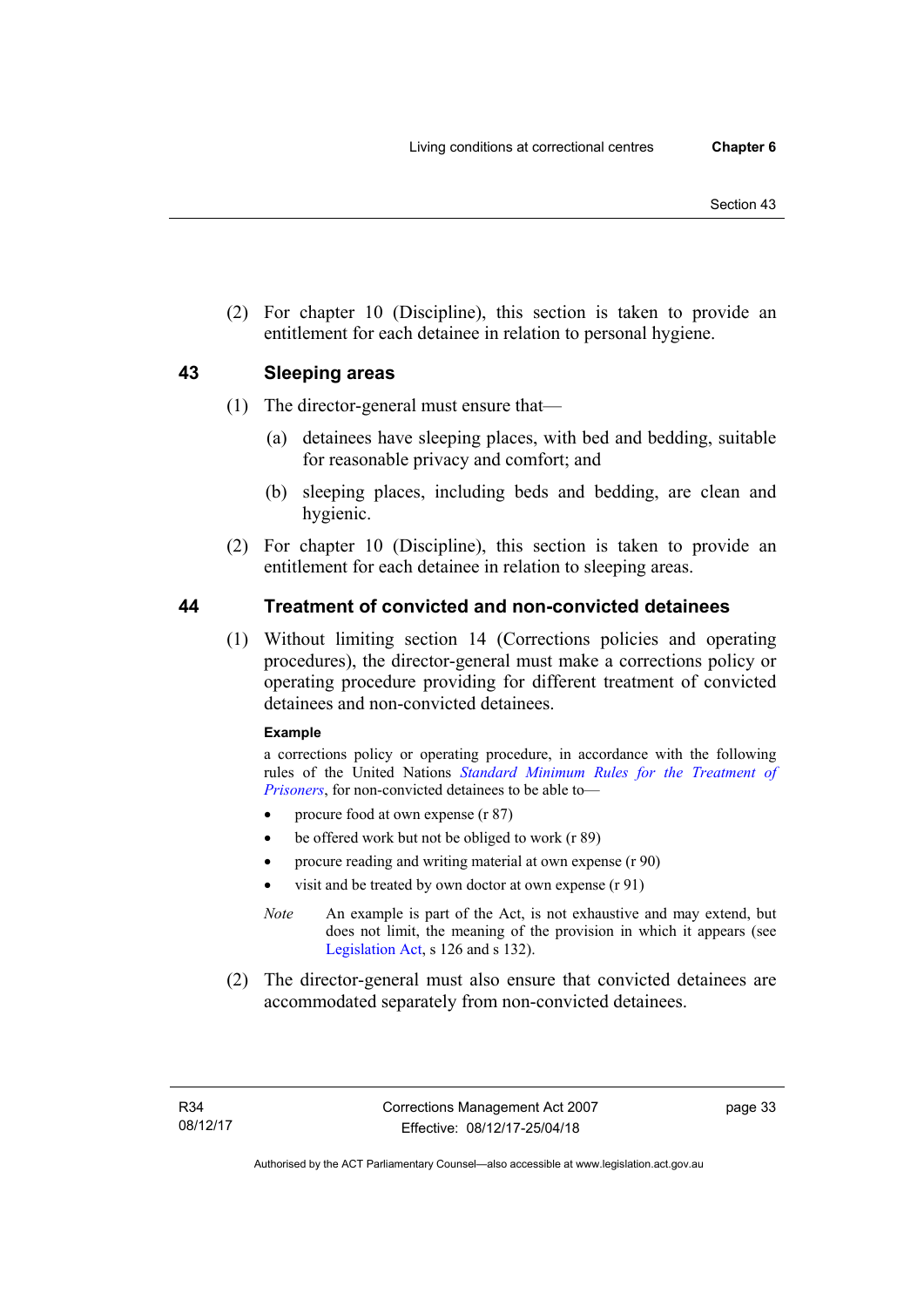(2) For chapter 10 (Discipline), this section is taken to provide an entitlement for each detainee in relation to personal hygiene.

## **43 Sleeping areas**

- (1) The director-general must ensure that—
	- (a) detainees have sleeping places, with bed and bedding, suitable for reasonable privacy and comfort; and
	- (b) sleeping places, including beds and bedding, are clean and hygienic.
- (2) For chapter 10 (Discipline), this section is taken to provide an entitlement for each detainee in relation to sleeping areas.

## **44 Treatment of convicted and non-convicted detainees**

 (1) Without limiting section 14 (Corrections policies and operating procedures), the director-general must make a corrections policy or operating procedure providing for different treatment of convicted detainees and non-convicted detainees.

### **Example**

a corrections policy or operating procedure, in accordance with the following rules of the United Nations *[Standard Minimum Rules for the Treatment of](http://www2.ohchr.org/english/law/treatmentprisoners.htm)  [Prisoners](http://www2.ohchr.org/english/law/treatmentprisoners.htm)*, for non-convicted detainees to be able to—

- procure food at own expense (r 87)
- be offered work but not be obliged to work (r 89)
- procure reading and writing material at own expense (r 90)
- visit and be treated by own doctor at own expense (r 91)
- *Note* An example is part of the Act, is not exhaustive and may extend, but does not limit, the meaning of the provision in which it appears (see [Legislation Act,](http://www.legislation.act.gov.au/a/2001-14) s 126 and s 132).
- (2) The director-general must also ensure that convicted detainees are accommodated separately from non-convicted detainees.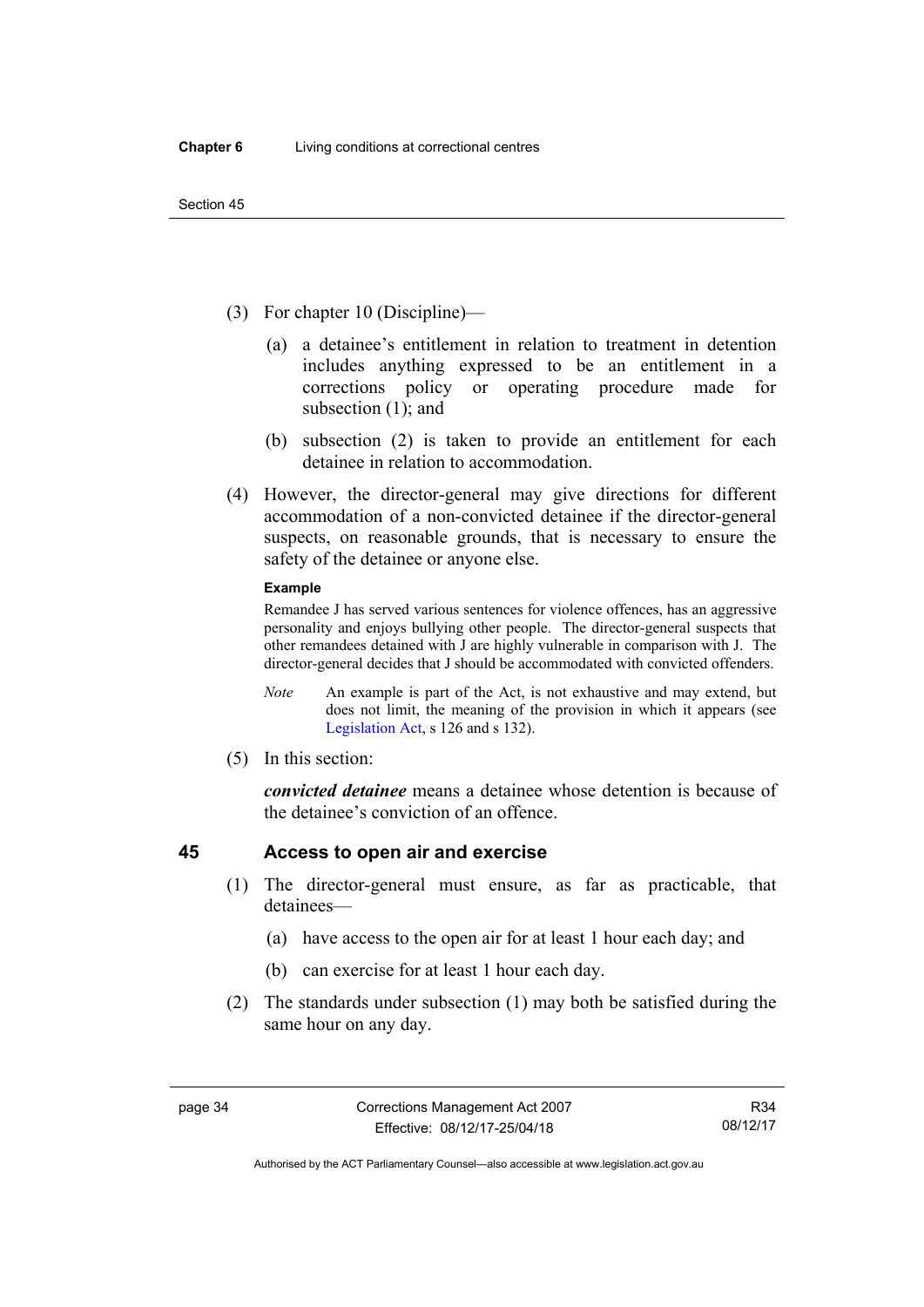- (3) For chapter 10 (Discipline)—
	- (a) a detainee's entitlement in relation to treatment in detention includes anything expressed to be an entitlement in a corrections policy or operating procedure made for subsection  $(1)$ ; and
	- (b) subsection (2) is taken to provide an entitlement for each detainee in relation to accommodation.
- (4) However, the director-general may give directions for different accommodation of a non-convicted detainee if the director-general suspects, on reasonable grounds, that is necessary to ensure the safety of the detainee or anyone else.

### **Example**

Remandee J has served various sentences for violence offences, has an aggressive personality and enjoys bullying other people. The director-general suspects that other remandees detained with J are highly vulnerable in comparison with J. The director-general decides that J should be accommodated with convicted offenders.

- *Note* An example is part of the Act, is not exhaustive and may extend, but does not limit, the meaning of the provision in which it appears (see [Legislation Act,](http://www.legislation.act.gov.au/a/2001-14) s 126 and s 132).
- (5) In this section:

*convicted detainee* means a detainee whose detention is because of the detainee's conviction of an offence.

## **45 Access to open air and exercise**

- (1) The director-general must ensure, as far as practicable, that detainees—
	- (a) have access to the open air for at least 1 hour each day; and
	- (b) can exercise for at least 1 hour each day.
- (2) The standards under subsection (1) may both be satisfied during the same hour on any day.

Authorised by the ACT Parliamentary Counsel—also accessible at www.legislation.act.gov.au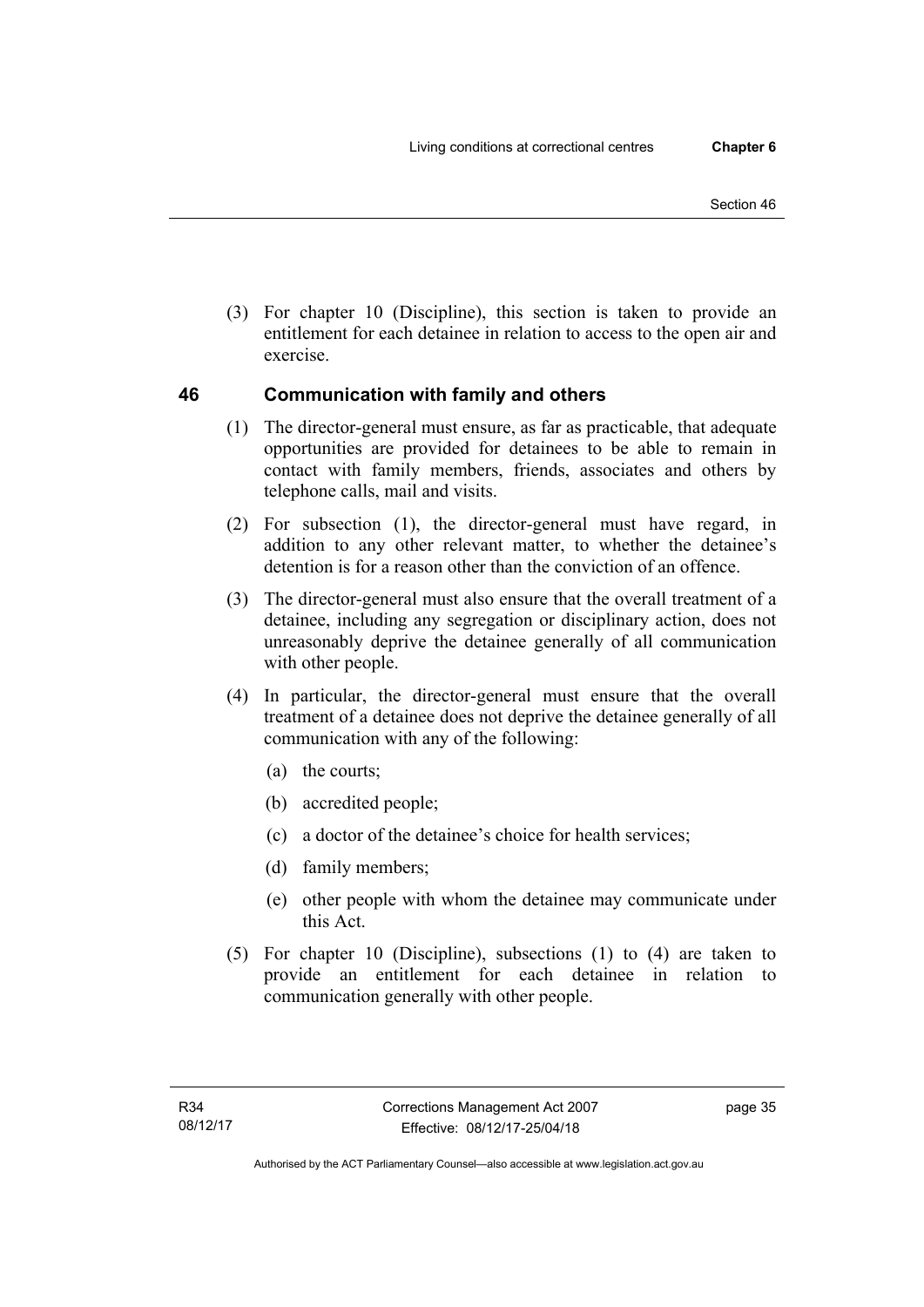(3) For chapter 10 (Discipline), this section is taken to provide an entitlement for each detainee in relation to access to the open air and exercise.

## **46 Communication with family and others**

- (1) The director-general must ensure, as far as practicable, that adequate opportunities are provided for detainees to be able to remain in contact with family members, friends, associates and others by telephone calls, mail and visits.
- (2) For subsection (1), the director-general must have regard, in addition to any other relevant matter, to whether the detainee's detention is for a reason other than the conviction of an offence.
- (3) The director-general must also ensure that the overall treatment of a detainee, including any segregation or disciplinary action, does not unreasonably deprive the detainee generally of all communication with other people.
- (4) In particular, the director-general must ensure that the overall treatment of a detainee does not deprive the detainee generally of all communication with any of the following:
	- (a) the courts;
	- (b) accredited people;
	- (c) a doctor of the detainee's choice for health services;
	- (d) family members;
	- (e) other people with whom the detainee may communicate under this Act.
- (5) For chapter 10 (Discipline), subsections (1) to (4) are taken to provide an entitlement for each detainee in relation to communication generally with other people.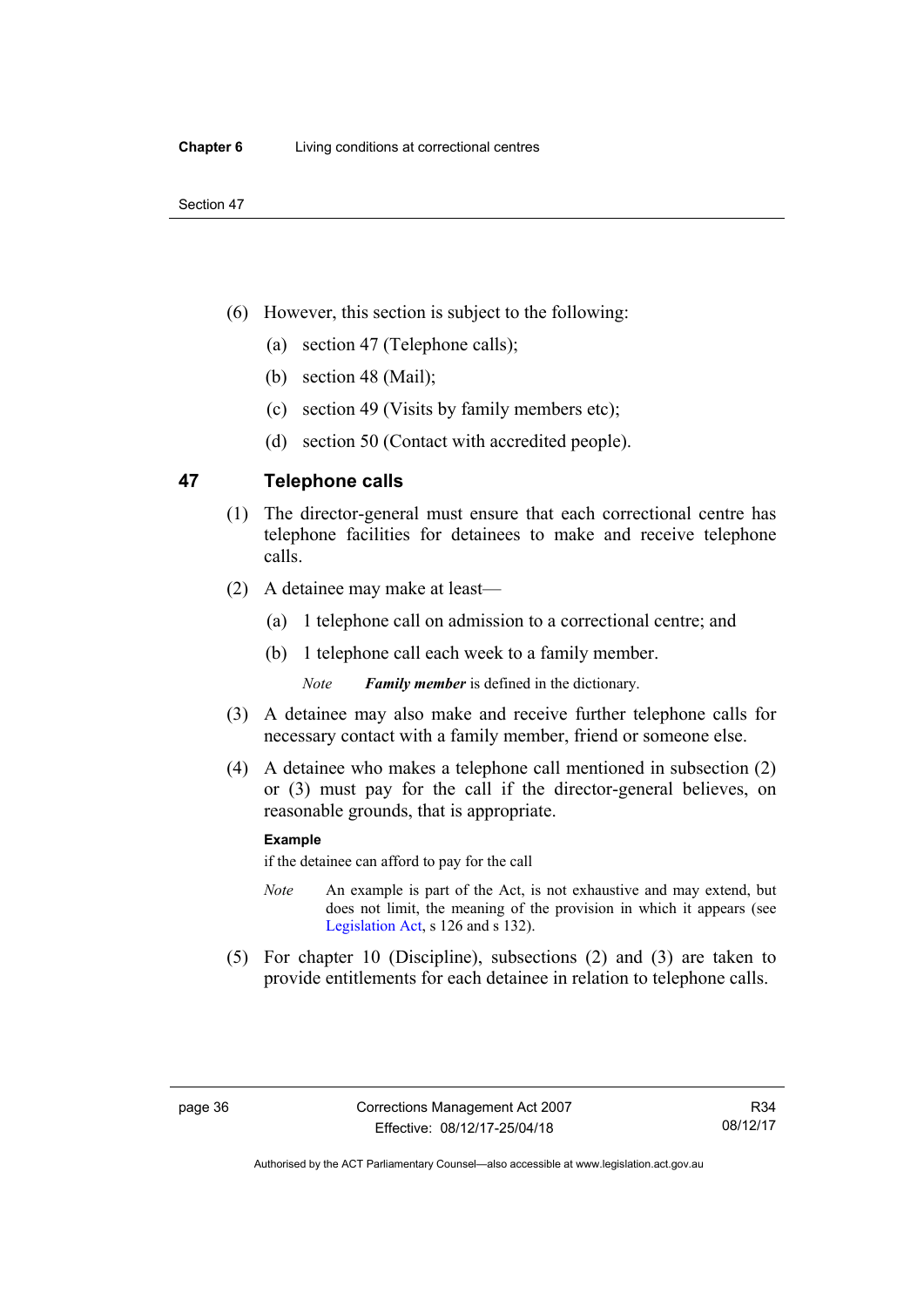- (6) However, this section is subject to the following:
	- (a) section 47 (Telephone calls);
	- (b) section 48 (Mail);
	- (c) section 49 (Visits by family members etc);
	- (d) section 50 (Contact with accredited people).

## **47 Telephone calls**

- (1) The director-general must ensure that each correctional centre has telephone facilities for detainees to make and receive telephone calls.
- (2) A detainee may make at least—
	- (a) 1 telephone call on admission to a correctional centre; and
	- (b) 1 telephone call each week to a family member.

*Note Family member* is defined in the dictionary.

- (3) A detainee may also make and receive further telephone calls for necessary contact with a family member, friend or someone else.
- (4) A detainee who makes a telephone call mentioned in subsection (2) or (3) must pay for the call if the director-general believes, on reasonable grounds, that is appropriate.

### **Example**

if the detainee can afford to pay for the call

- *Note* An example is part of the Act, is not exhaustive and may extend, but does not limit, the meaning of the provision in which it appears (see [Legislation Act,](http://www.legislation.act.gov.au/a/2001-14) s 126 and s 132).
- (5) For chapter 10 (Discipline), subsections (2) and (3) are taken to provide entitlements for each detainee in relation to telephone calls.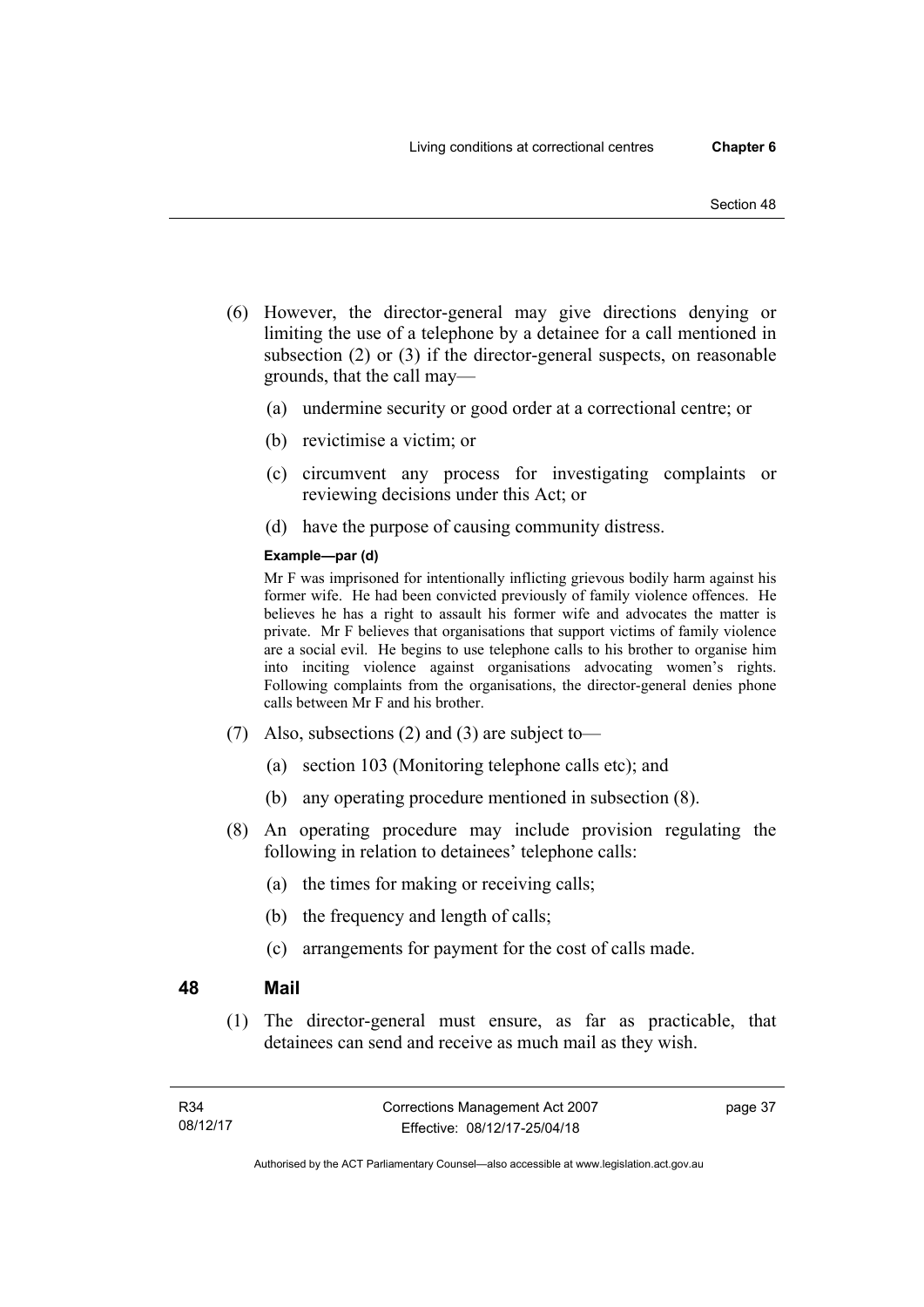- (6) However, the director-general may give directions denying or limiting the use of a telephone by a detainee for a call mentioned in subsection (2) or (3) if the director-general suspects, on reasonable grounds, that the call may—
	- (a) undermine security or good order at a correctional centre; or
	- (b) revictimise a victim; or
	- (c) circumvent any process for investigating complaints or reviewing decisions under this Act; or
	- (d) have the purpose of causing community distress.

### **Example—par (d)**

Mr F was imprisoned for intentionally inflicting grievous bodily harm against his former wife. He had been convicted previously of family violence offences. He believes he has a right to assault his former wife and advocates the matter is private. Mr F believes that organisations that support victims of family violence are a social evil. He begins to use telephone calls to his brother to organise him into inciting violence against organisations advocating women's rights. Following complaints from the organisations, the director-general denies phone calls between Mr F and his brother.

- (7) Also, subsections (2) and (3) are subject to—
	- (a) section 103 (Monitoring telephone calls etc); and
	- (b) any operating procedure mentioned in subsection (8).
- (8) An operating procedure may include provision regulating the following in relation to detainees' telephone calls:
	- (a) the times for making or receiving calls;
	- (b) the frequency and length of calls;
	- (c) arrangements for payment for the cost of calls made.

### **48 Mail**

 (1) The director-general must ensure, as far as practicable, that detainees can send and receive as much mail as they wish.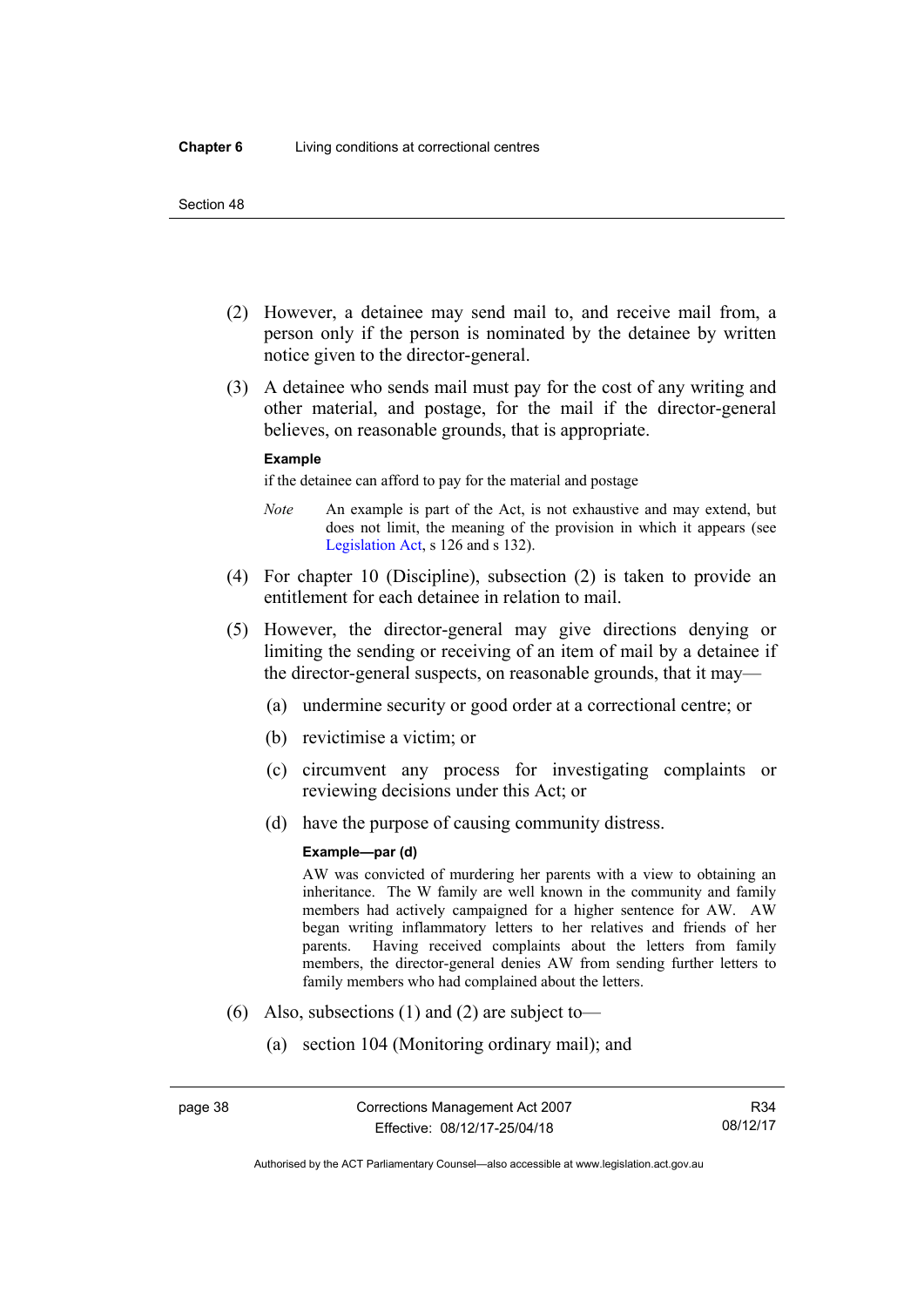- (2) However, a detainee may send mail to, and receive mail from, a person only if the person is nominated by the detainee by written notice given to the director-general.
- (3) A detainee who sends mail must pay for the cost of any writing and other material, and postage, for the mail if the director-general believes, on reasonable grounds, that is appropriate.

#### **Example**

if the detainee can afford to pay for the material and postage

- *Note* An example is part of the Act, is not exhaustive and may extend, but does not limit, the meaning of the provision in which it appears (see [Legislation Act,](http://www.legislation.act.gov.au/a/2001-14) s 126 and s 132).
- (4) For chapter 10 (Discipline), subsection (2) is taken to provide an entitlement for each detainee in relation to mail.
- (5) However, the director-general may give directions denying or limiting the sending or receiving of an item of mail by a detainee if the director-general suspects, on reasonable grounds, that it may—
	- (a) undermine security or good order at a correctional centre; or
	- (b) revictimise a victim; or
	- (c) circumvent any process for investigating complaints or reviewing decisions under this Act; or
	- (d) have the purpose of causing community distress.

#### **Example—par (d)**

AW was convicted of murdering her parents with a view to obtaining an inheritance. The W family are well known in the community and family members had actively campaigned for a higher sentence for AW. AW began writing inflammatory letters to her relatives and friends of her parents. Having received complaints about the letters from family members, the director-general denies AW from sending further letters to family members who had complained about the letters.

- (6) Also, subsections (1) and (2) are subject to—
	- (a) section 104 (Monitoring ordinary mail); and

Authorised by the ACT Parliamentary Counsel—also accessible at www.legislation.act.gov.au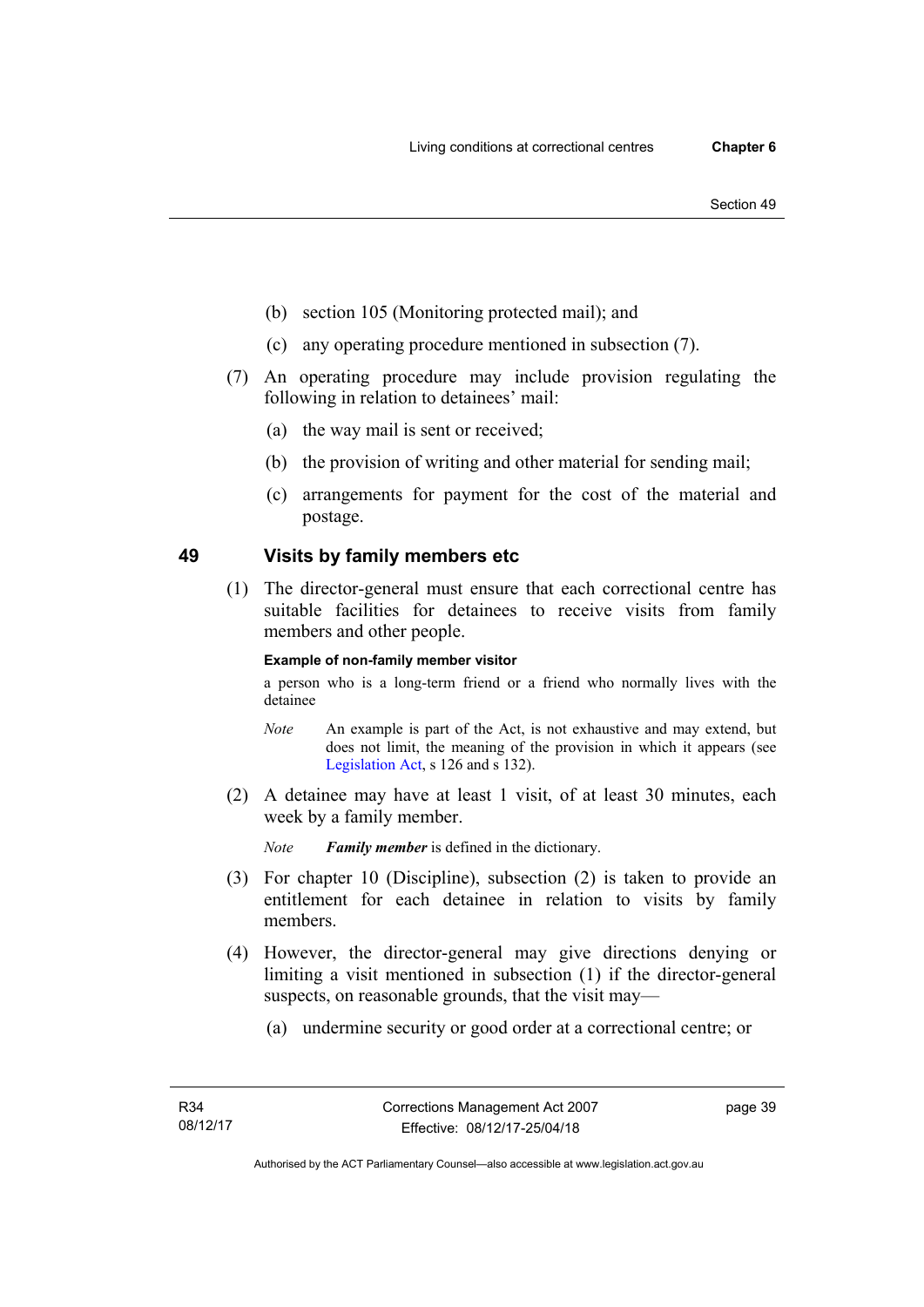- (b) section 105 (Monitoring protected mail); and
- (c) any operating procedure mentioned in subsection (7).
- (7) An operating procedure may include provision regulating the following in relation to detainees' mail:
	- (a) the way mail is sent or received;
	- (b) the provision of writing and other material for sending mail;
	- (c) arrangements for payment for the cost of the material and postage.

## **49 Visits by family members etc**

 (1) The director-general must ensure that each correctional centre has suitable facilities for detainees to receive visits from family members and other people.

### **Example of non-family member visitor**

a person who is a long-term friend or a friend who normally lives with the detainee

- *Note* An example is part of the Act, is not exhaustive and may extend, but does not limit, the meaning of the provision in which it appears (see [Legislation Act,](http://www.legislation.act.gov.au/a/2001-14) s 126 and s 132).
- (2) A detainee may have at least 1 visit, of at least 30 minutes, each week by a family member.

*Note Family member* is defined in the dictionary.

- (3) For chapter 10 (Discipline), subsection (2) is taken to provide an entitlement for each detainee in relation to visits by family members.
- (4) However, the director-general may give directions denying or limiting a visit mentioned in subsection (1) if the director-general suspects, on reasonable grounds, that the visit may—
	- (a) undermine security or good order at a correctional centre; or

page 39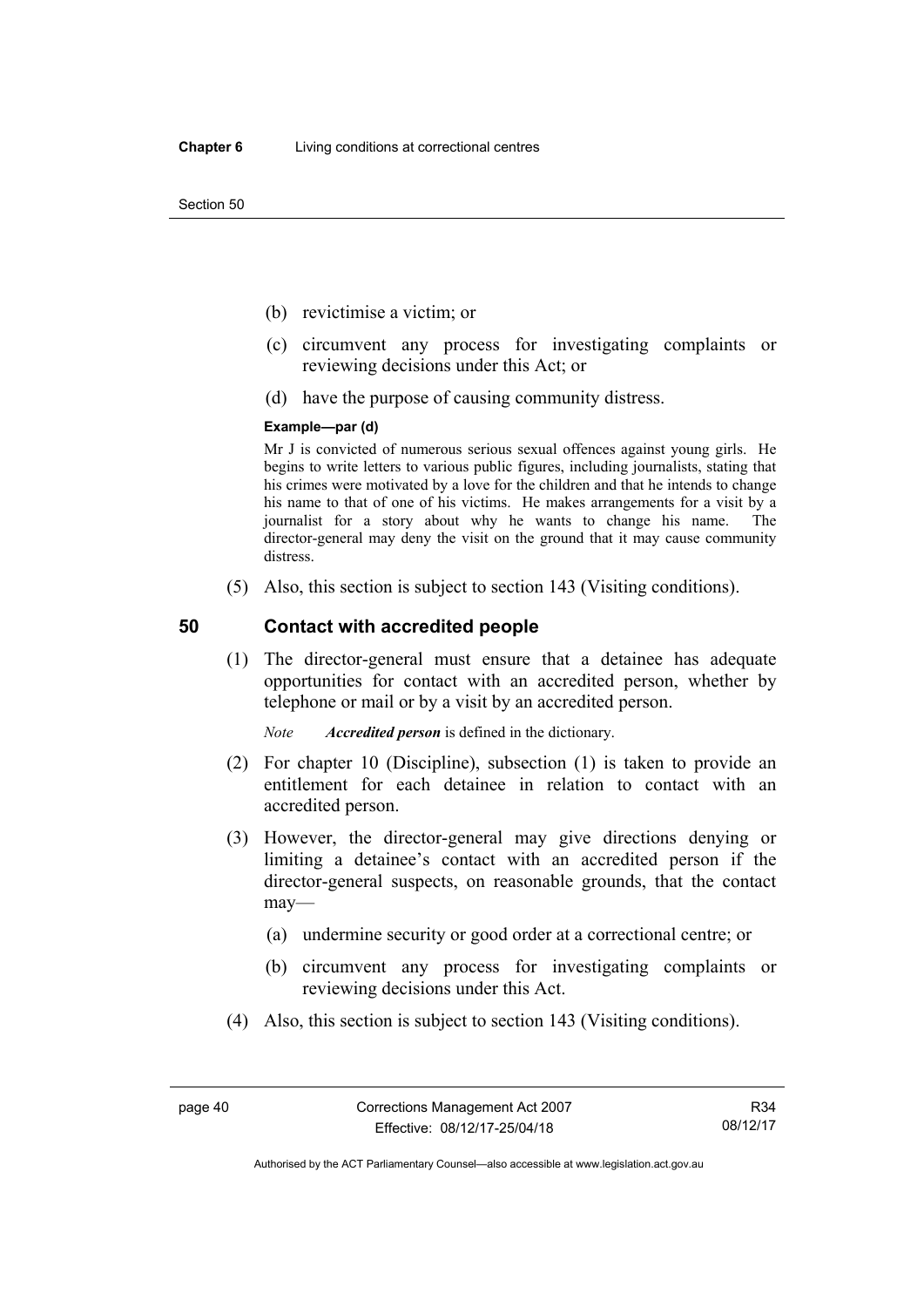- (b) revictimise a victim; or
- (c) circumvent any process for investigating complaints or reviewing decisions under this Act; or
- (d) have the purpose of causing community distress.

#### **Example—par (d)**

Mr J is convicted of numerous serious sexual offences against young girls. He begins to write letters to various public figures, including journalists, stating that his crimes were motivated by a love for the children and that he intends to change his name to that of one of his victims. He makes arrangements for a visit by a journalist for a story about why he wants to change his name. The director-general may deny the visit on the ground that it may cause community distress.

(5) Also, this section is subject to section 143 (Visiting conditions).

### **50 Contact with accredited people**

 (1) The director-general must ensure that a detainee has adequate opportunities for contact with an accredited person, whether by telephone or mail or by a visit by an accredited person.

*Note Accredited person* is defined in the dictionary.

- (2) For chapter 10 (Discipline), subsection (1) is taken to provide an entitlement for each detainee in relation to contact with an accredited person.
- (3) However, the director-general may give directions denying or limiting a detainee's contact with an accredited person if the director-general suspects, on reasonable grounds, that the contact may—
	- (a) undermine security or good order at a correctional centre; or
	- (b) circumvent any process for investigating complaints or reviewing decisions under this Act.
- (4) Also, this section is subject to section 143 (Visiting conditions).

R34 08/12/17

Authorised by the ACT Parliamentary Counsel—also accessible at www.legislation.act.gov.au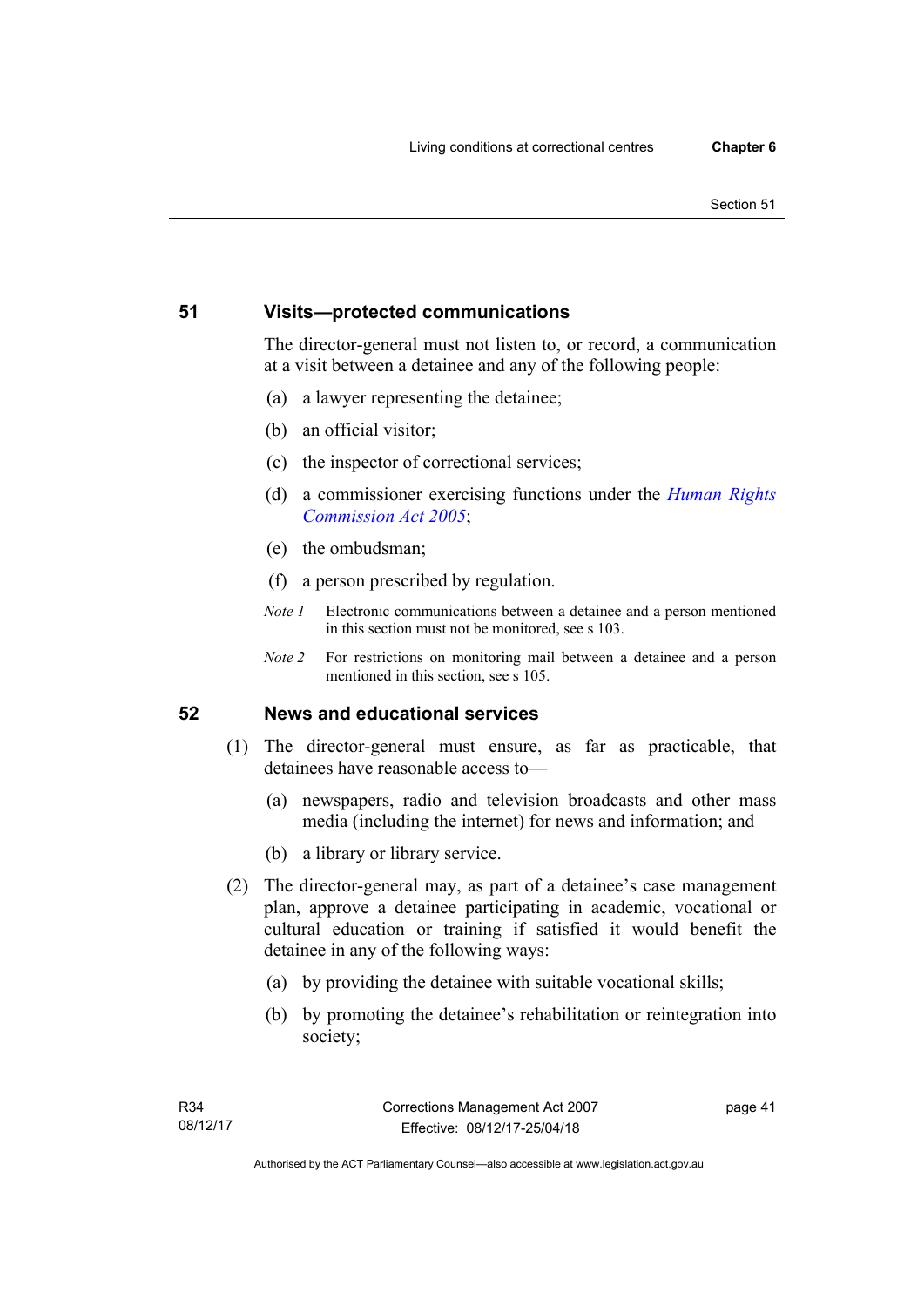## **51 Visits—protected communications**

The director-general must not listen to, or record, a communication at a visit between a detainee and any of the following people:

- (a) a lawyer representing the detainee;
- (b) an official visitor;
- (c) the inspector of correctional services;
- (d) a commissioner exercising functions under the *[Human Rights](http://www.legislation.act.gov.au/a/2005-40)  [Commission Act 2005](http://www.legislation.act.gov.au/a/2005-40)*;
- (e) the ombudsman;
- (f) a person prescribed by regulation.
- *Note 1* Electronic communications between a detainee and a person mentioned in this section must not be monitored, see s 103.
- *Note 2* For restrictions on monitoring mail between a detainee and a person mentioned in this section, see s 105.

## **52 News and educational services**

- (1) The director-general must ensure, as far as practicable, that detainees have reasonable access to—
	- (a) newspapers, radio and television broadcasts and other mass media (including the internet) for news and information; and
	- (b) a library or library service.
- (2) The director-general may, as part of a detainee's case management plan, approve a detainee participating in academic, vocational or cultural education or training if satisfied it would benefit the detainee in any of the following ways:
	- (a) by providing the detainee with suitable vocational skills;
	- (b) by promoting the detainee's rehabilitation or reintegration into society;

page 41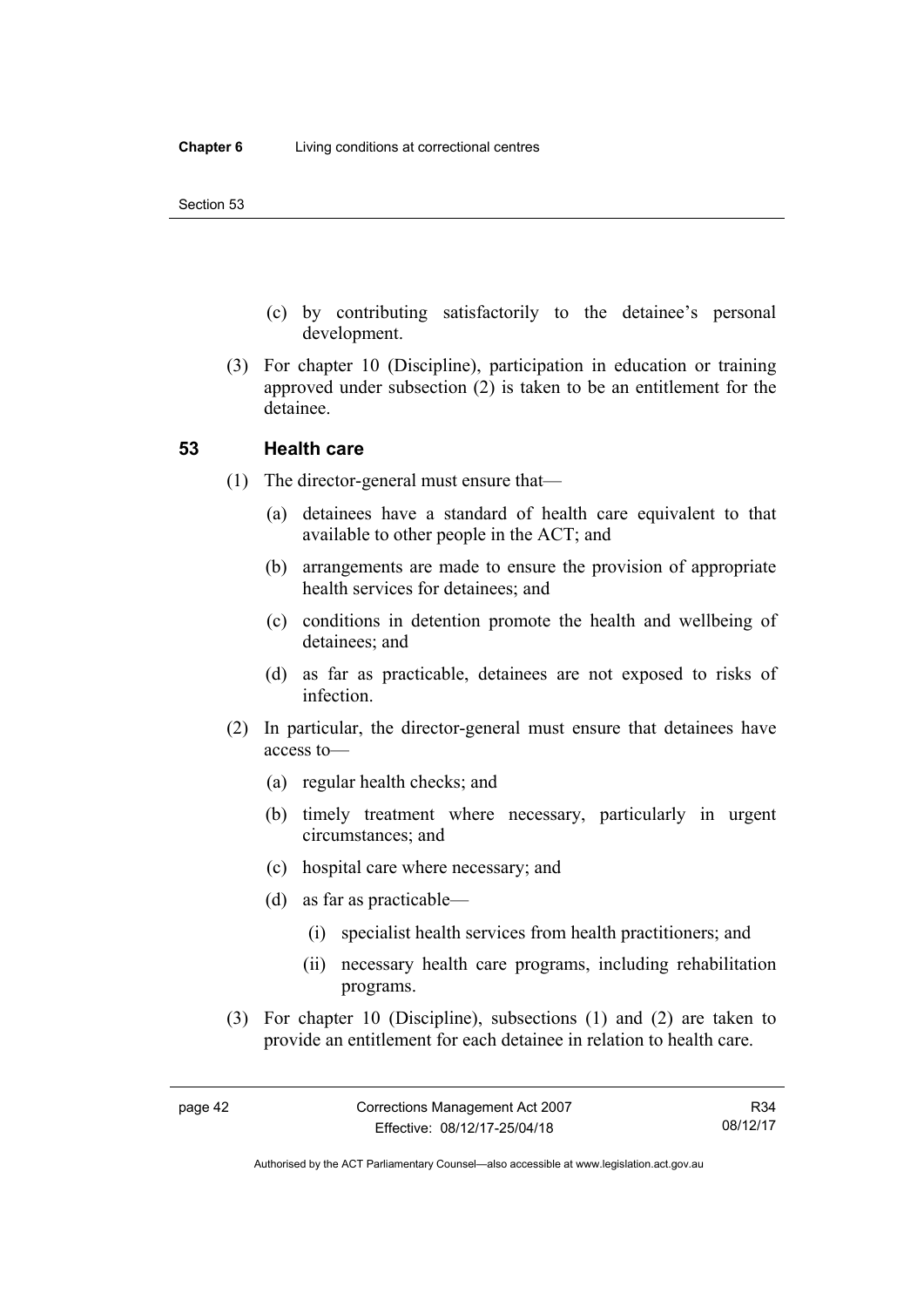- (c) by contributing satisfactorily to the detainee's personal development.
- (3) For chapter 10 (Discipline), participation in education or training approved under subsection (2) is taken to be an entitlement for the detainee.

## **53 Health care**

- (1) The director-general must ensure that—
	- (a) detainees have a standard of health care equivalent to that available to other people in the ACT; and
	- (b) arrangements are made to ensure the provision of appropriate health services for detainees; and
	- (c) conditions in detention promote the health and wellbeing of detainees; and
	- (d) as far as practicable, detainees are not exposed to risks of infection.
- (2) In particular, the director-general must ensure that detainees have access to—
	- (a) regular health checks; and
	- (b) timely treatment where necessary, particularly in urgent circumstances; and
	- (c) hospital care where necessary; and
	- (d) as far as practicable—
		- (i) specialist health services from health practitioners; and
		- (ii) necessary health care programs, including rehabilitation programs.
- (3) For chapter 10 (Discipline), subsections (1) and (2) are taken to provide an entitlement for each detainee in relation to health care.

Authorised by the ACT Parliamentary Counsel—also accessible at www.legislation.act.gov.au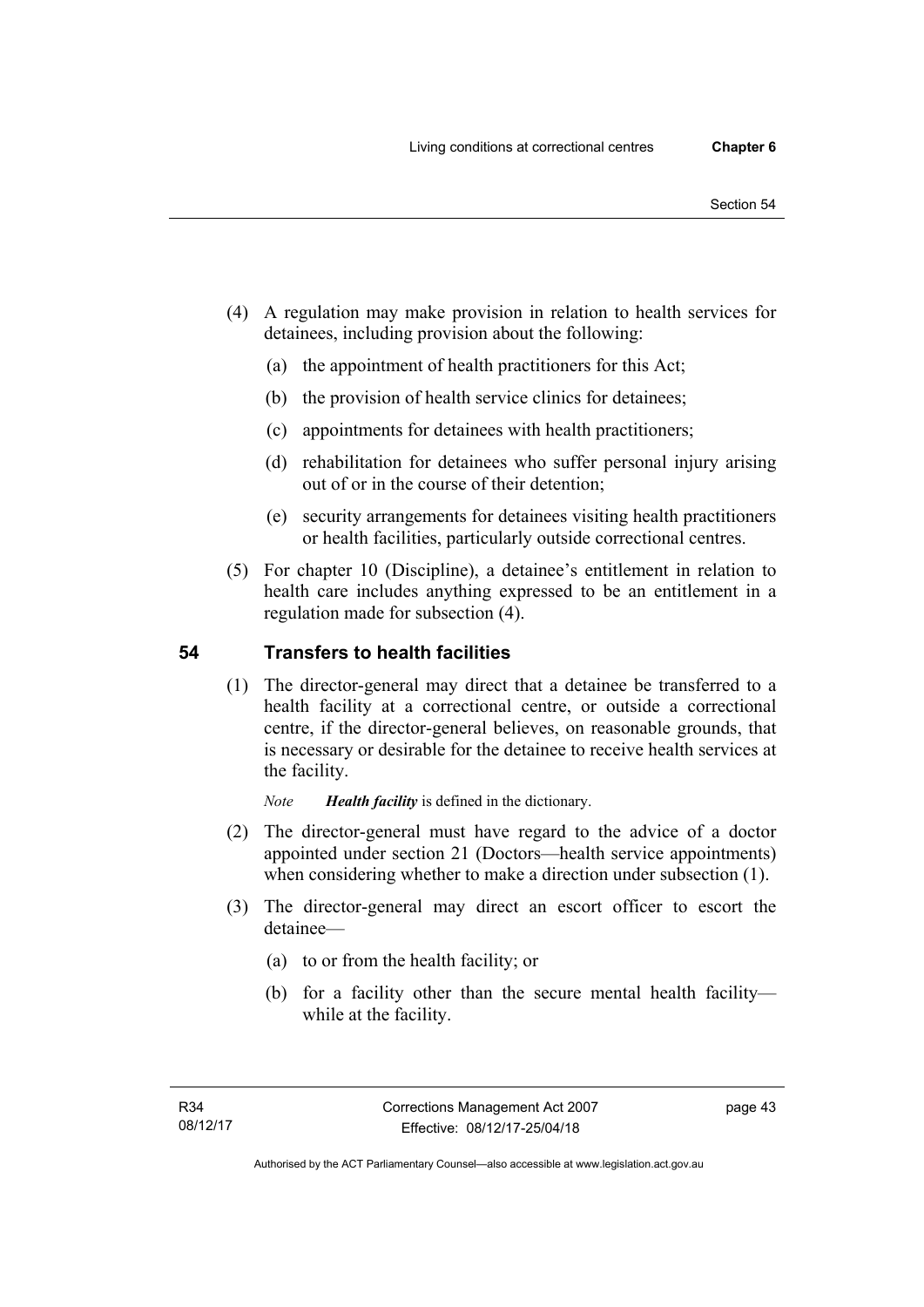- (4) A regulation may make provision in relation to health services for detainees, including provision about the following:
	- (a) the appointment of health practitioners for this Act;
	- (b) the provision of health service clinics for detainees;
	- (c) appointments for detainees with health practitioners;
	- (d) rehabilitation for detainees who suffer personal injury arising out of or in the course of their detention;
	- (e) security arrangements for detainees visiting health practitioners or health facilities, particularly outside correctional centres.
- (5) For chapter 10 (Discipline), a detainee's entitlement in relation to health care includes anything expressed to be an entitlement in a regulation made for subsection (4).

## **54 Transfers to health facilities**

 (1) The director-general may direct that a detainee be transferred to a health facility at a correctional centre, or outside a correctional centre, if the director-general believes, on reasonable grounds, that is necessary or desirable for the detainee to receive health services at the facility.

*Note Health facility* is defined in the dictionary.

- (2) The director-general must have regard to the advice of a doctor appointed under section 21 (Doctors—health service appointments) when considering whether to make a direction under subsection (1).
- (3) The director-general may direct an escort officer to escort the detainee—
	- (a) to or from the health facility; or
	- (b) for a facility other than the secure mental health facility while at the facility.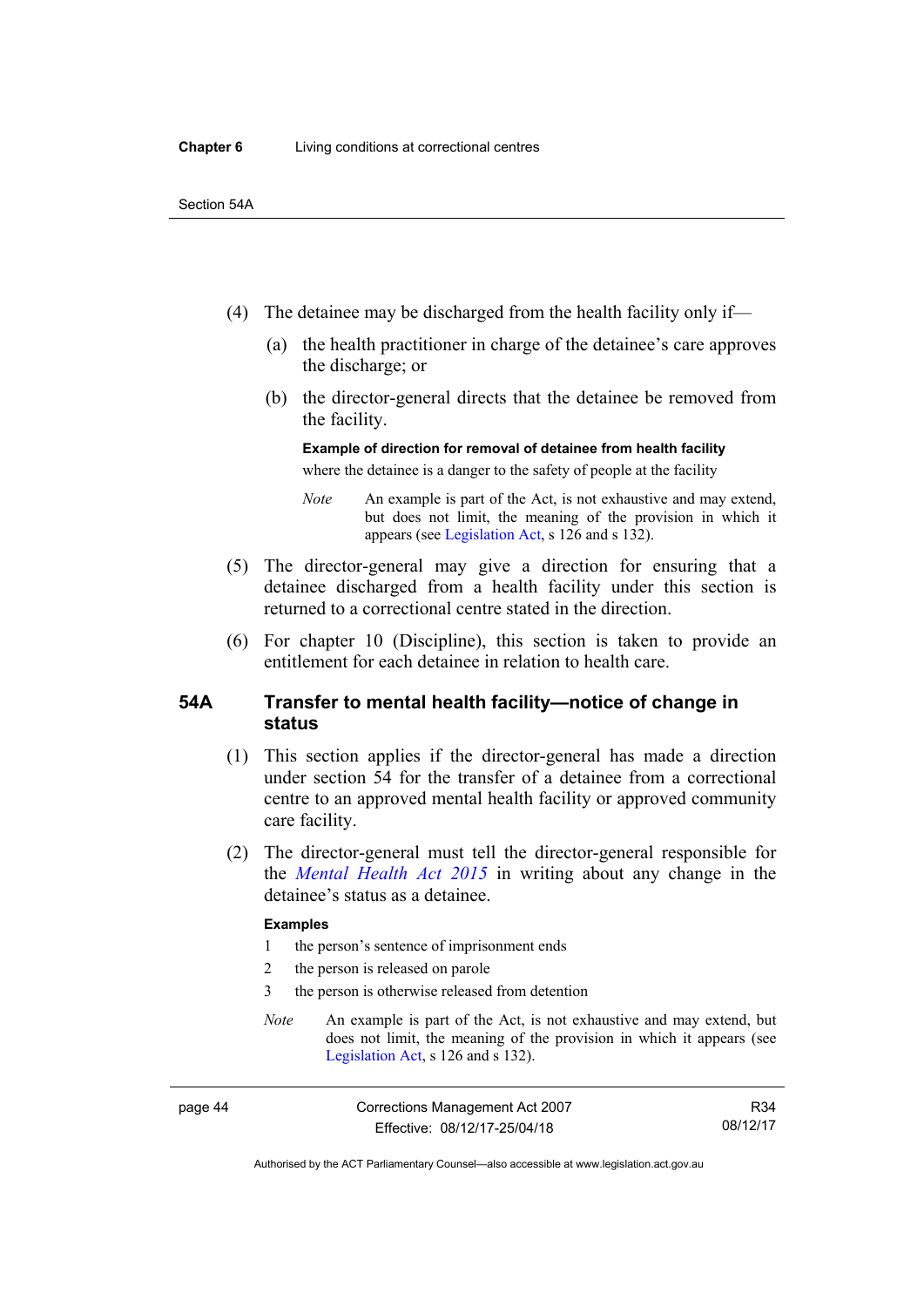- (4) The detainee may be discharged from the health facility only if—
	- (a) the health practitioner in charge of the detainee's care approves the discharge; or
	- (b) the director-general directs that the detainee be removed from the facility.

**Example of direction for removal of detainee from health facility**  where the detainee is a danger to the safety of people at the facility

- *Note* An example is part of the Act, is not exhaustive and may extend, but does not limit, the meaning of the provision in which it appears (see [Legislation Act,](http://www.legislation.act.gov.au/a/2001-14) s 126 and s 132).
- (5) The director-general may give a direction for ensuring that a detainee discharged from a health facility under this section is returned to a correctional centre stated in the direction.
- (6) For chapter 10 (Discipline), this section is taken to provide an entitlement for each detainee in relation to health care.

## **54A Transfer to mental health facility—notice of change in status**

- (1) This section applies if the director-general has made a direction under section 54 for the transfer of a detainee from a correctional centre to an approved mental health facility or approved community care facility.
- (2) The director-general must tell the director-general responsible for the *[Mental Health Act 2015](http://www.legislation.act.gov.au/a/2015-38/default.asp)* in writing about any change in the detainee's status as a detainee.

### **Examples**

- 1 the person's sentence of imprisonment ends
- 2 the person is released on parole
- 3 the person is otherwise released from detention
- *Note* An example is part of the Act, is not exhaustive and may extend, but does not limit, the meaning of the provision in which it appears (see [Legislation Act,](http://www.legislation.act.gov.au/a/2001-14) s 126 and s 132).

Authorised by the ACT Parliamentary Counsel—also accessible at www.legislation.act.gov.au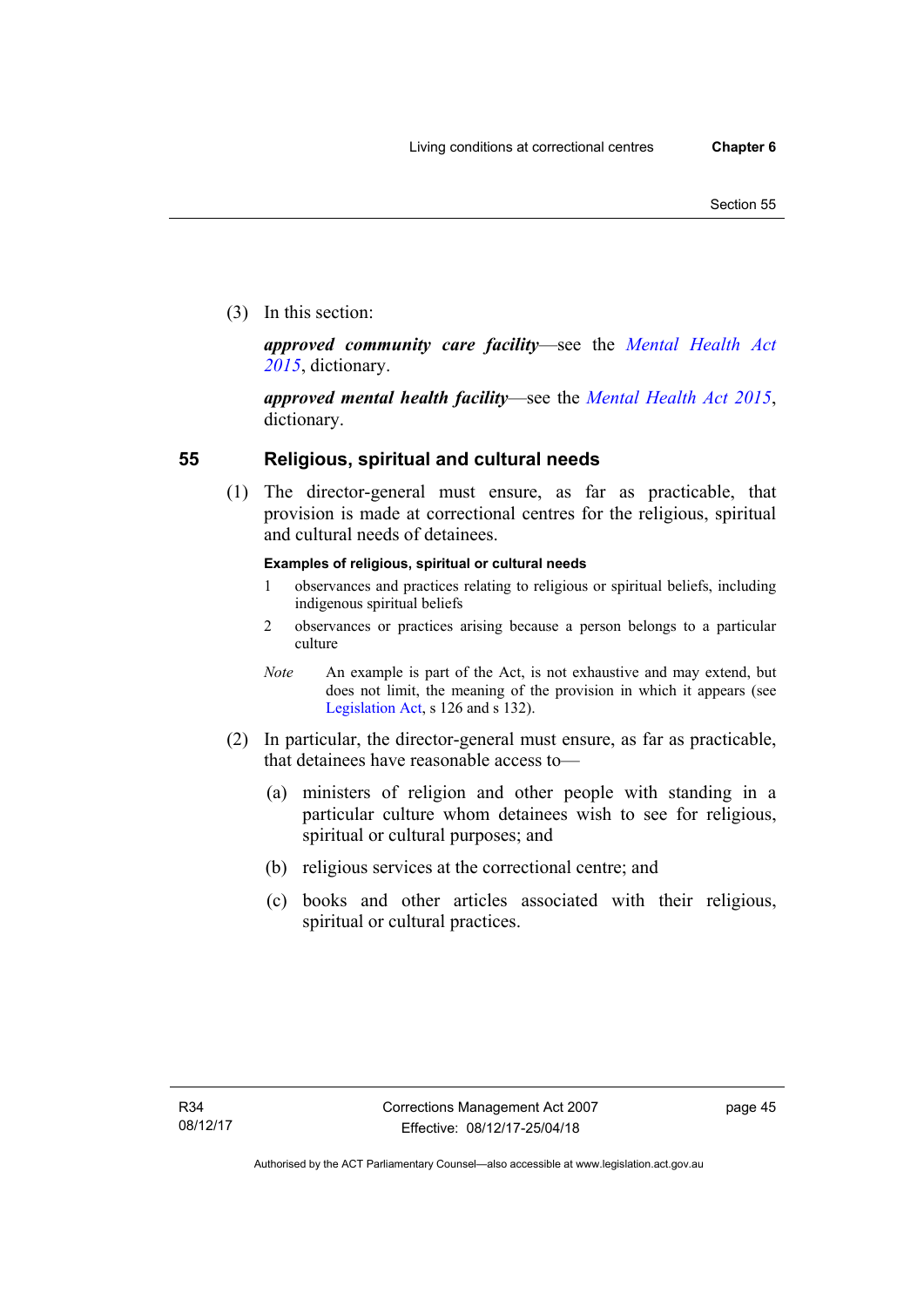(3) In this section:

*approved community care facility*—see the *[Mental Health Act](http://www.legislation.act.gov.au/a/2015-38/default.asp)  [2015](http://www.legislation.act.gov.au/a/2015-38/default.asp)*, dictionary.

*approved mental health facility*—see the *[Mental Health Act 2015](http://www.legislation.act.gov.au/a/2015-38/default.asp)*, dictionary.

## **55 Religious, spiritual and cultural needs**

 (1) The director-general must ensure, as far as practicable, that provision is made at correctional centres for the religious, spiritual and cultural needs of detainees.

### **Examples of religious, spiritual or cultural needs**

- 1 observances and practices relating to religious or spiritual beliefs, including indigenous spiritual beliefs
- 2 observances or practices arising because a person belongs to a particular culture
- *Note* An example is part of the Act, is not exhaustive and may extend, but does not limit, the meaning of the provision in which it appears (see [Legislation Act,](http://www.legislation.act.gov.au/a/2001-14) s 126 and s 132).
- (2) In particular, the director-general must ensure, as far as practicable, that detainees have reasonable access to—
	- (a) ministers of religion and other people with standing in a particular culture whom detainees wish to see for religious, spiritual or cultural purposes; and
	- (b) religious services at the correctional centre; and
	- (c) books and other articles associated with their religious, spiritual or cultural practices.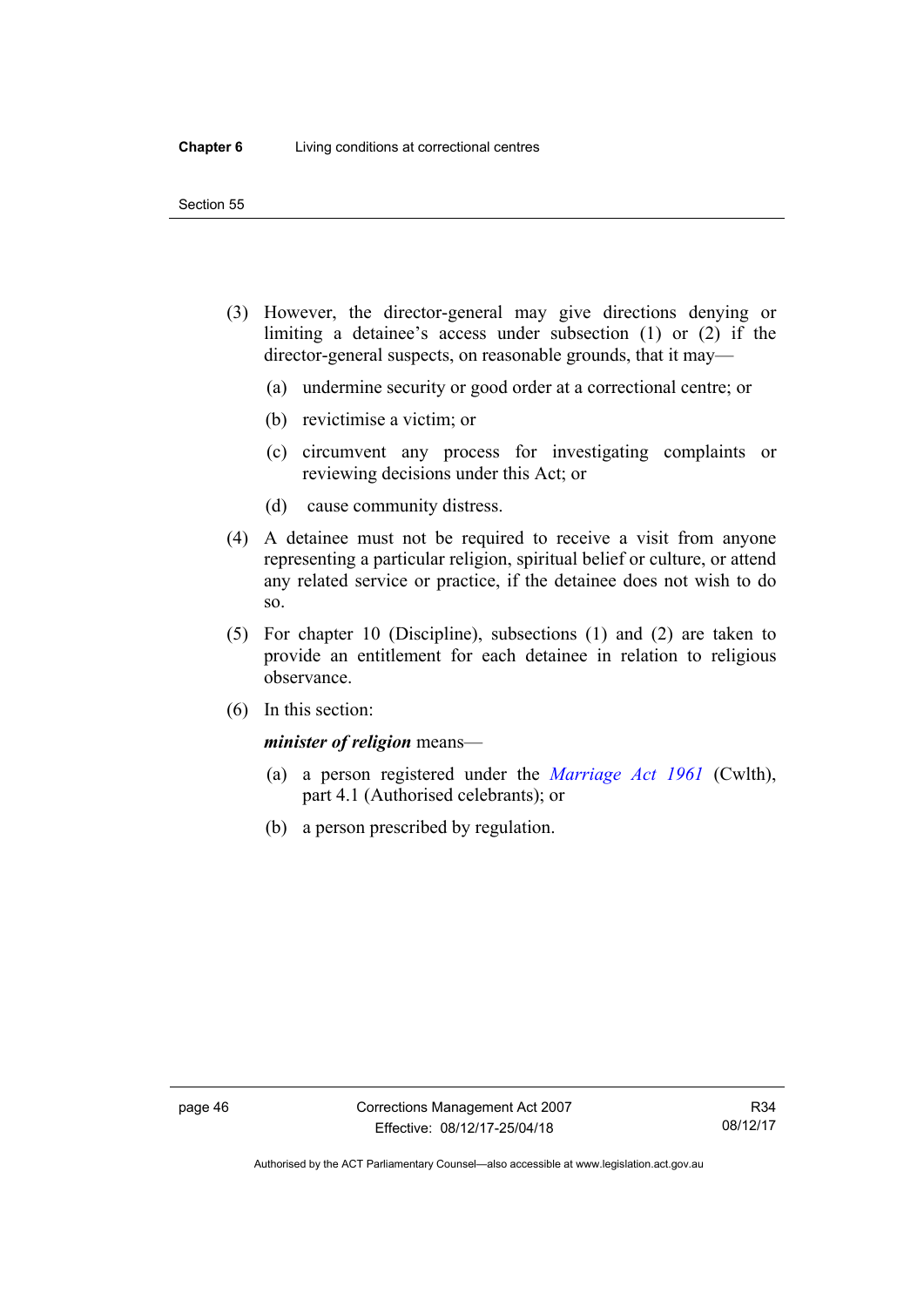#### Section 55

- (3) However, the director-general may give directions denying or limiting a detainee's access under subsection (1) or (2) if the director-general suspects, on reasonable grounds, that it may—
	- (a) undermine security or good order at a correctional centre; or
	- (b) revictimise a victim; or
	- (c) circumvent any process for investigating complaints or reviewing decisions under this Act; or
	- (d) cause community distress.
- (4) A detainee must not be required to receive a visit from anyone representing a particular religion, spiritual belief or culture, or attend any related service or practice, if the detainee does not wish to do so.
- (5) For chapter 10 (Discipline), subsections (1) and (2) are taken to provide an entitlement for each detainee in relation to religious observance.
- (6) In this section:

## *minister of religion* means—

- (a) a person registered under the *[Marriage Act 1961](http://www.comlaw.gov.au/Series/C2004A07402)* (Cwlth), part 4.1 (Authorised celebrants); or
- (b) a person prescribed by regulation.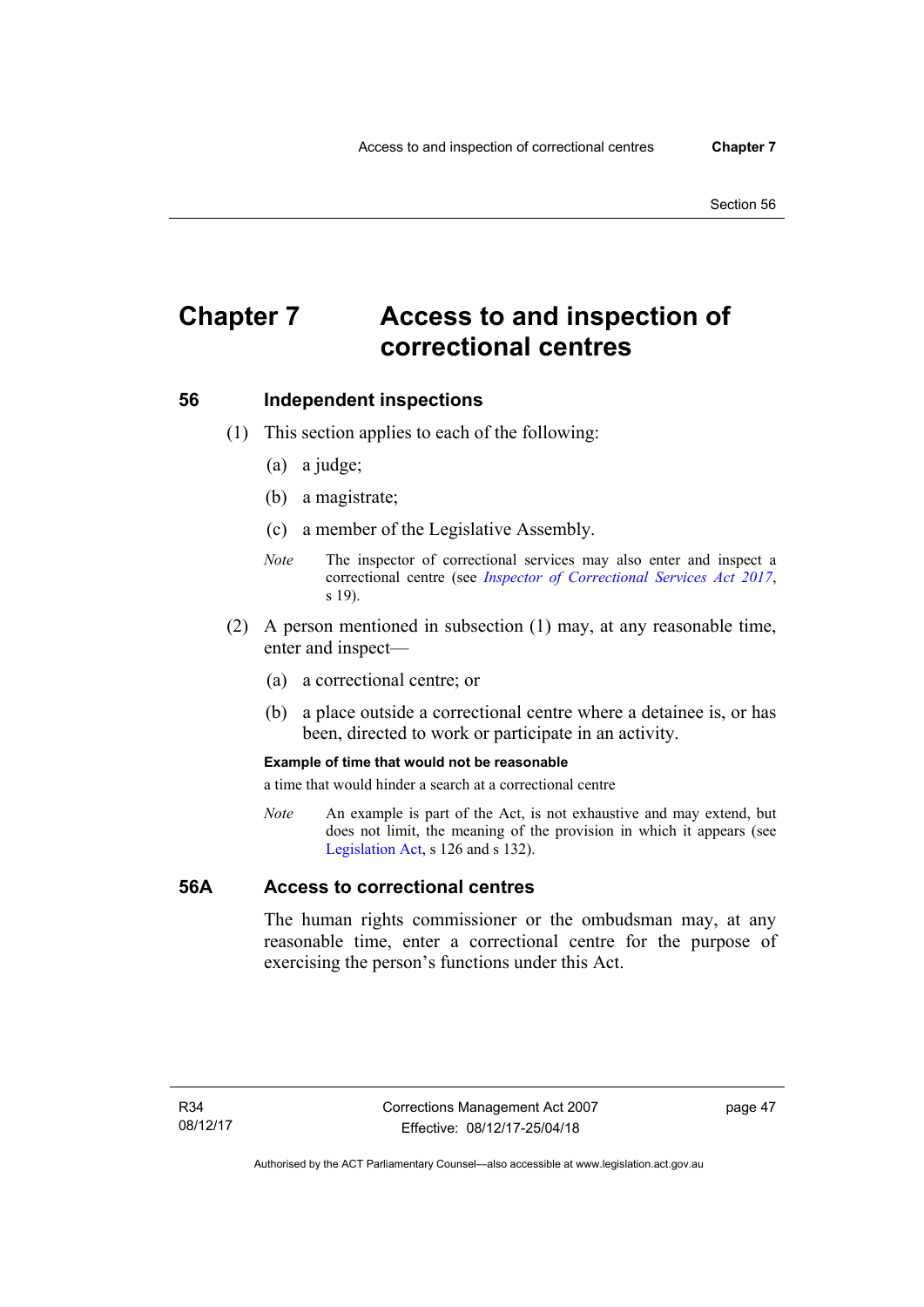# **Chapter 7 Access to and inspection of correctional centres**

### **56 Independent inspections**

- (1) This section applies to each of the following:
	- (a) a judge;
	- (b) a magistrate;
	- (c) a member of the Legislative Assembly.
	- *Note* The inspector of correctional services may also enter and inspect a correctional centre (see *[Inspector of Correctional Services Act 2017](http://www.legislation.act.gov.au/a/2017-47/default.asp)*, s 19).
- (2) A person mentioned in subsection (1) may, at any reasonable time, enter and inspect—
	- (a) a correctional centre; or
	- (b) a place outside a correctional centre where a detainee is, or has been, directed to work or participate in an activity.

### **Example of time that would not be reasonable**

a time that would hinder a search at a correctional centre

*Note* An example is part of the Act, is not exhaustive and may extend, but does not limit, the meaning of the provision in which it appears (see [Legislation Act,](http://www.legislation.act.gov.au/a/2001-14) s 126 and s 132).

### **56A Access to correctional centres**

The human rights commissioner or the ombudsman may, at any reasonable time, enter a correctional centre for the purpose of exercising the person's functions under this Act.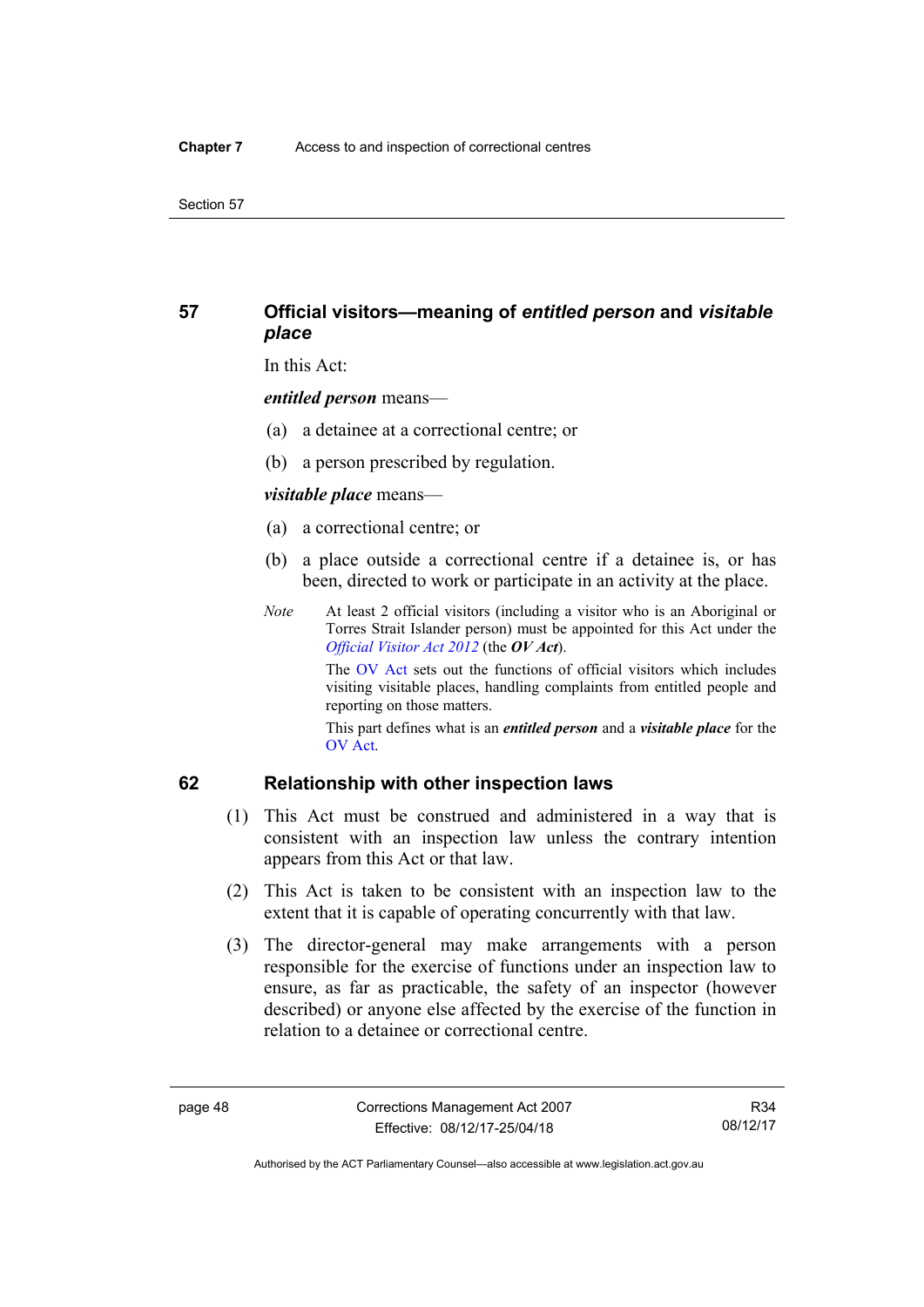## **57 Official visitors—meaning of** *entitled person* **and** *visitable place*

In this Act:

*entitled person* means—

- (a) a detainee at a correctional centre; or
- (b) a person prescribed by regulation.

### *visitable place* means—

- (a) a correctional centre; or
- (b) a place outside a correctional centre if a detainee is, or has been, directed to work or participate in an activity at the place.
- *Note* At least 2 official visitors (including a visitor who is an Aboriginal or Torres Strait Islander person) must be appointed for this Act under the *[Official Visitor Act 2012](http://www.legislation.act.gov.au/a/2012-33/default.asp)* (the *OV Act*).

The [OV Act](http://www.legislation.act.gov.au/a/2012-33/default.asp) sets out the functions of official visitors which includes visiting visitable places, handling complaints from entitled people and reporting on those matters.

This part defines what is an *entitled person* and a *visitable place* for the [OV Act.](http://www.legislation.act.gov.au/a/2012-33/default.asp)

## **62 Relationship with other inspection laws**

- (1) This Act must be construed and administered in a way that is consistent with an inspection law unless the contrary intention appears from this Act or that law.
- (2) This Act is taken to be consistent with an inspection law to the extent that it is capable of operating concurrently with that law.
- (3) The director-general may make arrangements with a person responsible for the exercise of functions under an inspection law to ensure, as far as practicable, the safety of an inspector (however described) or anyone else affected by the exercise of the function in relation to a detainee or correctional centre.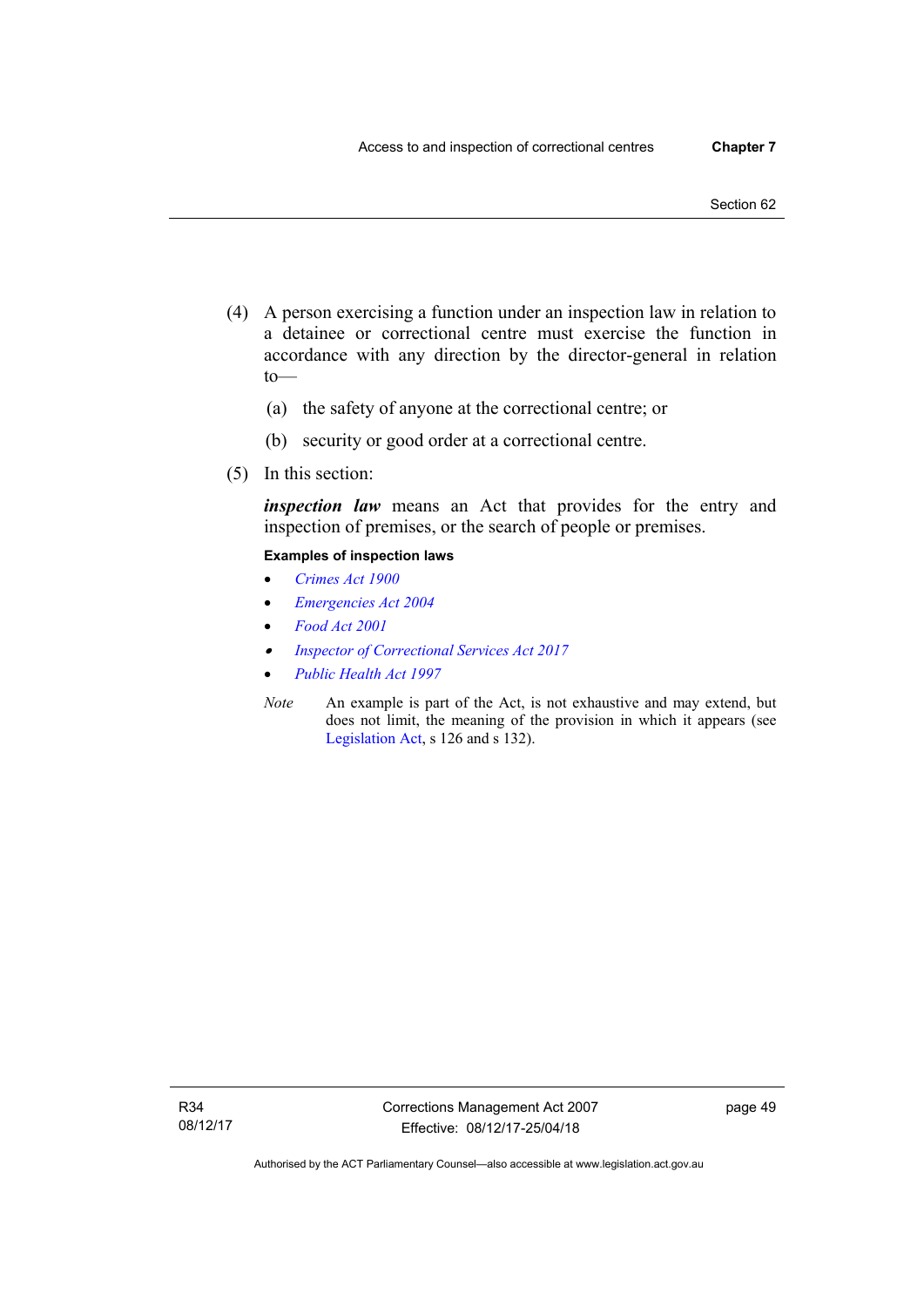- (4) A person exercising a function under an inspection law in relation to a detainee or correctional centre must exercise the function in accordance with any direction by the director-general in relation to—
	- (a) the safety of anyone at the correctional centre; or
	- (b) security or good order at a correctional centre.
- (5) In this section:

*inspection law* means an Act that provides for the entry and inspection of premises, or the search of people or premises.

### **Examples of inspection laws**

- *[Crimes Act 1900](http://www.legislation.act.gov.au/a/1900-40)*
- *[Emergencies Act 2004](http://www.legislation.act.gov.au/a/2004-28)*
- *[Food Act 2001](http://www.legislation.act.gov.au/a/2001-66)*
- *[Inspector of Correctional Services Act 2017](http://www.legislation.act.gov.au/a/2017-47/default.asp)*
- *[Public Health Act 1997](http://www.legislation.act.gov.au/a/1997-69)*
- *Note* An example is part of the Act, is not exhaustive and may extend, but does not limit, the meaning of the provision in which it appears (see [Legislation Act,](http://www.legislation.act.gov.au/a/2001-14) s 126 and s 132).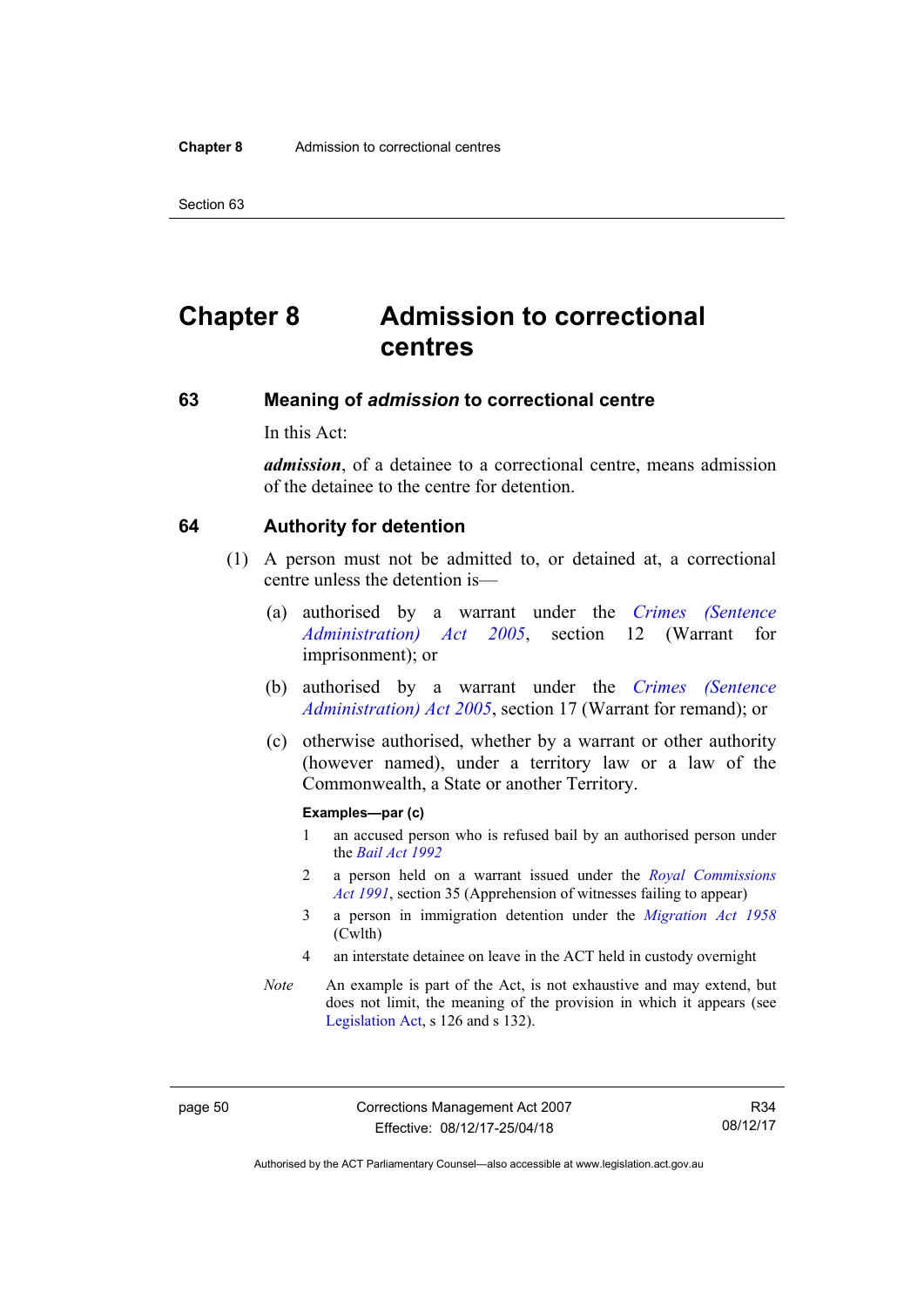Section 63

# **Chapter 8 Admission to correctional centres**

### **63 Meaning of** *admission* **to correctional centre**

In this Act:

*admission*, of a detainee to a correctional centre, means admission of the detainee to the centre for detention.

### **64 Authority for detention**

- (1) A person must not be admitted to, or detained at, a correctional centre unless the detention is—
	- (a) authorised by a warrant under the *[Crimes \(Sentence](http://www.legislation.act.gov.au/a/2005-59)  [Administration\) Act 2005](http://www.legislation.act.gov.au/a/2005-59)*, section 12 (Warrant for imprisonment); or
	- (b) authorised by a warrant under the *[Crimes \(Sentence](http://www.legislation.act.gov.au/a/2005-59)  [Administration\) Act 2005](http://www.legislation.act.gov.au/a/2005-59)*, section 17 (Warrant for remand); or
	- (c) otherwise authorised, whether by a warrant or other authority (however named), under a territory law or a law of the Commonwealth, a State or another Territory.

#### **Examples—par (c)**

- 1 an accused person who is refused bail by an authorised person under the *[Bail Act 1992](http://www.legislation.act.gov.au/a/1992-8)*
- 2 a person held on a warrant issued under the *[Royal Commissions](http://www.legislation.act.gov.au/a/1991-1)  [Act 1991](http://www.legislation.act.gov.au/a/1991-1)*, section 35 (Apprehension of witnesses failing to appear)
- 3 a person in immigration detention under the *[Migration Act 1958](http://www.comlaw.gov.au/Series/C2004A07412)* (Cwlth)
- 4 an interstate detainee on leave in the ACT held in custody overnight
- *Note* An example is part of the Act, is not exhaustive and may extend, but does not limit, the meaning of the provision in which it appears (see [Legislation Act,](http://www.legislation.act.gov.au/a/2001-14) s 126 and s 132).

page 50 Corrections Management Act 2007 Effective: 08/12/17-25/04/18

R34 08/12/17

Authorised by the ACT Parliamentary Counsel—also accessible at www.legislation.act.gov.au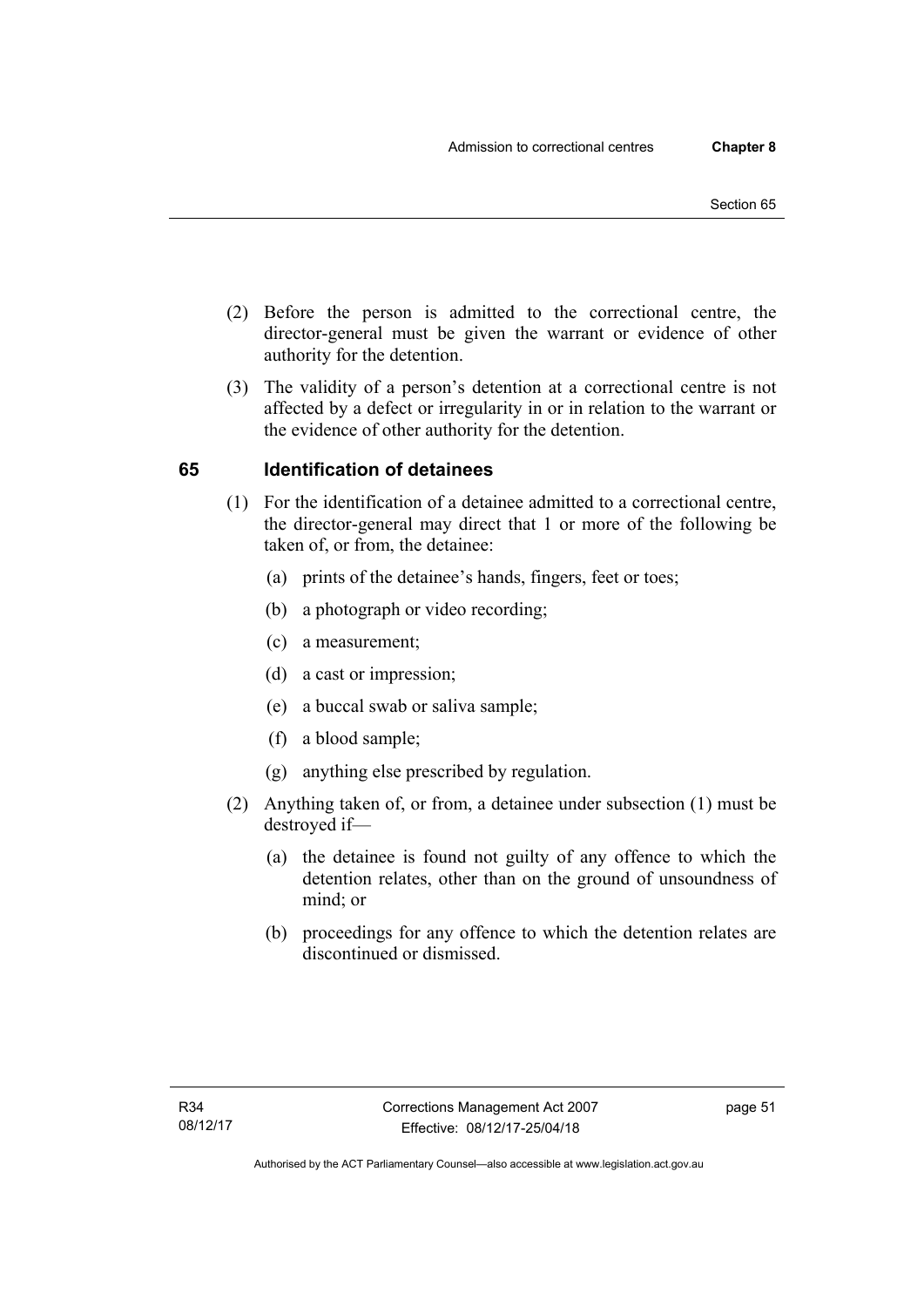- (2) Before the person is admitted to the correctional centre, the director-general must be given the warrant or evidence of other authority for the detention.
- (3) The validity of a person's detention at a correctional centre is not affected by a defect or irregularity in or in relation to the warrant or the evidence of other authority for the detention.

## **65 Identification of detainees**

- (1) For the identification of a detainee admitted to a correctional centre, the director-general may direct that 1 or more of the following be taken of, or from, the detainee:
	- (a) prints of the detainee's hands, fingers, feet or toes;
	- (b) a photograph or video recording;
	- (c) a measurement;
	- (d) a cast or impression;
	- (e) a buccal swab or saliva sample;
	- (f) a blood sample;
	- (g) anything else prescribed by regulation.
- (2) Anything taken of, or from, a detainee under subsection (1) must be destroyed if—
	- (a) the detainee is found not guilty of any offence to which the detention relates, other than on the ground of unsoundness of mind; or
	- (b) proceedings for any offence to which the detention relates are discontinued or dismissed.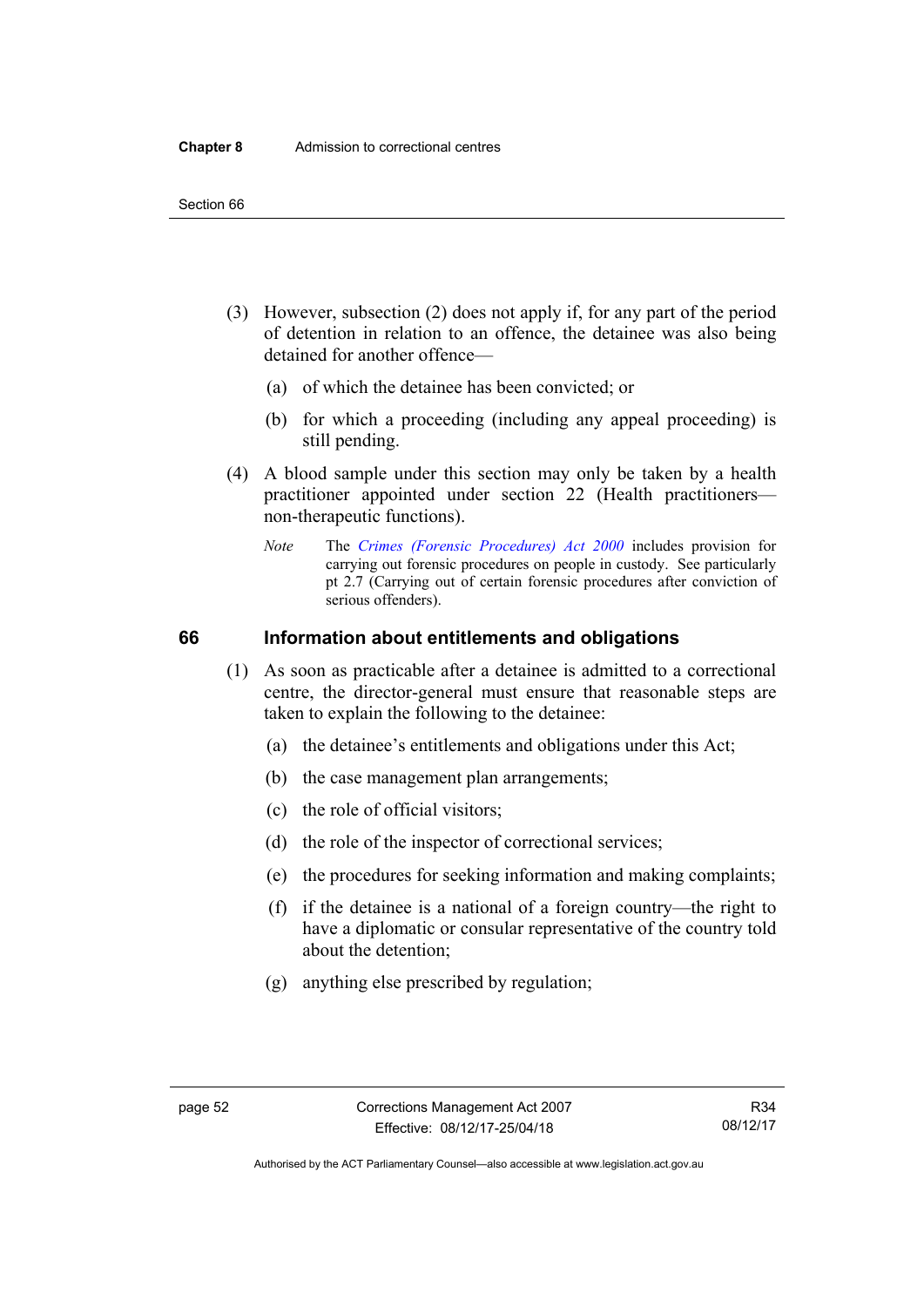- (3) However, subsection (2) does not apply if, for any part of the period of detention in relation to an offence, the detainee was also being detained for another offence—
	- (a) of which the detainee has been convicted; or
	- (b) for which a proceeding (including any appeal proceeding) is still pending.
- (4) A blood sample under this section may only be taken by a health practitioner appointed under section 22 (Health practitioners non-therapeutic functions).
	- *Note* The *[Crimes \(Forensic Procedures\) Act 2000](http://www.legislation.act.gov.au/a/2000-61)* includes provision for carrying out forensic procedures on people in custody. See particularly pt 2.7 (Carrying out of certain forensic procedures after conviction of serious offenders).

## **66 Information about entitlements and obligations**

- (1) As soon as practicable after a detainee is admitted to a correctional centre, the director-general must ensure that reasonable steps are taken to explain the following to the detainee:
	- (a) the detainee's entitlements and obligations under this Act;
	- (b) the case management plan arrangements;
	- (c) the role of official visitors;
	- (d) the role of the inspector of correctional services;
	- (e) the procedures for seeking information and making complaints;
	- (f) if the detainee is a national of a foreign country—the right to have a diplomatic or consular representative of the country told about the detention;
	- (g) anything else prescribed by regulation;

Authorised by the ACT Parliamentary Counsel—also accessible at www.legislation.act.gov.au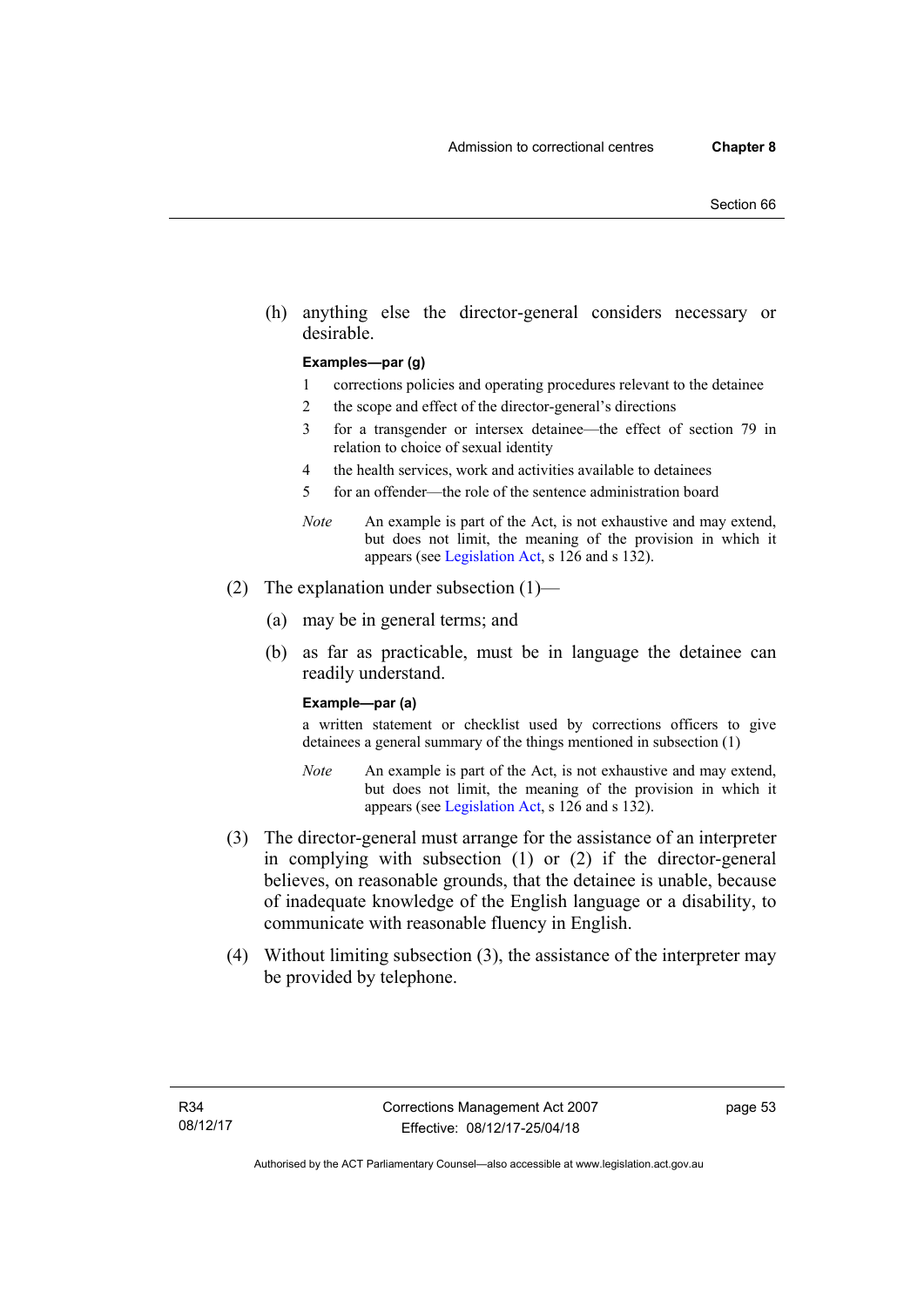(h) anything else the director-general considers necessary or desirable.

#### **Examples—par (g)**

- 1 corrections policies and operating procedures relevant to the detainee
- 2 the scope and effect of the director-general's directions
- 3 for a transgender or intersex detainee—the effect of section 79 in relation to choice of sexual identity
- 4 the health services, work and activities available to detainees
- 5 for an offender—the role of the sentence administration board
- *Note* An example is part of the Act, is not exhaustive and may extend, but does not limit, the meaning of the provision in which it appears (see [Legislation Act,](http://www.legislation.act.gov.au/a/2001-14) s 126 and s 132).
- (2) The explanation under subsection (1)—
	- (a) may be in general terms; and
	- (b) as far as practicable, must be in language the detainee can readily understand.

### **Example—par (a)**

a written statement or checklist used by corrections officers to give detainees a general summary of the things mentioned in subsection (1)

- *Note* An example is part of the Act, is not exhaustive and may extend, but does not limit, the meaning of the provision in which it appears (see [Legislation Act,](http://www.legislation.act.gov.au/a/2001-14) s 126 and s 132).
- (3) The director-general must arrange for the assistance of an interpreter in complying with subsection (1) or (2) if the director-general believes, on reasonable grounds, that the detainee is unable, because of inadequate knowledge of the English language or a disability, to communicate with reasonable fluency in English.
- (4) Without limiting subsection (3), the assistance of the interpreter may be provided by telephone.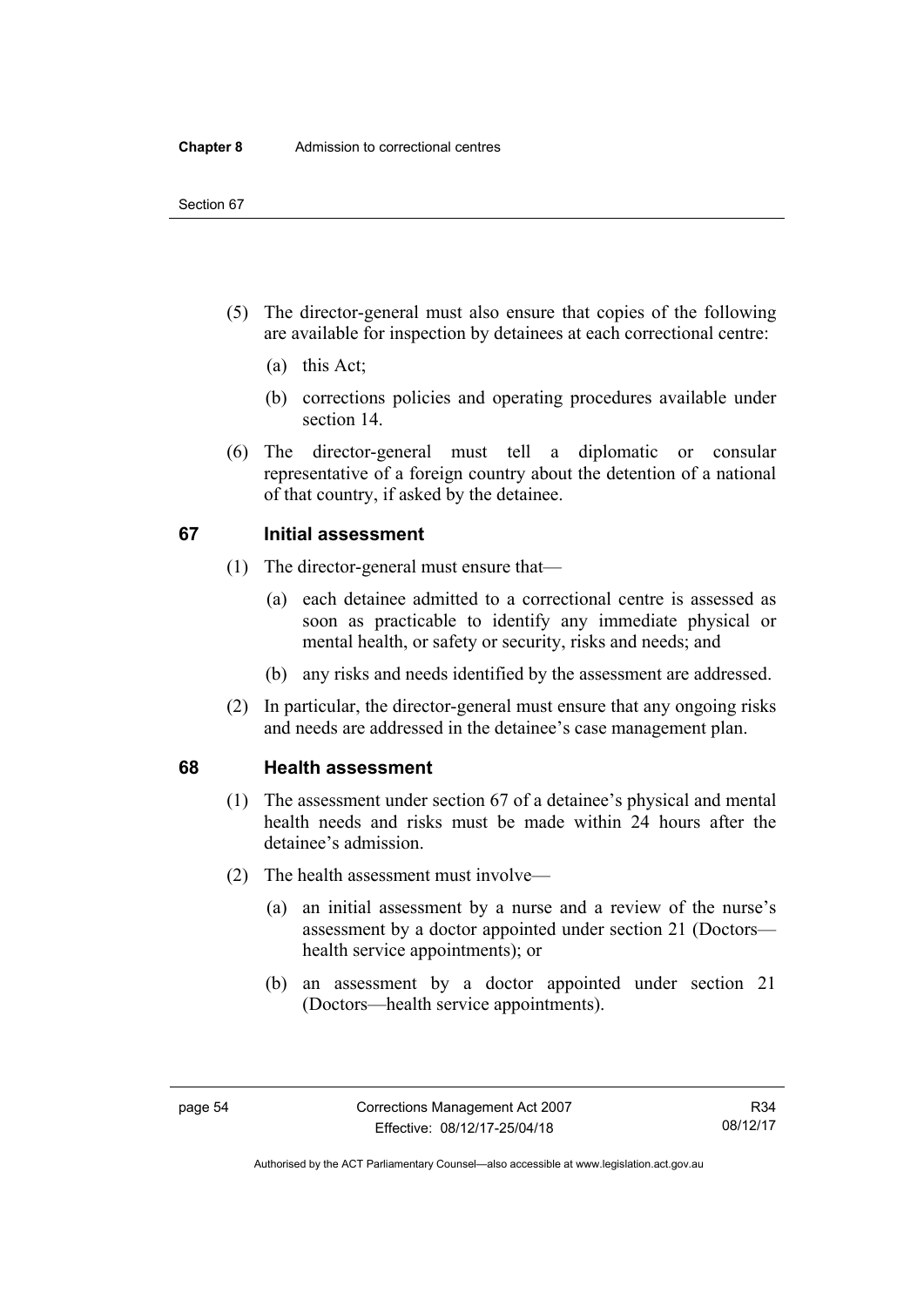- (5) The director-general must also ensure that copies of the following are available for inspection by detainees at each correctional centre:
	- (a) this Act;
	- (b) corrections policies and operating procedures available under section 14.
- (6) The director-general must tell a diplomatic or consular representative of a foreign country about the detention of a national of that country, if asked by the detainee.

## **67 Initial assessment**

- (1) The director-general must ensure that—
	- (a) each detainee admitted to a correctional centre is assessed as soon as practicable to identify any immediate physical or mental health, or safety or security, risks and needs; and
	- (b) any risks and needs identified by the assessment are addressed.
- (2) In particular, the director-general must ensure that any ongoing risks and needs are addressed in the detainee's case management plan.

## **68 Health assessment**

- (1) The assessment under section 67 of a detainee's physical and mental health needs and risks must be made within 24 hours after the detainee's admission.
- (2) The health assessment must involve—
	- (a) an initial assessment by a nurse and a review of the nurse's assessment by a doctor appointed under section 21 (Doctors health service appointments); or
	- (b) an assessment by a doctor appointed under section 21 (Doctors—health service appointments).

Authorised by the ACT Parliamentary Counsel—also accessible at www.legislation.act.gov.au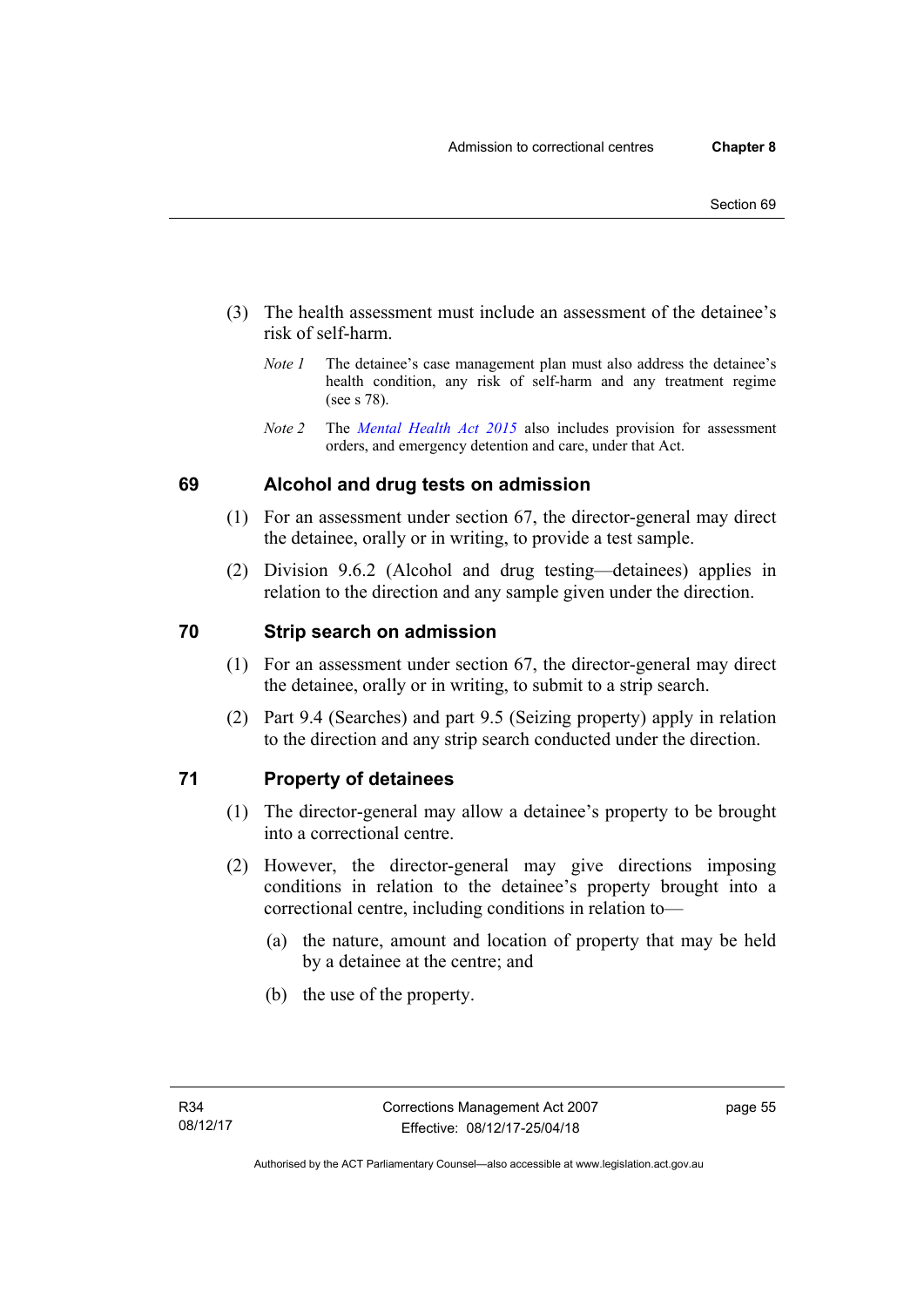- (3) The health assessment must include an assessment of the detainee's risk of self-harm.
	- *Note 1* The detainee's case management plan must also address the detainee's health condition, any risk of self-harm and any treatment regime (see s 78).
	- *Note 2* The *[Mental Health Act 2015](http://www.legislation.act.gov.au/a/2015-38/default.asp)* also includes provision for assessment orders, and emergency detention and care, under that Act.

## **69 Alcohol and drug tests on admission**

- (1) For an assessment under section 67, the director-general may direct the detainee, orally or in writing, to provide a test sample.
- (2) Division 9.6.2 (Alcohol and drug testing—detainees) applies in relation to the direction and any sample given under the direction.

## **70 Strip search on admission**

- (1) For an assessment under section 67, the director-general may direct the detainee, orally or in writing, to submit to a strip search.
- (2) Part 9.4 (Searches) and part 9.5 (Seizing property) apply in relation to the direction and any strip search conducted under the direction.

## **71 Property of detainees**

- (1) The director-general may allow a detainee's property to be brought into a correctional centre.
- (2) However, the director-general may give directions imposing conditions in relation to the detainee's property brought into a correctional centre, including conditions in relation to—
	- (a) the nature, amount and location of property that may be held by a detainee at the centre; and
	- (b) the use of the property.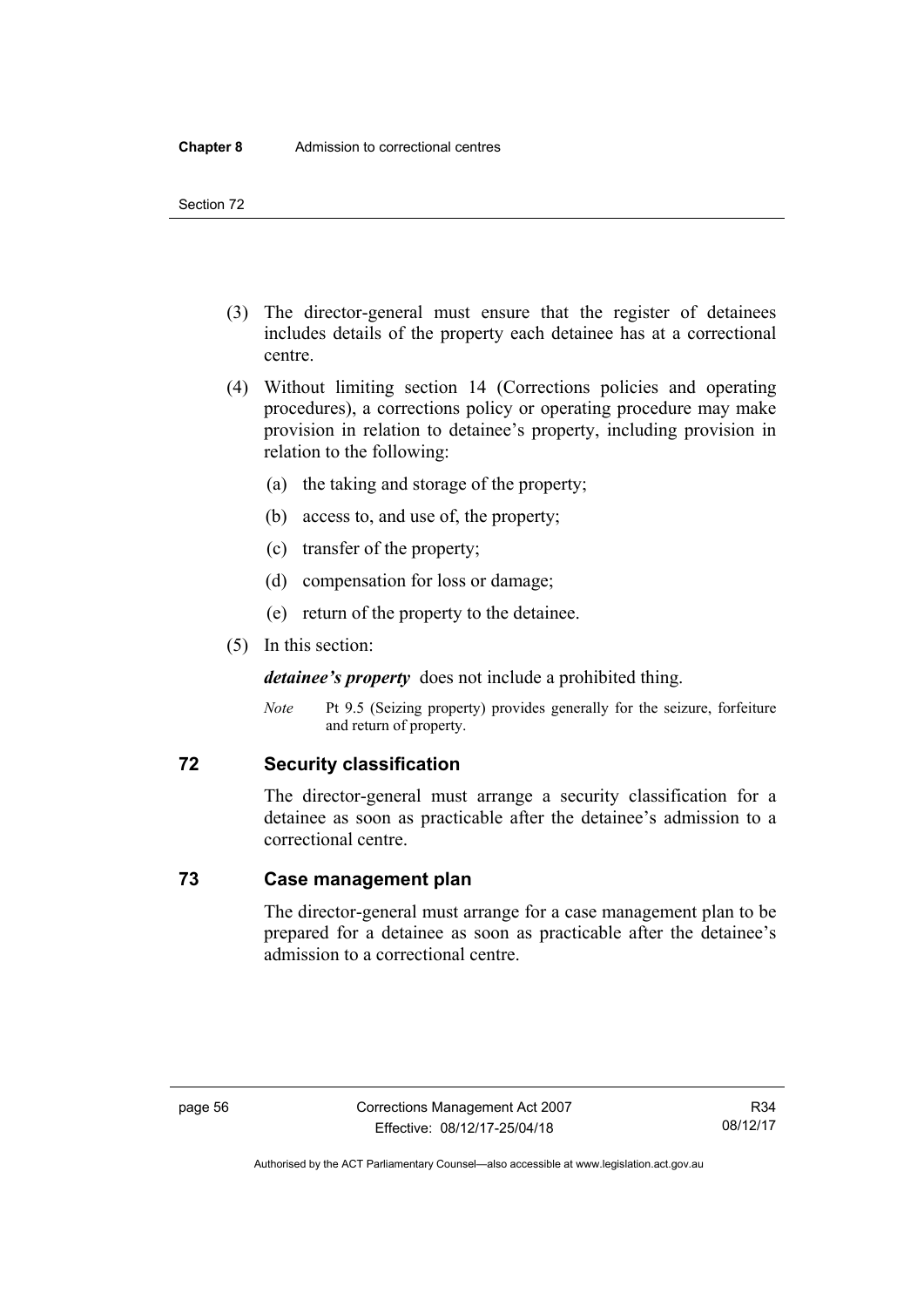- (3) The director-general must ensure that the register of detainees includes details of the property each detainee has at a correctional centre.
- (4) Without limiting section 14 (Corrections policies and operating procedures), a corrections policy or operating procedure may make provision in relation to detainee's property, including provision in relation to the following:
	- (a) the taking and storage of the property;
	- (b) access to, and use of, the property;
	- (c) transfer of the property;
	- (d) compensation for loss or damage;
	- (e) return of the property to the detainee.
- (5) In this section:

*detainee's property* does not include a prohibited thing.

*Note* Pt 9.5 (Seizing property) provides generally for the seizure, forfeiture and return of property.

## **72 Security classification**

The director-general must arrange a security classification for a detainee as soon as practicable after the detainee's admission to a correctional centre.

## **73 Case management plan**

The director-general must arrange for a case management plan to be prepared for a detainee as soon as practicable after the detainee's admission to a correctional centre.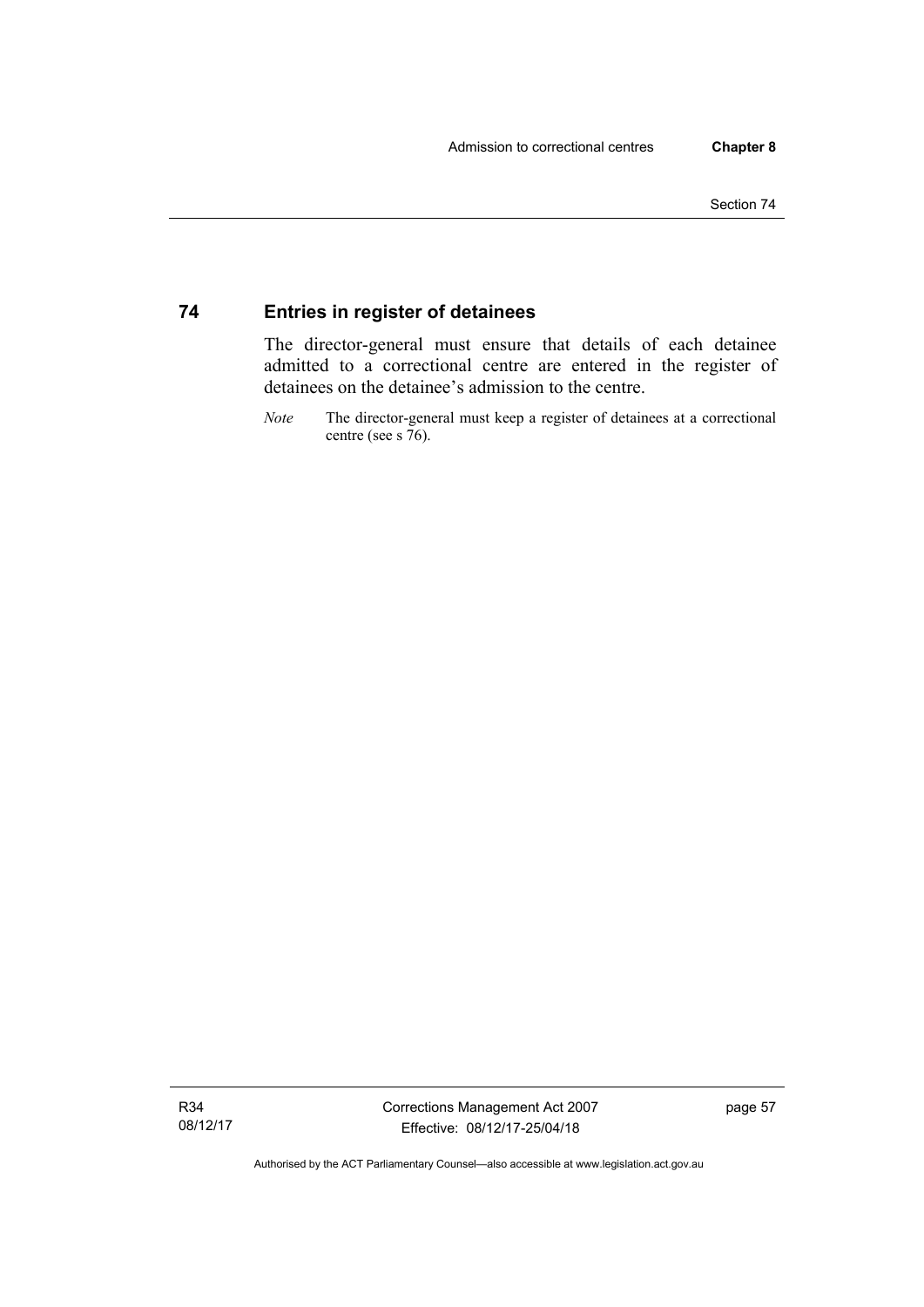## **74 Entries in register of detainees**

The director-general must ensure that details of each detainee admitted to a correctional centre are entered in the register of detainees on the detainee's admission to the centre.

*Note* The director-general must keep a register of detainees at a correctional centre (see s 76).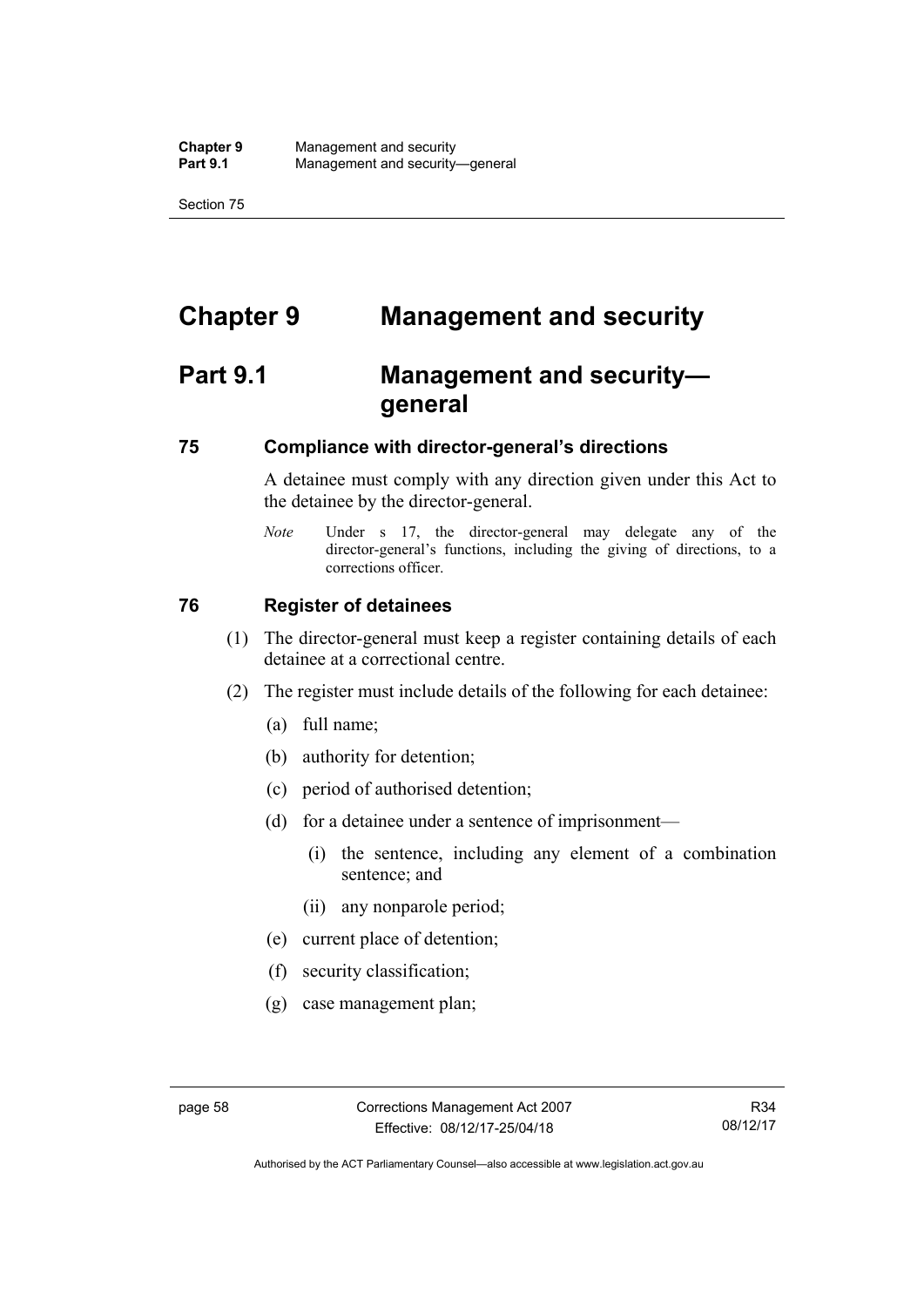Section 75

# **Chapter 9 Management and security**

# **Part 9.1 Management and security general**

## **75 Compliance with director-general's directions**

A detainee must comply with any direction given under this Act to the detainee by the director-general.

*Note* Under s 17, the director-general may delegate any of the director-general's functions, including the giving of directions, to a corrections officer.

## **76 Register of detainees**

- (1) The director-general must keep a register containing details of each detainee at a correctional centre.
- (2) The register must include details of the following for each detainee:
	- (a) full name;
	- (b) authority for detention;
	- (c) period of authorised detention;
	- (d) for a detainee under a sentence of imprisonment—
		- (i) the sentence, including any element of a combination sentence; and
		- (ii) any nonparole period;
	- (e) current place of detention;
	- (f) security classification;
	- (g) case management plan;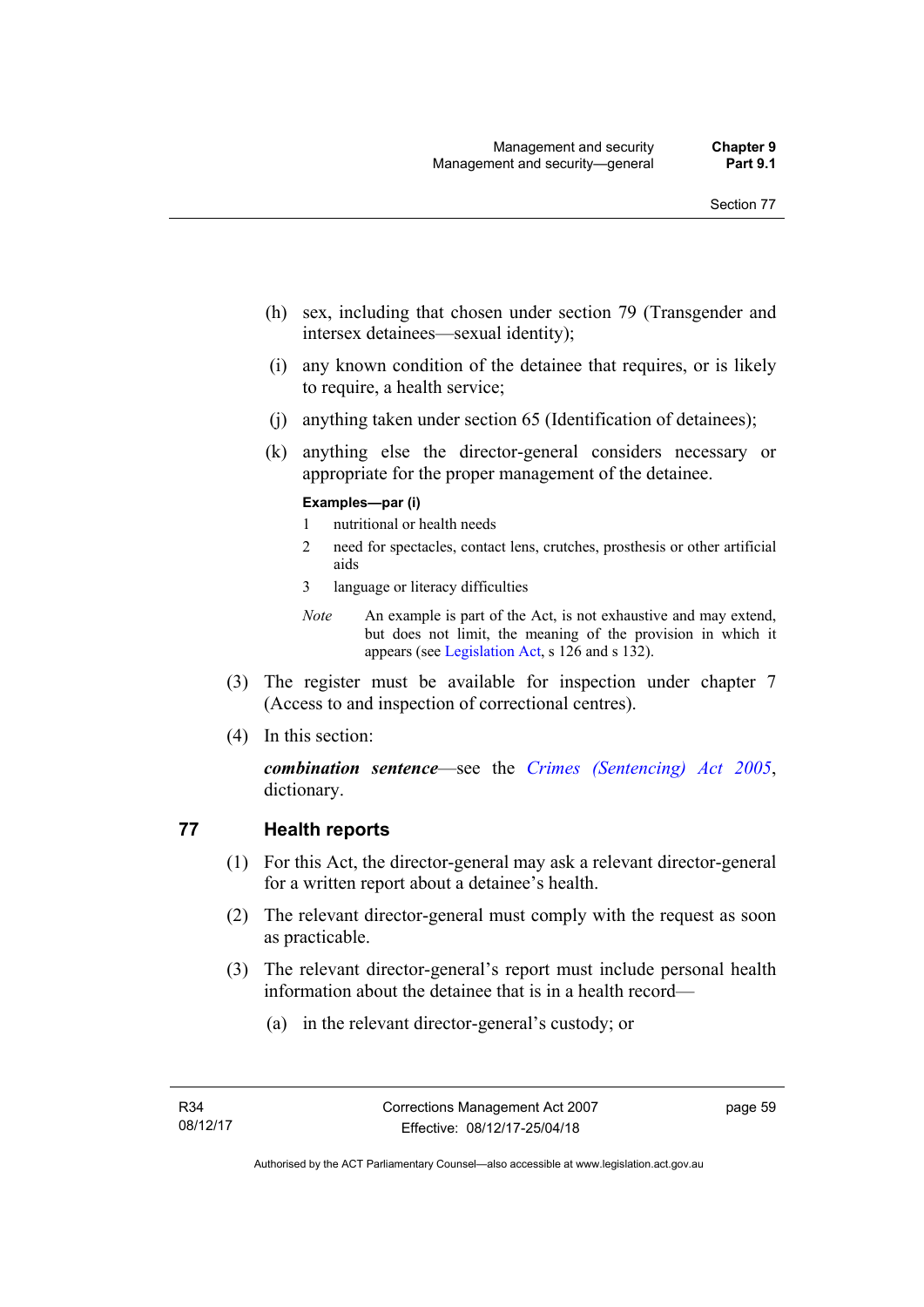- (h) sex, including that chosen under section 79 (Transgender and intersex detainees—sexual identity);
- (i) any known condition of the detainee that requires, or is likely to require, a health service;
- (j) anything taken under section 65 (Identification of detainees);
- (k) anything else the director-general considers necessary or appropriate for the proper management of the detainee.

#### **Examples—par (i)**

- 1 nutritional or health needs
- 2 need for spectacles, contact lens, crutches, prosthesis or other artificial aids
- 3 language or literacy difficulties
- *Note* An example is part of the Act, is not exhaustive and may extend, but does not limit, the meaning of the provision in which it appears (see [Legislation Act,](http://www.legislation.act.gov.au/a/2001-14) s 126 and s 132).
- (3) The register must be available for inspection under chapter 7 (Access to and inspection of correctional centres).
- (4) In this section:

*combination sentence*—see the *[Crimes \(Sentencing\) Act 2005](http://www.legislation.act.gov.au/a/2005-58)*, dictionary.

## **77 Health reports**

- (1) For this Act, the director-general may ask a relevant director-general for a written report about a detainee's health.
- (2) The relevant director-general must comply with the request as soon as practicable.
- (3) The relevant director-general's report must include personal health information about the detainee that is in a health record—
	- (a) in the relevant director-general's custody; or

page 59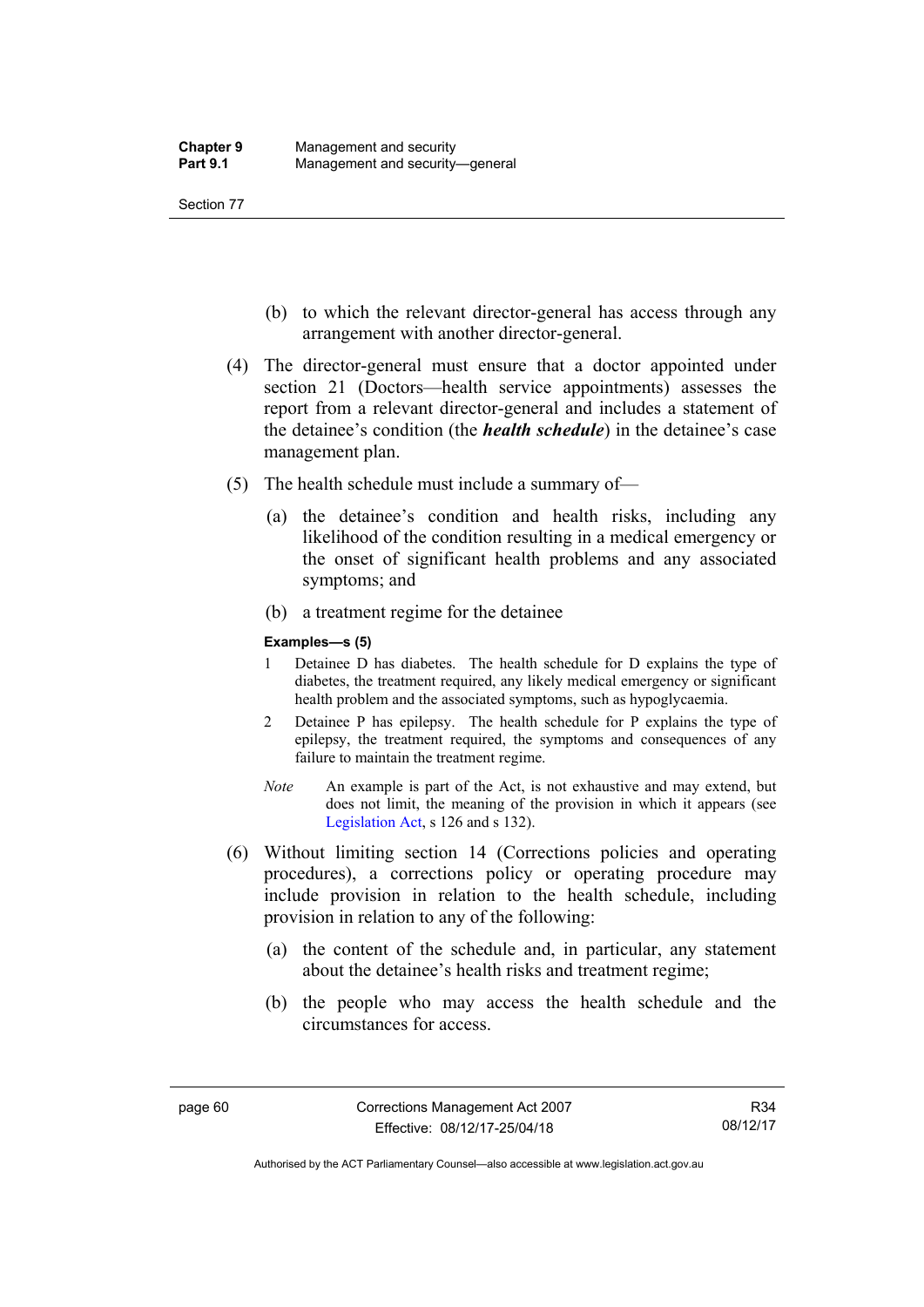- (b) to which the relevant director-general has access through any arrangement with another director-general.
- (4) The director-general must ensure that a doctor appointed under section 21 (Doctors—health service appointments) assesses the report from a relevant director-general and includes a statement of the detainee's condition (the *health schedule*) in the detainee's case management plan.
- (5) The health schedule must include a summary of—
	- (a) the detainee's condition and health risks, including any likelihood of the condition resulting in a medical emergency or the onset of significant health problems and any associated symptoms; and
	- (b) a treatment regime for the detainee

#### **Examples—s (5)**

- 1 Detainee D has diabetes. The health schedule for D explains the type of diabetes, the treatment required, any likely medical emergency or significant health problem and the associated symptoms, such as hypoglycaemia.
- 2 Detainee P has epilepsy. The health schedule for P explains the type of epilepsy, the treatment required, the symptoms and consequences of any failure to maintain the treatment regime.
- *Note* An example is part of the Act, is not exhaustive and may extend, but does not limit, the meaning of the provision in which it appears (see [Legislation Act,](http://www.legislation.act.gov.au/a/2001-14) s 126 and s 132).
- (6) Without limiting section 14 (Corrections policies and operating procedures), a corrections policy or operating procedure may include provision in relation to the health schedule, including provision in relation to any of the following:
	- (a) the content of the schedule and, in particular, any statement about the detainee's health risks and treatment regime;
	- (b) the people who may access the health schedule and the circumstances for access.

Authorised by the ACT Parliamentary Counsel—also accessible at www.legislation.act.gov.au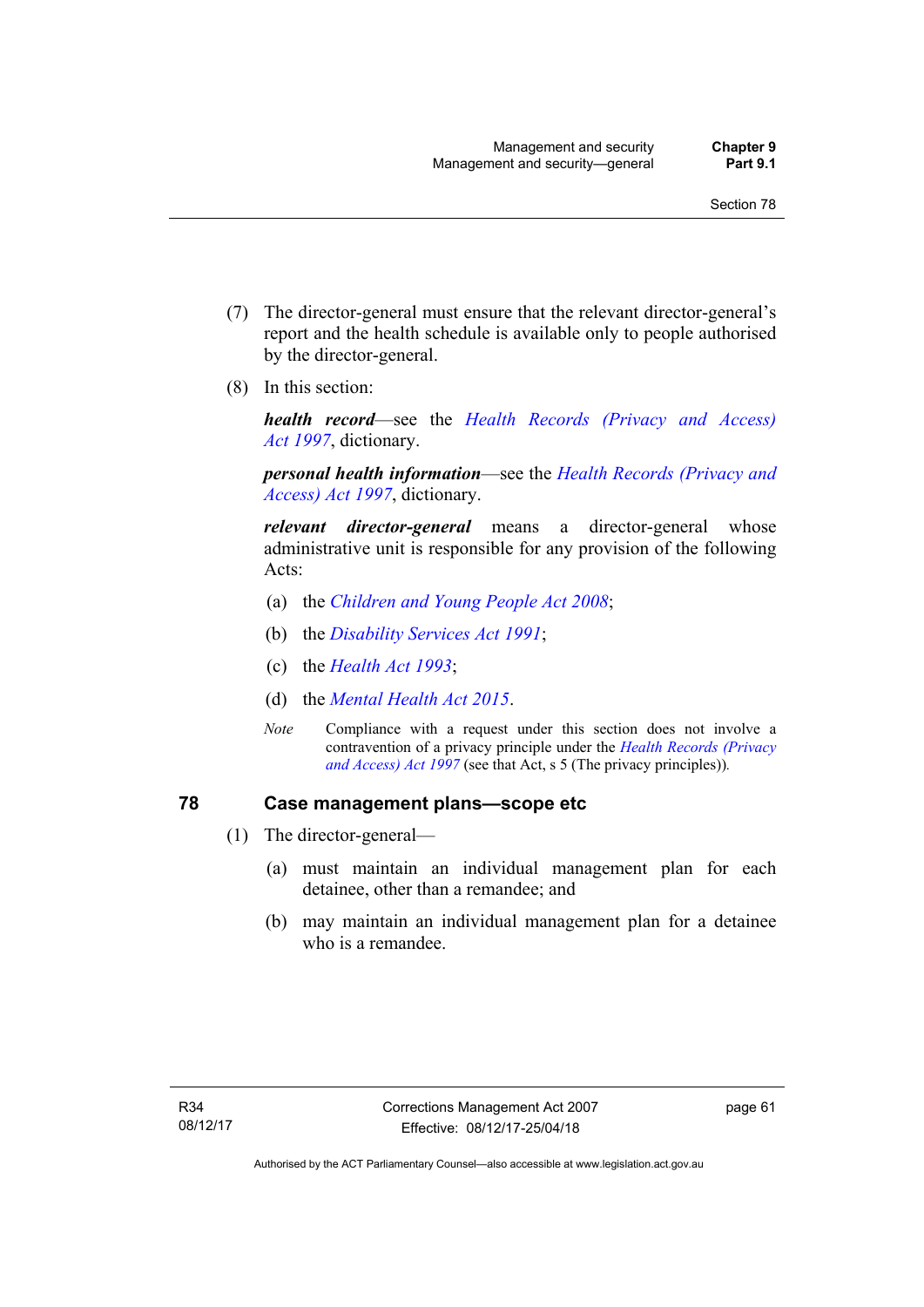- (7) The director-general must ensure that the relevant director-general's report and the health schedule is available only to people authorised by the director-general.
- (8) In this section:

*health record*—see the *[Health Records \(Privacy and Access\)](http://www.legislation.act.gov.au/a/1997-125)  [Act 1997](http://www.legislation.act.gov.au/a/1997-125)*, dictionary.

*personal health information*—see the *[Health Records \(Privacy and](http://www.legislation.act.gov.au/a/1997-125)  [Access\) Act 1997](http://www.legislation.act.gov.au/a/1997-125)*, dictionary.

*relevant director-general* means a director-general whose administrative unit is responsible for any provision of the following Acts:

- (a) the *[Children and Young People Act 2008](http://www.legislation.act.gov.au/a/2008-19)*;
- (b) the *[Disability Services Act 1991](http://www.legislation.act.gov.au/a/1991-98)*;
- (c) the *[Health Act 1993](http://www.legislation.act.gov.au/a/1993-13)*;
- (d) the *[Mental Health Act 2015](http://www.legislation.act.gov.au/a/2015-38/default.asp)*.
- *Note* Compliance with a request under this section does not involve a contravention of a privacy principle under the *[Health Records \(Privacy](http://www.legislation.act.gov.au/a/1997-125)  [and Access\) Act 1997](http://www.legislation.act.gov.au/a/1997-125)* (see that Act, s 5 (The privacy principles))*.*

# **78 Case management plans—scope etc**

- (1) The director-general—
	- (a) must maintain an individual management plan for each detainee, other than a remandee; and
	- (b) may maintain an individual management plan for a detainee who is a remandee.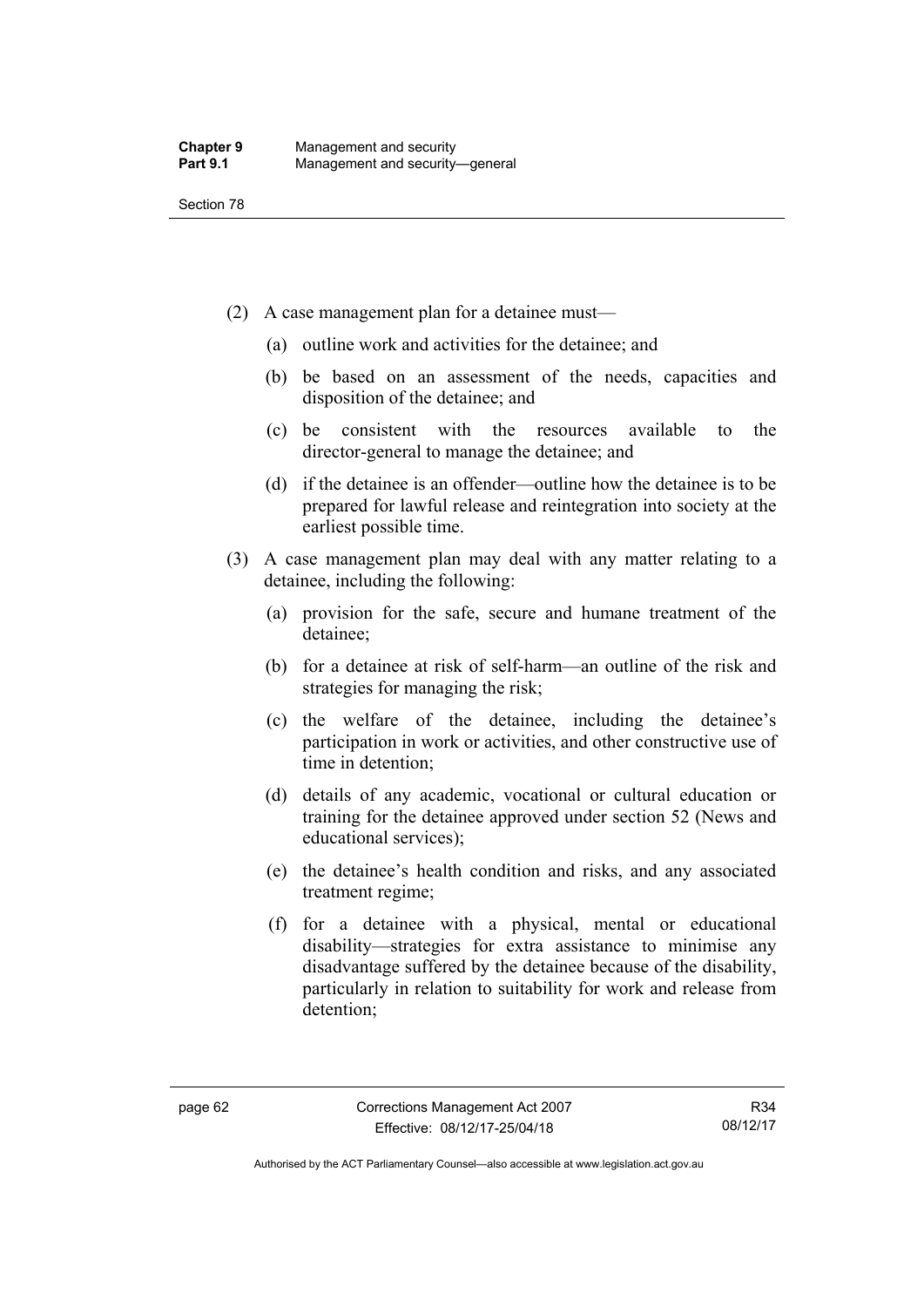- (2) A case management plan for a detainee must—
	- (a) outline work and activities for the detainee; and
	- (b) be based on an assessment of the needs, capacities and disposition of the detainee; and
	- (c) be consistent with the resources available to the director-general to manage the detainee; and
	- (d) if the detainee is an offender—outline how the detainee is to be prepared for lawful release and reintegration into society at the earliest possible time.
- (3) A case management plan may deal with any matter relating to a detainee, including the following:
	- (a) provision for the safe, secure and humane treatment of the detainee;
	- (b) for a detainee at risk of self-harm—an outline of the risk and strategies for managing the risk;
	- (c) the welfare of the detainee, including the detainee's participation in work or activities, and other constructive use of time in detention;
	- (d) details of any academic, vocational or cultural education or training for the detainee approved under section 52 (News and educational services);
	- (e) the detainee's health condition and risks, and any associated treatment regime;
	- (f) for a detainee with a physical, mental or educational disability—strategies for extra assistance to minimise any disadvantage suffered by the detainee because of the disability, particularly in relation to suitability for work and release from detention;

Authorised by the ACT Parliamentary Counsel—also accessible at www.legislation.act.gov.au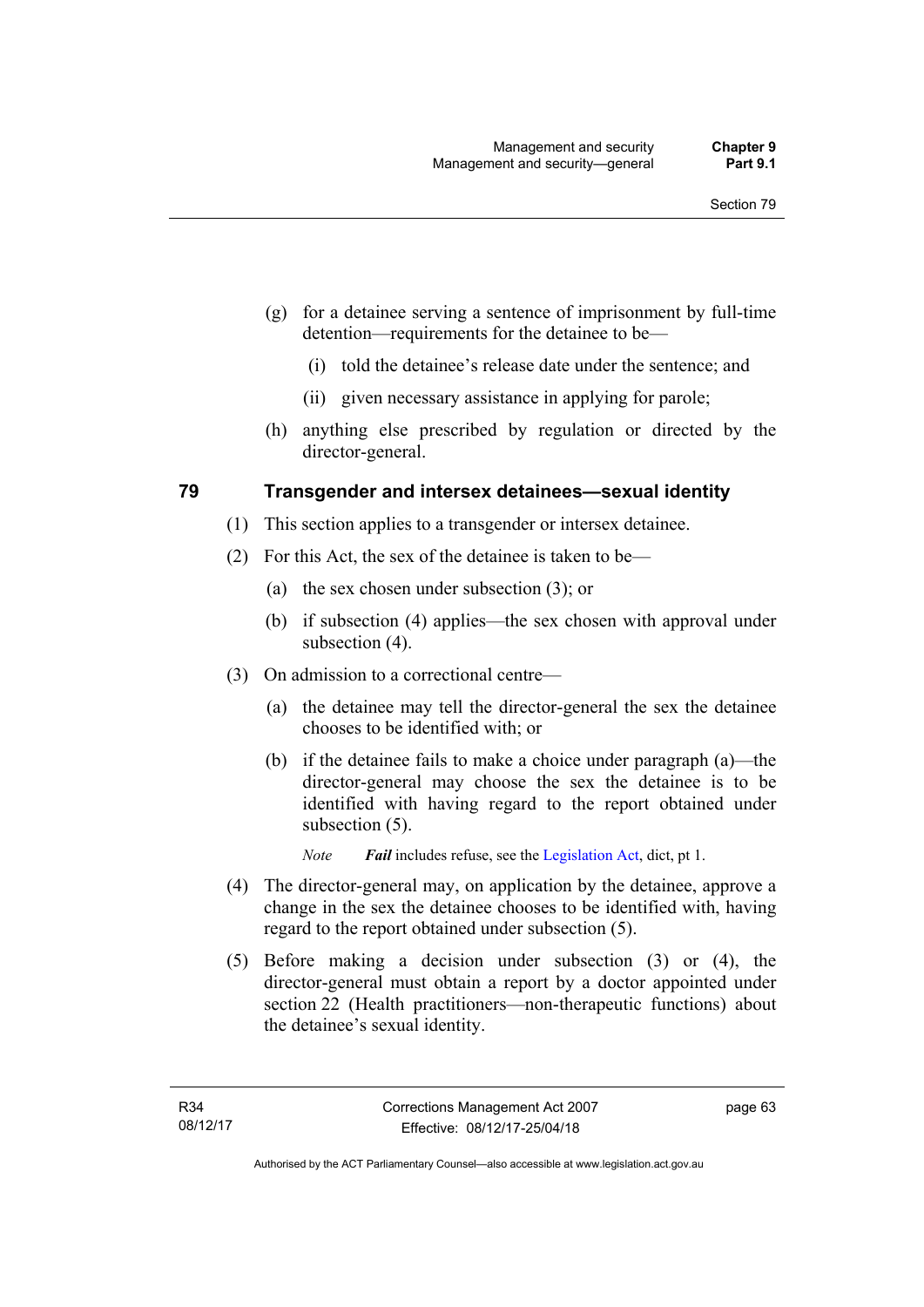- (g) for a detainee serving a sentence of imprisonment by full-time detention—requirements for the detainee to be—
	- (i) told the detainee's release date under the sentence; and
	- (ii) given necessary assistance in applying for parole;
- (h) anything else prescribed by regulation or directed by the director-general.

# **79 Transgender and intersex detainees—sexual identity**

- (1) This section applies to a transgender or intersex detainee.
- (2) For this Act, the sex of the detainee is taken to be—
	- (a) the sex chosen under subsection (3); or
	- (b) if subsection (4) applies—the sex chosen with approval under subsection (4).
- (3) On admission to a correctional centre—
	- (a) the detainee may tell the director-general the sex the detainee chooses to be identified with; or
	- (b) if the detainee fails to make a choice under paragraph (a)—the director-general may choose the sex the detainee is to be identified with having regard to the report obtained under subsection  $(5)$ .

*Note Fail* includes refuse, see the [Legislation Act,](http://www.legislation.act.gov.au/a/2001-14) dict, pt 1.

- (4) The director-general may, on application by the detainee, approve a change in the sex the detainee chooses to be identified with, having regard to the report obtained under subsection (5).
- (5) Before making a decision under subsection (3) or (4), the director-general must obtain a report by a doctor appointed under section 22 (Health practitioners—non-therapeutic functions) about the detainee's sexual identity.

page 63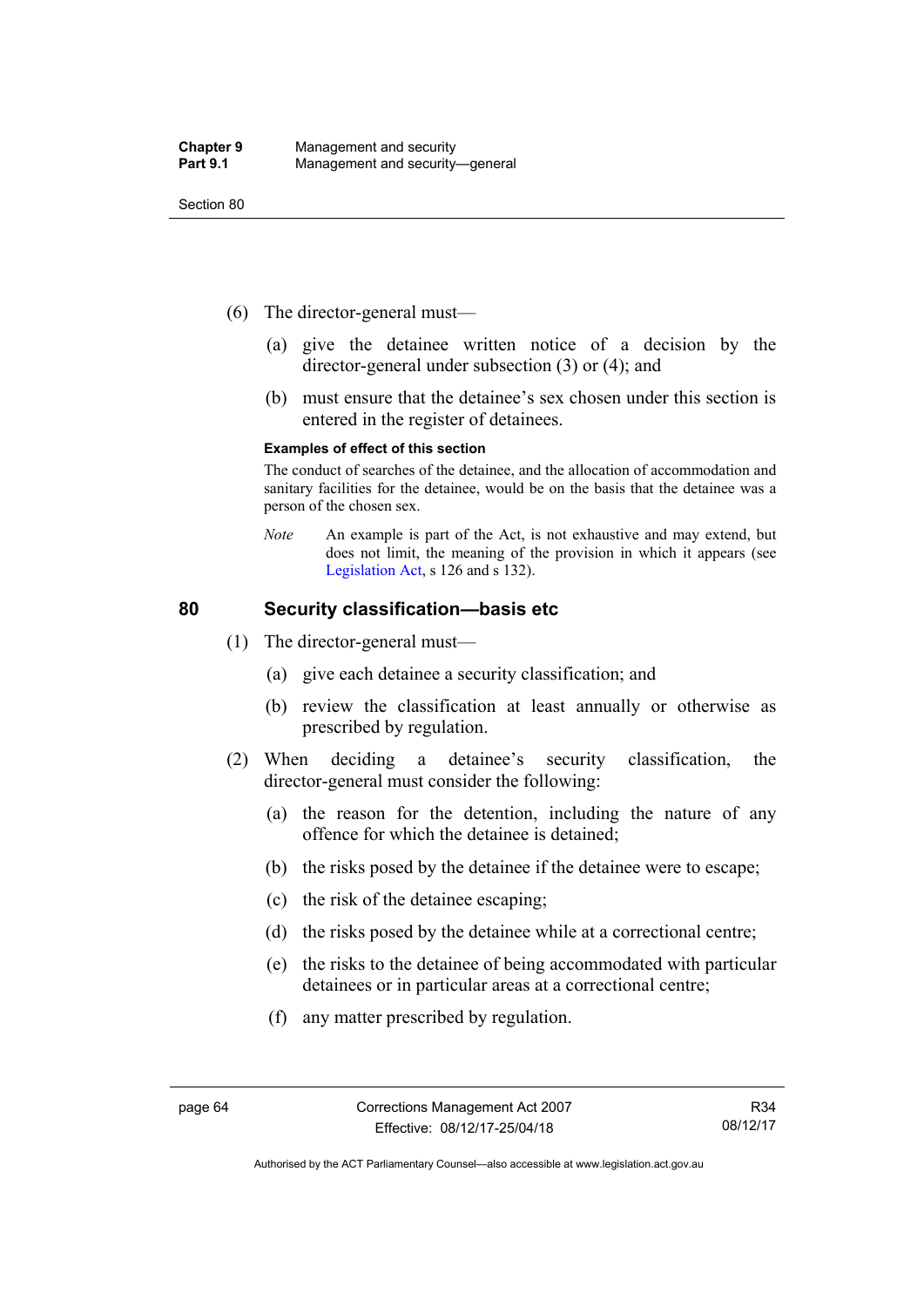- (6) The director-general must—
	- (a) give the detainee written notice of a decision by the director-general under subsection (3) or (4); and
	- (b) must ensure that the detainee's sex chosen under this section is entered in the register of detainees.

#### **Examples of effect of this section**

The conduct of searches of the detainee, and the allocation of accommodation and sanitary facilities for the detainee, would be on the basis that the detainee was a person of the chosen sex.

*Note* An example is part of the Act, is not exhaustive and may extend, but does not limit, the meaning of the provision in which it appears (see [Legislation Act,](http://www.legislation.act.gov.au/a/2001-14) s 126 and s 132).

## **80 Security classification—basis etc**

- (1) The director-general must—
	- (a) give each detainee a security classification; and
	- (b) review the classification at least annually or otherwise as prescribed by regulation.
- (2) When deciding a detainee's security classification, the director-general must consider the following:
	- (a) the reason for the detention, including the nature of any offence for which the detainee is detained;
	- (b) the risks posed by the detainee if the detainee were to escape;
	- (c) the risk of the detainee escaping;
	- (d) the risks posed by the detainee while at a correctional centre;
	- (e) the risks to the detainee of being accommodated with particular detainees or in particular areas at a correctional centre;
	- (f) any matter prescribed by regulation.

Authorised by the ACT Parliamentary Counsel—also accessible at www.legislation.act.gov.au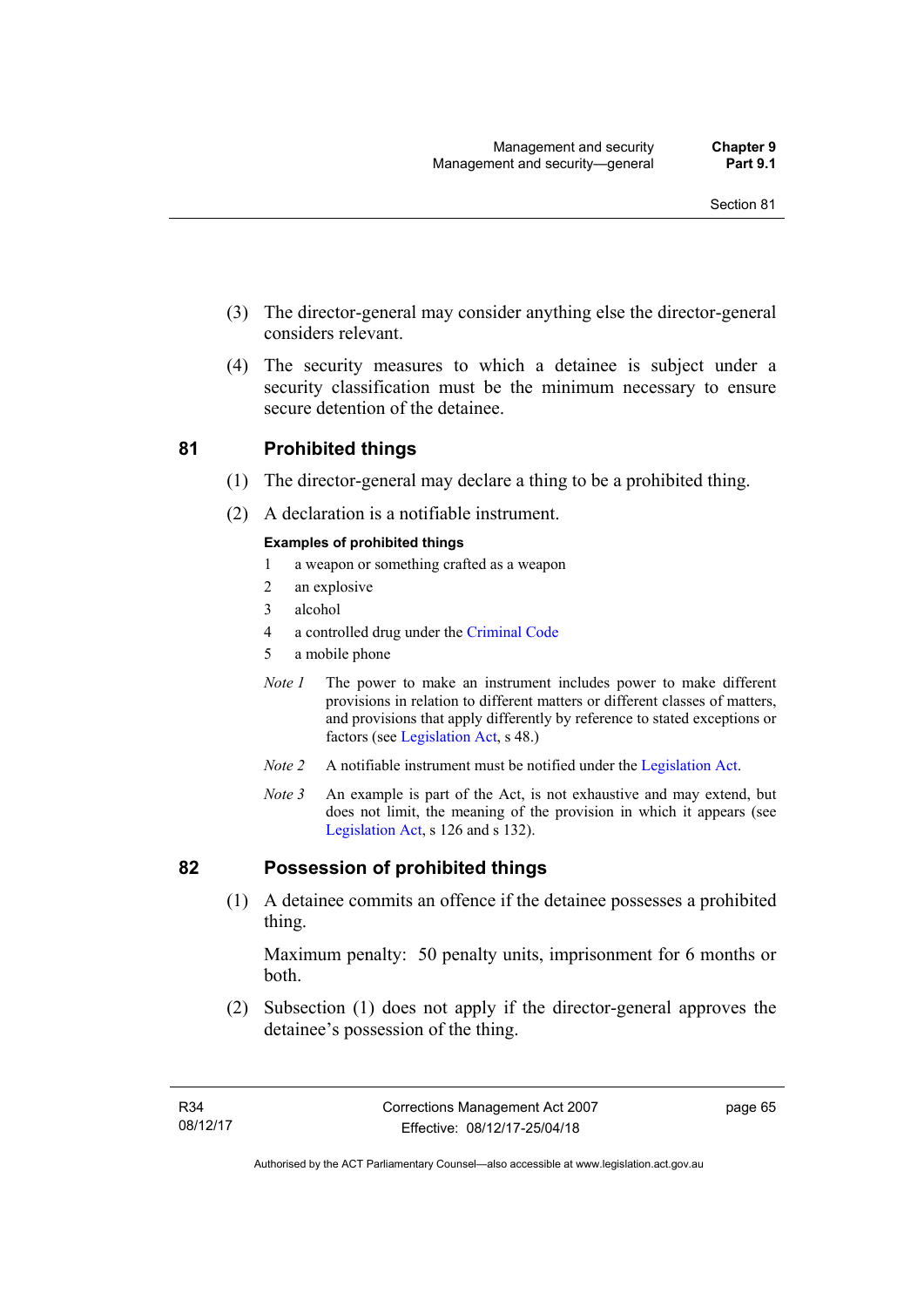- (3) The director-general may consider anything else the director-general considers relevant.
- (4) The security measures to which a detainee is subject under a security classification must be the minimum necessary to ensure secure detention of the detainee.

# **81 Prohibited things**

- (1) The director-general may declare a thing to be a prohibited thing.
- (2) A declaration is a notifiable instrument.

#### **Examples of prohibited things**

- 1 a weapon or something crafted as a weapon
- 2 an explosive
- 3 alcohol
- 4 a controlled drug under the [Criminal Code](http://www.legislation.act.gov.au/a/2002-51)
- 5 a mobile phone
- *Note 1* The power to make an instrument includes power to make different provisions in relation to different matters or different classes of matters, and provisions that apply differently by reference to stated exceptions or factors (see [Legislation Act](http://www.legislation.act.gov.au/a/2001-14), s 48.)
- *Note 2* A notifiable instrument must be notified under the [Legislation Act](http://www.legislation.act.gov.au/a/2001-14).
- *Note 3* An example is part of the Act, is not exhaustive and may extend, but does not limit, the meaning of the provision in which it appears (see [Legislation Act,](http://www.legislation.act.gov.au/a/2001-14) s 126 and s 132).

# **82 Possession of prohibited things**

 (1) A detainee commits an offence if the detainee possesses a prohibited thing.

Maximum penalty: 50 penalty units, imprisonment for 6 months or both.

 (2) Subsection (1) does not apply if the director-general approves the detainee's possession of the thing.

page 65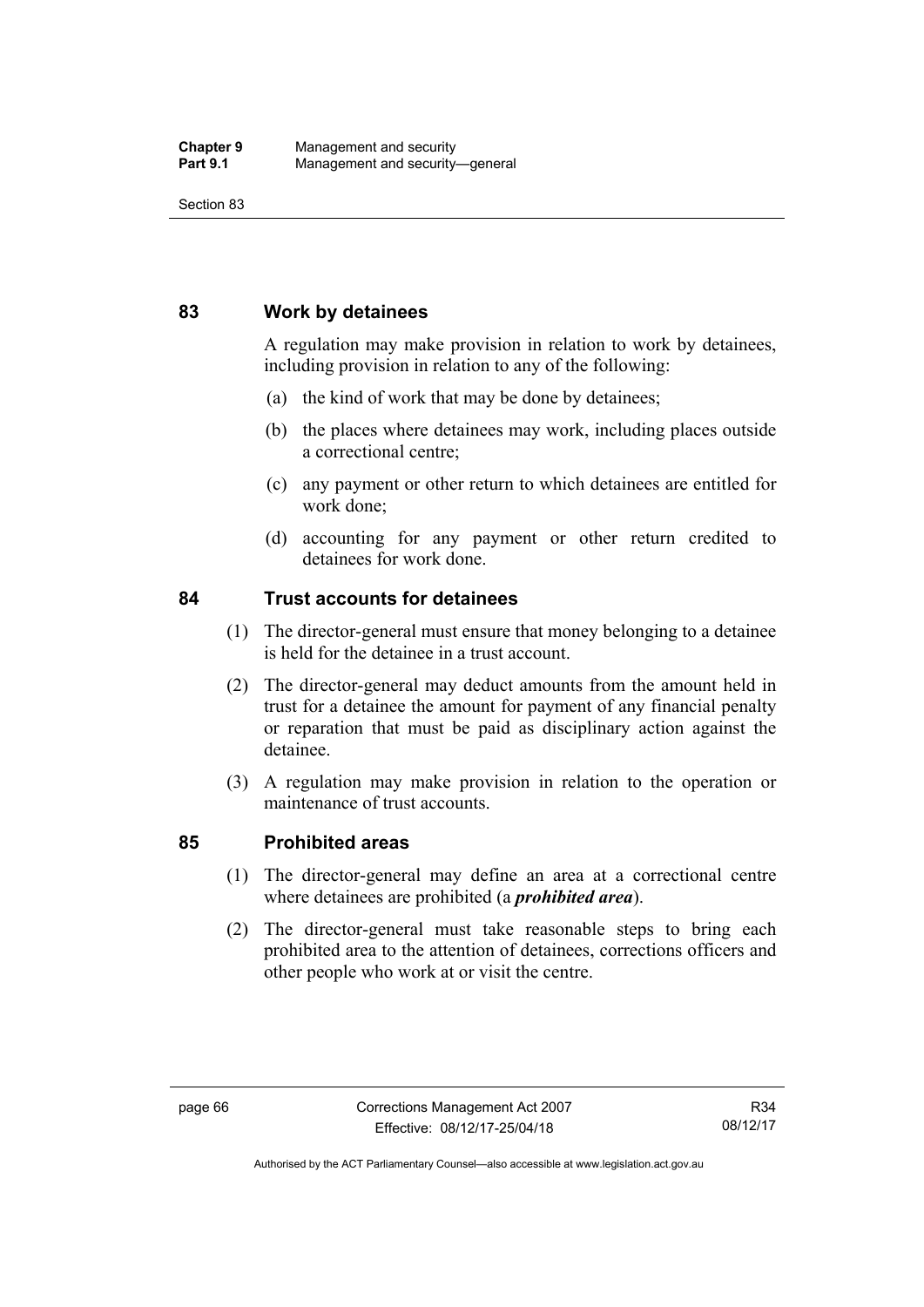# **83 Work by detainees**

A regulation may make provision in relation to work by detainees, including provision in relation to any of the following:

- (a) the kind of work that may be done by detainees;
- (b) the places where detainees may work, including places outside a correctional centre;
- (c) any payment or other return to which detainees are entitled for work done;
- (d) accounting for any payment or other return credited to detainees for work done.

# **84 Trust accounts for detainees**

- (1) The director-general must ensure that money belonging to a detainee is held for the detainee in a trust account.
- (2) The director-general may deduct amounts from the amount held in trust for a detainee the amount for payment of any financial penalty or reparation that must be paid as disciplinary action against the detainee.
- (3) A regulation may make provision in relation to the operation or maintenance of trust accounts.

# **85 Prohibited areas**

- (1) The director-general may define an area at a correctional centre where detainees are prohibited (a *prohibited area*).
- (2) The director-general must take reasonable steps to bring each prohibited area to the attention of detainees, corrections officers and other people who work at or visit the centre.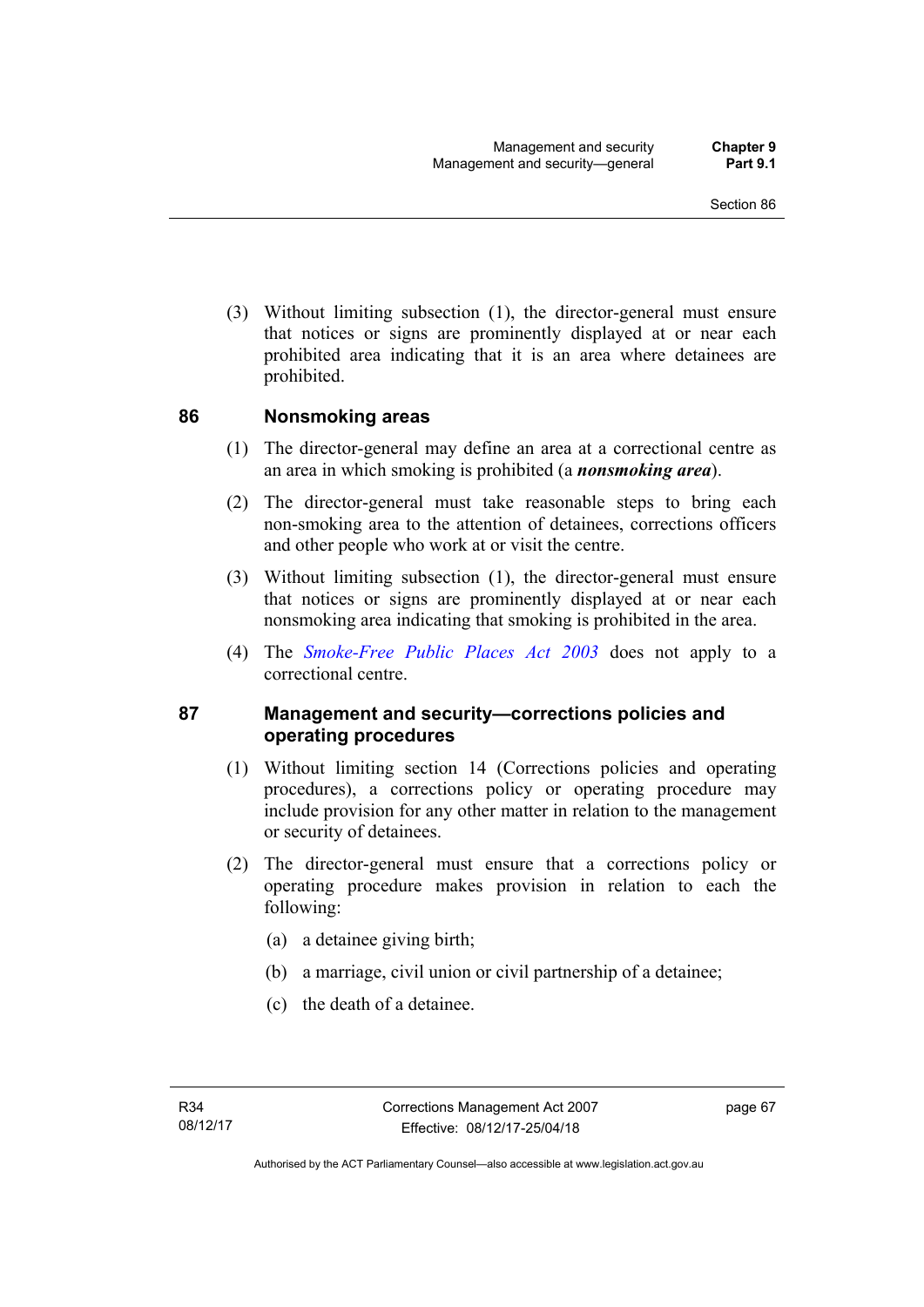(3) Without limiting subsection (1), the director-general must ensure that notices or signs are prominently displayed at or near each prohibited area indicating that it is an area where detainees are prohibited.

# **86 Nonsmoking areas**

- (1) The director-general may define an area at a correctional centre as an area in which smoking is prohibited (a *nonsmoking area*).
- (2) The director-general must take reasonable steps to bring each non-smoking area to the attention of detainees, corrections officers and other people who work at or visit the centre.
- (3) Without limiting subsection (1), the director-general must ensure that notices or signs are prominently displayed at or near each nonsmoking area indicating that smoking is prohibited in the area.
- (4) The *[Smoke-Free Public Places Act 2003](http://www.legislation.act.gov.au/a/2003-51)* does not apply to a correctional centre.

# **87 Management and security—corrections policies and operating procedures**

- (1) Without limiting section 14 (Corrections policies and operating procedures), a corrections policy or operating procedure may include provision for any other matter in relation to the management or security of detainees.
- (2) The director-general must ensure that a corrections policy or operating procedure makes provision in relation to each the following:
	- (a) a detainee giving birth;
	- (b) a marriage, civil union or civil partnership of a detainee;
	- (c) the death of a detainee.

page 67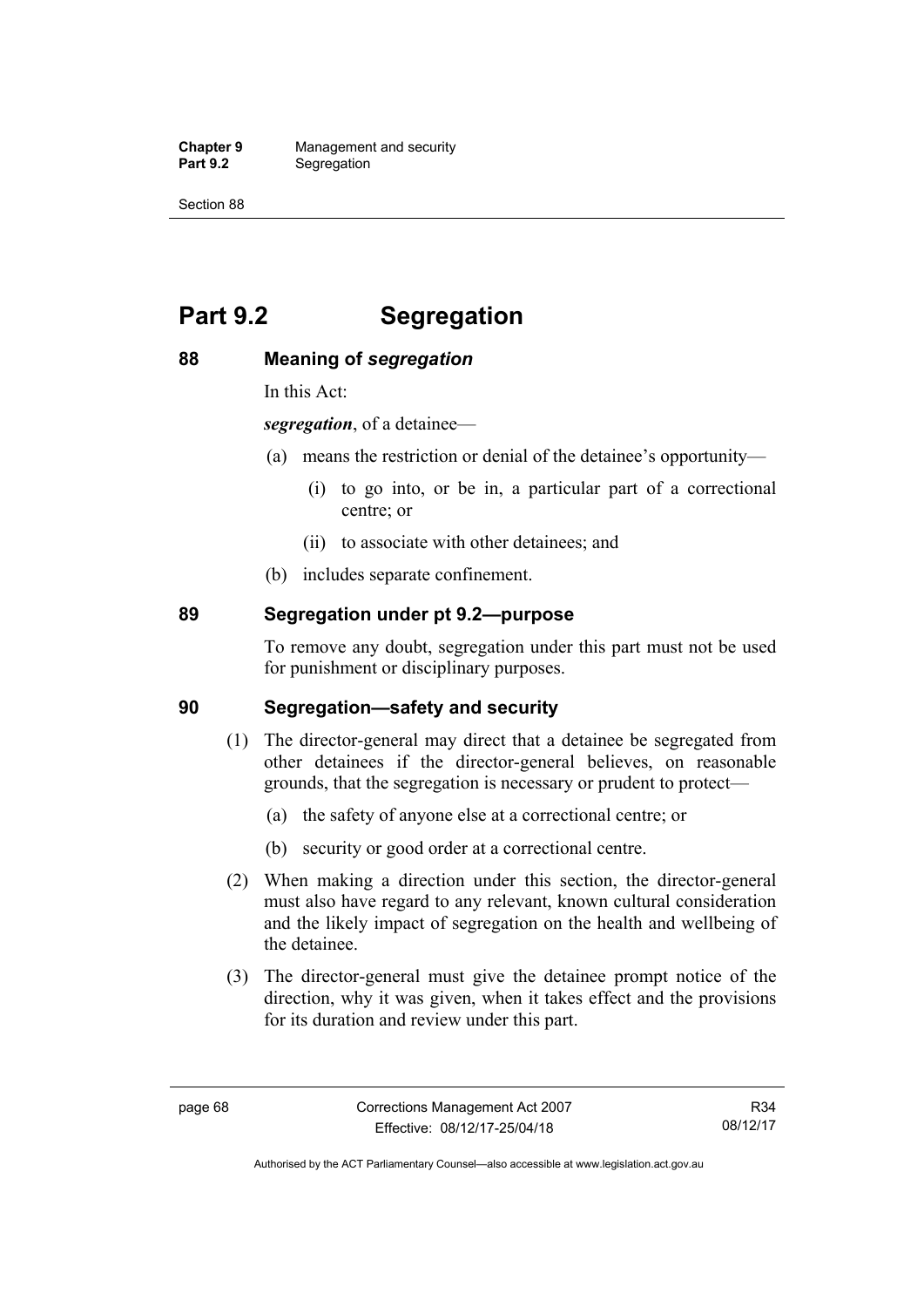**Chapter 9** Management and security<br>**Part 9.2** Segregation **Segregation** 

Section 88

# **Part 9.2 Segregation**

# **88 Meaning of** *segregation*

In this Act:

*segregation*, of a detainee—

- (a) means the restriction or denial of the detainee's opportunity—
	- (i) to go into, or be in, a particular part of a correctional centre; or
	- (ii) to associate with other detainees; and
- (b) includes separate confinement.

# **89 Segregation under pt 9.2—purpose**

To remove any doubt, segregation under this part must not be used for punishment or disciplinary purposes.

# **90 Segregation—safety and security**

- (1) The director-general may direct that a detainee be segregated from other detainees if the director-general believes, on reasonable grounds, that the segregation is necessary or prudent to protect—
	- (a) the safety of anyone else at a correctional centre; or
	- (b) security or good order at a correctional centre.
- (2) When making a direction under this section, the director-general must also have regard to any relevant, known cultural consideration and the likely impact of segregation on the health and wellbeing of the detainee.
- (3) The director-general must give the detainee prompt notice of the direction, why it was given, when it takes effect and the provisions for its duration and review under this part.

Authorised by the ACT Parliamentary Counsel—also accessible at www.legislation.act.gov.au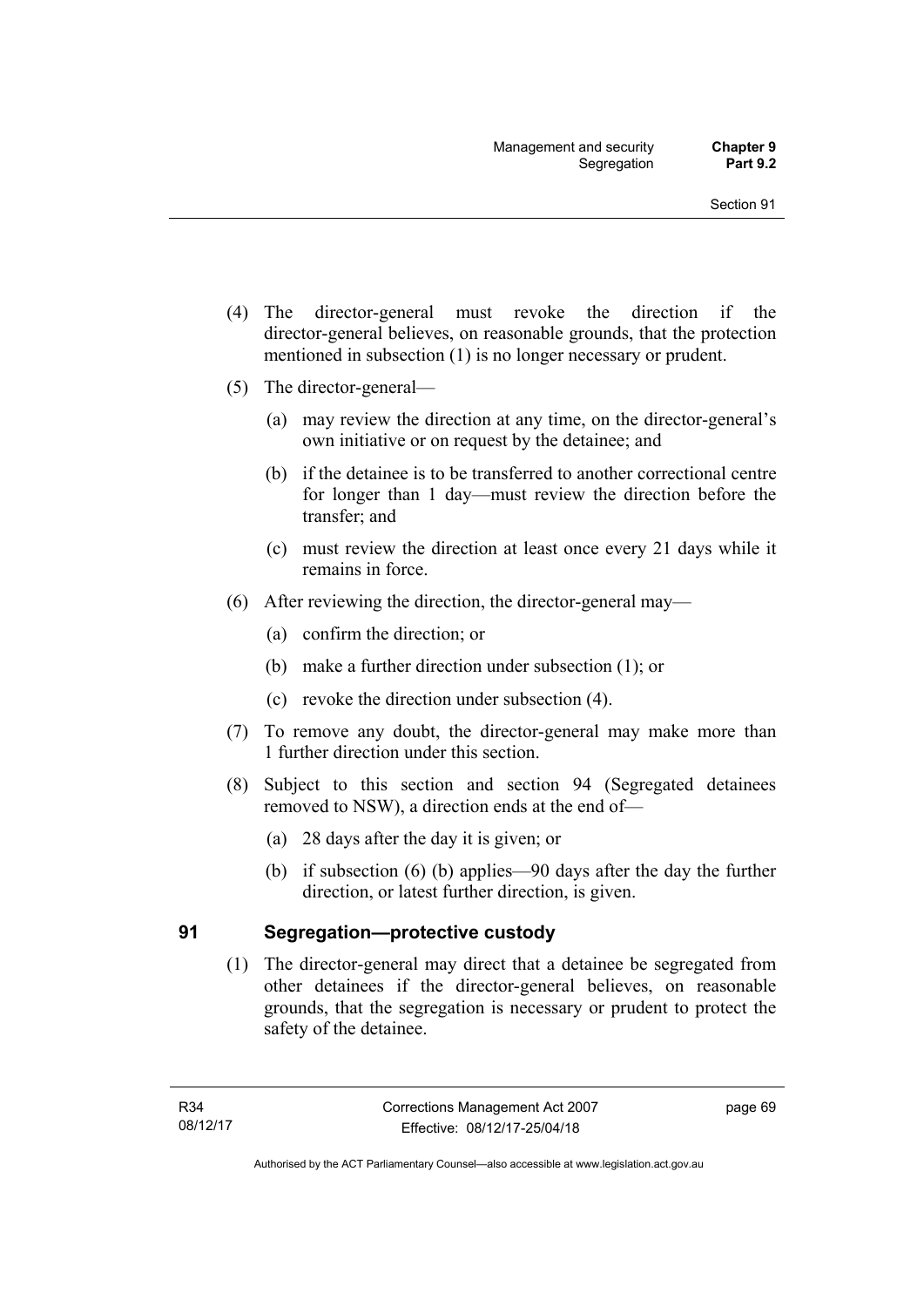- (4) The director-general must revoke the direction if the director-general believes, on reasonable grounds, that the protection mentioned in subsection (1) is no longer necessary or prudent.
- (5) The director-general—
	- (a) may review the direction at any time, on the director-general's own initiative or on request by the detainee; and
	- (b) if the detainee is to be transferred to another correctional centre for longer than 1 day—must review the direction before the transfer; and
	- (c) must review the direction at least once every 21 days while it remains in force.
- (6) After reviewing the direction, the director-general may—
	- (a) confirm the direction; or
	- (b) make a further direction under subsection (1); or
	- (c) revoke the direction under subsection (4).
- (7) To remove any doubt, the director-general may make more than 1 further direction under this section.
- (8) Subject to this section and section 94 (Segregated detainees removed to NSW), a direction ends at the end of—
	- (a) 28 days after the day it is given; or
	- (b) if subsection (6) (b) applies—90 days after the day the further direction, or latest further direction, is given.

# **91 Segregation—protective custody**

 (1) The director-general may direct that a detainee be segregated from other detainees if the director-general believes, on reasonable grounds, that the segregation is necessary or prudent to protect the safety of the detainee.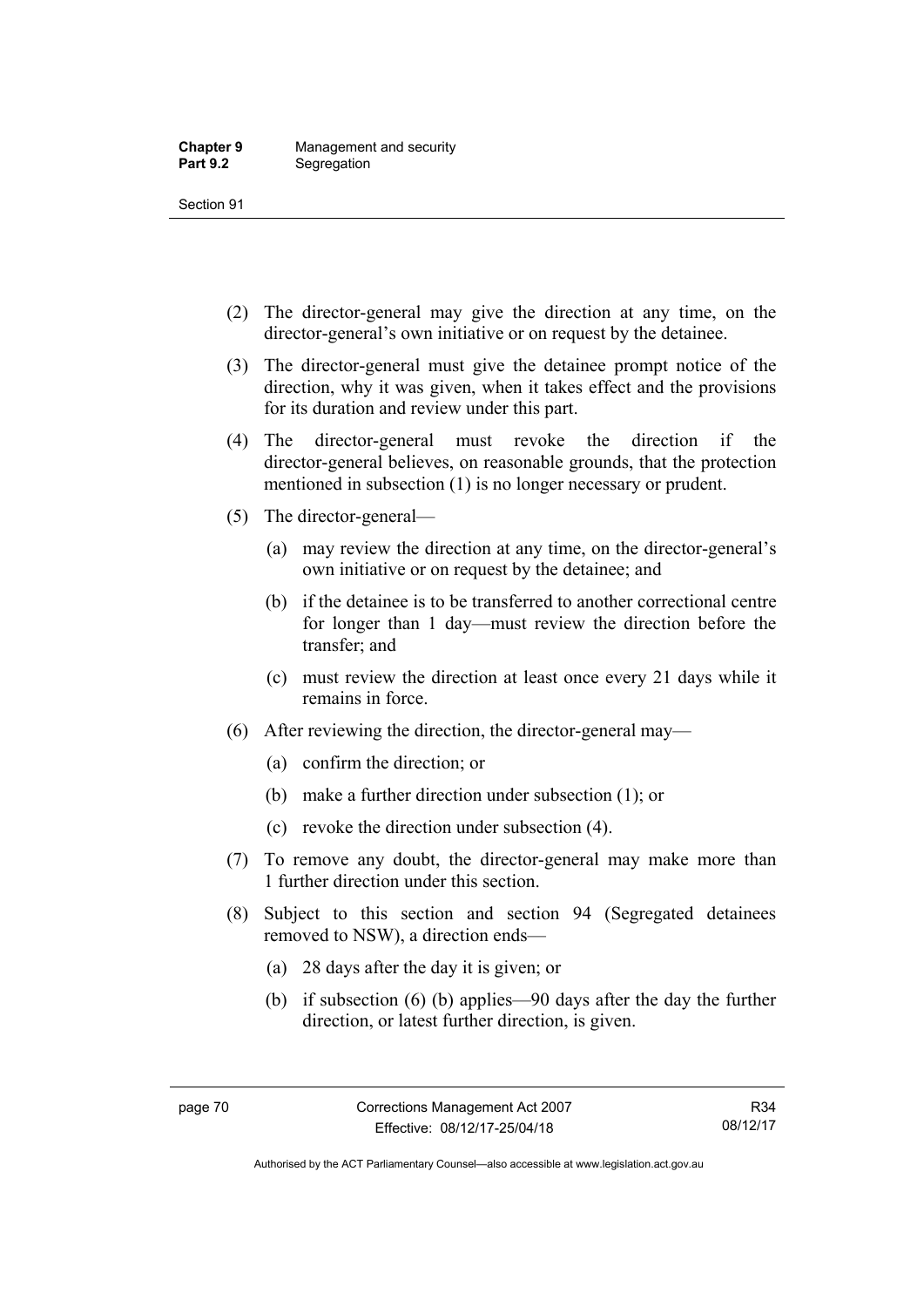- (2) The director-general may give the direction at any time, on the director-general's own initiative or on request by the detainee.
- (3) The director-general must give the detainee prompt notice of the direction, why it was given, when it takes effect and the provisions for its duration and review under this part.
- (4) The director-general must revoke the direction if the director-general believes, on reasonable grounds, that the protection mentioned in subsection (1) is no longer necessary or prudent.
- (5) The director-general—
	- (a) may review the direction at any time, on the director-general's own initiative or on request by the detainee; and
	- (b) if the detainee is to be transferred to another correctional centre for longer than 1 day—must review the direction before the transfer; and
	- (c) must review the direction at least once every 21 days while it remains in force.
- (6) After reviewing the direction, the director-general may—
	- (a) confirm the direction; or
	- (b) make a further direction under subsection (1); or
	- (c) revoke the direction under subsection (4).
- (7) To remove any doubt, the director-general may make more than 1 further direction under this section.
- (8) Subject to this section and section 94 (Segregated detainees removed to NSW), a direction ends—
	- (a) 28 days after the day it is given; or
	- (b) if subsection (6) (b) applies—90 days after the day the further direction, or latest further direction, is given.

Authorised by the ACT Parliamentary Counsel—also accessible at www.legislation.act.gov.au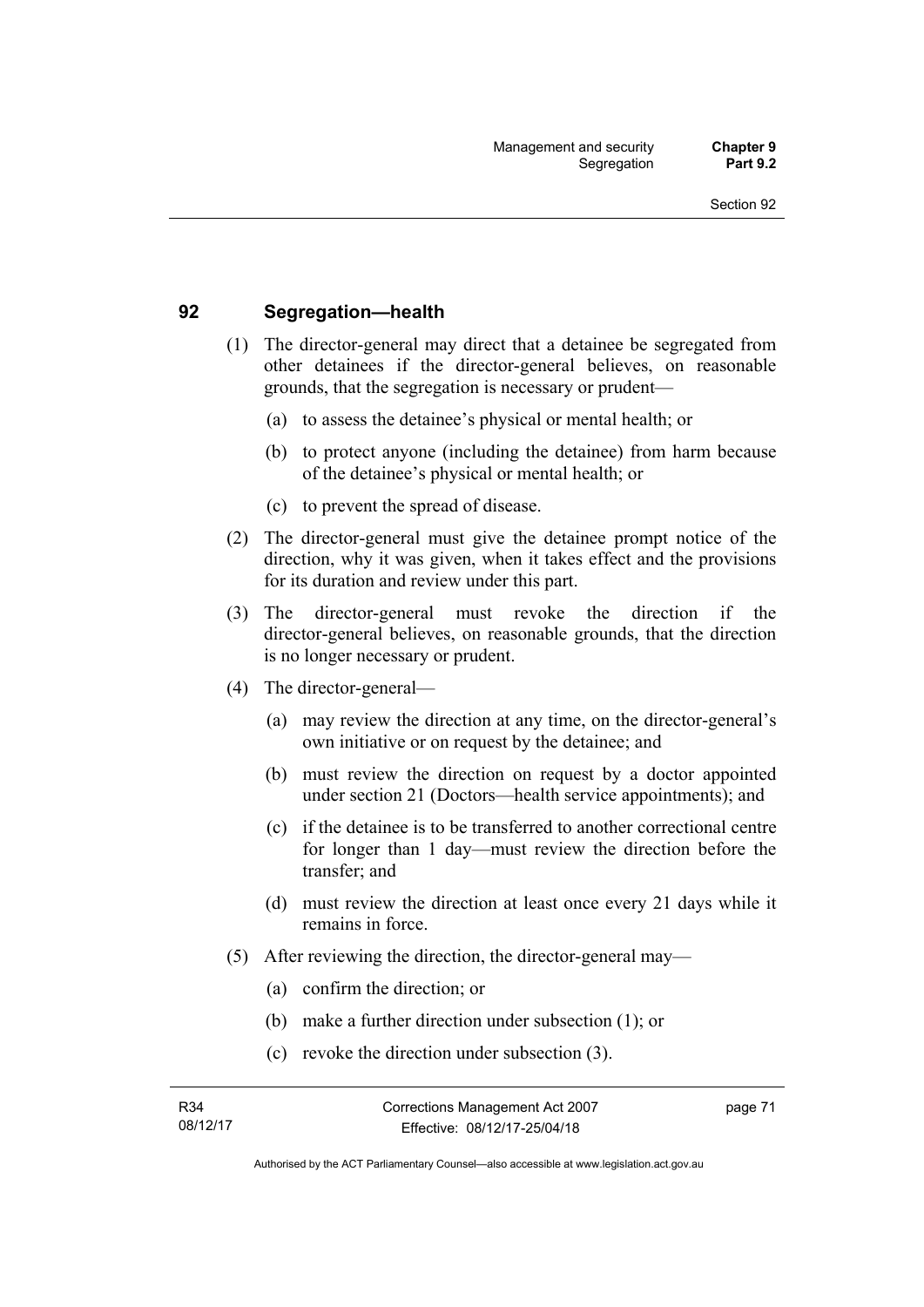# **92 Segregation—health**

- (1) The director-general may direct that a detainee be segregated from other detainees if the director-general believes, on reasonable grounds, that the segregation is necessary or prudent—
	- (a) to assess the detainee's physical or mental health; or
	- (b) to protect anyone (including the detainee) from harm because of the detainee's physical or mental health; or
	- (c) to prevent the spread of disease.
- (2) The director-general must give the detainee prompt notice of the direction, why it was given, when it takes effect and the provisions for its duration and review under this part.
- (3) The director-general must revoke the direction if the director-general believes, on reasonable grounds, that the direction is no longer necessary or prudent.
- (4) The director-general—
	- (a) may review the direction at any time, on the director-general's own initiative or on request by the detainee; and
	- (b) must review the direction on request by a doctor appointed under section 21 (Doctors—health service appointments); and
	- (c) if the detainee is to be transferred to another correctional centre for longer than 1 day—must review the direction before the transfer; and
	- (d) must review the direction at least once every 21 days while it remains in force.
- (5) After reviewing the direction, the director-general may—
	- (a) confirm the direction; or
	- (b) make a further direction under subsection (1); or
	- (c) revoke the direction under subsection (3).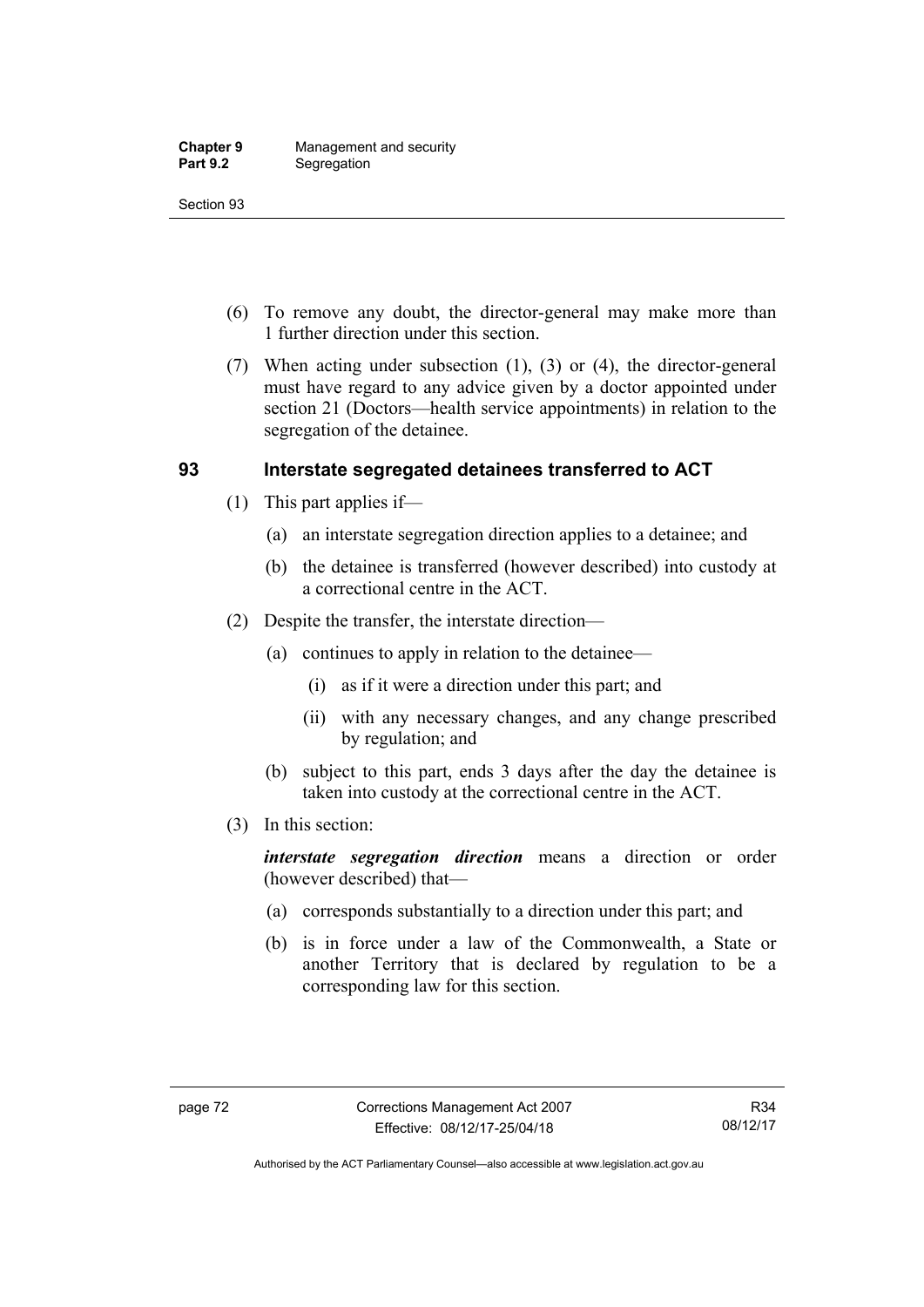- (6) To remove any doubt, the director-general may make more than 1 further direction under this section.
- (7) When acting under subsection (1), (3) or (4), the director-general must have regard to any advice given by a doctor appointed under section 21 (Doctors—health service appointments) in relation to the segregation of the detainee.

# **93 Interstate segregated detainees transferred to ACT**

- (1) This part applies if—
	- (a) an interstate segregation direction applies to a detainee; and
	- (b) the detainee is transferred (however described) into custody at a correctional centre in the ACT.
- (2) Despite the transfer, the interstate direction—
	- (a) continues to apply in relation to the detainee—
		- (i) as if it were a direction under this part; and
		- (ii) with any necessary changes, and any change prescribed by regulation; and
	- (b) subject to this part, ends 3 days after the day the detainee is taken into custody at the correctional centre in the ACT.
- (3) In this section:

*interstate segregation direction* means a direction or order (however described) that—

- (a) corresponds substantially to a direction under this part; and
- (b) is in force under a law of the Commonwealth, a State or another Territory that is declared by regulation to be a corresponding law for this section.

Authorised by the ACT Parliamentary Counsel—also accessible at www.legislation.act.gov.au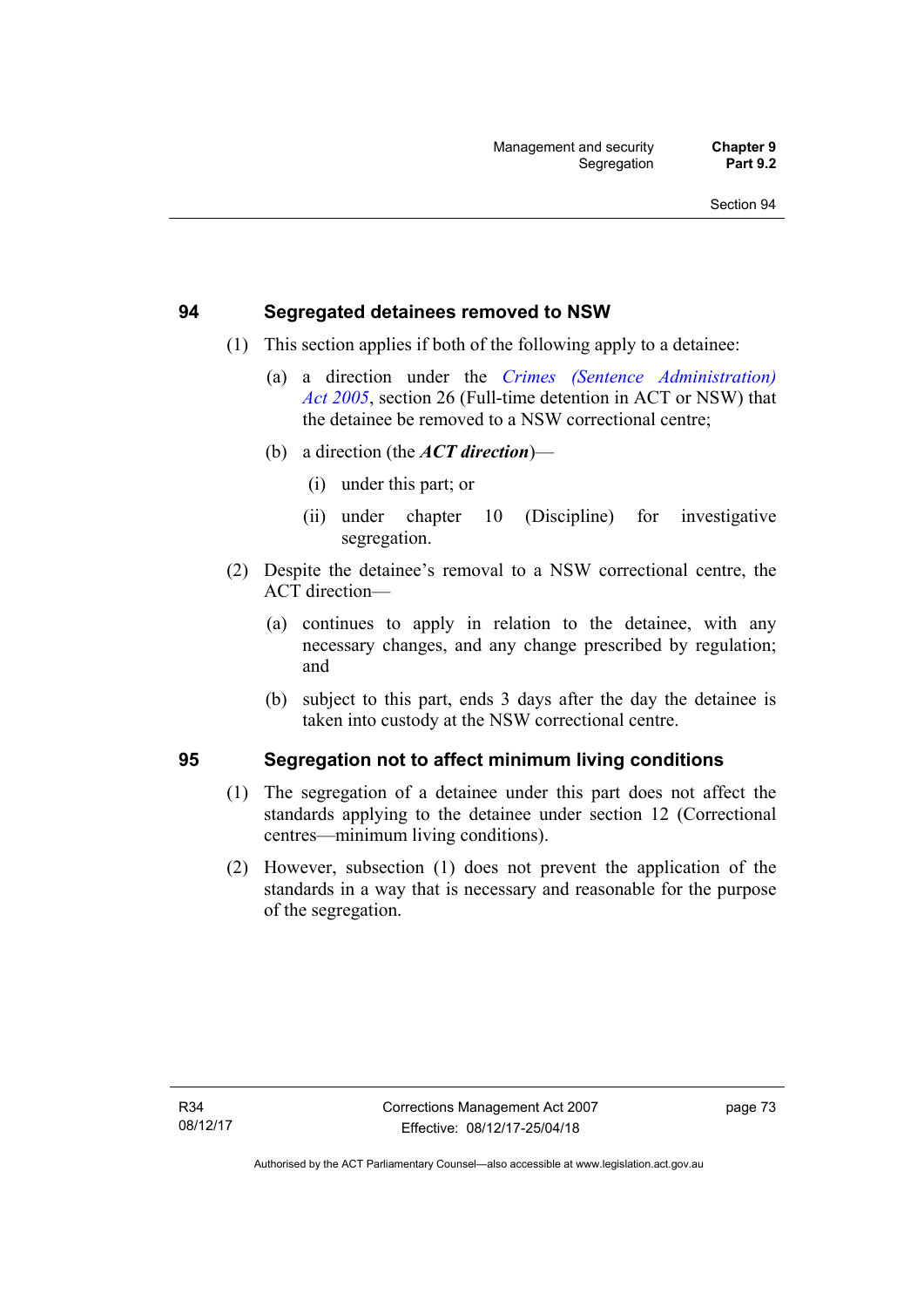# **94 Segregated detainees removed to NSW**

- (1) This section applies if both of the following apply to a detainee:
	- (a) a direction under the *[Crimes \(Sentence Administration\)](http://www.legislation.act.gov.au/a/2005-59)  [Act 2005](http://www.legislation.act.gov.au/a/2005-59)*, section 26 (Full-time detention in ACT or NSW) that the detainee be removed to a NSW correctional centre;
	- (b) a direction (the *ACT direction*)—
		- (i) under this part; or
		- (ii) under chapter 10 (Discipline) for investigative segregation.
- (2) Despite the detainee's removal to a NSW correctional centre, the ACT direction—
	- (a) continues to apply in relation to the detainee, with any necessary changes, and any change prescribed by regulation; and
	- (b) subject to this part, ends 3 days after the day the detainee is taken into custody at the NSW correctional centre.

# **95 Segregation not to affect minimum living conditions**

- (1) The segregation of a detainee under this part does not affect the standards applying to the detainee under section 12 (Correctional centres—minimum living conditions).
- (2) However, subsection (1) does not prevent the application of the standards in a way that is necessary and reasonable for the purpose of the segregation.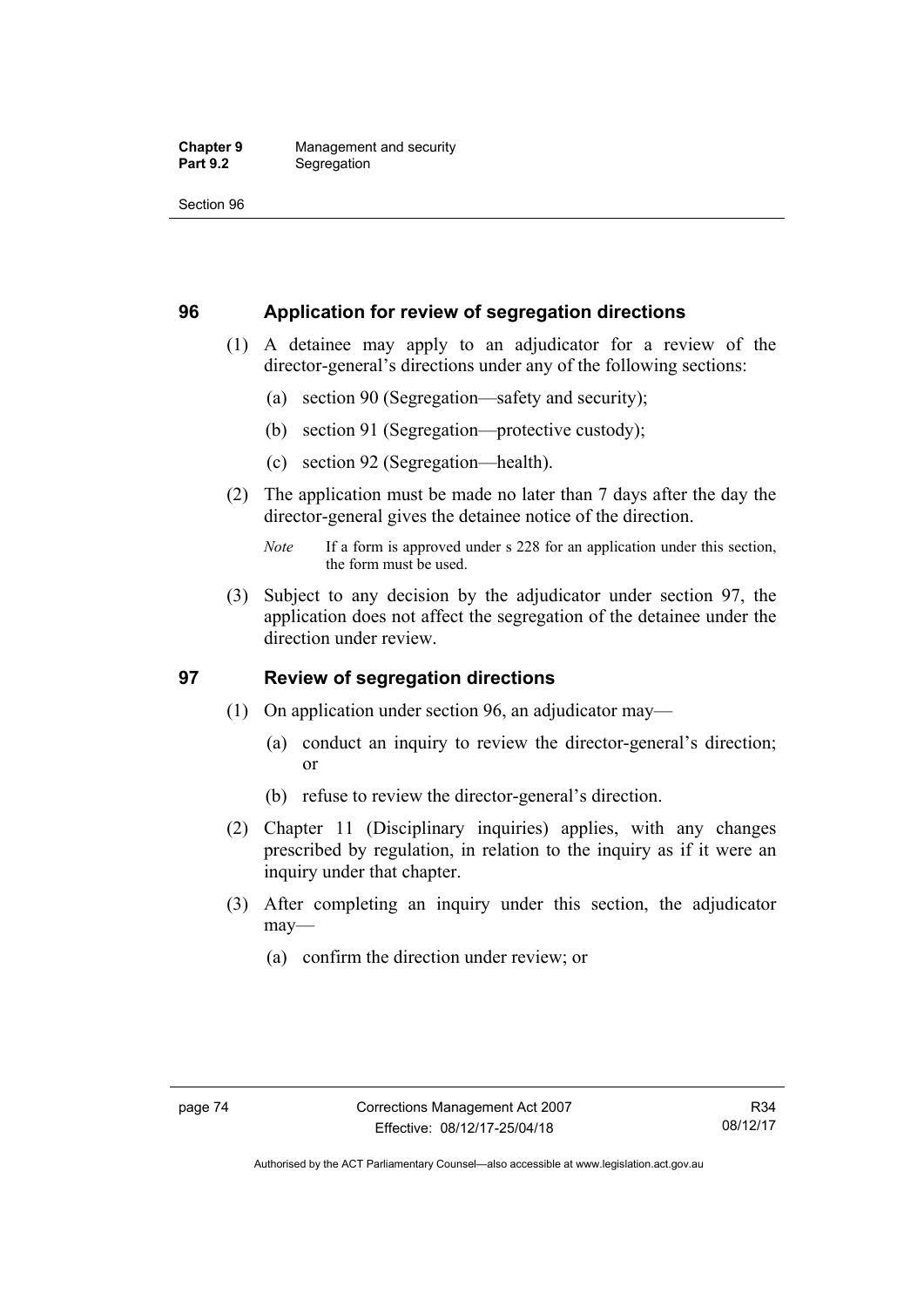# **96 Application for review of segregation directions**

- (1) A detainee may apply to an adjudicator for a review of the director-general's directions under any of the following sections:
	- (a) section 90 (Segregation—safety and security);
	- (b) section 91 (Segregation—protective custody);
	- (c) section 92 (Segregation—health).
- (2) The application must be made no later than 7 days after the day the director-general gives the detainee notice of the direction.

 (3) Subject to any decision by the adjudicator under section 97, the application does not affect the segregation of the detainee under the direction under review.

# **97 Review of segregation directions**

- (1) On application under section 96, an adjudicator may—
	- (a) conduct an inquiry to review the director-general's direction; or
	- (b) refuse to review the director-general's direction.
- (2) Chapter 11 (Disciplinary inquiries) applies, with any changes prescribed by regulation, in relation to the inquiry as if it were an inquiry under that chapter.
- (3) After completing an inquiry under this section, the adjudicator may—
	- (a) confirm the direction under review; or

*Note* If a form is approved under s 228 for an application under this section, the form must be used.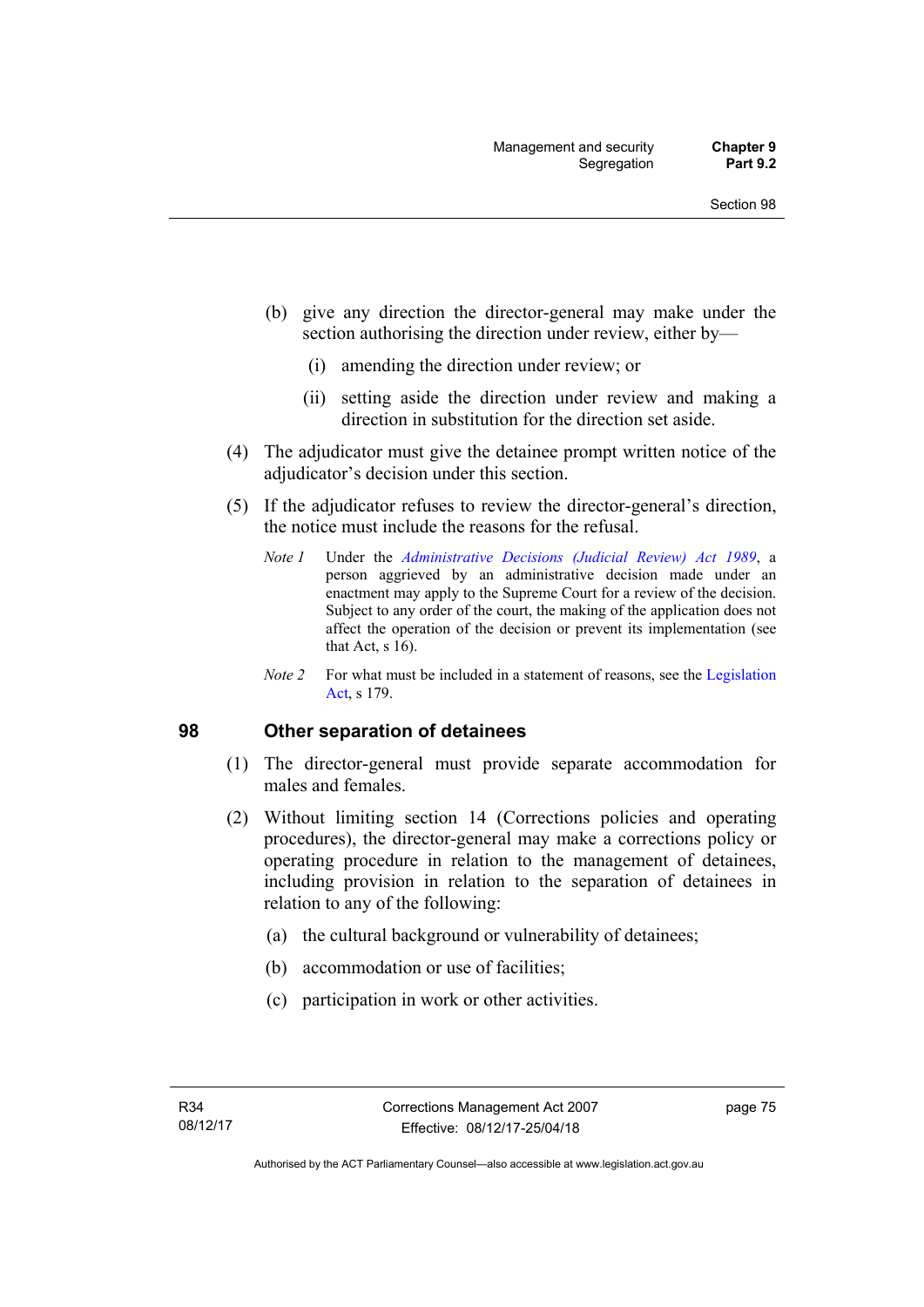- (b) give any direction the director-general may make under the section authorising the direction under review, either by—
	- (i) amending the direction under review; or
	- (ii) setting aside the direction under review and making a direction in substitution for the direction set aside.
- (4) The adjudicator must give the detainee prompt written notice of the adjudicator's decision under this section.
- (5) If the adjudicator refuses to review the director-general's direction, the notice must include the reasons for the refusal.
	- *Note 1* Under the *[Administrative Decisions \(Judicial Review\) Act 1989](http://www.legislation.act.gov.au/a/alt_a1989-33co)*, a person aggrieved by an administrative decision made under an enactment may apply to the Supreme Court for a review of the decision. Subject to any order of the court, the making of the application does not affect the operation of the decision or prevent its implementation (see that Act, s 16).
	- *Note 2* For what must be included in a statement of reasons, see the Legislation [Act,](http://www.legislation.act.gov.au/a/2001-14) s 179.

# **98 Other separation of detainees**

- (1) The director-general must provide separate accommodation for males and females.
- (2) Without limiting section 14 (Corrections policies and operating procedures), the director-general may make a corrections policy or operating procedure in relation to the management of detainees, including provision in relation to the separation of detainees in relation to any of the following:
	- (a) the cultural background or vulnerability of detainees;
	- (b) accommodation or use of facilities;
	- (c) participation in work or other activities.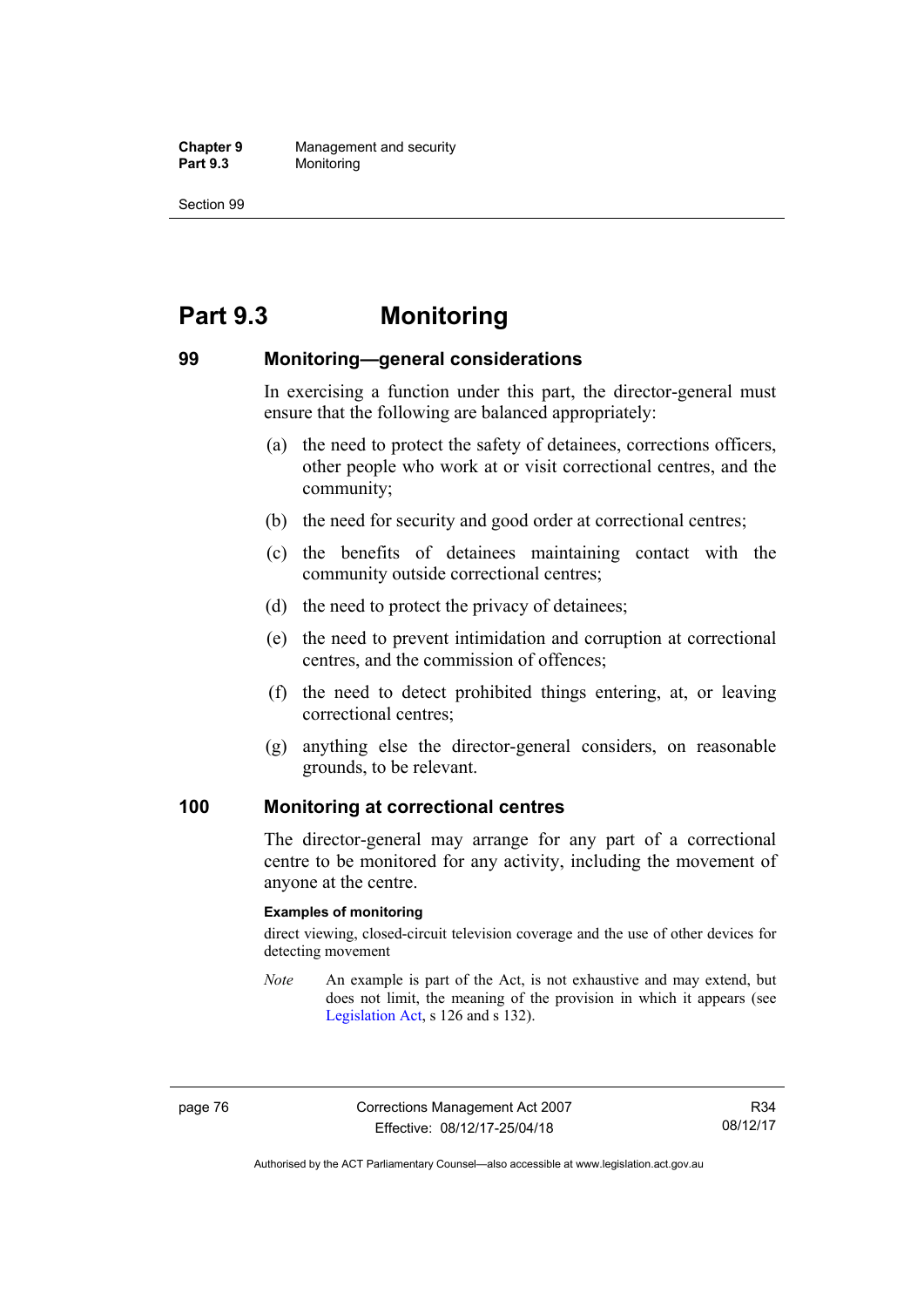**Chapter 9** Management and security<br>**Part 9.3** Monitoring **Monitoring** 

Section 99

# **Part 9.3 Monitoring**

# **99 Monitoring—general considerations**

In exercising a function under this part, the director-general must ensure that the following are balanced appropriately:

- (a) the need to protect the safety of detainees, corrections officers, other people who work at or visit correctional centres, and the community;
- (b) the need for security and good order at correctional centres;
- (c) the benefits of detainees maintaining contact with the community outside correctional centres;
- (d) the need to protect the privacy of detainees;
- (e) the need to prevent intimidation and corruption at correctional centres, and the commission of offences;
- (f) the need to detect prohibited things entering, at, or leaving correctional centres;
- (g) anything else the director-general considers, on reasonable grounds, to be relevant.

# **100 Monitoring at correctional centres**

The director-general may arrange for any part of a correctional centre to be monitored for any activity, including the movement of anyone at the centre.

#### **Examples of monitoring**

direct viewing, closed-circuit television coverage and the use of other devices for detecting movement

*Note* An example is part of the Act, is not exhaustive and may extend, but does not limit, the meaning of the provision in which it appears (see [Legislation Act,](http://www.legislation.act.gov.au/a/2001-14) s 126 and s 132).

Authorised by the ACT Parliamentary Counsel—also accessible at www.legislation.act.gov.au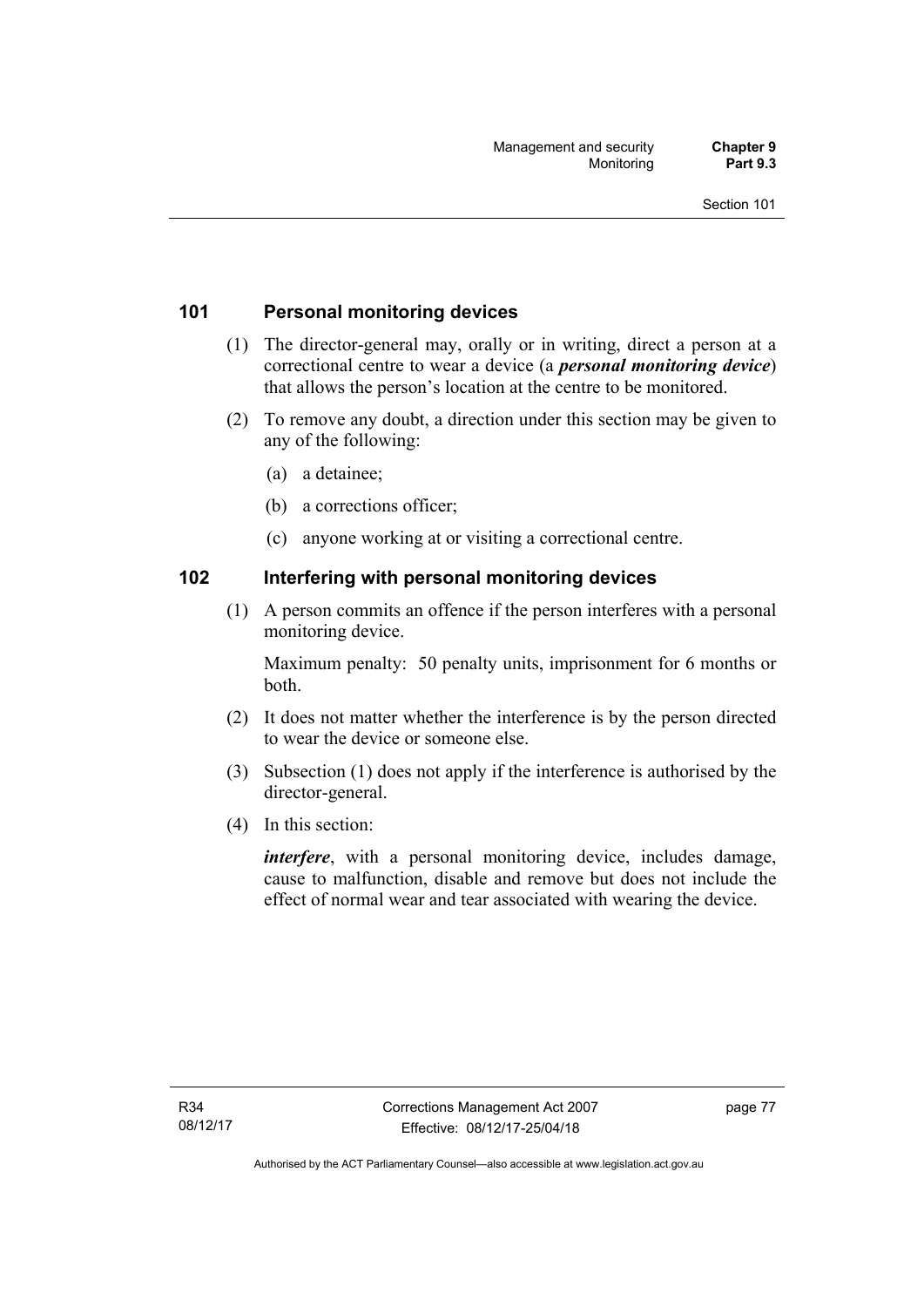# **101 Personal monitoring devices**

- (1) The director-general may, orally or in writing, direct a person at a correctional centre to wear a device (a *personal monitoring device*) that allows the person's location at the centre to be monitored.
- (2) To remove any doubt, a direction under this section may be given to any of the following:
	- (a) a detainee;
	- (b) a corrections officer;
	- (c) anyone working at or visiting a correctional centre.

## **102 Interfering with personal monitoring devices**

 (1) A person commits an offence if the person interferes with a personal monitoring device.

Maximum penalty: 50 penalty units, imprisonment for 6 months or both.

- (2) It does not matter whether the interference is by the person directed to wear the device or someone else.
- (3) Subsection (1) does not apply if the interference is authorised by the director-general.
- (4) In this section:

*interfere*, with a personal monitoring device, includes damage, cause to malfunction, disable and remove but does not include the effect of normal wear and tear associated with wearing the device.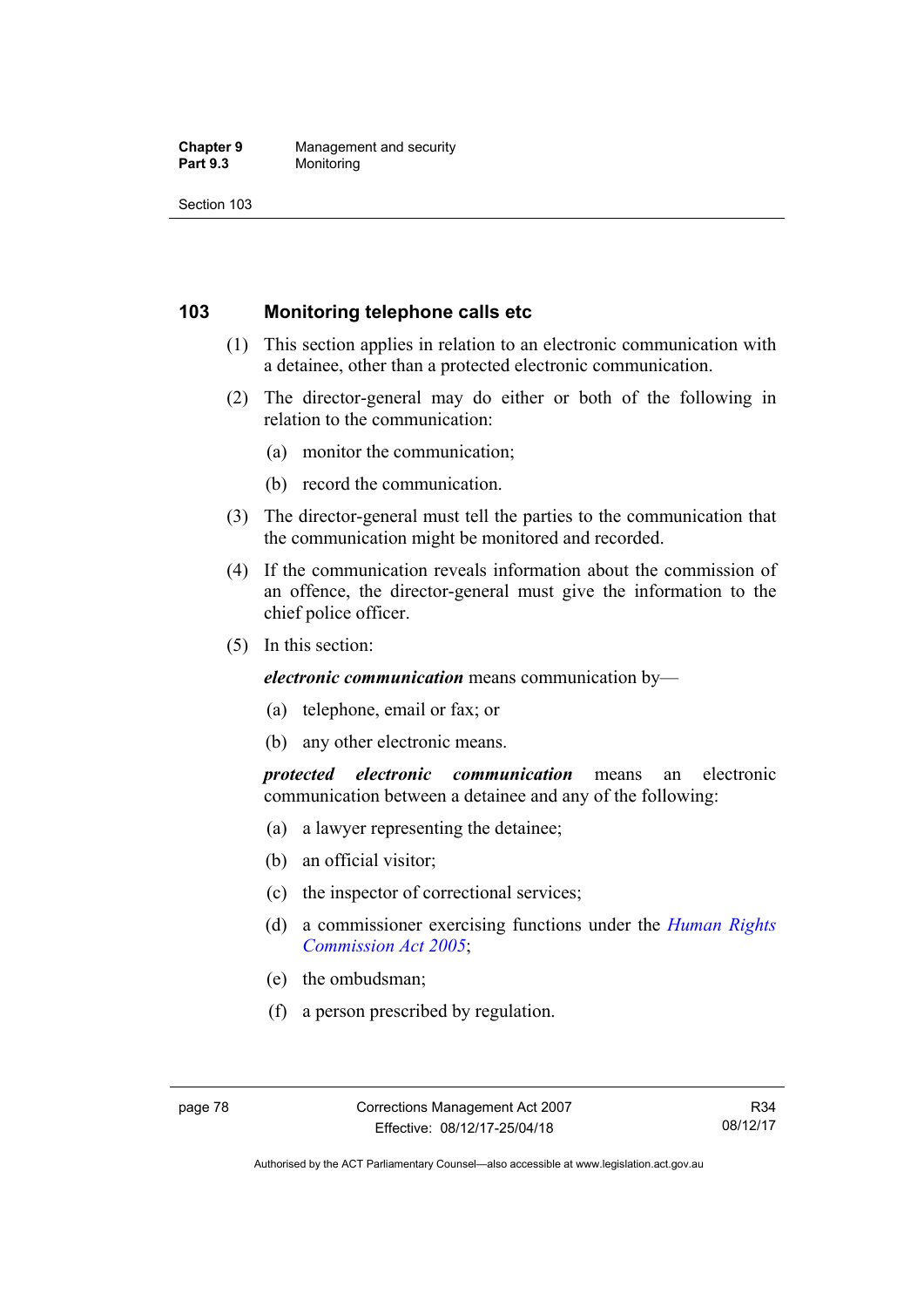#### **Chapter 9** Management and security<br>**Part 9.3** Monitoring **Monitoring**

Section 103

# **103 Monitoring telephone calls etc**

- (1) This section applies in relation to an electronic communication with a detainee, other than a protected electronic communication.
- (2) The director-general may do either or both of the following in relation to the communication:
	- (a) monitor the communication;
	- (b) record the communication.
- (3) The director-general must tell the parties to the communication that the communication might be monitored and recorded.
- (4) If the communication reveals information about the commission of an offence, the director-general must give the information to the chief police officer.
- (5) In this section:

*electronic communication* means communication by—

- (a) telephone, email or fax; or
- (b) any other electronic means.

*protected electronic communication* means an electronic communication between a detainee and any of the following:

- (a) a lawyer representing the detainee;
- (b) an official visitor;
- (c) the inspector of correctional services;
- (d) a commissioner exercising functions under the *[Human Rights](http://www.legislation.act.gov.au/a/2005-40)  [Commission Act 2005](http://www.legislation.act.gov.au/a/2005-40)*;
- (e) the ombudsman;
- (f) a person prescribed by regulation.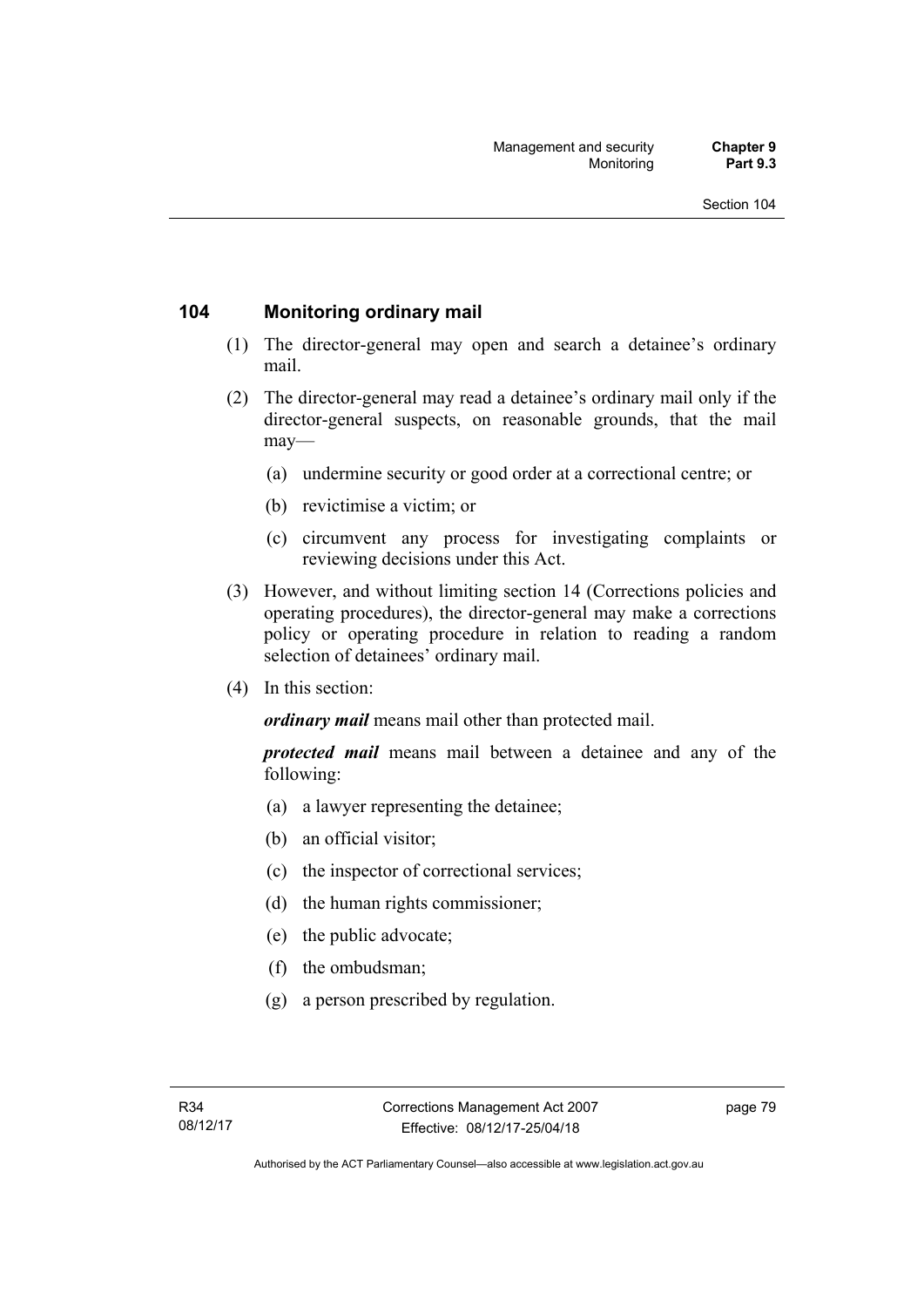# **104 Monitoring ordinary mail**

- (1) The director-general may open and search a detainee's ordinary mail.
- (2) The director-general may read a detainee's ordinary mail only if the director-general suspects, on reasonable grounds, that the mail may—
	- (a) undermine security or good order at a correctional centre; or
	- (b) revictimise a victim; or
	- (c) circumvent any process for investigating complaints or reviewing decisions under this Act.
- (3) However, and without limiting section 14 (Corrections policies and operating procedures), the director-general may make a corrections policy or operating procedure in relation to reading a random selection of detainees' ordinary mail.
- (4) In this section:

*ordinary mail* means mail other than protected mail.

*protected mail* means mail between a detainee and any of the following:

- (a) a lawyer representing the detainee;
- (b) an official visitor;
- (c) the inspector of correctional services;
- (d) the human rights commissioner;
- (e) the public advocate;
- (f) the ombudsman;
- (g) a person prescribed by regulation.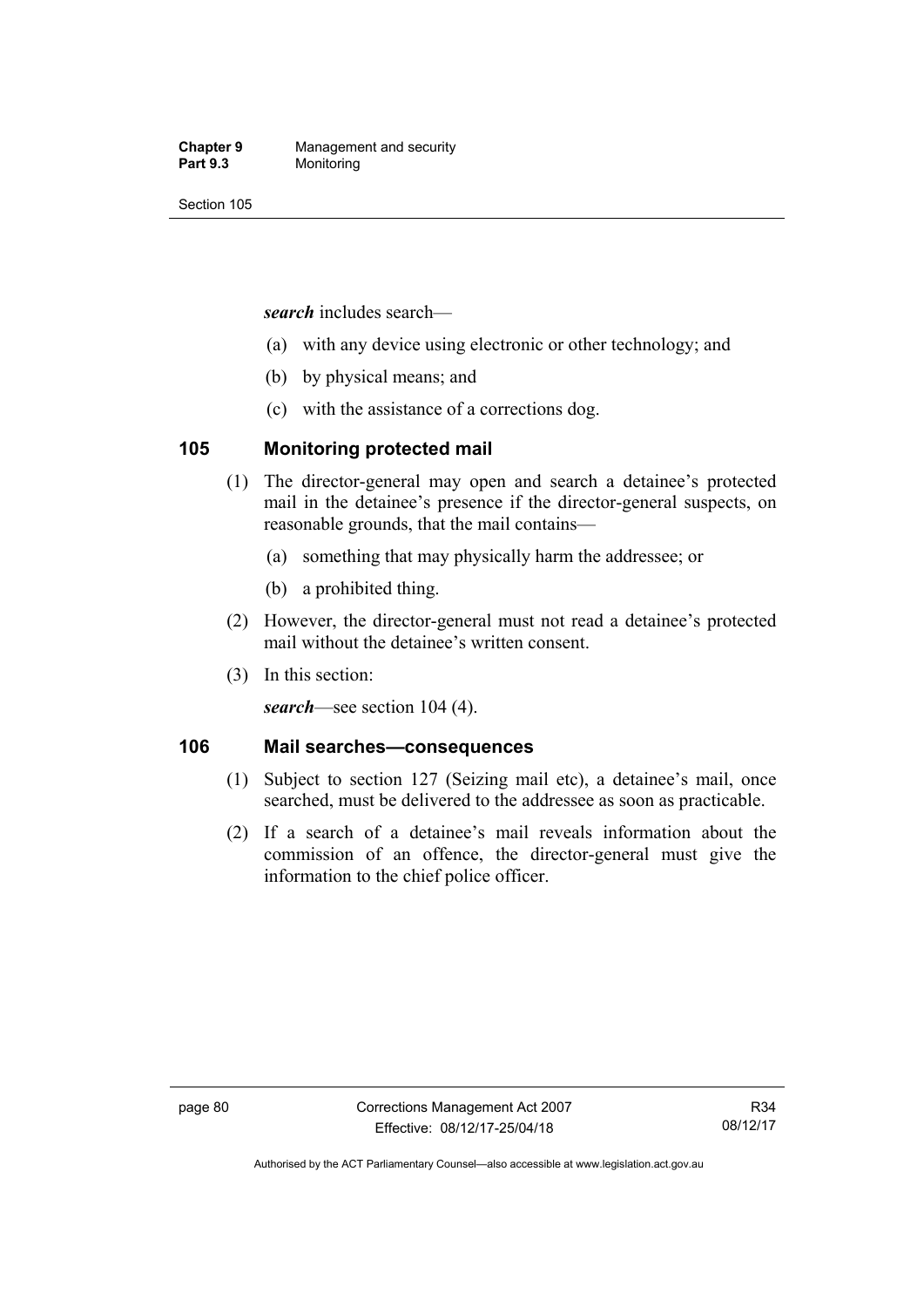*search* includes search—

- (a) with any device using electronic or other technology; and
- (b) by physical means; and
- (c) with the assistance of a corrections dog.

# **105 Monitoring protected mail**

- (1) The director-general may open and search a detainee's protected mail in the detainee's presence if the director-general suspects, on reasonable grounds, that the mail contains—
	- (a) something that may physically harm the addressee; or
	- (b) a prohibited thing.
- (2) However, the director-general must not read a detainee's protected mail without the detainee's written consent.
- (3) In this section:

*search*—see section 104 (4).

# **106 Mail searches—consequences**

- (1) Subject to section 127 (Seizing mail etc), a detainee's mail, once searched, must be delivered to the addressee as soon as practicable.
- (2) If a search of a detainee's mail reveals information about the commission of an offence, the director-general must give the information to the chief police officer.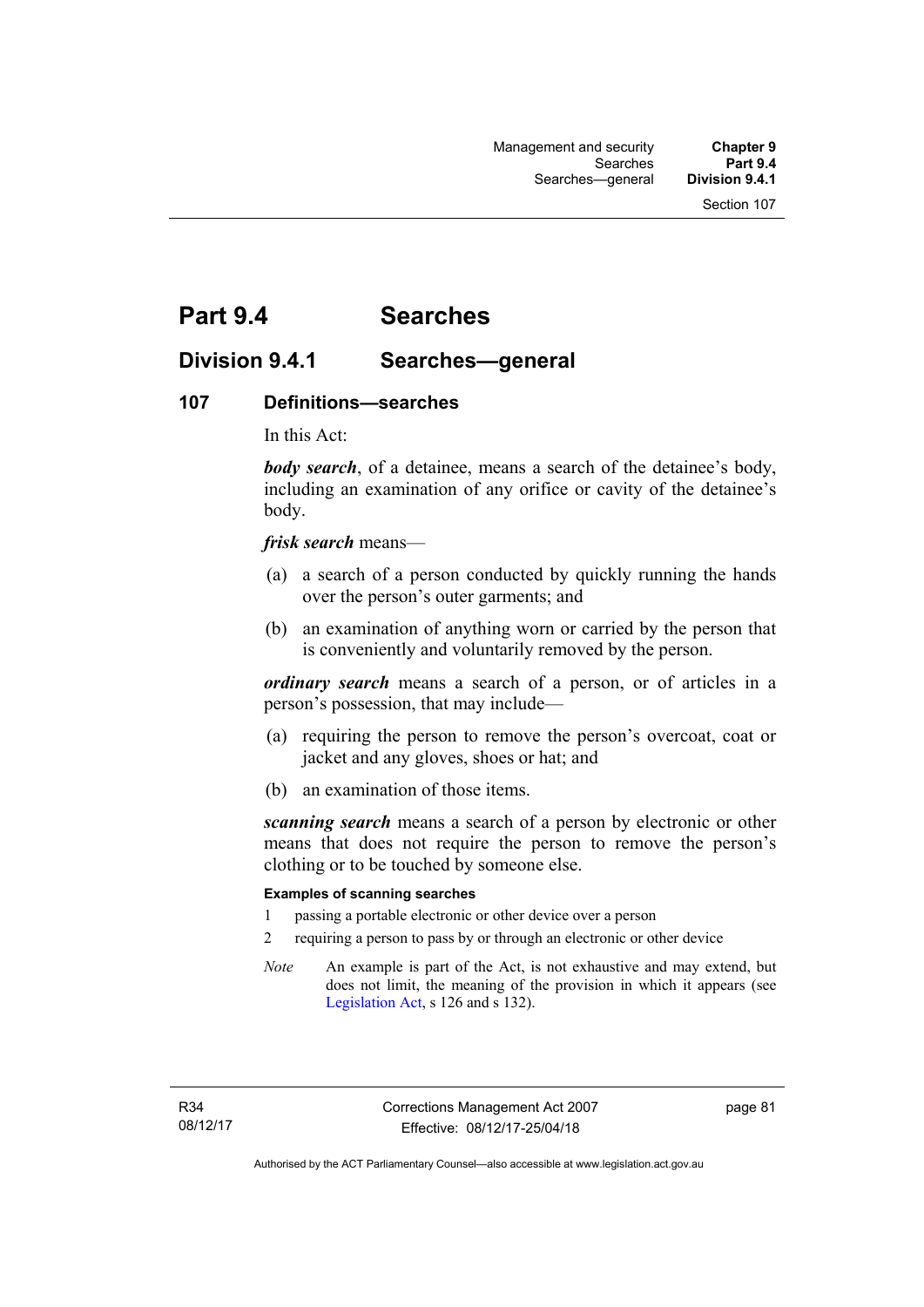# **Part 9.4 Searches**

# **Division 9.4.1 Searches—general**

# **107 Definitions—searches**

In this Act:

*body search*, of a detainee, means a search of the detainee's body, including an examination of any orifice or cavity of the detainee's body.

### *frisk search* means—

- (a) a search of a person conducted by quickly running the hands over the person's outer garments; and
- (b) an examination of anything worn or carried by the person that is conveniently and voluntarily removed by the person.

*ordinary search* means a search of a person, or of articles in a person's possession, that may include—

- (a) requiring the person to remove the person's overcoat, coat or jacket and any gloves, shoes or hat; and
- (b) an examination of those items.

*scanning search* means a search of a person by electronic or other means that does not require the person to remove the person's clothing or to be touched by someone else.

#### **Examples of scanning searches**

- 1 passing a portable electronic or other device over a person
- 2 requiring a person to pass by or through an electronic or other device
- *Note* An example is part of the Act, is not exhaustive and may extend, but does not limit, the meaning of the provision in which it appears (see [Legislation Act,](http://www.legislation.act.gov.au/a/2001-14) s 126 and s 132).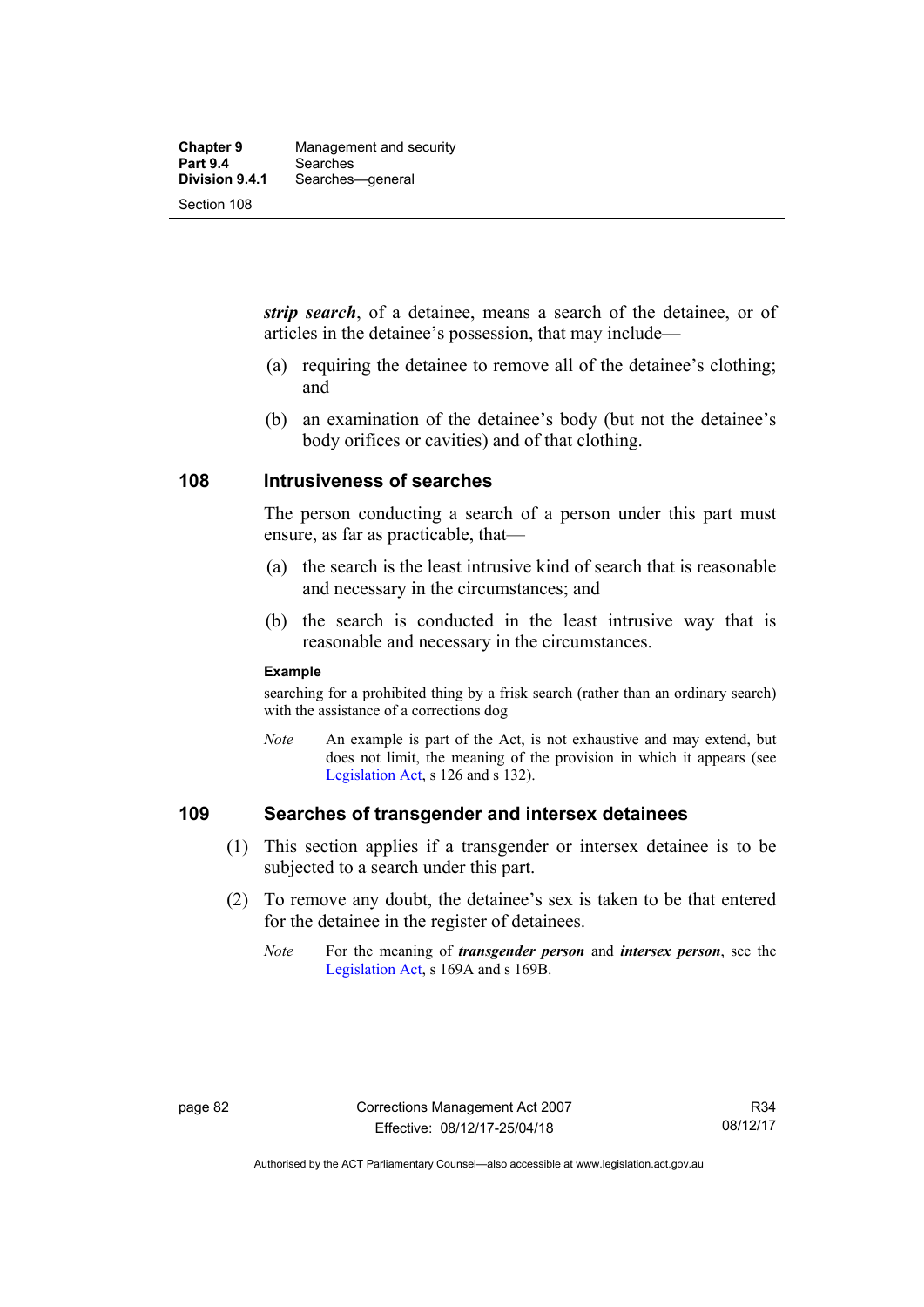*strip search*, of a detainee, means a search of the detainee, or of articles in the detainee's possession, that may include—

- (a) requiring the detainee to remove all of the detainee's clothing; and
- (b) an examination of the detainee's body (but not the detainee's body orifices or cavities) and of that clothing.

# **108 Intrusiveness of searches**

The person conducting a search of a person under this part must ensure, as far as practicable, that—

- (a) the search is the least intrusive kind of search that is reasonable and necessary in the circumstances; and
- (b) the search is conducted in the least intrusive way that is reasonable and necessary in the circumstances.

### **Example**

searching for a prohibited thing by a frisk search (rather than an ordinary search) with the assistance of a corrections dog

*Note* An example is part of the Act, is not exhaustive and may extend, but does not limit, the meaning of the provision in which it appears (see [Legislation Act,](http://www.legislation.act.gov.au/a/2001-14) s 126 and s 132).

# **109 Searches of transgender and intersex detainees**

- (1) This section applies if a transgender or intersex detainee is to be subjected to a search under this part.
- (2) To remove any doubt, the detainee's sex is taken to be that entered for the detainee in the register of detainees.
	- *Note* For the meaning of *transgender person* and *intersex person*, see the [Legislation Act,](http://www.legislation.act.gov.au/a/2001-14) s 169A and s 169B.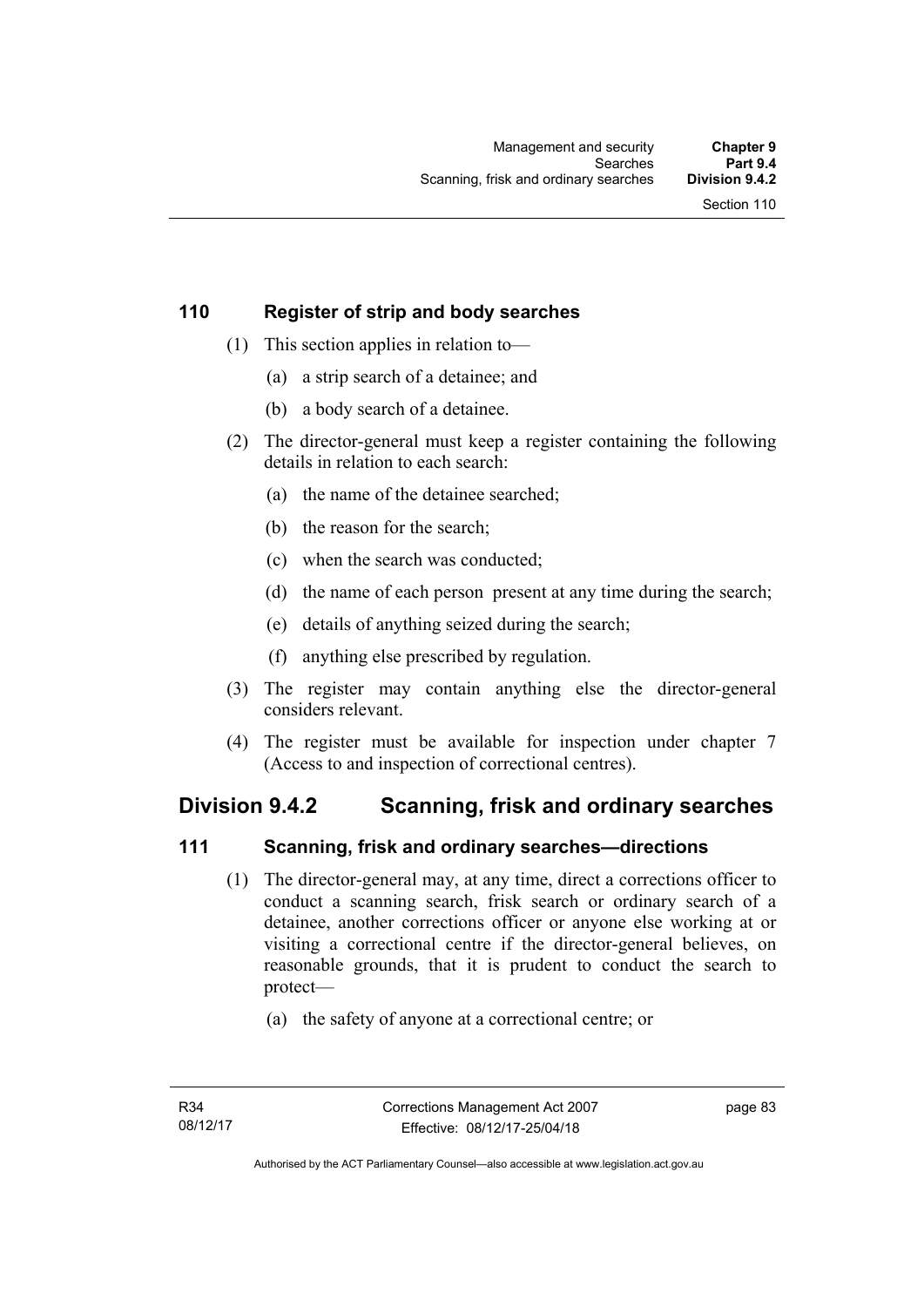# **110 Register of strip and body searches**

- (1) This section applies in relation to—
	- (a) a strip search of a detainee; and
	- (b) a body search of a detainee.
- (2) The director-general must keep a register containing the following details in relation to each search:
	- (a) the name of the detainee searched;
	- (b) the reason for the search;
	- (c) when the search was conducted;
	- (d) the name of each person present at any time during the search;
	- (e) details of anything seized during the search;
	- (f) anything else prescribed by regulation.
- (3) The register may contain anything else the director-general considers relevant.
- (4) The register must be available for inspection under chapter 7 (Access to and inspection of correctional centres).

# **Division 9.4.2 Scanning, frisk and ordinary searches**

# **111 Scanning, frisk and ordinary searches—directions**

- (1) The director-general may, at any time, direct a corrections officer to conduct a scanning search, frisk search or ordinary search of a detainee, another corrections officer or anyone else working at or visiting a correctional centre if the director-general believes, on reasonable grounds, that it is prudent to conduct the search to protect—
	- (a) the safety of anyone at a correctional centre; or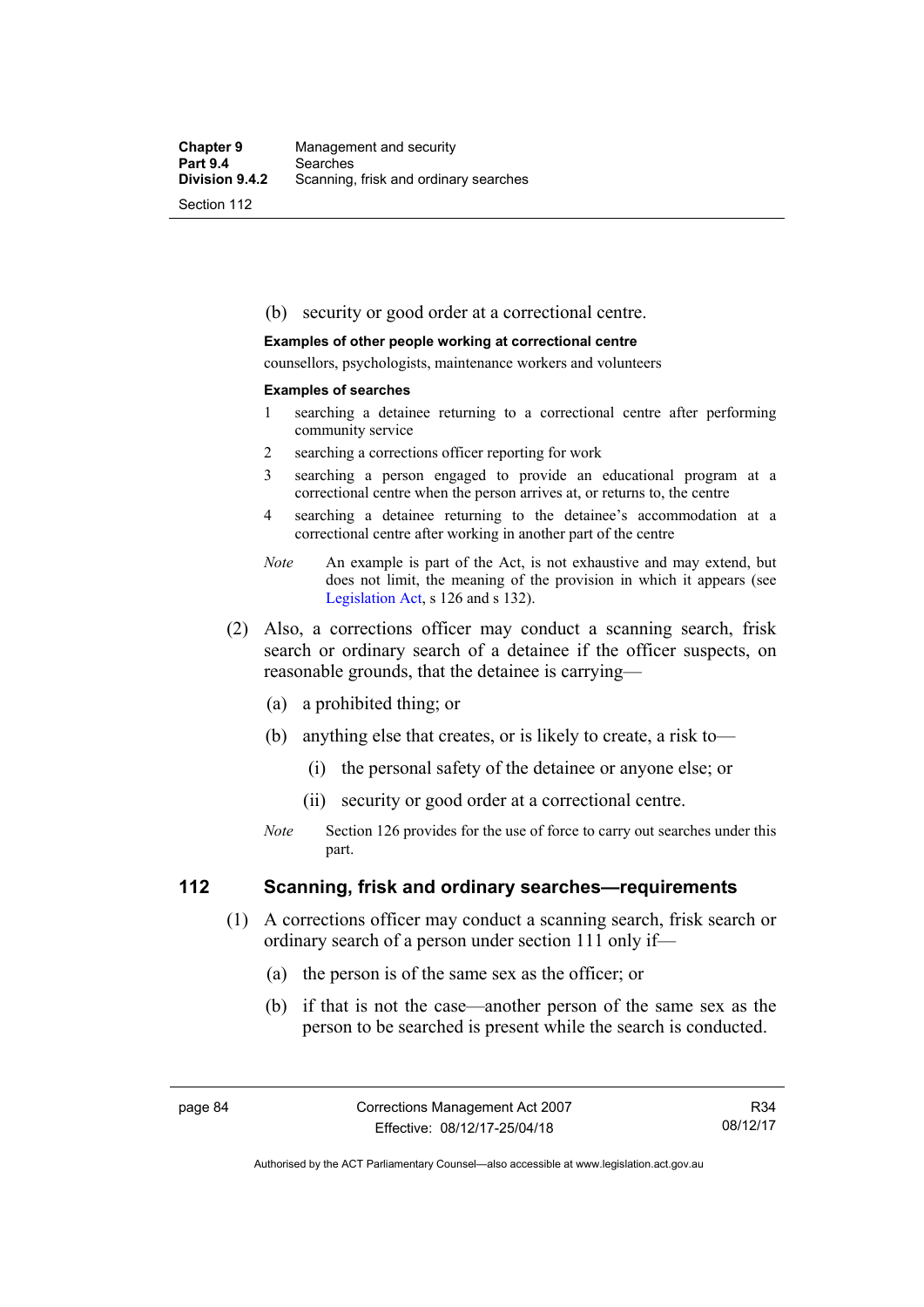#### (b) security or good order at a correctional centre.

#### **Examples of other people working at correctional centre**

counsellors, psychologists, maintenance workers and volunteers

#### **Examples of searches**

- 1 searching a detainee returning to a correctional centre after performing community service
- 2 searching a corrections officer reporting for work
- 3 searching a person engaged to provide an educational program at a correctional centre when the person arrives at, or returns to, the centre
- 4 searching a detainee returning to the detainee's accommodation at a correctional centre after working in another part of the centre
- *Note* An example is part of the Act, is not exhaustive and may extend, but does not limit, the meaning of the provision in which it appears (see [Legislation Act,](http://www.legislation.act.gov.au/a/2001-14) s 126 and s 132).
- (2) Also, a corrections officer may conduct a scanning search, frisk search or ordinary search of a detainee if the officer suspects, on reasonable grounds, that the detainee is carrying—
	- (a) a prohibited thing; or
	- (b) anything else that creates, or is likely to create, a risk to—
		- (i) the personal safety of the detainee or anyone else; or
		- (ii) security or good order at a correctional centre.
	- *Note* Section 126 provides for the use of force to carry out searches under this part.

## **112 Scanning, frisk and ordinary searches—requirements**

- (1) A corrections officer may conduct a scanning search, frisk search or ordinary search of a person under section 111 only if—
	- (a) the person is of the same sex as the officer; or
	- (b) if that is not the case—another person of the same sex as the person to be searched is present while the search is conducted.

Authorised by the ACT Parliamentary Counsel—also accessible at www.legislation.act.gov.au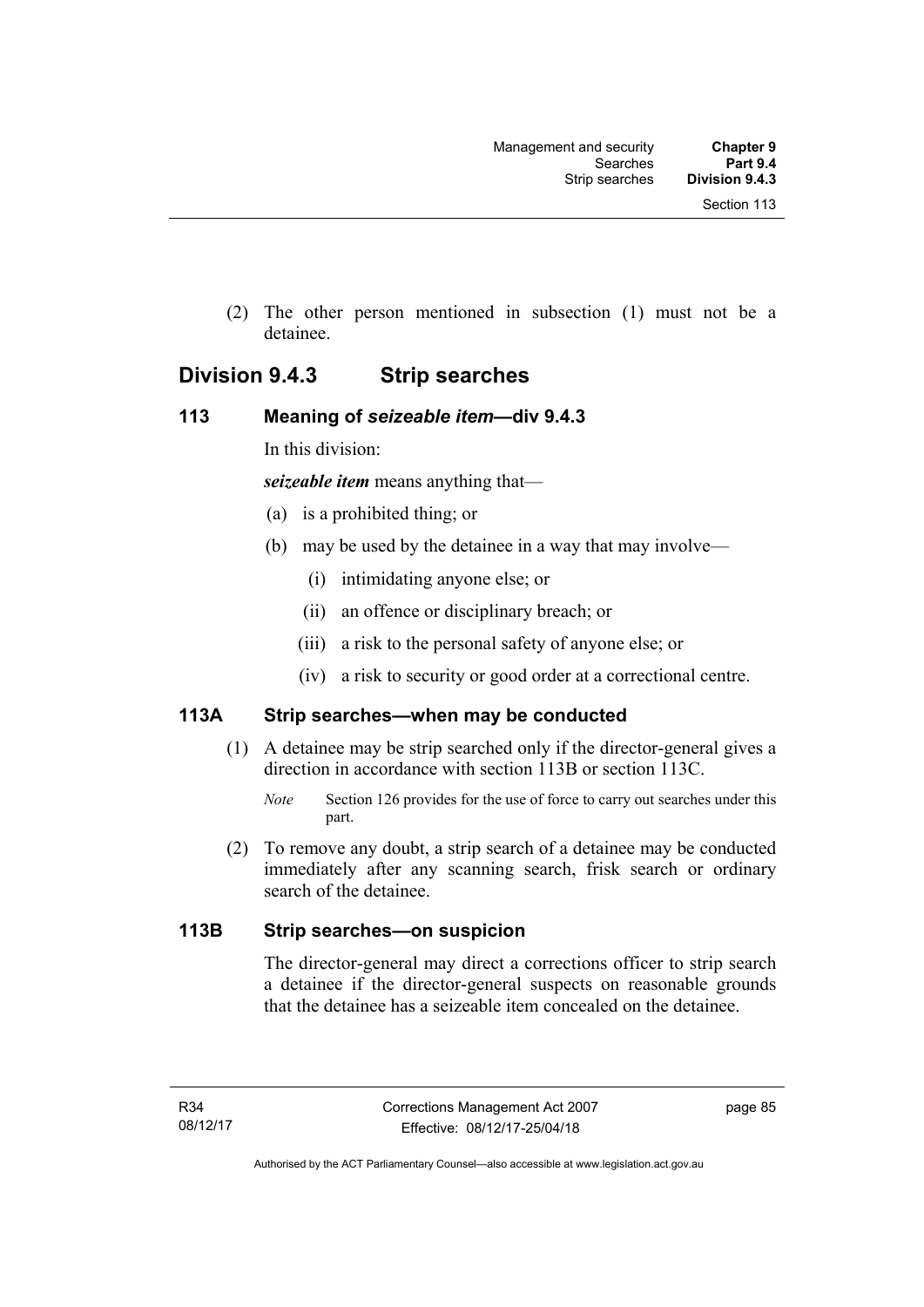(2) The other person mentioned in subsection (1) must not be a detainee.

# **Division 9.4.3 Strip searches**

# **113 Meaning of** *seizeable item***—div 9.4.3**

In this division:

*seizeable item* means anything that—

- (a) is a prohibited thing; or
- (b) may be used by the detainee in a way that may involve—
	- (i) intimidating anyone else; or
	- (ii) an offence or disciplinary breach; or
	- (iii) a risk to the personal safety of anyone else; or
	- (iv) a risk to security or good order at a correctional centre.

# **113A Strip searches—when may be conducted**

- (1) A detainee may be strip searched only if the director-general gives a direction in accordance with section 113B or section 113C.
	- *Note* Section 126 provides for the use of force to carry out searches under this part.
- (2) To remove any doubt, a strip search of a detainee may be conducted immediately after any scanning search, frisk search or ordinary search of the detainee.

# **113B Strip searches—on suspicion**

The director-general may direct a corrections officer to strip search a detainee if the director-general suspects on reasonable grounds that the detainee has a seizeable item concealed on the detainee.

page 85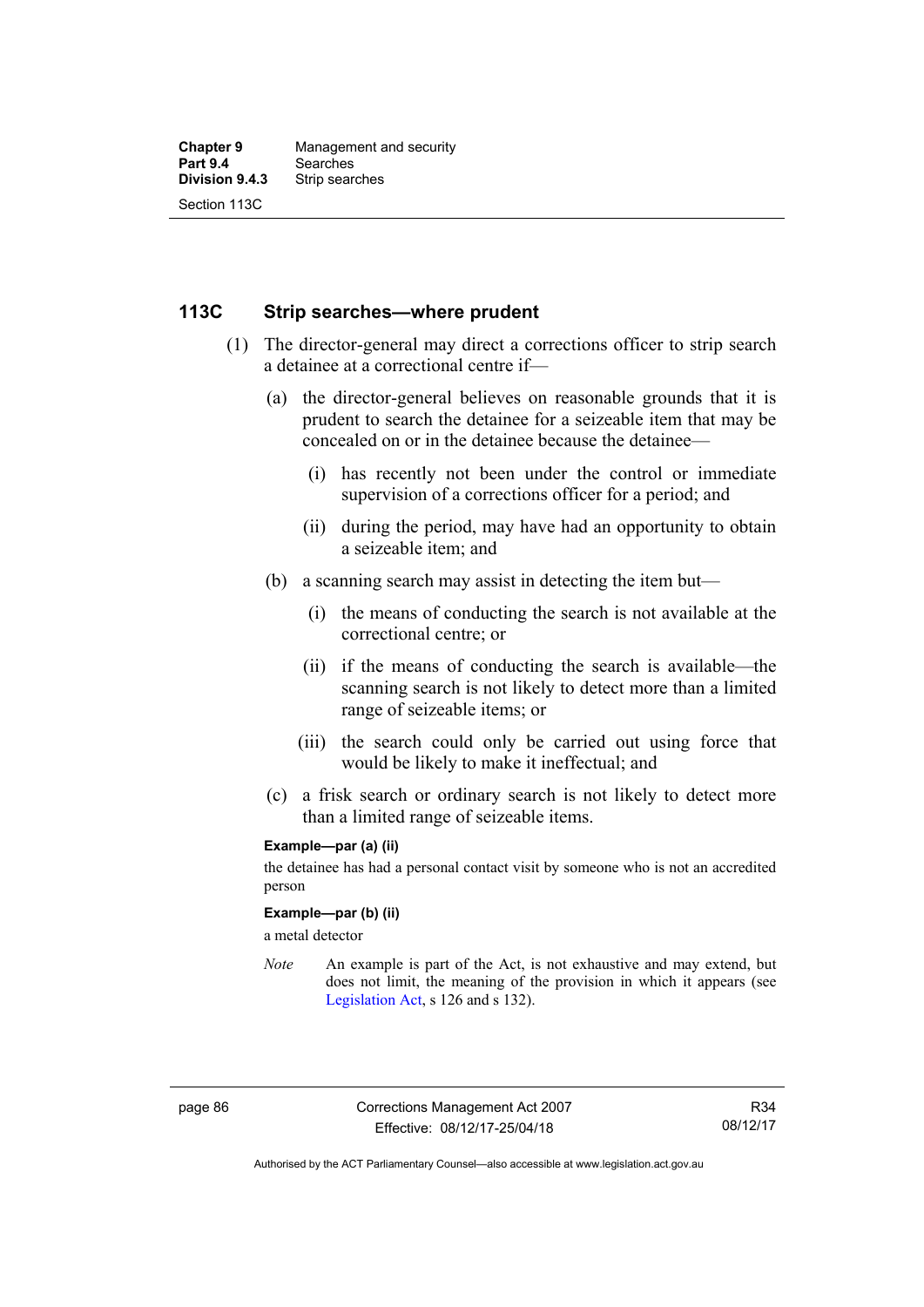# **113C Strip searches—where prudent**

- (1) The director-general may direct a corrections officer to strip search a detainee at a correctional centre if—
	- (a) the director-general believes on reasonable grounds that it is prudent to search the detainee for a seizeable item that may be concealed on or in the detainee because the detainee—
		- (i) has recently not been under the control or immediate supervision of a corrections officer for a period; and
		- (ii) during the period, may have had an opportunity to obtain a seizeable item; and
	- (b) a scanning search may assist in detecting the item but—
		- (i) the means of conducting the search is not available at the correctional centre; or
		- (ii) if the means of conducting the search is available—the scanning search is not likely to detect more than a limited range of seizeable items; or
		- (iii) the search could only be carried out using force that would be likely to make it ineffectual; and
	- (c) a frisk search or ordinary search is not likely to detect more than a limited range of seizeable items.

## **Example—par (a) (ii)**

the detainee has had a personal contact visit by someone who is not an accredited person

#### **Example—par (b) (ii)**

a metal detector

*Note* An example is part of the Act, is not exhaustive and may extend, but does not limit, the meaning of the provision in which it appears (see [Legislation Act,](http://www.legislation.act.gov.au/a/2001-14) s 126 and s 132).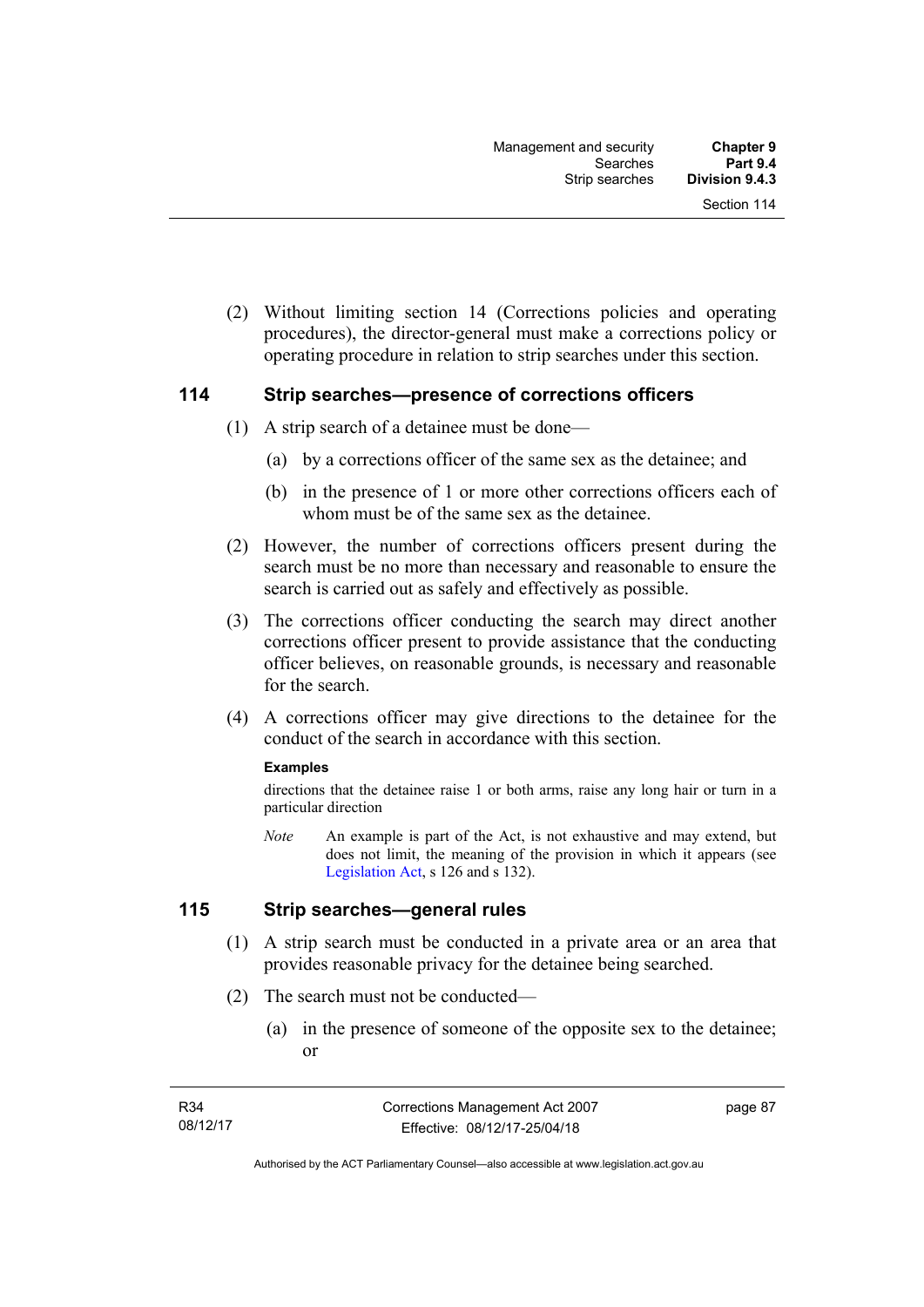(2) Without limiting section 14 (Corrections policies and operating procedures), the director-general must make a corrections policy or operating procedure in relation to strip searches under this section.

## **114 Strip searches—presence of corrections officers**

- (1) A strip search of a detainee must be done—
	- (a) by a corrections officer of the same sex as the detainee; and
	- (b) in the presence of 1 or more other corrections officers each of whom must be of the same sex as the detainee.
- (2) However, the number of corrections officers present during the search must be no more than necessary and reasonable to ensure the search is carried out as safely and effectively as possible.
- (3) The corrections officer conducting the search may direct another corrections officer present to provide assistance that the conducting officer believes, on reasonable grounds, is necessary and reasonable for the search.
- (4) A corrections officer may give directions to the detainee for the conduct of the search in accordance with this section.

#### **Examples**

directions that the detainee raise 1 or both arms, raise any long hair or turn in a particular direction

*Note* An example is part of the Act, is not exhaustive and may extend, but does not limit, the meaning of the provision in which it appears (see [Legislation Act,](http://www.legislation.act.gov.au/a/2001-14) s 126 and s 132).

# **115 Strip searches—general rules**

- (1) A strip search must be conducted in a private area or an area that provides reasonable privacy for the detainee being searched.
- (2) The search must not be conducted—
	- (a) in the presence of someone of the opposite sex to the detainee; or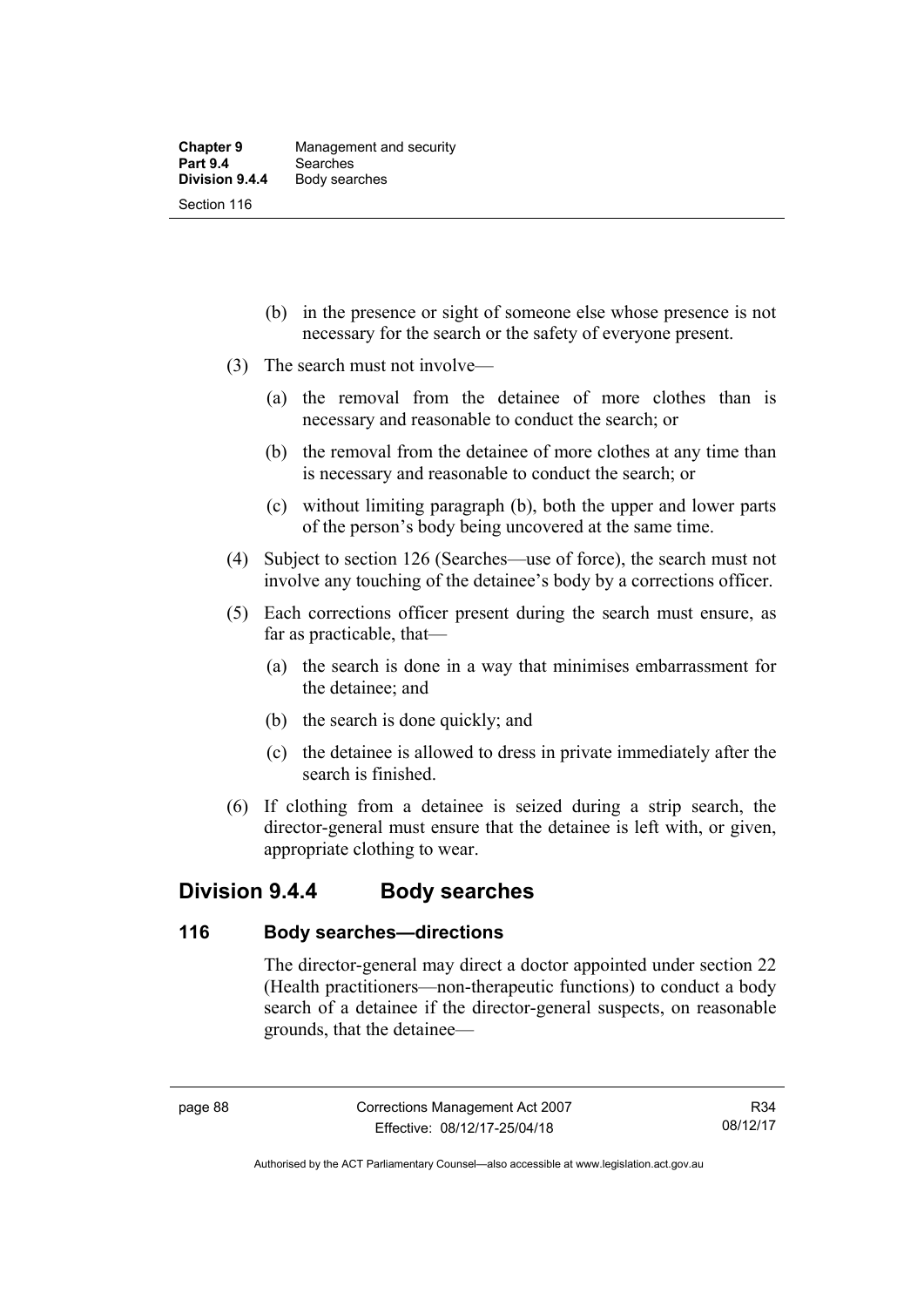- (b) in the presence or sight of someone else whose presence is not necessary for the search or the safety of everyone present.
- (3) The search must not involve—
	- (a) the removal from the detainee of more clothes than is necessary and reasonable to conduct the search; or
	- (b) the removal from the detainee of more clothes at any time than is necessary and reasonable to conduct the search; or
	- (c) without limiting paragraph (b), both the upper and lower parts of the person's body being uncovered at the same time.
- (4) Subject to section 126 (Searches—use of force), the search must not involve any touching of the detainee's body by a corrections officer.
- (5) Each corrections officer present during the search must ensure, as far as practicable, that—
	- (a) the search is done in a way that minimises embarrassment for the detainee; and
	- (b) the search is done quickly; and
	- (c) the detainee is allowed to dress in private immediately after the search is finished.
- (6) If clothing from a detainee is seized during a strip search, the director-general must ensure that the detainee is left with, or given, appropriate clothing to wear.

# **Division 9.4.4 Body searches**

# **116 Body searches—directions**

The director-general may direct a doctor appointed under section 22 (Health practitioners—non-therapeutic functions) to conduct a body search of a detainee if the director-general suspects, on reasonable grounds, that the detainee—

Authorised by the ACT Parliamentary Counsel—also accessible at www.legislation.act.gov.au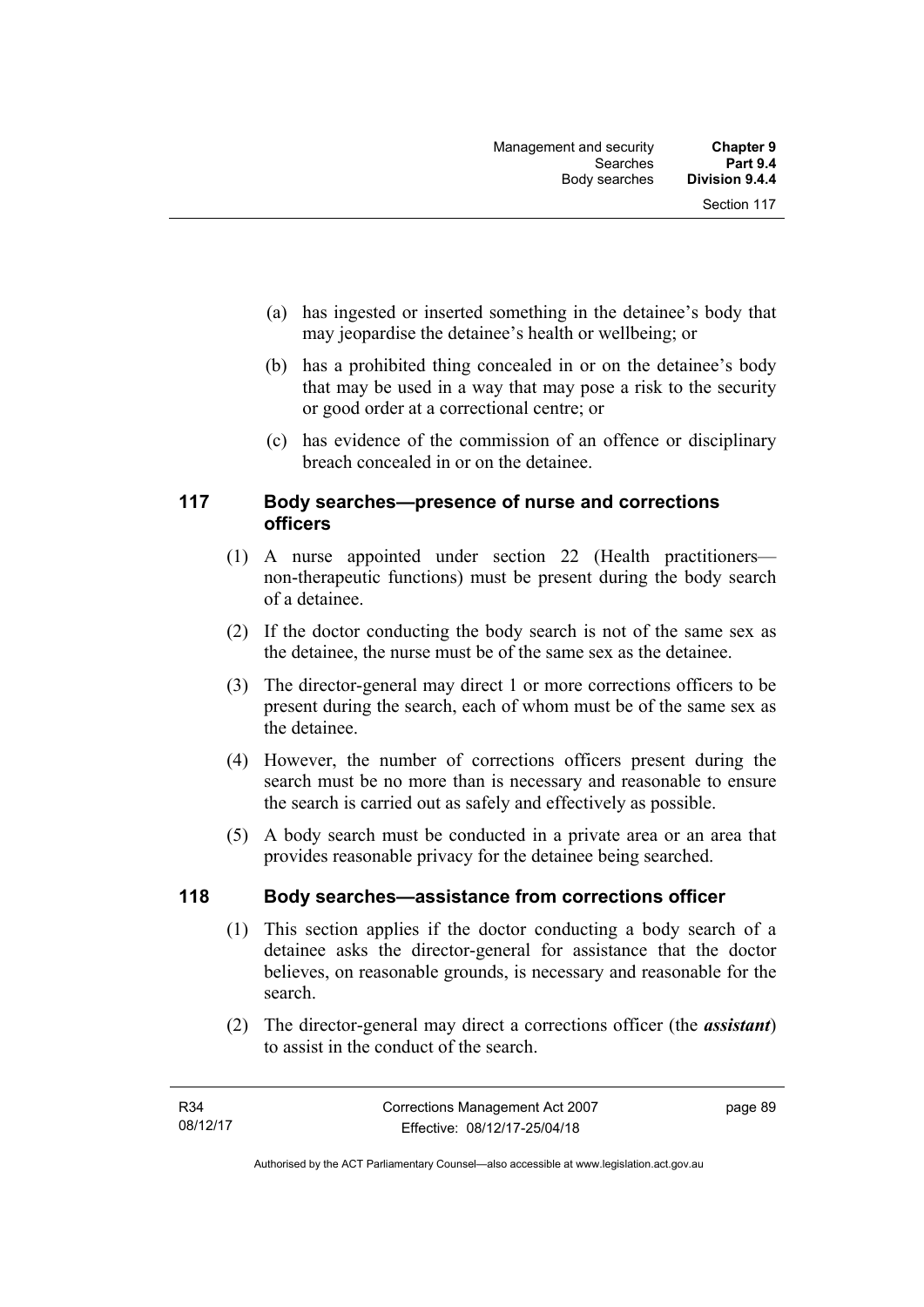- (a) has ingested or inserted something in the detainee's body that may jeopardise the detainee's health or wellbeing; or
- (b) has a prohibited thing concealed in or on the detainee's body that may be used in a way that may pose a risk to the security or good order at a correctional centre; or
- (c) has evidence of the commission of an offence or disciplinary breach concealed in or on the detainee.

# **117 Body searches—presence of nurse and corrections officers**

- (1) A nurse appointed under section 22 (Health practitioners non-therapeutic functions) must be present during the body search of a detainee.
- (2) If the doctor conducting the body search is not of the same sex as the detainee, the nurse must be of the same sex as the detainee.
- (3) The director-general may direct 1 or more corrections officers to be present during the search, each of whom must be of the same sex as the detainee.
- (4) However, the number of corrections officers present during the search must be no more than is necessary and reasonable to ensure the search is carried out as safely and effectively as possible.
- (5) A body search must be conducted in a private area or an area that provides reasonable privacy for the detainee being searched.

# **118 Body searches—assistance from corrections officer**

- (1) This section applies if the doctor conducting a body search of a detainee asks the director-general for assistance that the doctor believes, on reasonable grounds, is necessary and reasonable for the search.
- (2) The director-general may direct a corrections officer (the *assistant*) to assist in the conduct of the search.

page 89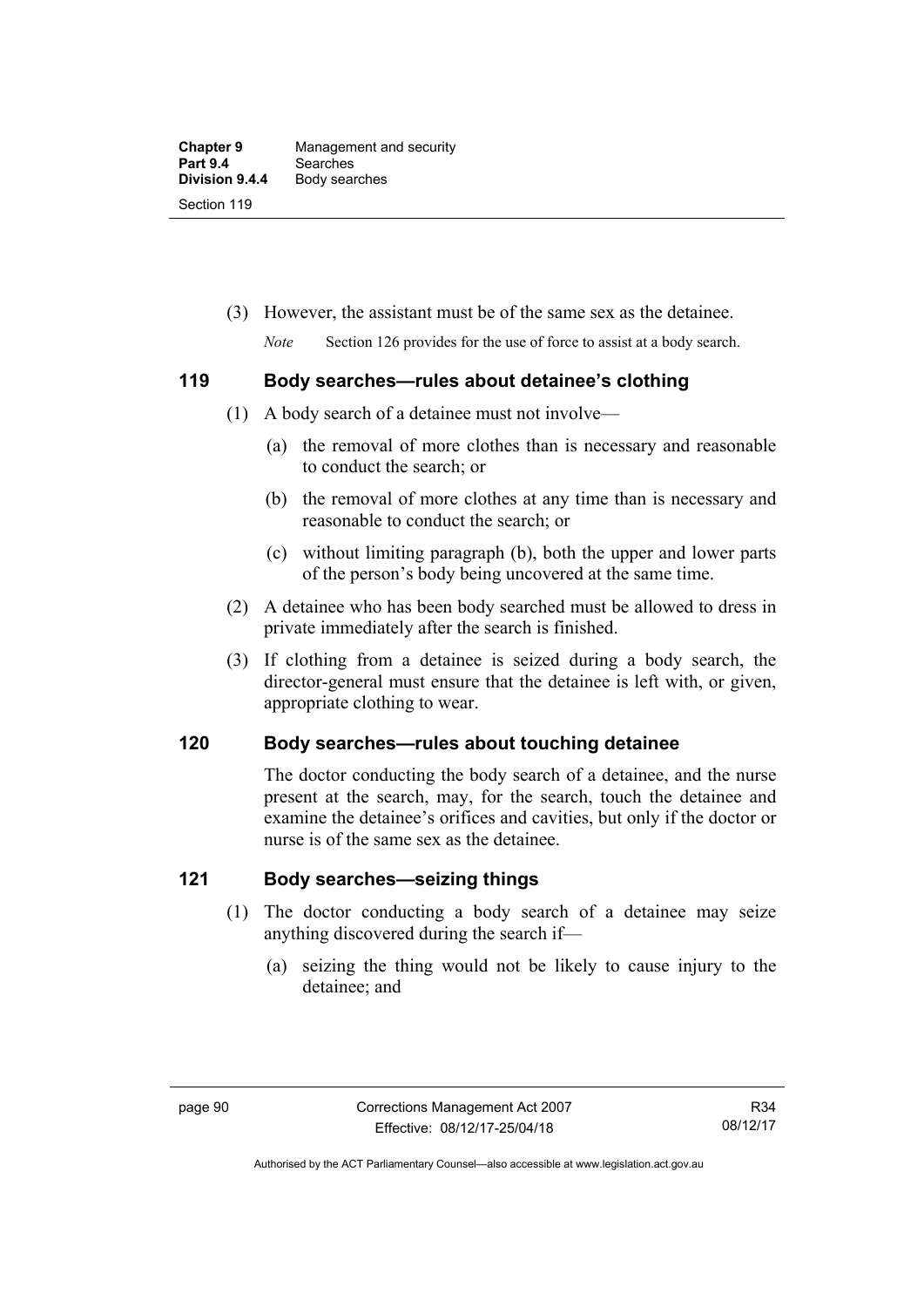(3) However, the assistant must be of the same sex as the detainee.

*Note* Section 126 provides for the use of force to assist at a body search.

# **119 Body searches—rules about detainee's clothing**

- (1) A body search of a detainee must not involve—
	- (a) the removal of more clothes than is necessary and reasonable to conduct the search; or
	- (b) the removal of more clothes at any time than is necessary and reasonable to conduct the search; or
	- (c) without limiting paragraph (b), both the upper and lower parts of the person's body being uncovered at the same time.
- (2) A detainee who has been body searched must be allowed to dress in private immediately after the search is finished.
- (3) If clothing from a detainee is seized during a body search, the director-general must ensure that the detainee is left with, or given, appropriate clothing to wear.

# **120 Body searches—rules about touching detainee**

The doctor conducting the body search of a detainee, and the nurse present at the search, may, for the search, touch the detainee and examine the detainee's orifices and cavities, but only if the doctor or nurse is of the same sex as the detainee.

# **121 Body searches—seizing things**

- (1) The doctor conducting a body search of a detainee may seize anything discovered during the search if—
	- (a) seizing the thing would not be likely to cause injury to the detainee; and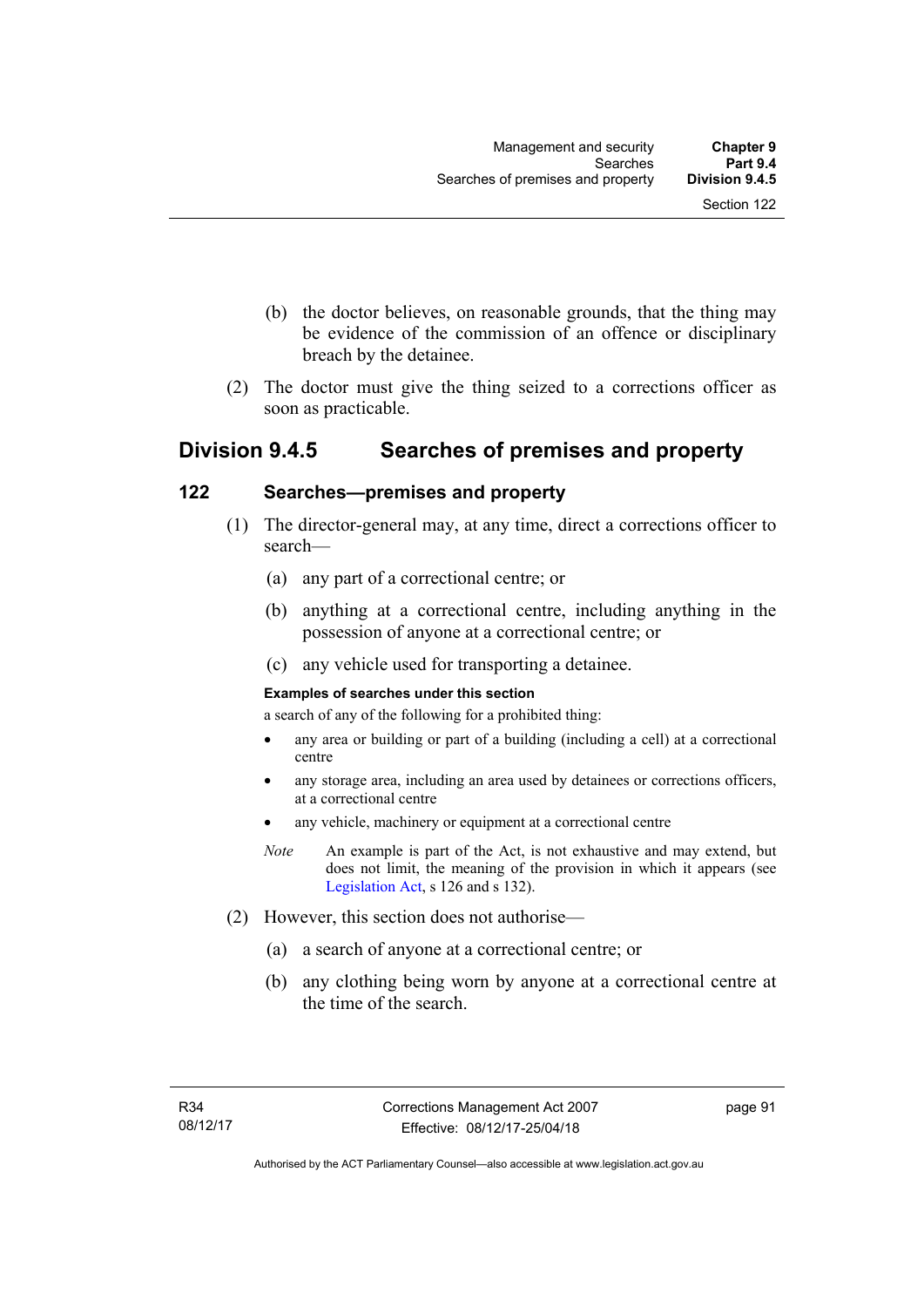- (b) the doctor believes, on reasonable grounds, that the thing may be evidence of the commission of an offence or disciplinary breach by the detainee.
- (2) The doctor must give the thing seized to a corrections officer as soon as practicable.

# **Division 9.4.5 Searches of premises and property**

# **122 Searches—premises and property**

- (1) The director-general may, at any time, direct a corrections officer to search—
	- (a) any part of a correctional centre; or
	- (b) anything at a correctional centre, including anything in the possession of anyone at a correctional centre; or
	- (c) any vehicle used for transporting a detainee.

### **Examples of searches under this section**

a search of any of the following for a prohibited thing:

- any area or building or part of a building (including a cell) at a correctional centre
- any storage area, including an area used by detainees or corrections officers, at a correctional centre
- any vehicle, machinery or equipment at a correctional centre
- *Note* An example is part of the Act, is not exhaustive and may extend, but does not limit, the meaning of the provision in which it appears (see [Legislation Act,](http://www.legislation.act.gov.au/a/2001-14) s 126 and s 132).
- (2) However, this section does not authorise—
	- (a) a search of anyone at a correctional centre; or
	- (b) any clothing being worn by anyone at a correctional centre at the time of the search.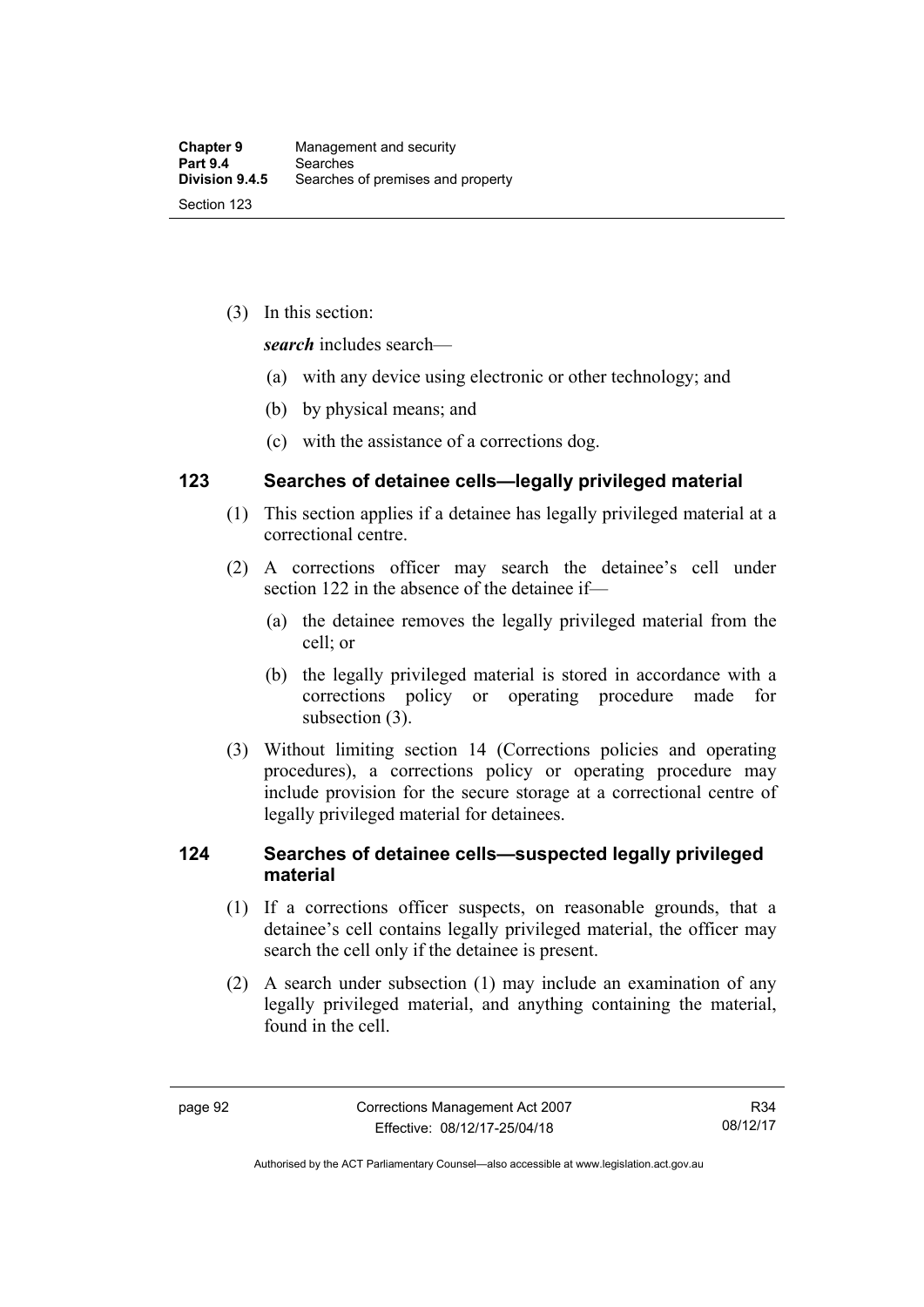(3) In this section:

*search* includes search—

- (a) with any device using electronic or other technology; and
- (b) by physical means; and
- (c) with the assistance of a corrections dog.

# **123 Searches of detainee cells—legally privileged material**

- (1) This section applies if a detainee has legally privileged material at a correctional centre.
- (2) A corrections officer may search the detainee's cell under section 122 in the absence of the detainee if—
	- (a) the detainee removes the legally privileged material from the cell; or
	- (b) the legally privileged material is stored in accordance with a corrections policy or operating procedure made for subsection (3).
- (3) Without limiting section 14 (Corrections policies and operating procedures), a corrections policy or operating procedure may include provision for the secure storage at a correctional centre of legally privileged material for detainees.

# **124 Searches of detainee cells—suspected legally privileged material**

- (1) If a corrections officer suspects, on reasonable grounds, that a detainee's cell contains legally privileged material, the officer may search the cell only if the detainee is present.
- (2) A search under subsection (1) may include an examination of any legally privileged material, and anything containing the material, found in the cell.

Authorised by the ACT Parliamentary Counsel—also accessible at www.legislation.act.gov.au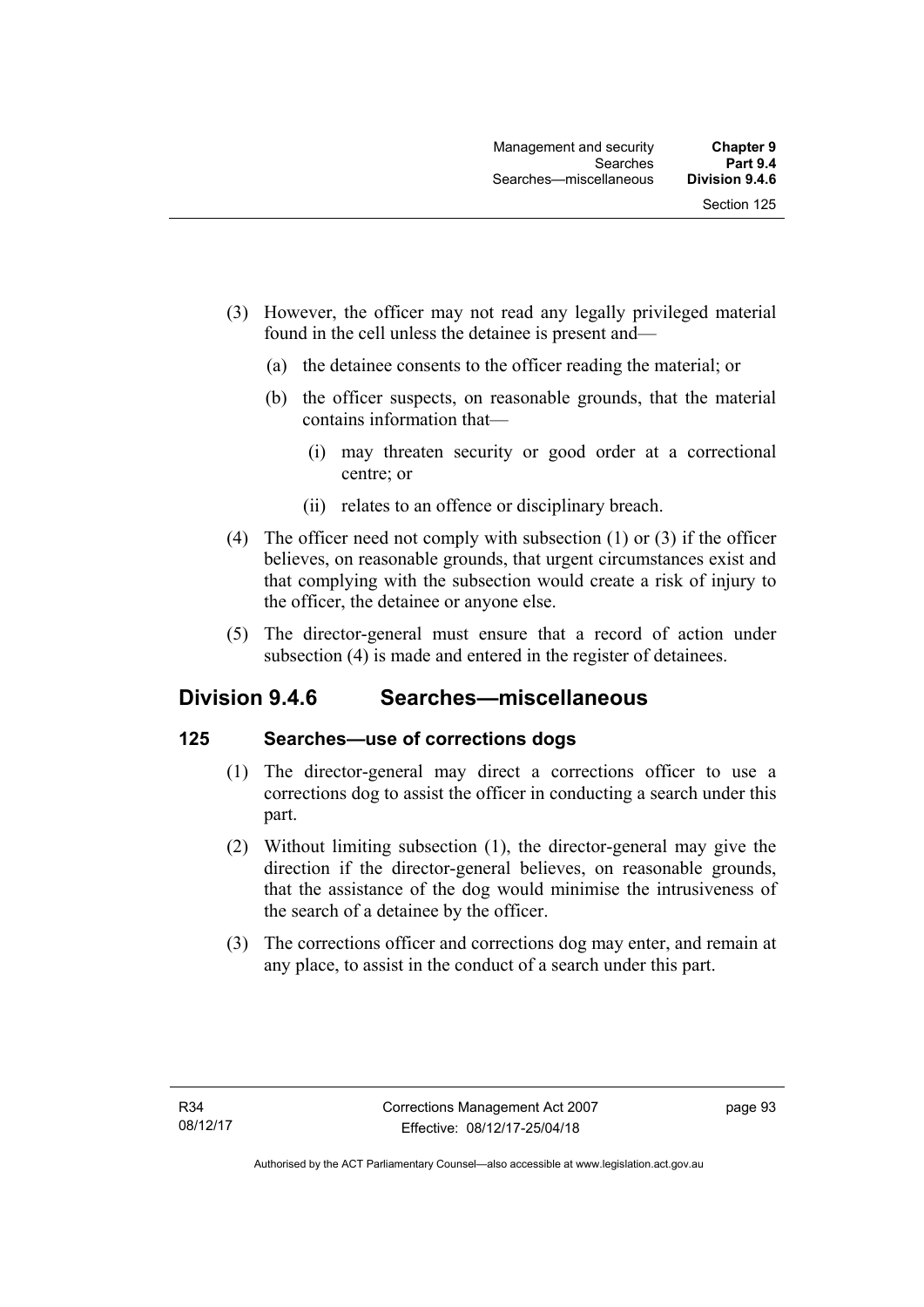- (3) However, the officer may not read any legally privileged material found in the cell unless the detainee is present and—
	- (a) the detainee consents to the officer reading the material; or
	- (b) the officer suspects, on reasonable grounds, that the material contains information that—
		- (i) may threaten security or good order at a correctional centre; or
		- (ii) relates to an offence or disciplinary breach.
- (4) The officer need not comply with subsection (1) or (3) if the officer believes, on reasonable grounds, that urgent circumstances exist and that complying with the subsection would create a risk of injury to the officer, the detainee or anyone else.
- (5) The director-general must ensure that a record of action under subsection (4) is made and entered in the register of detainees.

# **Division 9.4.6 Searches—miscellaneous**

# **125 Searches—use of corrections dogs**

- (1) The director-general may direct a corrections officer to use a corrections dog to assist the officer in conducting a search under this part.
- (2) Without limiting subsection (1), the director-general may give the direction if the director-general believes, on reasonable grounds, that the assistance of the dog would minimise the intrusiveness of the search of a detainee by the officer.
- (3) The corrections officer and corrections dog may enter, and remain at any place, to assist in the conduct of a search under this part.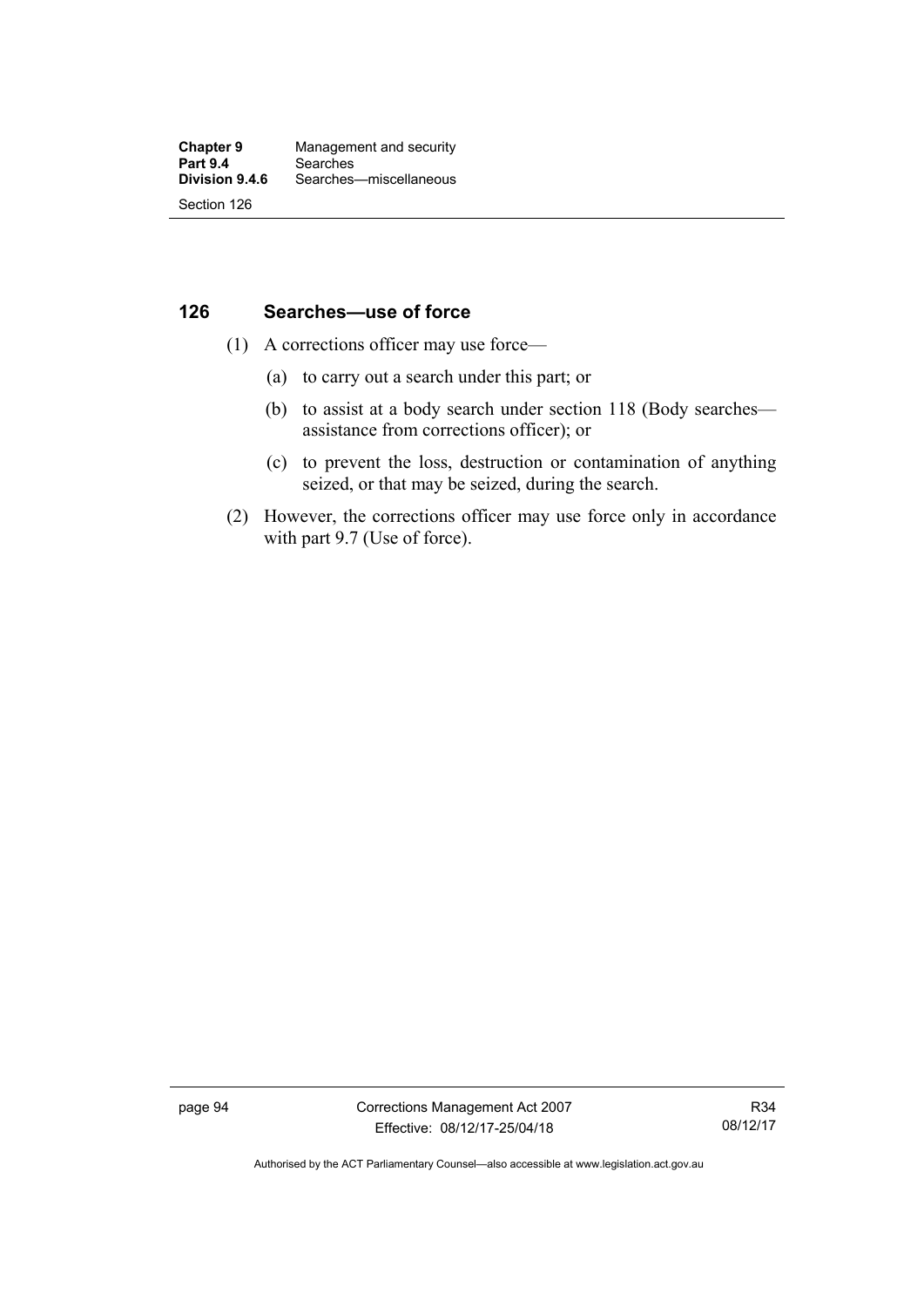# **126 Searches—use of force**

- (1) A corrections officer may use force—
	- (a) to carry out a search under this part; or
	- (b) to assist at a body search under section 118 (Body searches assistance from corrections officer); or
	- (c) to prevent the loss, destruction or contamination of anything seized, or that may be seized, during the search.
- (2) However, the corrections officer may use force only in accordance with part 9.7 (Use of force).

page 94 Corrections Management Act 2007 Effective: 08/12/17-25/04/18

R34 08/12/17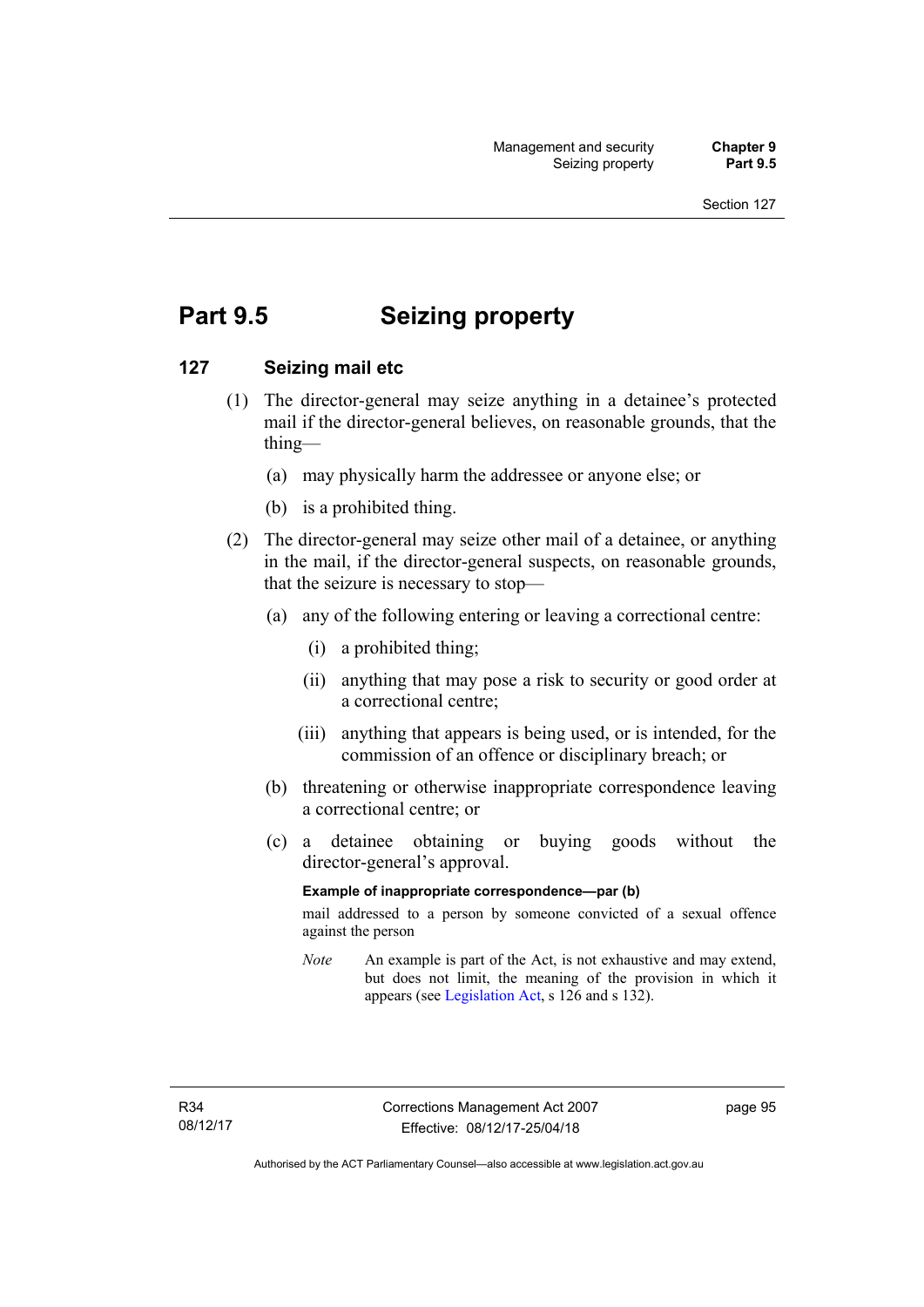# **Part 9.5 Seizing property**

# **127 Seizing mail etc**

- (1) The director-general may seize anything in a detainee's protected mail if the director-general believes, on reasonable grounds, that the thing—
	- (a) may physically harm the addressee or anyone else; or
	- (b) is a prohibited thing.
- (2) The director-general may seize other mail of a detainee, or anything in the mail, if the director-general suspects, on reasonable grounds, that the seizure is necessary to stop—
	- (a) any of the following entering or leaving a correctional centre:
		- (i) a prohibited thing;
		- (ii) anything that may pose a risk to security or good order at a correctional centre;
		- (iii) anything that appears is being used, or is intended, for the commission of an offence or disciplinary breach; or
	- (b) threatening or otherwise inappropriate correspondence leaving a correctional centre; or
	- (c) a detainee obtaining or buying goods without the director-general's approval.

#### **Example of inappropriate correspondence—par (b)**

mail addressed to a person by someone convicted of a sexual offence against the person

*Note* An example is part of the Act, is not exhaustive and may extend, but does not limit, the meaning of the provision in which it appears (see [Legislation Act,](http://www.legislation.act.gov.au/a/2001-14) s 126 and s 132).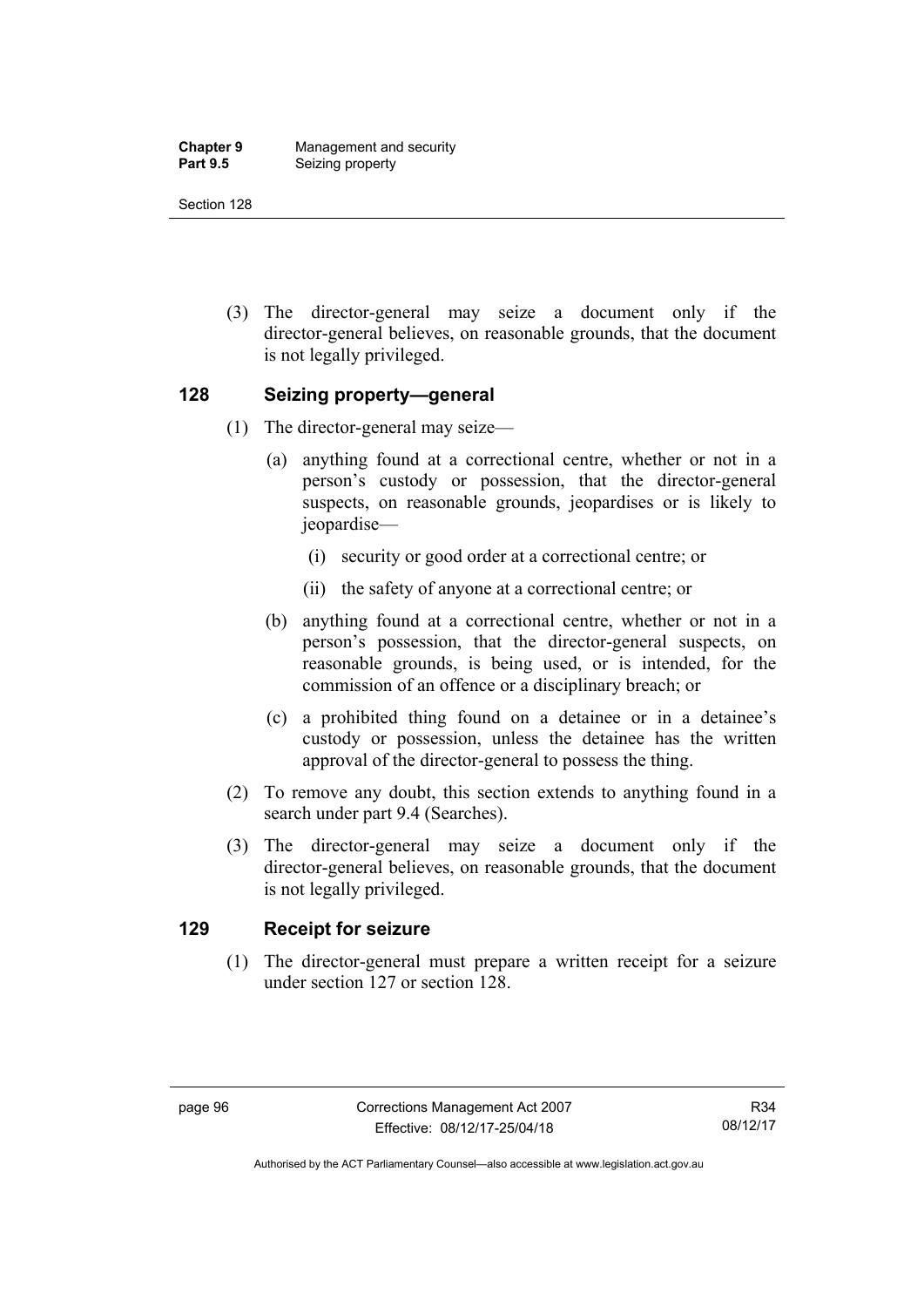| <b>Chapter 9</b> | Management and security |
|------------------|-------------------------|
| <b>Part 9.5</b>  | Seizing property        |

 (3) The director-general may seize a document only if the director-general believes, on reasonable grounds, that the document is not legally privileged.

## **128 Seizing property—general**

- (1) The director-general may seize—
	- (a) anything found at a correctional centre, whether or not in a person's custody or possession, that the director-general suspects, on reasonable grounds, jeopardises or is likely to jeopardise—
		- (i) security or good order at a correctional centre; or
		- (ii) the safety of anyone at a correctional centre; or
	- (b) anything found at a correctional centre, whether or not in a person's possession, that the director-general suspects, on reasonable grounds, is being used, or is intended, for the commission of an offence or a disciplinary breach; or
	- (c) a prohibited thing found on a detainee or in a detainee's custody or possession, unless the detainee has the written approval of the director-general to possess the thing.
- (2) To remove any doubt, this section extends to anything found in a search under part 9.4 (Searches).
- (3) The director-general may seize a document only if the director-general believes, on reasonable grounds, that the document is not legally privileged.

## **129 Receipt for seizure**

 (1) The director-general must prepare a written receipt for a seizure under section 127 or section 128.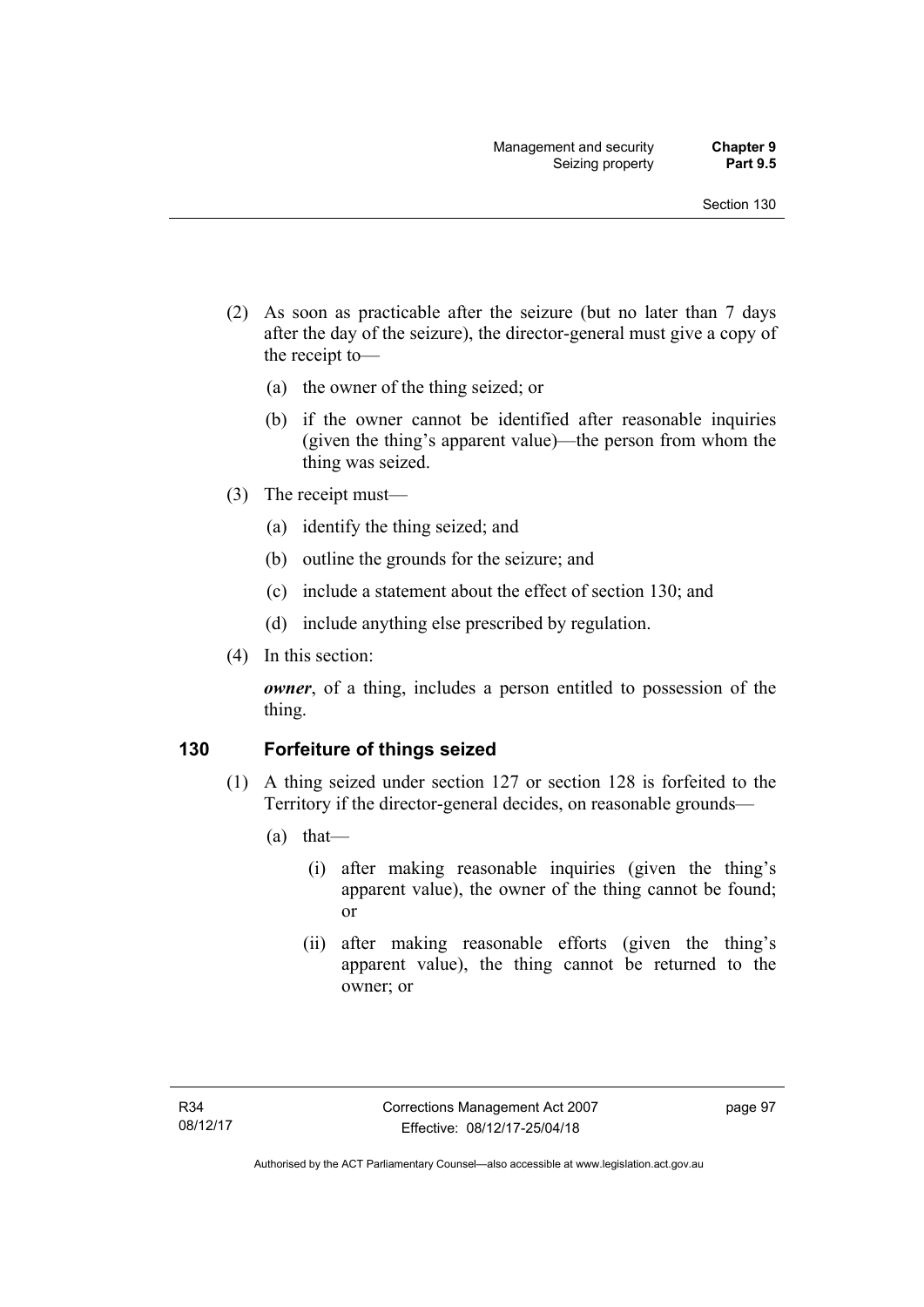- (2) As soon as practicable after the seizure (but no later than 7 days after the day of the seizure), the director-general must give a copy of the receipt to—
	- (a) the owner of the thing seized; or
	- (b) if the owner cannot be identified after reasonable inquiries (given the thing's apparent value)—the person from whom the thing was seized.
- (3) The receipt must—
	- (a) identify the thing seized; and
	- (b) outline the grounds for the seizure; and
	- (c) include a statement about the effect of section 130; and
	- (d) include anything else prescribed by regulation.
- (4) In this section:

*owner*, of a thing, includes a person entitled to possession of the thing.

## **130 Forfeiture of things seized**

- (1) A thing seized under section 127 or section 128 is forfeited to the Territory if the director-general decides, on reasonable grounds—
	- (a) that—
		- (i) after making reasonable inquiries (given the thing's apparent value), the owner of the thing cannot be found; or
		- (ii) after making reasonable efforts (given the thing's apparent value), the thing cannot be returned to the owner; or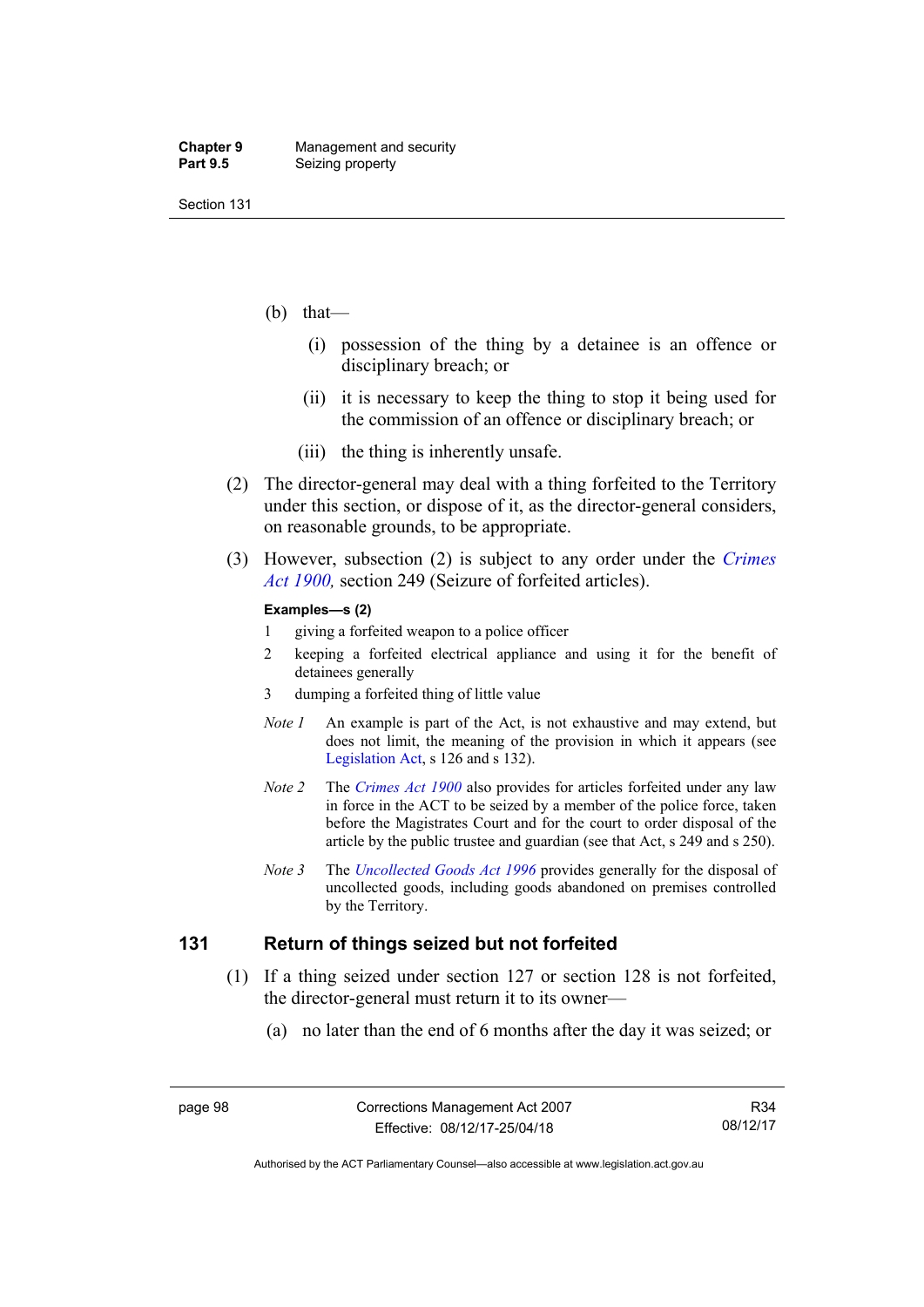- (b) that—
	- (i) possession of the thing by a detainee is an offence or disciplinary breach; or
	- (ii) it is necessary to keep the thing to stop it being used for the commission of an offence or disciplinary breach; or
	- (iii) the thing is inherently unsafe.
- (2) The director-general may deal with a thing forfeited to the Territory under this section, or dispose of it, as the director-general considers, on reasonable grounds, to be appropriate.
- (3) However, subsection (2) is subject to any order under the *[Crimes](http://www.legislation.act.gov.au/a/1900-40)  [Act 1900](http://www.legislation.act.gov.au/a/1900-40),* section 249 (Seizure of forfeited articles).

#### **Examples—s (2)**

- 1 giving a forfeited weapon to a police officer
- 2 keeping a forfeited electrical appliance and using it for the benefit of detainees generally
- 3 dumping a forfeited thing of little value
- *Note 1* An example is part of the Act, is not exhaustive and may extend, but does not limit, the meaning of the provision in which it appears (see [Legislation Act,](http://www.legislation.act.gov.au/a/2001-14) s 126 and s 132).
- *Note 2* The *[Crimes Act 1900](http://www.legislation.act.gov.au/a/1900-40)* also provides for articles forfeited under any law in force in the ACT to be seized by a member of the police force, taken before the Magistrates Court and for the court to order disposal of the article by the public trustee and guardian (see that Act, s 249 and s 250).
- *Note 3* The *[Uncollected Goods Act 1996](http://www.legislation.act.gov.au/a/1996-86)* provides generally for the disposal of uncollected goods, including goods abandoned on premises controlled by the Territory.

# **131 Return of things seized but not forfeited**

- (1) If a thing seized under section 127 or section 128 is not forfeited, the director-general must return it to its owner—
	- (a) no later than the end of 6 months after the day it was seized; or

Authorised by the ACT Parliamentary Counsel—also accessible at www.legislation.act.gov.au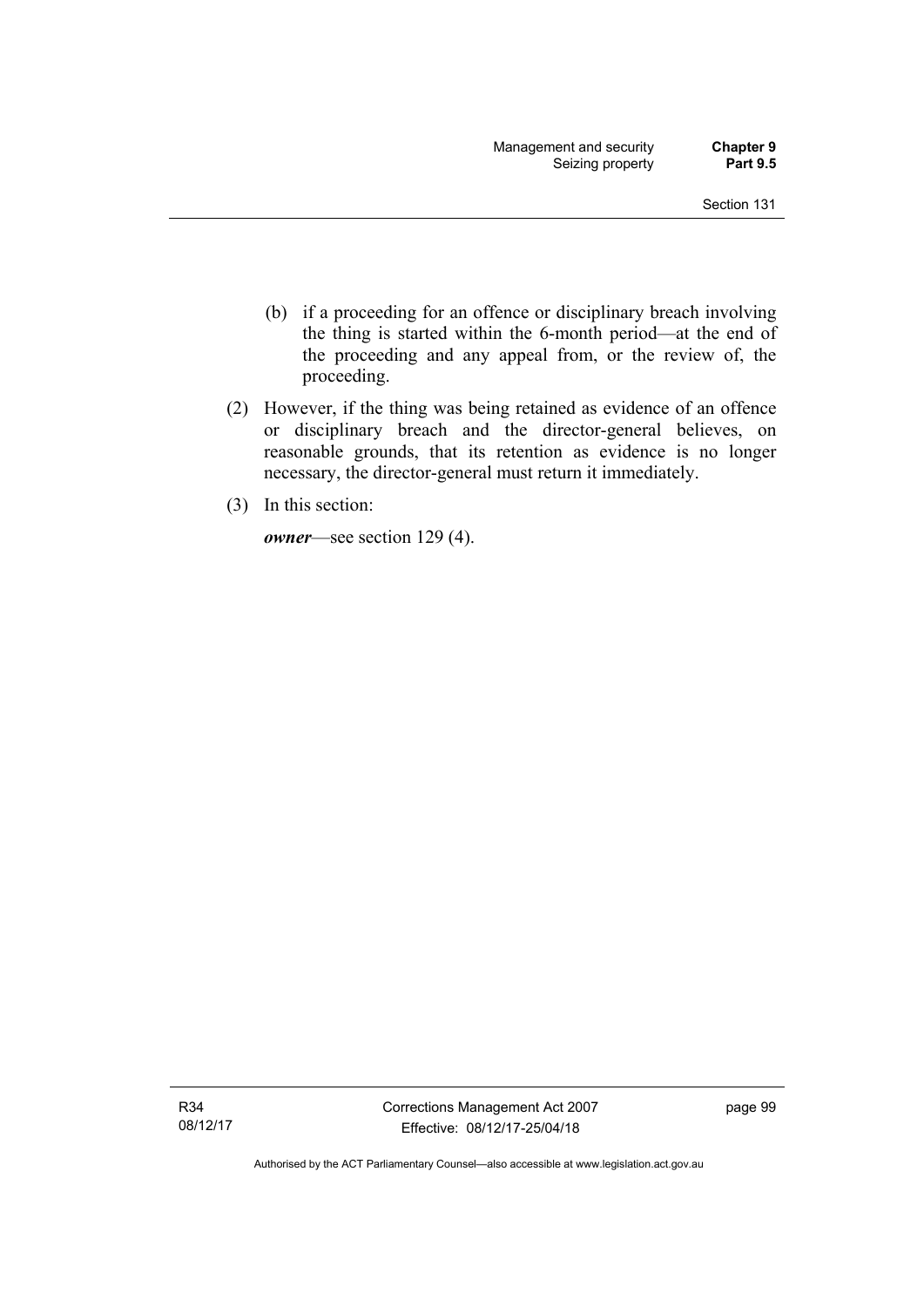- (b) if a proceeding for an offence or disciplinary breach involving the thing is started within the 6-month period—at the end of the proceeding and any appeal from, or the review of, the proceeding.
- (2) However, if the thing was being retained as evidence of an offence or disciplinary breach and the director-general believes, on reasonable grounds, that its retention as evidence is no longer necessary, the director-general must return it immediately.
- (3) In this section:

*owner*—see section 129 (4).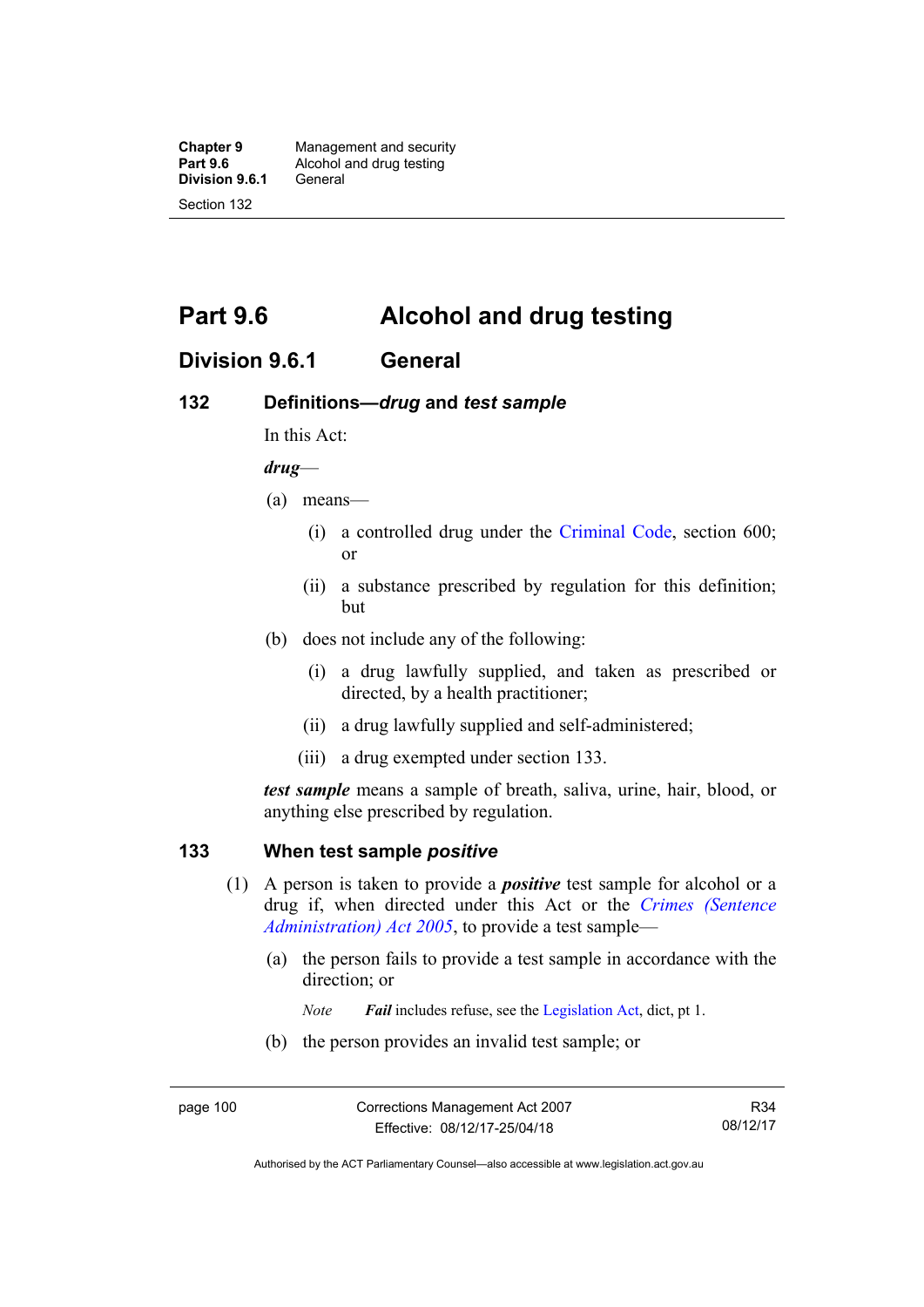**Chapter 9 Management and security<br><b>Part 9.6 Alcohol and drug testing** Alcohol and drug testing<br>General **Division 9.6.1** Section 132

**Part 9.6 Alcohol and drug testing** 

# **Division 9.6.1 General**

# **132 Definitions—***drug* **and** *test sample*

In this Act:

*drug*—

- (a) means—
	- (i) a controlled drug under the [Criminal Code](http://www.legislation.act.gov.au/a/2002-51), section 600; or
	- (ii) a substance prescribed by regulation for this definition; but
- (b) does not include any of the following:
	- (i) a drug lawfully supplied, and taken as prescribed or directed, by a health practitioner;
	- (ii) a drug lawfully supplied and self-administered;
	- (iii) a drug exempted under section 133.

*test sample* means a sample of breath, saliva, urine, hair, blood, or anything else prescribed by regulation.

## **133 When test sample** *positive*

- (1) A person is taken to provide a *positive* test sample for alcohol or a drug if, when directed under this Act or the *[Crimes \(Sentence](http://www.legislation.act.gov.au/a/2005-59)  [Administration\) Act 2005](http://www.legislation.act.gov.au/a/2005-59)*, to provide a test sample—
	- (a) the person fails to provide a test sample in accordance with the direction; or
		- *Note Fail* includes refuse, see the [Legislation Act,](http://www.legislation.act.gov.au/a/2001-14) dict, pt 1.
	- (b) the person provides an invalid test sample; or

Authorised by the ACT Parliamentary Counsel—also accessible at www.legislation.act.gov.au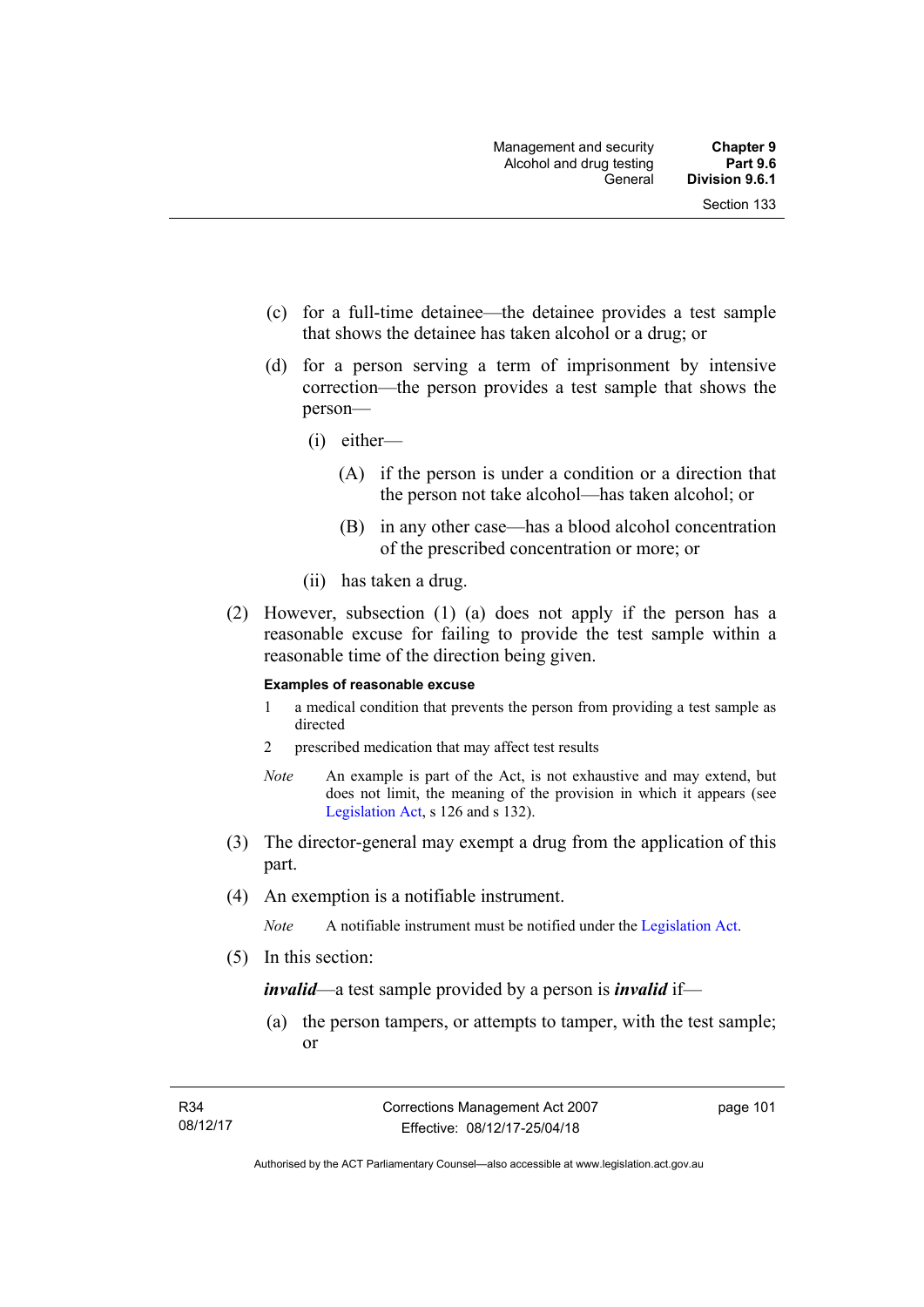- Section 133
- (c) for a full-time detainee—the detainee provides a test sample that shows the detainee has taken alcohol or a drug; or
- (d) for a person serving a term of imprisonment by intensive correction—the person provides a test sample that shows the person—
	- (i) either—
		- (A) if the person is under a condition or a direction that the person not take alcohol—has taken alcohol; or
		- (B) in any other case—has a blood alcohol concentration of the prescribed concentration or more; or
	- (ii) has taken a drug.
- (2) However, subsection (1) (a) does not apply if the person has a reasonable excuse for failing to provide the test sample within a reasonable time of the direction being given.

#### **Examples of reasonable excuse**

- 1 a medical condition that prevents the person from providing a test sample as directed
- 2 prescribed medication that may affect test results
- *Note* An example is part of the Act, is not exhaustive and may extend, but does not limit, the meaning of the provision in which it appears (see [Legislation Act,](http://www.legislation.act.gov.au/a/2001-14) s 126 and s 132).
- (3) The director-general may exempt a drug from the application of this part.
- (4) An exemption is a notifiable instrument.

*Note* A notifiable instrument must be notified under the [Legislation Act](http://www.legislation.act.gov.au/a/2001-14).

(5) In this section:

*invalid*—a test sample provided by a person is *invalid* if—

 (a) the person tampers, or attempts to tamper, with the test sample; or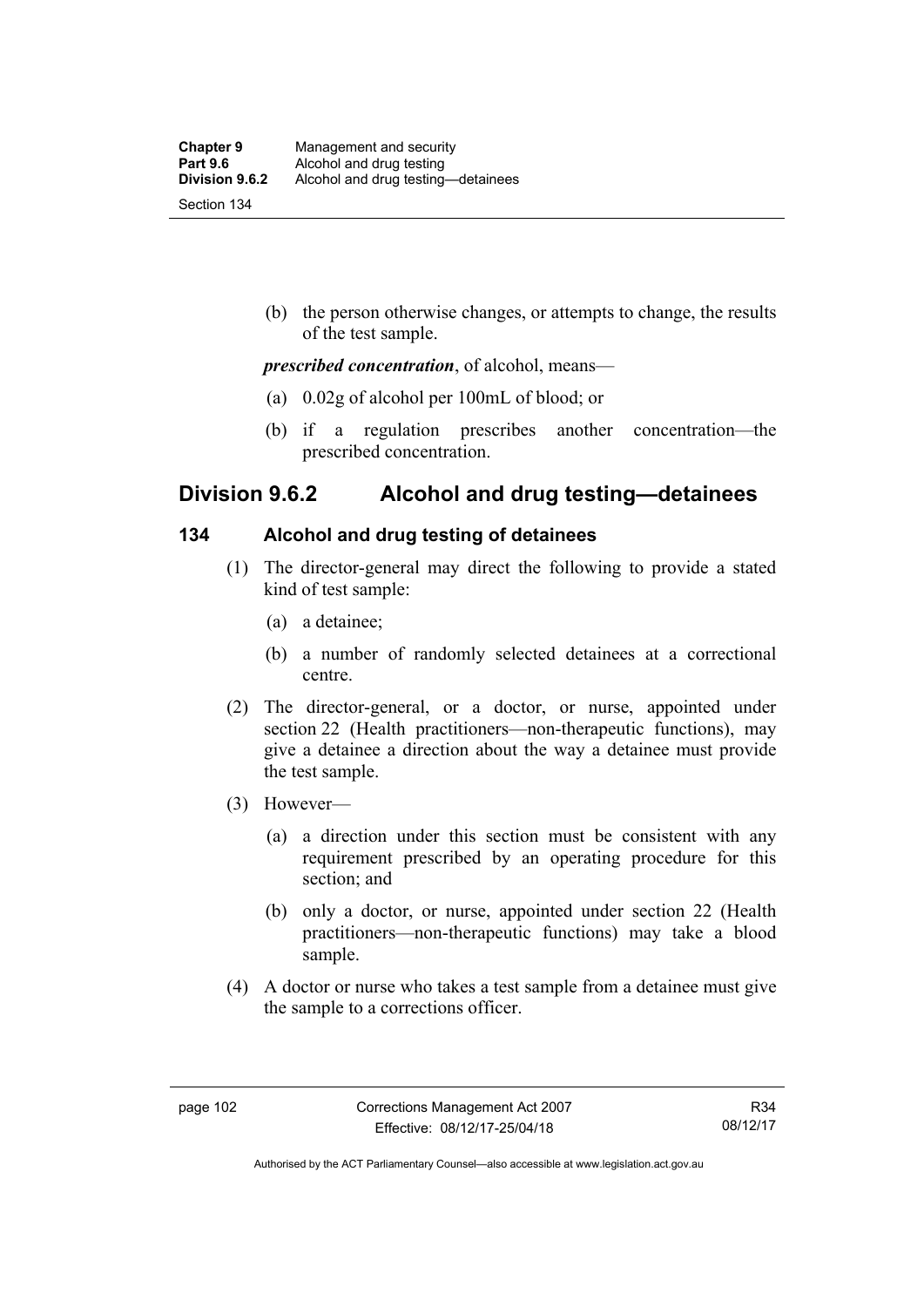(b) the person otherwise changes, or attempts to change, the results of the test sample.

*prescribed concentration*, of alcohol, means—

- (a) 0.02g of alcohol per 100mL of blood; or
- (b) if a regulation prescribes another concentration—the prescribed concentration.

# **Division 9.6.2 Alcohol and drug testing—detainees**

# **134 Alcohol and drug testing of detainees**

- (1) The director-general may direct the following to provide a stated kind of test sample:
	- (a) a detainee;
	- (b) a number of randomly selected detainees at a correctional centre.
- (2) The director-general, or a doctor, or nurse, appointed under section 22 (Health practitioners—non-therapeutic functions), may give a detainee a direction about the way a detainee must provide the test sample.
- (3) However—
	- (a) a direction under this section must be consistent with any requirement prescribed by an operating procedure for this section; and
	- (b) only a doctor, or nurse, appointed under section 22 (Health practitioners—non-therapeutic functions) may take a blood sample.
- (4) A doctor or nurse who takes a test sample from a detainee must give the sample to a corrections officer.

Authorised by the ACT Parliamentary Counsel—also accessible at www.legislation.act.gov.au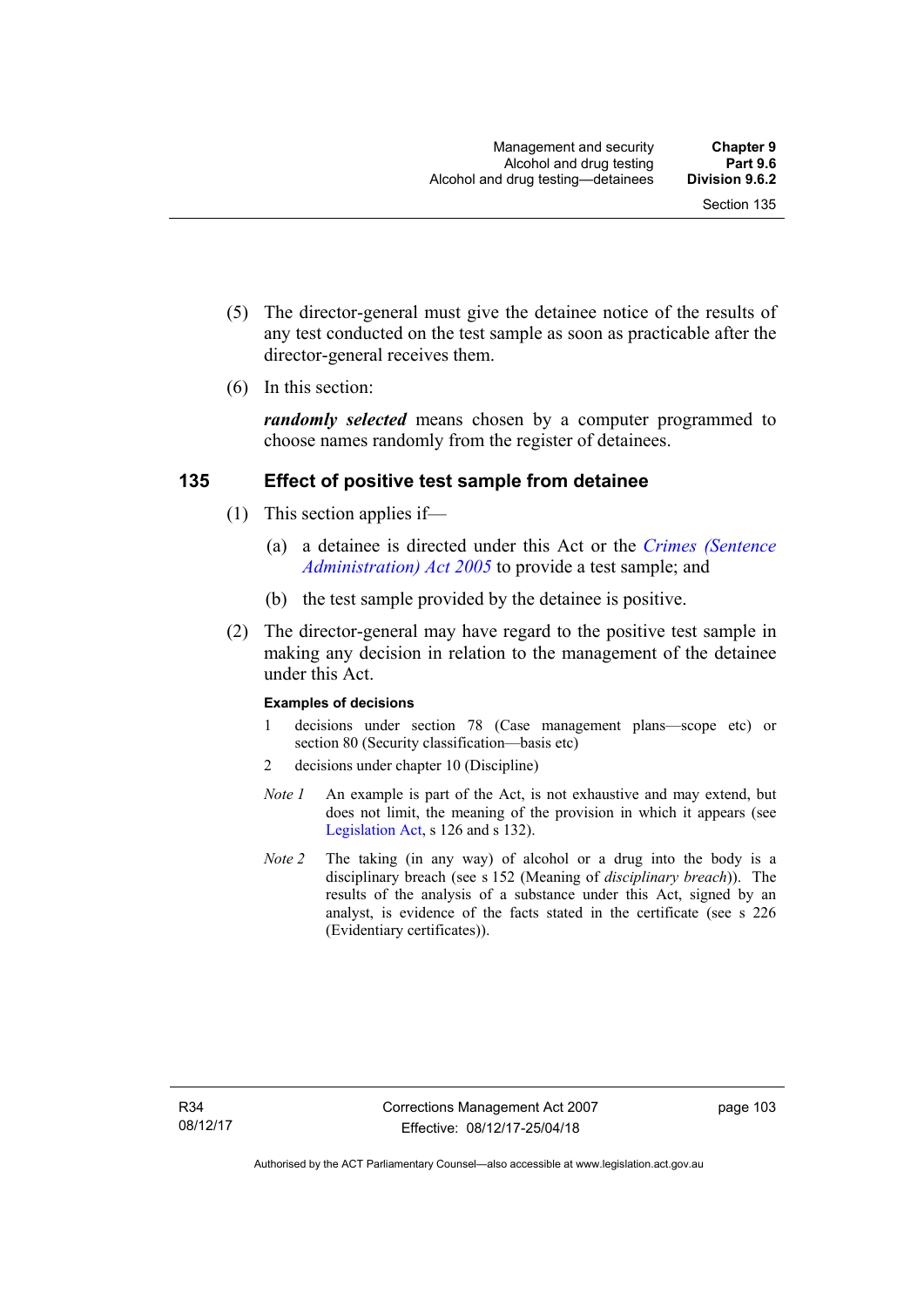- (5) The director-general must give the detainee notice of the results of any test conducted on the test sample as soon as practicable after the director-general receives them.
- (6) In this section:

*randomly selected* means chosen by a computer programmed to choose names randomly from the register of detainees.

## **135 Effect of positive test sample from detainee**

- (1) This section applies if—
	- (a) a detainee is directed under this Act or the *[Crimes \(Sentence](http://www.legislation.act.gov.au/a/2005-59)  [Administration\) Act 2005](http://www.legislation.act.gov.au/a/2005-59)* to provide a test sample; and
	- (b) the test sample provided by the detainee is positive.
- (2) The director-general may have regard to the positive test sample in making any decision in relation to the management of the detainee under this Act.

#### **Examples of decisions**

- 1 decisions under section 78 (Case management plans—scope etc) or section 80 (Security classification—basis etc)
- 2 decisions under chapter 10 (Discipline)
- *Note 1* An example is part of the Act, is not exhaustive and may extend, but does not limit, the meaning of the provision in which it appears (see [Legislation Act,](http://www.legislation.act.gov.au/a/2001-14) s 126 and s 132).
- *Note 2* The taking (in any way) of alcohol or a drug into the body is a disciplinary breach (see s 152 (Meaning of *disciplinary breach*)). The results of the analysis of a substance under this Act, signed by an analyst, is evidence of the facts stated in the certificate (see s 226 (Evidentiary certificates)).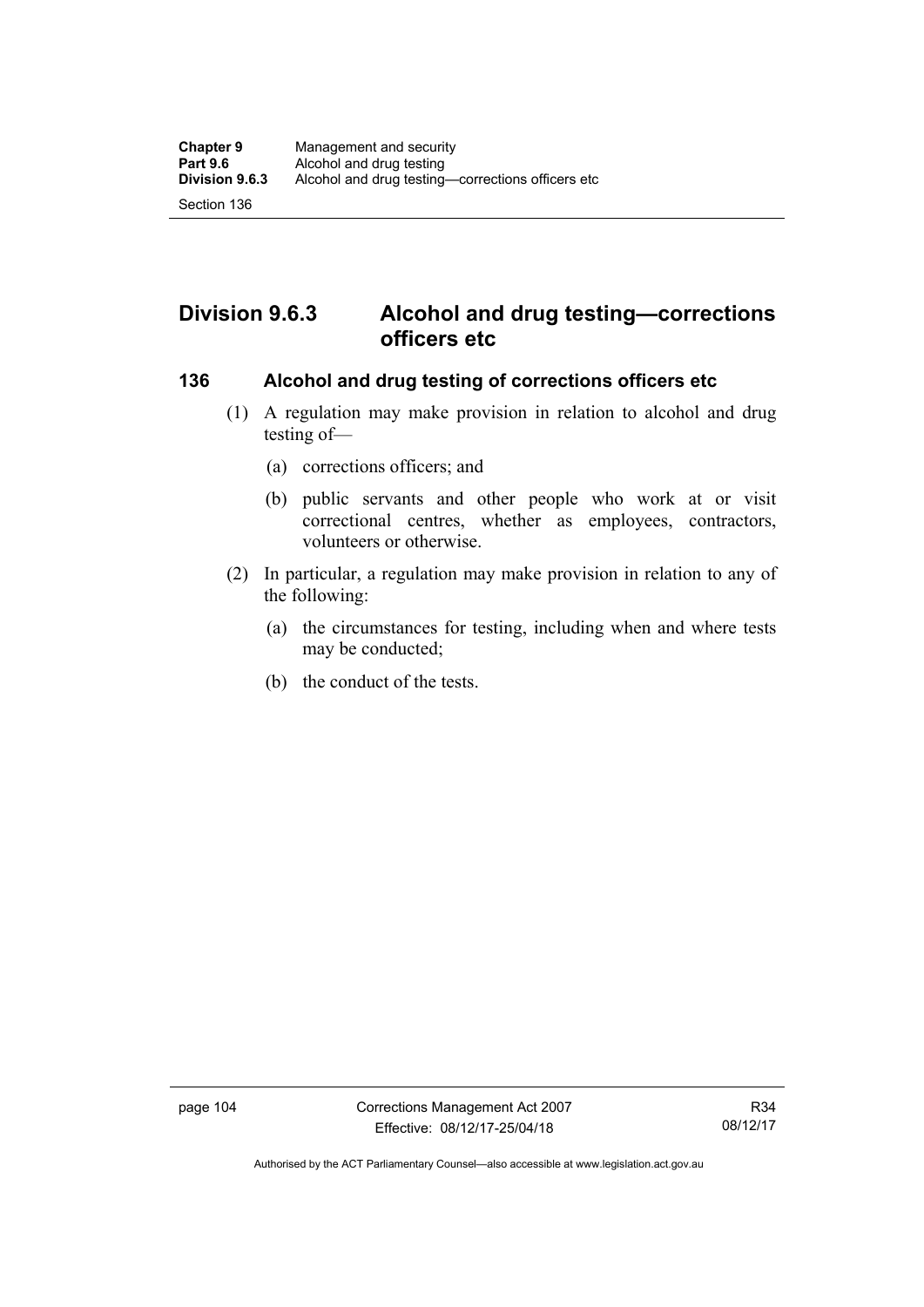# **Division 9.6.3 Alcohol and drug testing—corrections officers etc**

## **136 Alcohol and drug testing of corrections officers etc**

- (1) A regulation may make provision in relation to alcohol and drug testing of—
	- (a) corrections officers; and
	- (b) public servants and other people who work at or visit correctional centres, whether as employees, contractors, volunteers or otherwise.
- (2) In particular, a regulation may make provision in relation to any of the following:
	- (a) the circumstances for testing, including when and where tests may be conducted;
	- (b) the conduct of the tests.

Authorised by the ACT Parliamentary Counsel—also accessible at www.legislation.act.gov.au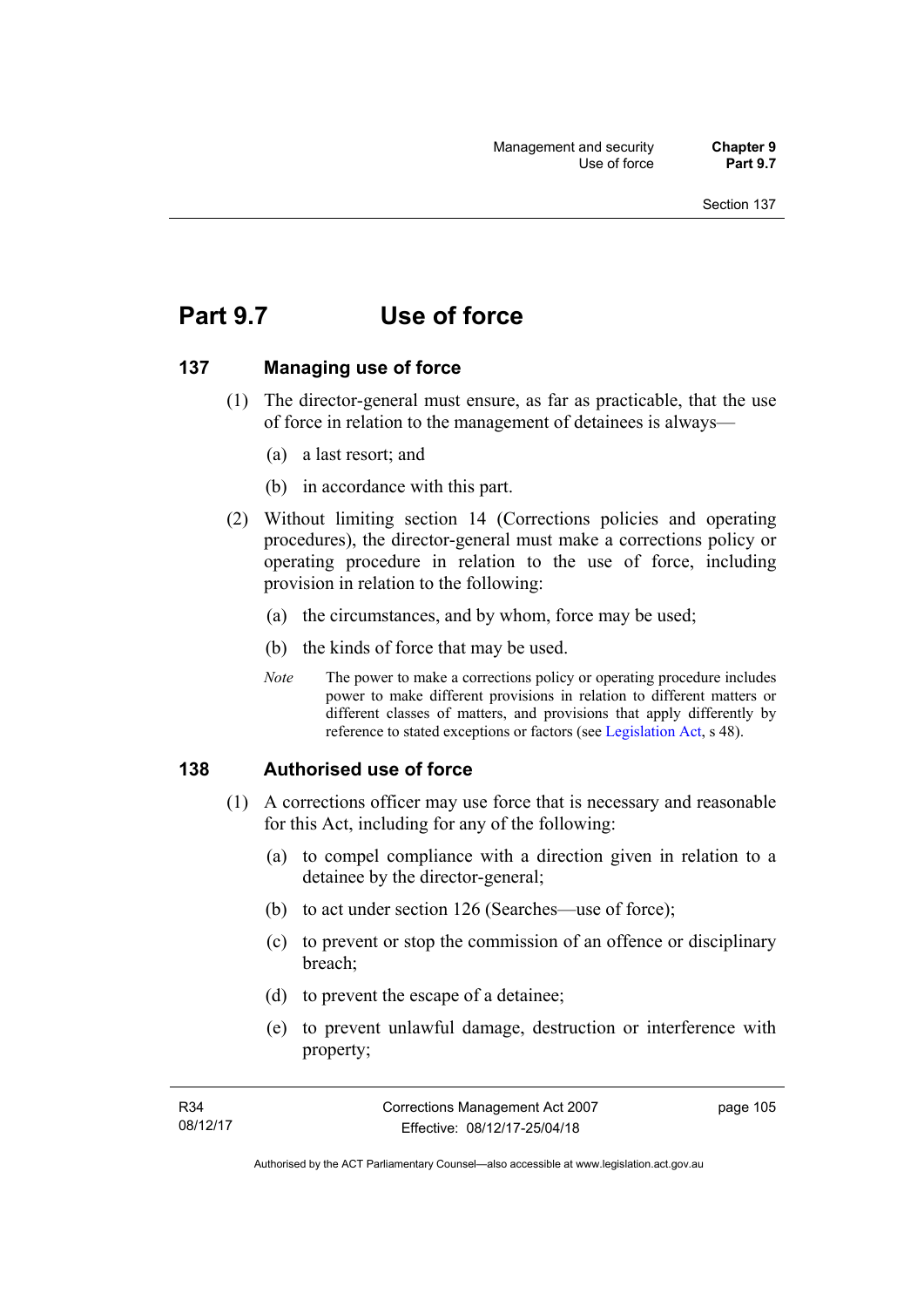# **Part 9.7 Use of force**

## **137 Managing use of force**

- (1) The director-general must ensure, as far as practicable, that the use of force in relation to the management of detainees is always—
	- (a) a last resort; and
	- (b) in accordance with this part.
- (2) Without limiting section 14 (Corrections policies and operating procedures), the director-general must make a corrections policy or operating procedure in relation to the use of force, including provision in relation to the following:
	- (a) the circumstances, and by whom, force may be used;
	- (b) the kinds of force that may be used.
	- *Note* The power to make a corrections policy or operating procedure includes power to make different provisions in relation to different matters or different classes of matters, and provisions that apply differently by reference to stated exceptions or factors (see [Legislation Act](http://www.legislation.act.gov.au/a/2001-14), s 48).

## **138 Authorised use of force**

- (1) A corrections officer may use force that is necessary and reasonable for this Act, including for any of the following:
	- (a) to compel compliance with a direction given in relation to a detainee by the director-general;
	- (b) to act under section 126 (Searches—use of force);
	- (c) to prevent or stop the commission of an offence or disciplinary breach;
	- (d) to prevent the escape of a detainee;
	- (e) to prevent unlawful damage, destruction or interference with property;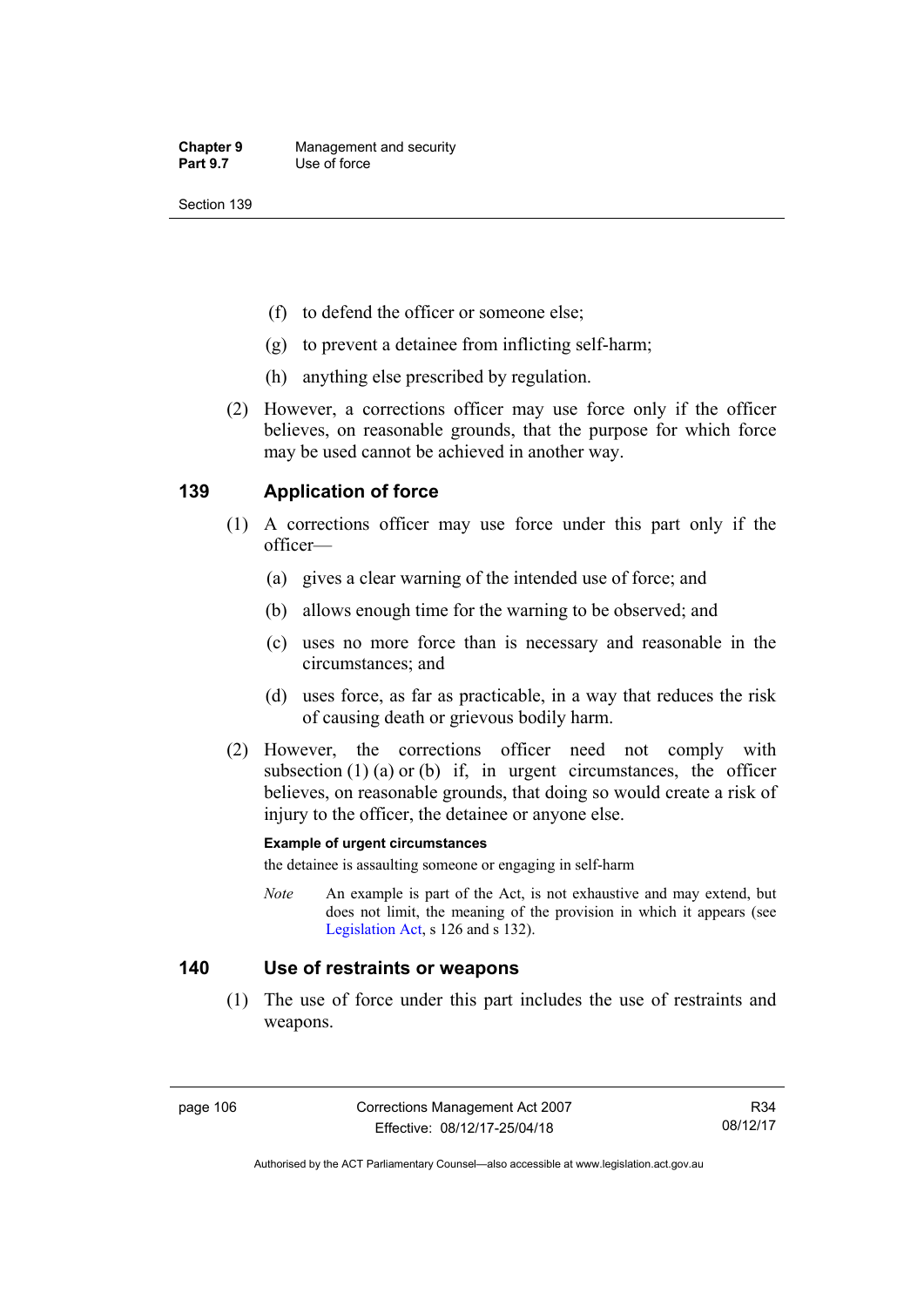- (f) to defend the officer or someone else;
- (g) to prevent a detainee from inflicting self-harm;
- (h) anything else prescribed by regulation.
- (2) However, a corrections officer may use force only if the officer believes, on reasonable grounds, that the purpose for which force may be used cannot be achieved in another way.

## **139 Application of force**

- (1) A corrections officer may use force under this part only if the officer—
	- (a) gives a clear warning of the intended use of force; and
	- (b) allows enough time for the warning to be observed; and
	- (c) uses no more force than is necessary and reasonable in the circumstances; and
	- (d) uses force, as far as practicable, in a way that reduces the risk of causing death or grievous bodily harm.
- (2) However, the corrections officer need not comply with subsection  $(1)$   $(a)$  or  $(b)$  if, in urgent circumstances, the officer believes, on reasonable grounds, that doing so would create a risk of injury to the officer, the detainee or anyone else.

#### **Example of urgent circumstances**

the detainee is assaulting someone or engaging in self-harm

*Note* An example is part of the Act, is not exhaustive and may extend, but does not limit, the meaning of the provision in which it appears (see [Legislation Act,](http://www.legislation.act.gov.au/a/2001-14) s 126 and s 132).

### **140 Use of restraints or weapons**

 (1) The use of force under this part includes the use of restraints and weapons.

Authorised by the ACT Parliamentary Counsel—also accessible at www.legislation.act.gov.au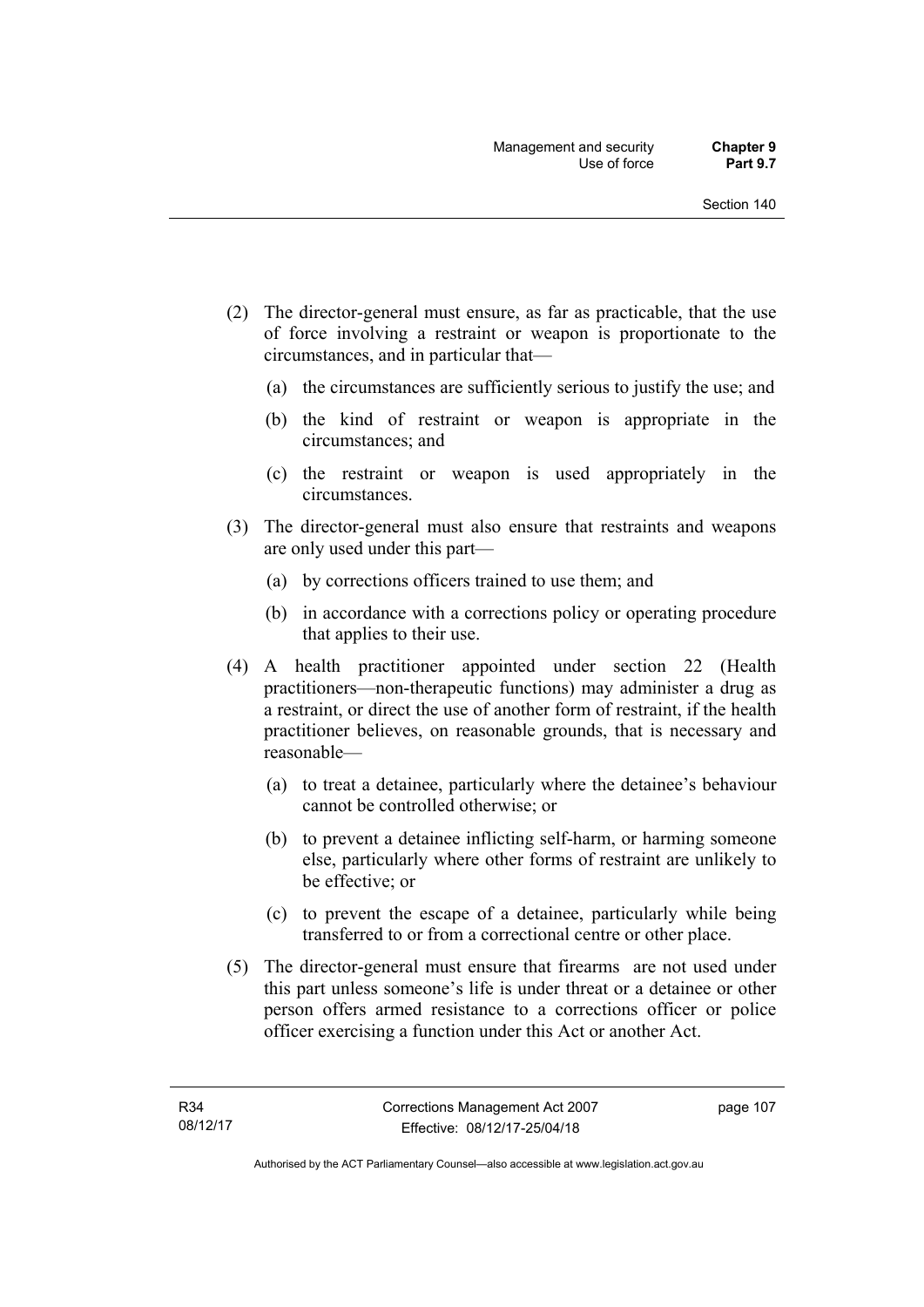- (2) The director-general must ensure, as far as practicable, that the use of force involving a restraint or weapon is proportionate to the circumstances, and in particular that—
	- (a) the circumstances are sufficiently serious to justify the use; and
	- (b) the kind of restraint or weapon is appropriate in the circumstances; and
	- (c) the restraint or weapon is used appropriately in the circumstances.
- (3) The director-general must also ensure that restraints and weapons are only used under this part—
	- (a) by corrections officers trained to use them; and
	- (b) in accordance with a corrections policy or operating procedure that applies to their use.
- (4) A health practitioner appointed under section 22 (Health practitioners—non-therapeutic functions) may administer a drug as a restraint, or direct the use of another form of restraint, if the health practitioner believes, on reasonable grounds, that is necessary and reasonable—
	- (a) to treat a detainee, particularly where the detainee's behaviour cannot be controlled otherwise; or
	- (b) to prevent a detainee inflicting self-harm, or harming someone else, particularly where other forms of restraint are unlikely to be effective; or
	- (c) to prevent the escape of a detainee, particularly while being transferred to or from a correctional centre or other place.
- (5) The director-general must ensure that firearms are not used under this part unless someone's life is under threat or a detainee or other person offers armed resistance to a corrections officer or police officer exercising a function under this Act or another Act.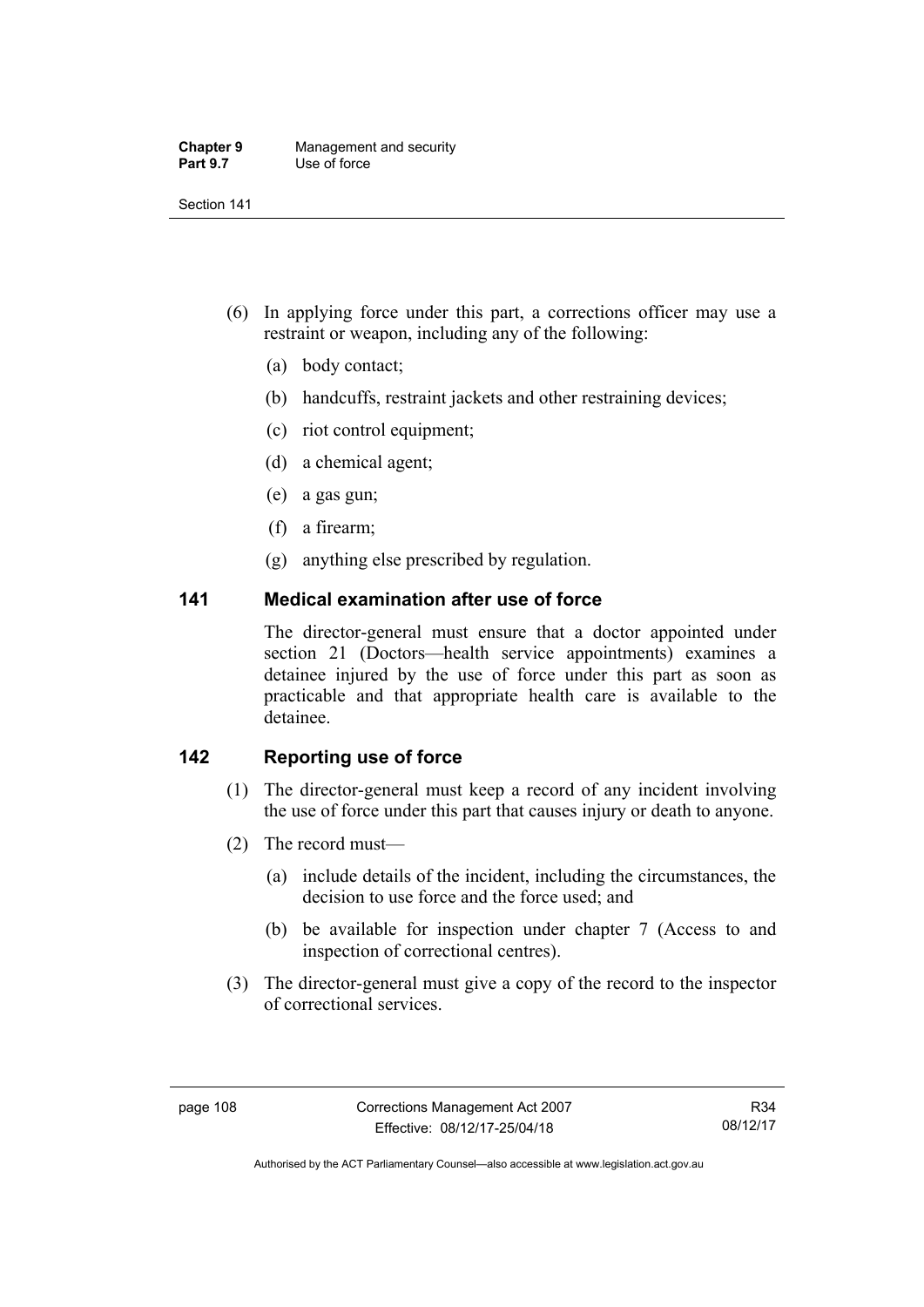- (6) In applying force under this part, a corrections officer may use a restraint or weapon, including any of the following:
	- (a) body contact;
	- (b) handcuffs, restraint jackets and other restraining devices;
	- (c) riot control equipment;
	- (d) a chemical agent;
	- (e) a gas gun;
	- (f) a firearm;
	- (g) anything else prescribed by regulation.

# **141 Medical examination after use of force**

The director-general must ensure that a doctor appointed under section 21 (Doctors—health service appointments) examines a detainee injured by the use of force under this part as soon as practicable and that appropriate health care is available to the detainee.

# **142 Reporting use of force**

- (1) The director-general must keep a record of any incident involving the use of force under this part that causes injury or death to anyone.
- (2) The record must—
	- (a) include details of the incident, including the circumstances, the decision to use force and the force used; and
	- (b) be available for inspection under chapter 7 (Access to and inspection of correctional centres).
- (3) The director-general must give a copy of the record to the inspector of correctional services.

Authorised by the ACT Parliamentary Counsel—also accessible at www.legislation.act.gov.au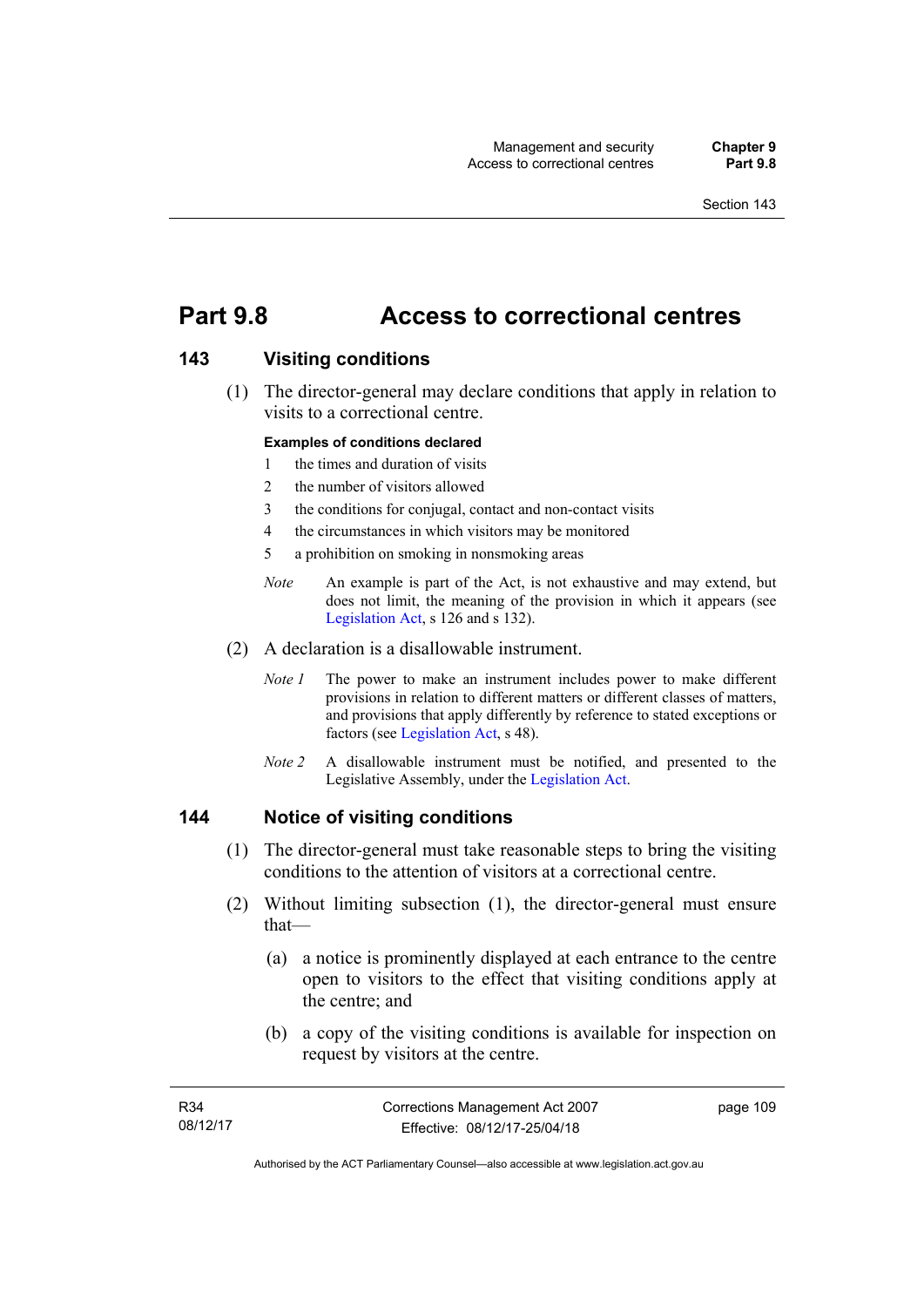# **Part 9.8 Access to correctional centres**

## **143 Visiting conditions**

 (1) The director-general may declare conditions that apply in relation to visits to a correctional centre.

#### **Examples of conditions declared**

- 1 the times and duration of visits
- 2 the number of visitors allowed
- 3 the conditions for conjugal, contact and non-contact visits
- 4 the circumstances in which visitors may be monitored
- 5 a prohibition on smoking in nonsmoking areas
- *Note* An example is part of the Act, is not exhaustive and may extend, but does not limit, the meaning of the provision in which it appears (see [Legislation Act,](http://www.legislation.act.gov.au/a/2001-14) s 126 and s 132).
- (2) A declaration is a disallowable instrument.
	- *Note 1* The power to make an instrument includes power to make different provisions in relation to different matters or different classes of matters, and provisions that apply differently by reference to stated exceptions or factors (see [Legislation Act](http://www.legislation.act.gov.au/a/2001-14), s 48).
	- *Note 2* A disallowable instrument must be notified, and presented to the Legislative Assembly, under the [Legislation Act.](http://www.legislation.act.gov.au/a/2001-14)

## **144 Notice of visiting conditions**

- (1) The director-general must take reasonable steps to bring the visiting conditions to the attention of visitors at a correctional centre.
- (2) Without limiting subsection (1), the director-general must ensure that—
	- (a) a notice is prominently displayed at each entrance to the centre open to visitors to the effect that visiting conditions apply at the centre; and
	- (b) a copy of the visiting conditions is available for inspection on request by visitors at the centre.

| R34      | Corrections Management Act 2007 | page 109 |
|----------|---------------------------------|----------|
| 08/12/17 | Effective: 08/12/17-25/04/18    |          |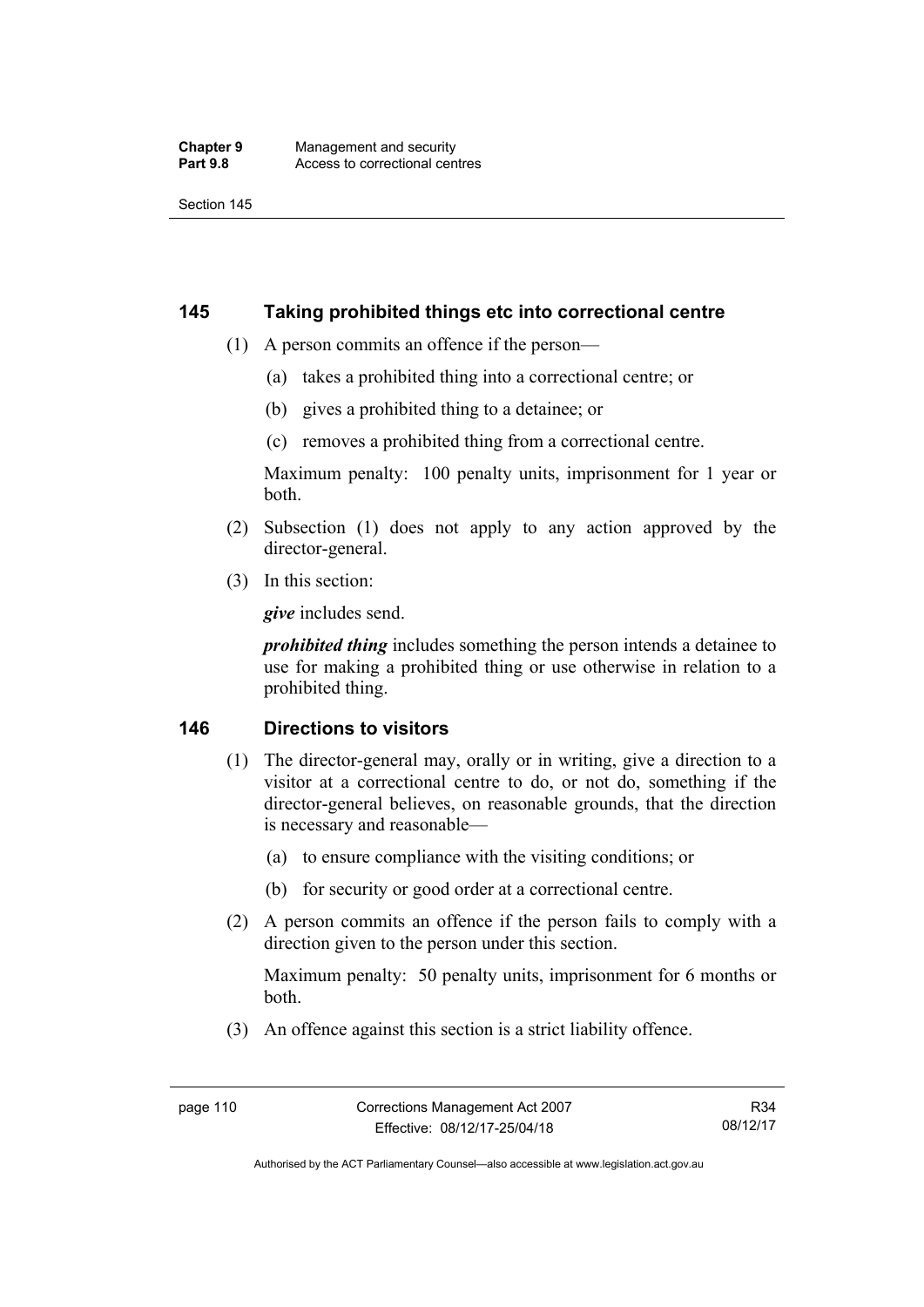## **145 Taking prohibited things etc into correctional centre**

- (1) A person commits an offence if the person—
	- (a) takes a prohibited thing into a correctional centre; or
	- (b) gives a prohibited thing to a detainee; or
	- (c) removes a prohibited thing from a correctional centre.

Maximum penalty: 100 penalty units, imprisonment for 1 year or both.

- (2) Subsection (1) does not apply to any action approved by the director-general.
- (3) In this section:

*give* includes send.

*prohibited thing* includes something the person intends a detainee to use for making a prohibited thing or use otherwise in relation to a prohibited thing.

# **146 Directions to visitors**

- (1) The director-general may, orally or in writing, give a direction to a visitor at a correctional centre to do, or not do, something if the director-general believes, on reasonable grounds, that the direction is necessary and reasonable—
	- (a) to ensure compliance with the visiting conditions; or
	- (b) for security or good order at a correctional centre.
- (2) A person commits an offence if the person fails to comply with a direction given to the person under this section.

Maximum penalty: 50 penalty units, imprisonment for 6 months or both.

(3) An offence against this section is a strict liability offence.

Authorised by the ACT Parliamentary Counsel—also accessible at www.legislation.act.gov.au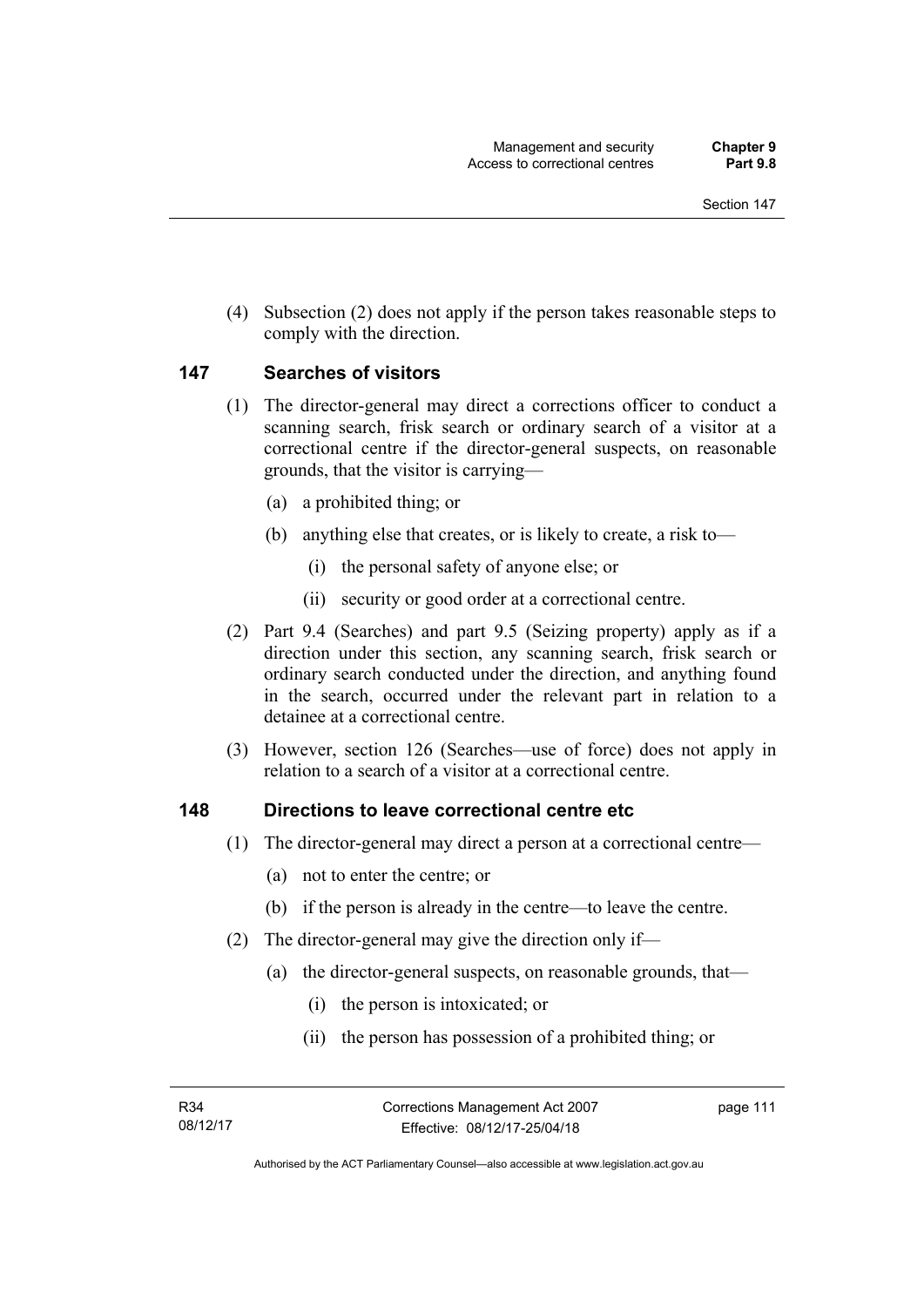(4) Subsection (2) does not apply if the person takes reasonable steps to comply with the direction.

## **147 Searches of visitors**

- (1) The director-general may direct a corrections officer to conduct a scanning search, frisk search or ordinary search of a visitor at a correctional centre if the director-general suspects, on reasonable grounds, that the visitor is carrying—
	- (a) a prohibited thing; or
	- (b) anything else that creates, or is likely to create, a risk to—
		- (i) the personal safety of anyone else; or
		- (ii) security or good order at a correctional centre.
- (2) Part 9.4 (Searches) and part 9.5 (Seizing property) apply as if a direction under this section, any scanning search, frisk search or ordinary search conducted under the direction, and anything found in the search, occurred under the relevant part in relation to a detainee at a correctional centre.
- (3) However, section 126 (Searches—use of force) does not apply in relation to a search of a visitor at a correctional centre.

### **148 Directions to leave correctional centre etc**

- (1) The director-general may direct a person at a correctional centre—
	- (a) not to enter the centre; or
	- (b) if the person is already in the centre—to leave the centre.
- (2) The director-general may give the direction only if—
	- (a) the director-general suspects, on reasonable grounds, that—
		- (i) the person is intoxicated; or
		- (ii) the person has possession of a prohibited thing; or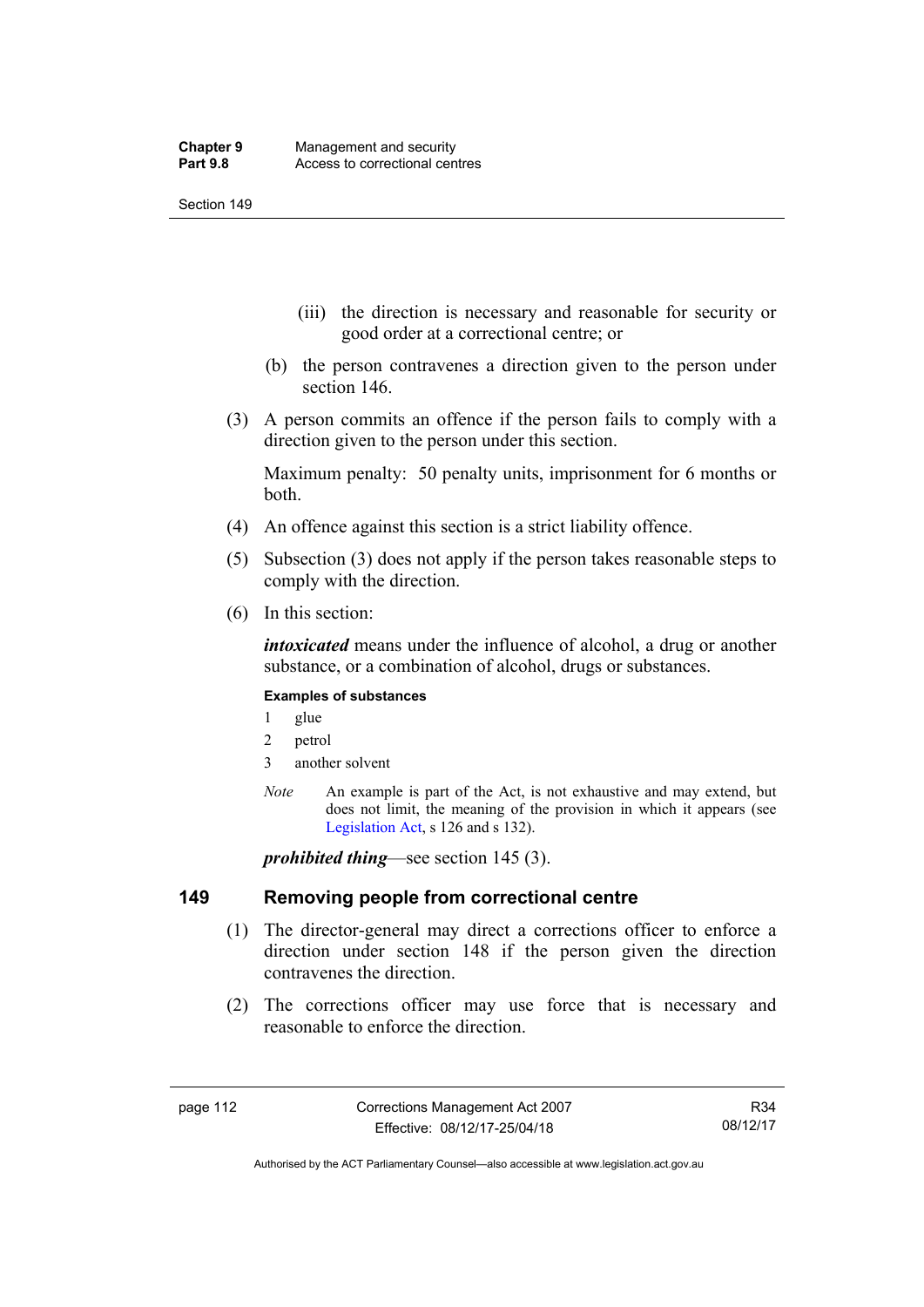- (iii) the direction is necessary and reasonable for security or good order at a correctional centre; or
- (b) the person contravenes a direction given to the person under section 146.
- (3) A person commits an offence if the person fails to comply with a direction given to the person under this section.

Maximum penalty: 50 penalty units, imprisonment for 6 months or both.

- (4) An offence against this section is a strict liability offence.
- (5) Subsection (3) does not apply if the person takes reasonable steps to comply with the direction.
- (6) In this section:

*intoxicated* means under the influence of alcohol, a drug or another substance, or a combination of alcohol, drugs or substances.

#### **Examples of substances**

- 1 glue
- 2 petrol
- 3 another solvent
- *Note* An example is part of the Act, is not exhaustive and may extend, but does not limit, the meaning of the provision in which it appears (see [Legislation Act,](http://www.legislation.act.gov.au/a/2001-14) s 126 and s 132).

*prohibited thing*—see section 145 (3).

### **149 Removing people from correctional centre**

- (1) The director-general may direct a corrections officer to enforce a direction under section 148 if the person given the direction contravenes the direction.
- (2) The corrections officer may use force that is necessary and reasonable to enforce the direction.

R34 08/12/17

Authorised by the ACT Parliamentary Counsel—also accessible at www.legislation.act.gov.au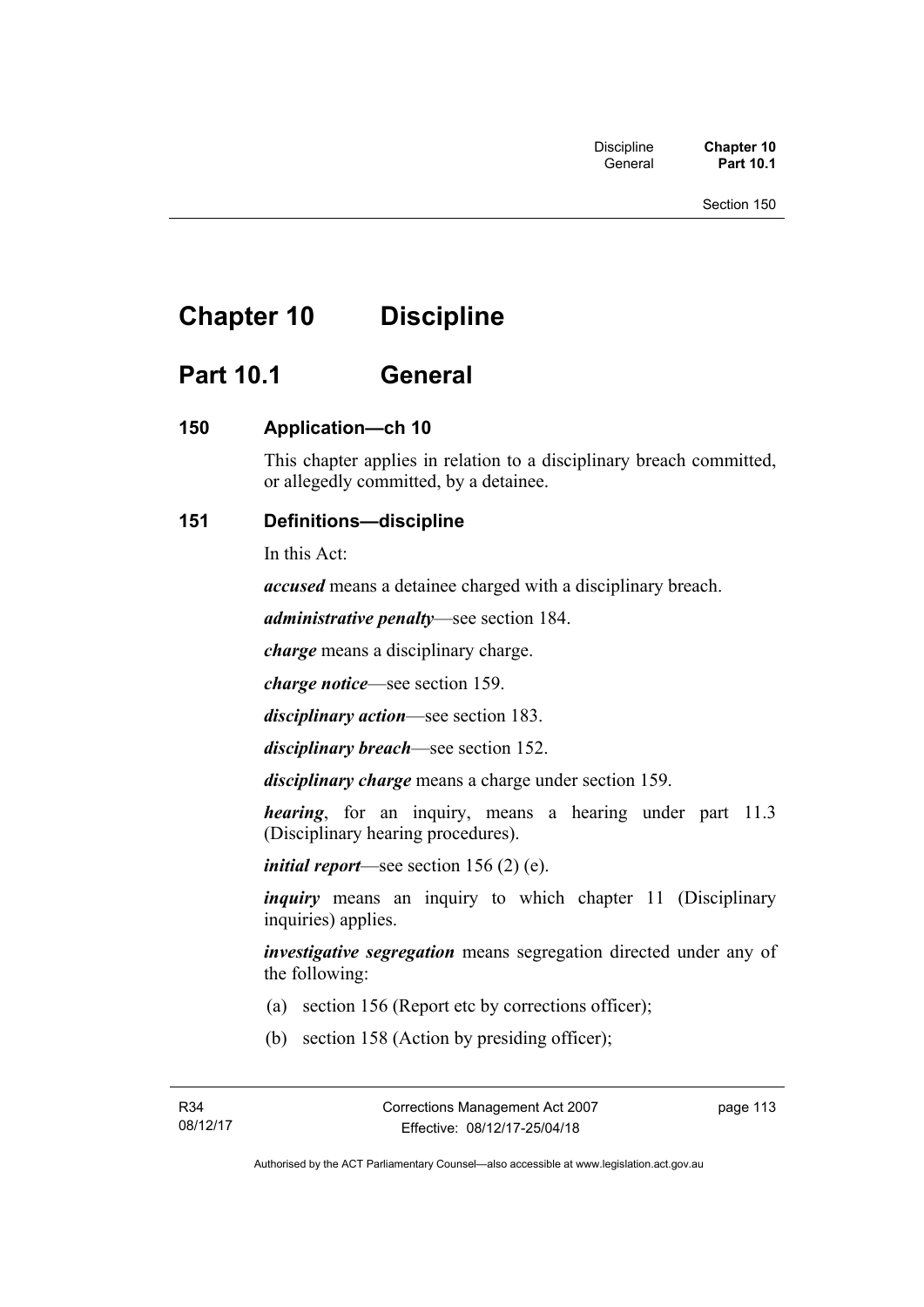# **Chapter 10 Discipline**

# **Part 10.1 General**

# **150 Application—ch 10**

This chapter applies in relation to a disciplinary breach committed, or allegedly committed, by a detainee.

# **151 Definitions—discipline**

In this Act:

*accused* means a detainee charged with a disciplinary breach.

*administrative penalty*—see section 184.

*charge* means a disciplinary charge.

*charge notice*—see section 159.

*disciplinary action*—see section 183.

*disciplinary breach*—see section 152.

*disciplinary charge* means a charge under section 159.

*hearing*, for an inquiry, means a hearing under part 11.3 (Disciplinary hearing procedures).

*initial report*—see section 156 (2) (e).

*inquiry* means an inquiry to which chapter 11 (Disciplinary inquiries) applies.

*investigative segregation* means segregation directed under any of the following:

- (a) section 156 (Report etc by corrections officer);
- (b) section 158 (Action by presiding officer);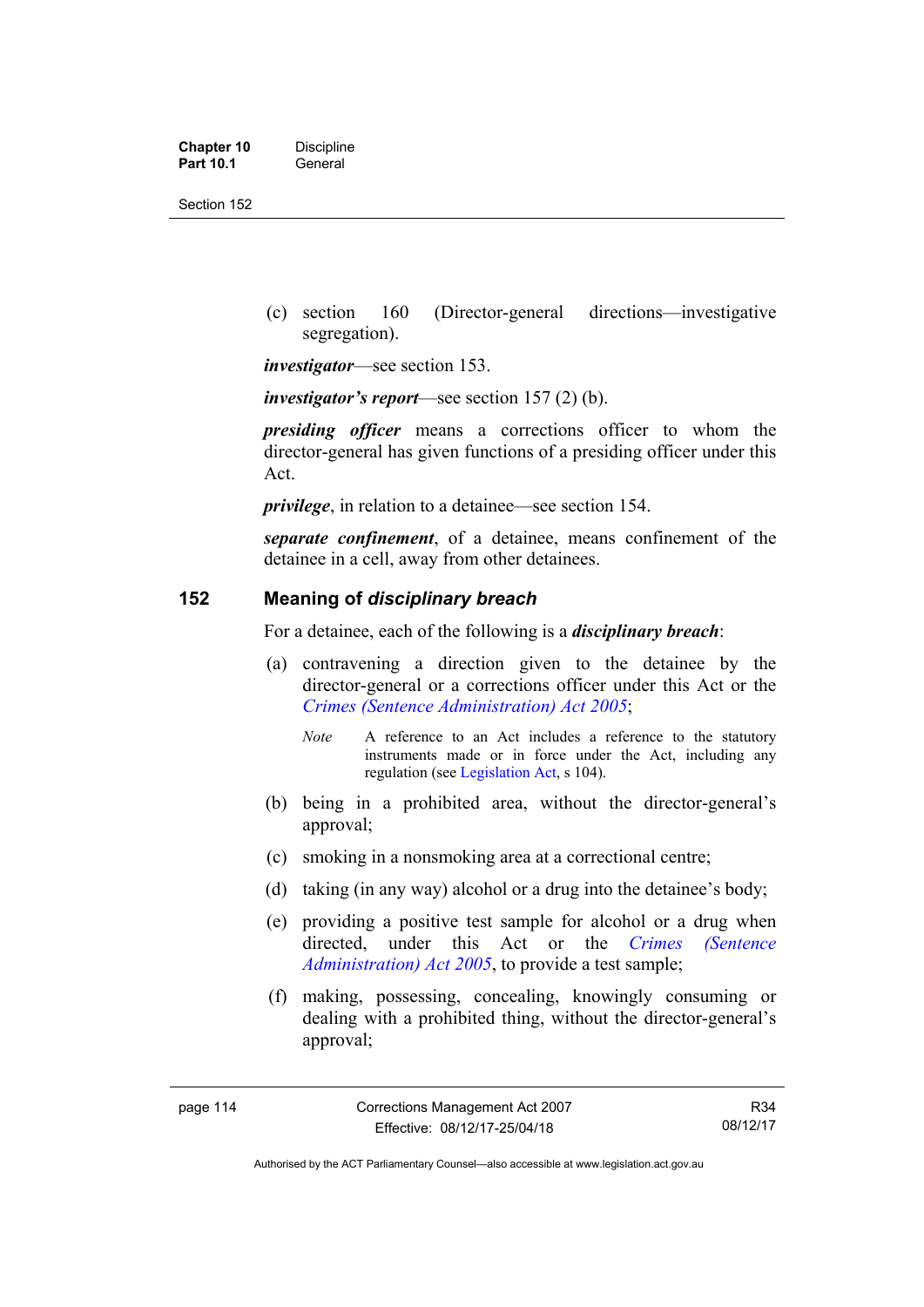| <b>Chapter 10</b> | <b>Discipline</b> |
|-------------------|-------------------|
| <b>Part 10.1</b>  | General           |

 (c) section 160 (Director-general directions—investigative segregation).

*investigator*—see section 153.

*investigator's report*—see section 157 (2) (b).

*presiding officer* means a corrections officer to whom the director-general has given functions of a presiding officer under this Act.

*privilege*, in relation to a detainee—see section 154.

*separate confinement*, of a detainee, means confinement of the detainee in a cell, away from other detainees.

### **152 Meaning of** *disciplinary breach*

For a detainee, each of the following is a *disciplinary breach*:

- (a) contravening a direction given to the detainee by the director-general or a corrections officer under this Act or the *[Crimes \(Sentence Administration\) Act 2005](http://www.legislation.act.gov.au/a/2005-59)*;
	- *Note* A reference to an Act includes a reference to the statutory instruments made or in force under the Act, including any regulation (see [Legislation Act,](http://www.legislation.act.gov.au/a/2001-14) s 104).
- (b) being in a prohibited area, without the director-general's approval;
- (c) smoking in a nonsmoking area at a correctional centre;
- (d) taking (in any way) alcohol or a drug into the detainee's body;
- (e) providing a positive test sample for alcohol or a drug when directed, under this Act or the *[Crimes \(Sentence](http://www.legislation.act.gov.au/a/2005-59)  [Administration\) Act 2005](http://www.legislation.act.gov.au/a/2005-59)*, to provide a test sample;
- (f) making, possessing, concealing, knowingly consuming or dealing with a prohibited thing, without the director-general's approval;

R34 08/12/17

Authorised by the ACT Parliamentary Counsel—also accessible at www.legislation.act.gov.au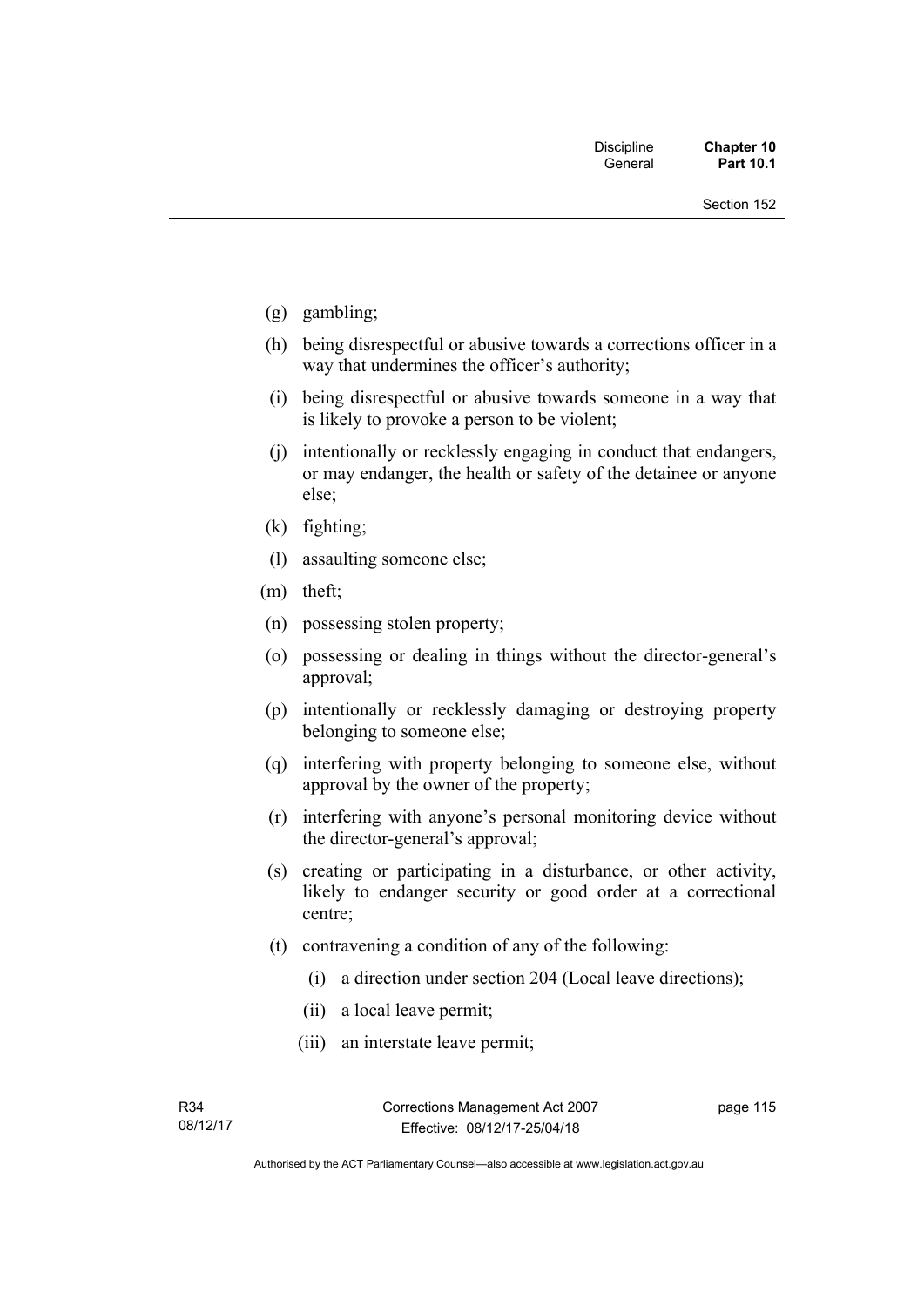- (g) gambling;
- (h) being disrespectful or abusive towards a corrections officer in a way that undermines the officer's authority;
- (i) being disrespectful or abusive towards someone in a way that is likely to provoke a person to be violent;
- (j) intentionally or recklessly engaging in conduct that endangers, or may endanger, the health or safety of the detainee or anyone else;
- (k) fighting;
- (l) assaulting someone else;
- (m) theft;
- (n) possessing stolen property;
- (o) possessing or dealing in things without the director-general's approval;
- (p) intentionally or recklessly damaging or destroying property belonging to someone else;
- (q) interfering with property belonging to someone else, without approval by the owner of the property;
- (r) interfering with anyone's personal monitoring device without the director-general's approval;
- (s) creating or participating in a disturbance, or other activity, likely to endanger security or good order at a correctional centre;
- (t) contravening a condition of any of the following:
	- (i) a direction under section 204 (Local leave directions);
	- (ii) a local leave permit;
	- (iii) an interstate leave permit;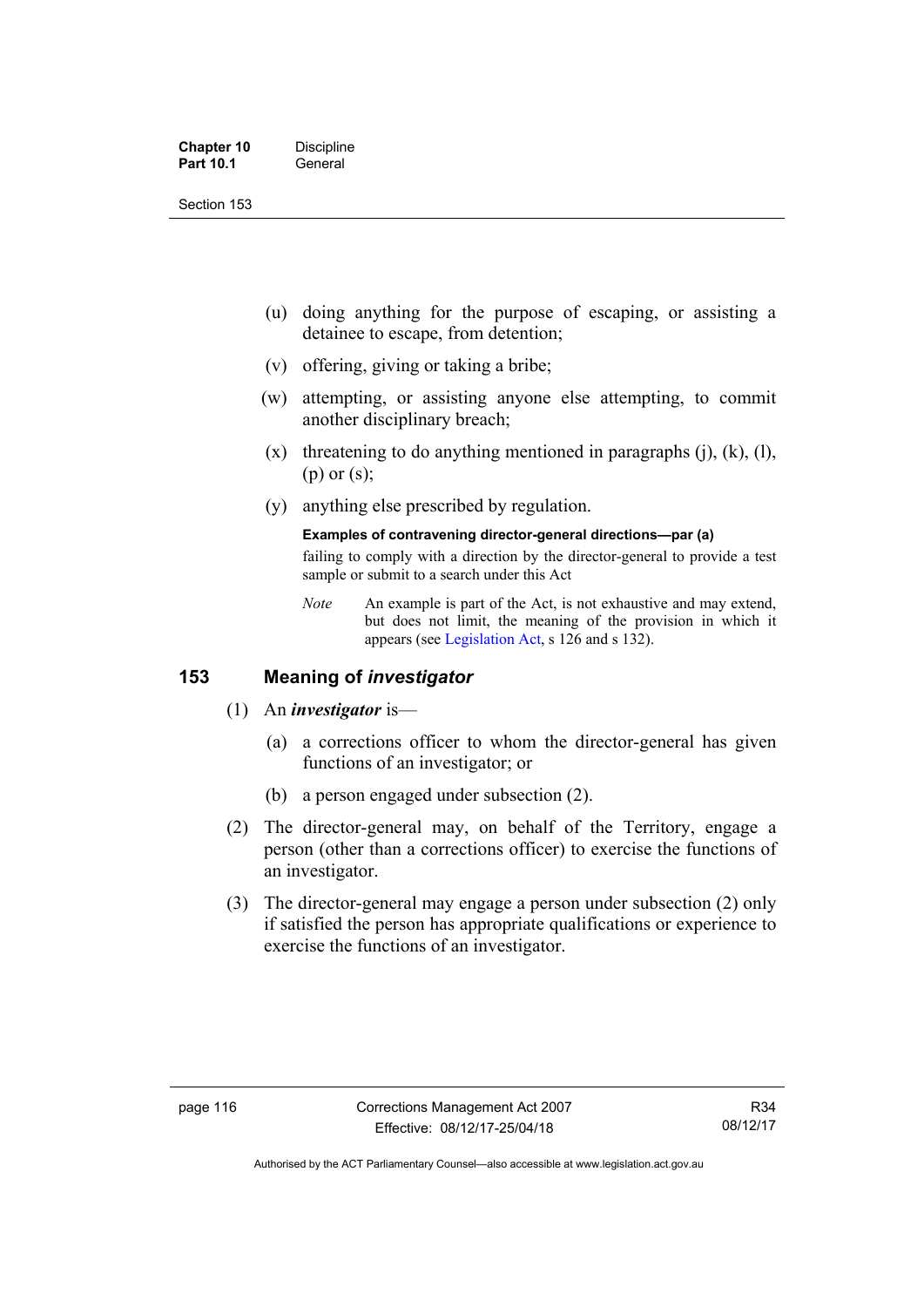- (u) doing anything for the purpose of escaping, or assisting a detainee to escape, from detention;
- (v) offering, giving or taking a bribe;
- (w) attempting, or assisting anyone else attempting, to commit another disciplinary breach;
- $(x)$  threatening to do anything mentioned in paragraphs (j), (k), (l), (p) or (s);
- (y) anything else prescribed by regulation.

# **Examples of contravening director-general directions—par (a)**

failing to comply with a direction by the director-general to provide a test sample or submit to a search under this Act

*Note* An example is part of the Act, is not exhaustive and may extend, but does not limit, the meaning of the provision in which it appears (see [Legislation Act,](http://www.legislation.act.gov.au/a/2001-14) s 126 and s 132).

# **153 Meaning of** *investigator*

- (1) An *investigator* is—
	- (a) a corrections officer to whom the director-general has given functions of an investigator; or
	- (b) a person engaged under subsection (2).
- (2) The director-general may, on behalf of the Territory, engage a person (other than a corrections officer) to exercise the functions of an investigator.
- (3) The director-general may engage a person under subsection (2) only if satisfied the person has appropriate qualifications or experience to exercise the functions of an investigator.

Authorised by the ACT Parliamentary Counsel—also accessible at www.legislation.act.gov.au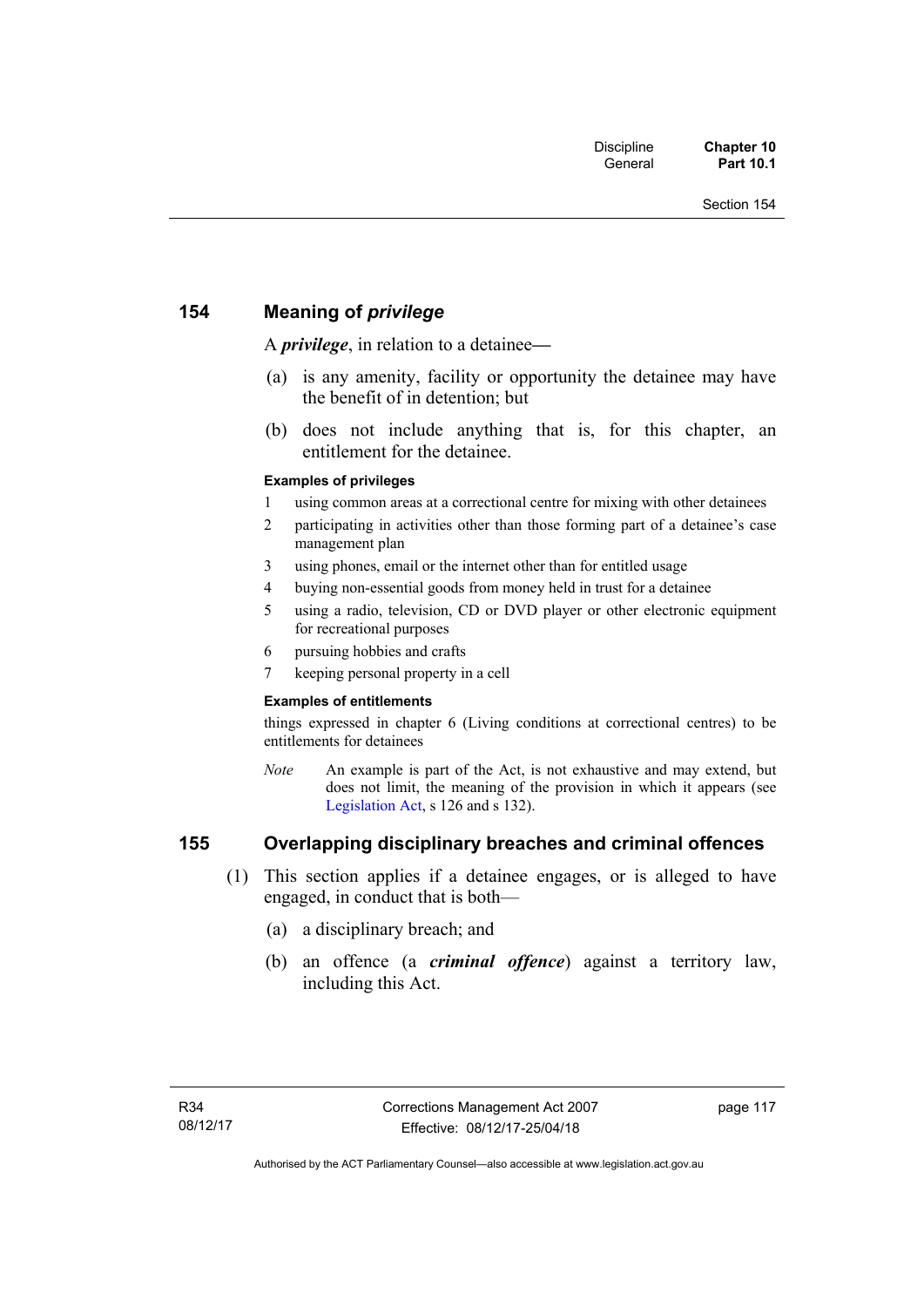# **154 Meaning of** *privilege*

A *privilege*, in relation to a detainee*—*

- (a) is any amenity, facility or opportunity the detainee may have the benefit of in detention; but
- (b) does not include anything that is, for this chapter, an entitlement for the detainee.

#### **Examples of privileges**

- 1 using common areas at a correctional centre for mixing with other detainees
- 2 participating in activities other than those forming part of a detainee's case management plan
- 3 using phones, email or the internet other than for entitled usage
- 4 buying non-essential goods from money held in trust for a detainee
- 5 using a radio, television, CD or DVD player or other electronic equipment for recreational purposes
- 6 pursuing hobbies and crafts
- 7 keeping personal property in a cell

#### **Examples of entitlements**

things expressed in chapter 6 (Living conditions at correctional centres) to be entitlements for detainees

*Note* An example is part of the Act, is not exhaustive and may extend, but does not limit, the meaning of the provision in which it appears (see [Legislation Act,](http://www.legislation.act.gov.au/a/2001-14) s 126 and s 132).

# **155 Overlapping disciplinary breaches and criminal offences**

- (1) This section applies if a detainee engages, or is alleged to have engaged, in conduct that is both—
	- (a) a disciplinary breach; and
	- (b) an offence (a *criminal offence*) against a territory law, including this Act.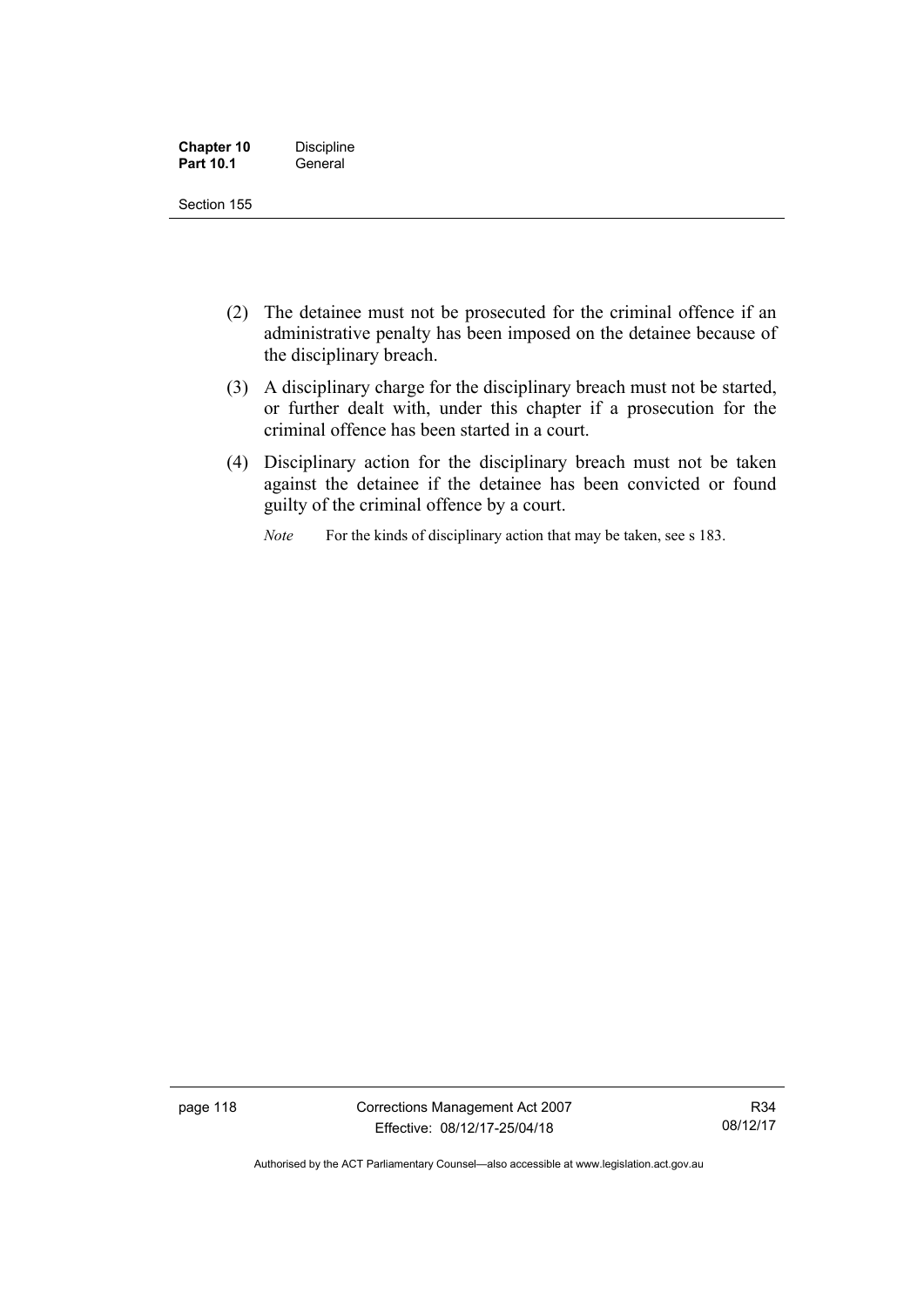| <b>Chapter 10</b> | <b>Discipline</b> |
|-------------------|-------------------|
| <b>Part 10.1</b>  | General           |

- (2) The detainee must not be prosecuted for the criminal offence if an administrative penalty has been imposed on the detainee because of the disciplinary breach.
- (3) A disciplinary charge for the disciplinary breach must not be started, or further dealt with, under this chapter if a prosecution for the criminal offence has been started in a court.
- (4) Disciplinary action for the disciplinary breach must not be taken against the detainee if the detainee has been convicted or found guilty of the criminal offence by a court.

*Note* For the kinds of disciplinary action that may be taken, see s 183.

page 118 Corrections Management Act 2007 Effective: 08/12/17-25/04/18

R34 08/12/17

Authorised by the ACT Parliamentary Counsel—also accessible at www.legislation.act.gov.au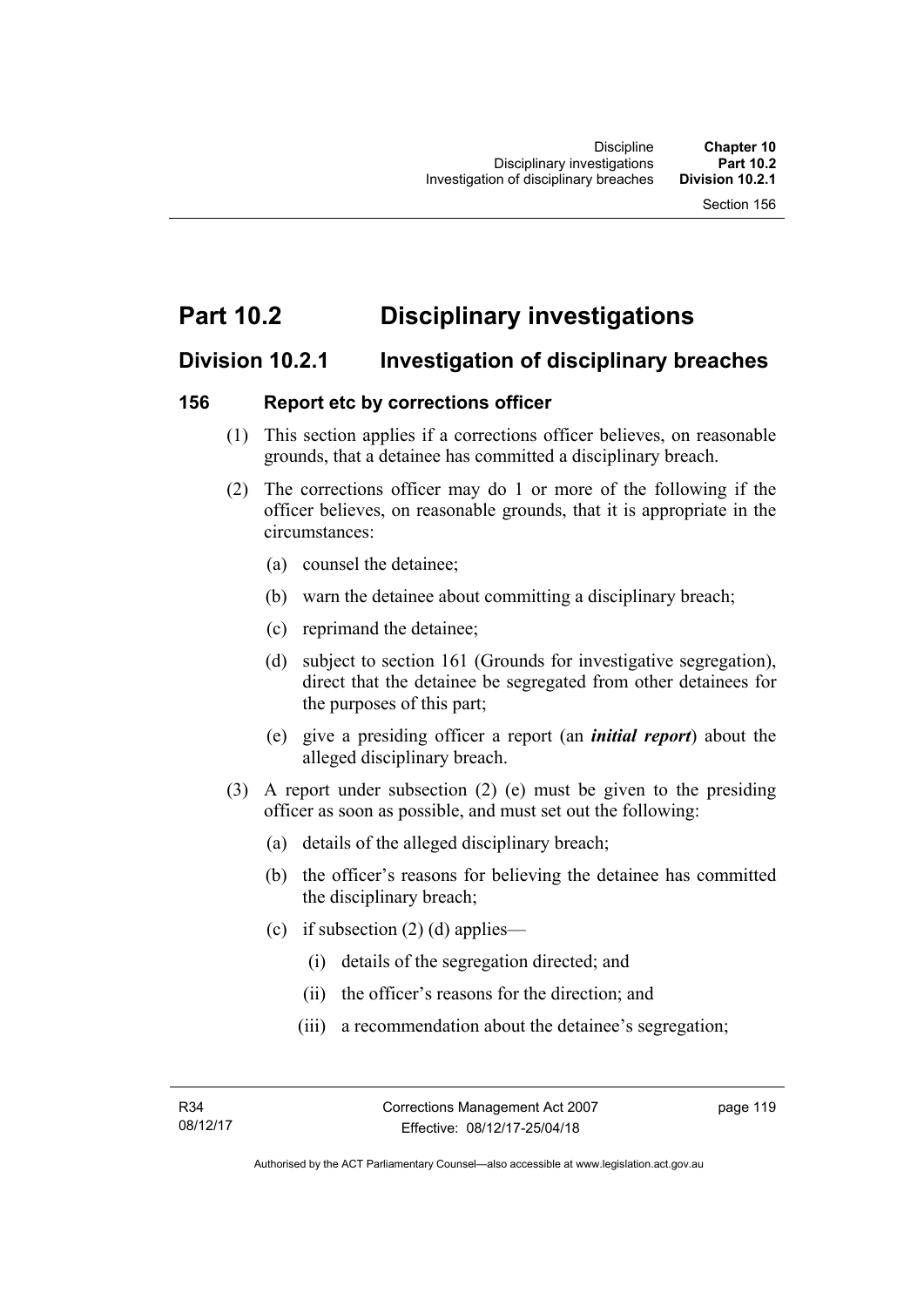# **Part 10.2 Disciplinary investigations**

# **Division 10.2.1 Investigation of disciplinary breaches**

# **156 Report etc by corrections officer**

- (1) This section applies if a corrections officer believes, on reasonable grounds, that a detainee has committed a disciplinary breach.
- (2) The corrections officer may do 1 or more of the following if the officer believes, on reasonable grounds, that it is appropriate in the circumstances:
	- (a) counsel the detainee;
	- (b) warn the detainee about committing a disciplinary breach;
	- (c) reprimand the detainee;
	- (d) subject to section 161 (Grounds for investigative segregation), direct that the detainee be segregated from other detainees for the purposes of this part;
	- (e) give a presiding officer a report (an *initial report*) about the alleged disciplinary breach.
- (3) A report under subsection (2) (e) must be given to the presiding officer as soon as possible, and must set out the following:
	- (a) details of the alleged disciplinary breach;
	- (b) the officer's reasons for believing the detainee has committed the disciplinary breach;
	- (c) if subsection  $(2)$  (d) applies—
		- (i) details of the segregation directed; and
		- (ii) the officer's reasons for the direction; and
		- (iii) a recommendation about the detainee's segregation;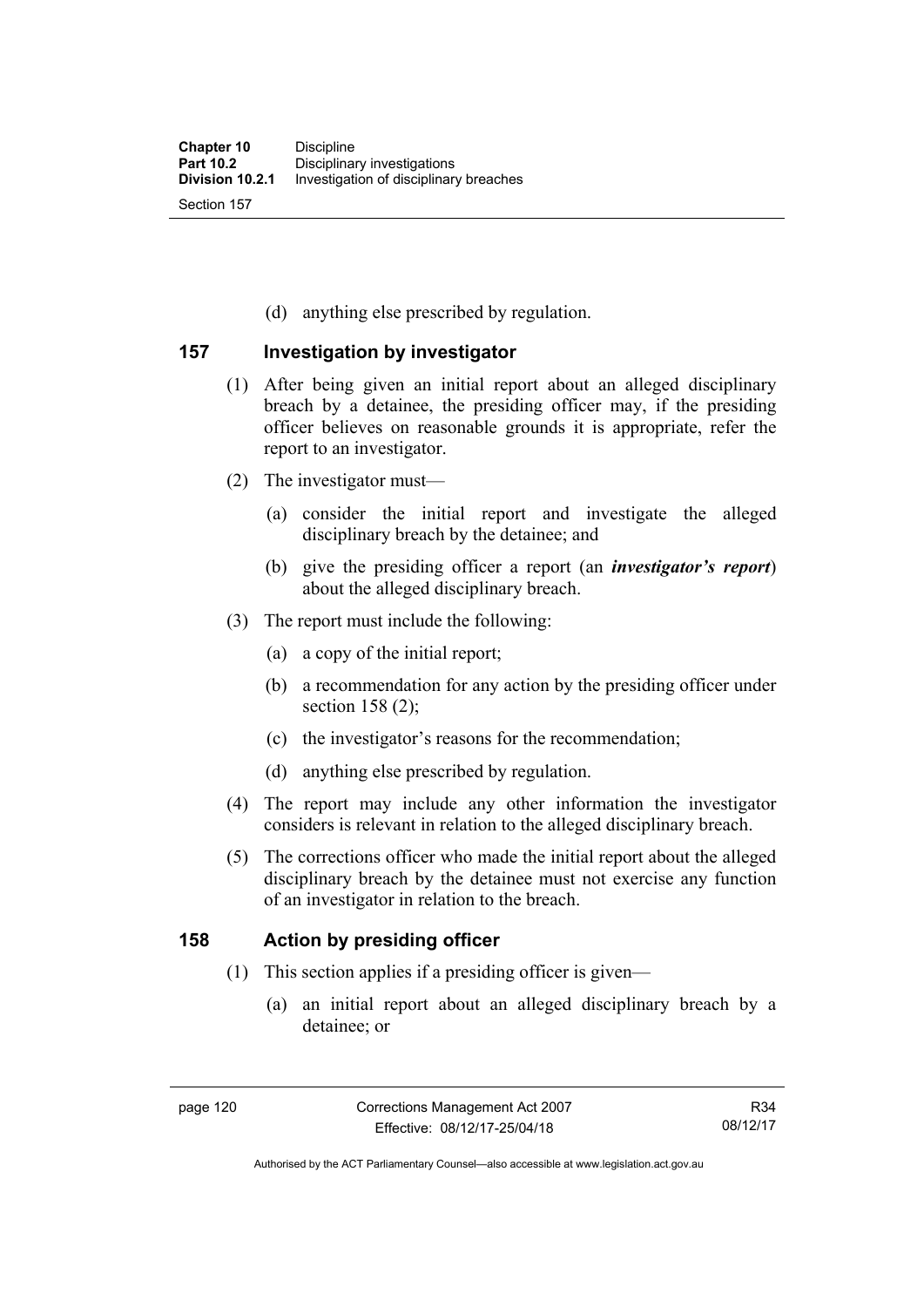(d) anything else prescribed by regulation.

# **157 Investigation by investigator**

- (1) After being given an initial report about an alleged disciplinary breach by a detainee, the presiding officer may, if the presiding officer believes on reasonable grounds it is appropriate, refer the report to an investigator.
- (2) The investigator must—
	- (a) consider the initial report and investigate the alleged disciplinary breach by the detainee; and
	- (b) give the presiding officer a report (an *investigator's report*) about the alleged disciplinary breach.
- (3) The report must include the following:
	- (a) a copy of the initial report;
	- (b) a recommendation for any action by the presiding officer under section 158 (2):
	- (c) the investigator's reasons for the recommendation;
	- (d) anything else prescribed by regulation.
- (4) The report may include any other information the investigator considers is relevant in relation to the alleged disciplinary breach.
- (5) The corrections officer who made the initial report about the alleged disciplinary breach by the detainee must not exercise any function of an investigator in relation to the breach.

# **158 Action by presiding officer**

- (1) This section applies if a presiding officer is given—
	- (a) an initial report about an alleged disciplinary breach by a detainee; or

Authorised by the ACT Parliamentary Counsel—also accessible at www.legislation.act.gov.au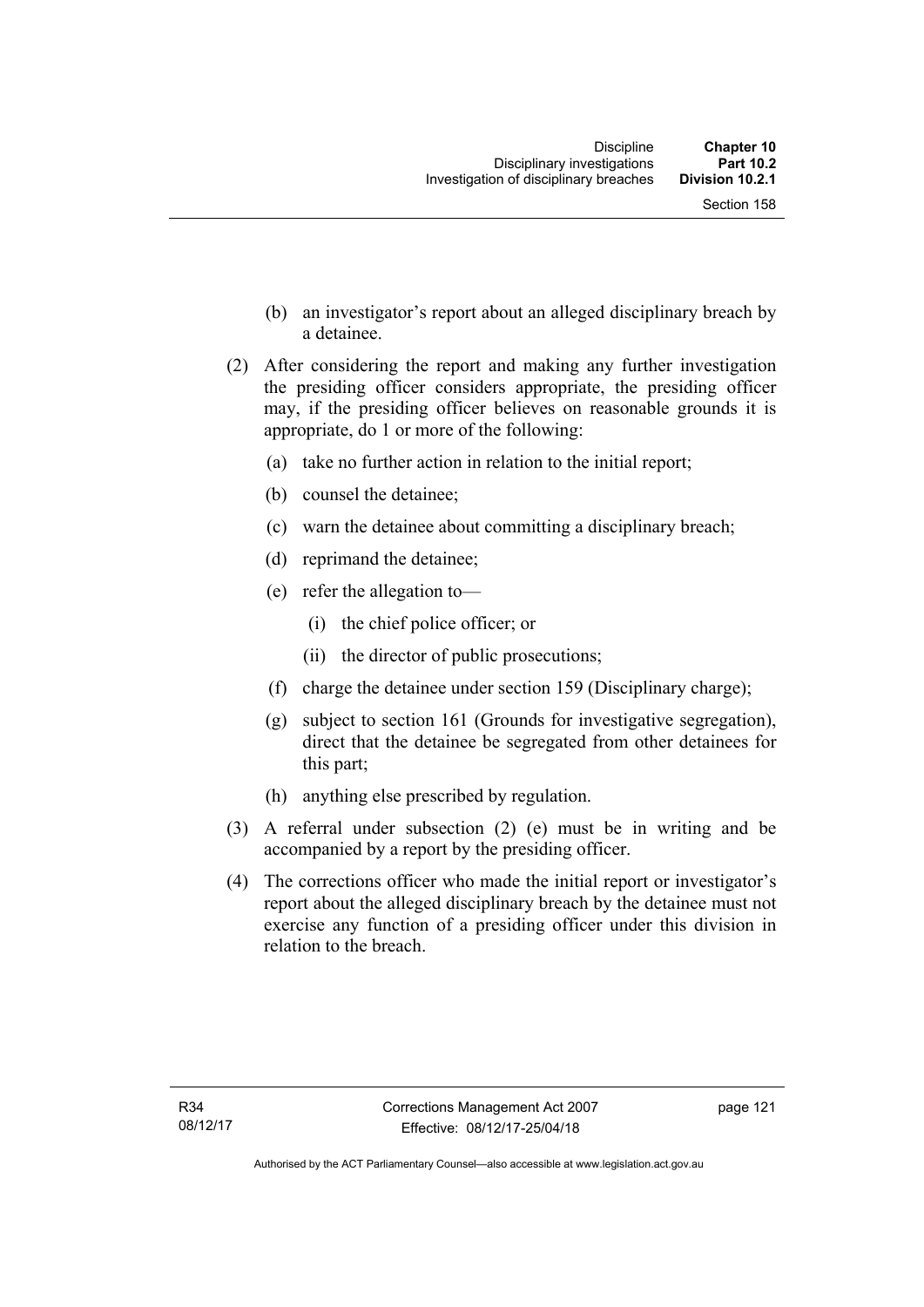- (b) an investigator's report about an alleged disciplinary breach by a detainee.
- (2) After considering the report and making any further investigation the presiding officer considers appropriate, the presiding officer may, if the presiding officer believes on reasonable grounds it is appropriate, do 1 or more of the following:
	- (a) take no further action in relation to the initial report;
	- (b) counsel the detainee;
	- (c) warn the detainee about committing a disciplinary breach;
	- (d) reprimand the detainee;
	- (e) refer the allegation to—
		- (i) the chief police officer; or
		- (ii) the director of public prosecutions;
	- (f) charge the detainee under section 159 (Disciplinary charge);
	- (g) subject to section 161 (Grounds for investigative segregation), direct that the detainee be segregated from other detainees for this part;
	- (h) anything else prescribed by regulation.
- (3) A referral under subsection (2) (e) must be in writing and be accompanied by a report by the presiding officer.
- (4) The corrections officer who made the initial report or investigator's report about the alleged disciplinary breach by the detainee must not exercise any function of a presiding officer under this division in relation to the breach.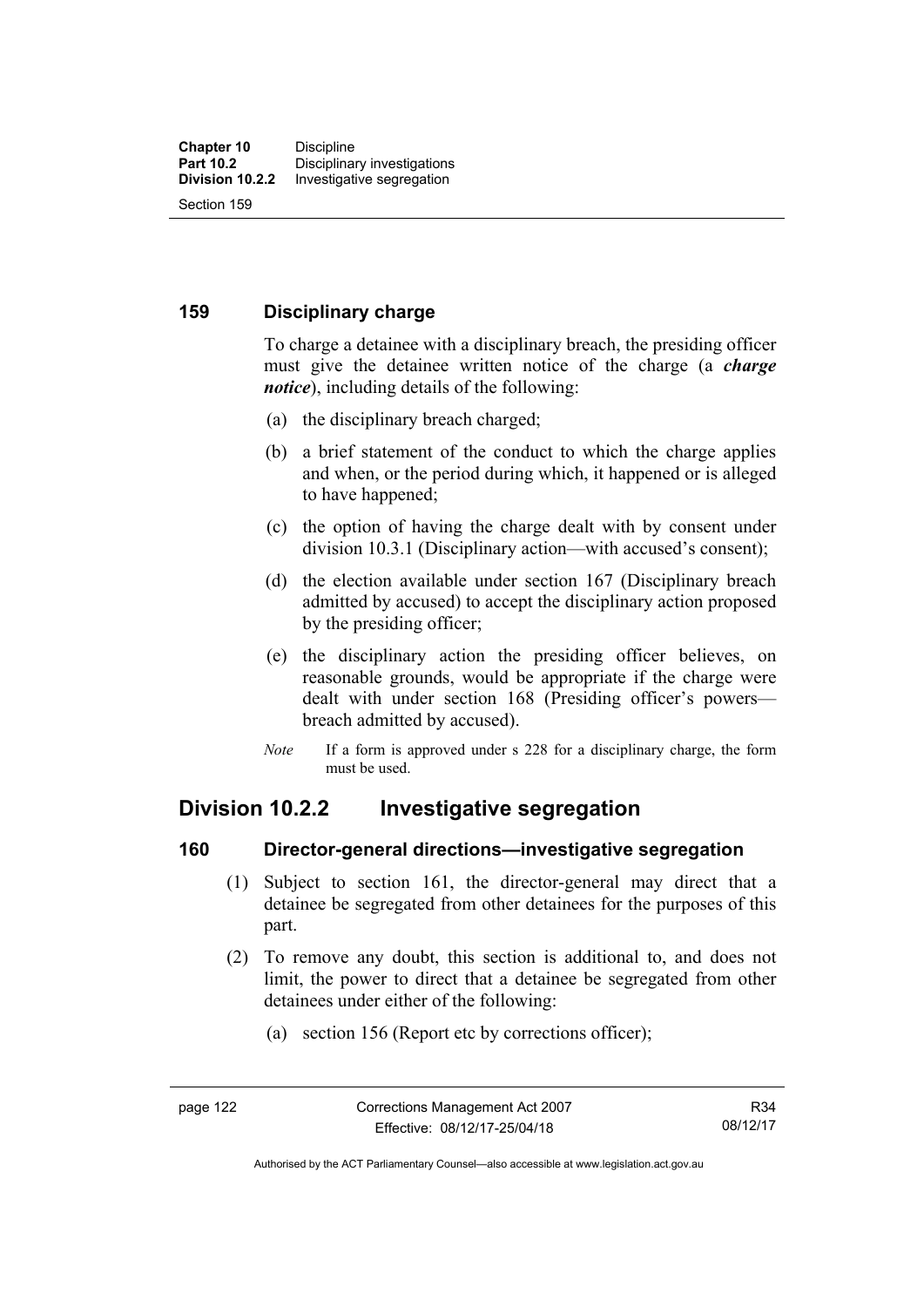# **159 Disciplinary charge**

To charge a detainee with a disciplinary breach, the presiding officer must give the detainee written notice of the charge (a *charge notice*), including details of the following:

- (a) the disciplinary breach charged;
- (b) a brief statement of the conduct to which the charge applies and when, or the period during which, it happened or is alleged to have happened;
- (c) the option of having the charge dealt with by consent under division 10.3.1 (Disciplinary action—with accused's consent);
- (d) the election available under section 167 (Disciplinary breach admitted by accused) to accept the disciplinary action proposed by the presiding officer;
- (e) the disciplinary action the presiding officer believes, on reasonable grounds, would be appropriate if the charge were dealt with under section 168 (Presiding officer's powers breach admitted by accused).
- *Note* If a form is approved under s 228 for a disciplinary charge, the form must be used.

# **Division 10.2.2 Investigative segregation**

## **160 Director-general directions—investigative segregation**

- (1) Subject to section 161, the director-general may direct that a detainee be segregated from other detainees for the purposes of this part.
- (2) To remove any doubt, this section is additional to, and does not limit, the power to direct that a detainee be segregated from other detainees under either of the following:
	- (a) section 156 (Report etc by corrections officer);

Authorised by the ACT Parliamentary Counsel—also accessible at www.legislation.act.gov.au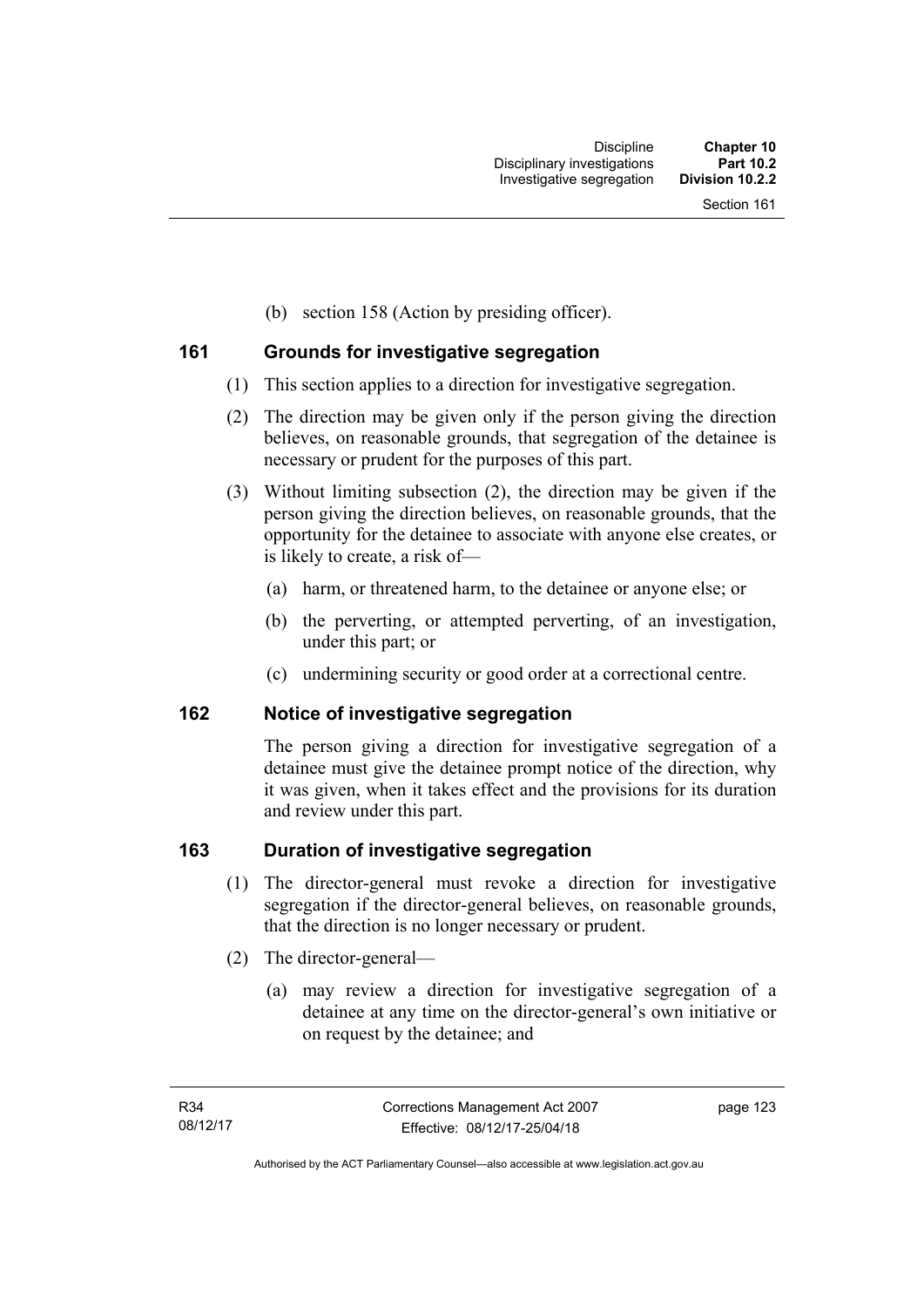(b) section 158 (Action by presiding officer).

# **161 Grounds for investigative segregation**

- (1) This section applies to a direction for investigative segregation.
- (2) The direction may be given only if the person giving the direction believes, on reasonable grounds, that segregation of the detainee is necessary or prudent for the purposes of this part.
- (3) Without limiting subsection (2), the direction may be given if the person giving the direction believes, on reasonable grounds, that the opportunity for the detainee to associate with anyone else creates, or is likely to create, a risk of—
	- (a) harm, or threatened harm, to the detainee or anyone else; or
	- (b) the perverting, or attempted perverting, of an investigation, under this part; or
	- (c) undermining security or good order at a correctional centre.

# **162 Notice of investigative segregation**

The person giving a direction for investigative segregation of a detainee must give the detainee prompt notice of the direction, why it was given, when it takes effect and the provisions for its duration and review under this part.

# **163 Duration of investigative segregation**

- (1) The director-general must revoke a direction for investigative segregation if the director-general believes, on reasonable grounds, that the direction is no longer necessary or prudent.
- (2) The director-general—
	- (a) may review a direction for investigative segregation of a detainee at any time on the director-general's own initiative or on request by the detainee; and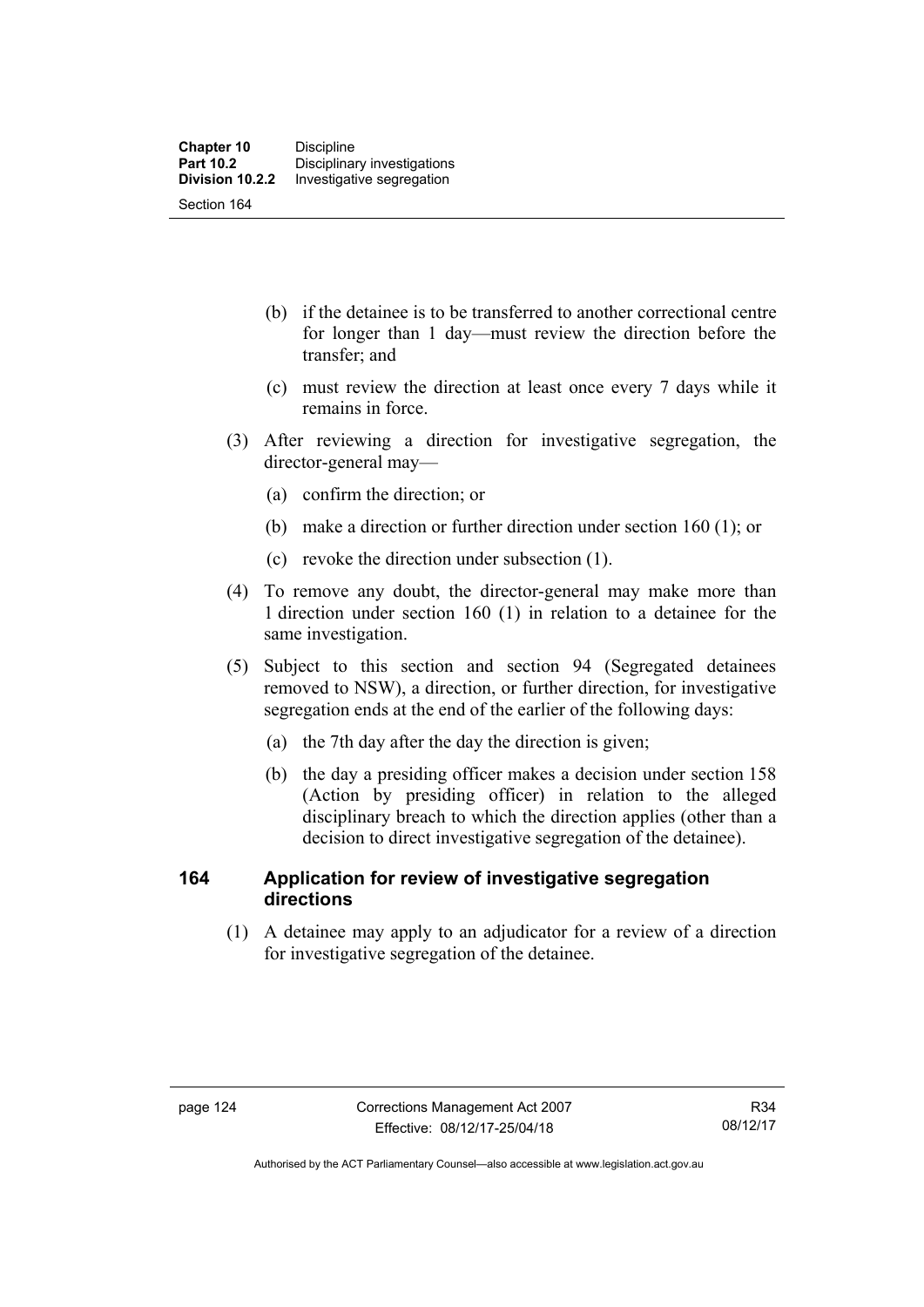- (b) if the detainee is to be transferred to another correctional centre for longer than 1 day—must review the direction before the transfer; and
- (c) must review the direction at least once every 7 days while it remains in force.
- (3) After reviewing a direction for investigative segregation, the director-general may—
	- (a) confirm the direction; or
	- (b) make a direction or further direction under section 160 (1); or
	- (c) revoke the direction under subsection (1).
- (4) To remove any doubt, the director-general may make more than 1 direction under section 160 (1) in relation to a detainee for the same investigation.
- (5) Subject to this section and section 94 (Segregated detainees removed to NSW), a direction, or further direction, for investigative segregation ends at the end of the earlier of the following days:
	- (a) the 7th day after the day the direction is given;
	- (b) the day a presiding officer makes a decision under section 158 (Action by presiding officer) in relation to the alleged disciplinary breach to which the direction applies (other than a decision to direct investigative segregation of the detainee).

# **164 Application for review of investigative segregation directions**

 (1) A detainee may apply to an adjudicator for a review of a direction for investigative segregation of the detainee.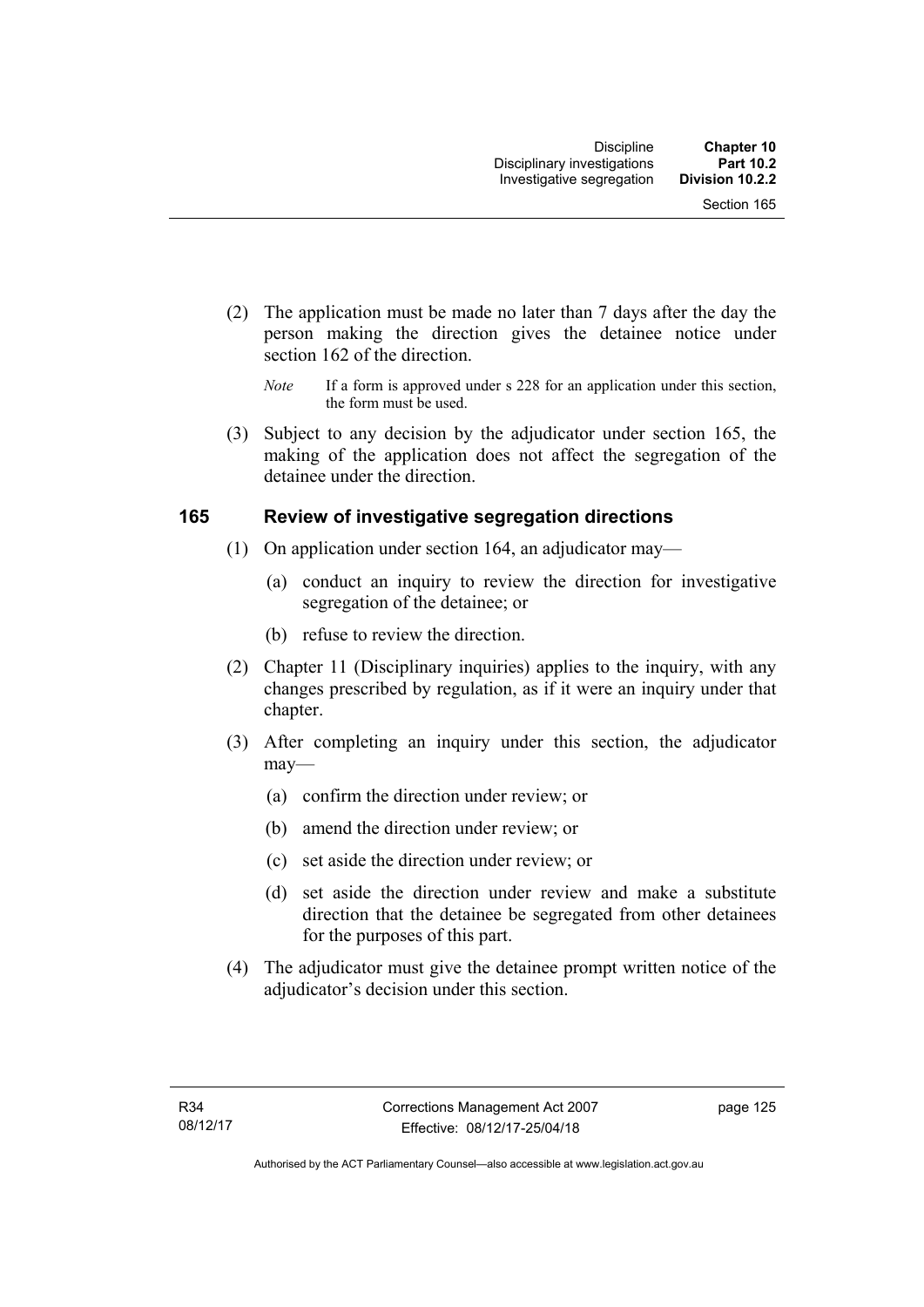- (2) The application must be made no later than 7 days after the day the person making the direction gives the detainee notice under section 162 of the direction.
	- *Note* If a form is approved under s 228 for an application under this section, the form must be used.
- (3) Subject to any decision by the adjudicator under section 165, the making of the application does not affect the segregation of the detainee under the direction.

## **165 Review of investigative segregation directions**

- (1) On application under section 164, an adjudicator may—
	- (a) conduct an inquiry to review the direction for investigative segregation of the detainee; or
	- (b) refuse to review the direction.
- (2) Chapter 11 (Disciplinary inquiries) applies to the inquiry, with any changes prescribed by regulation, as if it were an inquiry under that chapter.
- (3) After completing an inquiry under this section, the adjudicator may—
	- (a) confirm the direction under review; or
	- (b) amend the direction under review; or
	- (c) set aside the direction under review; or
	- (d) set aside the direction under review and make a substitute direction that the detainee be segregated from other detainees for the purposes of this part.
- (4) The adjudicator must give the detainee prompt written notice of the adjudicator's decision under this section.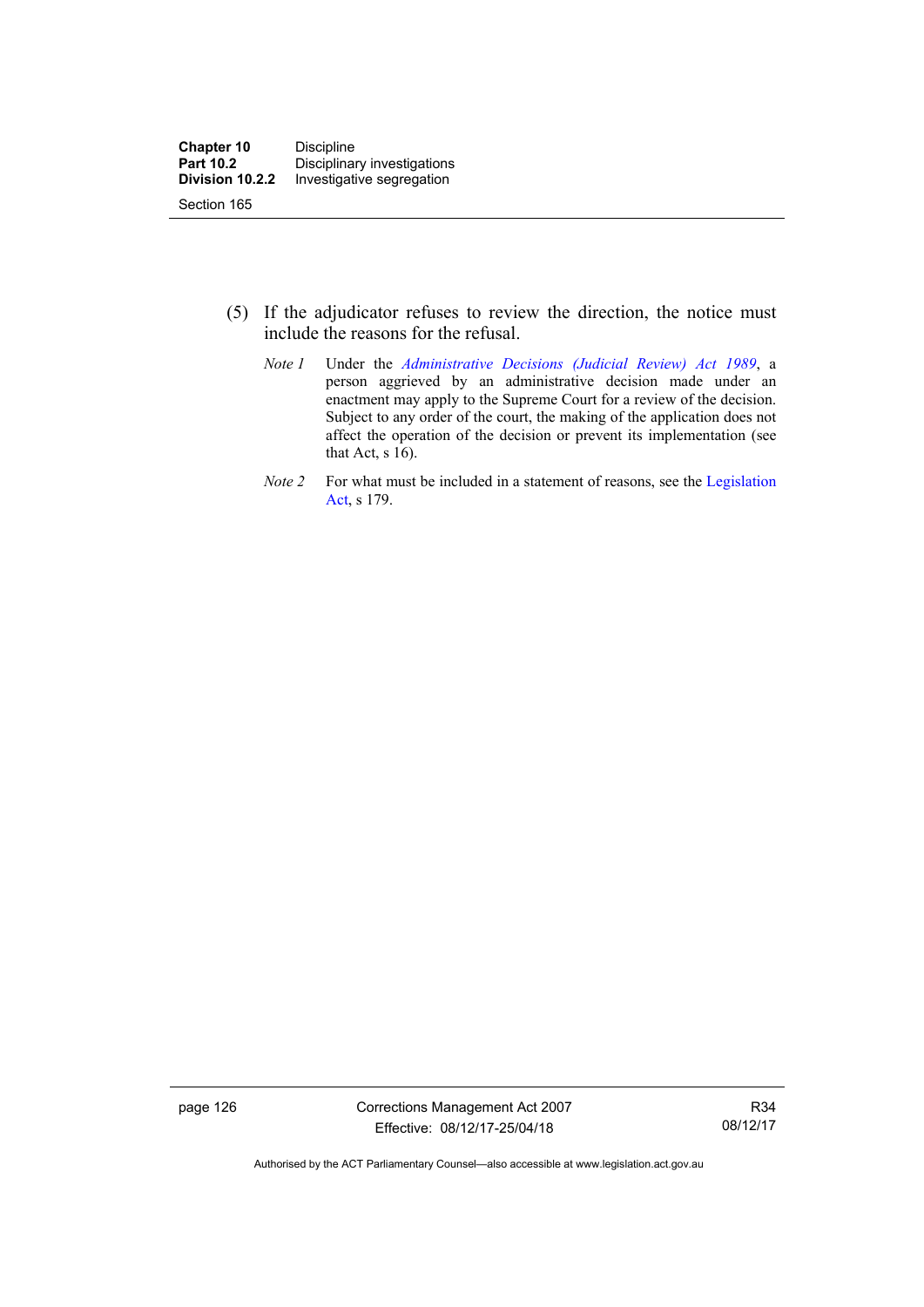- (5) If the adjudicator refuses to review the direction, the notice must include the reasons for the refusal.
	- *Note 1* Under the *[Administrative Decisions \(Judicial Review\) Act 1989](http://www.legislation.act.gov.au/a/alt_a1989-33co)*, a person aggrieved by an administrative decision made under an enactment may apply to the Supreme Court for a review of the decision. Subject to any order of the court, the making of the application does not affect the operation of the decision or prevent its implementation (see that Act, s 16).
	- *Note 2* For what must be included in a statement of reasons, see the Legislation [Act,](http://www.legislation.act.gov.au/a/2001-14) s 179.

page 126 Corrections Management Act 2007 Effective: 08/12/17-25/04/18

R34 08/12/17

Authorised by the ACT Parliamentary Counsel—also accessible at www.legislation.act.gov.au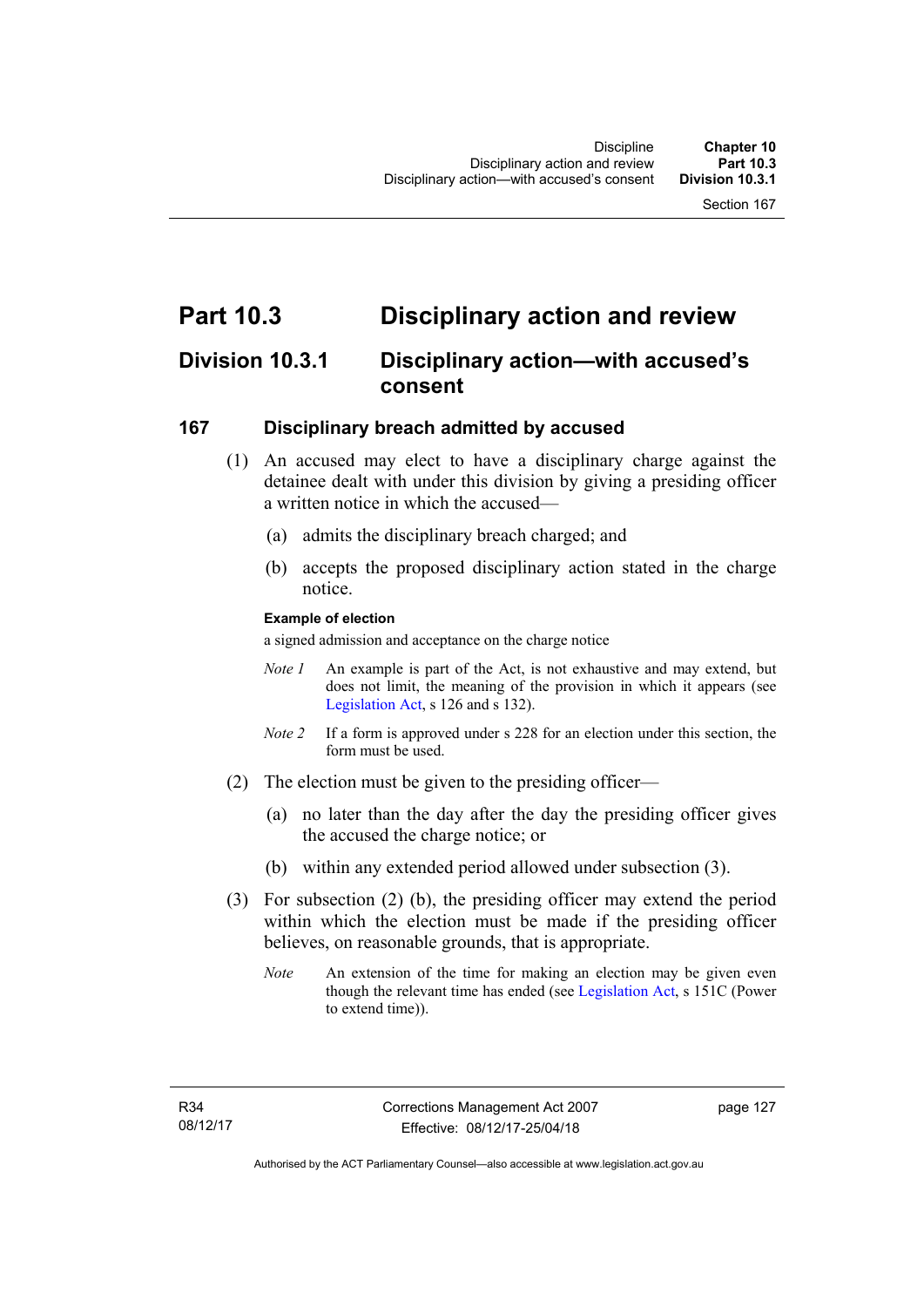# **Part 10.3 Disciplinary action and review**

# **Division 10.3.1 Disciplinary action—with accused's consent**

# **167 Disciplinary breach admitted by accused**

- (1) An accused may elect to have a disciplinary charge against the detainee dealt with under this division by giving a presiding officer a written notice in which the accused—
	- (a) admits the disciplinary breach charged; and
	- (b) accepts the proposed disciplinary action stated in the charge notice.

#### **Example of election**

a signed admission and acceptance on the charge notice

- *Note 1* An example is part of the Act, is not exhaustive and may extend, but does not limit, the meaning of the provision in which it appears (see [Legislation Act,](http://www.legislation.act.gov.au/a/2001-14) s 126 and s 132).
- *Note 2* If a form is approved under s 228 for an election under this section, the form must be used.
- (2) The election must be given to the presiding officer—
	- (a) no later than the day after the day the presiding officer gives the accused the charge notice; or
	- (b) within any extended period allowed under subsection (3).
- (3) For subsection (2) (b), the presiding officer may extend the period within which the election must be made if the presiding officer believes, on reasonable grounds, that is appropriate.
	- *Note* An extension of the time for making an election may be given even though the relevant time has ended (see [Legislation Act](http://www.legislation.act.gov.au/a/2001-14), s 151C (Power to extend time)).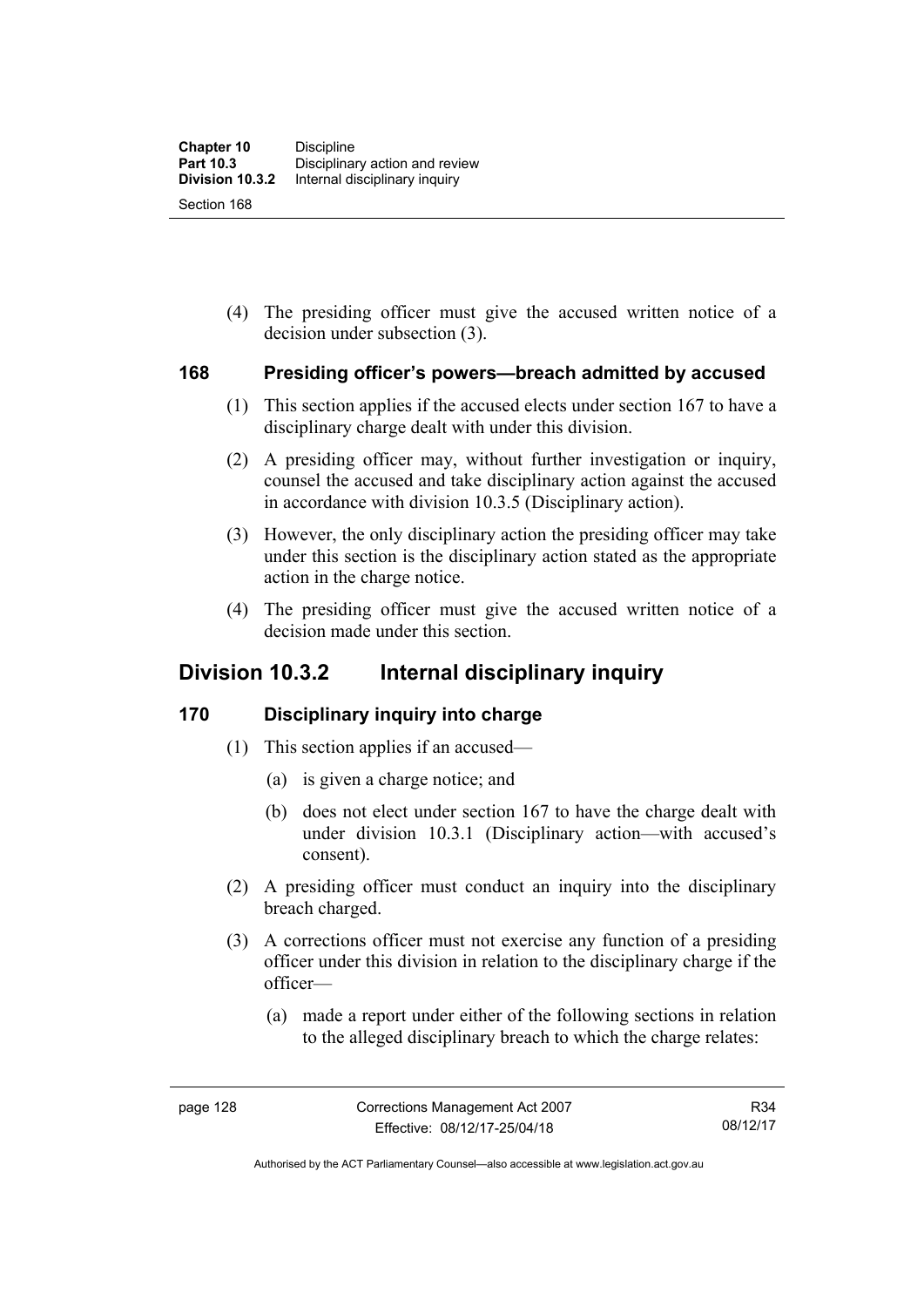(4) The presiding officer must give the accused written notice of a decision under subsection (3).

## **168 Presiding officer's powers—breach admitted by accused**

- (1) This section applies if the accused elects under section 167 to have a disciplinary charge dealt with under this division.
- (2) A presiding officer may, without further investigation or inquiry, counsel the accused and take disciplinary action against the accused in accordance with division 10.3.5 (Disciplinary action).
- (3) However, the only disciplinary action the presiding officer may take under this section is the disciplinary action stated as the appropriate action in the charge notice.
- (4) The presiding officer must give the accused written notice of a decision made under this section.

# **Division 10.3.2 Internal disciplinary inquiry**

# **170 Disciplinary inquiry into charge**

- (1) This section applies if an accused—
	- (a) is given a charge notice; and
	- (b) does not elect under section 167 to have the charge dealt with under division 10.3.1 (Disciplinary action—with accused's consent).
- (2) A presiding officer must conduct an inquiry into the disciplinary breach charged.
- (3) A corrections officer must not exercise any function of a presiding officer under this division in relation to the disciplinary charge if the officer—
	- (a) made a report under either of the following sections in relation to the alleged disciplinary breach to which the charge relates: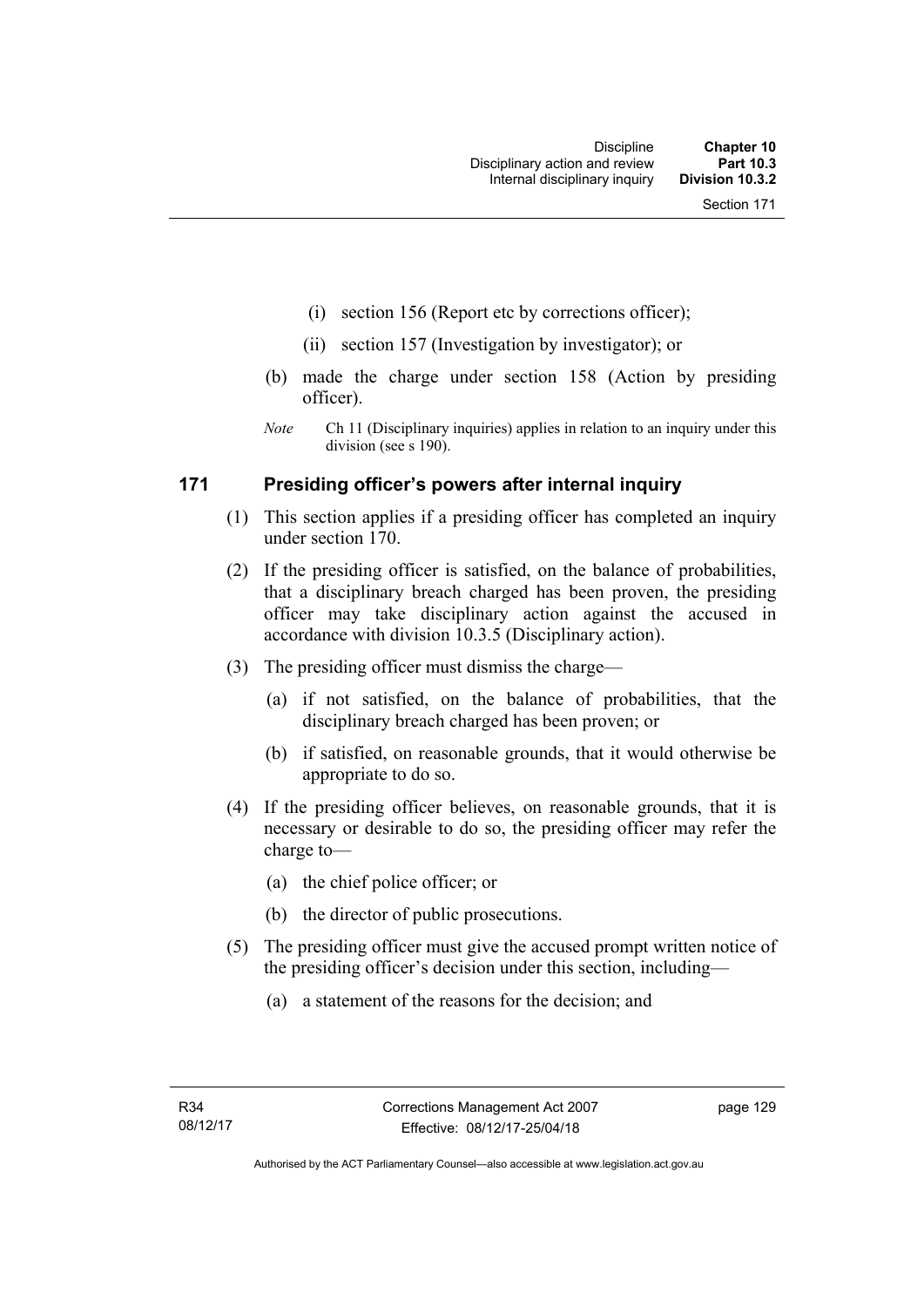- (i) section 156 (Report etc by corrections officer);
- (ii) section 157 (Investigation by investigator); or
- (b) made the charge under section 158 (Action by presiding officer).
- *Note* Ch 11 (Disciplinary inquiries) applies in relation to an inquiry under this division (see s 190).

## **171 Presiding officer's powers after internal inquiry**

- (1) This section applies if a presiding officer has completed an inquiry under section 170.
- (2) If the presiding officer is satisfied, on the balance of probabilities, that a disciplinary breach charged has been proven, the presiding officer may take disciplinary action against the accused in accordance with division 10.3.5 (Disciplinary action).
- (3) The presiding officer must dismiss the charge—
	- (a) if not satisfied, on the balance of probabilities, that the disciplinary breach charged has been proven; or
	- (b) if satisfied, on reasonable grounds, that it would otherwise be appropriate to do so.
- (4) If the presiding officer believes, on reasonable grounds, that it is necessary or desirable to do so, the presiding officer may refer the charge to—
	- (a) the chief police officer; or
	- (b) the director of public prosecutions.
- (5) The presiding officer must give the accused prompt written notice of the presiding officer's decision under this section, including—
	- (a) a statement of the reasons for the decision; and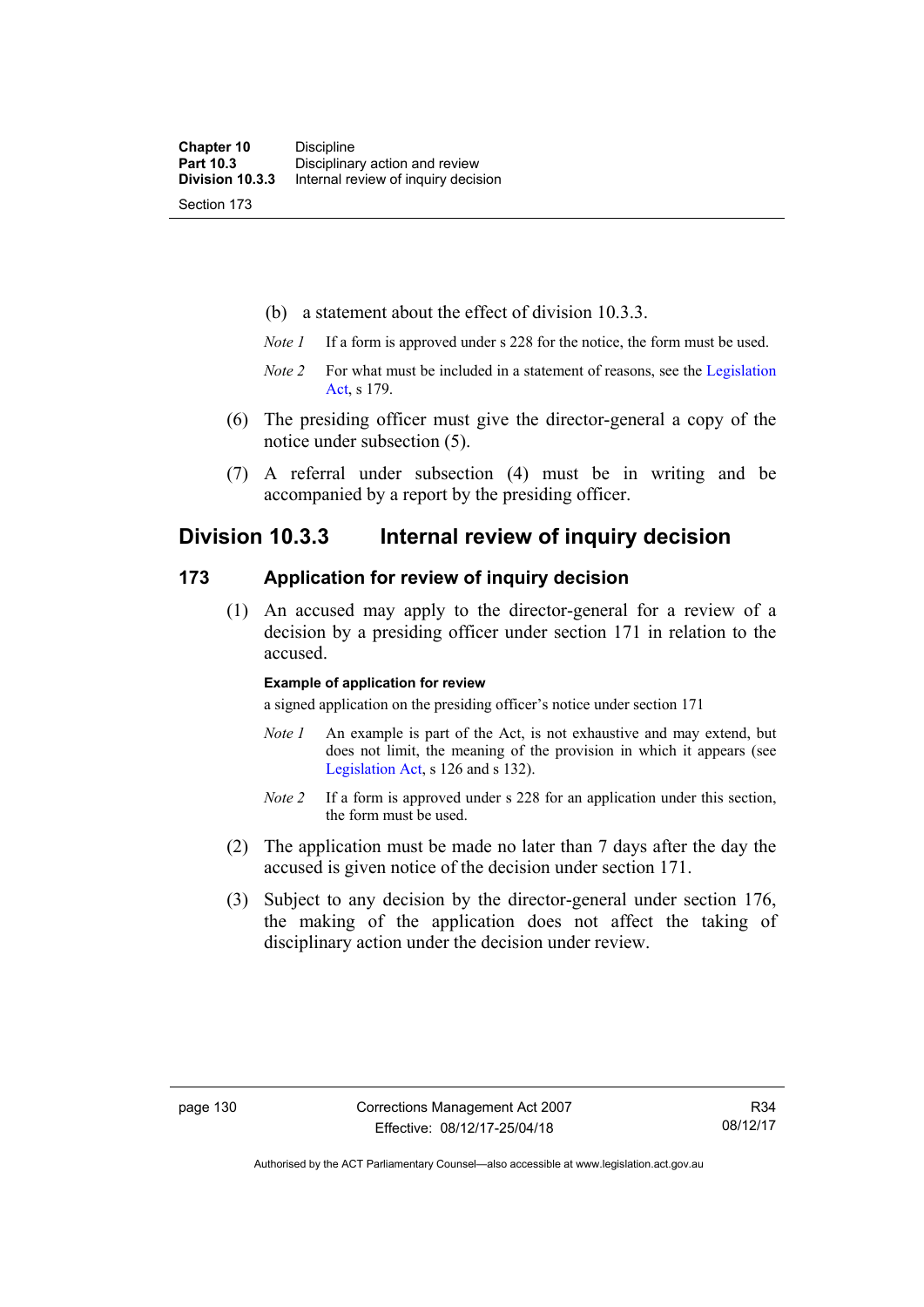- (b) a statement about the effect of division 10.3.3.
- *Note 1* If a form is approved under s 228 for the notice, the form must be used.
- *Note 2* For what must be included in a statement of reasons, see the Legislation [Act,](http://www.legislation.act.gov.au/a/2001-14) s 179.
- (6) The presiding officer must give the director-general a copy of the notice under subsection (5).
- (7) A referral under subsection (4) must be in writing and be accompanied by a report by the presiding officer.

# **Division 10.3.3 Internal review of inquiry decision**

### **173 Application for review of inquiry decision**

 (1) An accused may apply to the director-general for a review of a decision by a presiding officer under section 171 in relation to the accused.

#### **Example of application for review**

a signed application on the presiding officer's notice under section 171

- *Note 1* An example is part of the Act, is not exhaustive and may extend, but does not limit, the meaning of the provision in which it appears (see [Legislation Act,](http://www.legislation.act.gov.au/a/2001-14) s 126 and s 132).
- *Note 2* If a form is approved under s 228 for an application under this section, the form must be used.
- (2) The application must be made no later than 7 days after the day the accused is given notice of the decision under section 171.
- (3) Subject to any decision by the director-general under section 176, the making of the application does not affect the taking of disciplinary action under the decision under review.

Authorised by the ACT Parliamentary Counsel—also accessible at www.legislation.act.gov.au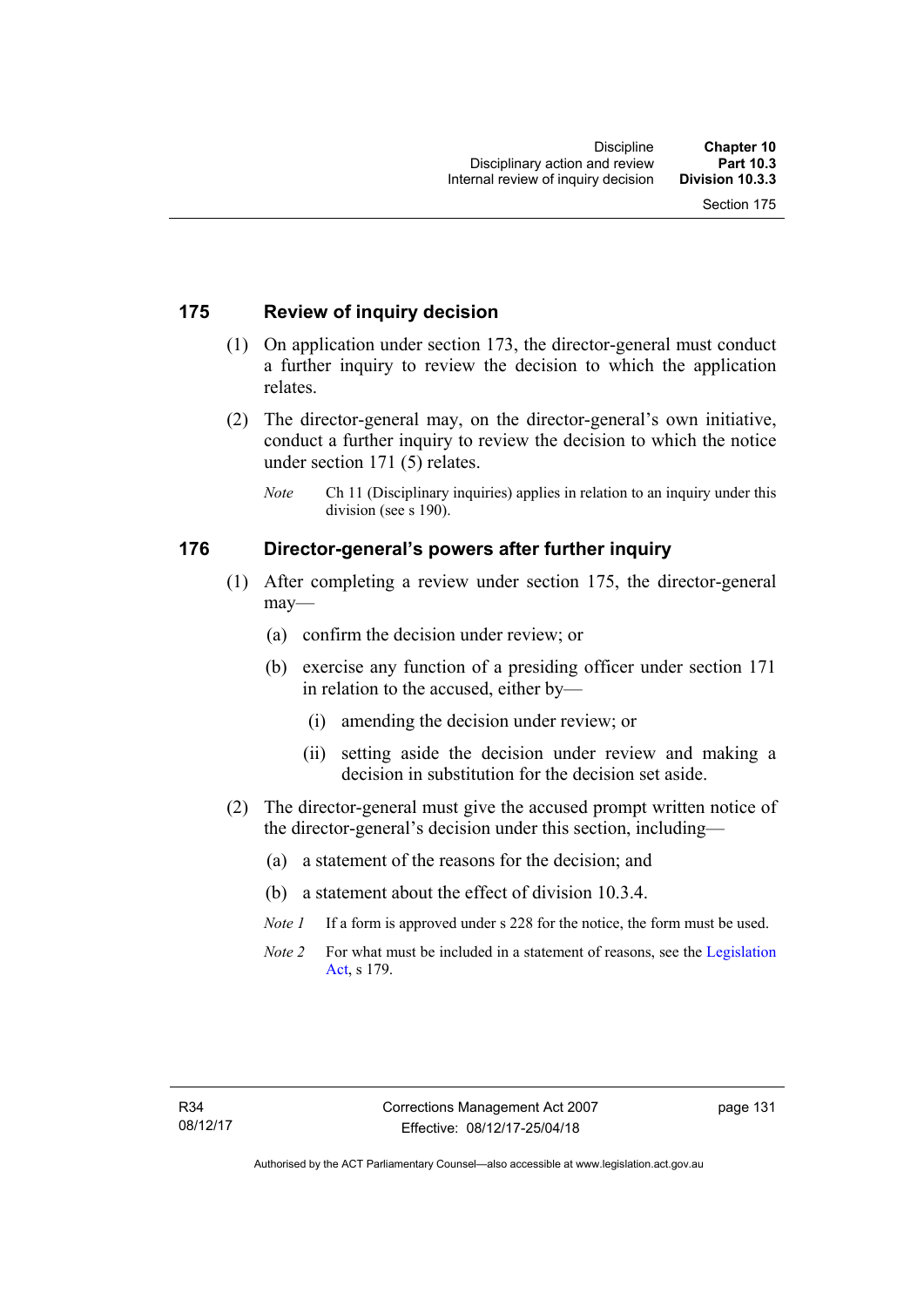### **175 Review of inquiry decision**

- (1) On application under section 173, the director-general must conduct a further inquiry to review the decision to which the application relates.
- (2) The director-general may, on the director-general's own initiative, conduct a further inquiry to review the decision to which the notice under section 171 (5) relates.
	- *Note* Ch 11 (Disciplinary inquiries) applies in relation to an inquiry under this division (see s 190).

#### **176 Director-general's powers after further inquiry**

- (1) After completing a review under section 175, the director-general may—
	- (a) confirm the decision under review; or
	- (b) exercise any function of a presiding officer under section 171 in relation to the accused, either by—
		- (i) amending the decision under review; or
		- (ii) setting aside the decision under review and making a decision in substitution for the decision set aside.
- (2) The director-general must give the accused prompt written notice of the director-general's decision under this section, including—
	- (a) a statement of the reasons for the decision; and
	- (b) a statement about the effect of division 10.3.4.
	- *Note 1* If a form is approved under s 228 for the notice, the form must be used.
	- *Note 2* For what must be included in a statement of reasons, see the Legislation [Act,](http://www.legislation.act.gov.au/a/2001-14) s 179.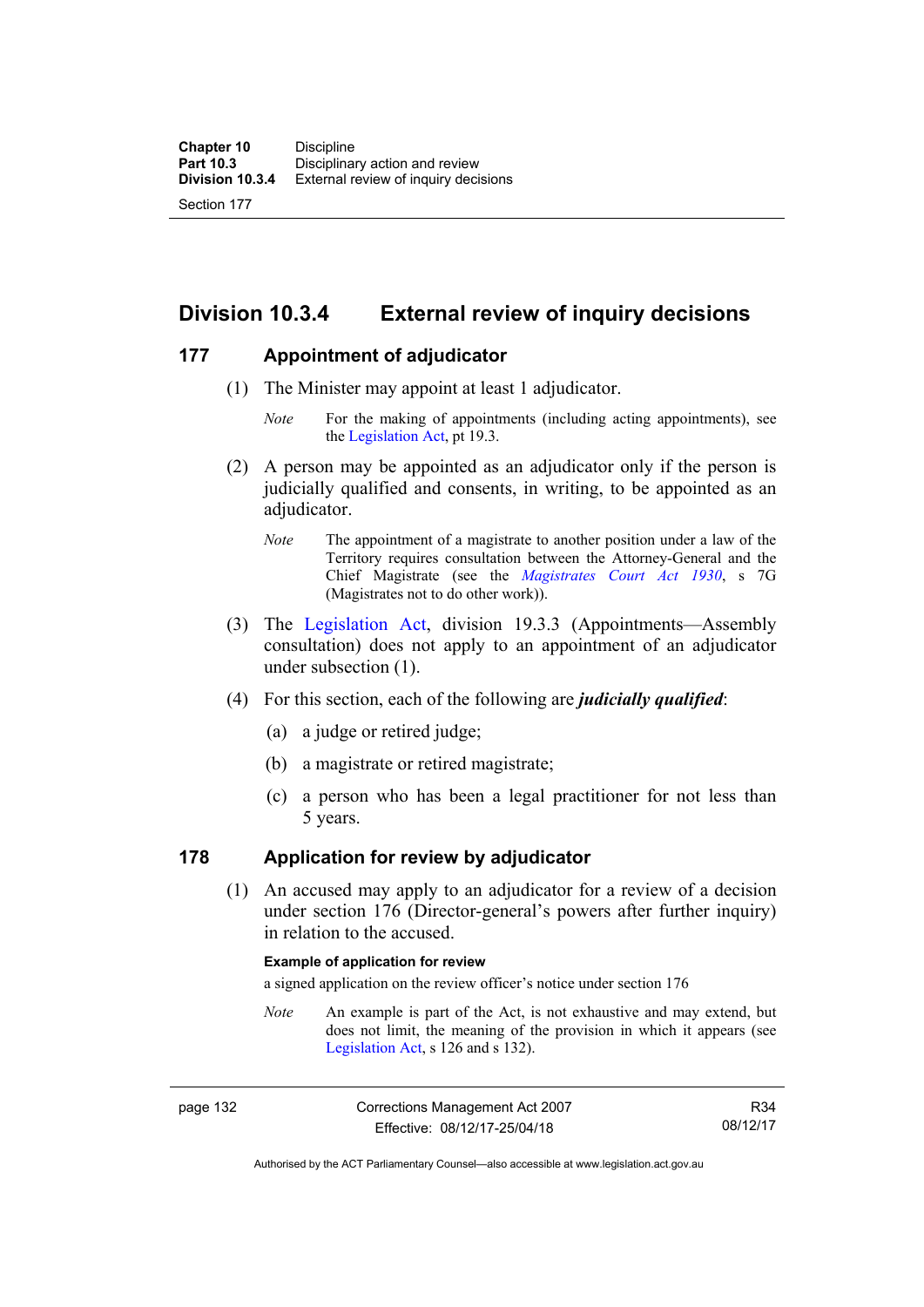Section 177

**Division 10.3.4 External review of inquiry decisions** 

### **177 Appointment of adjudicator**

- (1) The Minister may appoint at least 1 adjudicator.
	- *Note* For the making of appointments (including acting appointments), see the [Legislation Act,](http://www.legislation.act.gov.au/a/2001-14) pt 19.3.
- (2) A person may be appointed as an adjudicator only if the person is judicially qualified and consents, in writing, to be appointed as an adjudicator.
	- *Note* The appointment of a magistrate to another position under a law of the Territory requires consultation between the Attorney-General and the Chief Magistrate (see the *[Magistrates Court Act 1930](http://www.legislation.act.gov.au/a/1930-21)*, s 7G (Magistrates not to do other work)).
- (3) The [Legislation Act,](http://www.legislation.act.gov.au/a/2001-14) division 19.3.3 (Appointments—Assembly consultation) does not apply to an appointment of an adjudicator under subsection (1).
- (4) For this section, each of the following are *judicially qualified*:
	- (a) a judge or retired judge;
	- (b) a magistrate or retired magistrate;
	- (c) a person who has been a legal practitioner for not less than 5 years.

## **178 Application for review by adjudicator**

 (1) An accused may apply to an adjudicator for a review of a decision under section 176 (Director-general's powers after further inquiry) in relation to the accused.

#### **Example of application for review**

a signed application on the review officer's notice under section 176

*Note* An example is part of the Act, is not exhaustive and may extend, but does not limit, the meaning of the provision in which it appears (see [Legislation Act,](http://www.legislation.act.gov.au/a/2001-14) s 126 and s 132).

Authorised by the ACT Parliamentary Counsel—also accessible at www.legislation.act.gov.au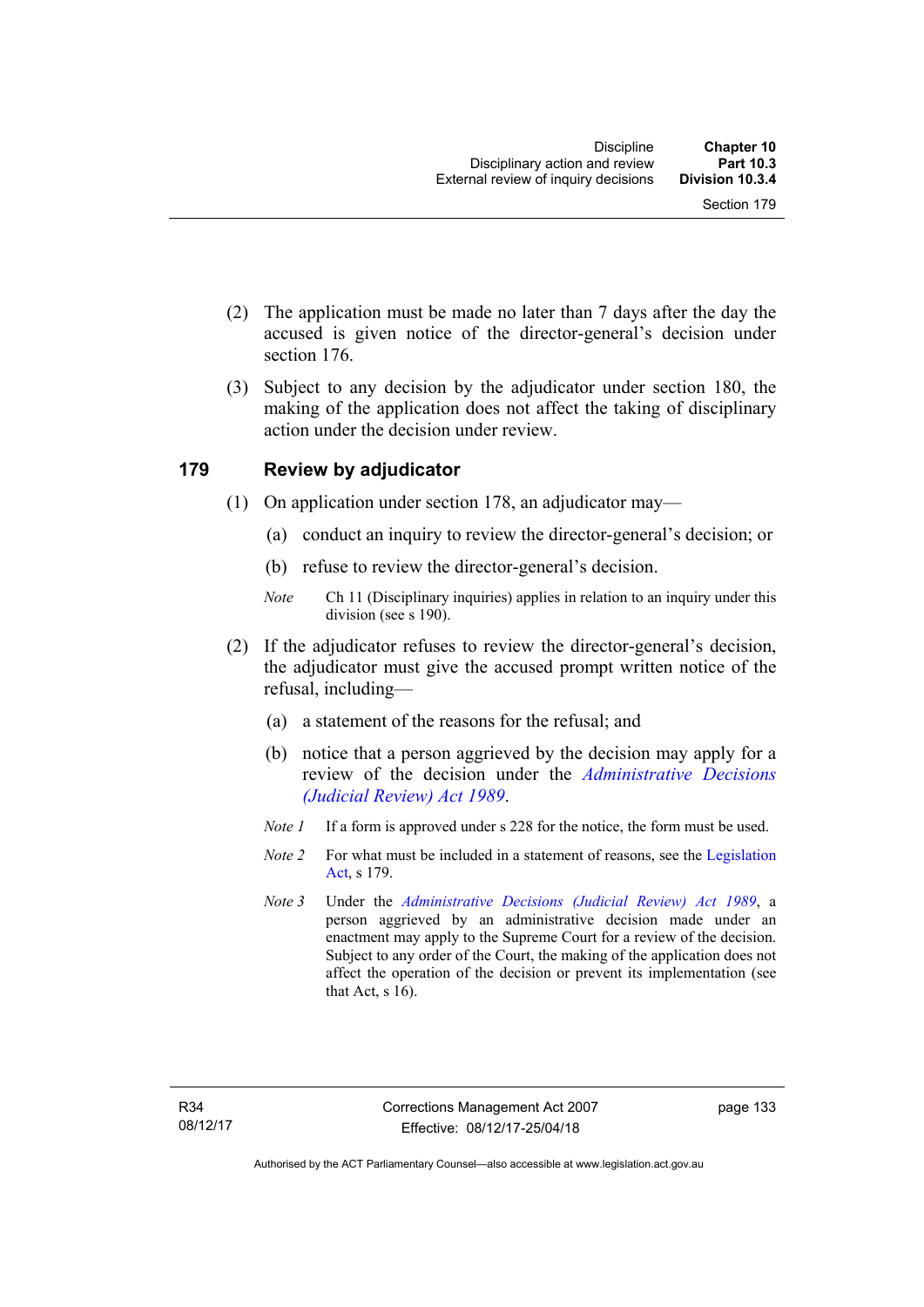- (2) The application must be made no later than 7 days after the day the accused is given notice of the director-general's decision under section 176.
- (3) Subject to any decision by the adjudicator under section 180, the making of the application does not affect the taking of disciplinary action under the decision under review.

### **179 Review by adjudicator**

- (1) On application under section 178, an adjudicator may—
	- (a) conduct an inquiry to review the director-general's decision; or
	- (b) refuse to review the director-general's decision.
	- *Note* Ch 11 (Disciplinary inquiries) applies in relation to an inquiry under this division (see s 190).
- (2) If the adjudicator refuses to review the director-general's decision, the adjudicator must give the accused prompt written notice of the refusal, including—
	- (a) a statement of the reasons for the refusal; and
	- (b) notice that a person aggrieved by the decision may apply for a review of the decision under the *[Administrative Decisions](http://www.legislation.act.gov.au/a/alt_a1989-33co)  [\(Judicial Review\) Act 1989](http://www.legislation.act.gov.au/a/alt_a1989-33co)*.
	- *Note 1* If a form is approved under s 228 for the notice, the form must be used.
	- *Note 2* For what must be included in a statement of reasons, see the Legislation [Act,](http://www.legislation.act.gov.au/a/2001-14) s 179.
	- *Note 3* Under the *[Administrative Decisions \(Judicial Review\) Act 1989](http://www.legislation.act.gov.au/a/alt_a1989-33co)*, a person aggrieved by an administrative decision made under an enactment may apply to the Supreme Court for a review of the decision. Subject to any order of the Court, the making of the application does not affect the operation of the decision or prevent its implementation (see that Act, s 16).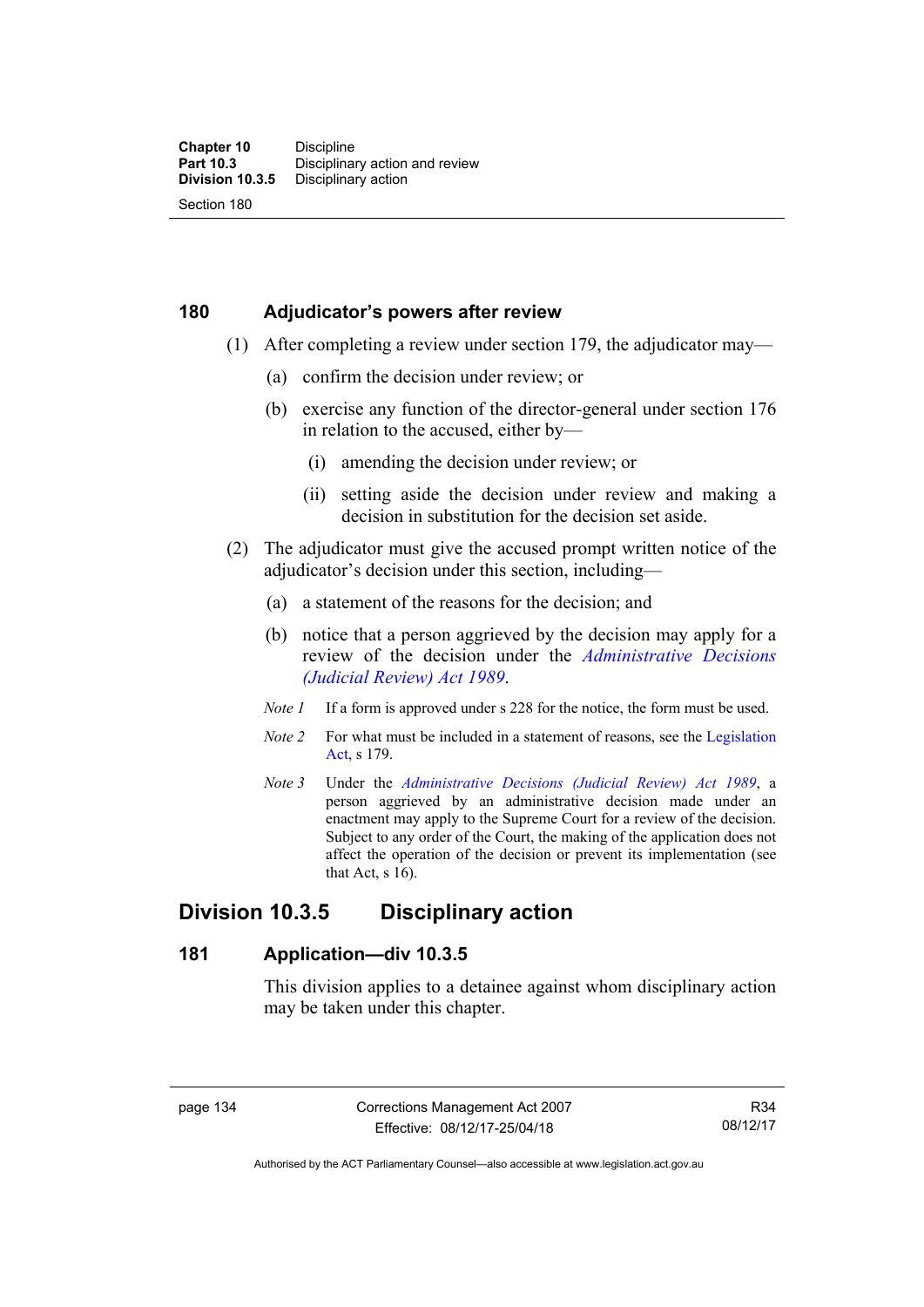#### **180 Adjudicator's powers after review**

- (1) After completing a review under section 179, the adjudicator may—
	- (a) confirm the decision under review; or
	- (b) exercise any function of the director-general under section 176 in relation to the accused, either by—
		- (i) amending the decision under review; or
		- (ii) setting aside the decision under review and making a decision in substitution for the decision set aside.
- (2) The adjudicator must give the accused prompt written notice of the adjudicator's decision under this section, including—
	- (a) a statement of the reasons for the decision; and
	- (b) notice that a person aggrieved by the decision may apply for a review of the decision under the *[Administrative Decisions](http://www.legislation.act.gov.au/a/alt_a1989-33co)  [\(Judicial Review\) Act 1989](http://www.legislation.act.gov.au/a/alt_a1989-33co)*.
	- *Note 1* If a form is approved under s 228 for the notice, the form must be used.
	- *Note 2* For what must be included in a statement of reasons, see the Legislation [Act,](http://www.legislation.act.gov.au/a/2001-14) s 179.
	- *Note 3* Under the *[Administrative Decisions \(Judicial Review\) Act 1989](http://www.legislation.act.gov.au/a/alt_a1989-33co)*, a person aggrieved by an administrative decision made under an enactment may apply to the Supreme Court for a review of the decision. Subject to any order of the Court, the making of the application does not affect the operation of the decision or prevent its implementation (see that Act, s 16).

## **Division 10.3.5 Disciplinary action**

#### **181 Application—div 10.3.5**

This division applies to a detainee against whom disciplinary action may be taken under this chapter.

page 134 Corrections Management Act 2007 Effective: 08/12/17-25/04/18

R34 08/12/17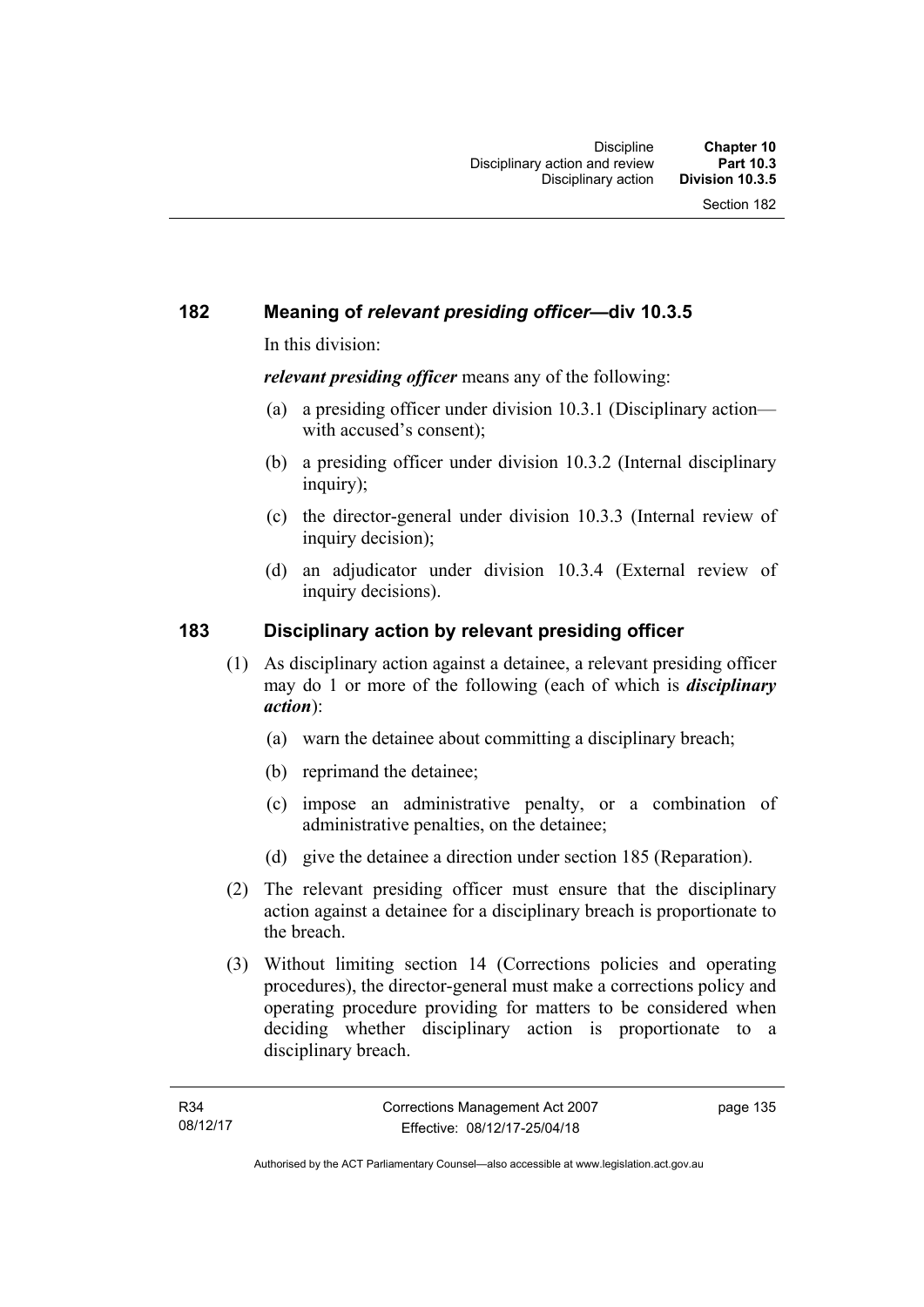## **182 Meaning of** *relevant presiding officer***—div 10.3.5**

In this division:

*relevant presiding officer* means any of the following:

- (a) a presiding officer under division 10.3.1 (Disciplinary action with accused's consent);
- (b) a presiding officer under division 10.3.2 (Internal disciplinary inquiry);
- (c) the director-general under division 10.3.3 (Internal review of inquiry decision):
- (d) an adjudicator under division 10.3.4 (External review of inquiry decisions).

#### **183 Disciplinary action by relevant presiding officer**

- (1) As disciplinary action against a detainee, a relevant presiding officer may do 1 or more of the following (each of which is *disciplinary action*):
	- (a) warn the detainee about committing a disciplinary breach;
	- (b) reprimand the detainee;
	- (c) impose an administrative penalty, or a combination of administrative penalties, on the detainee;
	- (d) give the detainee a direction under section 185 (Reparation).
- (2) The relevant presiding officer must ensure that the disciplinary action against a detainee for a disciplinary breach is proportionate to the breach.
- (3) Without limiting section 14 (Corrections policies and operating procedures), the director-general must make a corrections policy and operating procedure providing for matters to be considered when deciding whether disciplinary action is proportionate to a disciplinary breach.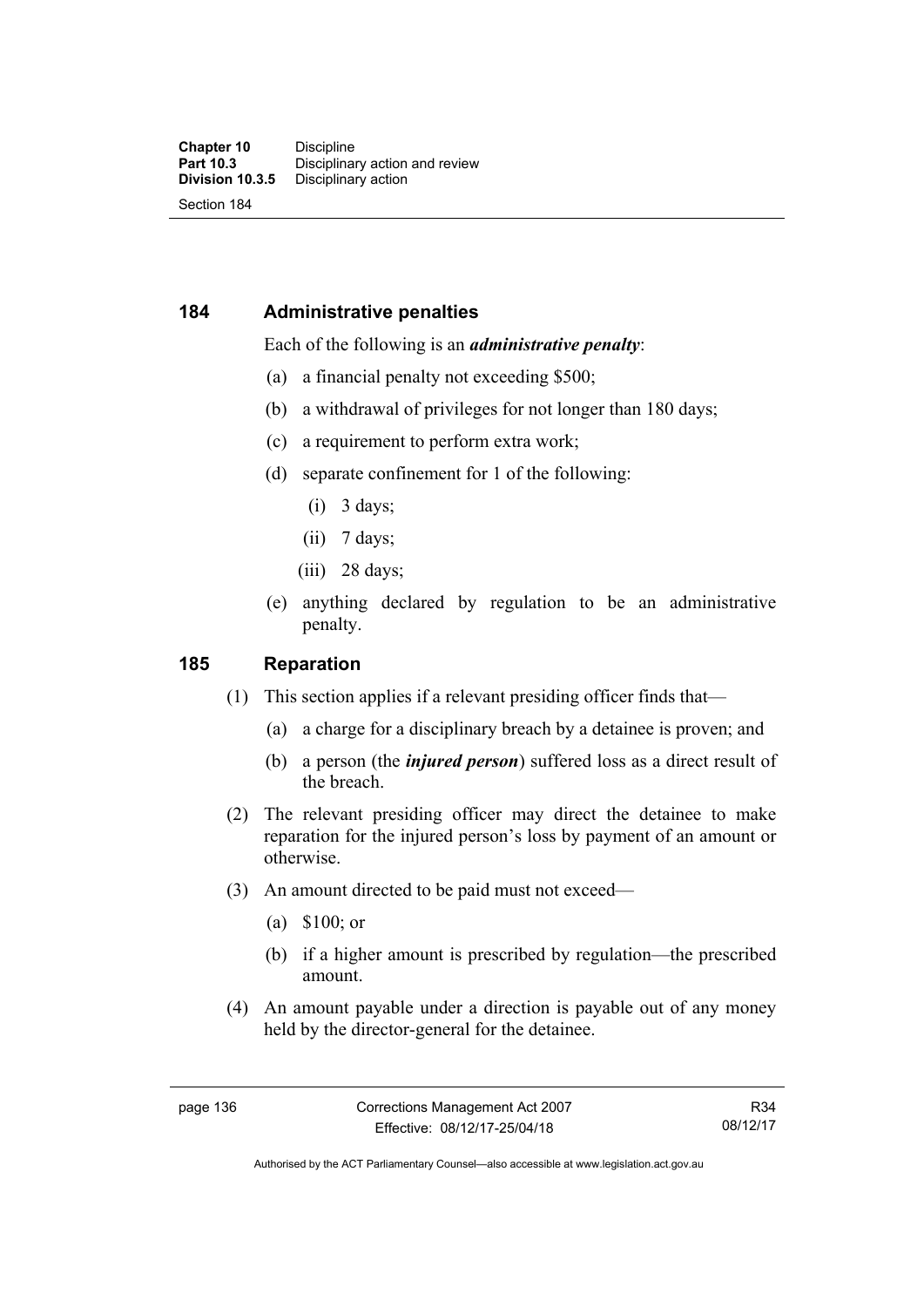### **184 Administrative penalties**

#### Each of the following is an *administrative penalty*:

- (a) a financial penalty not exceeding \$500;
- (b) a withdrawal of privileges for not longer than 180 days;
- (c) a requirement to perform extra work;
- (d) separate confinement for 1 of the following:
	- (i) 3 days;
	- $(ii)$  7 days;
	- (iii) 28 days;
- (e) anything declared by regulation to be an administrative penalty.

#### **185 Reparation**

- (1) This section applies if a relevant presiding officer finds that—
	- (a) a charge for a disciplinary breach by a detainee is proven; and
	- (b) a person (the *injured person*) suffered loss as a direct result of the breach.
- (2) The relevant presiding officer may direct the detainee to make reparation for the injured person's loss by payment of an amount or otherwise.
- (3) An amount directed to be paid must not exceed—
	- (a) \$100; or
	- (b) if a higher amount is prescribed by regulation—the prescribed amount.
- (4) An amount payable under a direction is payable out of any money held by the director-general for the detainee.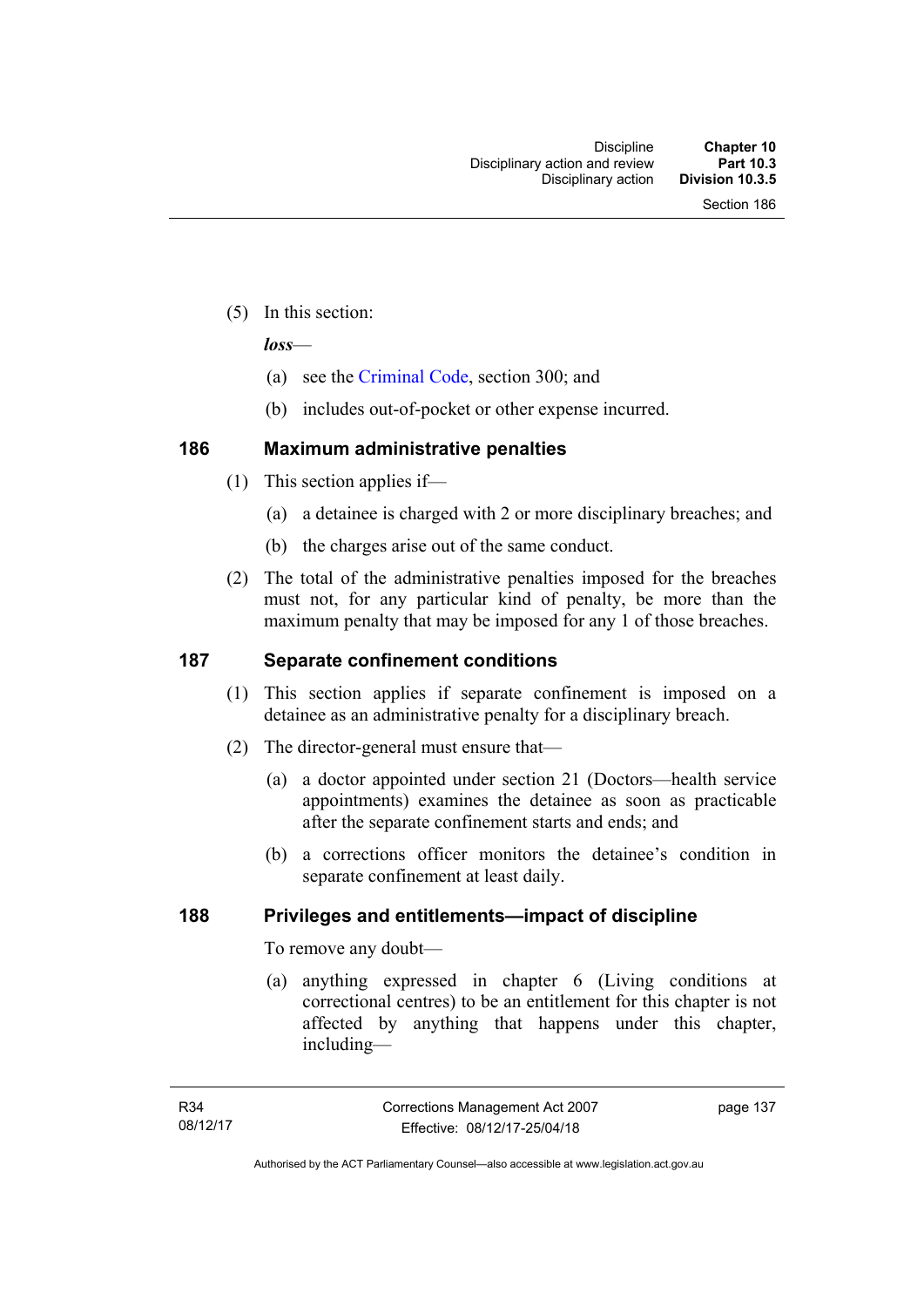(5) In this section:

*loss*—

- (a) see the [Criminal Code](http://www.legislation.act.gov.au/a/2002-51), section 300; and
- (b) includes out-of-pocket or other expense incurred.

### **186 Maximum administrative penalties**

- (1) This section applies if—
	- (a) a detainee is charged with 2 or more disciplinary breaches; and
	- (b) the charges arise out of the same conduct.
- (2) The total of the administrative penalties imposed for the breaches must not, for any particular kind of penalty, be more than the maximum penalty that may be imposed for any 1 of those breaches.

#### **187 Separate confinement conditions**

- (1) This section applies if separate confinement is imposed on a detainee as an administrative penalty for a disciplinary breach.
- (2) The director-general must ensure that—
	- (a) a doctor appointed under section 21 (Doctors—health service appointments) examines the detainee as soon as practicable after the separate confinement starts and ends; and
	- (b) a corrections officer monitors the detainee's condition in separate confinement at least daily.

#### **188 Privileges and entitlements—impact of discipline**

To remove any doubt—

 (a) anything expressed in chapter 6 (Living conditions at correctional centres) to be an entitlement for this chapter is not affected by anything that happens under this chapter, including—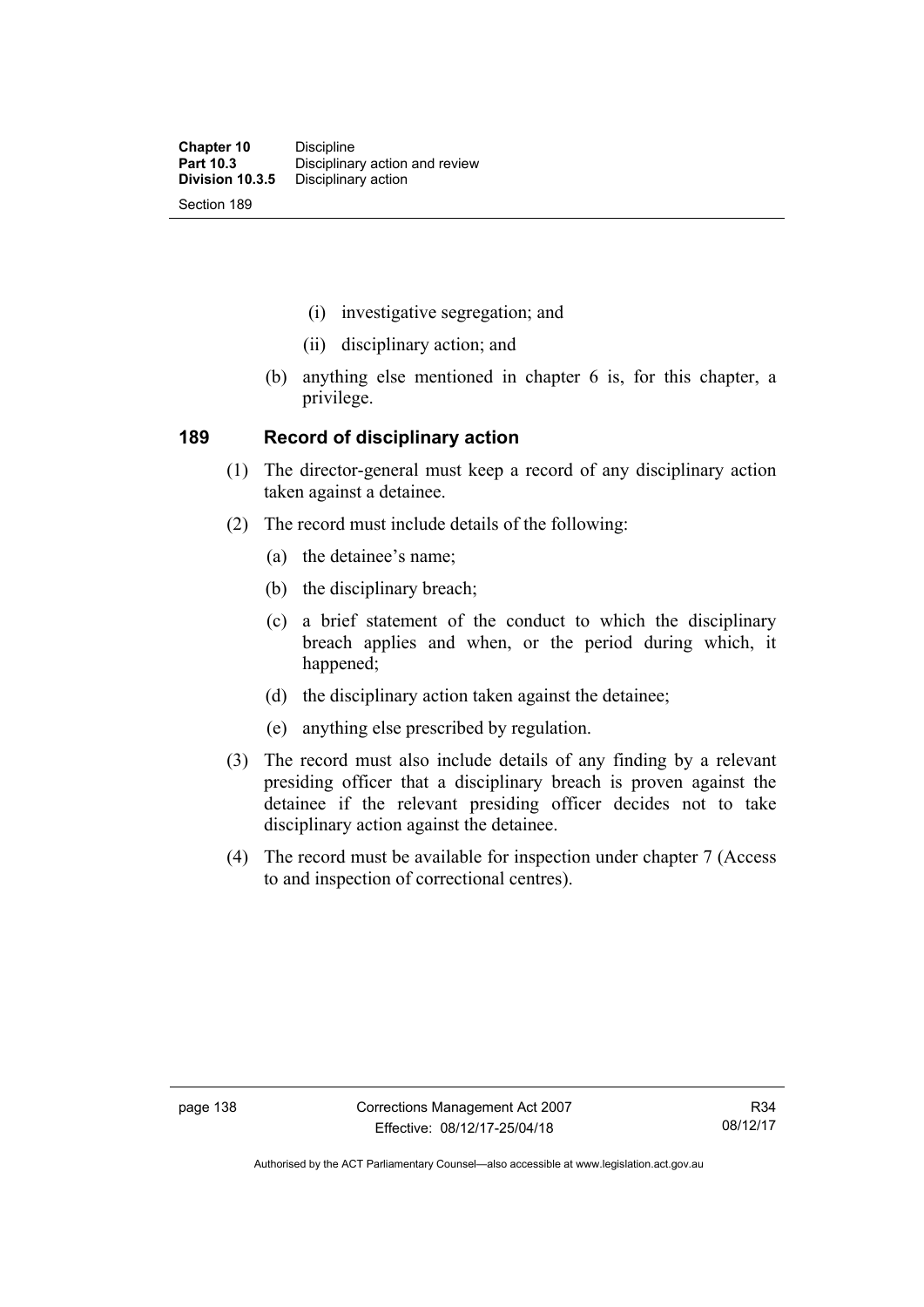- (i) investigative segregation; and
- (ii) disciplinary action; and
- (b) anything else mentioned in chapter 6 is, for this chapter, a privilege.

#### **189 Record of disciplinary action**

- (1) The director-general must keep a record of any disciplinary action taken against a detainee.
- (2) The record must include details of the following:
	- (a) the detainee's name;
	- (b) the disciplinary breach;
	- (c) a brief statement of the conduct to which the disciplinary breach applies and when, or the period during which, it happened;
	- (d) the disciplinary action taken against the detainee;
	- (e) anything else prescribed by regulation.
- (3) The record must also include details of any finding by a relevant presiding officer that a disciplinary breach is proven against the detainee if the relevant presiding officer decides not to take disciplinary action against the detainee.
- (4) The record must be available for inspection under chapter 7 (Access to and inspection of correctional centres).

Authorised by the ACT Parliamentary Counsel—also accessible at www.legislation.act.gov.au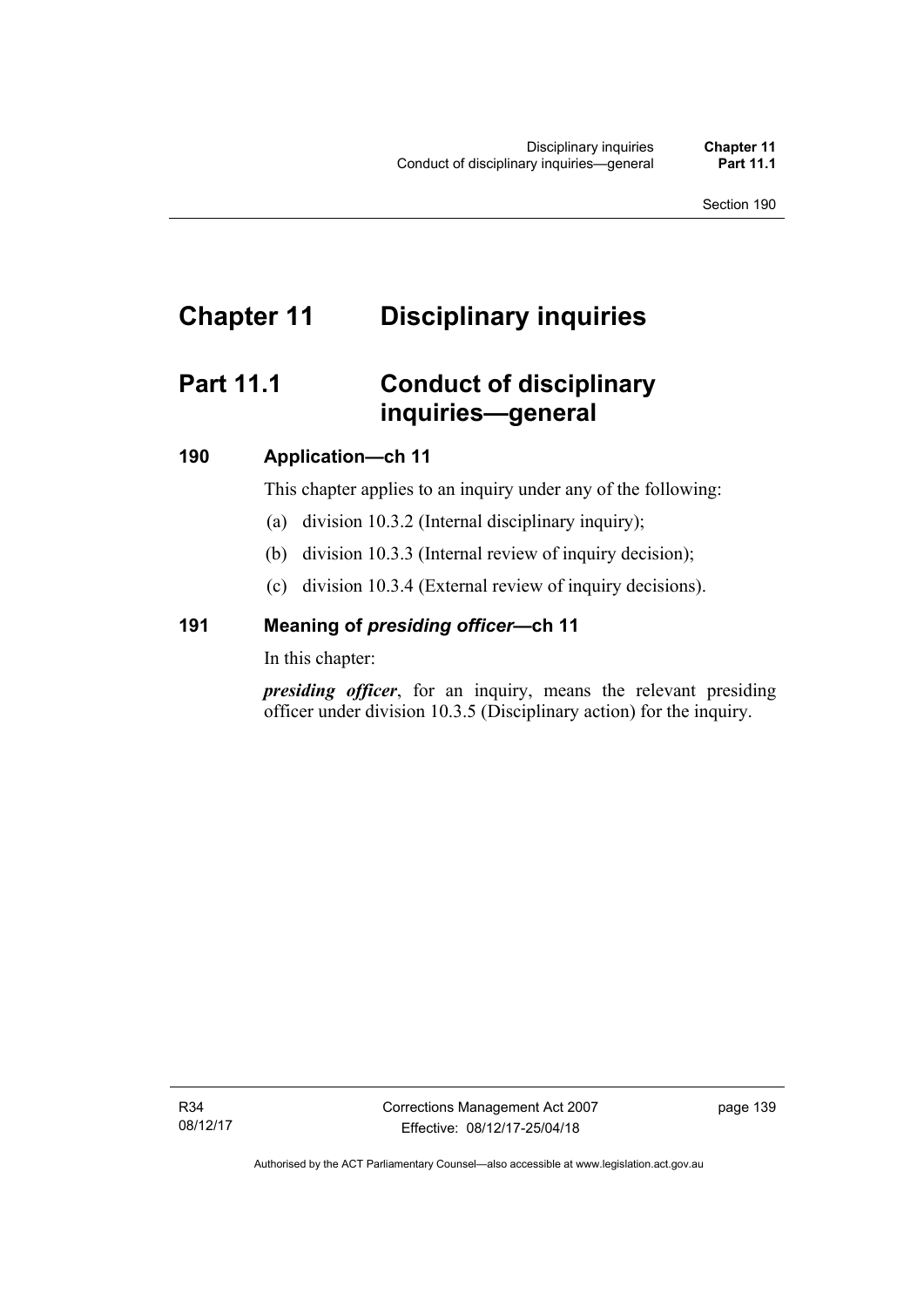# **Chapter 11 Disciplinary inquiries**

# **Part 11.1 Conduct of disciplinary inquiries—general**

## **190 Application—ch 11**

This chapter applies to an inquiry under any of the following:

- (a) division 10.3.2 (Internal disciplinary inquiry);
- (b) division 10.3.3 (Internal review of inquiry decision);
- (c) division 10.3.4 (External review of inquiry decisions).

## **191 Meaning of** *presiding officer—***ch 11**

In this chapter:

*presiding officer*, for an inquiry, means the relevant presiding officer under division 10.3.5 (Disciplinary action) for the inquiry.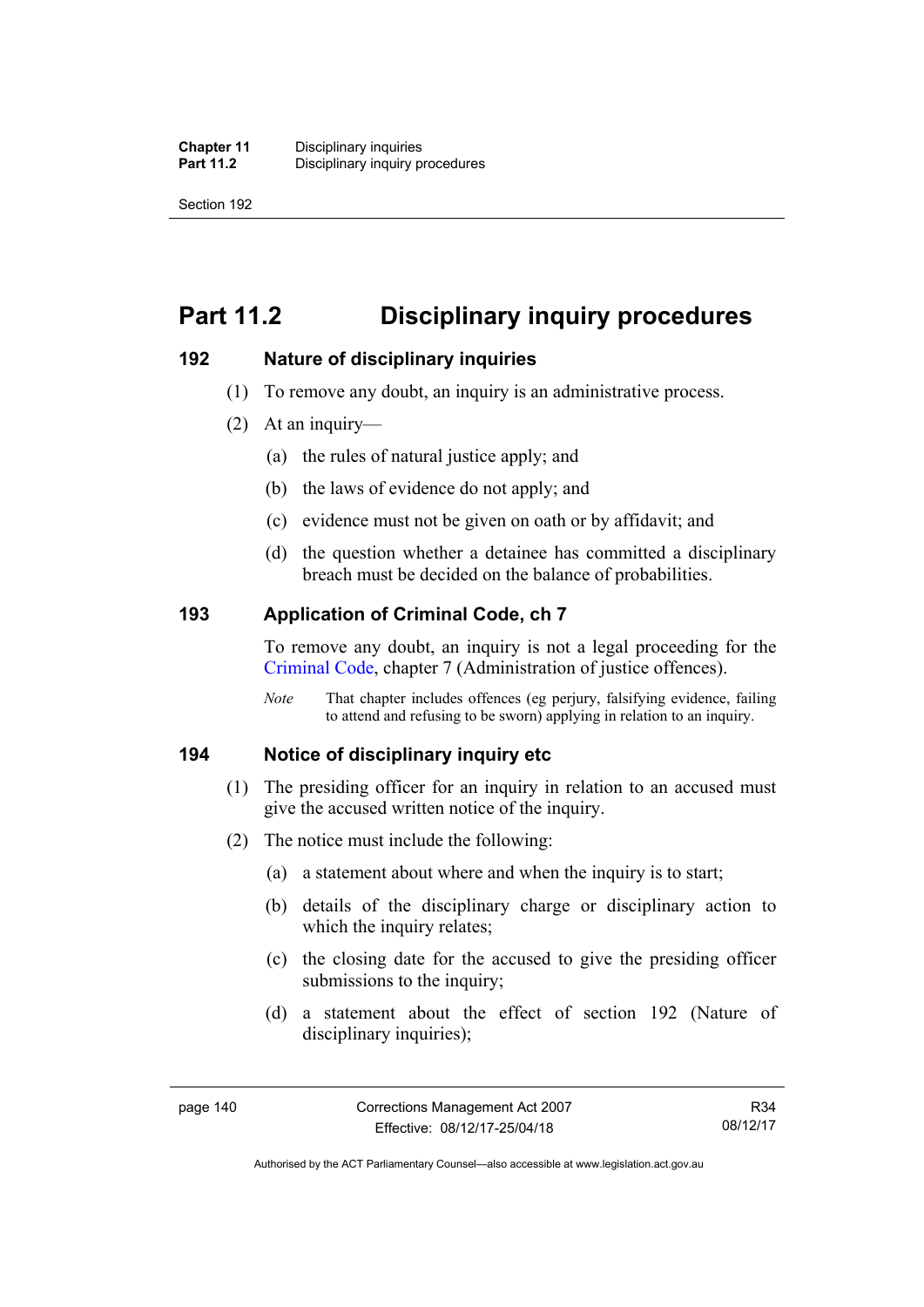Section 192

# **Part 11.2 Disciplinary inquiry procedures**

### **192 Nature of disciplinary inquiries**

- (1) To remove any doubt, an inquiry is an administrative process.
- (2) At an inquiry—
	- (a) the rules of natural justice apply; and
	- (b) the laws of evidence do not apply; and
	- (c) evidence must not be given on oath or by affidavit; and
	- (d) the question whether a detainee has committed a disciplinary breach must be decided on the balance of probabilities.

## **193 Application of Criminal Code, ch 7**

To remove any doubt, an inquiry is not a legal proceeding for the [Criminal Code](http://www.legislation.act.gov.au/a/2002-51), chapter 7 (Administration of justice offences).

*Note* That chapter includes offences (eg perjury, falsifying evidence, failing to attend and refusing to be sworn) applying in relation to an inquiry.

#### **194 Notice of disciplinary inquiry etc**

- (1) The presiding officer for an inquiry in relation to an accused must give the accused written notice of the inquiry.
- (2) The notice must include the following:
	- (a) a statement about where and when the inquiry is to start;
	- (b) details of the disciplinary charge or disciplinary action to which the inquiry relates:
	- (c) the closing date for the accused to give the presiding officer submissions to the inquiry;
	- (d) a statement about the effect of section 192 (Nature of disciplinary inquiries);

R34 08/12/17

Authorised by the ACT Parliamentary Counsel—also accessible at www.legislation.act.gov.au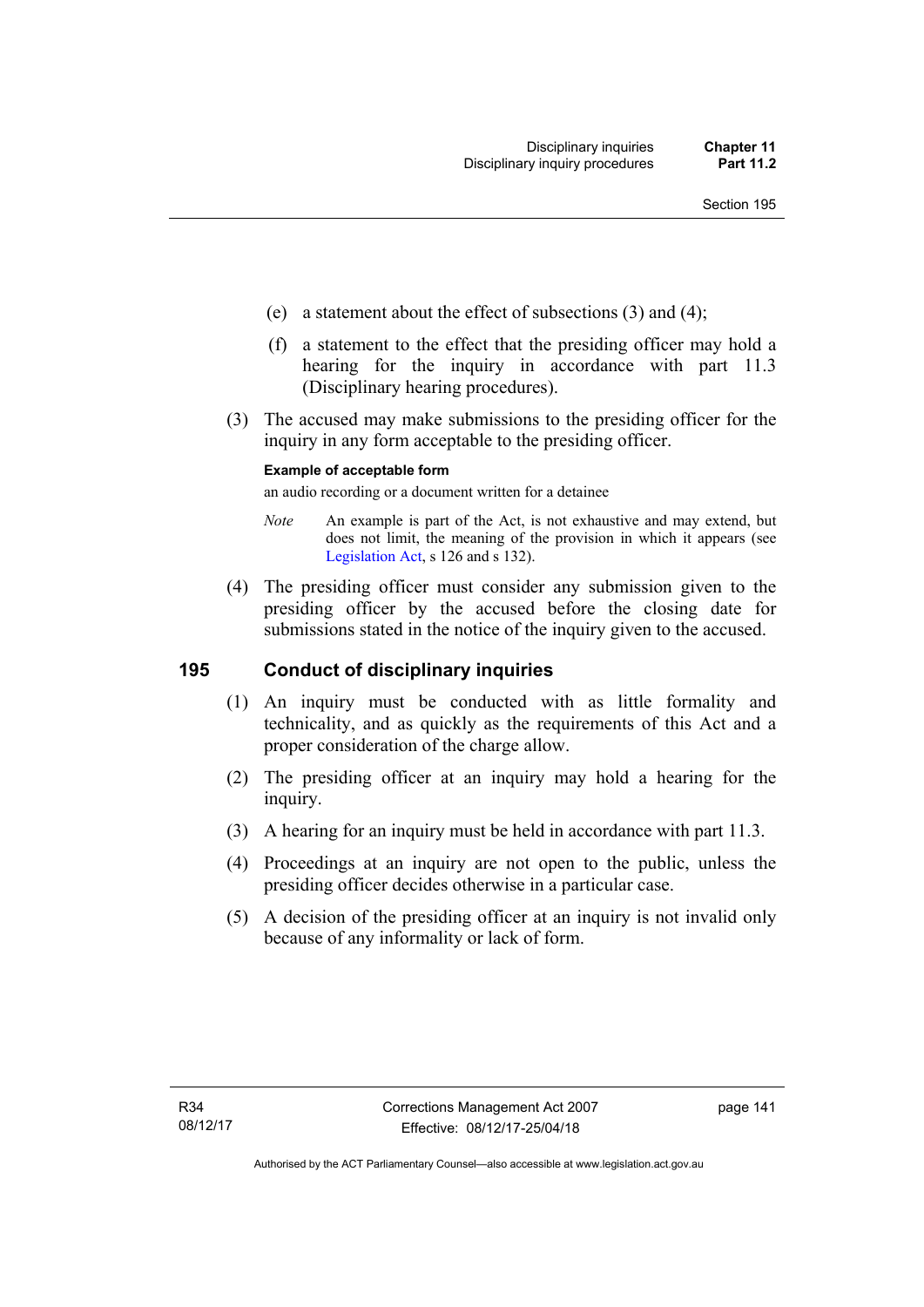- (e) a statement about the effect of subsections (3) and (4);
- (f) a statement to the effect that the presiding officer may hold a hearing for the inquiry in accordance with part 11.3 (Disciplinary hearing procedures).
- (3) The accused may make submissions to the presiding officer for the inquiry in any form acceptable to the presiding officer.

#### **Example of acceptable form**

an audio recording or a document written for a detainee

- *Note* An example is part of the Act, is not exhaustive and may extend, but does not limit, the meaning of the provision in which it appears (see [Legislation Act,](http://www.legislation.act.gov.au/a/2001-14) s 126 and s 132).
- (4) The presiding officer must consider any submission given to the presiding officer by the accused before the closing date for submissions stated in the notice of the inquiry given to the accused.

#### **195 Conduct of disciplinary inquiries**

- (1) An inquiry must be conducted with as little formality and technicality, and as quickly as the requirements of this Act and a proper consideration of the charge allow.
- (2) The presiding officer at an inquiry may hold a hearing for the inquiry.
- (3) A hearing for an inquiry must be held in accordance with part 11.3.
- (4) Proceedings at an inquiry are not open to the public, unless the presiding officer decides otherwise in a particular case.
- (5) A decision of the presiding officer at an inquiry is not invalid only because of any informality or lack of form.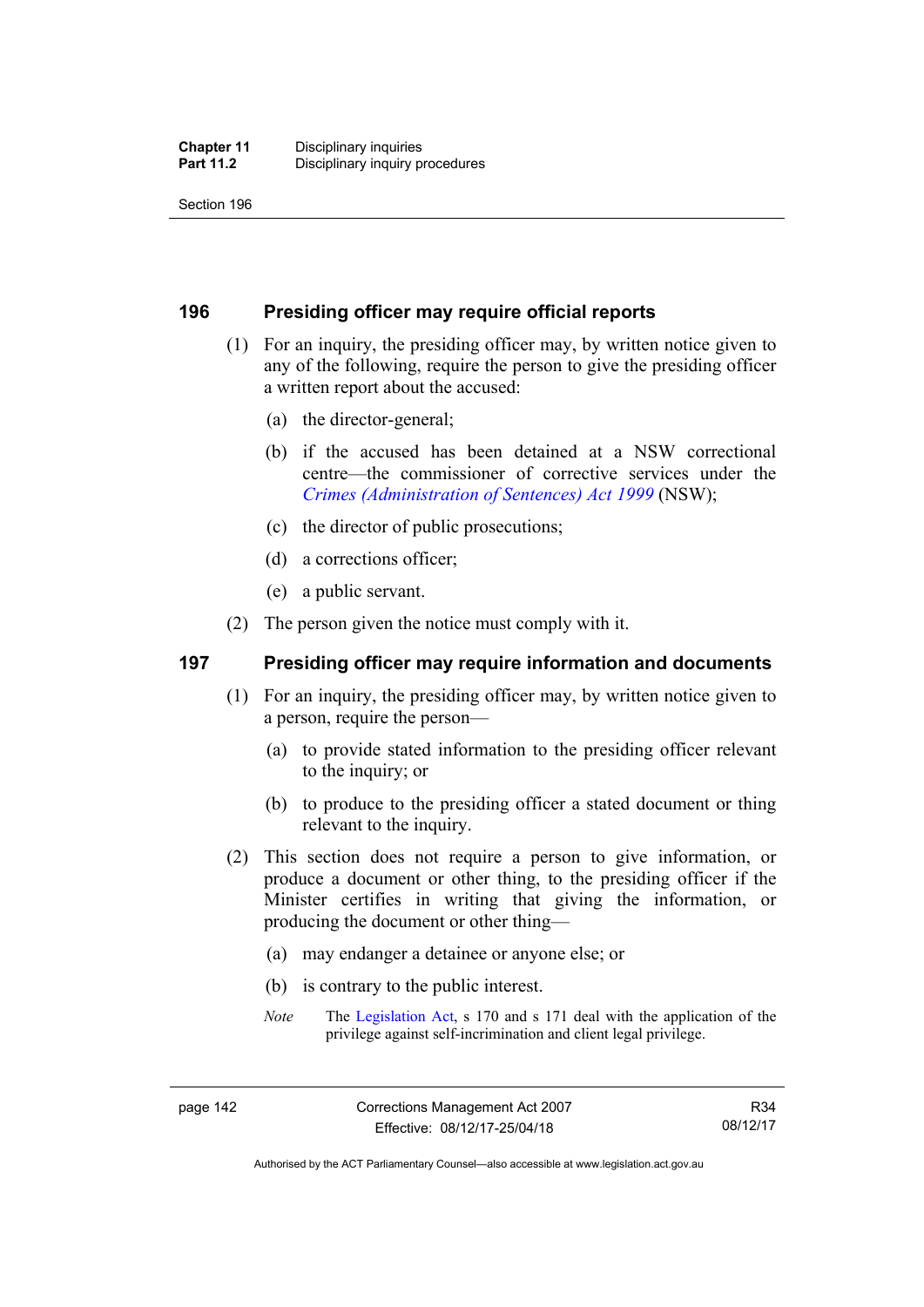Section 196

#### **196 Presiding officer may require official reports**

- (1) For an inquiry, the presiding officer may, by written notice given to any of the following, require the person to give the presiding officer a written report about the accused:
	- (a) the director-general;
	- (b) if the accused has been detained at a NSW correctional centre—the commissioner of corrective services under the *[Crimes \(Administration of Sentences\) Act 1999](http://www.legislation.nsw.gov.au/maintop/view/inforce/act+93+1999+cd+0+N)* (NSW);
	- (c) the director of public prosecutions;
	- (d) a corrections officer;
	- (e) a public servant.
- (2) The person given the notice must comply with it.

#### **197 Presiding officer may require information and documents**

- (1) For an inquiry, the presiding officer may, by written notice given to a person, require the person—
	- (a) to provide stated information to the presiding officer relevant to the inquiry; or
	- (b) to produce to the presiding officer a stated document or thing relevant to the inquiry.
- (2) This section does not require a person to give information, or produce a document or other thing, to the presiding officer if the Minister certifies in writing that giving the information, or producing the document or other thing—
	- (a) may endanger a detainee or anyone else; or
	- (b) is contrary to the public interest.
	- *Note* The [Legislation Act,](http://www.legislation.act.gov.au/a/2001-14) s 170 and s 171 deal with the application of the privilege against self-incrimination and client legal privilege.

Authorised by the ACT Parliamentary Counsel—also accessible at www.legislation.act.gov.au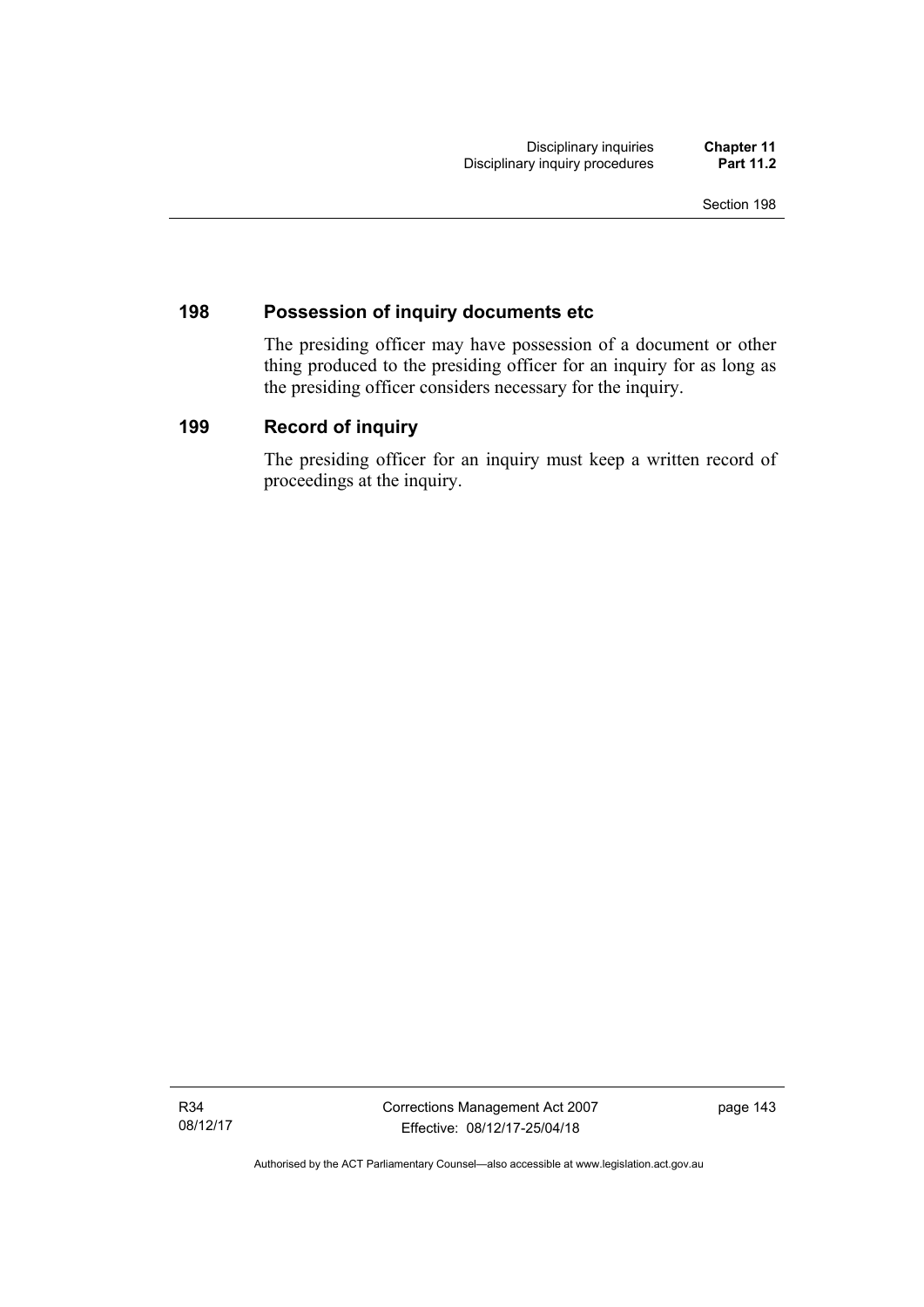## **198 Possession of inquiry documents etc**

The presiding officer may have possession of a document or other thing produced to the presiding officer for an inquiry for as long as the presiding officer considers necessary for the inquiry.

## **199 Record of inquiry**

The presiding officer for an inquiry must keep a written record of proceedings at the inquiry.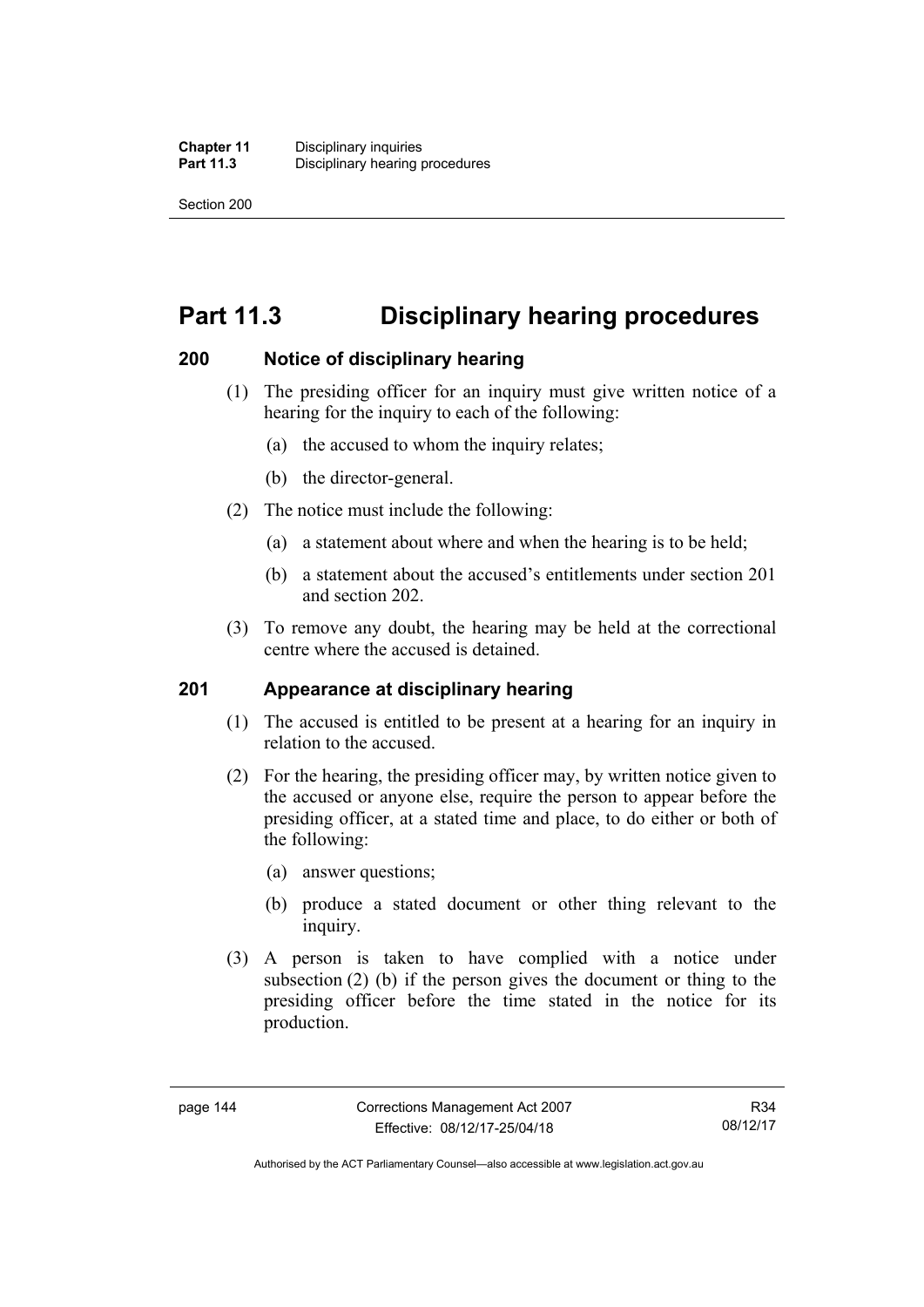Section 200

# **Part 11.3 Disciplinary hearing procedures**

### **200 Notice of disciplinary hearing**

- (1) The presiding officer for an inquiry must give written notice of a hearing for the inquiry to each of the following:
	- (a) the accused to whom the inquiry relates;
	- (b) the director-general.
- (2) The notice must include the following:
	- (a) a statement about where and when the hearing is to be held;
	- (b) a statement about the accused's entitlements under section 201 and section 202.
- (3) To remove any doubt, the hearing may be held at the correctional centre where the accused is detained.

#### **201 Appearance at disciplinary hearing**

- (1) The accused is entitled to be present at a hearing for an inquiry in relation to the accused.
- (2) For the hearing, the presiding officer may, by written notice given to the accused or anyone else, require the person to appear before the presiding officer, at a stated time and place, to do either or both of the following:
	- (a) answer questions;
	- (b) produce a stated document or other thing relevant to the inquiry.
- (3) A person is taken to have complied with a notice under subsection (2) (b) if the person gives the document or thing to the presiding officer before the time stated in the notice for its production.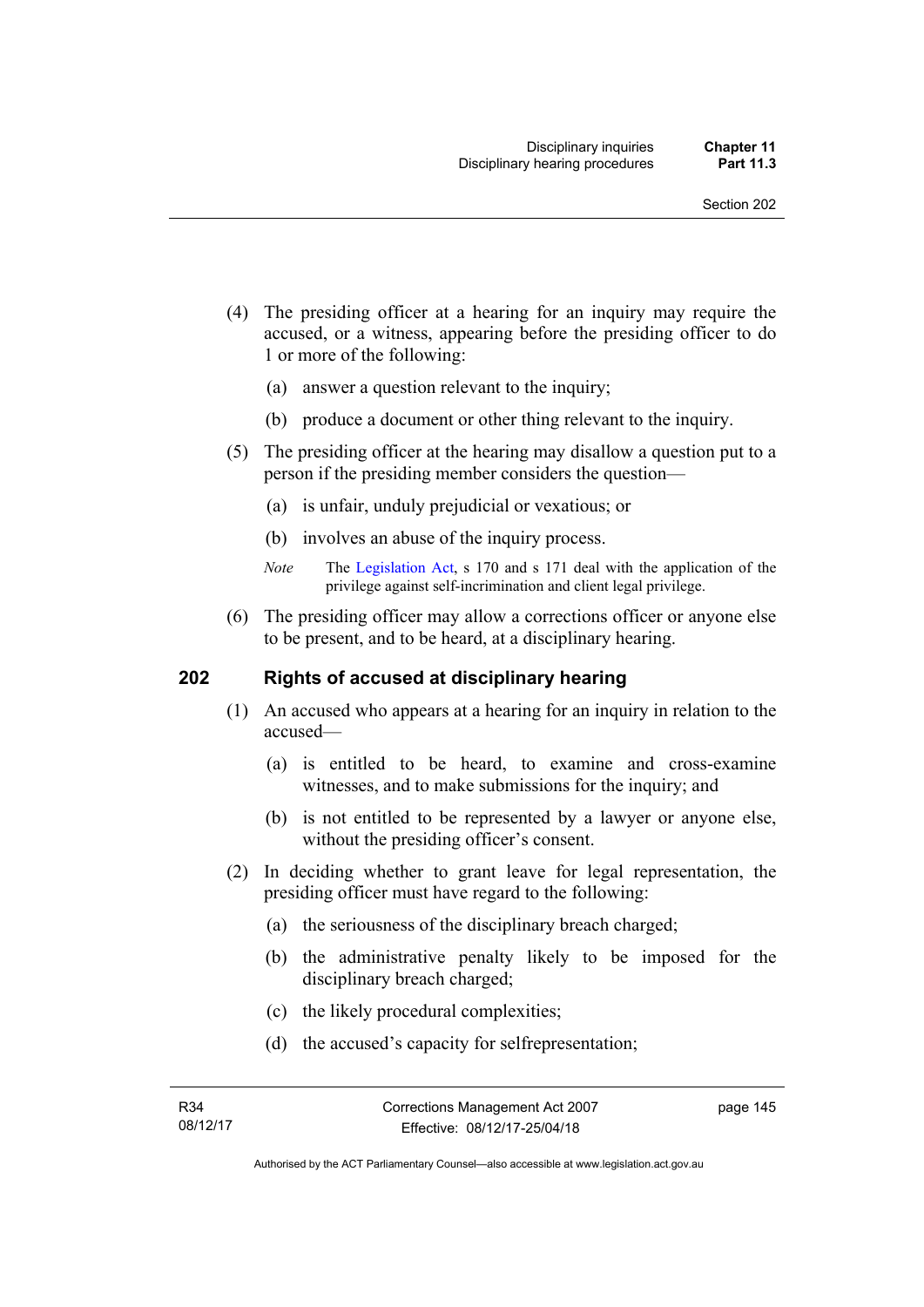- (4) The presiding officer at a hearing for an inquiry may require the accused, or a witness, appearing before the presiding officer to do 1 or more of the following:
	- (a) answer a question relevant to the inquiry;
	- (b) produce a document or other thing relevant to the inquiry.
- (5) The presiding officer at the hearing may disallow a question put to a person if the presiding member considers the question—
	- (a) is unfair, unduly prejudicial or vexatious; or
	- (b) involves an abuse of the inquiry process.
	- *Note* The [Legislation Act,](http://www.legislation.act.gov.au/a/2001-14) s 170 and s 171 deal with the application of the privilege against self-incrimination and client legal privilege.
- (6) The presiding officer may allow a corrections officer or anyone else to be present, and to be heard, at a disciplinary hearing.

#### **202 Rights of accused at disciplinary hearing**

- (1) An accused who appears at a hearing for an inquiry in relation to the accused—
	- (a) is entitled to be heard, to examine and cross-examine witnesses, and to make submissions for the inquiry; and
	- (b) is not entitled to be represented by a lawyer or anyone else, without the presiding officer's consent.
- (2) In deciding whether to grant leave for legal representation, the presiding officer must have regard to the following:
	- (a) the seriousness of the disciplinary breach charged;
	- (b) the administrative penalty likely to be imposed for the disciplinary breach charged;
	- (c) the likely procedural complexities;
	- (d) the accused's capacity for selfrepresentation;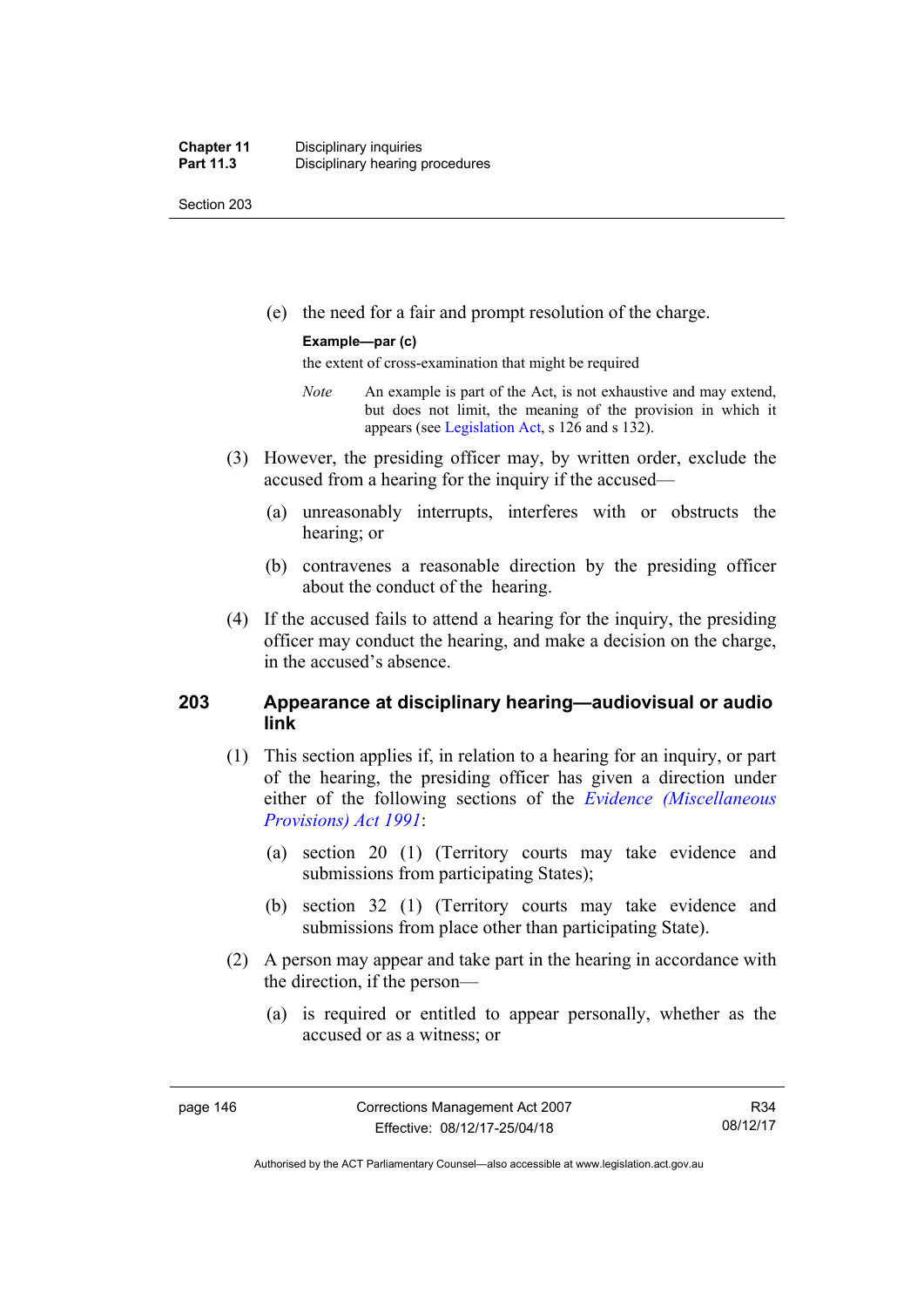Section 203

(e) the need for a fair and prompt resolution of the charge.

#### **Example—par (c)**

the extent of cross-examination that might be required

- *Note* An example is part of the Act, is not exhaustive and may extend, but does not limit, the meaning of the provision in which it appears (see [Legislation Act,](http://www.legislation.act.gov.au/a/2001-14) s 126 and s 132).
- (3) However, the presiding officer may, by written order, exclude the accused from a hearing for the inquiry if the accused—
	- (a) unreasonably interrupts, interferes with or obstructs the hearing; or
	- (b) contravenes a reasonable direction by the presiding officer about the conduct of the hearing.
- (4) If the accused fails to attend a hearing for the inquiry, the presiding officer may conduct the hearing, and make a decision on the charge, in the accused's absence.

### **203 Appearance at disciplinary hearing—audiovisual or audio link**

- (1) This section applies if, in relation to a hearing for an inquiry, or part of the hearing, the presiding officer has given a direction under either of the following sections of the *[Evidence \(Miscellaneous](http://www.legislation.act.gov.au/a/1991-34)  [Provisions\) Act 1991](http://www.legislation.act.gov.au/a/1991-34)*:
	- (a) section 20 (1) (Territory courts may take evidence and submissions from participating States);
	- (b) section 32 (1) (Territory courts may take evidence and submissions from place other than participating State).
- (2) A person may appear and take part in the hearing in accordance with the direction, if the person—
	- (a) is required or entitled to appear personally, whether as the accused or as a witness; or

Authorised by the ACT Parliamentary Counsel—also accessible at www.legislation.act.gov.au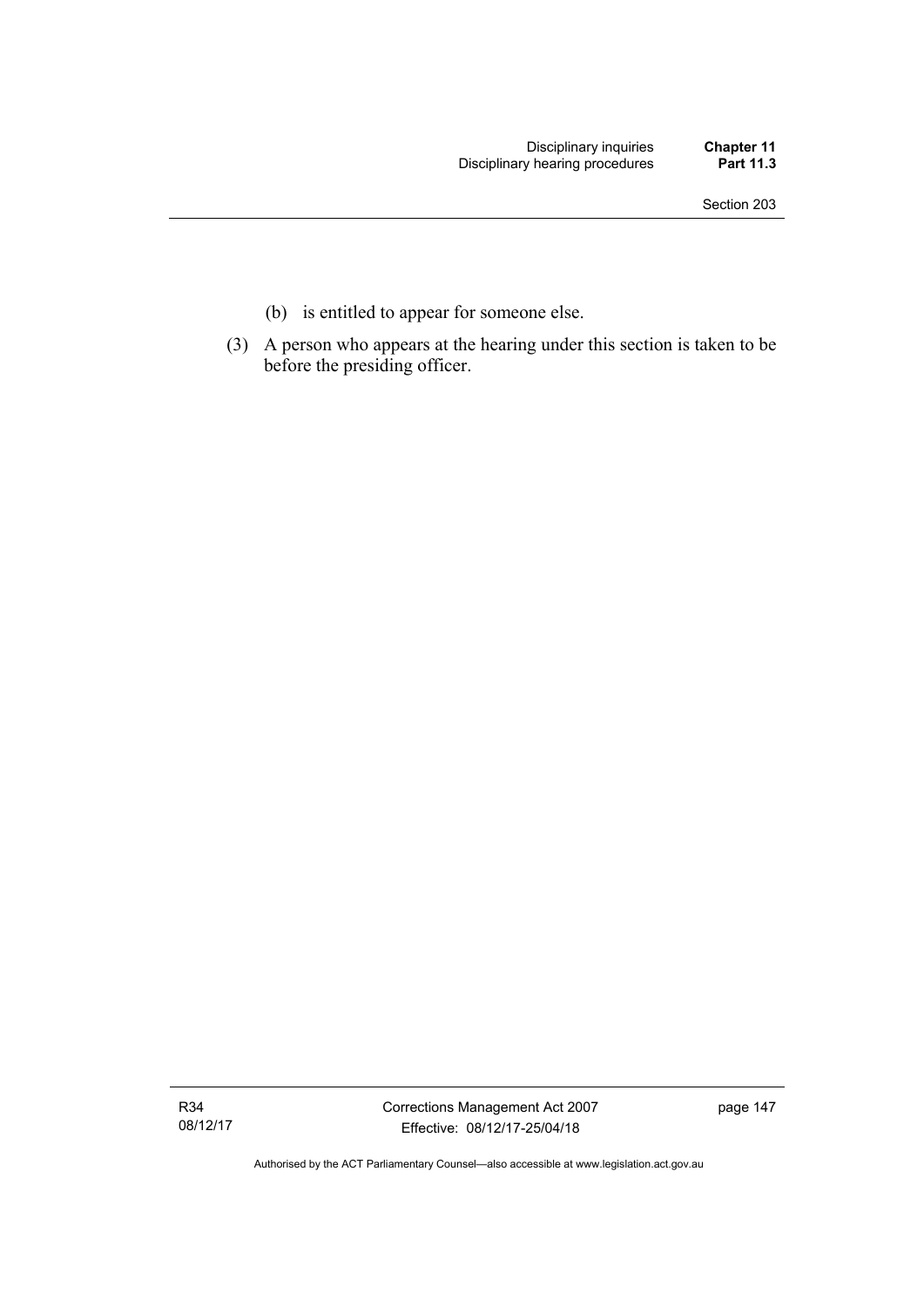- (b) is entitled to appear for someone else.
- (3) A person who appears at the hearing under this section is taken to be before the presiding officer.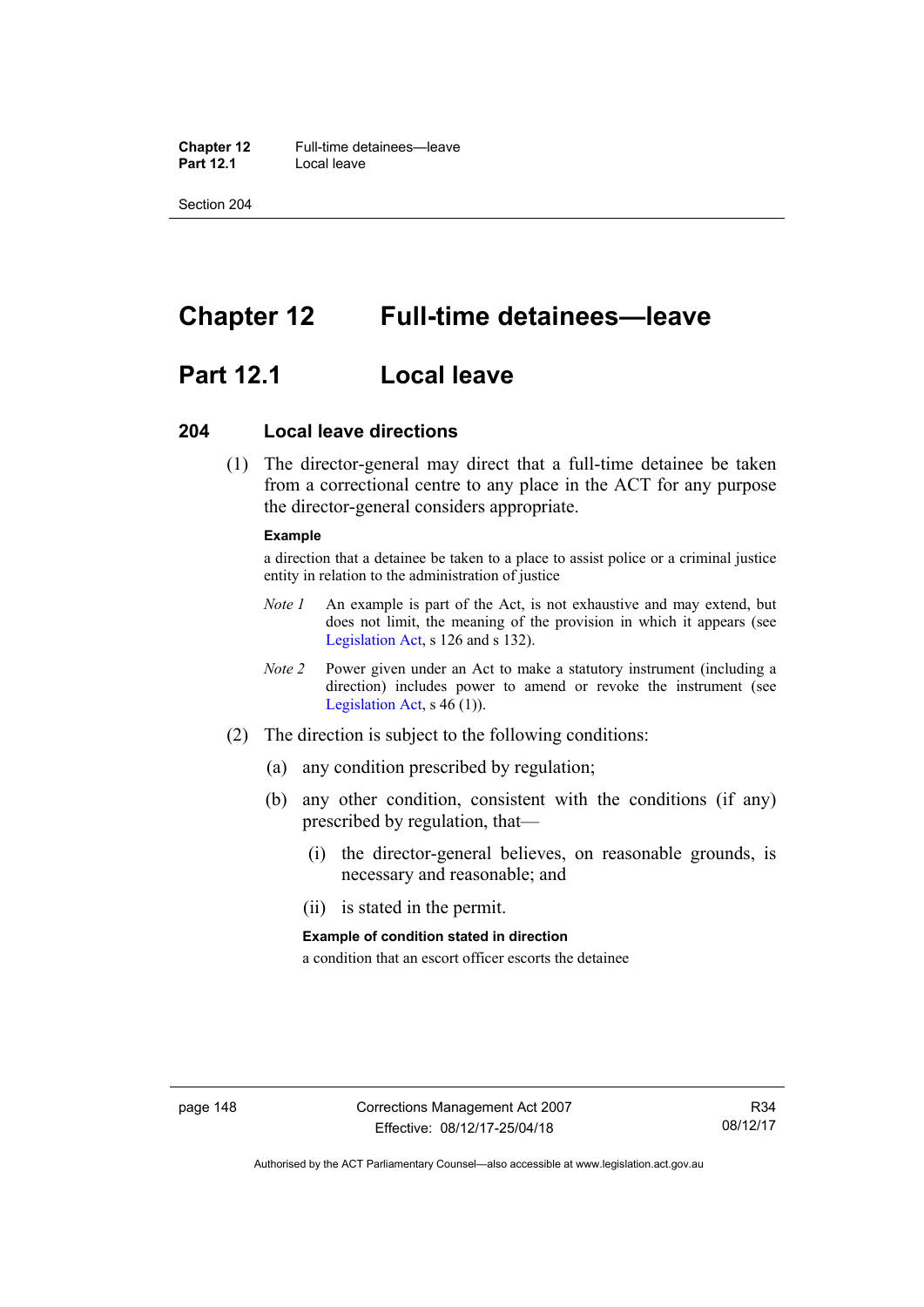**Chapter 12** Full-time detainees—leave<br>**Part 12.1** Local leave **Local leave** 

Section 204

# **Chapter 12 Full-time detainees—leave**

## **Part 12.1 Local leave**

#### **204 Local leave directions**

 (1) The director-general may direct that a full-time detainee be taken from a correctional centre to any place in the ACT for any purpose the director-general considers appropriate.

#### **Example**

a direction that a detainee be taken to a place to assist police or a criminal justice entity in relation to the administration of justice

- *Note 1* An example is part of the Act, is not exhaustive and may extend, but does not limit, the meaning of the provision in which it appears (see [Legislation Act,](http://www.legislation.act.gov.au/a/2001-14) s 126 and s 132).
- *Note 2* Power given under an Act to make a statutory instrument (including a direction) includes power to amend or revoke the instrument (see [Legislation Act,](http://www.legislation.act.gov.au/a/2001-14) s 46 (1)).
- (2) The direction is subject to the following conditions:
	- (a) any condition prescribed by regulation;
	- (b) any other condition, consistent with the conditions (if any) prescribed by regulation, that—
		- (i) the director-general believes, on reasonable grounds, is necessary and reasonable; and
		- (ii) is stated in the permit.

#### **Example of condition stated in direction**

a condition that an escort officer escorts the detainee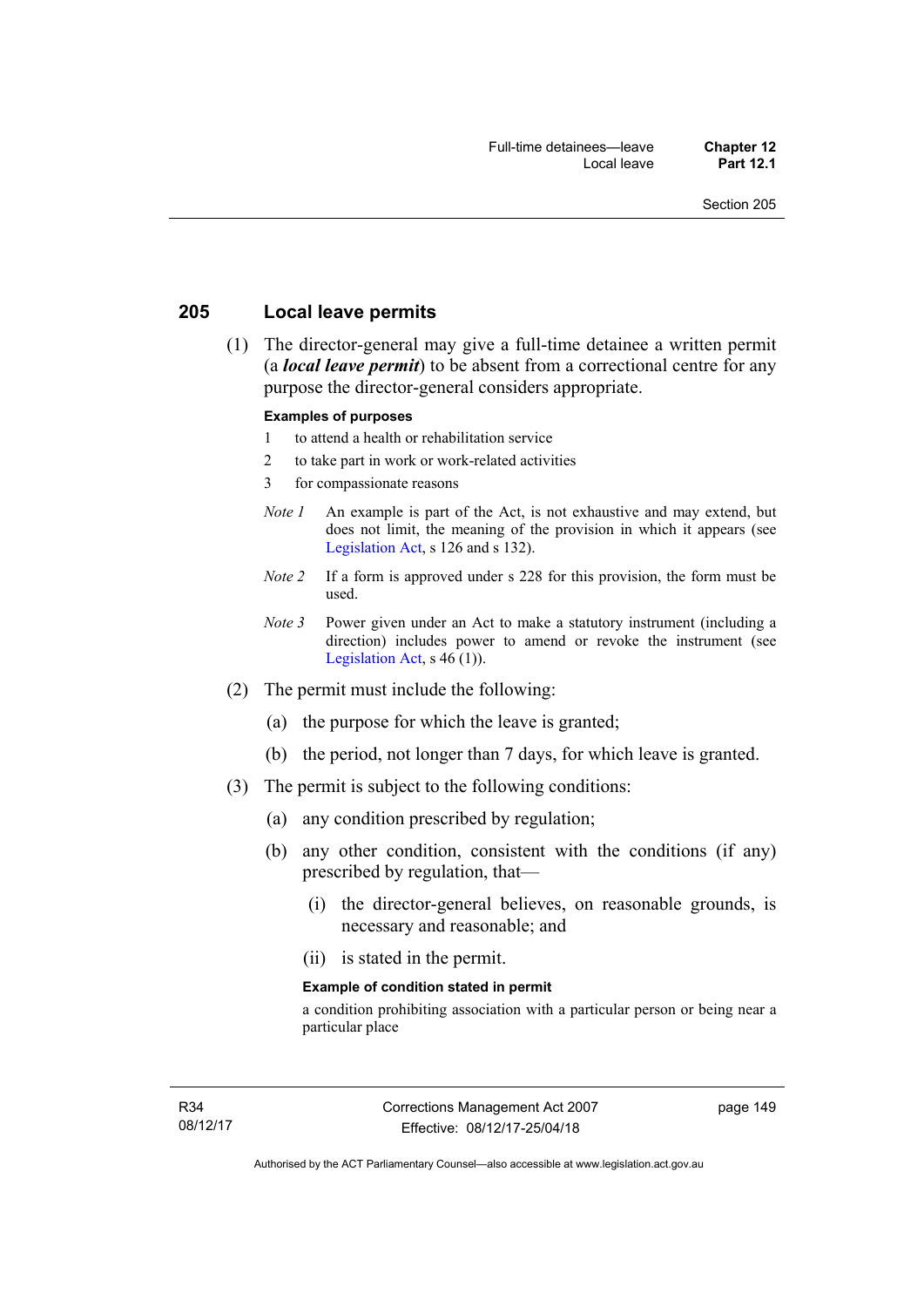#### **205 Local leave permits**

 (1) The director-general may give a full-time detainee a written permit (a *local leave permit*) to be absent from a correctional centre for any purpose the director-general considers appropriate.

#### **Examples of purposes**

- 1 to attend a health or rehabilitation service
- 2 to take part in work or work-related activities
- 3 for compassionate reasons
- *Note 1* An example is part of the Act, is not exhaustive and may extend, but does not limit, the meaning of the provision in which it appears (see [Legislation Act,](http://www.legislation.act.gov.au/a/2001-14) s 126 and s 132).
- *Note 2* If a form is approved under s 228 for this provision, the form must be used.
- *Note 3* Power given under an Act to make a statutory instrument (including a direction) includes power to amend or revoke the instrument (see [Legislation Act,](http://www.legislation.act.gov.au/a/2001-14)  $s$  46 (1)).
- (2) The permit must include the following:
	- (a) the purpose for which the leave is granted;
	- (b) the period, not longer than 7 days, for which leave is granted.
- (3) The permit is subject to the following conditions:
	- (a) any condition prescribed by regulation;
	- (b) any other condition, consistent with the conditions (if any) prescribed by regulation, that—
		- (i) the director-general believes, on reasonable grounds, is necessary and reasonable; and
		- (ii) is stated in the permit.

#### **Example of condition stated in permit**

a condition prohibiting association with a particular person or being near a particular place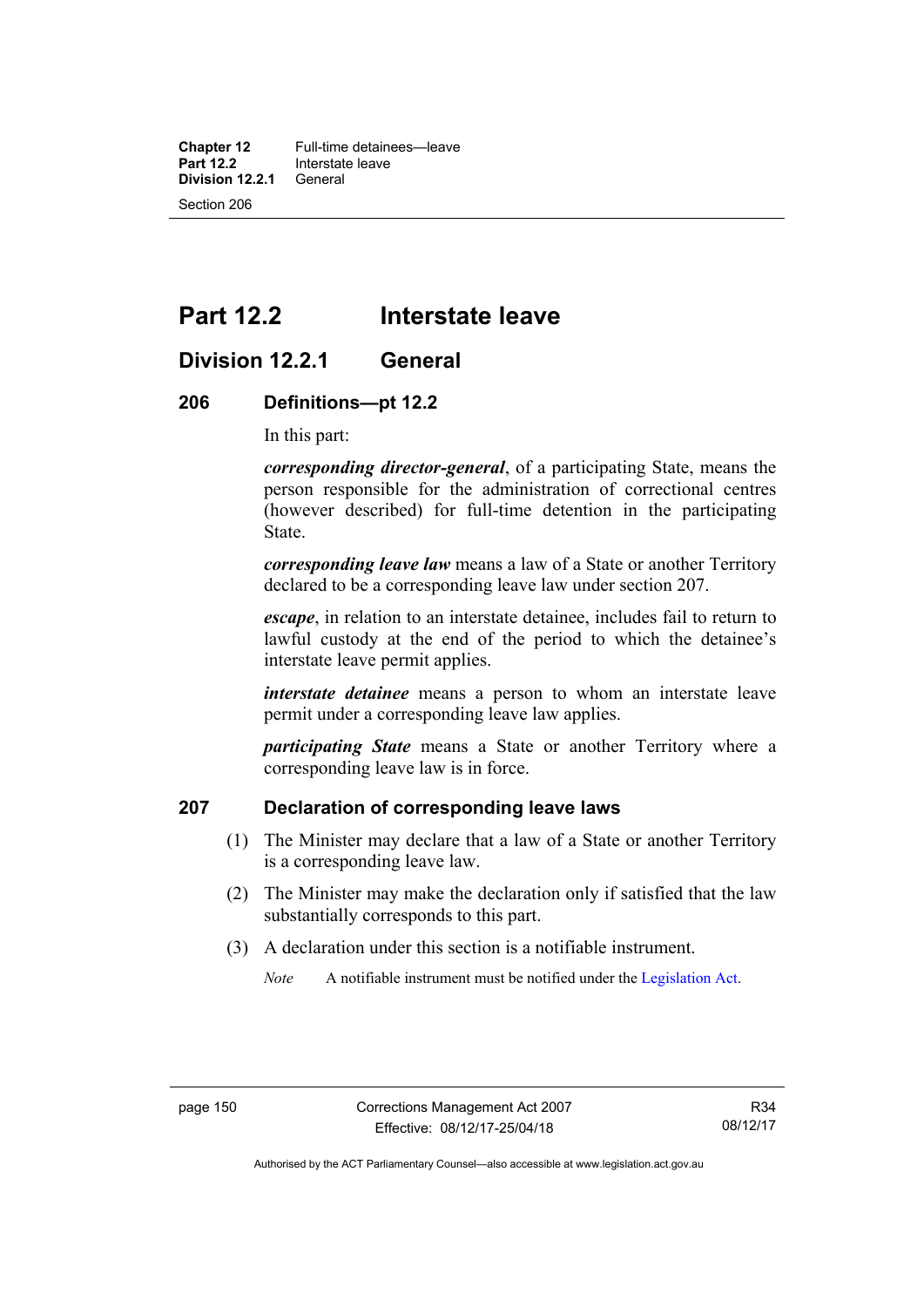**Chapter 12** Full-time detainees—leave<br>**Part 12.2** Interstate leave **Interstate leave**<br>General **Division 12.2.1** Section 206

## **Part 12.2 Interstate leave**

## **Division 12.2.1 General**

#### **206 Definitions—pt 12.2**

In this part:

*corresponding director-general*, of a participating State, means the person responsible for the administration of correctional centres (however described) for full-time detention in the participating State.

*corresponding leave law* means a law of a State or another Territory declared to be a corresponding leave law under section 207.

*escape*, in relation to an interstate detainee, includes fail to return to lawful custody at the end of the period to which the detainee's interstate leave permit applies.

*interstate detainee* means a person to whom an interstate leave permit under a corresponding leave law applies.

*participating State* means a State or another Territory where a corresponding leave law is in force.

### **207 Declaration of corresponding leave laws**

- (1) The Minister may declare that a law of a State or another Territory is a corresponding leave law.
- (2) The Minister may make the declaration only if satisfied that the law substantially corresponds to this part.
- (3) A declaration under this section is a notifiable instrument.

*Note* A notifiable instrument must be notified under the [Legislation Act](http://www.legislation.act.gov.au/a/2001-14).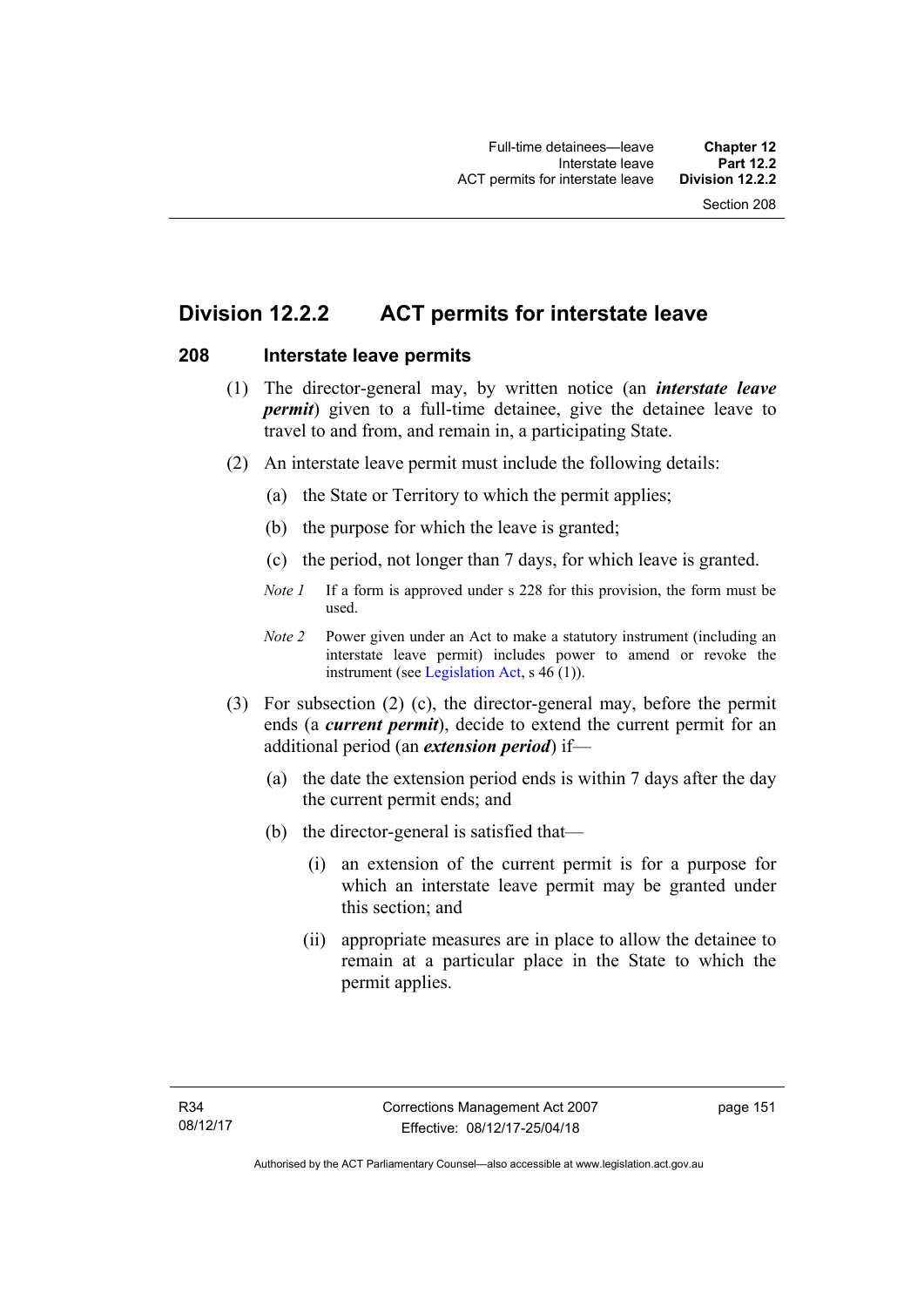## **Division 12.2.2 ACT permits for interstate leave**

### **208 Interstate leave permits**

- (1) The director-general may, by written notice (an *interstate leave permit*) given to a full-time detainee, give the detainee leave to travel to and from, and remain in, a participating State.
- (2) An interstate leave permit must include the following details:
	- (a) the State or Territory to which the permit applies;
	- (b) the purpose for which the leave is granted;
	- (c) the period, not longer than 7 days, for which leave is granted.
	- *Note 1* If a form is approved under s 228 for this provision, the form must be used.
	- *Note 2* Power given under an Act to make a statutory instrument (including an interstate leave permit) includes power to amend or revoke the instrument (see [Legislation Act,](http://www.legislation.act.gov.au/a/2001-14) s 46 (1)).
- (3) For subsection (2) (c), the director-general may, before the permit ends (a *current permit*), decide to extend the current permit for an additional period (an *extension period*) if—
	- (a) the date the extension period ends is within 7 days after the day the current permit ends; and
	- (b) the director-general is satisfied that—
		- (i) an extension of the current permit is for a purpose for which an interstate leave permit may be granted under this section; and
		- (ii) appropriate measures are in place to allow the detainee to remain at a particular place in the State to which the permit applies.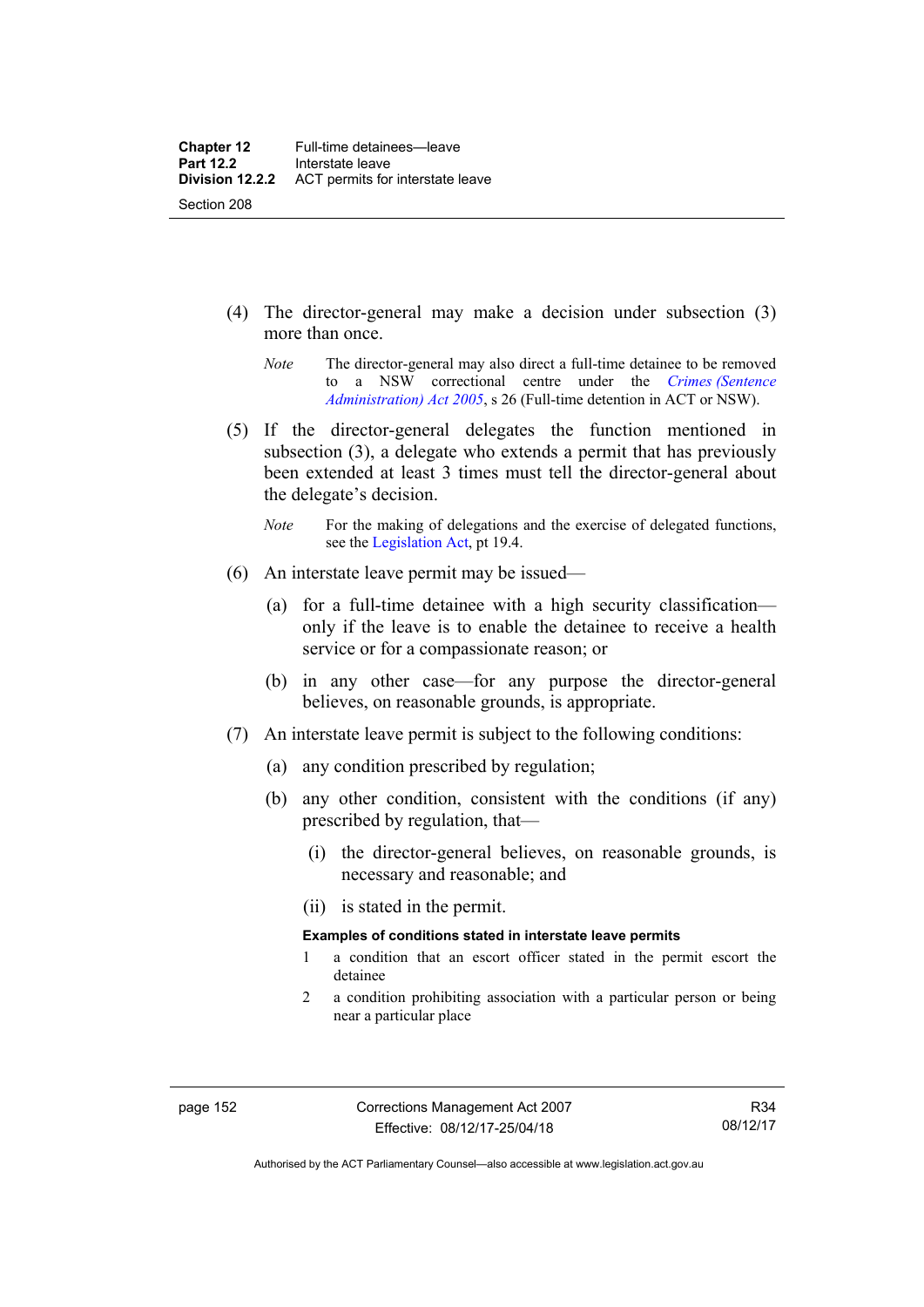- (4) The director-general may make a decision under subsection (3) more than once.
	- *Note* The director-general may also direct a full-time detainee to be removed to a NSW correctional centre under the *[Crimes \(Sentence](http://www.legislation.act.gov.au/a/2005-59)  [Administration\) Act 2005](http://www.legislation.act.gov.au/a/2005-59)*, s 26 (Full-time detention in ACT or NSW).
- (5) If the director-general delegates the function mentioned in subsection (3), a delegate who extends a permit that has previously been extended at least 3 times must tell the director-general about the delegate's decision.
	- *Note* For the making of delegations and the exercise of delegated functions, see the [Legislation Act,](http://www.legislation.act.gov.au/a/2001-14) pt 19.4.
- (6) An interstate leave permit may be issued—
	- (a) for a full-time detainee with a high security classification only if the leave is to enable the detainee to receive a health service or for a compassionate reason; or
	- (b) in any other case—for any purpose the director-general believes, on reasonable grounds, is appropriate.
- (7) An interstate leave permit is subject to the following conditions:
	- (a) any condition prescribed by regulation;
	- (b) any other condition, consistent with the conditions (if any) prescribed by regulation, that—
		- (i) the director-general believes, on reasonable grounds, is necessary and reasonable; and
		- (ii) is stated in the permit.

#### **Examples of conditions stated in interstate leave permits**

- 1 a condition that an escort officer stated in the permit escort the detainee
- 2 a condition prohibiting association with a particular person or being near a particular place

Authorised by the ACT Parliamentary Counsel—also accessible at www.legislation.act.gov.au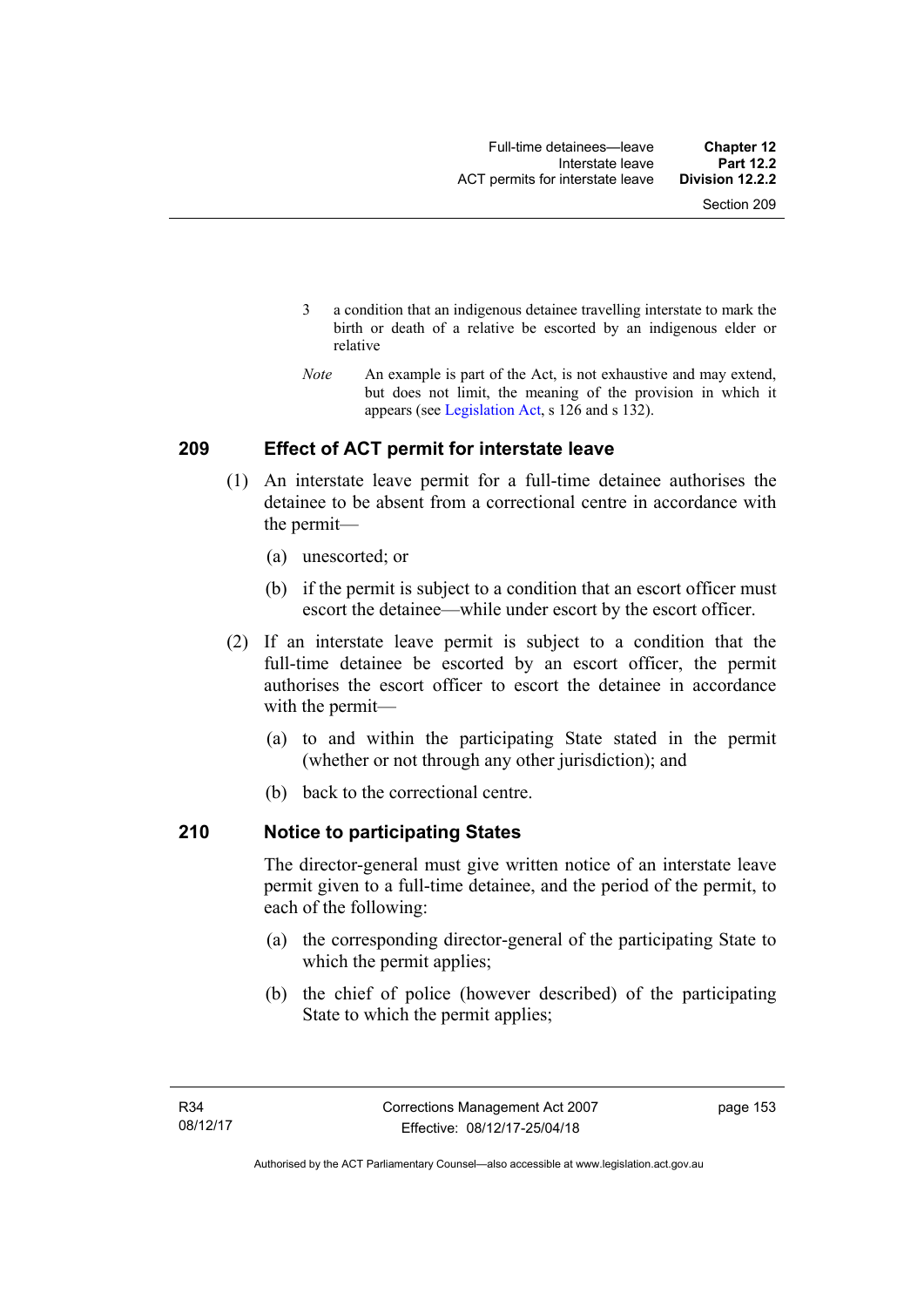- 3 a condition that an indigenous detainee travelling interstate to mark the birth or death of a relative be escorted by an indigenous elder or relative
- *Note* An example is part of the Act, is not exhaustive and may extend, but does not limit, the meaning of the provision in which it appears (see [Legislation Act,](http://www.legislation.act.gov.au/a/2001-14) s 126 and s 132).

#### **209 Effect of ACT permit for interstate leave**

- (1) An interstate leave permit for a full-time detainee authorises the detainee to be absent from a correctional centre in accordance with the permit—
	- (a) unescorted; or
	- (b) if the permit is subject to a condition that an escort officer must escort the detainee—while under escort by the escort officer.
- (2) If an interstate leave permit is subject to a condition that the full-time detainee be escorted by an escort officer, the permit authorises the escort officer to escort the detainee in accordance with the permit—
	- (a) to and within the participating State stated in the permit (whether or not through any other jurisdiction); and
	- (b) back to the correctional centre.

#### **210 Notice to participating States**

The director-general must give written notice of an interstate leave permit given to a full-time detainee, and the period of the permit, to each of the following:

- (a) the corresponding director-general of the participating State to which the permit applies;
- (b) the chief of police (however described) of the participating State to which the permit applies;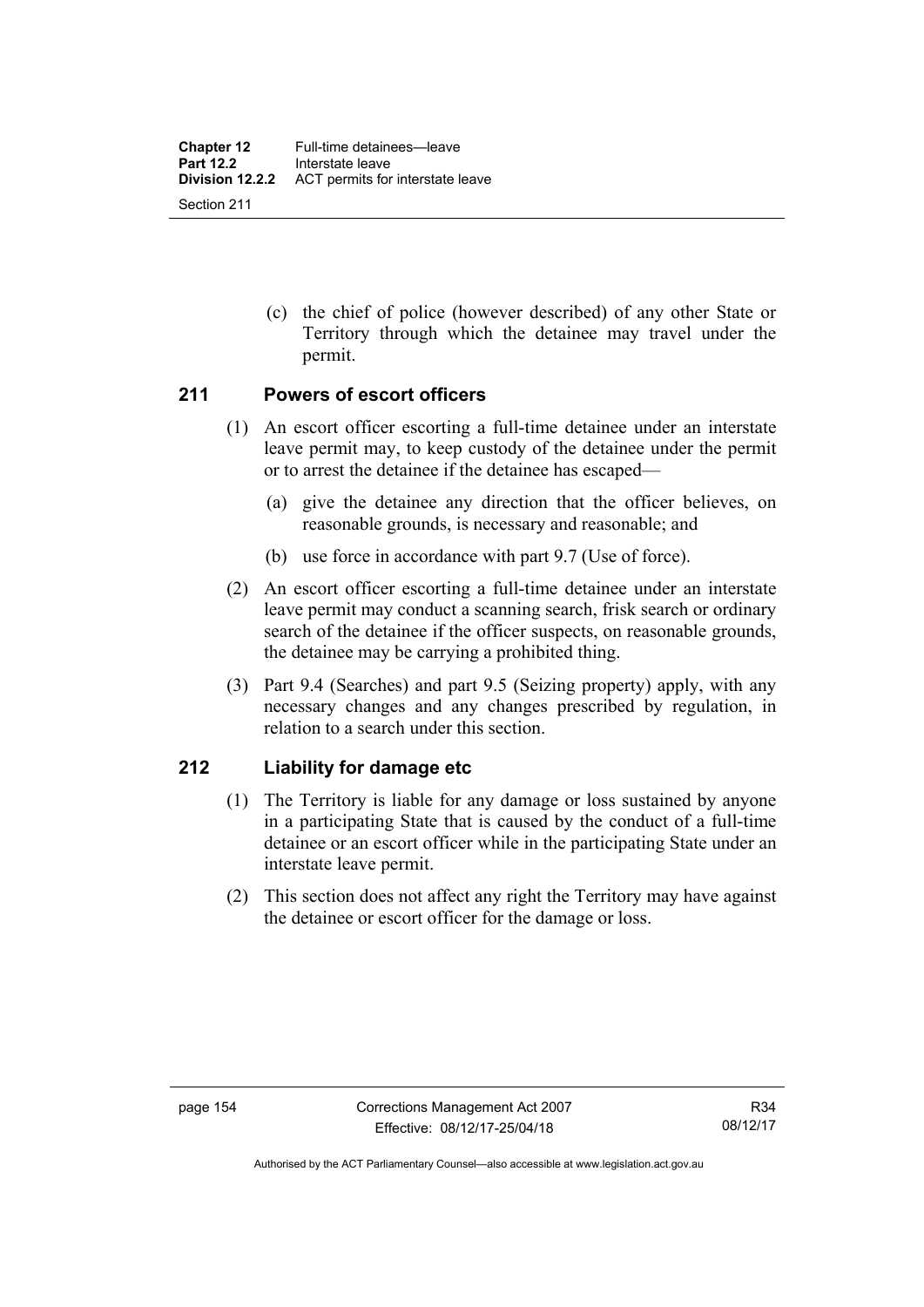(c) the chief of police (however described) of any other State or Territory through which the detainee may travel under the permit.

### **211 Powers of escort officers**

- (1) An escort officer escorting a full-time detainee under an interstate leave permit may, to keep custody of the detainee under the permit or to arrest the detainee if the detainee has escaped—
	- (a) give the detainee any direction that the officer believes, on reasonable grounds, is necessary and reasonable; and
	- (b) use force in accordance with part 9.7 (Use of force).
- (2) An escort officer escorting a full-time detainee under an interstate leave permit may conduct a scanning search, frisk search or ordinary search of the detainee if the officer suspects, on reasonable grounds, the detainee may be carrying a prohibited thing.
- (3) Part 9.4 (Searches) and part 9.5 (Seizing property) apply, with any necessary changes and any changes prescribed by regulation, in relation to a search under this section.

## **212 Liability for damage etc**

- (1) The Territory is liable for any damage or loss sustained by anyone in a participating State that is caused by the conduct of a full-time detainee or an escort officer while in the participating State under an interstate leave permit.
- (2) This section does not affect any right the Territory may have against the detainee or escort officer for the damage or loss.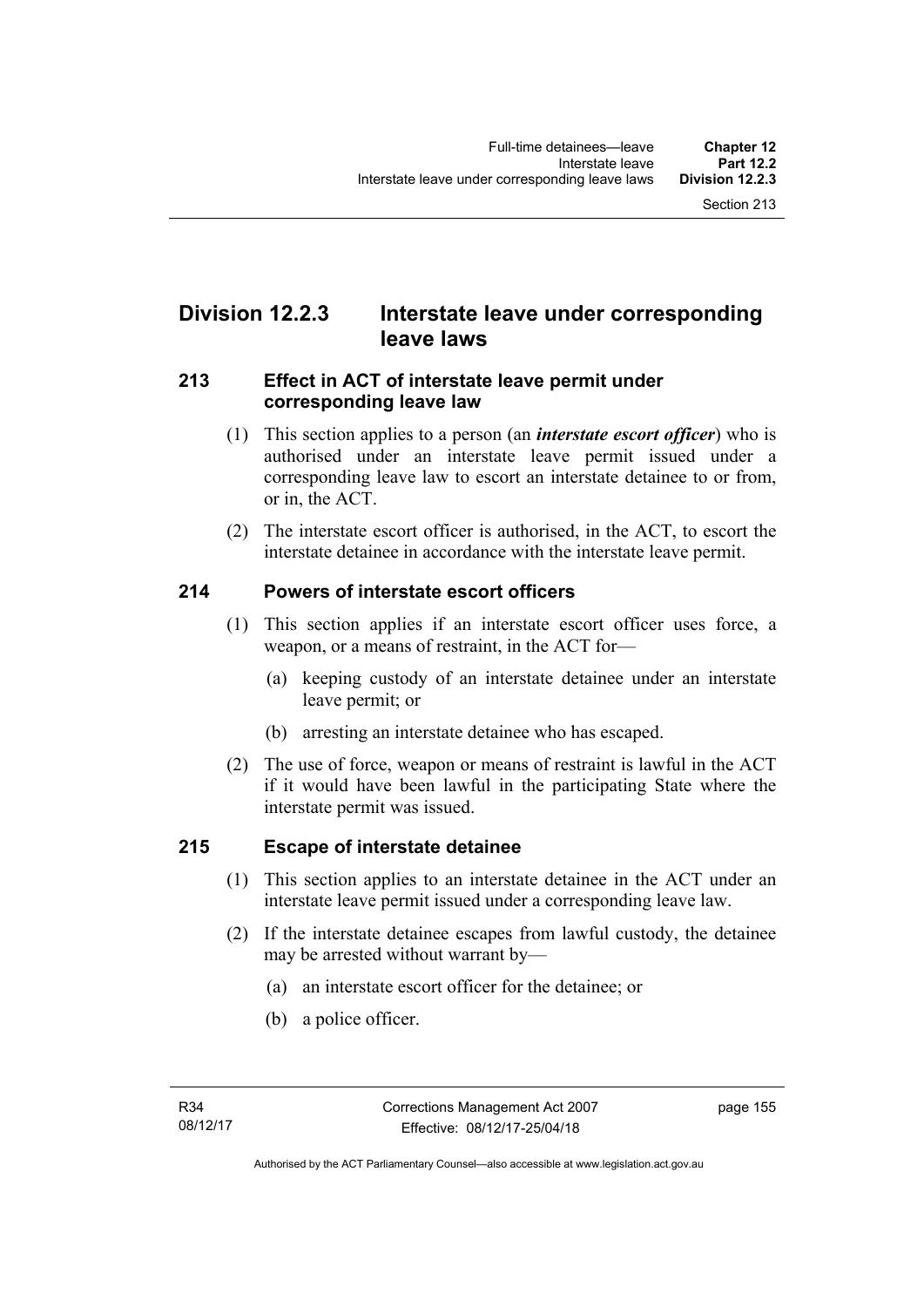## **Division 12.2.3 Interstate leave under corresponding leave laws**

### **213 Effect in ACT of interstate leave permit under corresponding leave law**

- (1) This section applies to a person (an *interstate escort officer*) who is authorised under an interstate leave permit issued under a corresponding leave law to escort an interstate detainee to or from, or in, the ACT.
- (2) The interstate escort officer is authorised, in the ACT, to escort the interstate detainee in accordance with the interstate leave permit.

## **214 Powers of interstate escort officers**

- (1) This section applies if an interstate escort officer uses force, a weapon, or a means of restraint, in the ACT for—
	- (a) keeping custody of an interstate detainee under an interstate leave permit; or
	- (b) arresting an interstate detainee who has escaped.
- (2) The use of force, weapon or means of restraint is lawful in the ACT if it would have been lawful in the participating State where the interstate permit was issued.

#### **215 Escape of interstate detainee**

- (1) This section applies to an interstate detainee in the ACT under an interstate leave permit issued under a corresponding leave law.
- (2) If the interstate detainee escapes from lawful custody, the detainee may be arrested without warrant by—
	- (a) an interstate escort officer for the detainee; or
	- (b) a police officer.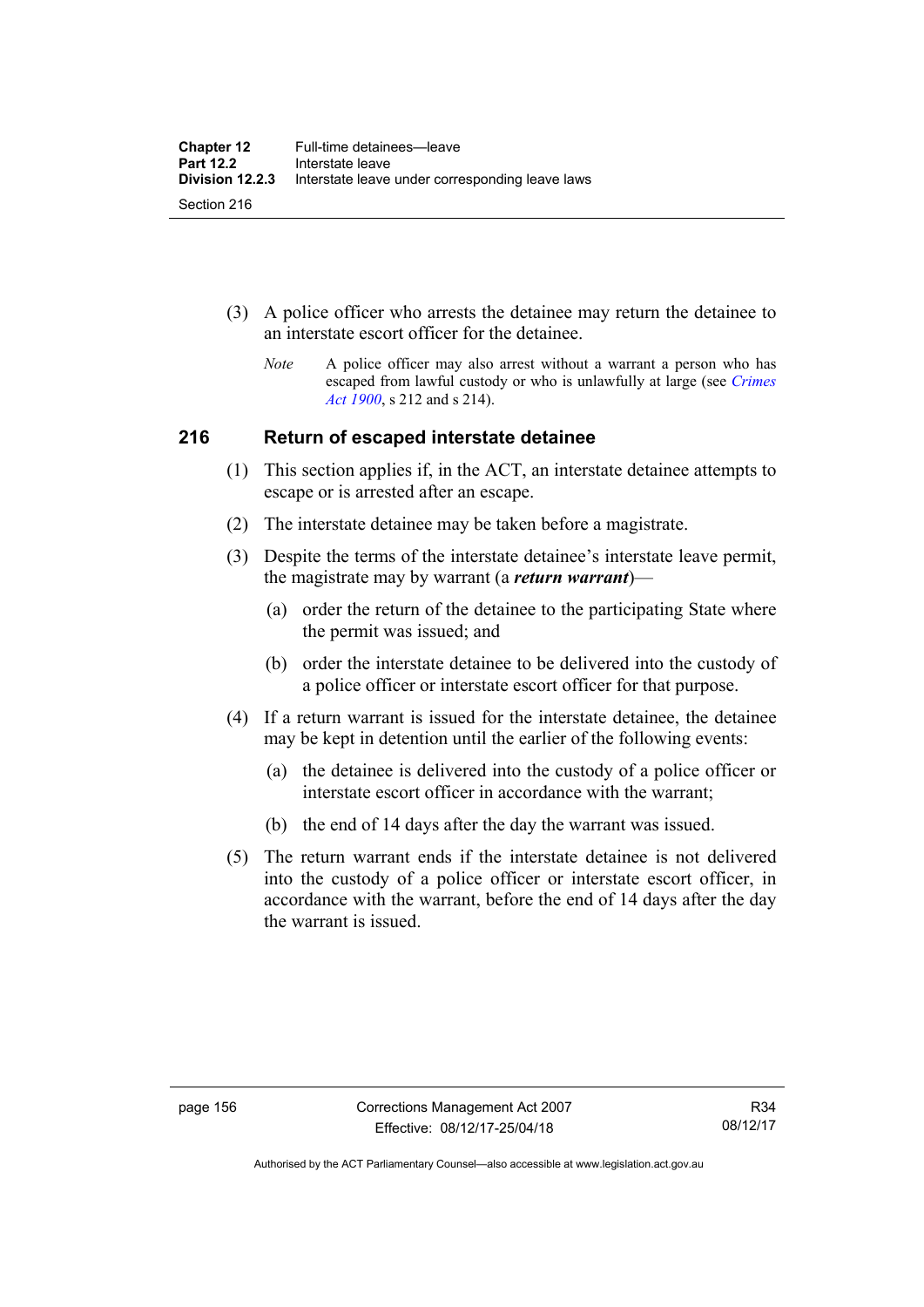- (3) A police officer who arrests the detainee may return the detainee to an interstate escort officer for the detainee.
	- *Note* A police officer may also arrest without a warrant a person who has escaped from lawful custody or who is unlawfully at large (see *[Crimes](http://www.legislation.act.gov.au/a/1900-40)  [Act 1900](http://www.legislation.act.gov.au/a/1900-40)*, s 212 and s 214).

#### **216 Return of escaped interstate detainee**

- (1) This section applies if, in the ACT, an interstate detainee attempts to escape or is arrested after an escape.
- (2) The interstate detainee may be taken before a magistrate.
- (3) Despite the terms of the interstate detainee's interstate leave permit, the magistrate may by warrant (a *return warrant*)—
	- (a) order the return of the detainee to the participating State where the permit was issued; and
	- (b) order the interstate detainee to be delivered into the custody of a police officer or interstate escort officer for that purpose.
- (4) If a return warrant is issued for the interstate detainee, the detainee may be kept in detention until the earlier of the following events:
	- (a) the detainee is delivered into the custody of a police officer or interstate escort officer in accordance with the warrant;
	- (b) the end of 14 days after the day the warrant was issued.
- (5) The return warrant ends if the interstate detainee is not delivered into the custody of a police officer or interstate escort officer, in accordance with the warrant, before the end of 14 days after the day the warrant is issued.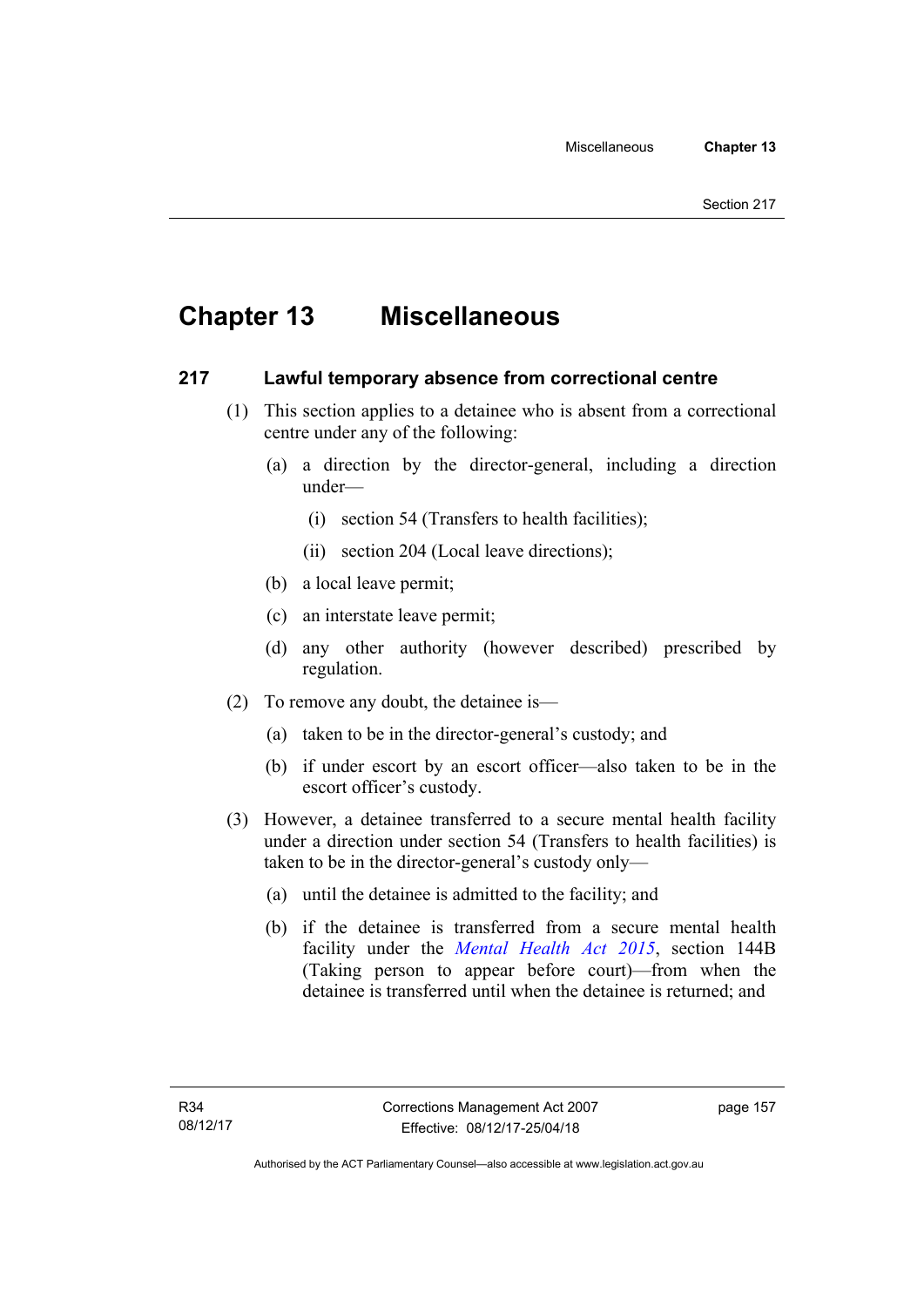# **Chapter 13 Miscellaneous**

## **217 Lawful temporary absence from correctional centre**

- (1) This section applies to a detainee who is absent from a correctional centre under any of the following:
	- (a) a direction by the director-general, including a direction under—
		- (i) section 54 (Transfers to health facilities);
		- (ii) section 204 (Local leave directions);
	- (b) a local leave permit;
	- (c) an interstate leave permit;
	- (d) any other authority (however described) prescribed by regulation.
- (2) To remove any doubt, the detainee is—
	- (a) taken to be in the director-general's custody; and
	- (b) if under escort by an escort officer—also taken to be in the escort officer's custody.
- (3) However, a detainee transferred to a secure mental health facility under a direction under section 54 (Transfers to health facilities) is taken to be in the director-general's custody only—
	- (a) until the detainee is admitted to the facility; and
	- (b) if the detainee is transferred from a secure mental health facility under the *[Mental Health Act 2015](http://www.legislation.act.gov.au/a/2015-38/default.asp)*, section 144B (Taking person to appear before court)—from when the detainee is transferred until when the detainee is returned; and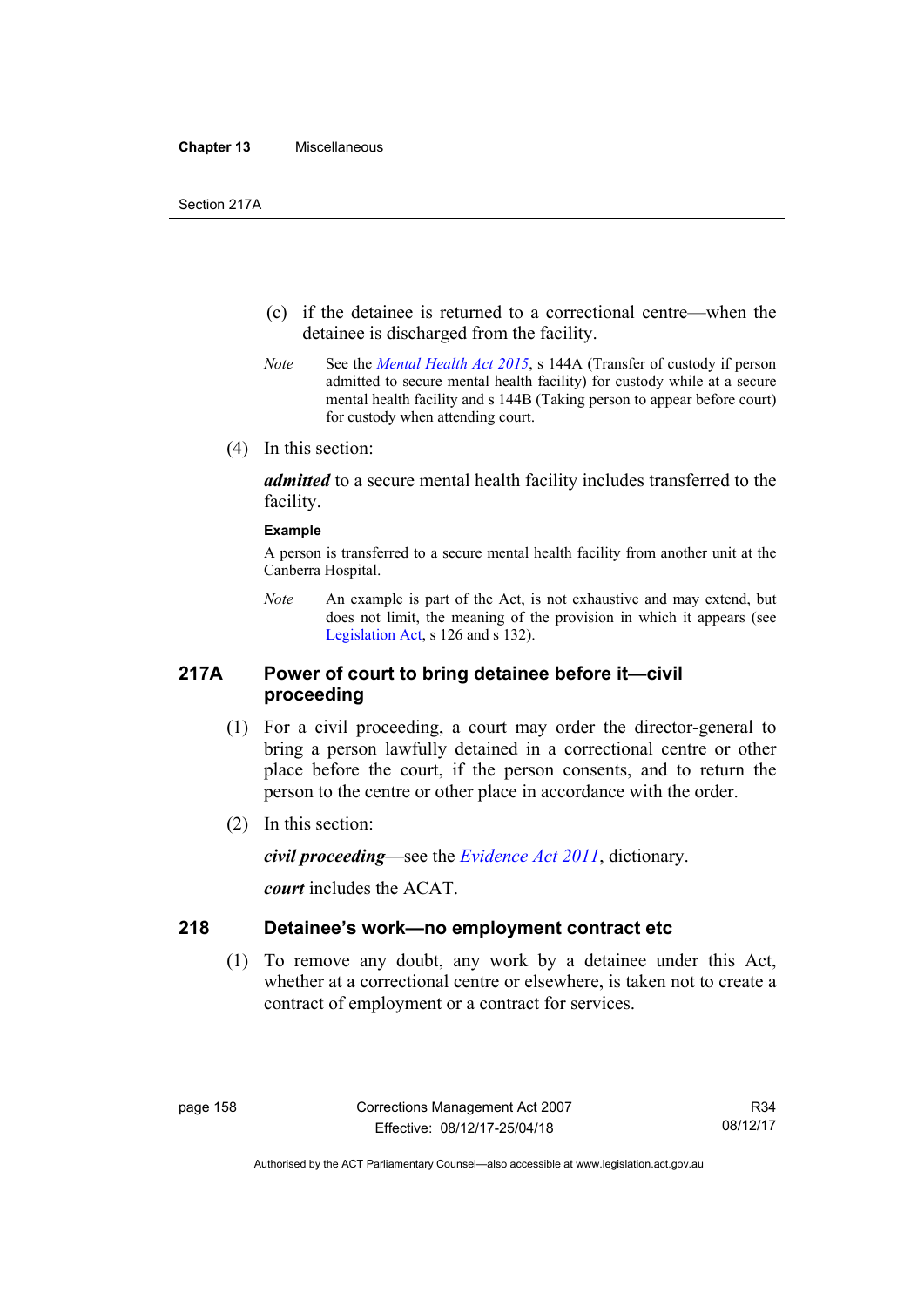- (c) if the detainee is returned to a correctional centre—when the detainee is discharged from the facility.
- *Note* See the *[Mental Health Act 2015](http://www.legislation.act.gov.au/a/2015-38/default.asp)*, s 144A (Transfer of custody if person admitted to secure mental health facility) for custody while at a secure mental health facility and s 144B (Taking person to appear before court) for custody when attending court.
- (4) In this section:

*admitted* to a secure mental health facility includes transferred to the facility.

#### **Example**

A person is transferred to a secure mental health facility from another unit at the Canberra Hospital.

*Note* An example is part of the Act, is not exhaustive and may extend, but does not limit, the meaning of the provision in which it appears (see [Legislation Act,](http://www.legislation.act.gov.au/a/2001-14) s 126 and s 132).

### **217A Power of court to bring detainee before it—civil proceeding**

- (1) For a civil proceeding, a court may order the director-general to bring a person lawfully detained in a correctional centre or other place before the court, if the person consents, and to return the person to the centre or other place in accordance with the order.
- (2) In this section:

*civil proceeding*—see the *[Evidence Act 2011](http://www.legislation.act.gov.au/a/2011-12)*, dictionary.

*court* includes the ACAT.

#### **218 Detainee's work—no employment contract etc**

 (1) To remove any doubt, any work by a detainee under this Act, whether at a correctional centre or elsewhere, is taken not to create a contract of employment or a contract for services.

Authorised by the ACT Parliamentary Counsel—also accessible at www.legislation.act.gov.au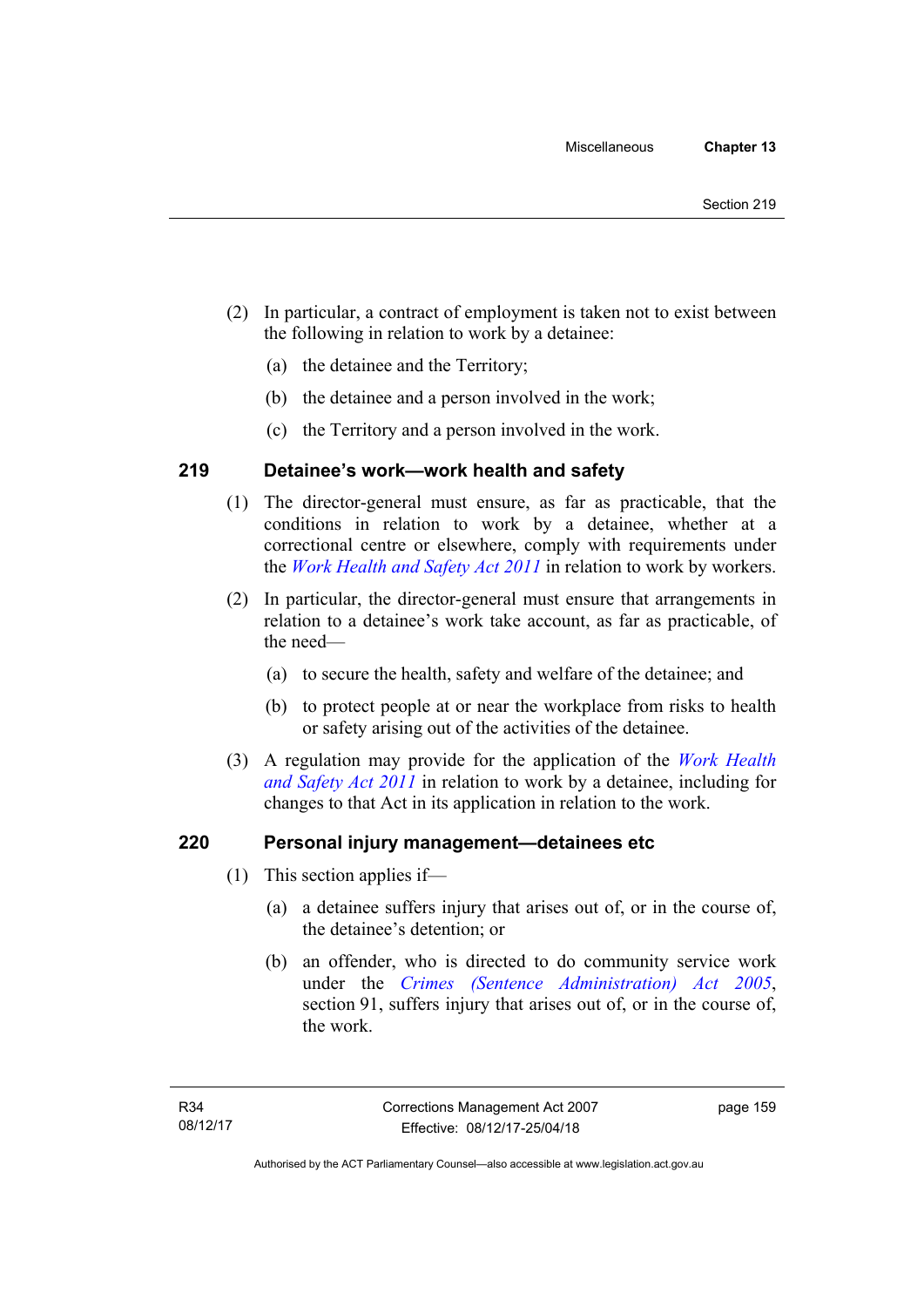- (2) In particular, a contract of employment is taken not to exist between the following in relation to work by a detainee:
	- (a) the detainee and the Territory;
	- (b) the detainee and a person involved in the work;
	- (c) the Territory and a person involved in the work.

### **219 Detainee's work—work health and safety**

- (1) The director-general must ensure, as far as practicable, that the conditions in relation to work by a detainee, whether at a correctional centre or elsewhere, comply with requirements under the *[Work Health and Safety Act 2011](http://www.legislation.act.gov.au/a/2011-35)* in relation to work by workers.
- (2) In particular, the director-general must ensure that arrangements in relation to a detainee's work take account, as far as practicable, of the need—
	- (a) to secure the health, safety and welfare of the detainee; and
	- (b) to protect people at or near the workplace from risks to health or safety arising out of the activities of the detainee.
- (3) A regulation may provide for the application of the *[Work Health](http://www.legislation.act.gov.au/a/2011-35)  [and Safety Act 2011](http://www.legislation.act.gov.au/a/2011-35)* in relation to work by a detainee, including for changes to that Act in its application in relation to the work.

## **220 Personal injury management—detainees etc**

- (1) This section applies if—
	- (a) a detainee suffers injury that arises out of, or in the course of, the detainee's detention; or
	- (b) an offender, who is directed to do community service work under the *[Crimes \(Sentence Administration\) Act 2005](http://www.legislation.act.gov.au/a/2005-59)*, section 91, suffers injury that arises out of, or in the course of, the work.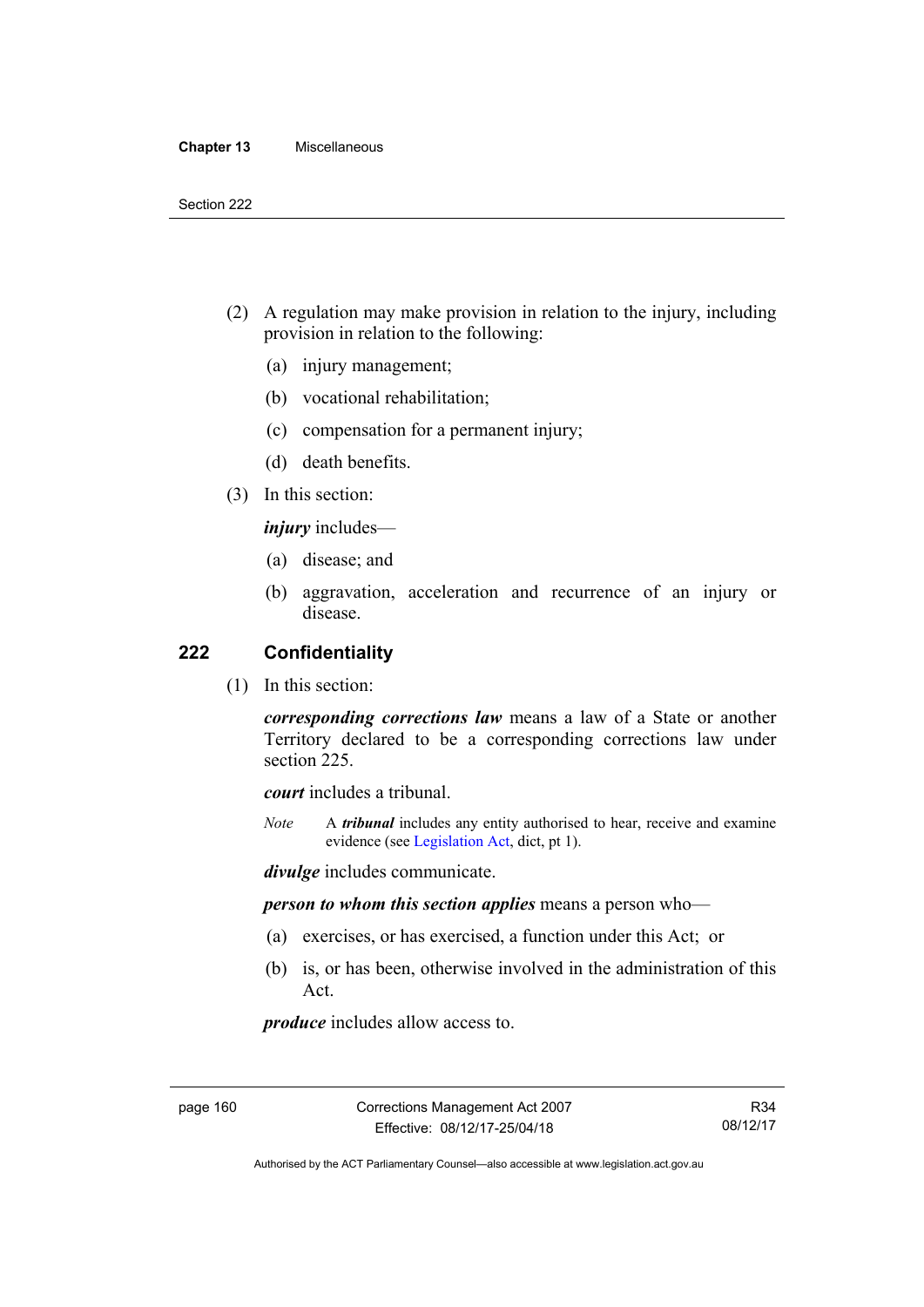- (2) A regulation may make provision in relation to the injury, including provision in relation to the following:
	- (a) injury management;
	- (b) vocational rehabilitation;
	- (c) compensation for a permanent injury;
	- (d) death benefits.
- (3) In this section:

*injury* includes—

- (a) disease; and
- (b) aggravation, acceleration and recurrence of an injury or disease.

#### **222 Confidentiality**

(1) In this section:

*corresponding corrections law* means a law of a State or another Territory declared to be a corresponding corrections law under section 225.

*court* includes a tribunal.

*Note* A *tribunal* includes any entity authorised to hear, receive and examine evidence (see [Legislation Act,](http://www.legislation.act.gov.au/a/2001-14) dict, pt 1).

*divulge* includes communicate.

*person to whom this section applies* means a person who—

- (a) exercises, or has exercised, a function under this Act; or
- (b) is, or has been, otherwise involved in the administration of this Act.

*produce* includes allow access to.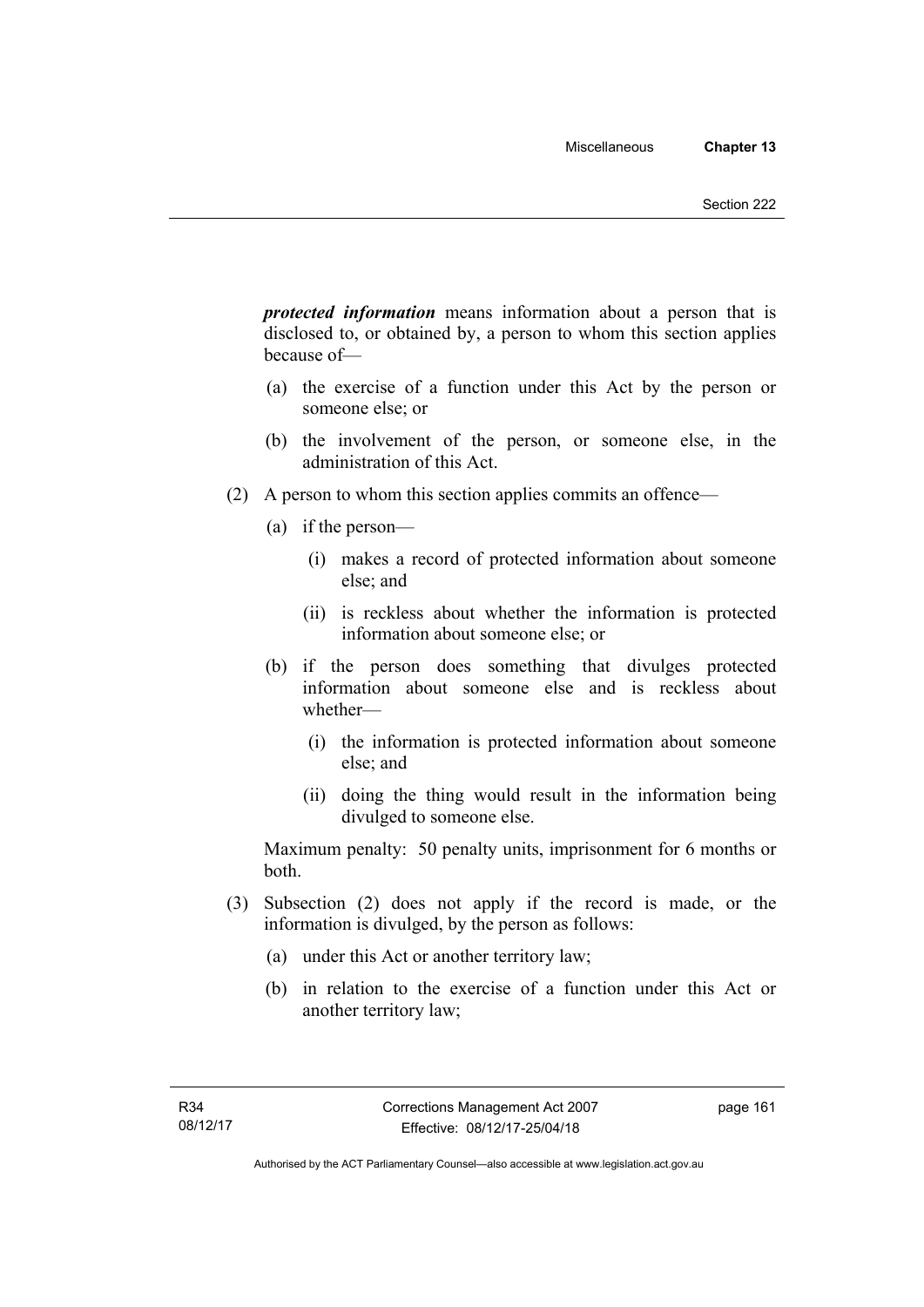*protected information* means information about a person that is disclosed to, or obtained by, a person to whom this section applies because of—

- (a) the exercise of a function under this Act by the person or someone else; or
- (b) the involvement of the person, or someone else, in the administration of this Act.
- (2) A person to whom this section applies commits an offence—
	- (a) if the person—
		- (i) makes a record of protected information about someone else; and
		- (ii) is reckless about whether the information is protected information about someone else; or
	- (b) if the person does something that divulges protected information about someone else and is reckless about whether—
		- (i) the information is protected information about someone else; and
		- (ii) doing the thing would result in the information being divulged to someone else.

Maximum penalty: 50 penalty units, imprisonment for 6 months or both.

- (3) Subsection (2) does not apply if the record is made, or the information is divulged, by the person as follows:
	- (a) under this Act or another territory law;
	- (b) in relation to the exercise of a function under this Act or another territory law;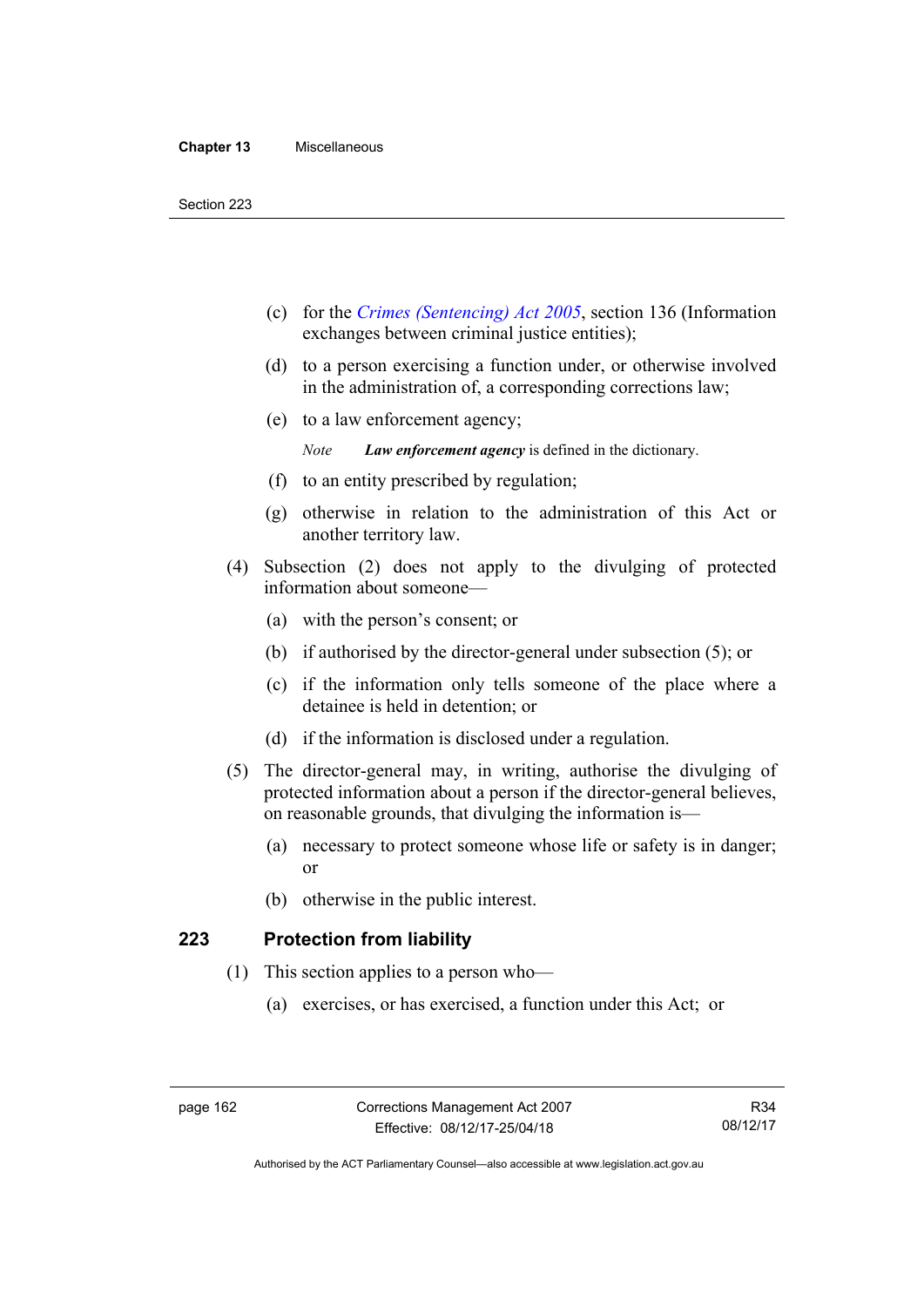- (c) for the *[Crimes \(Sentencing\) Act 2005](http://www.legislation.act.gov.au/a/2005-58)*, section 136 (Information exchanges between criminal justice entities);
- (d) to a person exercising a function under, or otherwise involved in the administration of, a corresponding corrections law;
- (e) to a law enforcement agency;

*Note Law enforcement agency* is defined in the dictionary.

- (f) to an entity prescribed by regulation;
- (g) otherwise in relation to the administration of this Act or another territory law.
- (4) Subsection (2) does not apply to the divulging of protected information about someone—
	- (a) with the person's consent; or
	- (b) if authorised by the director-general under subsection (5); or
	- (c) if the information only tells someone of the place where a detainee is held in detention; or
	- (d) if the information is disclosed under a regulation.
- (5) The director-general may, in writing, authorise the divulging of protected information about a person if the director-general believes, on reasonable grounds, that divulging the information is—
	- (a) necessary to protect someone whose life or safety is in danger; or
	- (b) otherwise in the public interest.

#### **223 Protection from liability**

- (1) This section applies to a person who—
	- (a) exercises, or has exercised, a function under this Act; or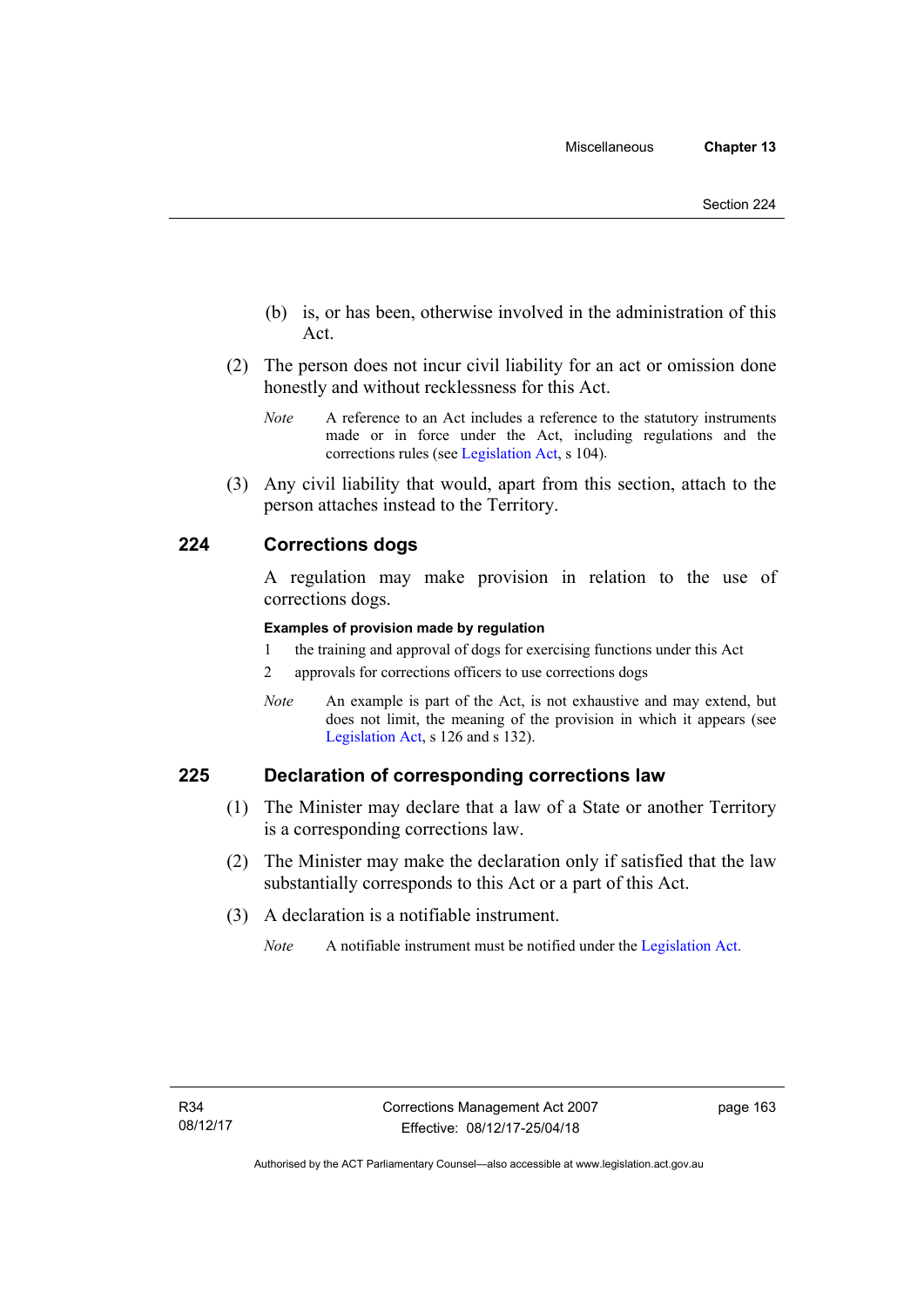- (b) is, or has been, otherwise involved in the administration of this Act.
- (2) The person does not incur civil liability for an act or omission done honestly and without recklessness for this Act.
	- *Note* A reference to an Act includes a reference to the statutory instruments made or in force under the Act, including regulations and the corrections rules (see [Legislation Act,](http://www.legislation.act.gov.au/a/2001-14) s 104).
- (3) Any civil liability that would, apart from this section, attach to the person attaches instead to the Territory.

#### **224 Corrections dogs**

A regulation may make provision in relation to the use of corrections dogs.

#### **Examples of provision made by regulation**

- 1 the training and approval of dogs for exercising functions under this Act
- 2 approvals for corrections officers to use corrections dogs
- *Note* An example is part of the Act, is not exhaustive and may extend, but does not limit, the meaning of the provision in which it appears (see [Legislation Act,](http://www.legislation.act.gov.au/a/2001-14) s 126 and s 132).

### **225 Declaration of corresponding corrections law**

- (1) The Minister may declare that a law of a State or another Territory is a corresponding corrections law.
- (2) The Minister may make the declaration only if satisfied that the law substantially corresponds to this Act or a part of this Act.
- (3) A declaration is a notifiable instrument.
	- *Note* A notifiable instrument must be notified under the [Legislation Act](http://www.legislation.act.gov.au/a/2001-14).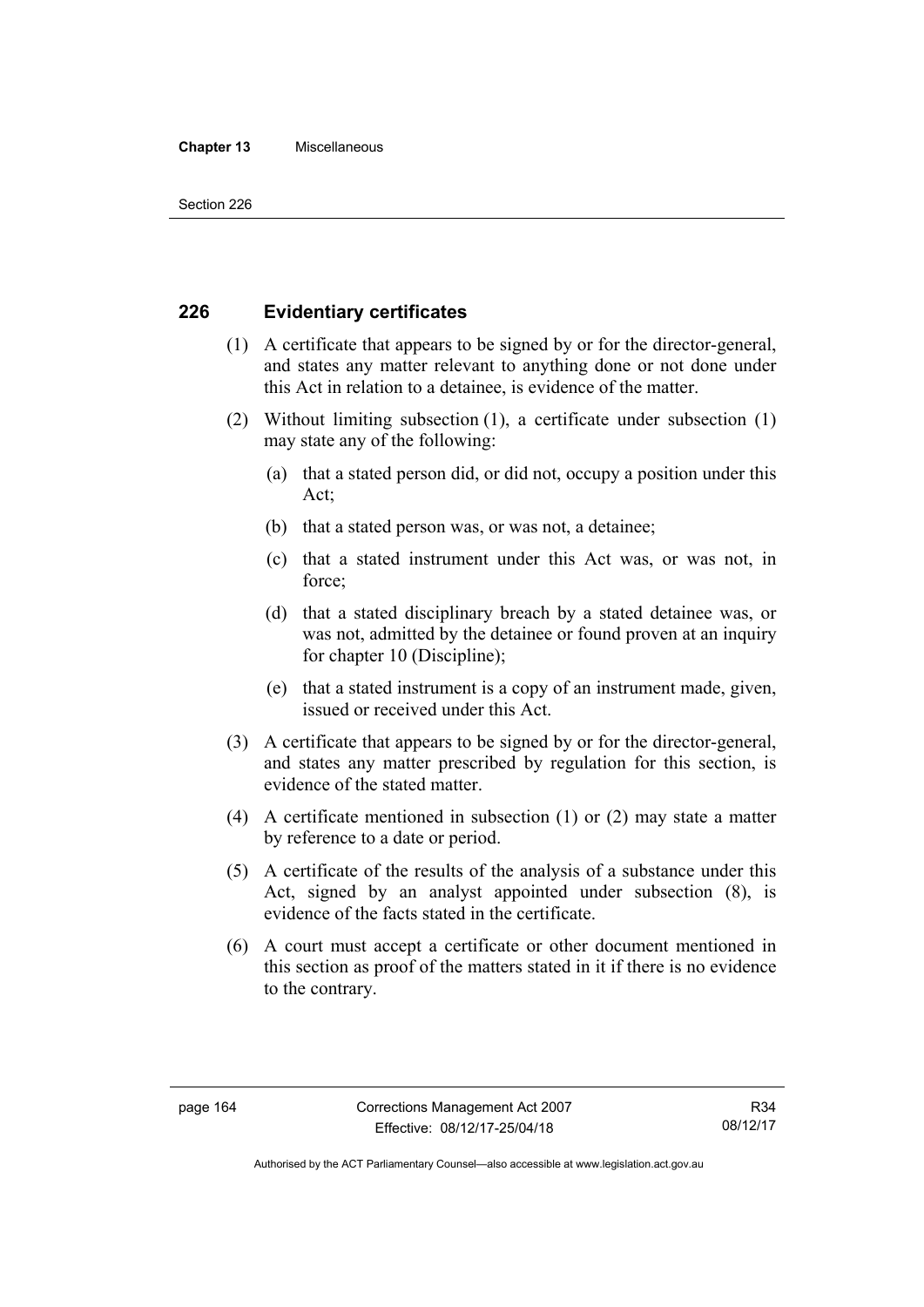#### **Chapter 13** Miscellaneous

### **226 Evidentiary certificates**

- (1) A certificate that appears to be signed by or for the director-general, and states any matter relevant to anything done or not done under this Act in relation to a detainee, is evidence of the matter.
- (2) Without limiting subsection (1), a certificate under subsection (1) may state any of the following:
	- (a) that a stated person did, or did not, occupy a position under this Act;
	- (b) that a stated person was, or was not, a detainee;
	- (c) that a stated instrument under this Act was, or was not, in force;
	- (d) that a stated disciplinary breach by a stated detainee was, or was not, admitted by the detainee or found proven at an inquiry for chapter 10 (Discipline);
	- (e) that a stated instrument is a copy of an instrument made, given, issued or received under this Act.
- (3) A certificate that appears to be signed by or for the director-general, and states any matter prescribed by regulation for this section, is evidence of the stated matter.
- (4) A certificate mentioned in subsection (1) or (2) may state a matter by reference to a date or period.
- (5) A certificate of the results of the analysis of a substance under this Act, signed by an analyst appointed under subsection (8), is evidence of the facts stated in the certificate.
- (6) A court must accept a certificate or other document mentioned in this section as proof of the matters stated in it if there is no evidence to the contrary.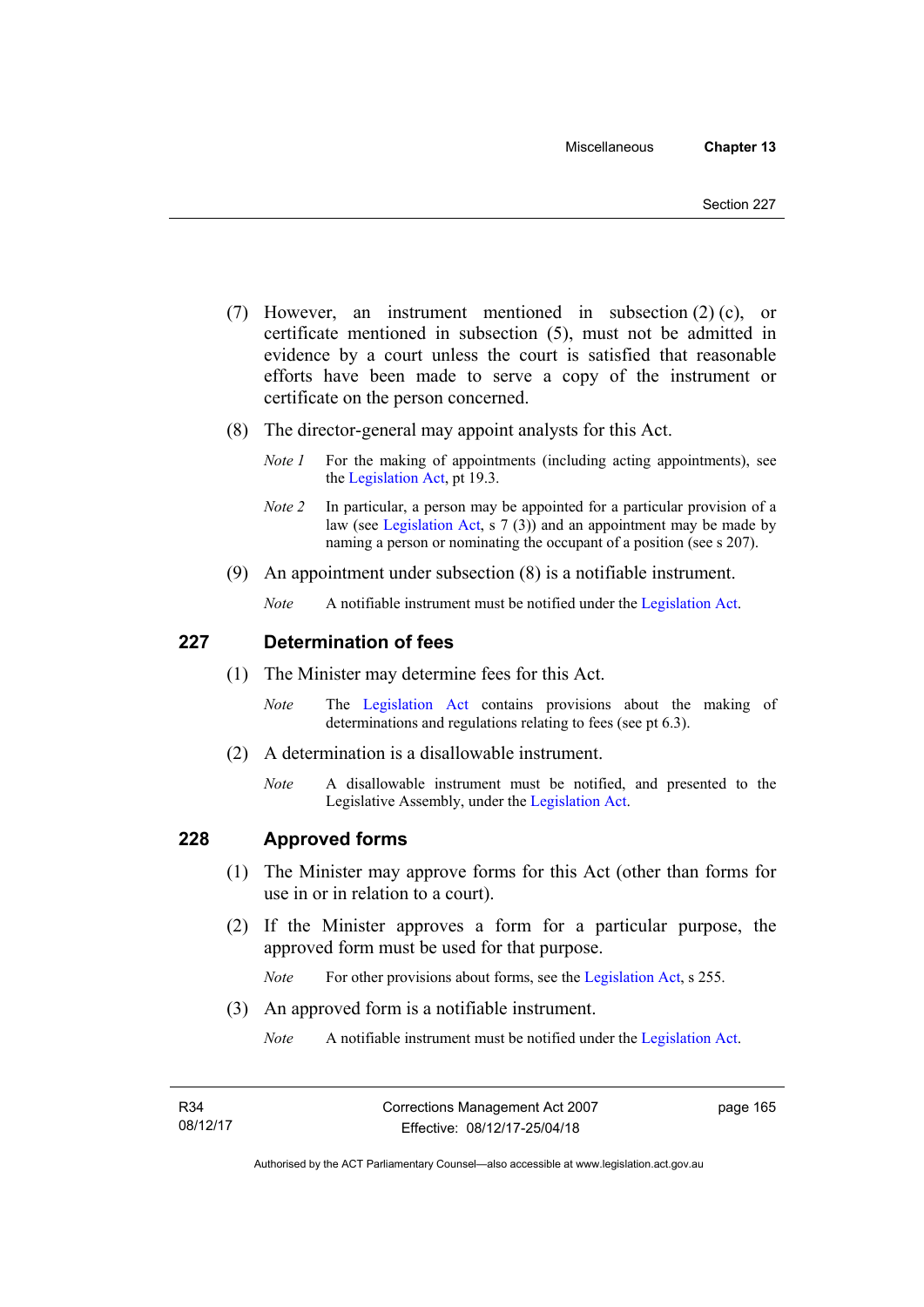- (7) However, an instrument mentioned in subsection (2) (c), or certificate mentioned in subsection (5), must not be admitted in evidence by a court unless the court is satisfied that reasonable efforts have been made to serve a copy of the instrument or certificate on the person concerned.
- (8) The director-general may appoint analysts for this Act.
	- *Note 1* For the making of appointments (including acting appointments), see the [Legislation Act,](http://www.legislation.act.gov.au/a/2001-14) pt 19.3.
	- *Note 2* In particular, a person may be appointed for a particular provision of a law (see [Legislation Act,](http://www.legislation.act.gov.au/a/2001-14) s 7 (3)) and an appointment may be made by naming a person or nominating the occupant of a position (see s 207).
- (9) An appointment under subsection (8) is a notifiable instrument.

*Note* A notifiable instrument must be notified under the [Legislation Act](http://www.legislation.act.gov.au/a/2001-14).

#### **227 Determination of fees**

- (1) The Minister may determine fees for this Act.
	- *Note* The [Legislation Act](http://www.legislation.act.gov.au/a/2001-14) contains provisions about the making of determinations and regulations relating to fees (see pt 6.3).
- (2) A determination is a disallowable instrument.
	- *Note* A disallowable instrument must be notified, and presented to the Legislative Assembly, under the [Legislation Act.](http://www.legislation.act.gov.au/a/2001-14)

#### **228 Approved forms**

- (1) The Minister may approve forms for this Act (other than forms for use in or in relation to a court).
- (2) If the Minister approves a form for a particular purpose, the approved form must be used for that purpose.

*Note* For other provisions about forms, see the [Legislation Act,](http://www.legislation.act.gov.au/a/2001-14) s 255.

(3) An approved form is a notifiable instrument.

*Note* A notifiable instrument must be notified under the [Legislation Act](http://www.legislation.act.gov.au/a/2001-14).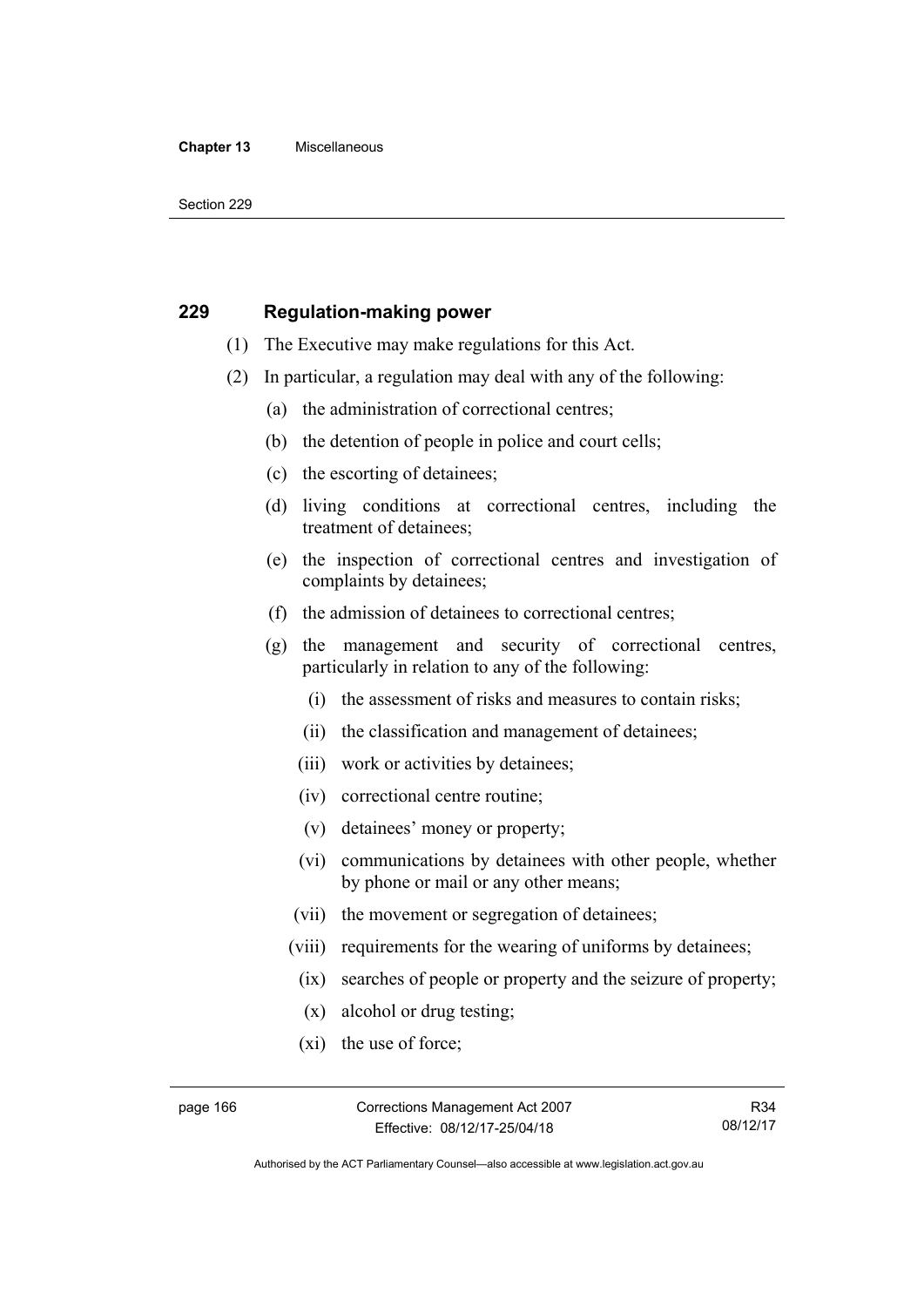#### **Chapter 13** Miscellaneous

Section 229

#### **229 Regulation-making power**

- (1) The Executive may make regulations for this Act.
- (2) In particular, a regulation may deal with any of the following:
	- (a) the administration of correctional centres;
	- (b) the detention of people in police and court cells;
	- (c) the escorting of detainees;
	- (d) living conditions at correctional centres, including the treatment of detainees;
	- (e) the inspection of correctional centres and investigation of complaints by detainees;
	- (f) the admission of detainees to correctional centres;
	- (g) the management and security of correctional centres, particularly in relation to any of the following:
		- (i) the assessment of risks and measures to contain risks;
		- (ii) the classification and management of detainees;
		- (iii) work or activities by detainees;
		- (iv) correctional centre routine;
		- (v) detainees' money or property;
		- (vi) communications by detainees with other people, whether by phone or mail or any other means;
		- (vii) the movement or segregation of detainees;
		- (viii) requirements for the wearing of uniforms by detainees;
		- (ix) searches of people or property and the seizure of property;
		- (x) alcohol or drug testing;
		- (xi) the use of force;

Authorised by the ACT Parliamentary Counsel—also accessible at www.legislation.act.gov.au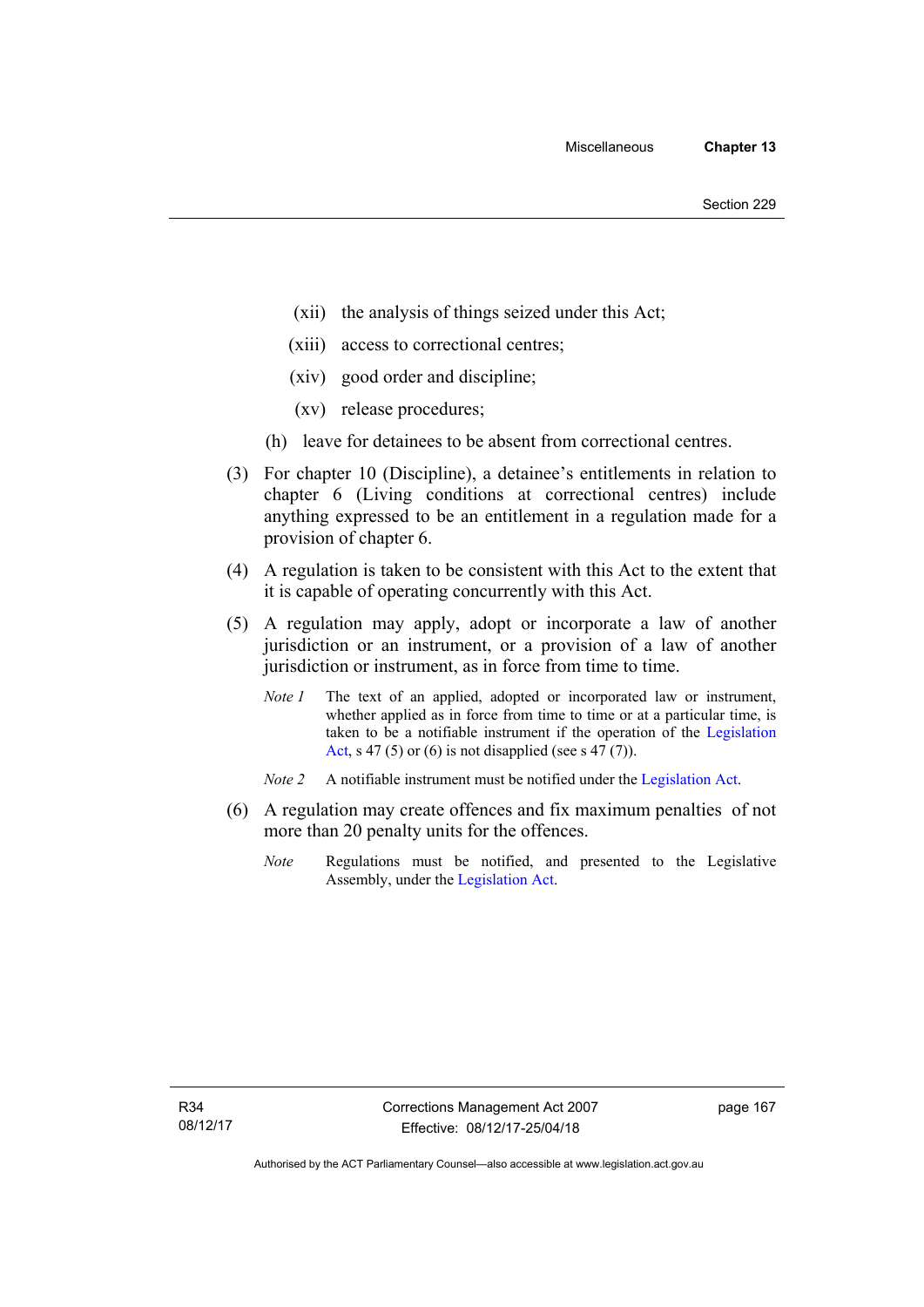- (xii) the analysis of things seized under this Act;
- (xiii) access to correctional centres;
- (xiv) good order and discipline;
- (xv) release procedures;
- (h) leave for detainees to be absent from correctional centres.
- (3) For chapter 10 (Discipline), a detainee's entitlements in relation to chapter 6 (Living conditions at correctional centres) include anything expressed to be an entitlement in a regulation made for a provision of chapter 6.
- (4) A regulation is taken to be consistent with this Act to the extent that it is capable of operating concurrently with this Act.
- (5) A regulation may apply, adopt or incorporate a law of another jurisdiction or an instrument, or a provision of a law of another jurisdiction or instrument, as in force from time to time.
	- *Note 1* The text of an applied, adopted or incorporated law or instrument, whether applied as in force from time to time or at a particular time, is taken to be a notifiable instrument if the operation of the [Legislation](http://www.legislation.act.gov.au/a/2001-14)  [Act,](http://www.legislation.act.gov.au/a/2001-14) s 47 (5) or (6) is not disapplied (see s  $47(7)$ ).
	- *Note 2* A notifiable instrument must be notified under the [Legislation Act](http://www.legislation.act.gov.au/a/2001-14).
- (6) A regulation may create offences and fix maximum penalties of not more than 20 penalty units for the offences.
	- *Note* Regulations must be notified, and presented to the Legislative Assembly, under the [Legislation Act](http://www.legislation.act.gov.au/a/2001-14).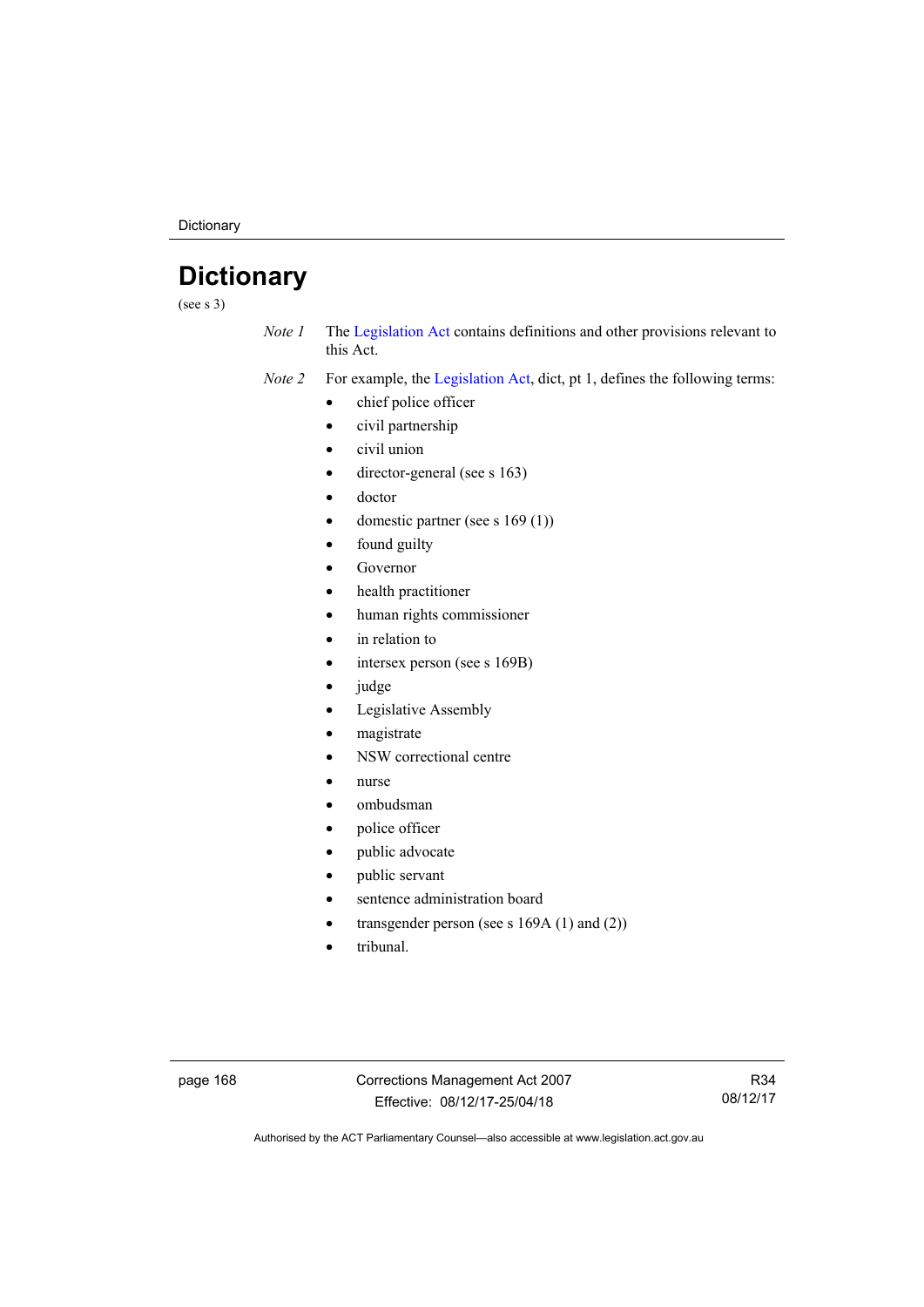**Dictionary** 

# **Dictionary**

(see s 3)

*Note 1* The [Legislation Act](http://www.legislation.act.gov.au/a/2001-14) contains definitions and other provisions relevant to this Act.

*Note 2* For example, the [Legislation Act,](http://www.legislation.act.gov.au/a/2001-14) dict, pt 1, defines the following terms:

- chief police officer
- civil partnership
- civil union
- director-general (see s 163)
- doctor
- domestic partner (see s 169 (1))
- found guilty
- Governor
- health practitioner
- human rights commissioner
- in relation to
- intersex person (see s 169B)
- judge
- Legislative Assembly
- magistrate
- NSW correctional centre
- nurse
- ombudsman
- police officer
- public advocate
- public servant
- sentence administration board
- transgender person (see s 169A (1) and (2))
- tribunal.

page 168 Corrections Management Act 2007 Effective: 08/12/17-25/04/18

R34 08/12/17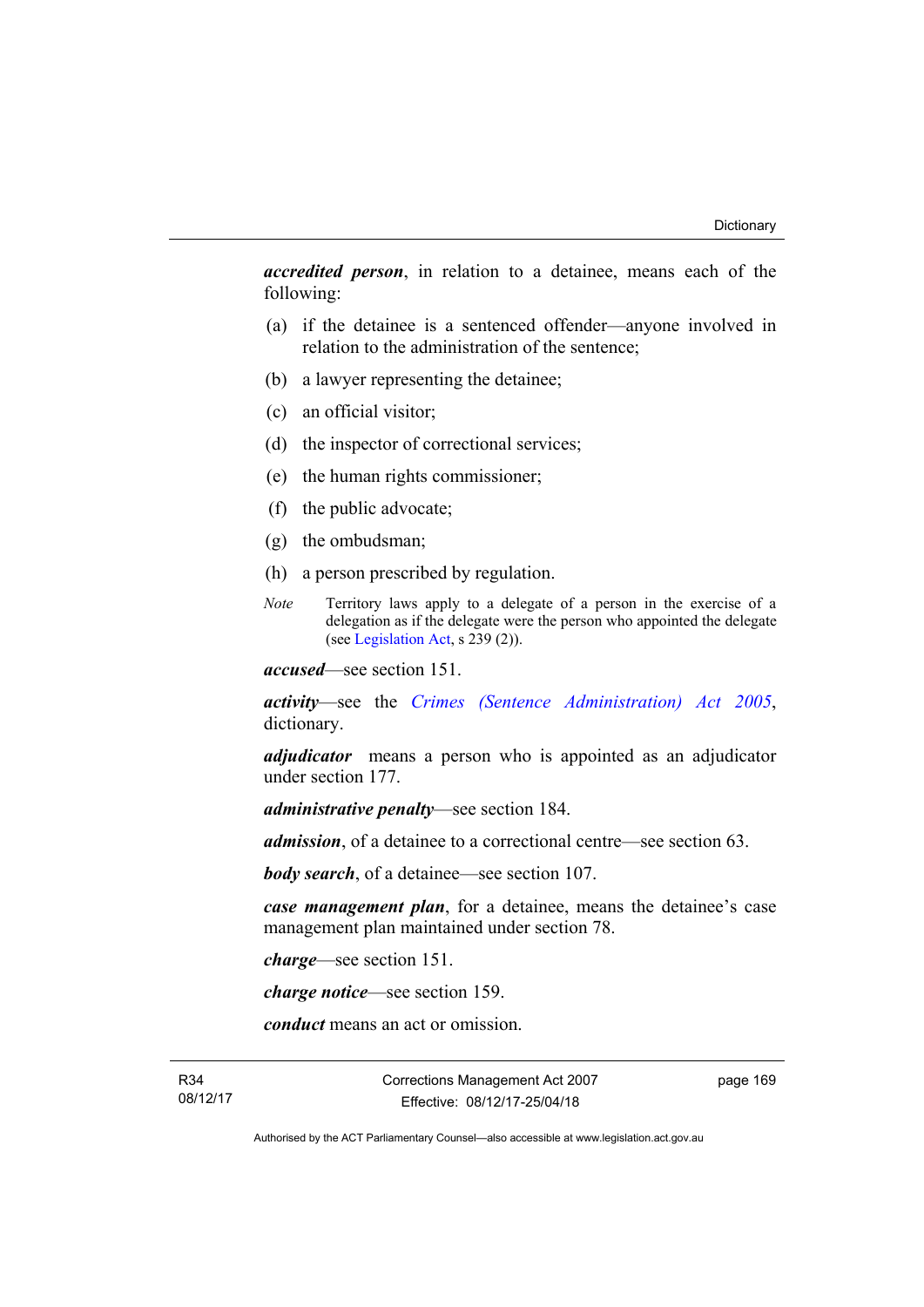*accredited person*, in relation to a detainee, means each of the following:

- (a) if the detainee is a sentenced offender—anyone involved in relation to the administration of the sentence;
- (b) a lawyer representing the detainee;
- (c) an official visitor;
- (d) the inspector of correctional services;
- (e) the human rights commissioner;
- (f) the public advocate;
- (g) the ombudsman;
- (h) a person prescribed by regulation.
- *Note* Territory laws apply to a delegate of a person in the exercise of a delegation as if the delegate were the person who appointed the delegate (see [Legislation Act,](http://www.legislation.act.gov.au/a/2001-14) s 239 (2)).

*accused*—see section 151.

*activity*—see the *[Crimes \(Sentence Administration\) Act 2005](http://www.legislation.act.gov.au/a/2005-59)*, dictionary.

*adjudicator* means a person who is appointed as an adjudicator under section 177.

*administrative penalty*—see section 184.

*admission*, of a detainee to a correctional centre—see section 63.

*body search*, of a detainee—see section 107.

*case management plan*, for a detainee, means the detainee's case management plan maintained under section 78.

*charge*—see section 151.

*charge notice*—see section 159.

*conduct* means an act or omission.

R34 08/12/17 Corrections Management Act 2007 Effective: 08/12/17-25/04/18

page 169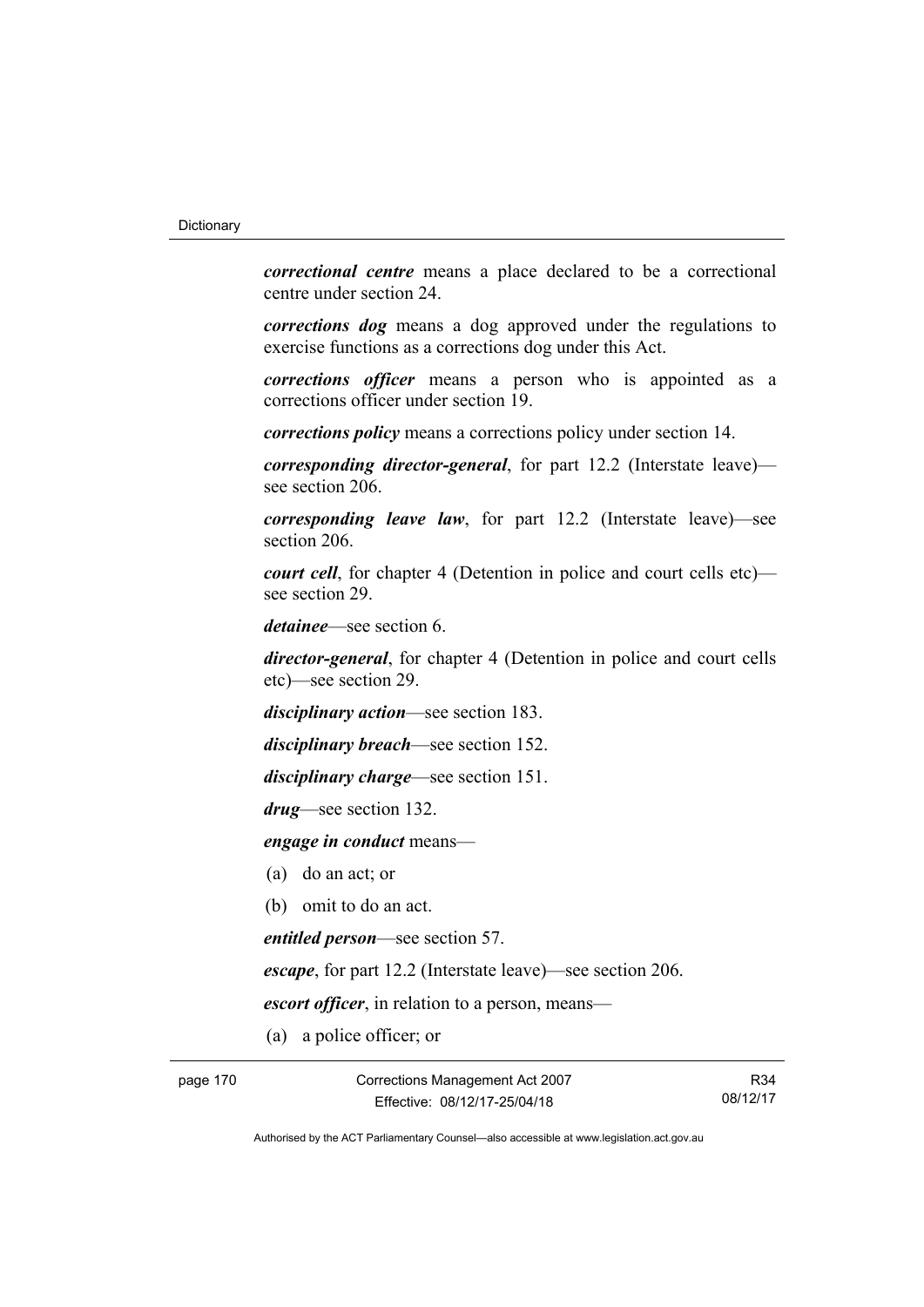*correctional centre* means a place declared to be a correctional centre under section 24.

*corrections dog* means a dog approved under the regulations to exercise functions as a corrections dog under this Act.

*corrections officer* means a person who is appointed as a corrections officer under section 19.

*corrections policy* means a corrections policy under section 14.

*corresponding director-general*, for part 12.2 (Interstate leave) see section 206.

*corresponding leave law*, for part 12.2 (Interstate leave)—see section 206.

*court cell*, for chapter 4 (Detention in police and court cells etc) see section 29.

*detainee*—see section 6.

*director-general*, for chapter 4 (Detention in police and court cells etc)—see section 29.

*disciplinary action*—see section 183.

*disciplinary breach*—see section 152.

*disciplinary charge*—see section 151.

*drug*—see section 132.

*engage in conduct* means—

- (a) do an act; or
- (b) omit to do an act.

*entitled person*—see section 57.

*escape*, for part 12.2 (Interstate leave)—see section 206.

*escort officer*, in relation to a person, means—

(a) a police officer; or

page 170 Corrections Management Act 2007 Effective: 08/12/17-25/04/18

R34 08/12/17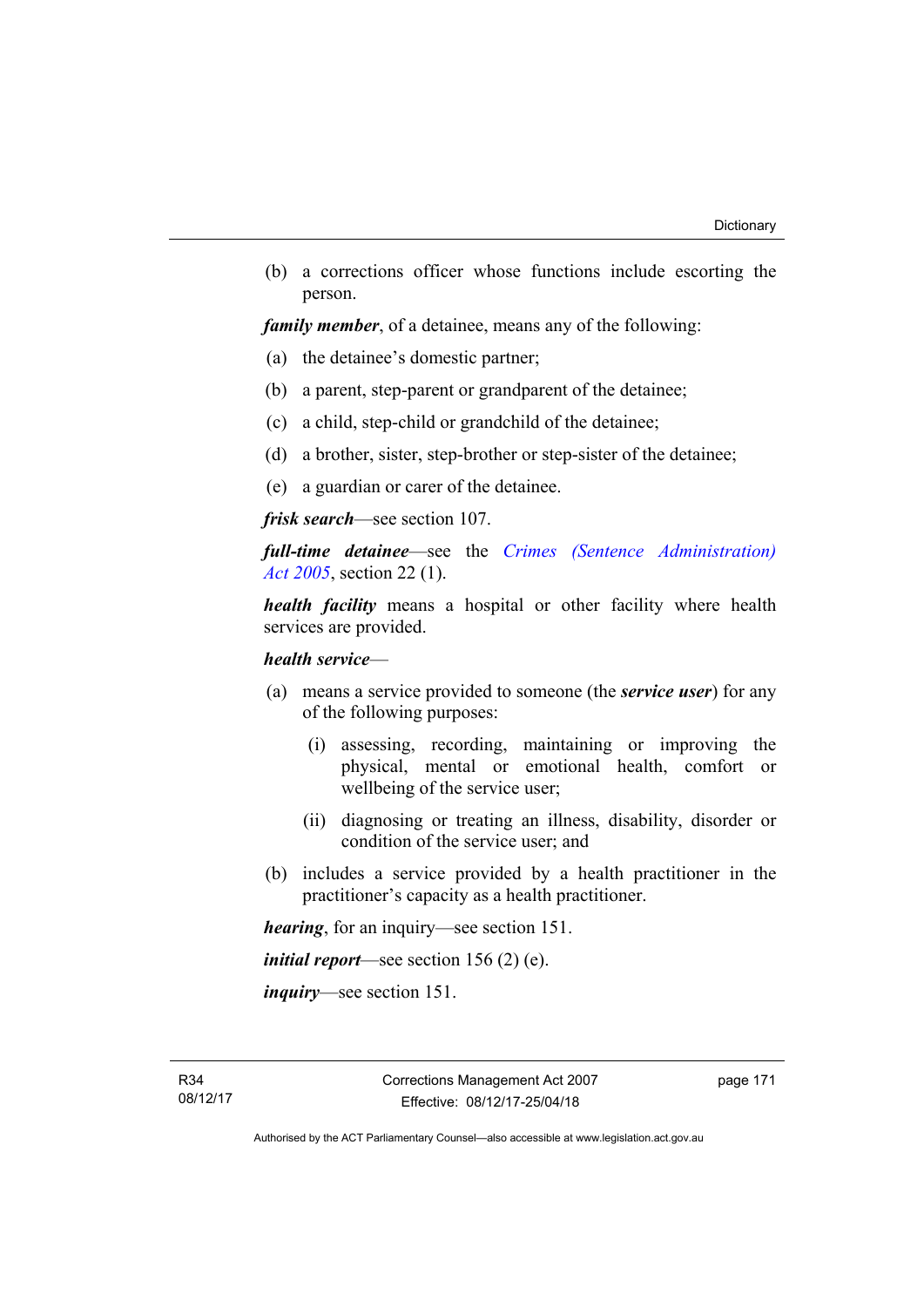(b) a corrections officer whose functions include escorting the person.

*family member*, of a detainee, means any of the following:

- (a) the detainee's domestic partner;
- (b) a parent, step-parent or grandparent of the detainee;
- (c) a child, step-child or grandchild of the detainee;
- (d) a brother, sister, step-brother or step-sister of the detainee;
- (e) a guardian or carer of the detainee.

*frisk search*—see section 107.

*full-time detainee*—see the *[Crimes \(Sentence Administration\)](http://www.legislation.act.gov.au/a/2005-59)  [Act 2005](http://www.legislation.act.gov.au/a/2005-59)*, section 22 (1).

*health facility* means a hospital or other facility where health services are provided.

## *health service*—

- (a) means a service provided to someone (the *service user*) for any of the following purposes:
	- (i) assessing, recording, maintaining or improving the physical, mental or emotional health, comfort or wellbeing of the service user;
	- (ii) diagnosing or treating an illness, disability, disorder or condition of the service user; and
- (b) includes a service provided by a health practitioner in the practitioner's capacity as a health practitioner.

*hearing*, for an inquiry—see section 151.

*initial report*—see section 156 (2) (e).

*inquiry*—see section 151.

page 171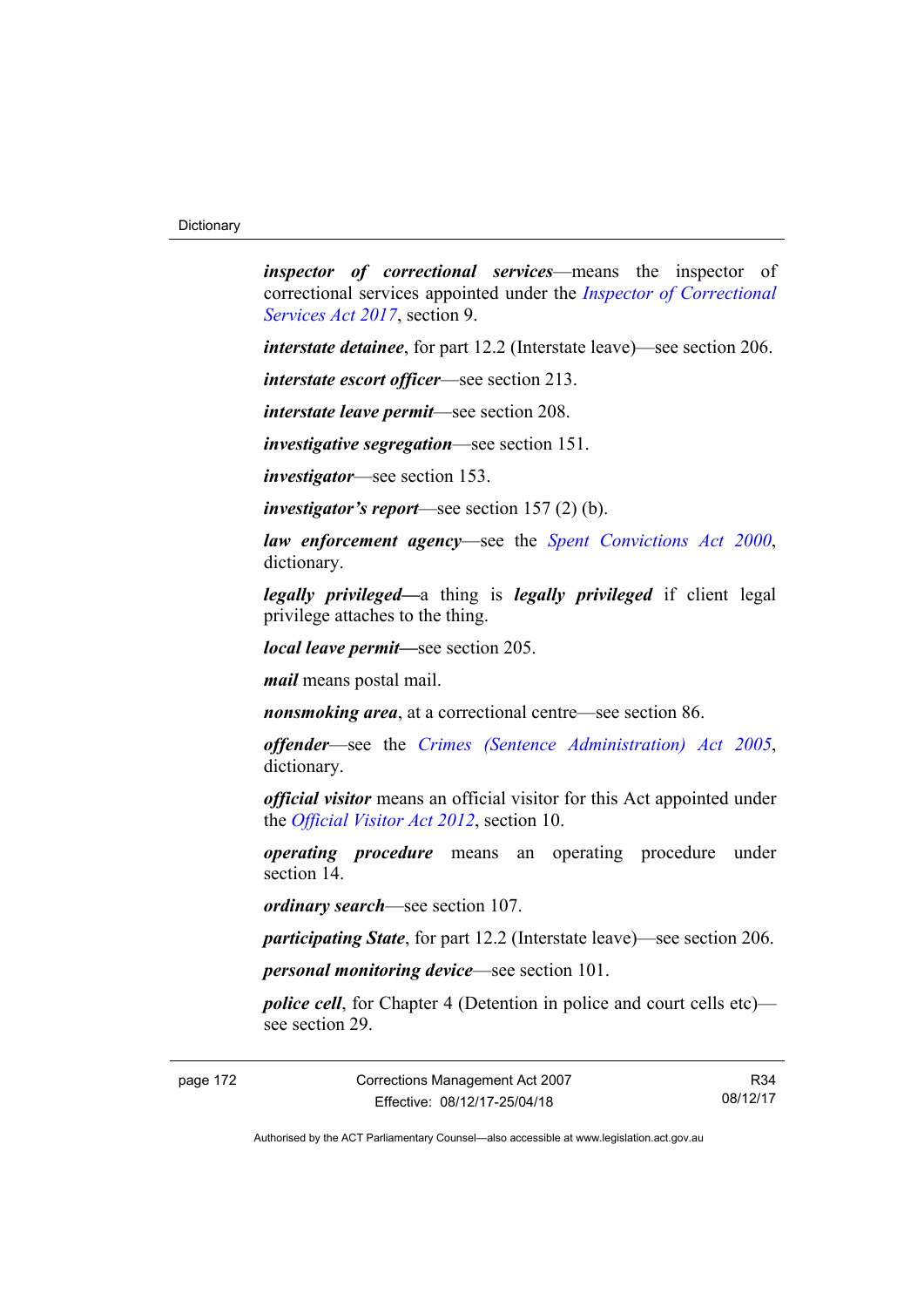*inspector of correctional services*—means the inspector of correctional services appointed under the *[Inspector of Correctional](http://www.legislation.act.gov.au/a/2017-47/default.asp)  [Services Act 2017](http://www.legislation.act.gov.au/a/2017-47/default.asp)*, section 9.

*interstate detainee*, for part 12.2 (Interstate leave)—see section 206.

*interstate escort officer*—see section 213.

*interstate leave permit*—see section 208.

*investigative segregation*—see section 151.

*investigator*—see section 153.

*investigator's report*—see section 157 (2) (b).

*law enforcement agency*—see the *[Spent Convictions Act 2000](http://www.legislation.act.gov.au/a/2000-48)*, dictionary.

*legally privileged—*a thing is *legally privileged* if client legal privilege attaches to the thing.

*local leave permit—*see section 205.

*mail* means postal mail.

*nonsmoking area*, at a correctional centre—see section 86.

*offender*—see the *[Crimes \(Sentence Administration\) Act 2005](http://www.legislation.act.gov.au/a/2005-59)*, dictionary.

*official visitor* means an official visitor for this Act appointed under the *[Official Visitor Act 2012](http://www.legislation.act.gov.au/a/2012-33)*, section 10.

*operating procedure* means an operating procedure under section 14.

*ordinary search*—see section 107.

*participating State*, for part 12.2 (Interstate leave)—see section 206.

*personal monitoring device*—see section 101.

*police cell*, for Chapter 4 (Detention in police and court cells etc) see section 29.

page 172 Corrections Management Act 2007 Effective: 08/12/17-25/04/18

R34 08/12/17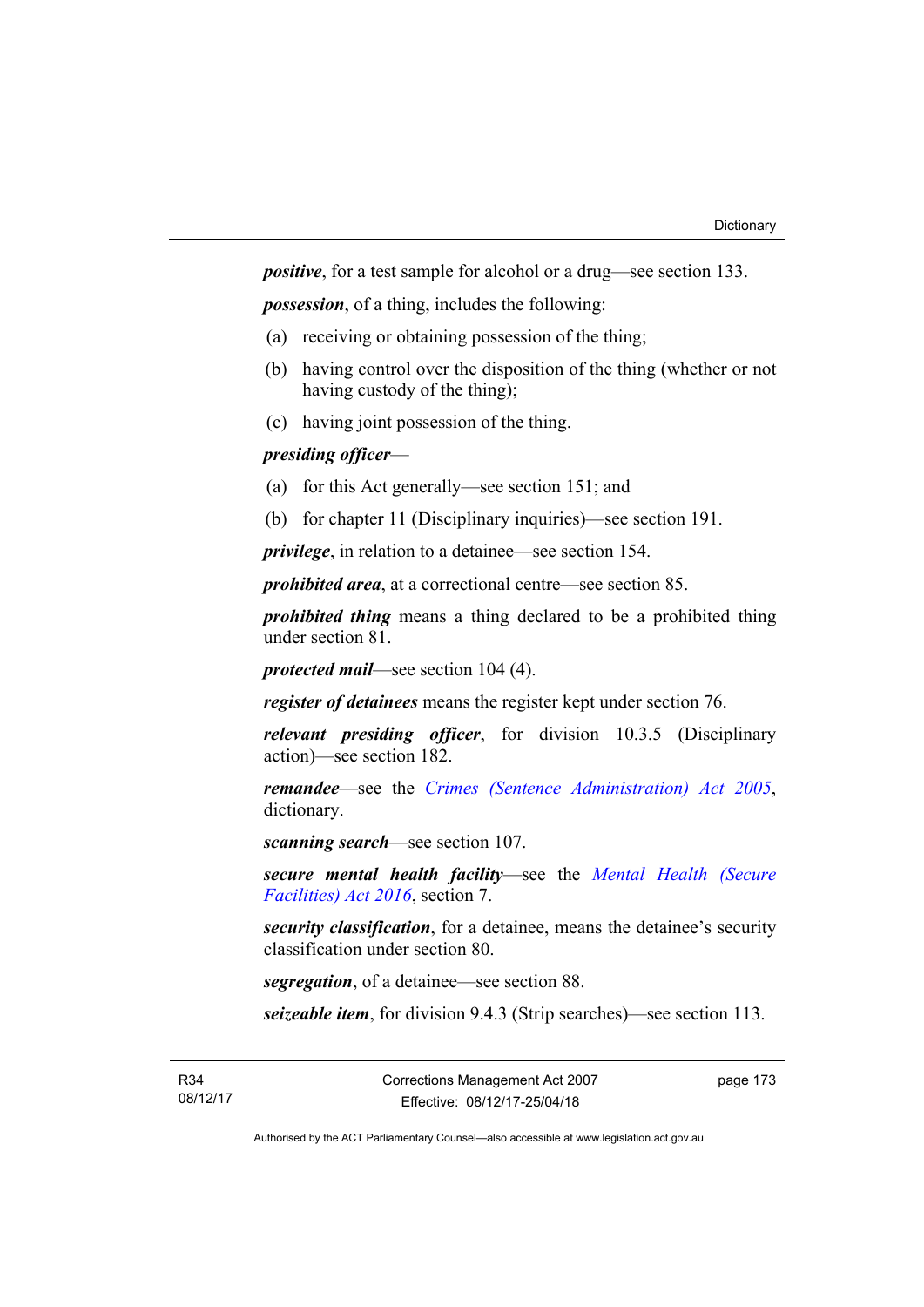*positive*, for a test sample for alcohol or a drug—see section 133.

*possession*, of a thing, includes the following:

- (a) receiving or obtaining possession of the thing;
- (b) having control over the disposition of the thing (whether or not having custody of the thing);
- (c) having joint possession of the thing.

## *presiding officer*—

- (a) for this Act generally—see section 151; and
- (b) for chapter 11 (Disciplinary inquiries)—see section 191.

*privilege*, in relation to a detainee—see section 154.

*prohibited area*, at a correctional centre—see section 85.

*prohibited thing* means a thing declared to be a prohibited thing under section 81.

*protected mail*—see section 104 (4).

*register of detainees* means the register kept under section 76.

*relevant presiding officer*, for division 10.3.5 (Disciplinary action)—see section 182.

*remandee*—see the *[Crimes \(Sentence Administration\) Act 2005](http://www.legislation.act.gov.au/a/2005-59)*, dictionary.

*scanning search*—see section 107.

*secure mental health facility*—see the *[Mental Health \(Secure](http://www.legislation.act.gov.au/a/2016-31/default.asp)  [Facilities\) Act 2016](http://www.legislation.act.gov.au/a/2016-31/default.asp)*, section 7.

*security classification*, for a detainee, means the detainee's security classification under section 80.

*segregation*, of a detainee—see section 88.

*seizeable item*, for division 9.4.3 (Strip searches)—see section 113.

page 173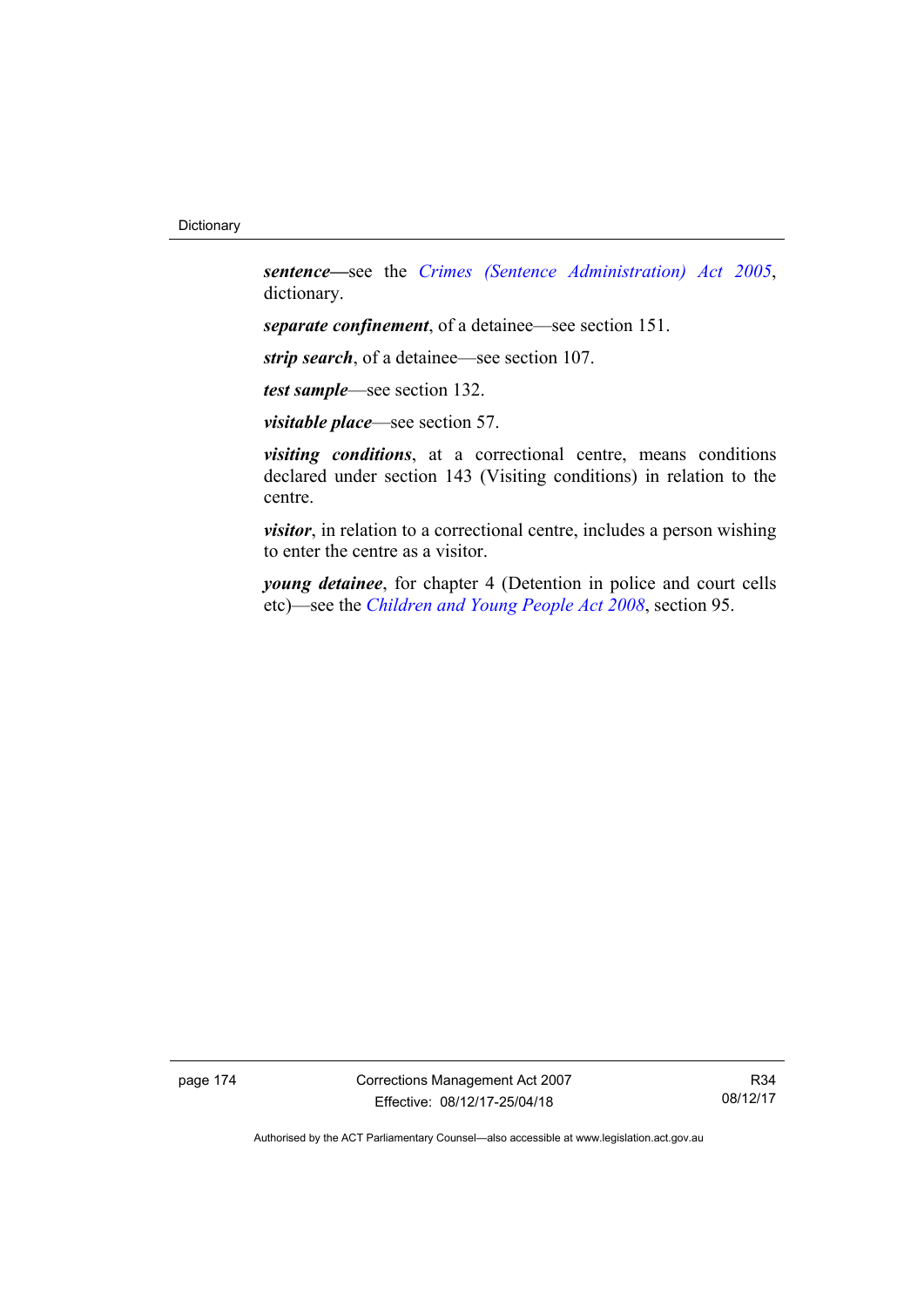*sentence—*see the *[Crimes \(Sentence Administration\) Act 2005](http://www.legislation.act.gov.au/a/2005-59)*, dictionary.

*separate confinement*, of a detainee—see section 151.

*strip search*, of a detainee—see section 107.

*test sample*—see section 132.

*visitable place*—see section 57.

*visiting conditions*, at a correctional centre, means conditions declared under section 143 (Visiting conditions) in relation to the centre.

*visitor*, in relation to a correctional centre, includes a person wishing to enter the centre as a visitor.

*young detainee*, for chapter 4 (Detention in police and court cells etc)—see the *[Children and Young People Act 2008](http://www.legislation.act.gov.au/a/2008-19)*, section 95.

page 174 Corrections Management Act 2007 Effective: 08/12/17-25/04/18

R34 08/12/17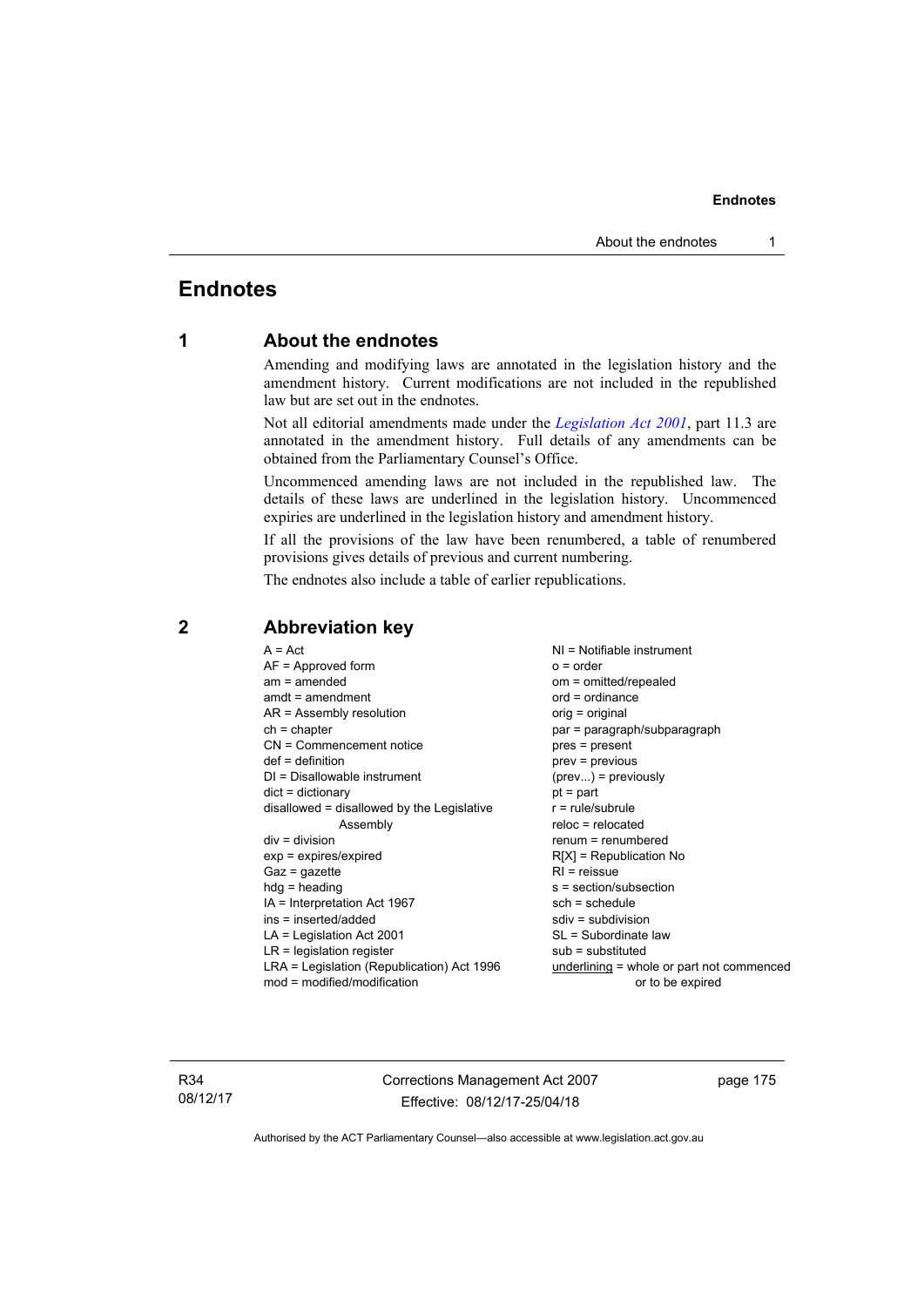# **Endnotes**

# **1 About the endnotes**

Amending and modifying laws are annotated in the legislation history and the amendment history. Current modifications are not included in the republished law but are set out in the endnotes.

Not all editorial amendments made under the *[Legislation Act 2001](http://www.legislation.act.gov.au/a/2001-14)*, part 11.3 are annotated in the amendment history. Full details of any amendments can be obtained from the Parliamentary Counsel's Office.

Uncommenced amending laws are not included in the republished law. The details of these laws are underlined in the legislation history. Uncommenced expiries are underlined in the legislation history and amendment history.

If all the provisions of the law have been renumbered, a table of renumbered provisions gives details of previous and current numbering.

The endnotes also include a table of earlier republications.

| $A = Act$<br>$AF =$ Approved form          | $NI = Notifiable$ instrument<br>$o = order$ |
|--------------------------------------------|---------------------------------------------|
| $am = amended$                             | om = omitted/repealed                       |
| $amdt = amendment$                         | $ord = ordinance$                           |
| $AR = Assembly resolution$                 | $orig = original$                           |
| $ch = chapter$                             | par = paragraph/subparagraph                |
| CN = Commencement notice                   | $pres = present$                            |
| $def = definition$                         | $prev = previous$                           |
| $DI = Disallowable instrument$             |                                             |
|                                            | $(\text{prev})$ = previously                |
| $dict = dictionary$                        | $pt = part$                                 |
| disallowed = disallowed by the Legislative | $r = rule/subrule$                          |
| Assembly                                   | $reloc = relocated$                         |
| $div = division$                           | $renum = renumbered$                        |
| $exp = expires/expired$                    | $R[X]$ = Republication No                   |
| $Gaz = gazette$                            | $R1$ = reissue                              |
| $hdg = heading$                            | s = section/subsection                      |
| $IA = Interpretation Act 1967$             | $sch = schedule$                            |
| ins = inserted/added                       | $sdiv = subdivision$                        |
| $LA =$ Legislation Act 2001                | SL = Subordinate law                        |
| $LR =$ legislation register                | $sub =$ substituted                         |
| LRA = Legislation (Republication) Act 1996 | $underlining = whole or part not commenced$ |
| $mod = modified/modification$              | or to be expired                            |
|                                            |                                             |

# **2 Abbreviation key**

R34 08/12/17 Corrections Management Act 2007 Effective: 08/12/17-25/04/18

page 175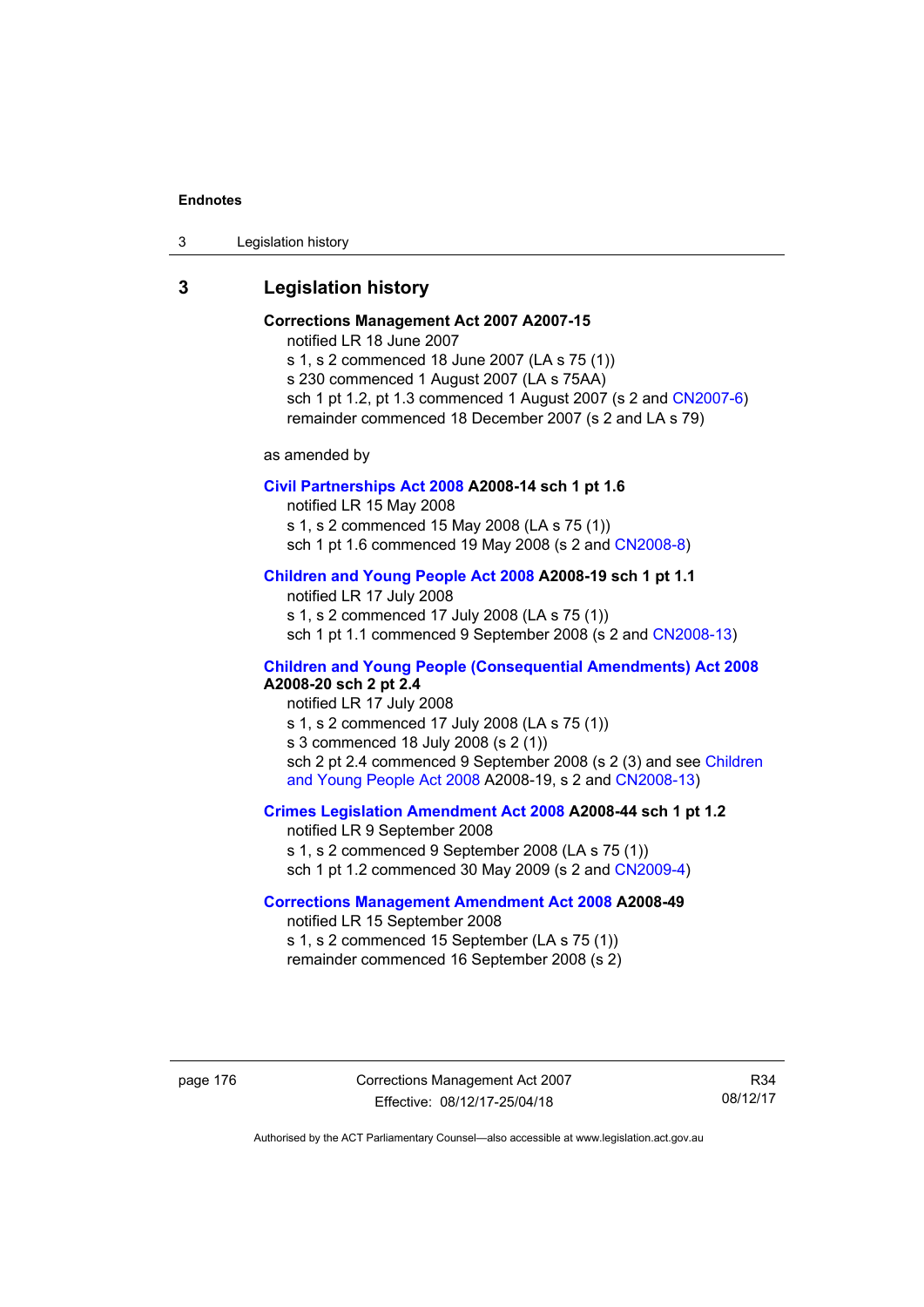3 Legislation history

# **3 Legislation history**

# **Corrections Management Act 2007 A2007-15**

notified LR 18 June 2007

s 1, s 2 commenced 18 June 2007 (LA s 75 (1)) s 230 commenced 1 August 2007 (LA s 75AA) sch 1 pt 1.2, pt 1.3 commenced 1 August 2007 (s 2 and [CN2007-6](http://www.legislation.act.gov.au/cn/2007-6/default.asp)) remainder commenced 18 December 2007 (s 2 and LA s 79)

as amended by

## **[Civil Partnerships Act 2008](http://www.legislation.act.gov.au/a/2008-14) A2008-14 sch 1 pt 1.6**

notified LR 15 May 2008

s 1, s 2 commenced 15 May 2008 (LA s 75 (1))

sch 1 pt 1.6 commenced 19 May 2008 (s 2 and [CN2008-8\)](http://www.legislation.act.gov.au/cn/2008-8/default.asp)

# **[Children and Young People Act 2008](http://www.legislation.act.gov.au/a/2008-19) A2008-19 sch 1 pt 1.1**

notified LR 17 July 2008 s 1, s 2 commenced 17 July 2008 (LA s 75 (1)) sch 1 pt 1.1 commenced 9 September 2008 (s 2 and [CN2008-13\)](http://www.legislation.act.gov.au/cn/2008-13/default.asp)

## **[Children and Young People \(Consequential Amendments\) Act 2008](http://www.legislation.act.gov.au/a/2008-20) A2008-20 sch 2 pt 2.4**

notified LR 17 July 2008 s 1, s 2 commenced 17 July 2008 (LA s 75 (1)) s 3 commenced 18 July 2008 (s 2 (1)) sch 2 pt 2.4 commenced 9 September 2008 (s 2 (3) and see Children [and Young People Act 2008](http://www.legislation.act.gov.au/a/2008-19) A2008-19, s 2 and [CN2008-13](http://www.legislation.act.gov.au/cn/2008-13/default.asp))

## **[Crimes Legislation Amendment Act 2008](http://www.legislation.act.gov.au/a/2008-44) A2008-44 sch 1 pt 1.2**

notified LR 9 September 2008 s 1, s 2 commenced 9 September 2008 (LA s 75 (1)) sch 1 pt 1.2 commenced 30 May 2009 (s 2 and [CN2009-4\)](http://www.legislation.act.gov.au/cn/2009-4/default.asp)

# **[Corrections Management Amendment Act 2008](http://www.legislation.act.gov.au/a/2008-49) A2008-49**

notified LR 15 September 2008 s 1, s 2 commenced 15 September (LA s 75 (1)) remainder commenced 16 September 2008 (s 2)

page 176 Corrections Management Act 2007 Effective: 08/12/17-25/04/18

R34 08/12/17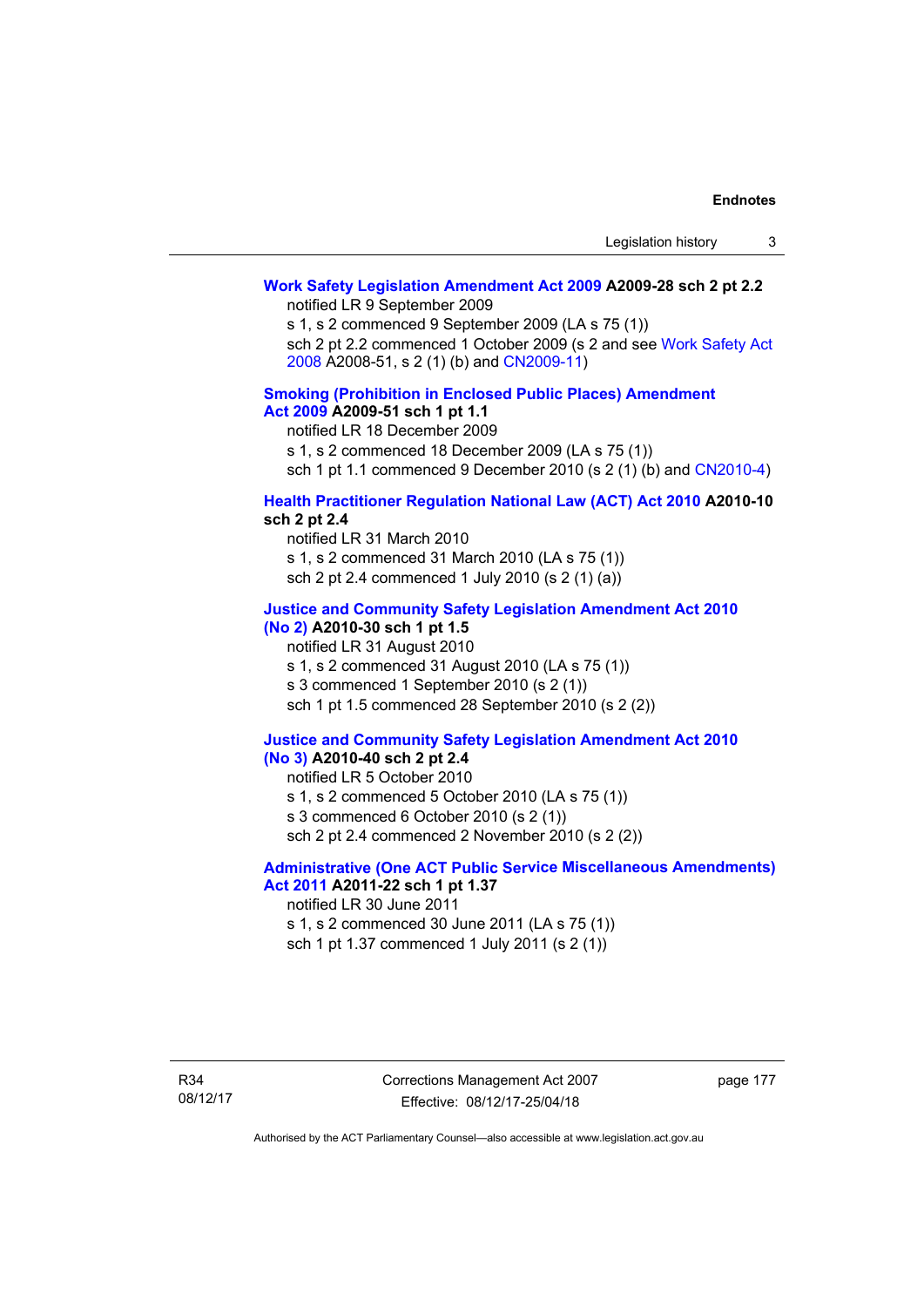# **[Work Safety Legislation Amendment Act 2009](http://www.legislation.act.gov.au/a/2009-28) A2009-28 sch 2 pt 2.2**

notified LR 9 September 2009

s 1, s 2 commenced 9 September 2009 (LA s 75 (1))

sch 2 pt 2.2 commenced 1 October 2009 (s 2 and see [Work Safety Act](http://www.legislation.act.gov.au/a/2008-51)  [2008](http://www.legislation.act.gov.au/a/2008-51) A2008-51, s 2 (1) (b) and [CN2009-11\)](http://www.legislation.act.gov.au/cn/2009-11/default.asp)

## **[Smoking \(Prohibition in Enclosed Public Places\) Amendment](http://www.legislation.act.gov.au/a/2009-51)  [Act 2009](http://www.legislation.act.gov.au/a/2009-51) A2009-51 sch 1 pt 1.1**

notified LR 18 December 2009

s 1, s 2 commenced 18 December 2009 (LA s 75 (1))

sch 1 pt 1.1 commenced 9 December 2010 (s 2 (1) (b) and [CN2010-4\)](http://www.legislation.act.gov.au/cn/2010-4/default.asp)

## **[Health Practitioner Regulation National Law \(ACT\) Act 2010](http://www.legislation.act.gov.au/a/2010-10) A2010-10 sch 2 pt 2.4**

notified LR 31 March 2010 s 1, s 2 commenced 31 March 2010 (LA s 75 (1)) sch 2 pt 2.4 commenced 1 July 2010 (s 2 (1) (a))

## **[Justice and Community Safety Legislation Amendment Act 2010](http://www.legislation.act.gov.au/a/2010-30)**

# **[\(No 2\)](http://www.legislation.act.gov.au/a/2010-30) A2010-30 sch 1 pt 1.5**

notified LR 31 August 2010

s 1, s 2 commenced 31 August 2010 (LA s 75 (1))

s 3 commenced 1 September 2010 (s 2 (1))

sch 1 pt 1.5 commenced 28 September 2010 (s 2 (2))

#### **[Justice and Community Safety Legislation Amendment Act 2010](http://www.legislation.act.gov.au/a/2010-40)  [\(No 3\)](http://www.legislation.act.gov.au/a/2010-40) A2010-40 sch 2 pt 2.4**

notified LR 5 October 2010

s 1, s 2 commenced 5 October 2010 (LA s 75 (1))

s 3 commenced 6 October 2010 (s 2 (1))

sch 2 pt 2.4 commenced 2 November 2010 (s 2 (2))

## **[Administrative \(One ACT Public Service Miscellaneous Amendments\)](http://www.legislation.act.gov.au/a/2011-22)  [Act 2011](http://www.legislation.act.gov.au/a/2011-22) A2011-22 sch 1 pt 1.37**

notified LR 30 June 2011

s 1, s 2 commenced 30 June 2011 (LA s 75 (1)) sch 1 pt 1.37 commenced 1 July 2011 (s 2 (1))

Corrections Management Act 2007 Effective: 08/12/17-25/04/18

page 177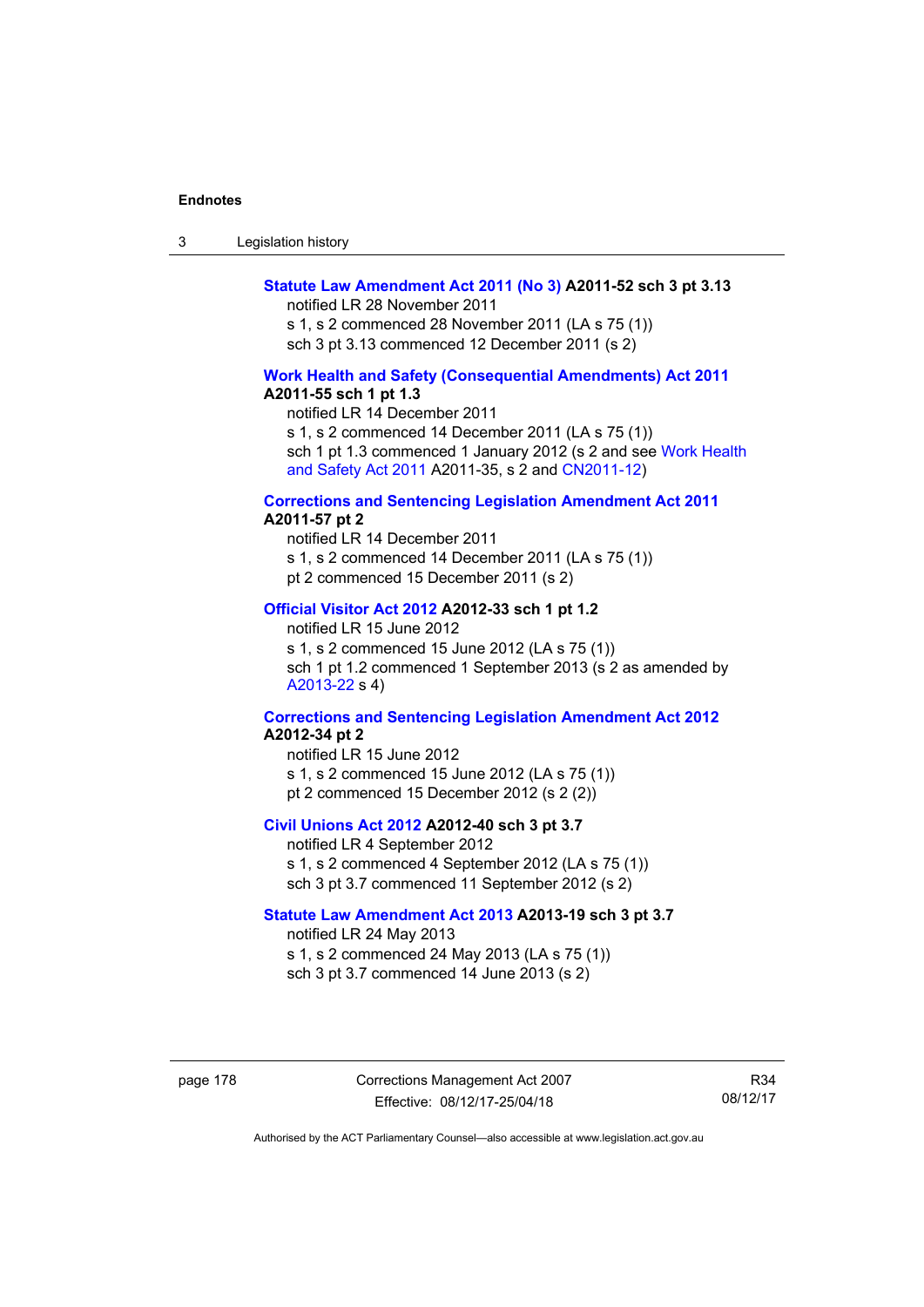| ు | Legislation history |  |
|---|---------------------|--|
|---|---------------------|--|

## **[Statute Law Amendment Act 2011 \(No 3\)](http://www.legislation.act.gov.au/a/2011-52) A2011-52 sch 3 pt 3.13**

notified LR 28 November 2011

s 1, s 2 commenced 28 November 2011 (LA s 75 (1)) sch 3 pt 3.13 commenced 12 December 2011 (s 2)

## **[Work Health and Safety \(Consequential Amendments\) Act 2011](http://www.legislation.act.gov.au/a/2011-55) A2011-55 sch 1 pt 1.3**

notified LR 14 December 2011

s 1, s 2 commenced 14 December 2011 (LA s 75 (1))

sch 1 pt 1.3 commenced 1 January 2012 (s 2 and see Work Health [and Safety Act 2011](http://www.legislation.act.gov.au/a/2011-35) A2011-35, s 2 and [CN2011-12\)](http://www.legislation.act.gov.au/cn/2011-12/default.asp)

# **[Corrections and Sentencing Legislation Amendment Act 2011](http://www.legislation.act.gov.au/a/2011-57)**

**A2011-57 pt 2** 

notified LR 14 December 2011 s 1, s 2 commenced 14 December 2011 (LA s 75 (1)) pt 2 commenced 15 December 2011 (s 2)

## **[Official Visitor Act 2012](http://www.legislation.act.gov.au/a/2012-33) A2012-33 sch 1 pt 1.2**

notified LR 15 June 2012 s 1, s 2 commenced 15 June 2012 (LA s 75 (1)) sch 1 pt 1.2 commenced 1 September 2013 (s 2 as amended by [A2013-22](http://www.legislation.act.gov.au/a/2013-22) s 4)

## **[Corrections and Sentencing Legislation Amendment Act 2012](http://www.legislation.act.gov.au/a/2012-34) A2012-34 pt 2**

notified LR 15 June 2012 s 1, s 2 commenced 15 June 2012 (LA s 75 (1)) pt 2 commenced 15 December 2012 (s 2 (2))

## **[Civil Unions Act 2012](http://www.legislation.act.gov.au/a/2012-40) A2012-40 sch 3 pt 3.7**

notified LR 4 September 2012 s 1, s 2 commenced 4 September 2012 (LA s 75 (1)) sch 3 pt 3.7 commenced 11 September 2012 (s 2)

## **[Statute Law Amendment Act 2013](http://www.legislation.act.gov.au/a/2013-19) A2013-19 sch 3 pt 3.7**

notified LR 24 May 2013 s 1, s 2 commenced 24 May 2013 (LA s 75 (1)) sch 3 pt 3.7 commenced 14 June 2013 (s 2)

page 178 Corrections Management Act 2007 Effective: 08/12/17-25/04/18

R34 08/12/17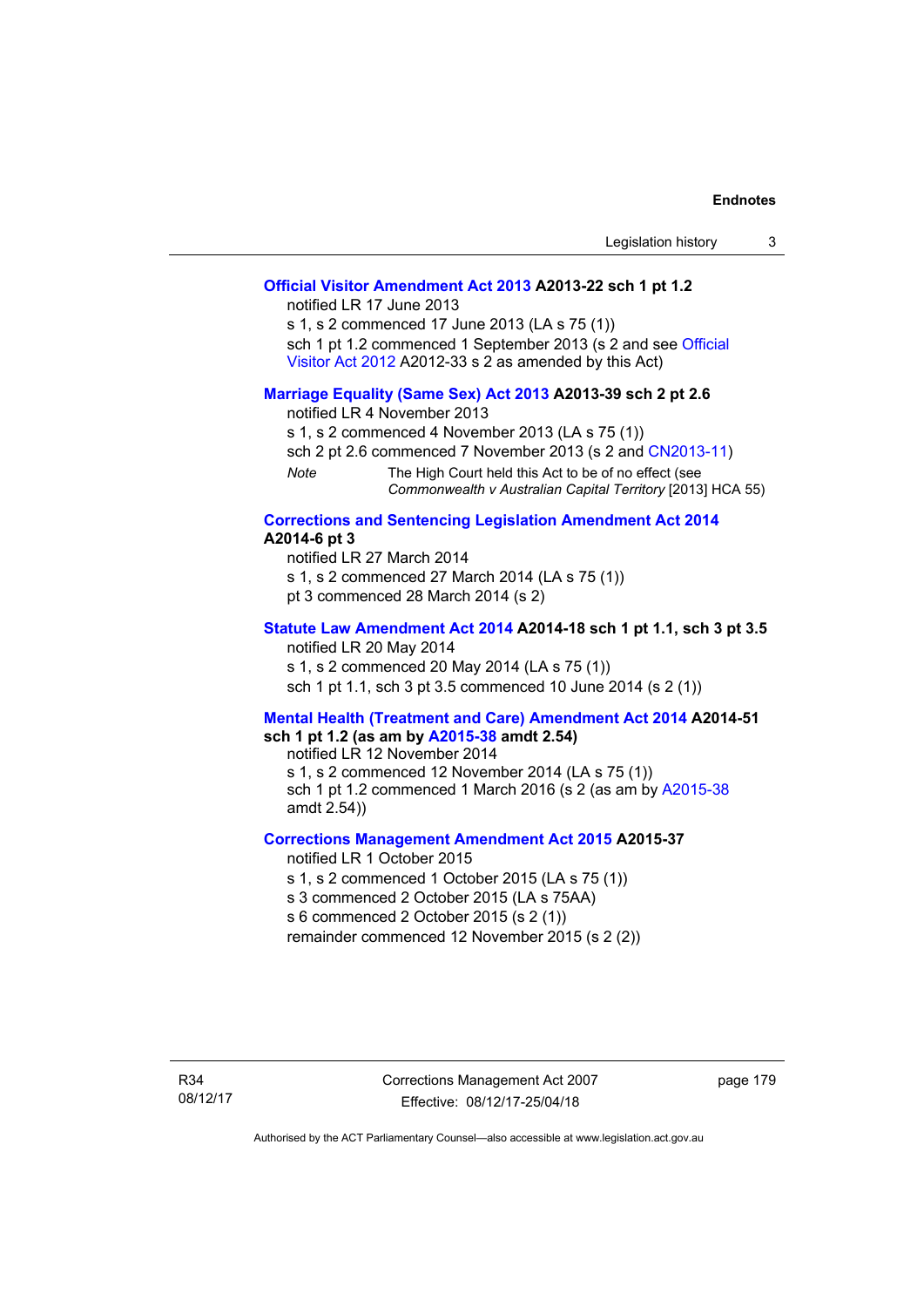| Legislation history |  |
|---------------------|--|
|---------------------|--|

### **[Official Visitor Amendment Act 2013](http://www.legislation.act.gov.au/a/2013-22) A2013-22 sch 1 pt 1.2**

notified LR 17 June 2013

s 1, s 2 commenced 17 June 2013 (LA s 75 (1)) sch 1 pt 1.2 commenced 1 September 2013 (s 2 and see [Official](http://www.legislation.act.gov.au/a/2012-33)  [Visitor Act 2012](http://www.legislation.act.gov.au/a/2012-33) A2012-33 s 2 as amended by this Act)

### **[Marriage Equality \(Same Sex\) Act 2013](http://www.legislation.act.gov.au/a/2013-39) A2013-39 sch 2 pt 2.6**

notified LR 4 November 2013

s 1, s 2 commenced 4 November 2013 (LA s 75 (1))

sch 2 pt 2.6 commenced 7 November 2013 (s 2 and [CN2013-11](http://www.legislation.act.gov.au/cn/2013-11))

*Note* The High Court held this Act to be of no effect (see

*Commonwealth v Australian Capital Territory* [2013] HCA 55)

#### **[Corrections and Sentencing Legislation Amendment Act 2014](http://www.legislation.act.gov.au/a/2014-6) A2014-6 pt 3**

notified LR 27 March 2014 s 1, s 2 commenced 27 March 2014 (LA s 75 (1)) pt 3 commenced 28 March 2014 (s 2)

## **[Statute Law Amendment Act 2014](http://www.legislation.act.gov.au/a/2014-18) A2014-18 sch 1 pt 1.1, sch 3 pt 3.5**  notified LR 20 May 2014

s 1, s 2 commenced 20 May 2014 (LA s 75 (1)) sch 1 pt 1.1, sch 3 pt 3.5 commenced 10 June 2014 (s 2 (1))

#### **[Mental Health \(Treatment and Care\) Amendment Act 2014](http://www.legislation.act.gov.au/a/2014-51/default.asp) A2014-51 sch 1 pt 1.2 (as am by [A2015-38](http://www.legislation.act.gov.au/a/2015-38) amdt 2.54)**

notified LR 12 November 2014

s 1, s 2 commenced 12 November 2014 (LA s 75 (1)) sch 1 pt 1.2 commenced 1 March 2016 (s 2 (as am by [A2015-38](http://www.legislation.act.gov.au/a/2015-38) amdt 2.54))

## **[Corrections Management Amendment Act 2015](http://www.legislation.act.gov.au/a/2015-37) A2015-37**

notified LR 1 October 2015

s 1, s 2 commenced 1 October 2015 (LA s 75 (1))

s 3 commenced 2 October 2015 (LA s 75AA)

s 6 commenced 2 October 2015 (s 2 (1))

remainder commenced 12 November 2015 (s 2 (2))

R34 08/12/17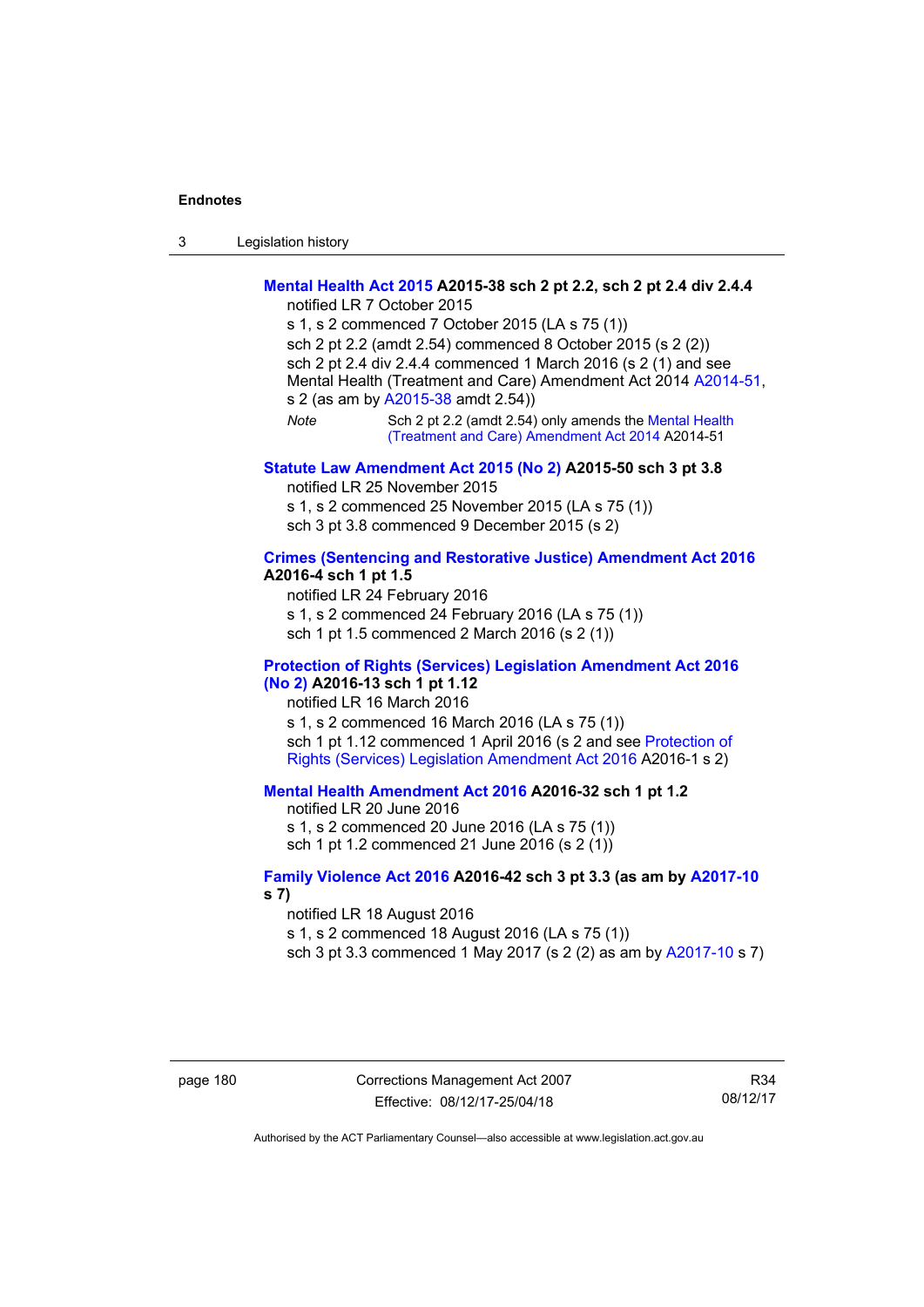3 Legislation history

## **[Mental Health Act 2015](http://www.legislation.act.gov.au/a/2015-38) A2015-38 sch 2 pt 2.2, sch 2 pt 2.4 div 2.4.4**

notified LR 7 October 2015

s 1, s 2 commenced 7 October 2015 (LA s 75 (1)) sch 2 pt 2.2 (amdt 2.54) commenced 8 October 2015 (s 2 (2)) sch 2 pt 2.4 div 2.4.4 commenced 1 March 2016 (s 2 (1) and see Mental Health (Treatment and Care) Amendment Act 2014 [A2014-51,](http://www.legislation.act.gov.au/a/2014-51/default.asp) s 2 (as am by [A2015-38](http://www.legislation.act.gov.au/a/2015-38) amdt 2.54)) *Note* Sch 2 pt 2.2 (amdt 2.54) only amends the [Mental Health](http://www.legislation.act.gov.au/a/2014-51/default.asp)  [\(Treatment and Care\) Amendment Act 2014](http://www.legislation.act.gov.au/a/2014-51/default.asp) A2014-51

# **[Statute Law Amendment Act 2015 \(No 2\)](http://www.legislation.act.gov.au/a/2015-50) A2015-50 sch 3 pt 3.8**

notified LR 25 November 2015

s 1, s 2 commenced 25 November 2015 (LA s 75 (1)) sch 3 pt 3.8 commenced 9 December 2015 (s 2)

# **[Crimes \(Sentencing and Restorative Justice\) Amendment Act 2016](http://www.legislation.act.gov.au/a/2016-4/default.asp)**

# **A2016-4 sch 1 pt 1.5**

notified LR 24 February 2016 s 1, s 2 commenced 24 February 2016 (LA s 75 (1)) sch 1 pt 1.5 commenced 2 March 2016 (s 2 (1))

## **[Protection of Rights \(Services\) Legislation Amendment Act 2016](http://www.legislation.act.gov.au/a/2016-13)  [\(No 2\)](http://www.legislation.act.gov.au/a/2016-13) A2016-13 sch 1 pt 1.12**

notified LR 16 March 2016 s 1, s 2 commenced 16 March 2016 (LA s 75 (1)) sch 1 pt 1.12 commenced 1 April 2016 (s 2 and see Protection of [Rights \(Services\) Legislation Amendment Act 2016](http://www.legislation.act.gov.au/a/2016-1/default.asp) A2016-1 s 2)

## **[Mental Health Amendment Act 2016](http://www.legislation.act.gov.au/a/2016-32/default.asp) A2016-32 sch 1 pt 1.2**

notified LR 20 June 2016 s 1, s 2 commenced 20 June 2016 (LA s 75 (1)) sch 1 pt 1.2 commenced 21 June 2016 (s 2 (1))

## **[Family Violence Act 2016](http://www.legislation.act.gov.au/a/2016-42/default.asp) A2016-42 sch 3 pt 3.3 (as am by [A2017-10](http://www.legislation.act.gov.au/a/2017-10/default.asp) s 7)**

notified LR 18 August 2016

s 1, s 2 commenced 18 August 2016 (LA s 75 (1))

sch 3 pt 3.3 commenced 1 May 2017 (s 2 (2) as am by [A2017-10](http://www.legislation.act.gov.au/a/2017-10/default.asp) s 7)

page 180 Corrections Management Act 2007 Effective: 08/12/17-25/04/18

R34 08/12/17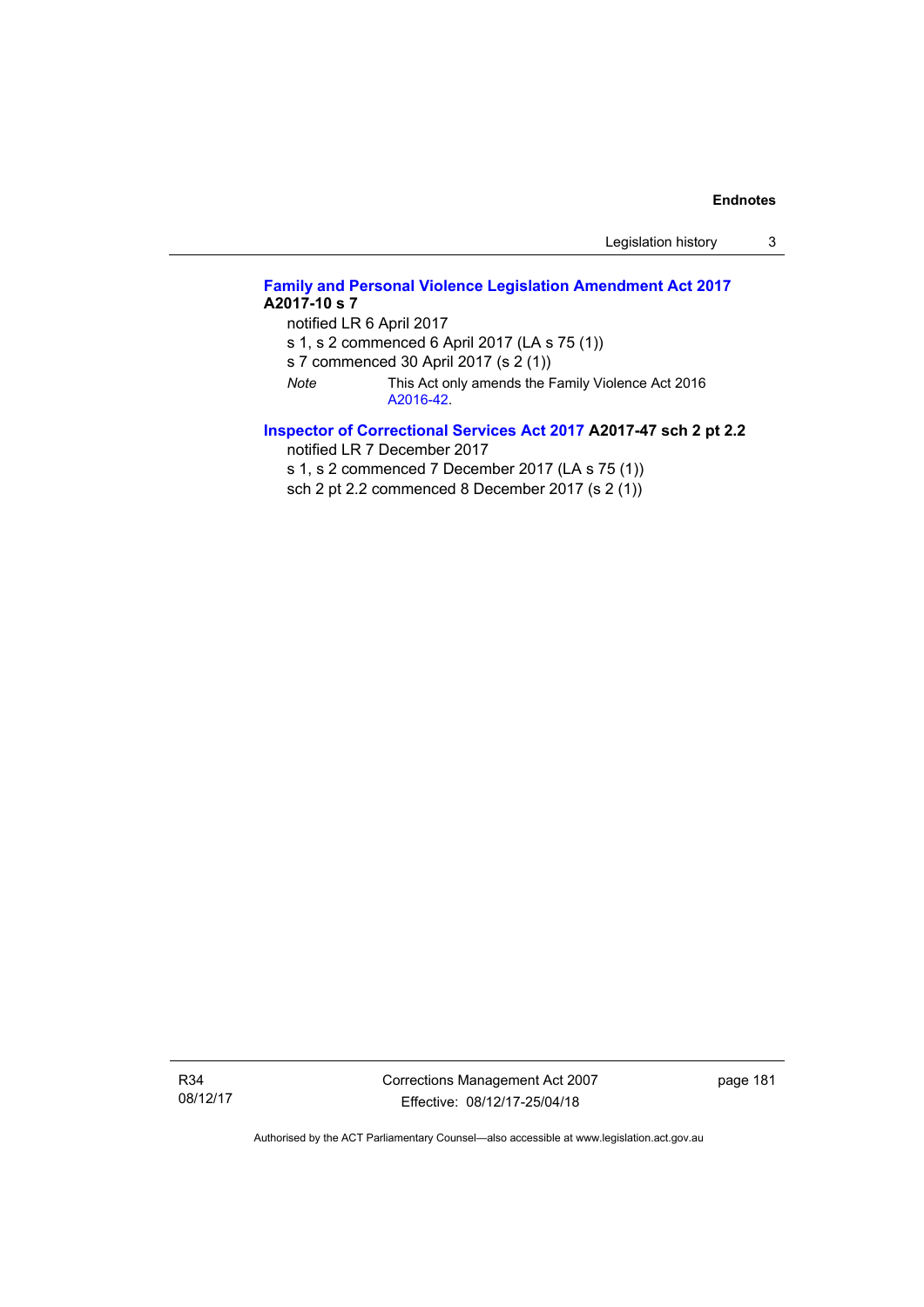Legislation history 3

## **[Family and Personal Violence Legislation Amendment Act 2017](http://www.legislation.act.gov.au/a/2017-10/default.asp) A2017-10 s 7**

notified LR 6 April 2017

s 1, s 2 commenced 6 April 2017 (LA s 75 (1))

s 7 commenced 30 April 2017 (s 2 (1))

*Note* This Act only amends the Family Violence Act 2016 [A2016-42](http://www.legislation.act.gov.au/a/2016-42/default.asp).

# **[Inspector of Correctional Services Act 2017](http://www.legislation.act.gov.au/a/2017-47/default.asp) A2017-47 sch 2 pt 2.2**

notified LR 7 December 2017

s 1, s 2 commenced 7 December 2017 (LA s 75 (1))

sch 2 pt 2.2 commenced 8 December 2017 (s 2 (1))

R34 08/12/17 Corrections Management Act 2007 Effective: 08/12/17-25/04/18

page 181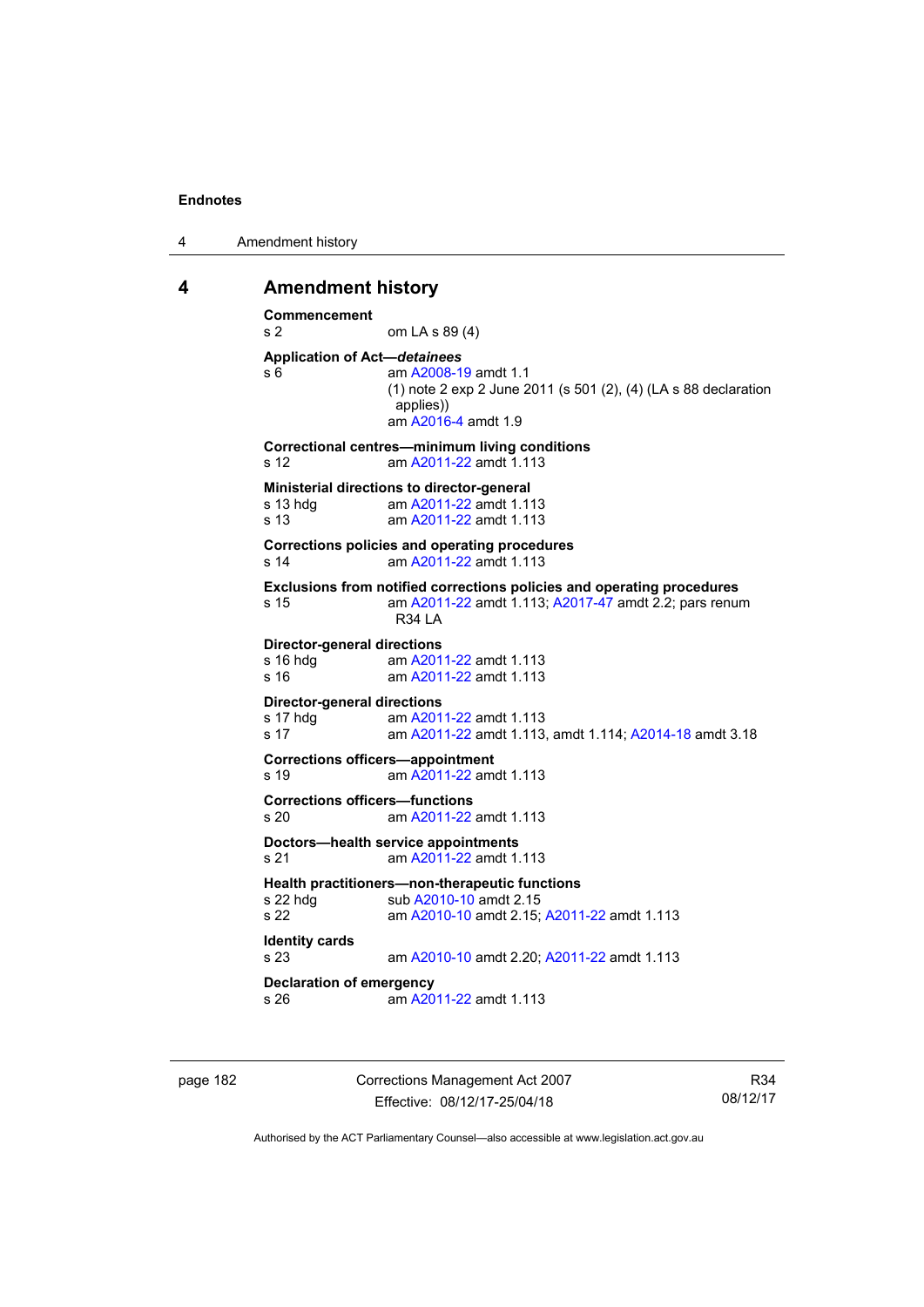4 Amendment history

## **4 Amendment history**

```
Commencement 
s 2 om LA s 89 (4) 
Application of Act—detainees
s 6 am A2008-19 amdt 1.1
                (1) note 2 exp 2 June 2011 (s 501 (2), (4) (LA s 88 declaration 
                 applies)) 
                 am A2016-4 amdt 1.9 
Correctional centres—minimum living conditions 
s 12 am A2011-22 amdt 1.113
Ministerial directions to director-general 
 A2011-22 amdt 1.113<br>s 13 am A2011-22 amdt 1.113
                 A2011-22 amdt 1.113
Corrections policies and operating procedures 
s 14 am A2011-22 amdt 1.113
Exclusions from notified corrections policies and operating procedures 
s 15 am A2011-22 amdt 1.113; A2017-47 amdt 2.2; pars renum 
                 R34 LA 
Director-general directions 
 A2011-22 amdt 1.113<br>s 16 am A2011-22 amdt 1.113
                 A2011-22 amdt 1.113
Director-general directions 
 A2011-22 amdt 1.113
s 17 am A2011-22 amdt 1.113, amdt 1.114; A2014-18 amdt 3.18 
Corrections officers—appointment 
s 19 am A2011-22 amdt 1.113
Corrections officers—functions 
s 20 am A2011-22 amdt 1.113
Doctors—health service appointments 
s 21 am A2011-22 amdt 1.113
Health practitioners—non-therapeutic functions 
A2010-10 amdt 2.15<br>s 22 am A2010-10 amdt 2.15:
                s 22 am A2010-10 amdt 2.15; A2011-22 amdt 1.113 
Identity cards 
s 23 am A2010-10 amdt 2.20; A2011-22 amdt 1.113 
Declaration of emergency 
s 26 am A2011-22 amdt 1.113
```
page 182 Corrections Management Act 2007 Effective: 08/12/17-25/04/18

R34 08/12/17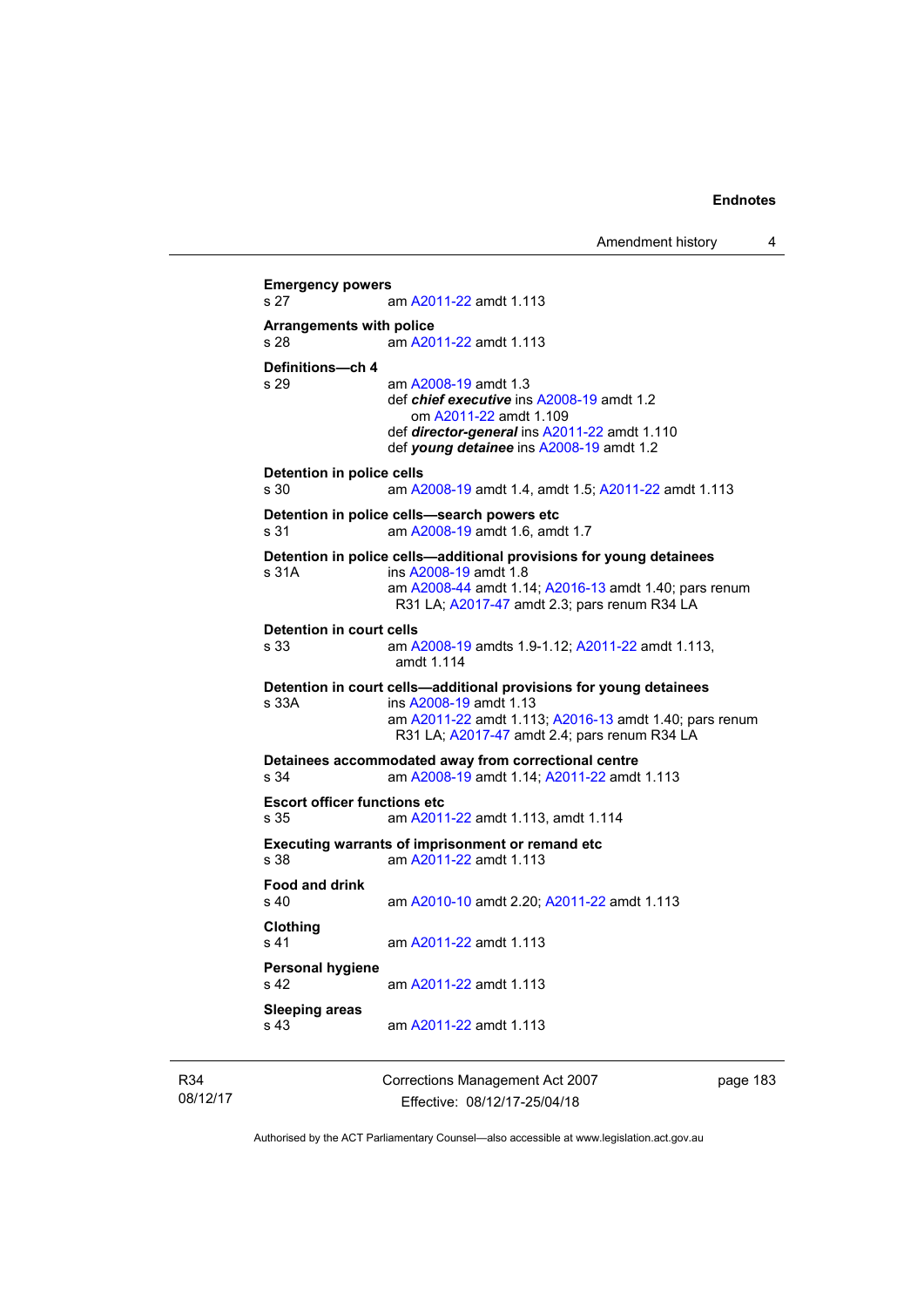```
Emergency powers 
s 27 am A2011-22 amdt 1.113
Arrangements with police 
s 28 am A2011-22 amdt 1.113
Definitions—ch 4 
                 A2008-19 amdt 1.3
                 def chief executive ins A2008-19 amdt 1.2 
                    om A2011-22 amdt 1.109
                 def director-general ins A2011-22 amdt 1.110 
                 def young detainee ins A2008-19 amdt 1.2 
Detention in police cells 
s 30 am A2008-19 amdt 1.4, amdt 1.5; A2011-22 amdt 1.113
Detention in police cells—search powers etc 
s 31 am A2008-19 amdt 1.6, amdt 1.7 
Detention in police cells—additional provisions for young detainees 
s 31A ins A2008-19 amdt 1.8 
                 am A2008-44 amdt 1.14; A2016-13 amdt 1.40; pars renum 
                 R31 LA; A2017-47 amdt 2.3; pars renum R34 LA 
Detention in court cells 
s 33 am A2008-19 amdts 1.9-1.12; A2011-22 amdt 1.113, 
                 amdt 1.114 
Detention in court cells—additional provisions for young detainees 
s 33A ins A2008-19 amdt 1.13 
                 am A2011-22 amdt 1.113; A2016-13 amdt 1.40; pars renum 
                 R31 LA; A2017-47 amdt 2.4; pars renum R34 LA 
Detainees accommodated away from correctional centre 
s 34 am A2008-19 amdt 1.14; A2011-22 amdt 1.113 
Escort officer functions etc 
s 35 am A2011-22 amdt 1.113, amdt 1.114 
Executing warrants of imprisonment or remand etc 
                 A2011-22 amdt 1.113
Food and drink 
s 40 am A2010-10 amdt 2.20; A2011-22 amdt 1.113 
Clothing 
s 41 A2011-22 amdt 1.113
Personal hygiene 
s 42 am A2011-22 amdt 1.113
Sleeping areas 
s 43 am A2011-22 amdt 1.113
```
R34 08/12/17 Corrections Management Act 2007 Effective: 08/12/17-25/04/18

page 183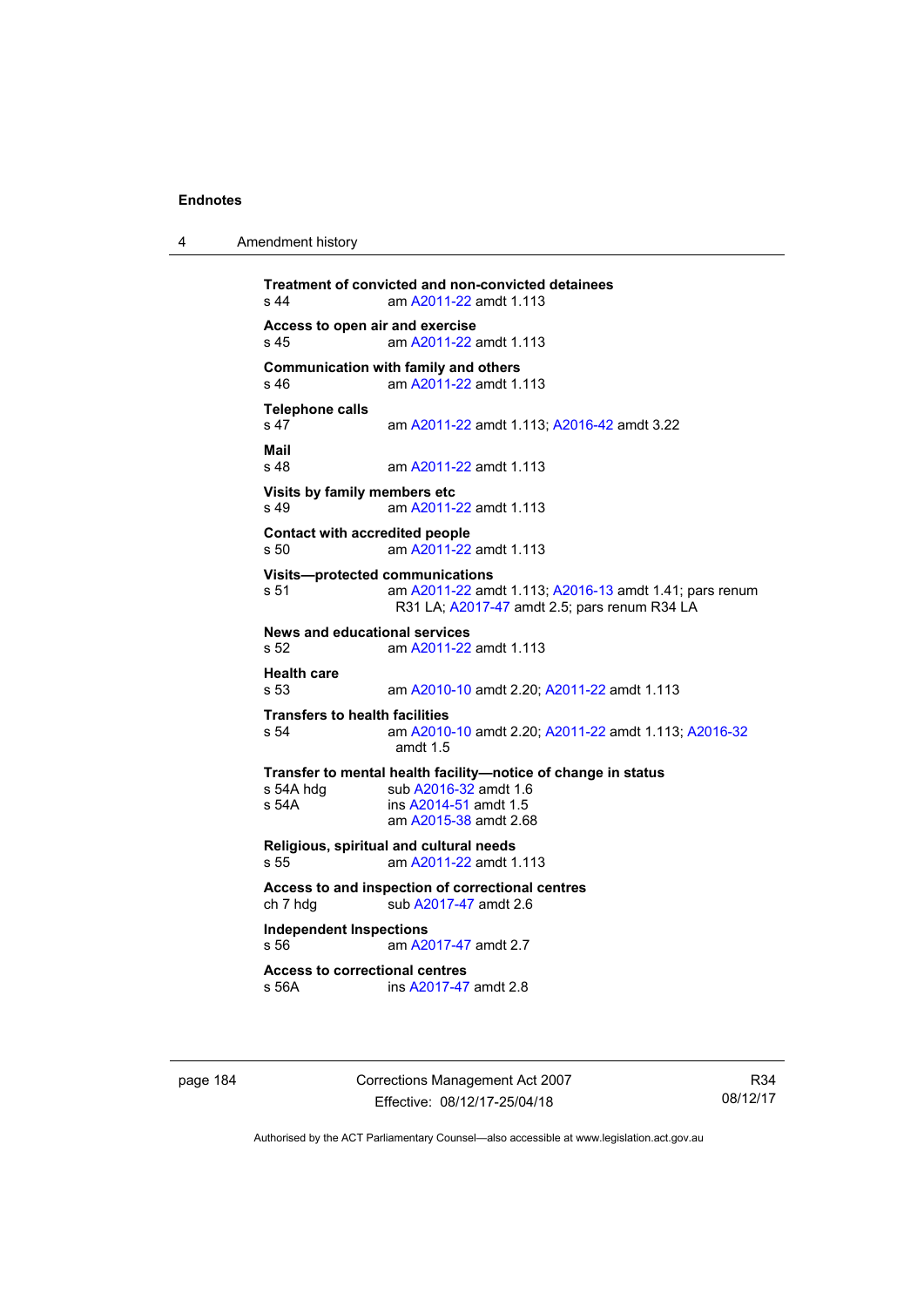4 Amendment history

```
Treatment of convicted and non-convicted detainees<br>s 44 am A2011-22 amdt 1.113
                 A2011-22 amdt 1.113
Access to open air and exercise 
                  A2011-22 amdt 1.113
Communication with family and others<br>s 46 am A2011-22 amdt 1.
                  A2011-22 amdt 1.113
Telephone calls 
s 47 am A2011-22 amdt 1.113; A2016-42 amdt 3.22 
Mail 
                  A2011-22 amdt 1.113
Visits by family members etc 
s 49 am A2011-22 amdt 1.113
Contact with accredited people 
s 50 am A2011-22 amdt 1.113
Visits—protected communications 
s 51 am A2011-22 amdt 1.113; A2016-13 amdt 1.41; pars renum 
                  R31 LA; A2017-47 amdt 2.5; pars renum R34 LA 
News and educational services 
s 52 am A2011-22 amdt 1.113
Health care 
                  A2010-10A2011-22 amdt 1.113
Transfers to health facilities 
s 54 am A2010-10 amdt 2.20; A2011-22 amdt 1.113; A2016-32
                  amdt 1.5
Transfer to mental health facility—notice of change in status s 54A hdg sub A2016-32 amdt 1.6
 A2016-32 amdt 1.6<br>s 54A ins A2014-51 amdt 1.5
                 A2014-51 amdt 1.5
                  am A2015-38 amdt 2.68
Religious, spiritual and cultural needs 
s 55 am A2011-22 amdt 1.113
Access to and inspection of correctional centres 
A2017-47 amdt 2.6
Independent Inspections 
s 56  A2017-47 amdt 2.7
Access to correctional centres 
s 56A ins A2017-47 amdt 2.8
```
page 184 Corrections Management Act 2007 Effective: 08/12/17-25/04/18

R34 08/12/17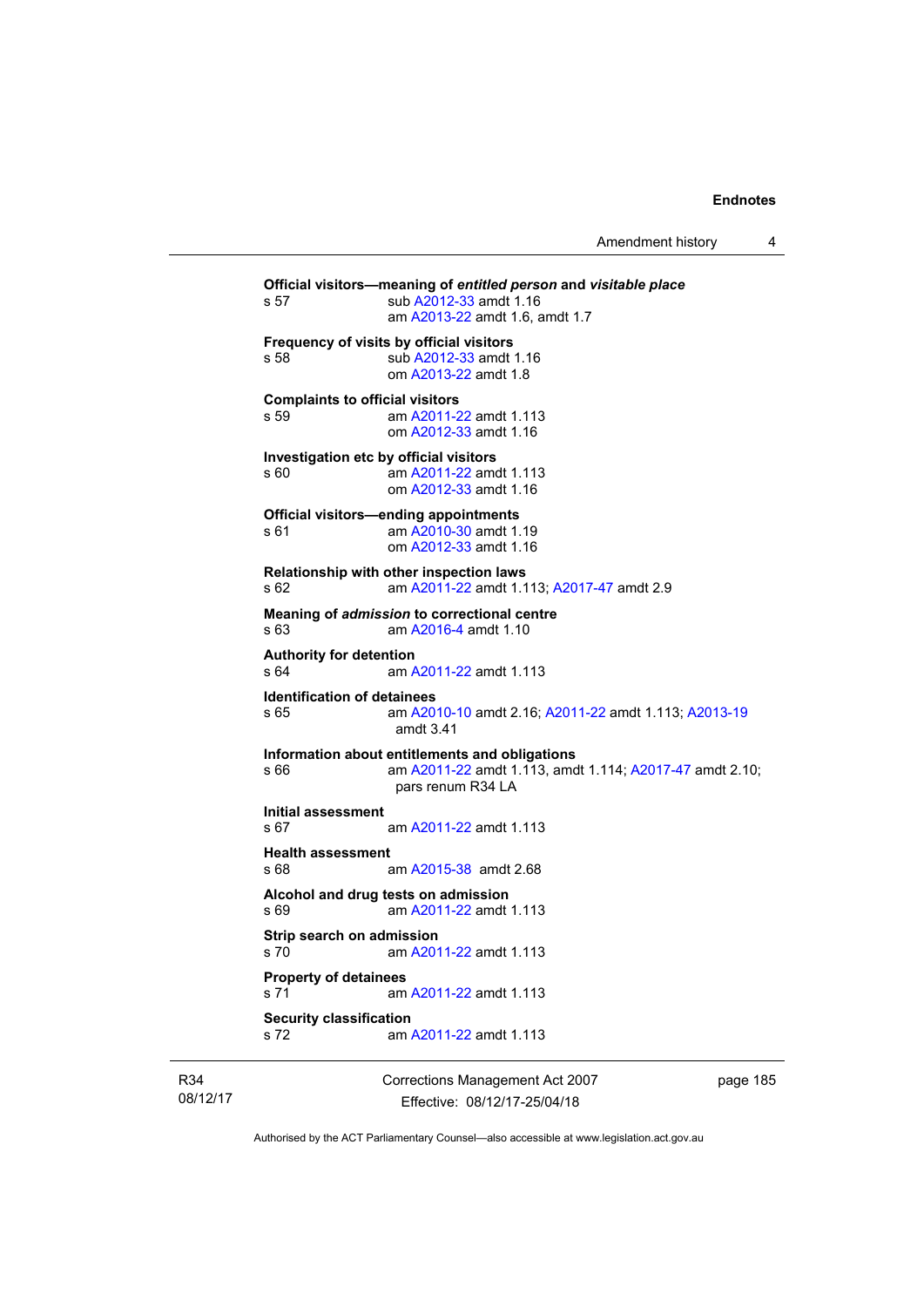Amendment history 4

```
Official visitors—meaning of entitled person and visitable place 
s 57 sub A2012-33 amdt 1.16 
                 am A2013-22 amdt 1.6, amdt 1.7 
Frequency of visits by official visitors
A2012-33 amdt 1.16
                 om A2013-22 amdt 1.8
Complaints to official visitors 
A2011-22 amdt 1.113
                 om A2012-33 amdt 1.16
Investigation etc by official visitors 
s 60 am A2011-22 amdt 1.113
                 om A2012-33 amdt 1.16
Official visitors—ending appointments 
s 61 am A2010-30 amdt 1.19
                 om A2012-33 amdt 1.16
Relationship with other inspection laws 
s 62 am A2011-22 amdt 1.113; A2017-47 amdt 2.9 
Meaning of admission to correctional centre 
s 63 am A2016-4 amdt 1.10 
Authority for detention<br>
s 64 am A
                A2011-22 amdt 1.113
Identification of detainees 
s 65 am A2010-10 amdt 2.16; A2011-22 amdt 1.113; A2013-19
                 amdt 3.41
Information about entitlements and obligations 
s 66 am A2011-22 amdt 1.113, amdt 1.114; A2017-47 amdt 2.10; 
                 pars renum R34 LA 
Initial assessment 
s 67 am A2011-22 amdt 1.113
Health assessment 
s 68 am A2015-38 amdt 2.68
Alcohol and drug tests on admission 
s 69 am A2011-22 amdt 1.113
Strip search on admission<br>s 70 am A20<sup>2</sup>
                 A2011-22 amdt 1.113
Property of detainees 
 A2011-22 amdt 1.113
Security classification 
s 72 am A2011-22 amdt 1.113
```
R34 08/12/17 Corrections Management Act 2007 Effective: 08/12/17-25/04/18

page 185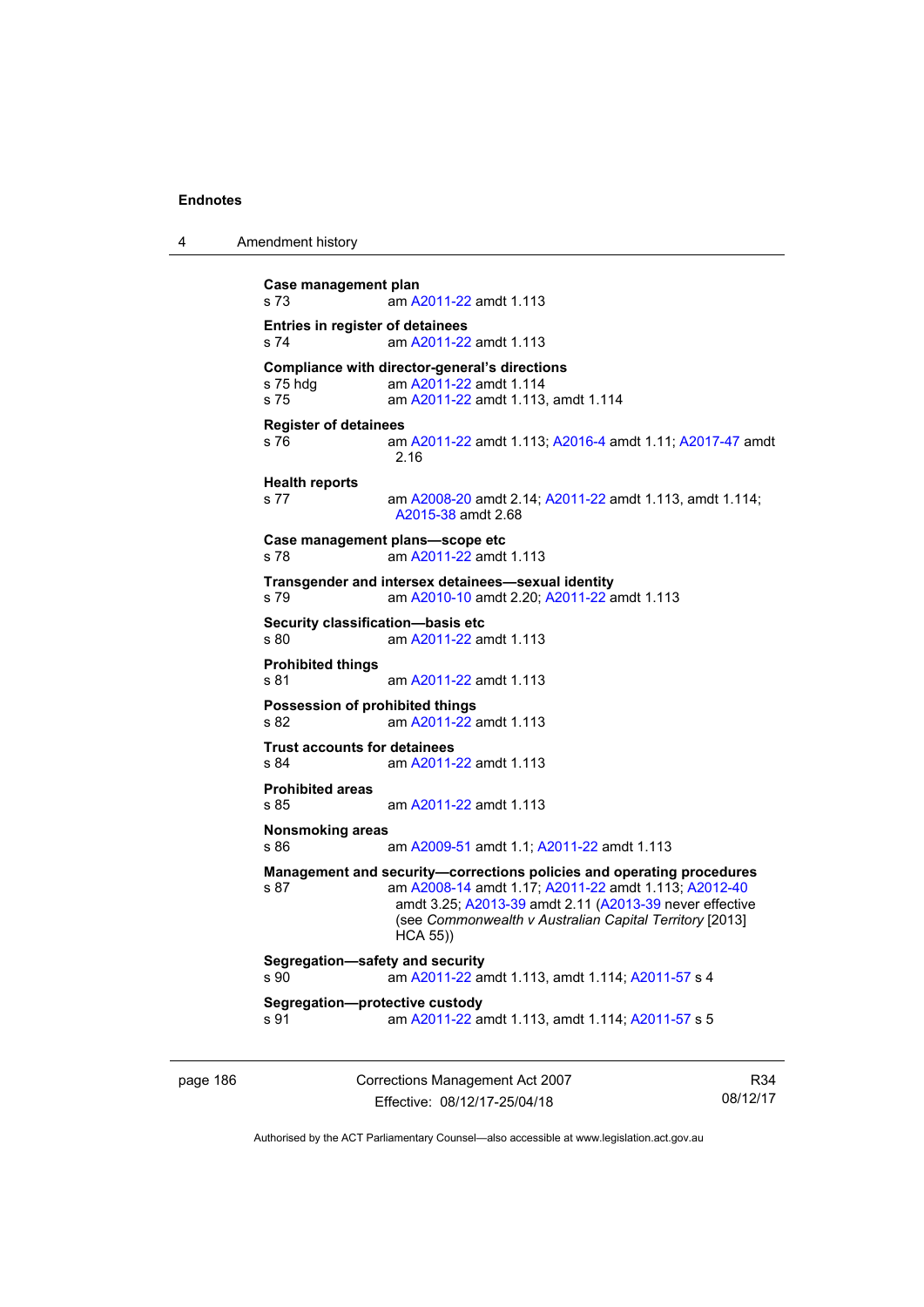4 Amendment history

**Case management plan**  s 73 am [A2011-22](http://www.legislation.act.gov.au/a/2011-22) amdt 1.113 **Entries in register of detainees**  am [A2011-22](http://www.legislation.act.gov.au/a/2011-22) amdt 1.113 **Compliance with director-general's directions**  am [A2011-22](http://www.legislation.act.gov.au/a/2011-22) amdt 1.114 s 75 am [A2011-22](http://www.legislation.act.gov.au/a/2011-22) amdt 1.113, amdt 1.114 **Register of detainees**  s 76 am [A2011-22](http://www.legislation.act.gov.au/a/2011-22) amdt 1.113; [A2016-4](http://www.legislation.act.gov.au/a/2016-4/default.asp) amdt 1.11; [A2017-47](http://www.legislation.act.gov.au/a/2017-47/default.asp) amdt 2.16 **Health reports**  s 77 am [A2008-20](http://www.legislation.act.gov.au/a/2008-20) amdt 2.14; [A2011-22](http://www.legislation.act.gov.au/a/2011-22) amdt 1.113, amdt 1.114; [A2015-38](http://www.legislation.act.gov.au/a/2015-38) amdt 2.68 **Case management plans—scope etc**  s 78 am [A2011-22](http://www.legislation.act.gov.au/a/2011-22) amdt 1.113 **Transgender and intersex detainees—sexual identity**  s 79 am [A2010-10](http://www.legislation.act.gov.au/a/2010-10) amdt 2.20; [A2011-22](http://www.legislation.act.gov.au/a/2011-22) amdt 1.113 **Security classification—basis etc**  s 80 am [A2011-22](http://www.legislation.act.gov.au/a/2011-22) amdt 1.113 **Prohibited things**  s 81 am [A2011-22](http://www.legislation.act.gov.au/a/2011-22) amdt 1.113 **Possession of prohibited things**  s 82 am [A2011-22](http://www.legislation.act.gov.au/a/2011-22) amdt 1.113 **Trust accounts for detainees**  s 84 am [A2011-22](http://www.legislation.act.gov.au/a/2011-22) amdt 1.113 **Prohibited areas**  s 85 am [A2011-22](http://www.legislation.act.gov.au/a/2011-22) amdt 1.113 **Nonsmoking areas**  s 86 am [A2009-51](http://www.legislation.act.gov.au/a/2009-51) amdt 1.1; [A2011-22](http://www.legislation.act.gov.au/a/2011-22) amdt 1.113 **Management and security—corrections policies and operating procedures**  s 87 am [A2008-14](http://www.legislation.act.gov.au/a/2008-14) amdt 1.17; [A2011-22](http://www.legislation.act.gov.au/a/2011-22) amdt 1.113; [A2012-40](http://www.legislation.act.gov.au/a/2012-40) amdt 3.25; [A2013-39](http://www.legislation.act.gov.au/a/2013-39) amdt 2.11 [\(A2013-39](http://www.legislation.act.gov.au/a/2013-39) never effective (see *Commonwealth v Australian Capital Territory* [2013] HCA 55)) **Segregation—safety and security**  s 90 **am [A2011-22](http://www.legislation.act.gov.au/a/2011-22) amdt 1.113, amdt 1.114; [A2011-57](http://www.legislation.act.gov.au/a/2011-57) s 4 Segregation—protective custody**  s 91 am [A2011-22](http://www.legislation.act.gov.au/a/2011-22) amdt 1.113, amdt 1.114; [A2011-57](http://www.legislation.act.gov.au/a/2011-57) s 5

page 186 Corrections Management Act 2007 Effective: 08/12/17-25/04/18

R34 08/12/17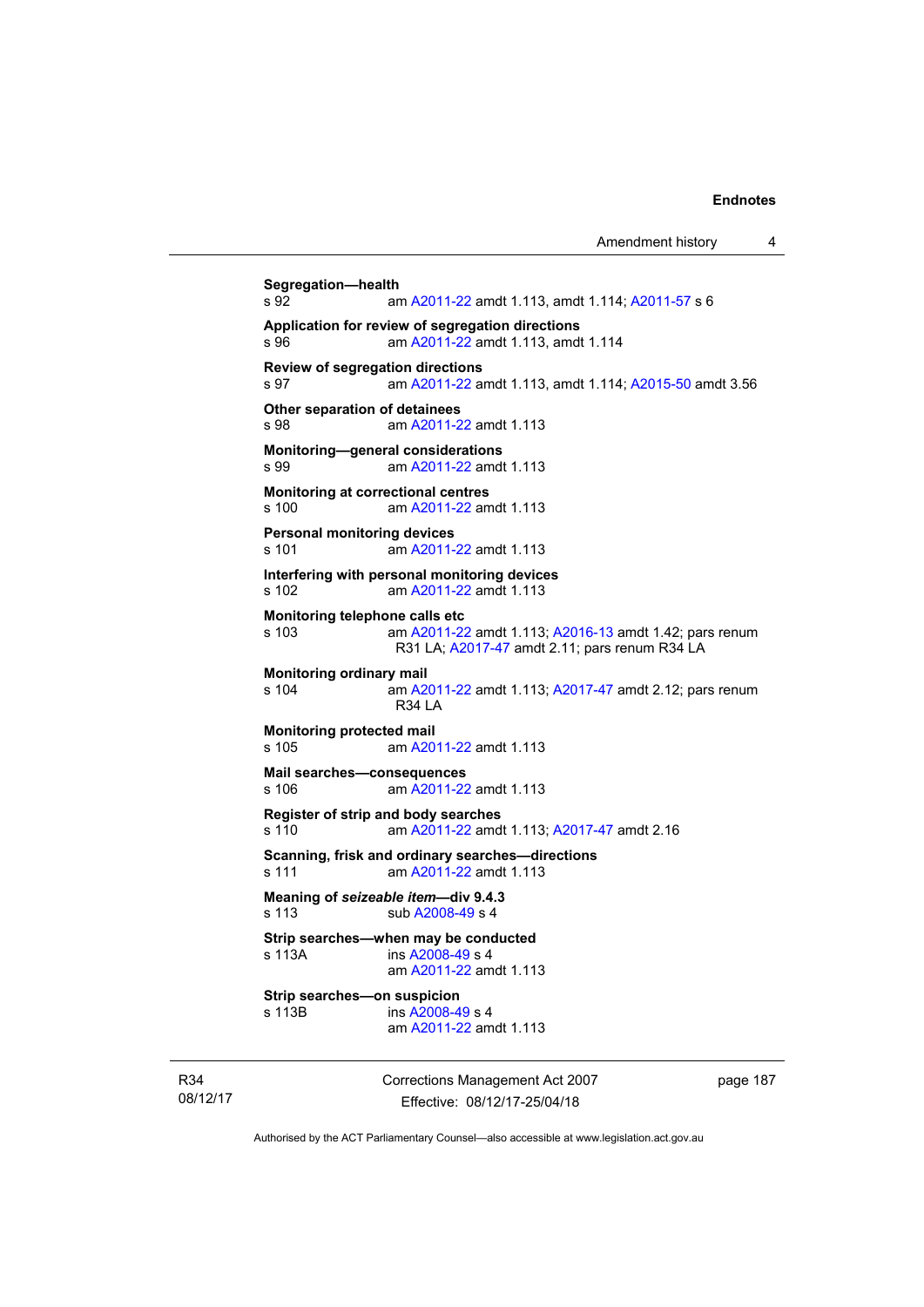```
Segregation—health 
s 92 am A2011-22 amdt 1.113, amdt 1.114; A2011-57 s 6 
Application for review of segregation directions 
s 96 am A2011-22 amdt 1.113, amdt 1.114 
Review of segregation directions 
s 97 am A2011-22 amdt 1.113, amdt 1.114; A2015-50 amdt 3.56 
Other separation of detainees 
s 98 am A2011-22 amdt 1.113
Monitoring—general considerations 
s 99 am A2011-22 amdt 1.113
Monitoring at correctional centres 
s 100 am A2011-22 amdt 1.113
Personal monitoring devices 
s 101 am A2011-22 amdt 1.113
Interfering with personal monitoring devices 
s 102 am A2011-22 amdt 1.113
Monitoring telephone calls etc 
s 103 am A2011-22 amdt 1.113; A2016-13 amdt 1.42; pars renum 
                 R31 LA; A2017-47 amdt 2.11; pars renum R34 LA 
Monitoring ordinary mail<br>
s 104 am A2
                A2011-22A2017-47 amdt 2.12; pars renum
                 R34 LA 
Monitoring protected mail 
s 105 am A2011-22 amdt 1.113
Mail searches—consequences 
s 106 am A2011-22 amdt 1.113
Register of strip and body searches 
s 110 am A2011-22 amdt 1.113; A2017-47 amdt 2.16 
Scanning, frisk and ordinary searches—directions 
s 111 am A2011-22 amdt 1.113
Meaning of seizeable item—div 9.4.3 
A2008-49 s 4
Strip searches—when may be conducted 
s 113A ins A2008-49 s 4
                 am A2011-22 amdt 1.113
Strip searches—on suspicion<br>s 113B ins A2008-4
                 A2008-49 s 4
                 am A2011-22 amdt 1.113
```
R34 08/12/17 Corrections Management Act 2007 Effective: 08/12/17-25/04/18

page 187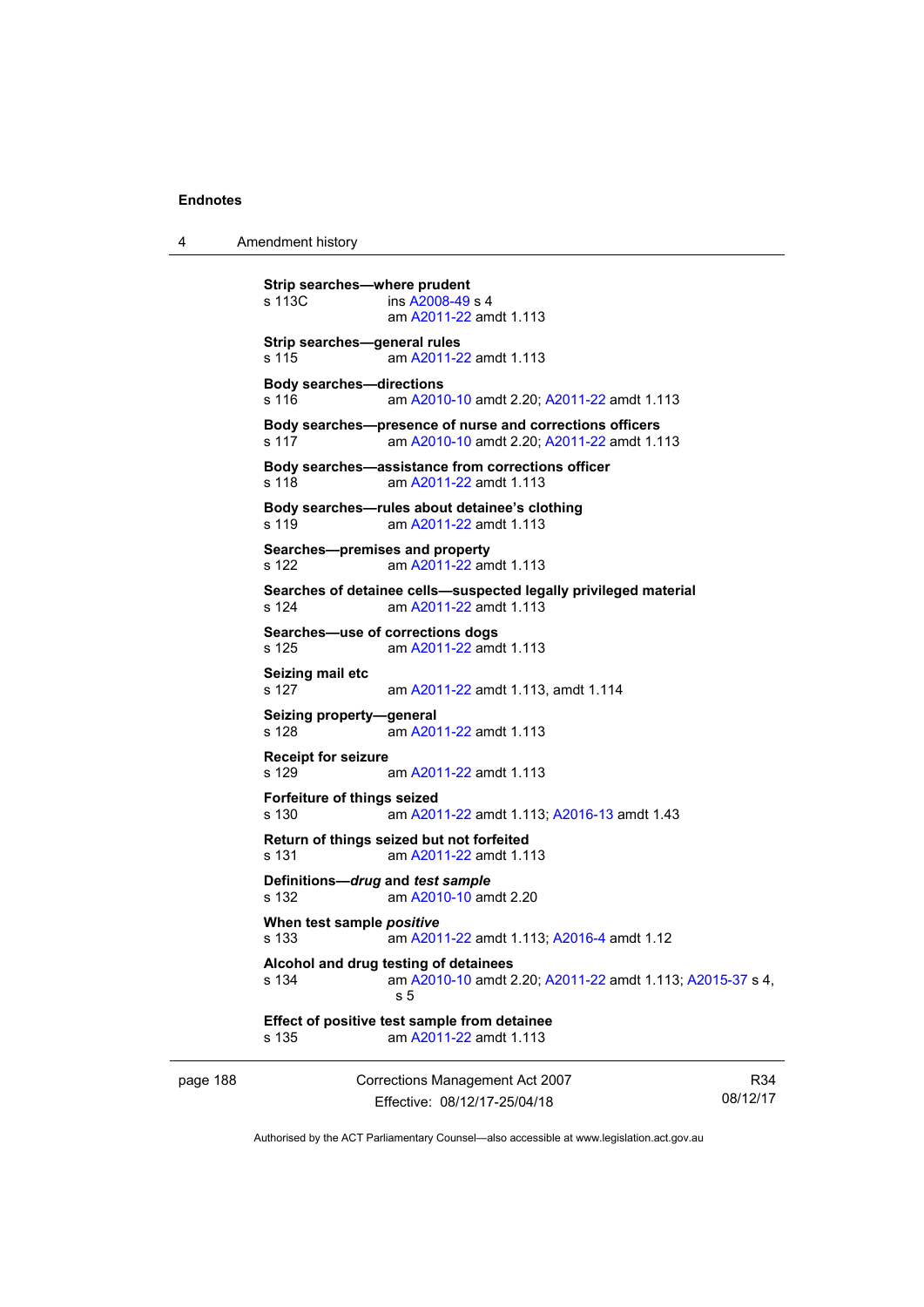4 Amendment history

```
page 188 Corrections Management Act 2007 
                                                                        R34
                                                                    08/12/17 
          Strip searches—where prudent 
          s 113C ins A2008-49 s 4
                           am A2011-22 amdt 1.113
          Strip searches—general rules 
          s 115 am A2011-22 amdt 1.113
          Body searches—directions 
          s 116 am A2010-10 amdt 2.20; A2011-22 amdt 1.113 
          Body searches—presence of nurse and corrections officers 
          s 117 am A2010-10 amdt 2.20; A2011-22 amdt 1.113 
          Body searches—assistance from corrections officer 
          s 118 am A2011-22 amdt 1.113
          Body searches—rules about detainee's clothing 
          s 119 am A2011-22 amdt 1.113
          Searches—premises and property 
          s 122 am A2011-22 amdt 1.113
          Searches of detainee cells—suspected legally privileged material 
          s 124 am A2011-22 amdt 1.113
          Searches—use of corrections dogs 
          s 125 am A2011-22 amdt 1.113
          Seizing mail etc 
          s 127 am A2011-22 amdt 1.113, amdt 1.114 
          Seizing property—general 
          s 128 am A2011-22 amdt 1.113
          Receipt for seizure 
                           A2011-22 amdt 1.113
          Forfeiture of things seized 
          s 130 am A2011-22 amdt 1.113; A2016-13 amdt 1.43 
          Return of things seized but not forfeited 
          s 131 am A2011-22 amdt 1.113
          Definitions—drug and test sample
          s 132 am A2010-10 amdt 2.20
          When test sample positive
          s 133 am A2011-22 amdt 1.113; A2016-4 amdt 1.12 
          Alcohol and drug testing of detainees 
          s 134 am A2010-10 amdt 2.20; A2011-22 amdt 1.113; A2015-37 s 4, 
                           s 5 
          Effect of positive test sample from detainee 
          s 135 am A2011-22 amdt 1.113
```
Authorised by the ACT Parliamentary Counsel—also accessible at www.legislation.act.gov.au

Effective: 08/12/17-25/04/18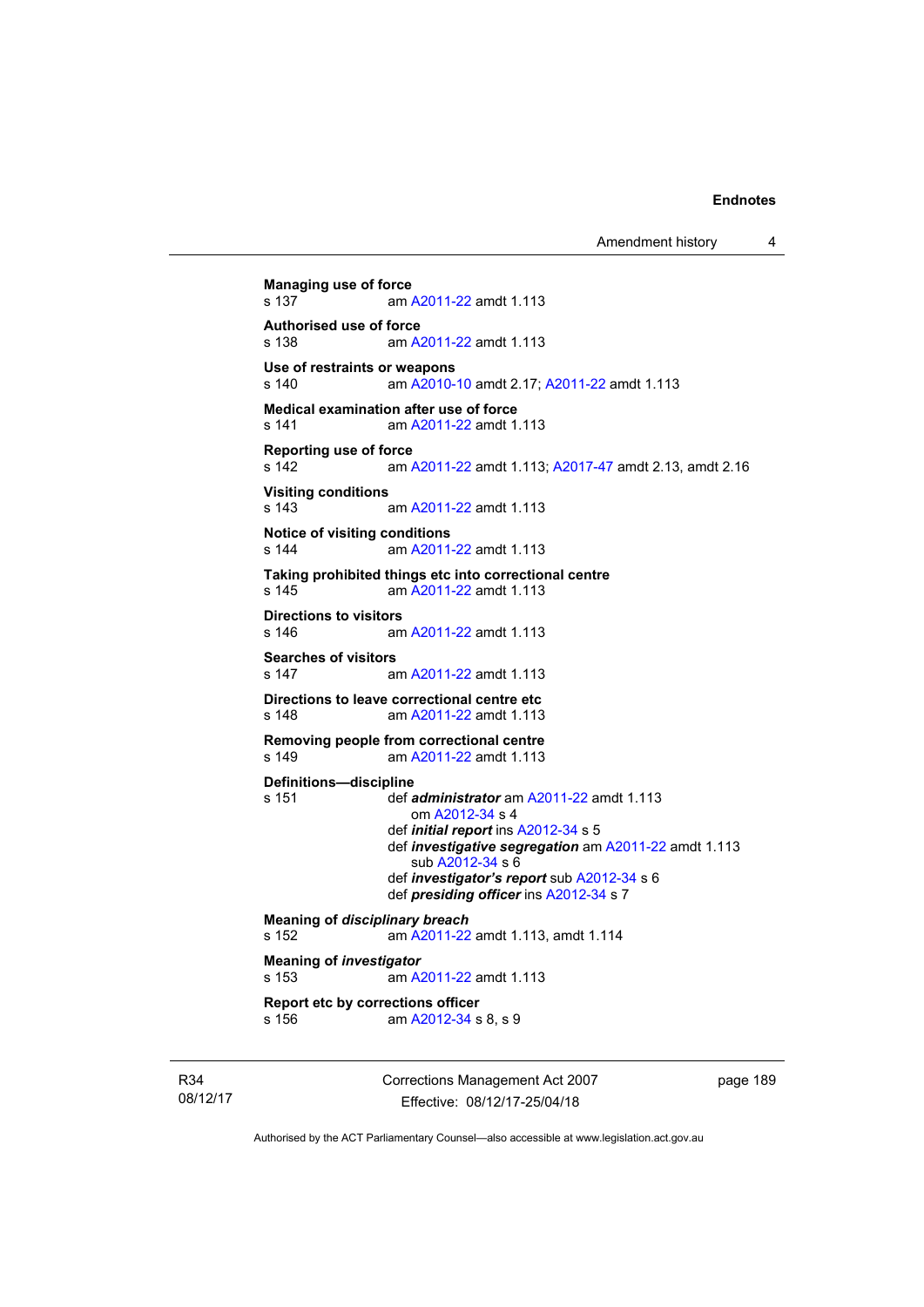```
Managing use of force<br>s 137 am
                A2011-22 amdt 1.113
Authorised use of force 
s 138 am A2011-22 amdt 1.113
Use of restraints or weapons 
s 140 am A2010-10 amdt 2.17; A2011-22 amdt 1.113 
Medical examination after use of force 
s 141 am A2011-22 amdt 1.113
Reporting use of force 
s 142 am A2011-22 amdt 1.113; A2017-47 amdt 2.13, amdt 2.16 
Visiting conditions 
s 143 am A2011-22 amdt 1.113
Notice of visiting conditions 
s 144 am A2011-22 amdt 1.113
Taking prohibited things etc into correctional centre 
 A2011-22 amdt 1.113
Directions to visitors 
s 146 am A2011-22 amdt 1.113
Searches of visitors 
s 147 am A2011-22 amdt 1.113
Directions to leave correctional centre etc 
s 148 am A2011-22 amdt 1.113
Removing people from correctional centre 
s 149 am A2011-22 amdt 1.113
Definitions—discipline 
s 151 def administrator am A2011-22 amdt 1.113 
                    om A2012-34 s 4 
                 def initial report ins A2012-34 s 5 
                 def investigative segregation am A2011-22 amdt 1.113 
                    sub A2012-34 s 6 
                 def investigator's report sub A2012-34 s 6 
                 def presiding officer ins A2012-34 s 7 
Meaning of disciplinary breach
s 152 am A2011-22 amdt 1.113, amdt 1.114 
Meaning of investigator
s 153 am A2011-22 amdt 1.113
Report etc by corrections officer 
 A2012-34 s 8, s 9
```
R34 08/12/17 Corrections Management Act 2007 Effective: 08/12/17-25/04/18

page 189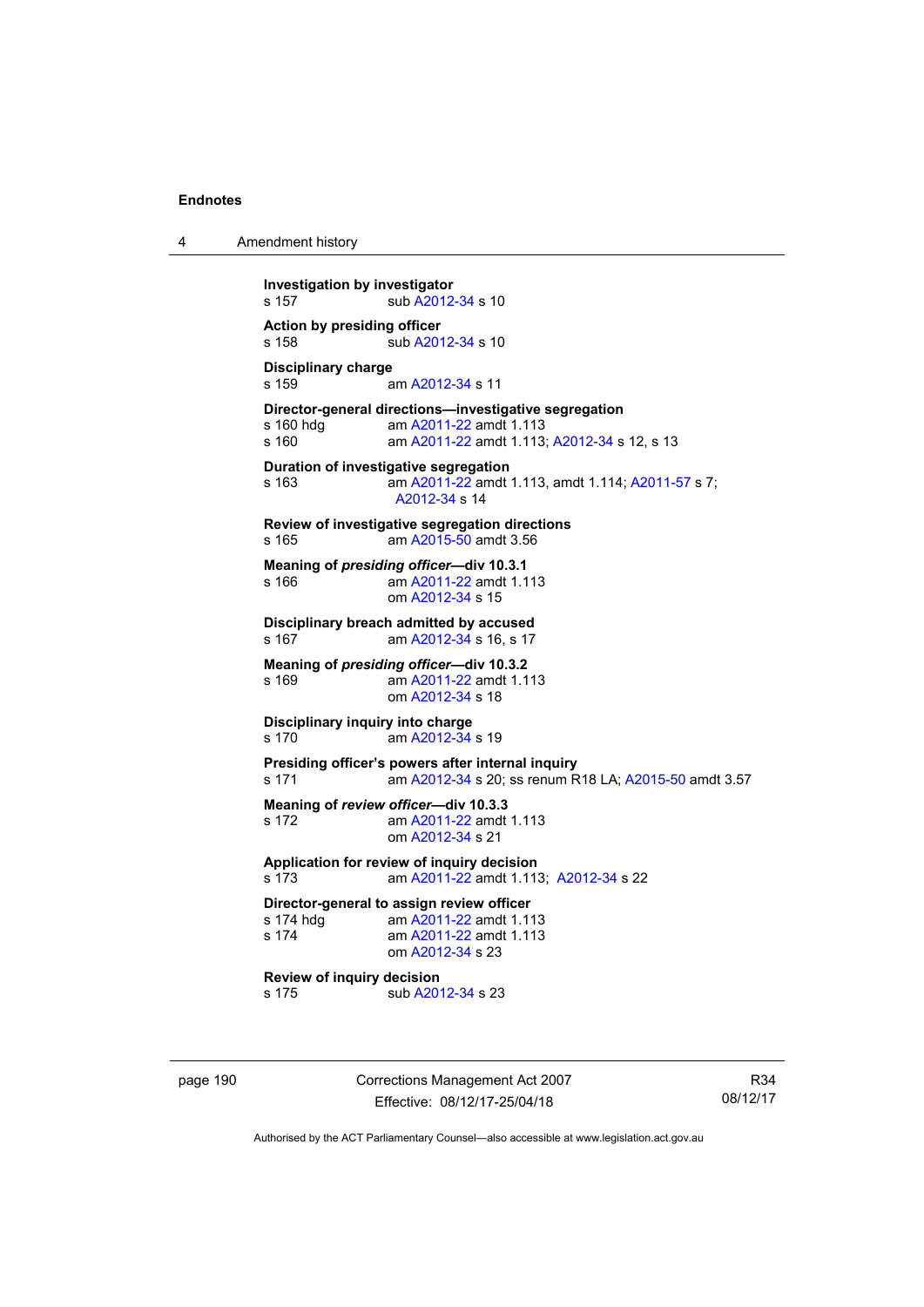4 Amendment history

```
Investigation by investigator 
A2012-34 s 10
Action by presiding officer 
A2012-34 s 10
Disciplinary charge 
s 159  A2012-34 s 11
Director-general directions—investigative segregation 
 A2011-22 amdt 1.113<br>s 160 am A2011-22 amdt 1.113
                 A2011-22A2012-34 s 12, s 13
Duration of investigative segregation 
s 163 am A2011-22 amdt 1.113, amdt 1.114; A2011-57 s 7; 
                 A2012-34 s 14 
Review of investigative segregation directions 
s 165 am A2015-50 amdt 3.56
Meaning of presiding officer—div 10.3.1 
s 166  A2011-22 amdt 1.113
                 om A2012-34 s 15 
Disciplinary breach admitted by accused 
s 167  A2012-34 s 16, s 17
Meaning of presiding officer—div 10.3.2 
s 169 am A2011-22 amdt 1.113
                 om A2012-34 s 18 
Disciplinary inquiry into charge 
s 170 am A2012-34 s 19 
Presiding officer's powers after internal inquiry 
s 171 am A2012-34 s 20; ss renum R18 LA; A2015-50 amdt 3.57 
Meaning of review officer—div 10.3.3 
s 172 am A2011-22 amdt 1.113
                 om A2012-34 s 21 
Application for review of inquiry decision 
s 173 am A2011-22 amdt 1.113; A2012-34 s 22 
Director-general to assign review officer 
 A2011-22 amdt 1.113
s 174 am A2011-22 amdt 1.113
                 om A2012-34 s 23 
Review of inquiry decision<br>s 175 b sub A20
                A2012-34 s 23
```
page 190 Corrections Management Act 2007 Effective: 08/12/17-25/04/18

R34 08/12/17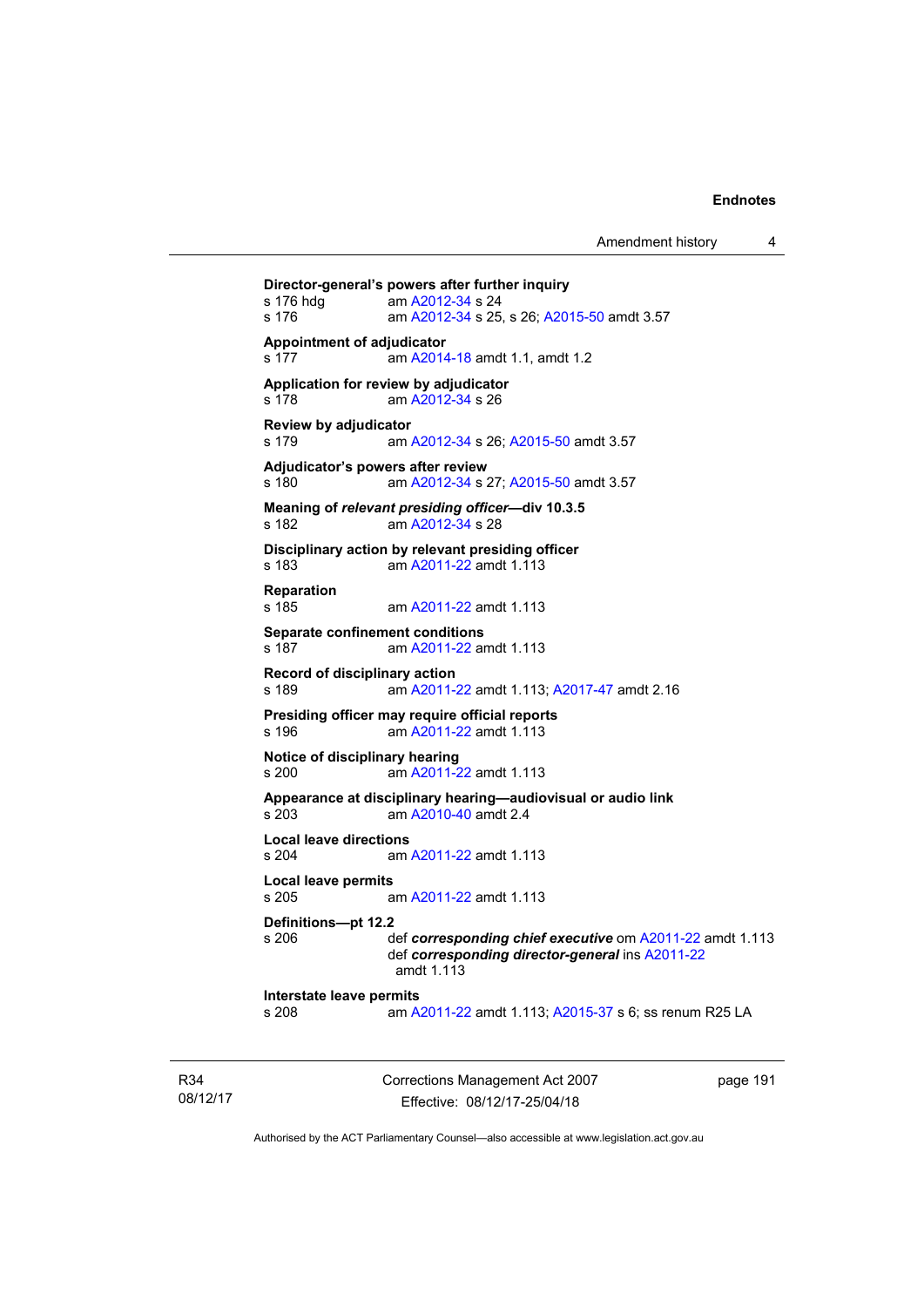**Director-general's powers after further inquiry**  s 176 hdg am [A2012-34](http://www.legislation.act.gov.au/a/2012-34) s 24 s 176 am [A2012-34](http://www.legislation.act.gov.au/a/2012-34) s 25, s 26; [A2015-50](http://www.legislation.act.gov.au/a/2015-50) amdt 3.57 **Appointment of adjudicator**  s 177 am [A2014-18](http://www.legislation.act.gov.au/a/2014-18) amdt 1.1, amdt 1.2 **Application for review by adjudicator**  s 178 am [A2012-34](http://www.legislation.act.gov.au/a/2012-34) s 26 **Review by adjudicator**  s 179 am [A2012-34](http://www.legislation.act.gov.au/a/2012-34) s 26; [A2015-50](http://www.legislation.act.gov.au/a/2015-50) amdt 3.57 **Adjudicator's powers after review**  s 180 am [A2012-34](http://www.legislation.act.gov.au/a/2012-34) s 27; [A2015-50](http://www.legislation.act.gov.au/a/2015-50) amdt 3.57 **Meaning of** *relevant* **presiding officer—div 10.3.5** <br>s 182 **am A2012-34** s 28 am [A2012-34](http://www.legislation.act.gov.au/a/2012-34) s 28 **Disciplinary action by relevant presiding officer**  s 183 am [A2011-22](http://www.legislation.act.gov.au/a/2011-22) amdt 1.113 **Reparation**  am [A2011-22](http://www.legislation.act.gov.au/a/2011-22) amdt 1.113 **Separate confinement conditions**  s 187 am [A2011-22](http://www.legislation.act.gov.au/a/2011-22) amdt 1.113 **Record of disciplinary action**  s 189 am [A2011-22](http://www.legislation.act.gov.au/a/2011-22) amdt 1.113; [A2017-47](http://www.legislation.act.gov.au/a/2017-47/default.asp) amdt 2.16 **Presiding officer may require official reports**  s 196 am [A2011-22](http://www.legislation.act.gov.au/a/2011-22) amdt 1.113 **Notice of disciplinary hearing**<br>
s 200 am A2011-2 am [A2011-22](http://www.legislation.act.gov.au/a/2011-22) amdt 1.113 **Appearance at disciplinary hearing—audiovisual or audio link**  s 203 am [A2010-40](http://www.legislation.act.gov.au/a/2010-40) amdt 2.4 **Local leave directions**  s 204 am [A2011-22](http://www.legislation.act.gov.au/a/2011-22) amdt 1.113 **Local leave permits**  s 205 am [A2011-22](http://www.legislation.act.gov.au/a/2011-22) amdt 1.113 **Definitions—pt 12.2**  s 206 def *corresponding chief executive* om [A2011-22](http://www.legislation.act.gov.au/a/2011-22) amdt 1.113 def *corresponding director-general* ins [A2011-22](http://www.legislation.act.gov.au/a/2011-22) amdt 1.113 **Interstate leave permits**  am [A2011-22](http://www.legislation.act.gov.au/a/2011-22) amdt 1.113; [A2015-37](http://www.legislation.act.gov.au/a/2015-37) s 6; ss renum R25 LA

R34 08/12/17 Corrections Management Act 2007 Effective: 08/12/17-25/04/18

page 191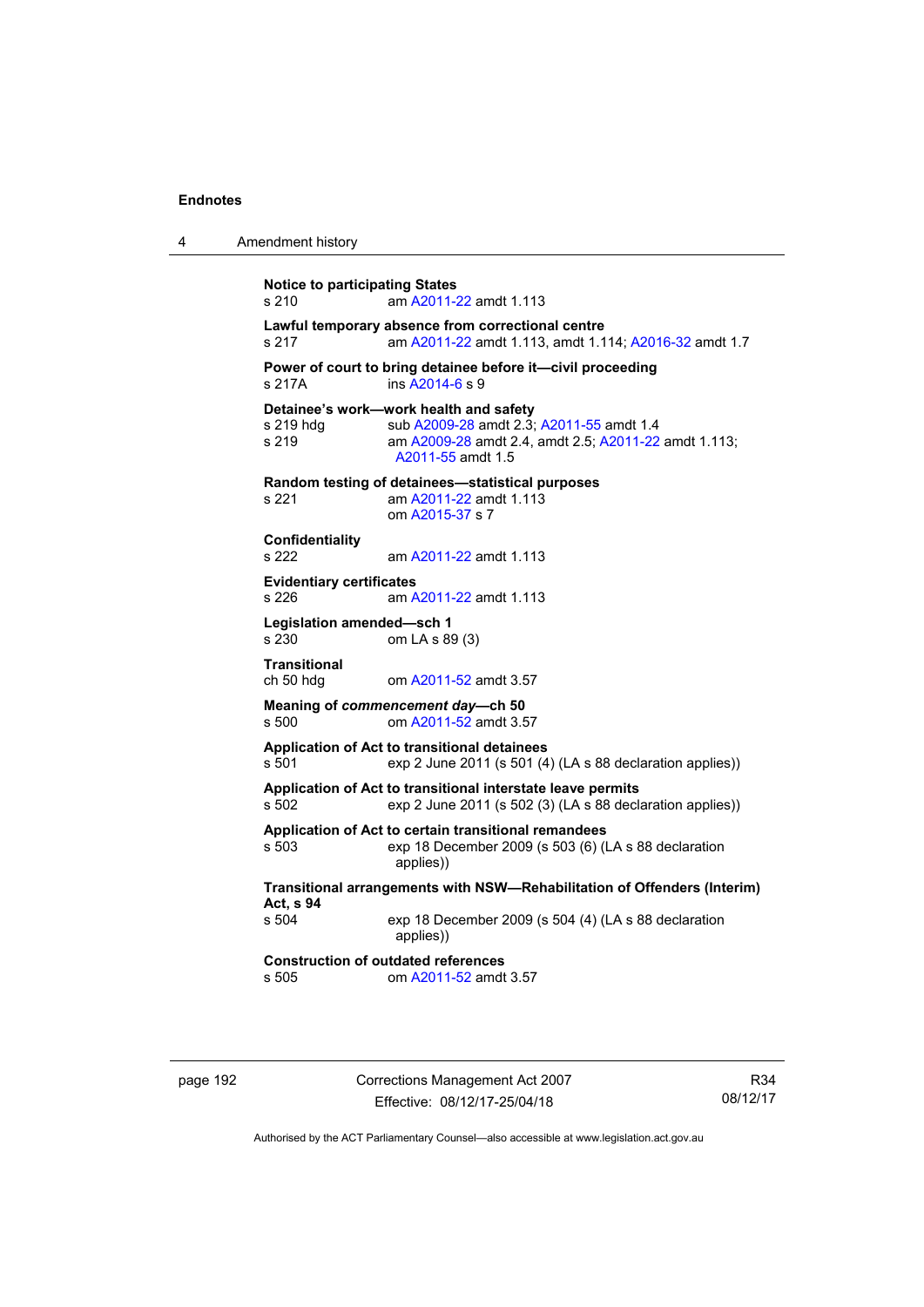| Amendment history |
|-------------------|

**Notice to participating States**  s 210 am [A2011-22](http://www.legislation.act.gov.au/a/2011-22) amdt 1.113 **Lawful temporary absence from correctional centre**  s 217 am [A2011-22](http://www.legislation.act.gov.au/a/2011-22) amdt 1.113, amdt 1.114; [A2016-32](http://www.legislation.act.gov.au/a/2016-32) amdt 1.7 **Power of court to bring detainee before it—civil proceeding**  s 217A ins [A2014-6](http://www.legislation.act.gov.au/a/2014-6) s 9 **Detainee's work—work health and safety**  s 219 hdg sub [A2009-28](http://www.legislation.act.gov.au/a/2009-28) amdt 2.3; [A2011-55](http://www.legislation.act.gov.au/a/2011-55) amdt 1.4 s 219 am [A2009-28](http://www.legislation.act.gov.au/a/2009-28) amdt 2.4, amdt 2.5; [A2011-22](http://www.legislation.act.gov.au/a/2011-22) amdt 1.113; [A2011-55](http://www.legislation.act.gov.au/a/2011-55) amdt 1.5 **Random testing of detainees—statistical purposes**  s 221 am [A2011-22](http://www.legislation.act.gov.au/a/2011-22) amdt 1.113 om [A2015-37](http://www.legislation.act.gov.au/a/2015-37) s 7 **Confidentiality**  s 222 am [A2011-22](http://www.legislation.act.gov.au/a/2011-22) amdt 1.113 **Evidentiary certificates**  s 226 am [A2011-22](http://www.legislation.act.gov.au/a/2011-22) amdt 1.113 **Legislation amended—sch 1**  s 230 om LA s 89 (3) **Transitional**  ch 50 hdg om [A2011-52](http://www.legislation.act.gov.au/a/2011-52) amdt 3.57 **Meaning of** *commencement day***—ch 50**  s 500 om [A2011-52](http://www.legislation.act.gov.au/a/2011-52) amdt 3.57 **Application of Act to transitional detainees**  s 501 exp 2 June 2011 (s 501 (4) (LA s 88 declaration applies)) **Application of Act to transitional interstate leave permits**  s 502 exp 2 June 2011 (s 502 (3) (LA s 88 declaration applies)) **Application of Act to certain transitional remandees**  s 503 exp 18 December 2009 (s 503 (6) (LA s 88 declaration applies)) **Transitional arrangements with NSW—Rehabilitation of Offenders (Interim) Act, s 94**  exp 18 December 2009 (s 504 (4) (LA s 88 declaration applies)) **Construction of outdated references**<br>s 505 cm A2011-52 amdt om [A2011-52](http://www.legislation.act.gov.au/a/2011-52) amdt 3.57

page 192 Corrections Management Act 2007 Effective: 08/12/17-25/04/18

R34 08/12/17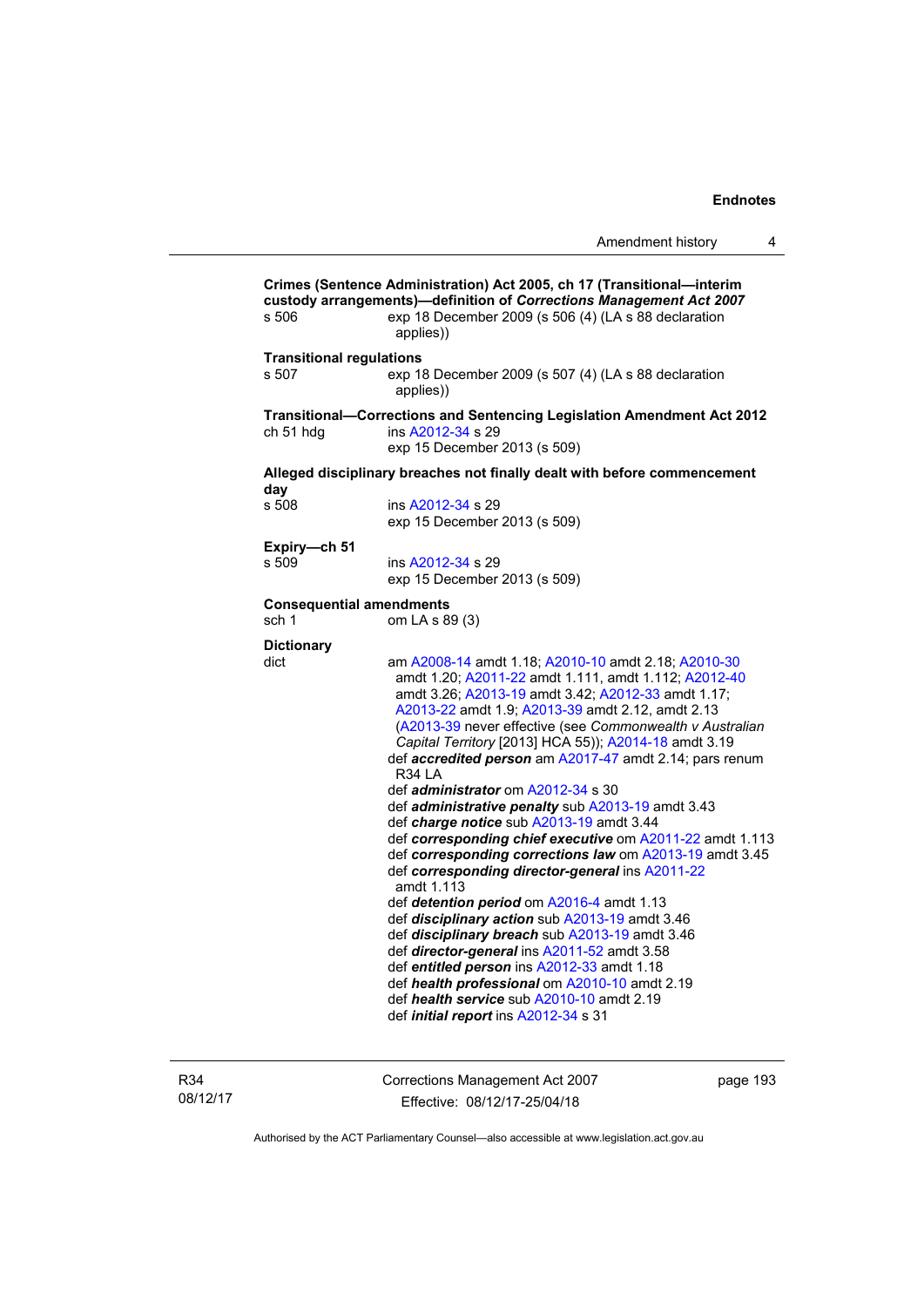|                                          |                                                                                                                                                                                                                    | Amendment history | 4 |
|------------------------------------------|--------------------------------------------------------------------------------------------------------------------------------------------------------------------------------------------------------------------|-------------------|---|
| s 506                                    | Crimes (Sentence Administration) Act 2005, ch 17 (Transitional—interim<br>custody arrangements)-definition of Corrections Management Act 2007<br>exp 18 December 2009 (s 506 (4) (LA s 88 declaration<br>applies)) |                   |   |
| <b>Transitional regulations</b><br>s 507 | exp 18 December 2009 (s 507 (4) (LA s 88 declaration<br>applies))                                                                                                                                                  |                   |   |
| ch 51 hdg                                | Transitional—Corrections and Sentencing Legislation Amendment Act 2012<br>ins A2012-34 s 29<br>exp 15 December 2013 (s 509)                                                                                        |                   |   |
|                                          | Alleged disciplinary breaches not finally dealt with before commencement                                                                                                                                           |                   |   |
| day<br>s 508                             | ins A2012-34 s 29<br>exp 15 December 2013 (s 509)                                                                                                                                                                  |                   |   |
| Expiry-ch 51                             |                                                                                                                                                                                                                    |                   |   |
| s 509                                    | ins A2012-34 s 29<br>exp 15 December 2013 (s 509)                                                                                                                                                                  |                   |   |
| <b>Consequential amendments</b><br>sch 1 | om LA s 89 (3)                                                                                                                                                                                                     |                   |   |
| <b>Dictionary</b><br>dict                | am A2008-14 amdt 1.18; A2010-10 amdt 2.18; A2010-30<br>amdt 1.20; A2011-22 amdt 1.111, amdt 1.112; A2012-40<br>amdt 3.26: A2013-19 amdt 3.42: A2012-33 amdt 1.17:                                                  |                   |   |

#### **Consequential amend**  $sch 1$  om

### **Dictionary**

dict am [A2008-14](http://www.legislation.act.gov.au/a/2008-14) amdt 1.18; [A2010-10](http://www.legislation.act.gov.au/a/2010-10) amdt 2.18; [A2010-30](http://www.legislation.act.gov.au/a/2010-30) amdt 1.20; [A2011-22](http://www.legislation.act.gov.au/a/2011-22) amdt 1.111, amdt 1.112; [A2012-40](http://www.legislation.act.gov.au/a/2012-40) amdt 3.26; [A2013-19](http://www.legislation.act.gov.au/a/2013-19) amdt 3.42; [A2012-33](http://www.legislation.act.gov.au/a/2012-33) amdt 1.17; [A2013-22](http://www.legislation.act.gov.au/a/2013-22) amdt 1.9; [A2013-39](http://www.legislation.act.gov.au/a/2013-39) amdt 2.12, amdt 2.13 ([A2013-39](http://www.legislation.act.gov.au/a/2013-39) never effective (see *Commonwealth v Australian Capital Territory* [2013] HCA 55)); [A2014-18](http://www.legislation.act.gov.au/a/2014-18) amdt 3.19 def *accredited person* am [A2017-47](http://www.legislation.act.gov.au/a/2017-47/default.asp) amdt 2.14; pars renum R34 LA def *administrator* om [A2012-34](http://www.legislation.act.gov.au/a/2012-34) s 30 def *administrative penalty* sub [A2013-19](http://www.legislation.act.gov.au/a/2013-19) amdt 3.43 def *charge notice* sub [A2013-19](http://www.legislation.act.gov.au/a/2013-19) amdt 3.44 def *corresponding chief executive* om [A2011-22](http://www.legislation.act.gov.au/a/2011-22) amdt 1.113 def *corresponding corrections law* om [A2013-19](http://www.legislation.act.gov.au/a/2013-19) amdt 3.45 def *corresponding director-general* ins [A2011-22](http://www.legislation.act.gov.au/a/2011-22) amdt 1.113 def *detention period* om [A2016-4](http://www.legislation.act.gov.au/a/2016-4/default.asp) amdt 1.13 def *disciplinary action* sub [A2013-19](http://www.legislation.act.gov.au/a/2013-19) amdt 3.46 def *disciplinary breach* sub [A2013-19](http://www.legislation.act.gov.au/a/2013-19) amdt 3.46 def *director-general* ins [A2011-52](http://www.legislation.act.gov.au/a/2011-52) amdt 3.58 def *entitled person* ins [A2012-33](http://www.legislation.act.gov.au/a/2012-33) amdt 1.18 def *health professional* om [A2010-10](http://www.legislation.act.gov.au/a/2010-10) amdt 2.19 def *health service* sub [A2010-10](http://www.legislation.act.gov.au/a/2010-10) amdt 2.19 def *initial report* ins [A2012-34](http://www.legislation.act.gov.au/a/2012-34) s 31

R34 08/12/17 Corrections Management Act 2007 Effective: 08/12/17-25/04/18

page 193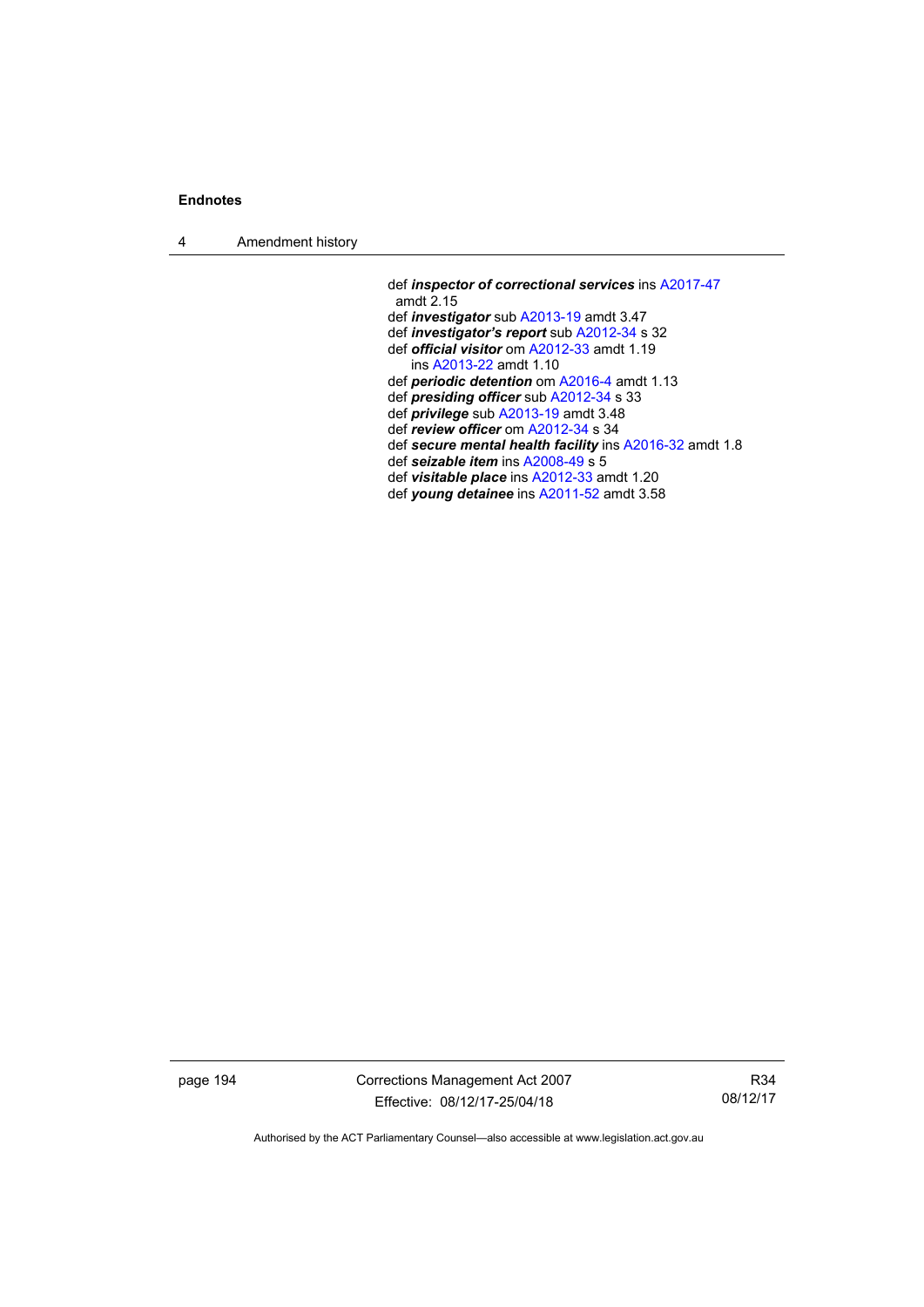4 Amendment history

 def *inspector of correctional services* ins [A2017-47](http://www.legislation.act.gov.au/a/2017-47/default.asp) amdt 2.15 def *investigator* sub [A2013-19](http://www.legislation.act.gov.au/a/2013-19) amdt 3.47 def *investigator's report* sub [A2012-34](http://www.legislation.act.gov.au/a/2012-34) s 32 def *official visitor* om [A2012-33](http://www.legislation.act.gov.au/a/2012-33) amdt 1.19 ins [A2013-22](http://www.legislation.act.gov.au/a/2013-22) amdt 1.10 def *periodic detention* om [A2016-4](http://www.legislation.act.gov.au/a/2016-4/default.asp) amdt 1.13 def *presiding officer* sub [A2012-34](http://www.legislation.act.gov.au/a/2012-34) s 33 def *privilege* sub [A2013-19](http://www.legislation.act.gov.au/a/2013-19) amdt 3.48 def *review officer* om [A2012-34](http://www.legislation.act.gov.au/a/2012-34) s 34 def *secure mental health facility* ins [A2016-32](http://www.legislation.act.gov.au/a/2016-32) amdt 1.8 def *seizable item* ins [A2008-49](http://www.legislation.act.gov.au/a/2008-49) s 5 def *visitable place* ins [A2012-33](http://www.legislation.act.gov.au/a/2012-33) amdt 1.20

def *young detainee* ins [A2011-52](http://www.legislation.act.gov.au/a/2011-52) amdt 3.58

page 194 Corrections Management Act 2007 Effective: 08/12/17-25/04/18

R34 08/12/17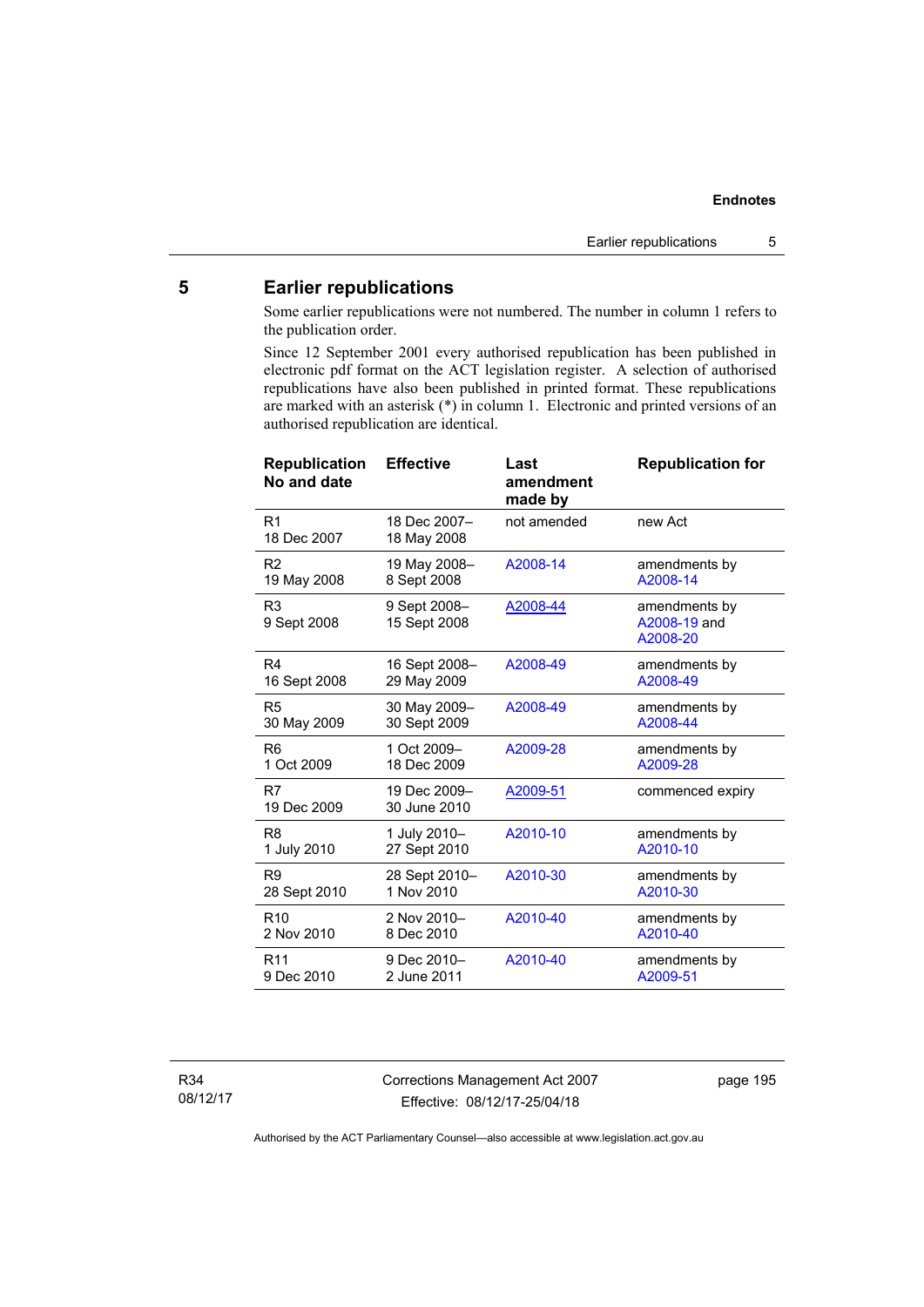## **5 Earlier republications**

Some earlier republications were not numbered. The number in column 1 refers to the publication order.

Since 12 September 2001 every authorised republication has been published in electronic pdf format on the ACT legislation register. A selection of authorised republications have also been published in printed format. These republications are marked with an asterisk (\*) in column 1. Electronic and printed versions of an authorised republication are identical.

| <b>Republication</b><br>No and date | <b>Effective</b>             | Last<br>amendment<br>made by | <b>Republication for</b>                  |
|-------------------------------------|------------------------------|------------------------------|-------------------------------------------|
| R1<br>18 Dec 2007                   | 18 Dec 2007-<br>18 May 2008  | not amended                  | new Act                                   |
| R <sub>2</sub>                      | 19 May 2008-                 | A2008-14                     | amendments by                             |
| 19 May 2008                         | 8 Sept 2008                  |                              | A2008-14                                  |
| R <sub>3</sub><br>9 Sept 2008       | 9 Sept 2008-<br>15 Sept 2008 | A2008-44                     | amendments by<br>A2008-19 and<br>A2008-20 |
| R4                                  | 16 Sept 2008-                | A2008-49                     | amendments by                             |
| 16 Sept 2008                        | 29 May 2009                  |                              | A2008-49                                  |
| R <sub>5</sub>                      | 30 May 2009-                 | A2008-49                     | amendments by                             |
| 30 May 2009                         | 30 Sept 2009                 |                              | A2008-44                                  |
| R <sub>6</sub>                      | 1 Oct 2009-                  | A2009-28                     | amendments by                             |
| 1 Oct 2009                          | 18 Dec 2009                  |                              | A2009-28                                  |
| R7<br>19 Dec 2009                   | 19 Dec 2009-<br>30 June 2010 | A2009-51                     | commenced expiry                          |
| R <sub>8</sub>                      | 1 July 2010-                 | A2010-10                     | amendments by                             |
| 1 July 2010                         | 27 Sept 2010                 |                              | A2010-10                                  |
| R9                                  | 28 Sept 2010-                | A2010-30                     | amendments by                             |
| 28 Sept 2010                        | 1 Nov 2010                   |                              | A2010-30                                  |
| R <sub>10</sub>                     | 2 Nov 2010-                  | A2010-40                     | amendments by                             |
| 2 Nov 2010                          | 8 Dec 2010                   |                              | A2010-40                                  |
| R11                                 | 9 Dec 2010-                  | A2010-40                     | amendments by                             |
| 9 Dec 2010                          | 2 June 2011                  |                              | A2009-51                                  |

R34 08/12/17 Corrections Management Act 2007 Effective: 08/12/17-25/04/18

page 195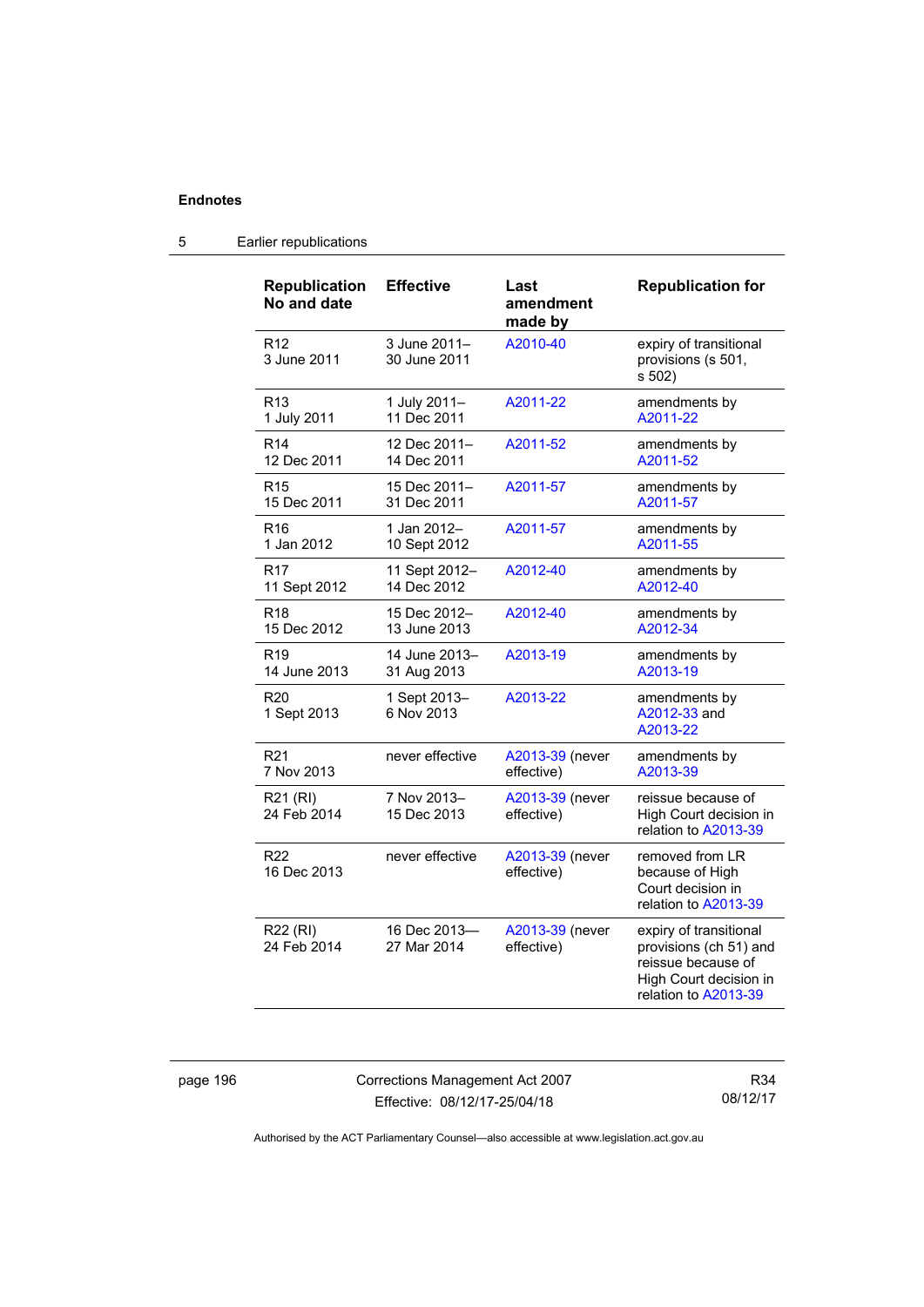| <b>Republication</b><br>No and date | <b>Effective</b>             | Last<br>amendment<br>made by  | <b>Republication for</b>                                                                                                 |
|-------------------------------------|------------------------------|-------------------------------|--------------------------------------------------------------------------------------------------------------------------|
| R <sub>12</sub><br>3 June 2011      | 3 June 2011-<br>30 June 2011 | A2010-40                      | expiry of transitional<br>provisions (s 501,<br>s 502)                                                                   |
| R <sub>13</sub>                     | 1 July 2011-                 | A2011-22                      | amendments by                                                                                                            |
| 1 July 2011                         | 11 Dec 2011                  |                               | A2011-22                                                                                                                 |
| R <sub>14</sub>                     | 12 Dec 2011-                 | A2011-52                      | amendments by                                                                                                            |
| 12 Dec 2011                         | 14 Dec 2011                  |                               | A2011-52                                                                                                                 |
| R <sub>15</sub>                     | 15 Dec 2011-                 | A2011-57                      | amendments by                                                                                                            |
| 15 Dec 2011                         | 31 Dec 2011                  |                               | A2011-57                                                                                                                 |
| R <sub>16</sub>                     | 1 Jan 2012-                  | A2011-57                      | amendments by                                                                                                            |
| 1 Jan 2012                          | 10 Sept 2012                 |                               | A2011-55                                                                                                                 |
| R <sub>17</sub>                     | 11 Sept 2012-                | A2012-40                      | amendments by                                                                                                            |
| 11 Sept 2012                        | 14 Dec 2012                  |                               | A2012-40                                                                                                                 |
| R <sub>18</sub>                     | 15 Dec 2012-                 | A2012-40                      | amendments by                                                                                                            |
| 15 Dec 2012                         | 13 June 2013                 |                               | A2012-34                                                                                                                 |
| R <sub>19</sub>                     | 14 June 2013-                | A2013-19                      | amendments by                                                                                                            |
| 14 June 2013                        | 31 Aug 2013                  |                               | A2013-19                                                                                                                 |
| R <sub>20</sub><br>1 Sept 2013      | 1 Sept 2013-<br>6 Nov 2013   | A2013-22                      | amendments by<br>A2012-33 and<br>A2013-22                                                                                |
| R <sub>21</sub>                     | never effective              | A2013-39 (never               | amendments by                                                                                                            |
| 7 Nov 2013                          |                              | effective)                    | A2013-39                                                                                                                 |
| R21 (RI)<br>24 Feb 2014             | 7 Nov 2013-<br>15 Dec 2013   | A2013-39 (never<br>effective) | reissue because of<br>High Court decision in<br>relation to A2013-39                                                     |
| R <sub>22</sub><br>16 Dec 2013      | never effective              | A2013-39 (never<br>effective) | removed from LR<br>because of High<br>Court decision in<br>relation to A2013-39                                          |
| R22 (RI)<br>24 Feb 2014             | 16 Dec 2013-<br>27 Mar 2014  | A2013-39 (never<br>effective) | expiry of transitional<br>provisions (ch 51) and<br>reissue because of<br>High Court decision in<br>relation to A2013-39 |

## 5 Earlier republications

page 196 Corrections Management Act 2007 Effective: 08/12/17-25/04/18

R34 08/12/17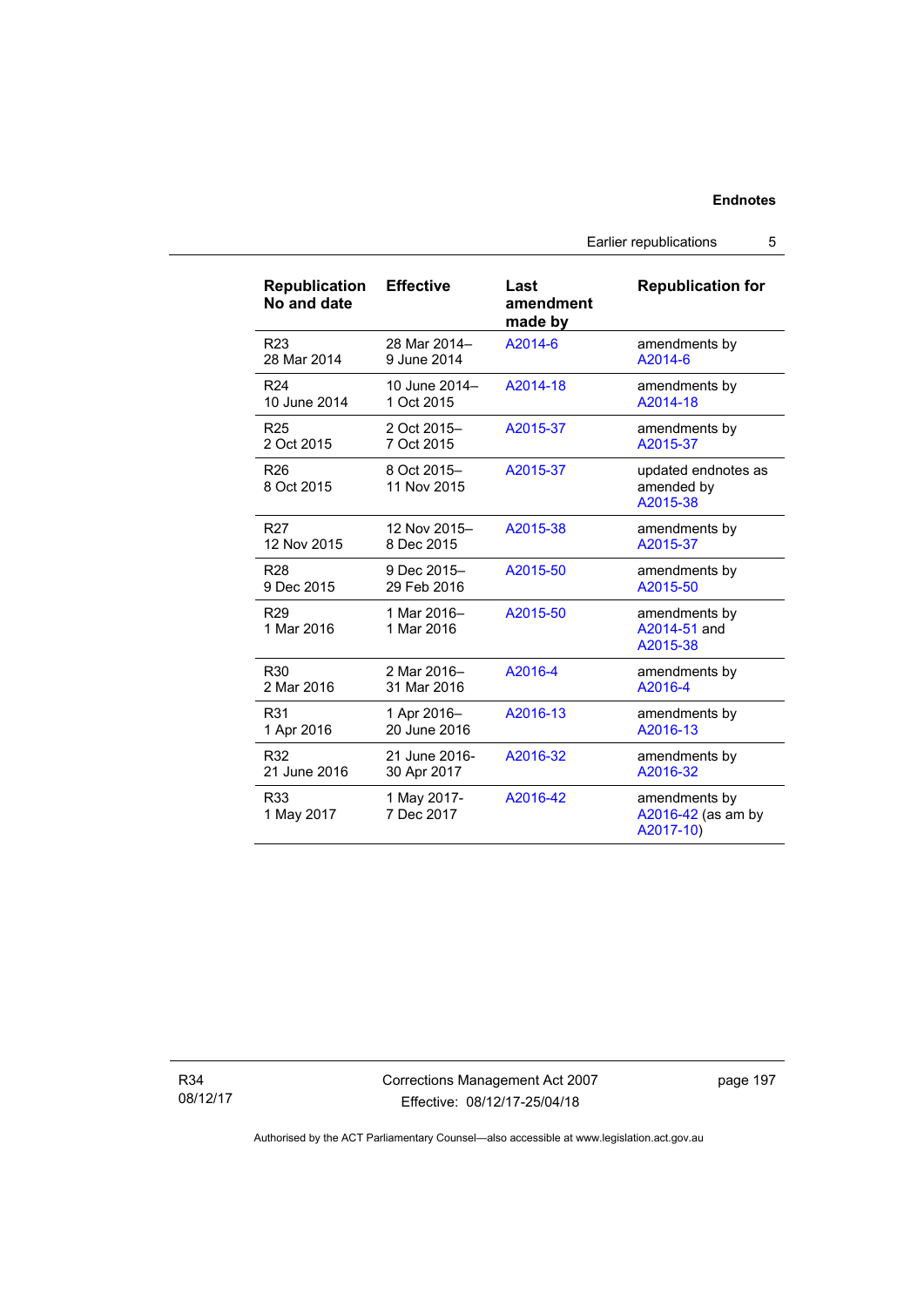Earlier republications 5

| <b>Republication</b><br>No and date | <b>Effective</b>           | Last<br>amendment<br>made by | <b>Republication for</b>                         |
|-------------------------------------|----------------------------|------------------------------|--------------------------------------------------|
| R <sub>23</sub>                     | 28 Mar 2014-               | A2014-6                      | amendments by                                    |
| 28 Mar 2014                         | 9 June 2014                |                              | A2014-6                                          |
| R <sub>24</sub>                     | 10 June 2014-              | A2014-18                     | amendments by                                    |
| 10 June 2014                        | 1 Oct 2015                 |                              | A2014-18                                         |
| R <sub>25</sub>                     | 2 Oct 2015-                | A2015-37                     | amendments by                                    |
| 2 Oct 2015                          | 7 Oct 2015                 |                              | A2015-37                                         |
| R <sub>26</sub><br>8 Oct 2015       | 8 Oct 2015-<br>11 Nov 2015 | A2015-37                     | updated endnotes as<br>amended by<br>A2015-38    |
| R <sub>27</sub>                     | 12 Nov 2015-               | A2015-38                     | amendments by                                    |
| 12 Nov 2015                         | 8 Dec 2015                 |                              | A2015-37                                         |
| R <sub>28</sub>                     | 9 Dec 2015-                | A2015-50                     | amendments by                                    |
| 9 Dec 2015                          | 29 Feb 2016                |                              | A2015-50                                         |
| R <sub>29</sub><br>1 Mar 2016       | 1 Mar 2016-<br>1 Mar 2016  | A2015-50                     | amendments by<br>A2014-51 and<br>A2015-38        |
| R <sub>30</sub>                     | 2 Mar 2016-                | A2016-4                      | amendments by                                    |
| 2 Mar 2016                          | 31 Mar 2016                |                              | A2016-4                                          |
| R31                                 | 1 Apr 2016-                | A2016-13                     | amendments by                                    |
| 1 Apr 2016                          | 20 June 2016               |                              | A2016-13                                         |
| R32                                 | 21 June 2016-              | A2016-32                     | amendments by                                    |
| 21 June 2016                        | 30 Apr 2017                |                              | A2016-32                                         |
| R33<br>1 May 2017                   | 1 May 2017-<br>7 Dec 2017  | A2016-42                     | amendments by<br>A2016-42 (as am by<br>A2017-10) |

R34 08/12/17 Corrections Management Act 2007 Effective: 08/12/17-25/04/18

page 197